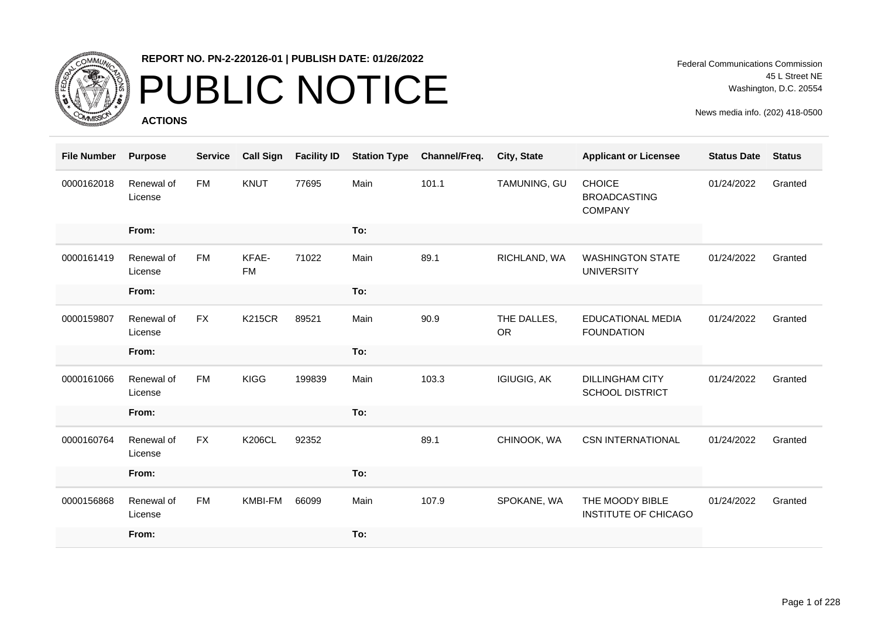

### PUBLIC NOTICE

**ACTIONS**

Federal Communications Commission 45 L Street NE Washington, D.C. 20554

| <b>File Number</b> | <b>Purpose</b>        | <b>Service</b> | <b>Call Sign</b>   | <b>Facility ID</b> | <b>Station Type</b> | Channel/Freq. | City, State              | <b>Applicant or Licensee</b>                           | <b>Status Date</b> | <b>Status</b> |
|--------------------|-----------------------|----------------|--------------------|--------------------|---------------------|---------------|--------------------------|--------------------------------------------------------|--------------------|---------------|
| 0000162018         | Renewal of<br>License | FM             | KNUT               | 77695              | Main                | 101.1         | TAMUNING, GU             | <b>CHOICE</b><br><b>BROADCASTING</b><br><b>COMPANY</b> | 01/24/2022         | Granted       |
|                    | From:                 |                |                    |                    | To:                 |               |                          |                                                        |                    |               |
| 0000161419         | Renewal of<br>License | <b>FM</b>      | KFAE-<br><b>FM</b> | 71022              | Main                | 89.1          | RICHLAND, WA             | <b>WASHINGTON STATE</b><br><b>UNIVERSITY</b>           | 01/24/2022         | Granted       |
|                    | From:                 |                |                    |                    | To:                 |               |                          |                                                        |                    |               |
| 0000159807         | Renewal of<br>License | <b>FX</b>      | <b>K215CR</b>      | 89521              | Main                | 90.9          | THE DALLES,<br><b>OR</b> | EDUCATIONAL MEDIA<br><b>FOUNDATION</b>                 | 01/24/2022         | Granted       |
|                    | From:                 |                |                    |                    | To:                 |               |                          |                                                        |                    |               |
| 0000161066         | Renewal of<br>License | <b>FM</b>      | <b>KIGG</b>        | 199839             | Main                | 103.3         | <b>IGIUGIG, AK</b>       | <b>DILLINGHAM CITY</b><br><b>SCHOOL DISTRICT</b>       | 01/24/2022         | Granted       |
|                    | From:                 |                |                    |                    | To:                 |               |                          |                                                        |                    |               |
| 0000160764         | Renewal of<br>License | <b>FX</b>      | <b>K206CL</b>      | 92352              |                     | 89.1          | CHINOOK, WA              | <b>CSN INTERNATIONAL</b>                               | 01/24/2022         | Granted       |
|                    | From:                 |                |                    |                    | To:                 |               |                          |                                                        |                    |               |
| 0000156868         | Renewal of<br>License | <b>FM</b>      | <b>KMBI-FM</b>     | 66099              | Main                | 107.9         | SPOKANE, WA              | THE MOODY BIBLE<br>INSTITUTE OF CHICAGO                | 01/24/2022         | Granted       |
|                    | From:                 |                |                    |                    | To:                 |               |                          |                                                        |                    |               |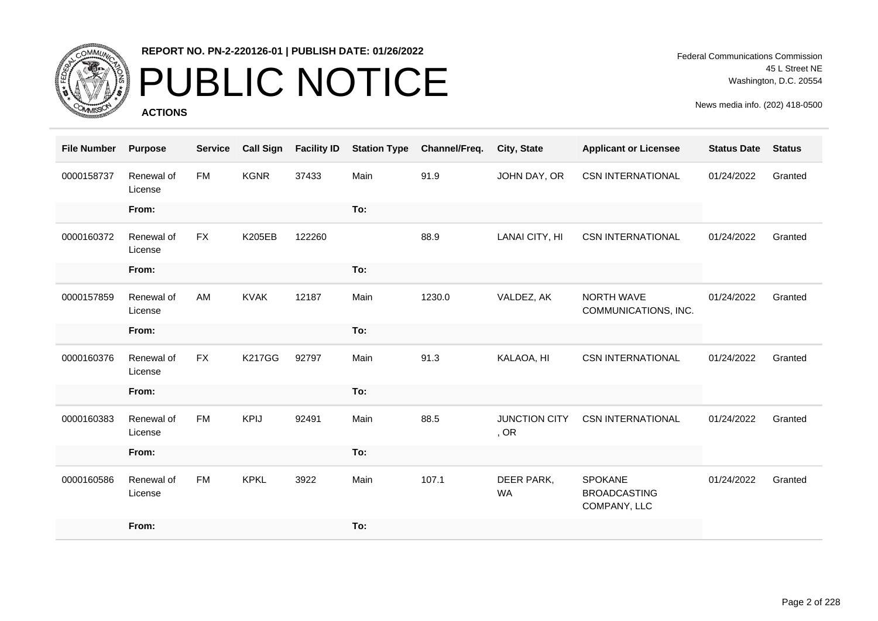

# PUBLIC NOTICE

**ACTIONS**

| <b>File Number</b> | <b>Purpose</b>        | <b>Service</b> | <b>Call Sign</b> | <b>Facility ID</b> | <b>Station Type</b> | Channel/Freq. | City, State                  | <b>Applicant or Licensee</b>                          | <b>Status Date</b> | <b>Status</b> |
|--------------------|-----------------------|----------------|------------------|--------------------|---------------------|---------------|------------------------------|-------------------------------------------------------|--------------------|---------------|
| 0000158737         | Renewal of<br>License | <b>FM</b>      | <b>KGNR</b>      | 37433              | Main                | 91.9          | JOHN DAY, OR                 | <b>CSN INTERNATIONAL</b>                              | 01/24/2022         | Granted       |
|                    | From:                 |                |                  |                    | To:                 |               |                              |                                                       |                    |               |
| 0000160372         | Renewal of<br>License | <b>FX</b>      | <b>K205EB</b>    | 122260             |                     | 88.9          | LANAI CITY, HI               | <b>CSN INTERNATIONAL</b>                              | 01/24/2022         | Granted       |
|                    | From:                 |                |                  |                    | To:                 |               |                              |                                                       |                    |               |
| 0000157859         | Renewal of<br>License | AM             | <b>KVAK</b>      | 12187              | Main                | 1230.0        | VALDEZ, AK                   | NORTH WAVE<br>COMMUNICATIONS, INC.                    | 01/24/2022         | Granted       |
|                    | From:                 |                |                  |                    | To:                 |               |                              |                                                       |                    |               |
| 0000160376         | Renewal of<br>License | <b>FX</b>      | <b>K217GG</b>    | 92797              | Main                | 91.3          | KALAOA, HI                   | <b>CSN INTERNATIONAL</b>                              | 01/24/2022         | Granted       |
|                    | From:                 |                |                  |                    | To:                 |               |                              |                                                       |                    |               |
| 0000160383         | Renewal of<br>License | <b>FM</b>      | <b>KPIJ</b>      | 92491              | Main                | 88.5          | <b>JUNCTION CITY</b><br>, OR | <b>CSN INTERNATIONAL</b>                              | 01/24/2022         | Granted       |
|                    | From:                 |                |                  |                    | To:                 |               |                              |                                                       |                    |               |
| 0000160586         | Renewal of<br>License | <b>FM</b>      | <b>KPKL</b>      | 3922               | Main                | 107.1         | DEER PARK,<br><b>WA</b>      | <b>SPOKANE</b><br><b>BROADCASTING</b><br>COMPANY, LLC | 01/24/2022         | Granted       |
|                    | From:                 |                |                  |                    | To:                 |               |                              |                                                       |                    |               |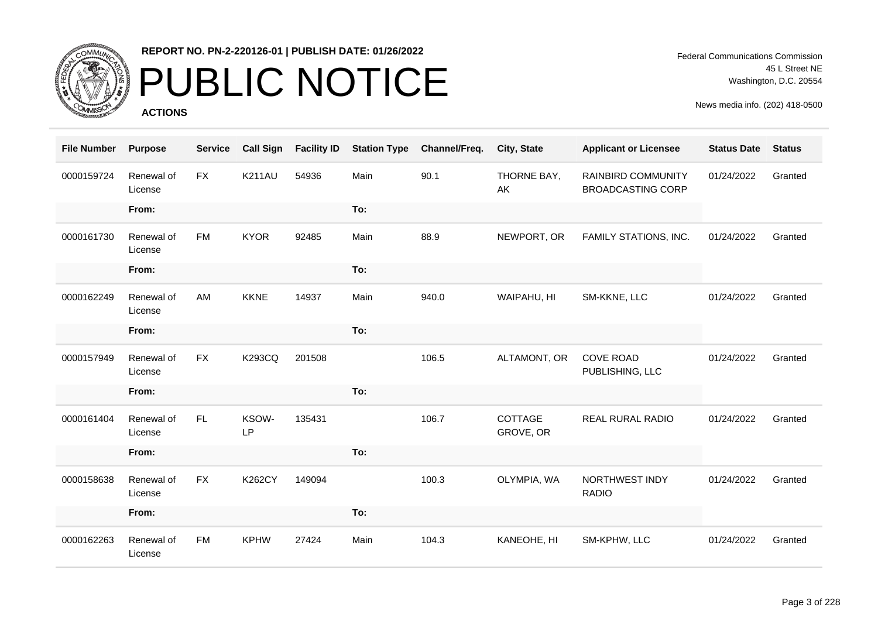

# PUBLIC NOTICE

**ACTIONS**

Federal Communications Commission 45 L Street NE Washington, D.C. 20554

| <b>File Number</b> | <b>Purpose</b>        | <b>Service</b> | <b>Call Sign</b> | <b>Facility ID</b> | <b>Station Type</b> | Channel/Freq. | City, State          | <b>Applicant or Licensee</b>                          | <b>Status Date</b> | <b>Status</b> |
|--------------------|-----------------------|----------------|------------------|--------------------|---------------------|---------------|----------------------|-------------------------------------------------------|--------------------|---------------|
| 0000159724         | Renewal of<br>License | <b>FX</b>      | <b>K211AU</b>    | 54936              | Main                | 90.1          | THORNE BAY,<br>AK    | <b>RAINBIRD COMMUNITY</b><br><b>BROADCASTING CORP</b> | 01/24/2022         | Granted       |
|                    | From:                 |                |                  |                    | To:                 |               |                      |                                                       |                    |               |
| 0000161730         | Renewal of<br>License | FM             | <b>KYOR</b>      | 92485              | Main                | 88.9          | NEWPORT, OR          | FAMILY STATIONS, INC.                                 | 01/24/2022         | Granted       |
|                    | From:                 |                |                  |                    | To:                 |               |                      |                                                       |                    |               |
| 0000162249         | Renewal of<br>License | AM             | <b>KKNE</b>      | 14937              | Main                | 940.0         | WAIPAHU, HI          | SM-KKNE, LLC                                          | 01/24/2022         | Granted       |
|                    | From:                 |                |                  |                    | To:                 |               |                      |                                                       |                    |               |
| 0000157949         | Renewal of<br>License | <b>FX</b>      | <b>K293CQ</b>    | 201508             |                     | 106.5         | ALTAMONT, OR         | <b>COVE ROAD</b><br>PUBLISHING, LLC                   | 01/24/2022         | Granted       |
|                    | From:                 |                |                  |                    | To:                 |               |                      |                                                       |                    |               |
| 0000161404         | Renewal of<br>License | FL             | KSOW-<br>LP      | 135431             |                     | 106.7         | COTTAGE<br>GROVE, OR | <b>REAL RURAL RADIO</b>                               | 01/24/2022         | Granted       |
|                    | From:                 |                |                  |                    | To:                 |               |                      |                                                       |                    |               |
| 0000158638         | Renewal of<br>License | <b>FX</b>      | <b>K262CY</b>    | 149094             |                     | 100.3         | OLYMPIA, WA          | NORTHWEST INDY<br><b>RADIO</b>                        | 01/24/2022         | Granted       |
|                    | From:                 |                |                  |                    | To:                 |               |                      |                                                       |                    |               |
| 0000162263         | Renewal of<br>License | <b>FM</b>      | <b>KPHW</b>      | 27424              | Main                | 104.3         | KANEOHE, HI          | SM-KPHW, LLC                                          | 01/24/2022         | Granted       |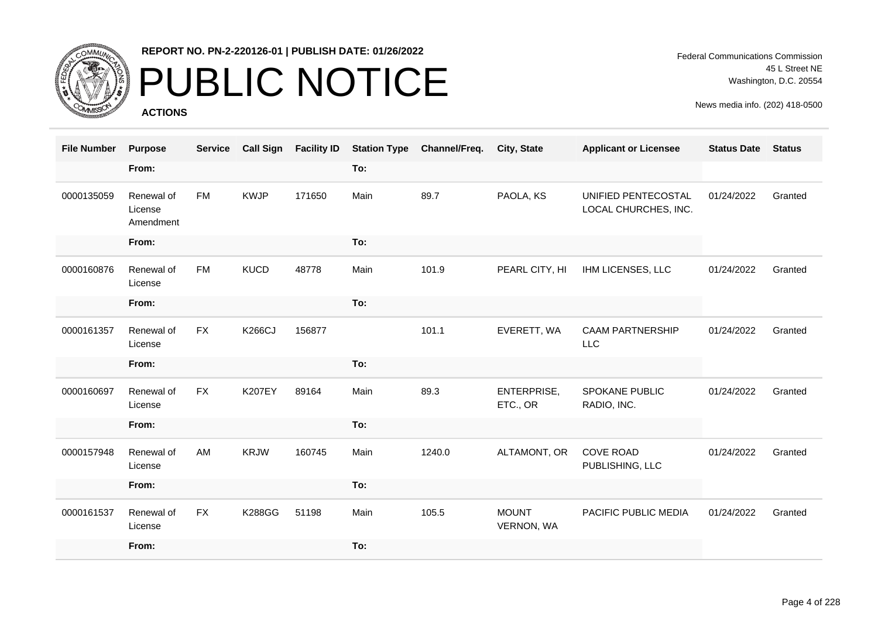

### PUBLIC NOTICE

**ACTIONS**

Federal Communications Commission 45 L Street NE Washington, D.C. 20554

| <b>File Number</b> | <b>Purpose</b>                     | <b>Service</b> | <b>Call Sign</b> | <b>Facility ID</b> | <b>Station Type</b> | Channel/Freq. | <b>City, State</b>                | <b>Applicant or Licensee</b>                | <b>Status Date</b> | <b>Status</b> |
|--------------------|------------------------------------|----------------|------------------|--------------------|---------------------|---------------|-----------------------------------|---------------------------------------------|--------------------|---------------|
|                    | From:                              |                |                  |                    | To:                 |               |                                   |                                             |                    |               |
| 0000135059         | Renewal of<br>License<br>Amendment | <b>FM</b>      | <b>KWJP</b>      | 171650             | Main                | 89.7          | PAOLA, KS                         | UNIFIED PENTECOSTAL<br>LOCAL CHURCHES, INC. | 01/24/2022         | Granted       |
|                    | From:                              |                |                  |                    | To:                 |               |                                   |                                             |                    |               |
| 0000160876         | Renewal of<br>License              | <b>FM</b>      | <b>KUCD</b>      | 48778              | Main                | 101.9         | PEARL CITY, HI                    | IHM LICENSES, LLC                           | 01/24/2022         | Granted       |
|                    | From:                              |                |                  |                    | To:                 |               |                                   |                                             |                    |               |
| 0000161357         | Renewal of<br>License              | <b>FX</b>      | <b>K266CJ</b>    | 156877             |                     | 101.1         | EVERETT, WA                       | <b>CAAM PARTNERSHIP</b><br><b>LLC</b>       | 01/24/2022         | Granted       |
|                    | From:                              |                |                  |                    | To:                 |               |                                   |                                             |                    |               |
| 0000160697         | Renewal of<br>License              | <b>FX</b>      | <b>K207EY</b>    | 89164              | Main                | 89.3          | ENTERPRISE,<br>ETC., OR           | SPOKANE PUBLIC<br>RADIO, INC.               | 01/24/2022         | Granted       |
|                    | From:                              |                |                  |                    | To:                 |               |                                   |                                             |                    |               |
| 0000157948         | Renewal of<br>License              | AM             | <b>KRJW</b>      | 160745             | Main                | 1240.0        | ALTAMONT, OR                      | <b>COVE ROAD</b><br>PUBLISHING, LLC         | 01/24/2022         | Granted       |
|                    | From:                              |                |                  |                    | To:                 |               |                                   |                                             |                    |               |
| 0000161537         | Renewal of<br>License              | <b>FX</b>      | <b>K288GG</b>    | 51198              | Main                | 105.5         | <b>MOUNT</b><br><b>VERNON, WA</b> | PACIFIC PUBLIC MEDIA                        | 01/24/2022         | Granted       |
|                    | From:                              |                |                  |                    | To:                 |               |                                   |                                             |                    |               |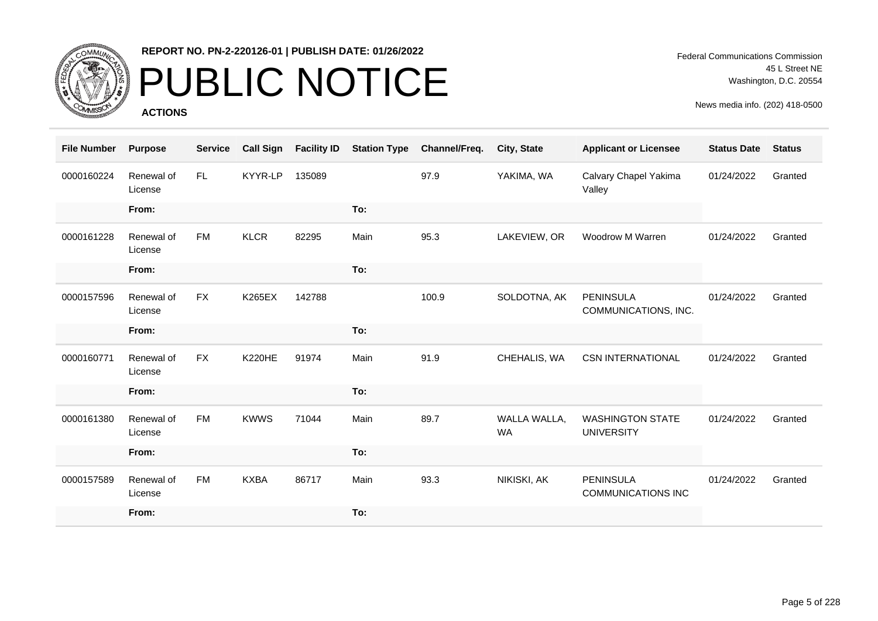

# PUBLIC NOTICE

**ACTIONS**

Federal Communications Commission 45 L Street NE Washington, D.C. 20554

| <b>File Number</b> | <b>Purpose</b>        | <b>Service</b> | <b>Call Sign</b> | <b>Facility ID</b> | <b>Station Type</b> | Channel/Freq. | <b>City, State</b>        | <b>Applicant or Licensee</b>                  | <b>Status Date</b> | <b>Status</b> |
|--------------------|-----------------------|----------------|------------------|--------------------|---------------------|---------------|---------------------------|-----------------------------------------------|--------------------|---------------|
| 0000160224         | Renewal of<br>License | <b>FL</b>      | KYYR-LP          | 135089             |                     | 97.9          | YAKIMA, WA                | Calvary Chapel Yakima<br>Valley               | 01/24/2022         | Granted       |
|                    | From:                 |                |                  |                    | To:                 |               |                           |                                               |                    |               |
| 0000161228         | Renewal of<br>License | <b>FM</b>      | <b>KLCR</b>      | 82295              | Main                | 95.3          | LAKEVIEW, OR              | Woodrow M Warren                              | 01/24/2022         | Granted       |
|                    | From:                 |                |                  |                    | To:                 |               |                           |                                               |                    |               |
| 0000157596         | Renewal of<br>License | <b>FX</b>      | <b>K265EX</b>    | 142788             |                     | 100.9         | SOLDOTNA, AK              | <b>PENINSULA</b><br>COMMUNICATIONS, INC.      | 01/24/2022         | Granted       |
|                    | From:                 |                |                  |                    | To:                 |               |                           |                                               |                    |               |
| 0000160771         | Renewal of<br>License | <b>FX</b>      | <b>K220HE</b>    | 91974              | Main                | 91.9          | CHEHALIS, WA              | <b>CSN INTERNATIONAL</b>                      | 01/24/2022         | Granted       |
|                    | From:                 |                |                  |                    | To:                 |               |                           |                                               |                    |               |
| 0000161380         | Renewal of<br>License | <b>FM</b>      | <b>KWWS</b>      | 71044              | Main                | 89.7          | WALLA WALLA,<br><b>WA</b> | <b>WASHINGTON STATE</b><br><b>UNIVERSITY</b>  | 01/24/2022         | Granted       |
|                    | From:                 |                |                  |                    | To:                 |               |                           |                                               |                    |               |
| 0000157589         | Renewal of<br>License | <b>FM</b>      | <b>KXBA</b>      | 86717              | Main                | 93.3          | NIKISKI, AK               | <b>PENINSULA</b><br><b>COMMUNICATIONS INC</b> | 01/24/2022         | Granted       |
|                    | From:                 |                |                  |                    | To:                 |               |                           |                                               |                    |               |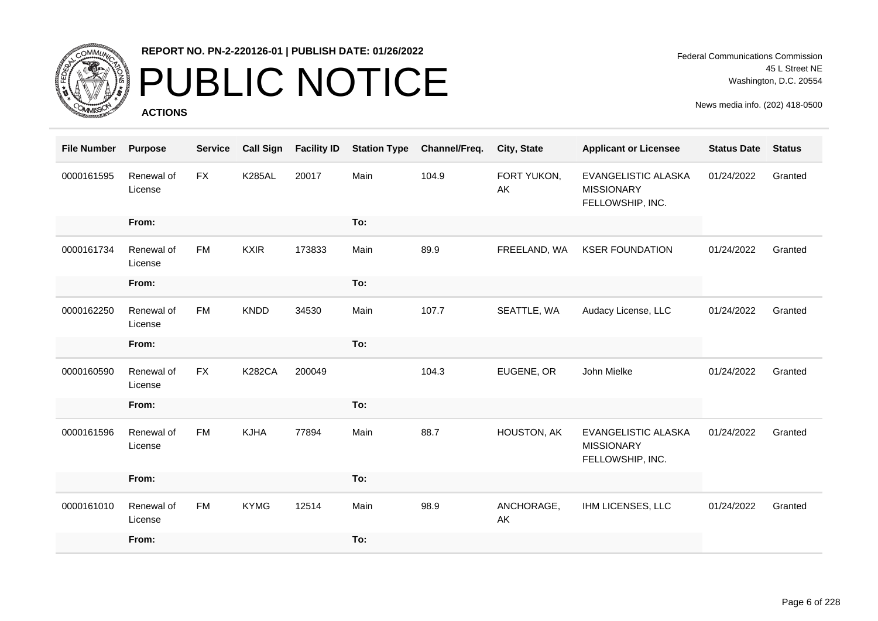

# PUBLIC NOTICE

**ACTIONS**

| <b>File Number</b> | <b>Purpose</b>        | <b>Service</b> | <b>Call Sign</b> | <b>Facility ID</b> | <b>Station Type</b> | Channel/Freq. | City, State       | <b>Applicant or Licensee</b>                                        | <b>Status Date</b> | <b>Status</b> |
|--------------------|-----------------------|----------------|------------------|--------------------|---------------------|---------------|-------------------|---------------------------------------------------------------------|--------------------|---------------|
| 0000161595         | Renewal of<br>License | <b>FX</b>      | <b>K285AL</b>    | 20017              | Main                | 104.9         | FORT YUKON,<br>AK | EVANGELISTIC ALASKA<br><b>MISSIONARY</b><br>FELLOWSHIP, INC.        | 01/24/2022         | Granted       |
|                    | From:                 |                |                  |                    | To:                 |               |                   |                                                                     |                    |               |
| 0000161734         | Renewal of<br>License | FM             | <b>KXIR</b>      | 173833             | Main                | 89.9          | FREELAND, WA      | <b>KSER FOUNDATION</b>                                              | 01/24/2022         | Granted       |
|                    | From:                 |                |                  |                    | To:                 |               |                   |                                                                     |                    |               |
| 0000162250         | Renewal of<br>License | <b>FM</b>      | <b>KNDD</b>      | 34530              | Main                | 107.7         | SEATTLE, WA       | Audacy License, LLC                                                 | 01/24/2022         | Granted       |
|                    | From:                 |                |                  |                    | To:                 |               |                   |                                                                     |                    |               |
| 0000160590         | Renewal of<br>License | <b>FX</b>      | <b>K282CA</b>    | 200049             |                     | 104.3         | EUGENE, OR        | John Mielke                                                         | 01/24/2022         | Granted       |
|                    | From:                 |                |                  |                    | To:                 |               |                   |                                                                     |                    |               |
| 0000161596         | Renewal of<br>License | <b>FM</b>      | <b>KJHA</b>      | 77894              | Main                | 88.7          | HOUSTON, AK       | <b>EVANGELISTIC ALASKA</b><br><b>MISSIONARY</b><br>FELLOWSHIP, INC. | 01/24/2022         | Granted       |
|                    | From:                 |                |                  |                    | To:                 |               |                   |                                                                     |                    |               |
| 0000161010         | Renewal of<br>License | <b>FM</b>      | <b>KYMG</b>      | 12514              | Main                | 98.9          | ANCHORAGE,<br>AK  | IHM LICENSES, LLC                                                   | 01/24/2022         | Granted       |
|                    | From:                 |                |                  |                    | To:                 |               |                   |                                                                     |                    |               |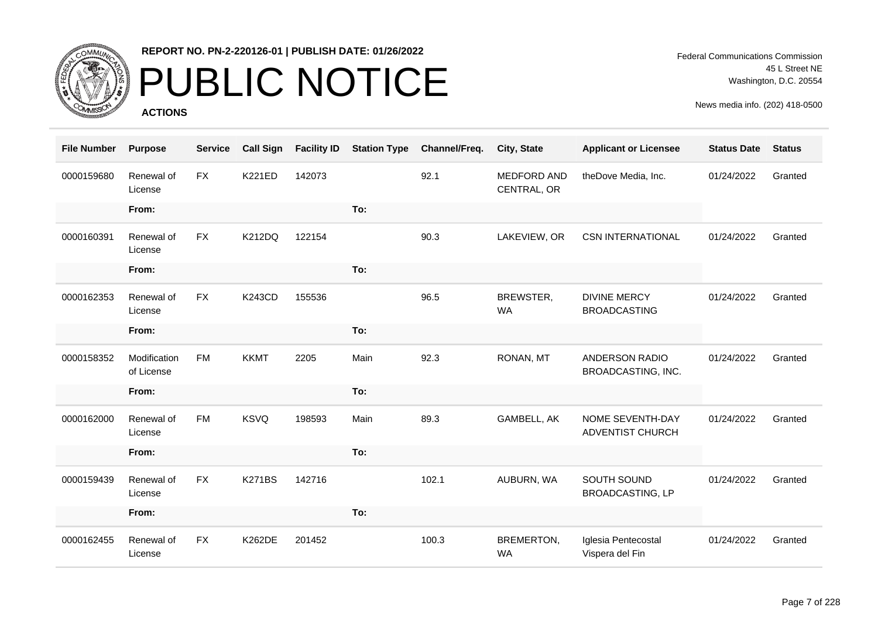

# PUBLIC NOTICE

**ACTIONS**

Federal Communications Commission 45 L Street NE Washington, D.C. 20554

| <b>File Number</b> | <b>Purpose</b>             | <b>Service</b> | <b>Call Sign</b> | <b>Facility ID</b> | <b>Station Type</b> | Channel/Freq. | City, State                | <b>Applicant or Licensee</b>               | <b>Status Date</b> | <b>Status</b> |
|--------------------|----------------------------|----------------|------------------|--------------------|---------------------|---------------|----------------------------|--------------------------------------------|--------------------|---------------|
| 0000159680         | Renewal of<br>License      | <b>FX</b>      | <b>K221ED</b>    | 142073             |                     | 92.1          | MEDFORD AND<br>CENTRAL, OR | theDove Media, Inc.                        | 01/24/2022         | Granted       |
|                    | From:                      |                |                  |                    | To:                 |               |                            |                                            |                    |               |
| 0000160391         | Renewal of<br>License      | <b>FX</b>      | <b>K212DQ</b>    | 122154             |                     | 90.3          | LAKEVIEW, OR               | <b>CSN INTERNATIONAL</b>                   | 01/24/2022         | Granted       |
|                    | From:                      |                |                  |                    | To:                 |               |                            |                                            |                    |               |
| 0000162353         | Renewal of<br>License      | <b>FX</b>      | <b>K243CD</b>    | 155536             |                     | 96.5          | BREWSTER,<br><b>WA</b>     | <b>DIVINE MERCY</b><br><b>BROADCASTING</b> | 01/24/2022         | Granted       |
|                    | From:                      |                |                  |                    | To:                 |               |                            |                                            |                    |               |
| 0000158352         | Modification<br>of License | <b>FM</b>      | <b>KKMT</b>      | 2205               | Main                | 92.3          | RONAN, MT                  | ANDERSON RADIO<br>BROADCASTING, INC.       | 01/24/2022         | Granted       |
|                    | From:                      |                |                  |                    | To:                 |               |                            |                                            |                    |               |
| 0000162000         | Renewal of<br>License      | <b>FM</b>      | <b>KSVQ</b>      | 198593             | Main                | 89.3          | GAMBELL, AK                | NOME SEVENTH-DAY<br>ADVENTIST CHURCH       | 01/24/2022         | Granted       |
|                    | From:                      |                |                  |                    | To:                 |               |                            |                                            |                    |               |
| 0000159439         | Renewal of<br>License      | <b>FX</b>      | <b>K271BS</b>    | 142716             |                     | 102.1         | AUBURN, WA                 | SOUTH SOUND<br><b>BROADCASTING, LP</b>     | 01/24/2022         | Granted       |
|                    | From:                      |                |                  |                    | To:                 |               |                            |                                            |                    |               |
| 0000162455         | Renewal of<br>License      | <b>FX</b>      | <b>K262DE</b>    | 201452             |                     | 100.3         | BREMERTON,<br><b>WA</b>    | Iglesia Pentecostal<br>Vispera del Fin     | 01/24/2022         | Granted       |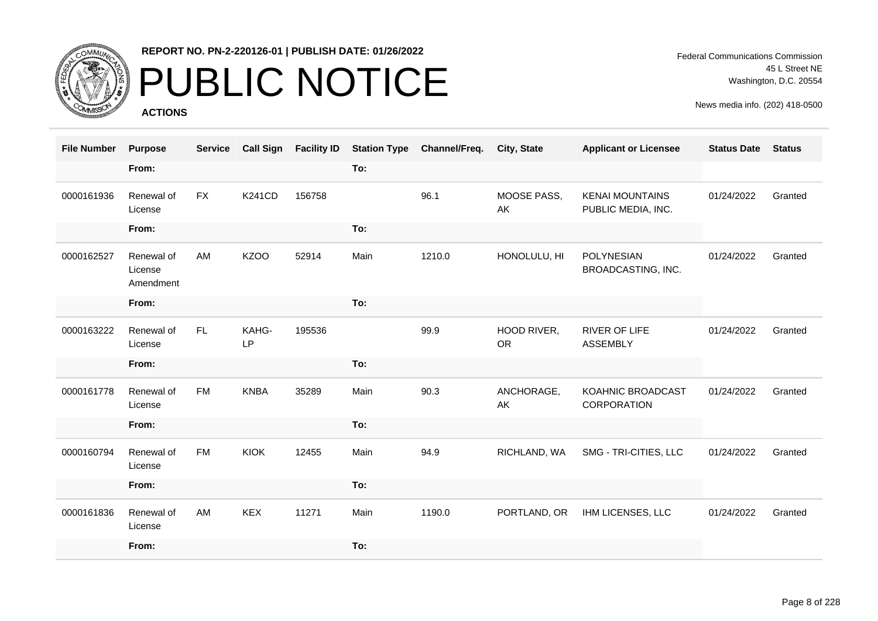

# PUBLIC NOTICE

**ACTIONS**

Federal Communications Commission 45 L Street NE Washington, D.C. 20554

| <b>File Number</b> | <b>Purpose</b>                     | <b>Service</b> | <b>Call Sign</b> | <b>Facility ID</b> | <b>Station Type</b> | Channel/Freq. | <b>City, State</b>       | <b>Applicant or Licensee</b>                 | <b>Status Date</b> | <b>Status</b> |
|--------------------|------------------------------------|----------------|------------------|--------------------|---------------------|---------------|--------------------------|----------------------------------------------|--------------------|---------------|
|                    | From:                              |                |                  |                    | To:                 |               |                          |                                              |                    |               |
| 0000161936         | Renewal of<br>License              | <b>FX</b>      | <b>K241CD</b>    | 156758             |                     | 96.1          | MOOSE PASS,<br>AK        | <b>KENAI MOUNTAINS</b><br>PUBLIC MEDIA, INC. | 01/24/2022         | Granted       |
|                    | From:                              |                |                  |                    | To:                 |               |                          |                                              |                    |               |
| 0000162527         | Renewal of<br>License<br>Amendment | AM             | <b>KZOO</b>      | 52914              | Main                | 1210.0        | HONOLULU, HI             | POLYNESIAN<br>BROADCASTING, INC.             | 01/24/2022         | Granted       |
|                    | From:                              |                |                  |                    | To:                 |               |                          |                                              |                    |               |
| 0000163222         | Renewal of<br>License              | FL             | KAHG-<br>LP      | 195536             |                     | 99.9          | HOOD RIVER,<br><b>OR</b> | <b>RIVER OF LIFE</b><br><b>ASSEMBLY</b>      | 01/24/2022         | Granted       |
|                    | From:                              |                |                  |                    | To:                 |               |                          |                                              |                    |               |
| 0000161778         | Renewal of<br>License              | FM             | <b>KNBA</b>      | 35289              | Main                | 90.3          | ANCHORAGE,<br>AK         | KOAHNIC BROADCAST<br>CORPORATION             | 01/24/2022         | Granted       |
|                    | From:                              |                |                  |                    | To:                 |               |                          |                                              |                    |               |
| 0000160794         | Renewal of<br>License              | <b>FM</b>      | <b>KIOK</b>      | 12455              | Main                | 94.9          | RICHLAND, WA             | SMG - TRI-CITIES, LLC                        | 01/24/2022         | Granted       |
|                    | From:                              |                |                  |                    | To:                 |               |                          |                                              |                    |               |
| 0000161836         | Renewal of<br>License              | AM             | <b>KEX</b>       | 11271              | Main                | 1190.0        | PORTLAND, OR             | IHM LICENSES, LLC                            | 01/24/2022         | Granted       |
|                    | From:                              |                |                  |                    | To:                 |               |                          |                                              |                    |               |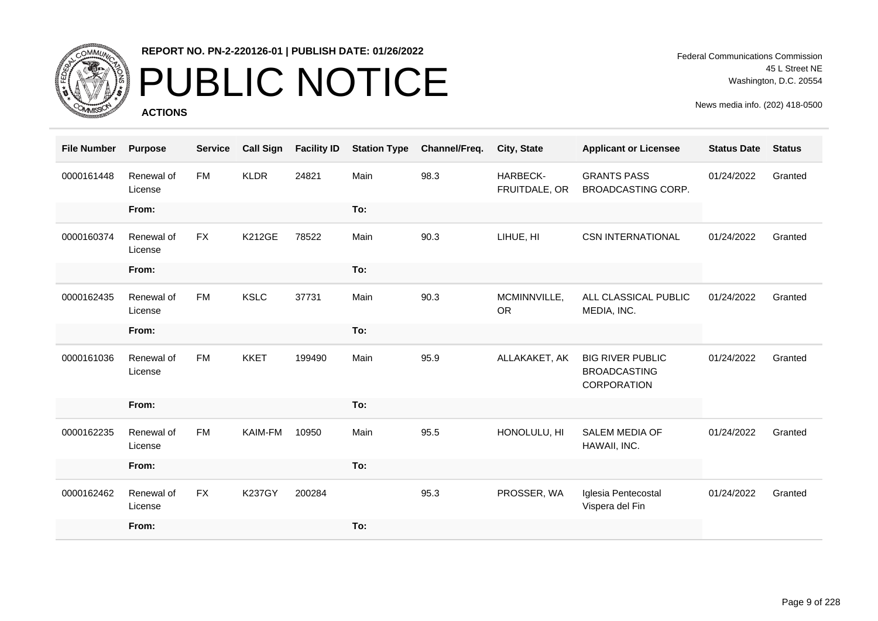

# PUBLIC NOTICE

**ACTIONS**

Federal Communications Commission 45 L Street NE Washington, D.C. 20554

| <b>File Number</b> | <b>Purpose</b>        | <b>Service</b> | <b>Call Sign</b> | <b>Facility ID</b> | <b>Station Type</b> | Channel/Freq. | City, State               | <b>Applicant or Licensee</b>                                  | <b>Status Date</b> | <b>Status</b> |
|--------------------|-----------------------|----------------|------------------|--------------------|---------------------|---------------|---------------------------|---------------------------------------------------------------|--------------------|---------------|
| 0000161448         | Renewal of<br>License | <b>FM</b>      | <b>KLDR</b>      | 24821              | Main                | 98.3          | HARBECK-<br>FRUITDALE, OR | <b>GRANTS PASS</b><br>BROADCASTING CORP.                      | 01/24/2022         | Granted       |
|                    | From:                 |                |                  |                    | To:                 |               |                           |                                                               |                    |               |
| 0000160374         | Renewal of<br>License | <b>FX</b>      | <b>K212GE</b>    | 78522              | Main                | 90.3          | LIHUE, HI                 | <b>CSN INTERNATIONAL</b>                                      | 01/24/2022         | Granted       |
|                    | From:                 |                |                  |                    | To:                 |               |                           |                                                               |                    |               |
| 0000162435         | Renewal of<br>License | <b>FM</b>      | <b>KSLC</b>      | 37731              | Main                | 90.3          | MCMINNVILLE,<br><b>OR</b> | ALL CLASSICAL PUBLIC<br>MEDIA, INC.                           | 01/24/2022         | Granted       |
|                    | From:                 |                |                  |                    | To:                 |               |                           |                                                               |                    |               |
| 0000161036         | Renewal of<br>License | <b>FM</b>      | <b>KKET</b>      | 199490             | Main                | 95.9          | ALLAKAKET, AK             | <b>BIG RIVER PUBLIC</b><br><b>BROADCASTING</b><br>CORPORATION | 01/24/2022         | Granted       |
|                    | From:                 |                |                  |                    | To:                 |               |                           |                                                               |                    |               |
| 0000162235         | Renewal of<br>License | <b>FM</b>      | KAIM-FM          | 10950              | Main                | 95.5          | HONOLULU, HI              | SALEM MEDIA OF<br>HAWAII, INC.                                | 01/24/2022         | Granted       |
|                    | From:                 |                |                  |                    | To:                 |               |                           |                                                               |                    |               |
| 0000162462         | Renewal of<br>License | <b>FX</b>      | <b>K237GY</b>    | 200284             |                     | 95.3          | PROSSER, WA               | Iglesia Pentecostal<br>Vispera del Fin                        | 01/24/2022         | Granted       |
|                    | From:                 |                |                  |                    | To:                 |               |                           |                                                               |                    |               |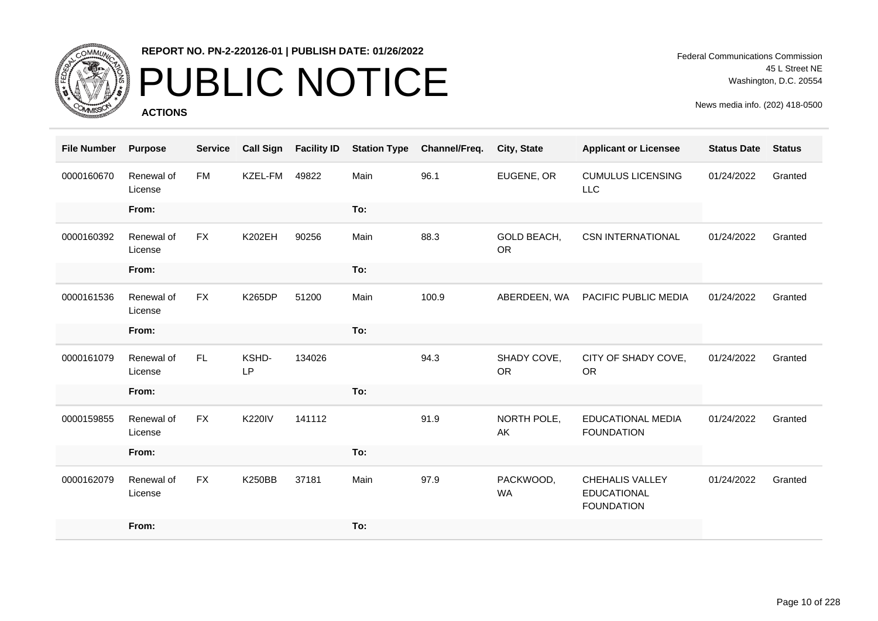

# PUBLIC NOTICE

**ACTIONS**

Federal Communications Commission 45 L Street NE Washington, D.C. 20554

| <b>File Number</b> | <b>Purpose</b>        | <b>Service</b> | <b>Call Sign</b> | <b>Facility ID</b> | <b>Station Type</b> | Channel/Freq. | City, State              | <b>Applicant or Licensee</b>                                      | <b>Status Date</b> | <b>Status</b> |
|--------------------|-----------------------|----------------|------------------|--------------------|---------------------|---------------|--------------------------|-------------------------------------------------------------------|--------------------|---------------|
| 0000160670         | Renewal of<br>License | <b>FM</b>      | KZEL-FM          | 49822              | Main                | 96.1          | EUGENE, OR               | <b>CUMULUS LICENSING</b><br><b>LLC</b>                            | 01/24/2022         | Granted       |
|                    | From:                 |                |                  |                    | To:                 |               |                          |                                                                   |                    |               |
| 0000160392         | Renewal of<br>License | <b>FX</b>      | <b>K202EH</b>    | 90256              | Main                | 88.3          | GOLD BEACH,<br><b>OR</b> | <b>CSN INTERNATIONAL</b>                                          | 01/24/2022         | Granted       |
|                    | From:                 |                |                  |                    | To:                 |               |                          |                                                                   |                    |               |
| 0000161536         | Renewal of<br>License | <b>FX</b>      | <b>K265DP</b>    | 51200              | Main                | 100.9         | ABERDEEN, WA             | PACIFIC PUBLIC MEDIA                                              | 01/24/2022         | Granted       |
|                    | From:                 |                |                  |                    | To:                 |               |                          |                                                                   |                    |               |
| 0000161079         | Renewal of<br>License | FL.            | KSHD-<br>LP      | 134026             |                     | 94.3          | SHADY COVE,<br><b>OR</b> | CITY OF SHADY COVE,<br><b>OR</b>                                  | 01/24/2022         | Granted       |
|                    | From:                 |                |                  |                    | To:                 |               |                          |                                                                   |                    |               |
| 0000159855         | Renewal of<br>License | <b>FX</b>      | <b>K220IV</b>    | 141112             |                     | 91.9          | NORTH POLE,<br>AK        | <b>EDUCATIONAL MEDIA</b><br><b>FOUNDATION</b>                     | 01/24/2022         | Granted       |
|                    | From:                 |                |                  |                    | To:                 |               |                          |                                                                   |                    |               |
| 0000162079         | Renewal of<br>License | <b>FX</b>      | <b>K250BB</b>    | 37181              | Main                | 97.9          | PACKWOOD,<br><b>WA</b>   | <b>CHEHALIS VALLEY</b><br><b>EDUCATIONAL</b><br><b>FOUNDATION</b> | 01/24/2022         | Granted       |
|                    | From:                 |                |                  |                    | To:                 |               |                          |                                                                   |                    |               |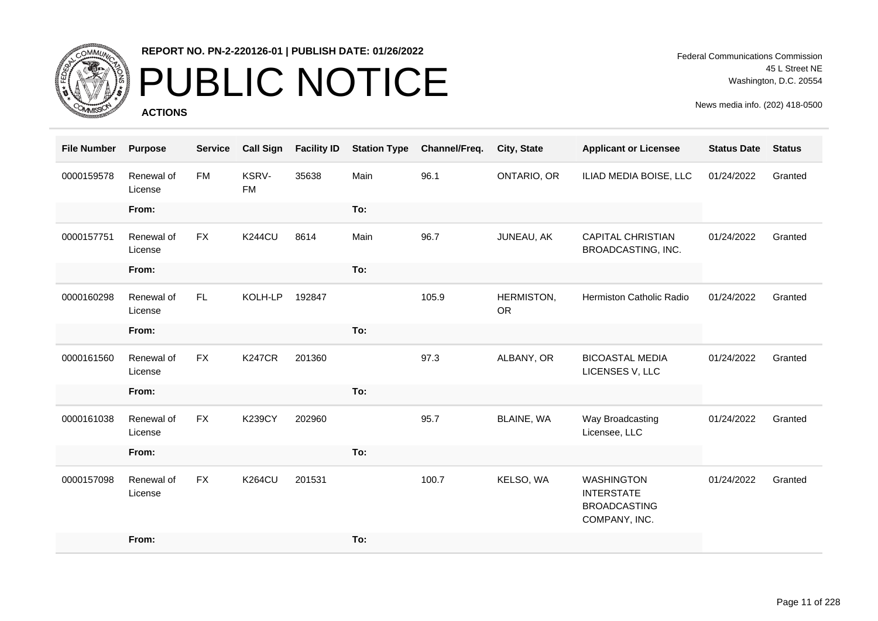

# PUBLIC NOTICE

**ACTIONS**

Federal Communications Commission 45 L Street NE Washington, D.C. 20554

| <b>File Number</b> | <b>Purpose</b>        | <b>Service</b> | <b>Call Sign</b>          | <b>Facility ID</b> | <b>Station Type</b> | Channel/Freq. | City, State             | <b>Applicant or Licensee</b>                                                   | <b>Status Date</b> | <b>Status</b> |
|--------------------|-----------------------|----------------|---------------------------|--------------------|---------------------|---------------|-------------------------|--------------------------------------------------------------------------------|--------------------|---------------|
| 0000159578         | Renewal of<br>License | <b>FM</b>      | <b>KSRV-</b><br><b>FM</b> | 35638              | Main                | 96.1          | ONTARIO, OR             | ILIAD MEDIA BOISE, LLC                                                         | 01/24/2022         | Granted       |
|                    | From:                 |                |                           |                    | To:                 |               |                         |                                                                                |                    |               |
| 0000157751         | Renewal of<br>License | <b>FX</b>      | <b>K244CU</b>             | 8614               | Main                | 96.7          | JUNEAU, AK              | <b>CAPITAL CHRISTIAN</b><br>BROADCASTING, INC.                                 | 01/24/2022         | Granted       |
|                    | From:                 |                |                           |                    | To:                 |               |                         |                                                                                |                    |               |
| 0000160298         | Renewal of<br>License | FL.            | KOLH-LP                   | 192847             |                     | 105.9         | HERMISTON,<br><b>OR</b> | Hermiston Catholic Radio                                                       | 01/24/2022         | Granted       |
|                    | From:                 |                |                           |                    | To:                 |               |                         |                                                                                |                    |               |
| 0000161560         | Renewal of<br>License | <b>FX</b>      | <b>K247CR</b>             | 201360             |                     | 97.3          | ALBANY, OR              | <b>BICOASTAL MEDIA</b><br>LICENSES V, LLC                                      | 01/24/2022         | Granted       |
|                    | From:                 |                |                           |                    | To:                 |               |                         |                                                                                |                    |               |
| 0000161038         | Renewal of<br>License | <b>FX</b>      | <b>K239CY</b>             | 202960             |                     | 95.7          | BLAINE, WA              | Way Broadcasting<br>Licensee, LLC                                              | 01/24/2022         | Granted       |
|                    | From:                 |                |                           |                    | To:                 |               |                         |                                                                                |                    |               |
| 0000157098         | Renewal of<br>License | <b>FX</b>      | <b>K264CU</b>             | 201531             |                     | 100.7         | KELSO, WA               | <b>WASHINGTON</b><br><b>INTERSTATE</b><br><b>BROADCASTING</b><br>COMPANY, INC. | 01/24/2022         | Granted       |
|                    | From:                 |                |                           |                    | To:                 |               |                         |                                                                                |                    |               |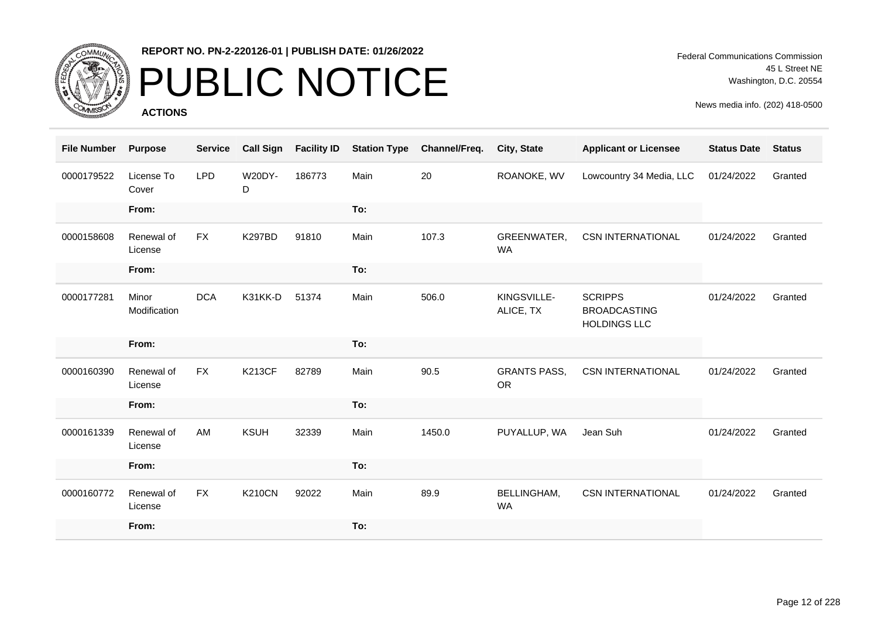

# PUBLIC NOTICE

**ACTIONS**

| <b>File Number</b> | <b>Purpose</b>        | <b>Service</b> | <b>Call Sign</b>   | <b>Facility ID</b> | <b>Station Type</b> | Channel/Freq. | City, State                      | <b>Applicant or Licensee</b>                                 | <b>Status Date</b> | <b>Status</b> |
|--------------------|-----------------------|----------------|--------------------|--------------------|---------------------|---------------|----------------------------------|--------------------------------------------------------------|--------------------|---------------|
| 0000179522         | License To<br>Cover   | <b>LPD</b>     | <b>W20DY-</b><br>D | 186773             | Main                | 20            | ROANOKE, WV                      | Lowcountry 34 Media, LLC                                     | 01/24/2022         | Granted       |
|                    | From:                 |                |                    |                    | To:                 |               |                                  |                                                              |                    |               |
| 0000158608         | Renewal of<br>License | <b>FX</b>      | <b>K297BD</b>      | 91810              | Main                | 107.3         | GREENWATER,<br><b>WA</b>         | <b>CSN INTERNATIONAL</b>                                     | 01/24/2022         | Granted       |
|                    | From:                 |                |                    |                    | To:                 |               |                                  |                                                              |                    |               |
| 0000177281         | Minor<br>Modification | <b>DCA</b>     | K31KK-D            | 51374              | Main                | 506.0         | KINGSVILLE-<br>ALICE, TX         | <b>SCRIPPS</b><br><b>BROADCASTING</b><br><b>HOLDINGS LLC</b> | 01/24/2022         | Granted       |
|                    | From:                 |                |                    |                    | To:                 |               |                                  |                                                              |                    |               |
| 0000160390         | Renewal of<br>License | <b>FX</b>      | <b>K213CF</b>      | 82789              | Main                | 90.5          | <b>GRANTS PASS,</b><br><b>OR</b> | <b>CSN INTERNATIONAL</b>                                     | 01/24/2022         | Granted       |
|                    | From:                 |                |                    |                    | To:                 |               |                                  |                                                              |                    |               |
| 0000161339         | Renewal of<br>License | AM             | <b>KSUH</b>        | 32339              | Main                | 1450.0        | PUYALLUP, WA                     | Jean Suh                                                     | 01/24/2022         | Granted       |
|                    | From:                 |                |                    |                    | To:                 |               |                                  |                                                              |                    |               |
| 0000160772         | Renewal of<br>License | <b>FX</b>      | <b>K210CN</b>      | 92022              | Main                | 89.9          | BELLINGHAM,<br>WA                | <b>CSN INTERNATIONAL</b>                                     | 01/24/2022         | Granted       |
|                    | From:                 |                |                    |                    | To:                 |               |                                  |                                                              |                    |               |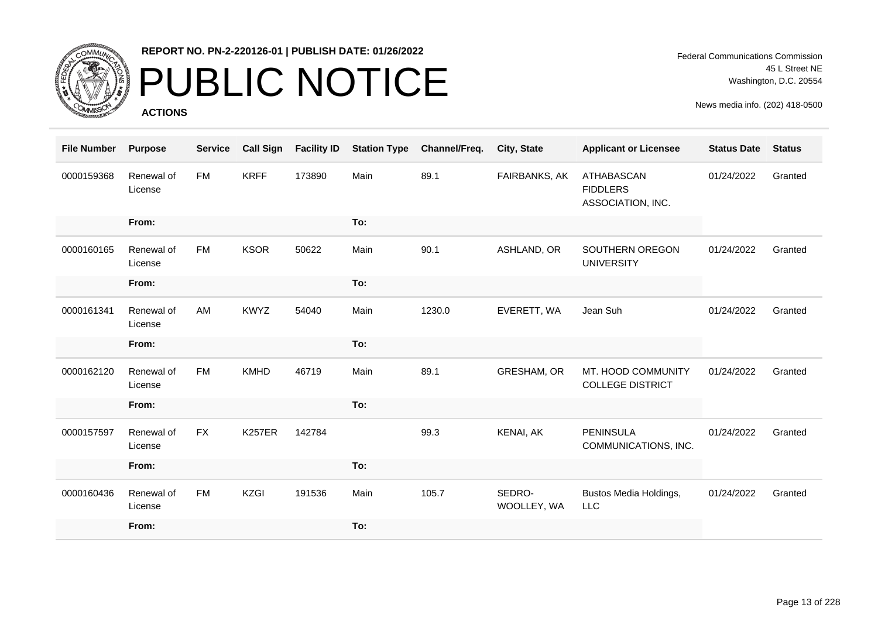

# PUBLIC NOTICE

**ACTIONS**

Federal Communications Commission 45 L Street NE Washington, D.C. 20554

| <b>File Number</b> | <b>Purpose</b>        | <b>Service</b> | <b>Call Sign</b> | <b>Facility ID</b> | <b>Station Type</b> | Channel/Freq. | City, State           | <b>Applicant or Licensee</b>                       | <b>Status Date</b> | <b>Status</b> |
|--------------------|-----------------------|----------------|------------------|--------------------|---------------------|---------------|-----------------------|----------------------------------------------------|--------------------|---------------|
| 0000159368         | Renewal of<br>License | <b>FM</b>      | <b>KRFF</b>      | 173890             | Main                | 89.1          | FAIRBANKS, AK         | ATHABASCAN<br><b>FIDDLERS</b><br>ASSOCIATION, INC. | 01/24/2022         | Granted       |
|                    | From:                 |                |                  |                    | To:                 |               |                       |                                                    |                    |               |
| 0000160165         | Renewal of<br>License | <b>FM</b>      | <b>KSOR</b>      | 50622              | Main                | 90.1          | ASHLAND, OR           | SOUTHERN OREGON<br><b>UNIVERSITY</b>               | 01/24/2022         | Granted       |
|                    | From:                 |                |                  |                    | To:                 |               |                       |                                                    |                    |               |
| 0000161341         | Renewal of<br>License | AM             | <b>KWYZ</b>      | 54040              | Main                | 1230.0        | EVERETT, WA           | Jean Suh                                           | 01/24/2022         | Granted       |
|                    | From:                 |                |                  |                    | To:                 |               |                       |                                                    |                    |               |
| 0000162120         | Renewal of<br>License | <b>FM</b>      | <b>KMHD</b>      | 46719              | Main                | 89.1          | GRESHAM, OR           | MT. HOOD COMMUNITY<br><b>COLLEGE DISTRICT</b>      | 01/24/2022         | Granted       |
|                    | From:                 |                |                  |                    | To:                 |               |                       |                                                    |                    |               |
| 0000157597         | Renewal of<br>License | <b>FX</b>      | <b>K257ER</b>    | 142784             |                     | 99.3          | KENAI, AK             | <b>PENINSULA</b><br>COMMUNICATIONS, INC.           | 01/24/2022         | Granted       |
|                    | From:                 |                |                  |                    | To:                 |               |                       |                                                    |                    |               |
| 0000160436         | Renewal of<br>License | <b>FM</b>      | <b>KZGI</b>      | 191536             | Main                | 105.7         | SEDRO-<br>WOOLLEY, WA | Bustos Media Holdings,<br><b>LLC</b>               | 01/24/2022         | Granted       |
|                    | From:                 |                |                  |                    | To:                 |               |                       |                                                    |                    |               |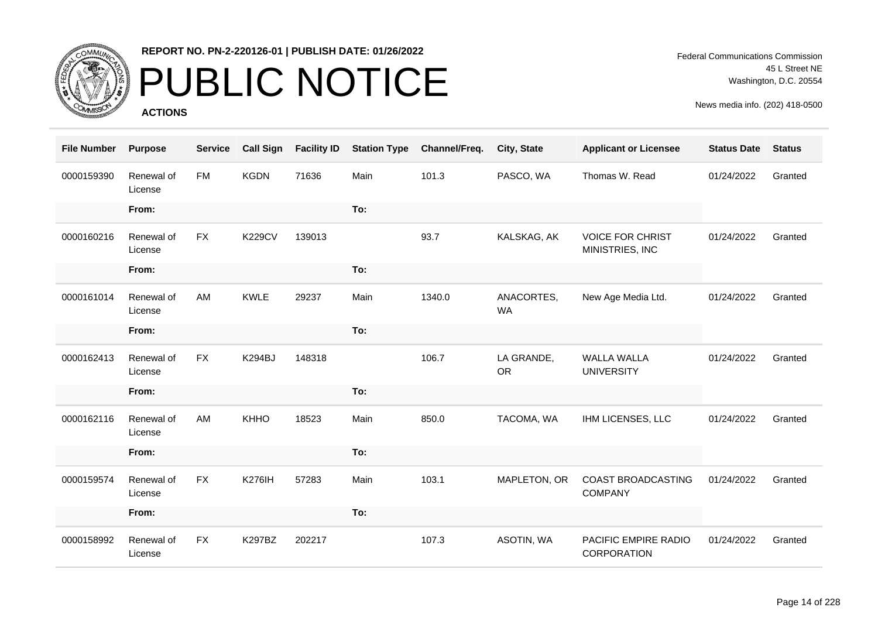

# PUBLIC NOTICE

**ACTIONS**

| <b>File Number</b> | <b>Purpose</b>        | <b>Service</b> | <b>Call Sign</b> | <b>Facility ID</b> | <b>Station Type</b> | Channel/Freq. | City, State             | <b>Applicant or Licensee</b>               | <b>Status Date</b> | <b>Status</b> |
|--------------------|-----------------------|----------------|------------------|--------------------|---------------------|---------------|-------------------------|--------------------------------------------|--------------------|---------------|
| 0000159390         | Renewal of<br>License | <b>FM</b>      | <b>KGDN</b>      | 71636              | Main                | 101.3         | PASCO, WA               | Thomas W. Read                             | 01/24/2022         | Granted       |
|                    | From:                 |                |                  |                    | To:                 |               |                         |                                            |                    |               |
| 0000160216         | Renewal of<br>License | <b>FX</b>      | <b>K229CV</b>    | 139013             |                     | 93.7          | KALSKAG, AK             | <b>VOICE FOR CHRIST</b><br>MINISTRIES, INC | 01/24/2022         | Granted       |
|                    | From:                 |                |                  |                    | To:                 |               |                         |                                            |                    |               |
| 0000161014         | Renewal of<br>License | AM             | <b>KWLE</b>      | 29237              | Main                | 1340.0        | ANACORTES,<br><b>WA</b> | New Age Media Ltd.                         | 01/24/2022         | Granted       |
|                    | From:                 |                |                  |                    | To:                 |               |                         |                                            |                    |               |
| 0000162413         | Renewal of<br>License | <b>FX</b>      | K294BJ           | 148318             |                     | 106.7         | LA GRANDE,<br><b>OR</b> | <b>WALLA WALLA</b><br><b>UNIVERSITY</b>    | 01/24/2022         | Granted       |
|                    | From:                 |                |                  |                    | To:                 |               |                         |                                            |                    |               |
| 0000162116         | Renewal of<br>License | AM             | <b>KHHO</b>      | 18523              | Main                | 850.0         | TACOMA, WA              | IHM LICENSES, LLC                          | 01/24/2022         | Granted       |
|                    | From:                 |                |                  |                    | To:                 |               |                         |                                            |                    |               |
| 0000159574         | Renewal of<br>License | <b>FX</b>      | <b>K276IH</b>    | 57283              | Main                | 103.1         | MAPLETON, OR            | COAST BROADCASTING<br><b>COMPANY</b>       | 01/24/2022         | Granted       |
|                    | From:                 |                |                  |                    | To:                 |               |                         |                                            |                    |               |
| 0000158992         | Renewal of<br>License | <b>FX</b>      | <b>K297BZ</b>    | 202217             |                     | 107.3         | ASOTIN, WA              | PACIFIC EMPIRE RADIO<br>CORPORATION        | 01/24/2022         | Granted       |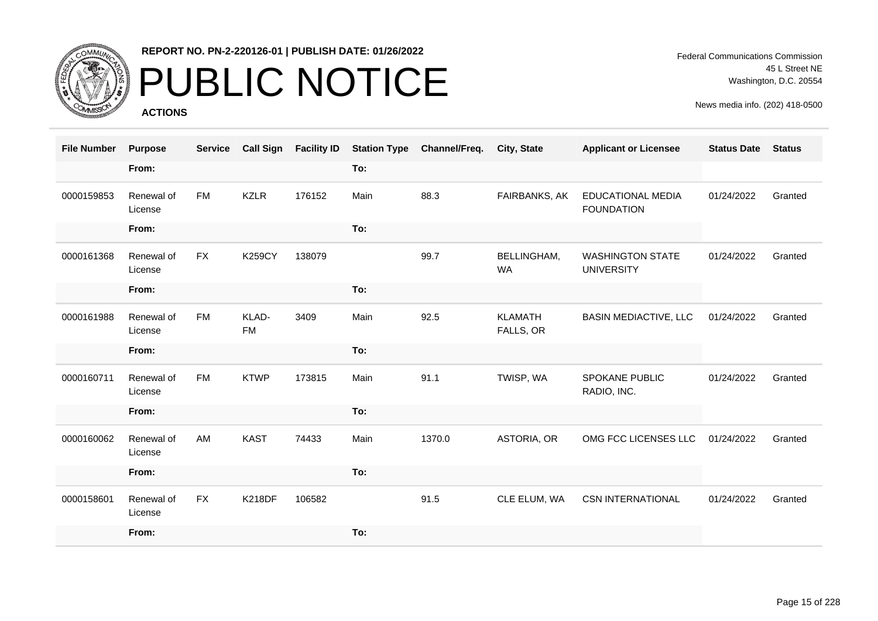

# PUBLIC NOTICE

**ACTIONS**

Federal Communications Commission 45 L Street NE Washington, D.C. 20554

| <b>File Number</b> | <b>Purpose</b>        | <b>Service</b> | <b>Call Sign</b>   | <b>Facility ID</b> | <b>Station Type</b> | Channel/Freq. | City, State                 | <b>Applicant or Licensee</b>                 | <b>Status Date</b> | <b>Status</b> |
|--------------------|-----------------------|----------------|--------------------|--------------------|---------------------|---------------|-----------------------------|----------------------------------------------|--------------------|---------------|
|                    | From:                 |                |                    |                    | To:                 |               |                             |                                              |                    |               |
| 0000159853         | Renewal of<br>License | <b>FM</b>      | <b>KZLR</b>        | 176152             | Main                | 88.3          | FAIRBANKS, AK               | EDUCATIONAL MEDIA<br><b>FOUNDATION</b>       | 01/24/2022         | Granted       |
|                    | From:                 |                |                    |                    | To:                 |               |                             |                                              |                    |               |
| 0000161368         | Renewal of<br>License | <b>FX</b>      | <b>K259CY</b>      | 138079             |                     | 99.7          | BELLINGHAM,<br><b>WA</b>    | <b>WASHINGTON STATE</b><br><b>UNIVERSITY</b> | 01/24/2022         | Granted       |
|                    | From:                 |                |                    |                    | To:                 |               |                             |                                              |                    |               |
| 0000161988         | Renewal of<br>License | <b>FM</b>      | KLAD-<br><b>FM</b> | 3409               | Main                | 92.5          | <b>KLAMATH</b><br>FALLS, OR | <b>BASIN MEDIACTIVE, LLC</b>                 | 01/24/2022         | Granted       |
|                    | From:                 |                |                    |                    | To:                 |               |                             |                                              |                    |               |
| 0000160711         | Renewal of<br>License | <b>FM</b>      | <b>KTWP</b>        | 173815             | Main                | 91.1          | TWISP, WA                   | SPOKANE PUBLIC<br>RADIO, INC.                | 01/24/2022         | Granted       |
|                    | From:                 |                |                    |                    | To:                 |               |                             |                                              |                    |               |
| 0000160062         | Renewal of<br>License | AM             | <b>KAST</b>        | 74433              | Main                | 1370.0        | ASTORIA, OR                 | OMG FCC LICENSES LLC                         | 01/24/2022         | Granted       |
|                    | From:                 |                |                    |                    | To:                 |               |                             |                                              |                    |               |
| 0000158601         | Renewal of<br>License | <b>FX</b>      | <b>K218DF</b>      | 106582             |                     | 91.5          | CLE ELUM, WA                | <b>CSN INTERNATIONAL</b>                     | 01/24/2022         | Granted       |
|                    | From:                 |                |                    |                    | To:                 |               |                             |                                              |                    |               |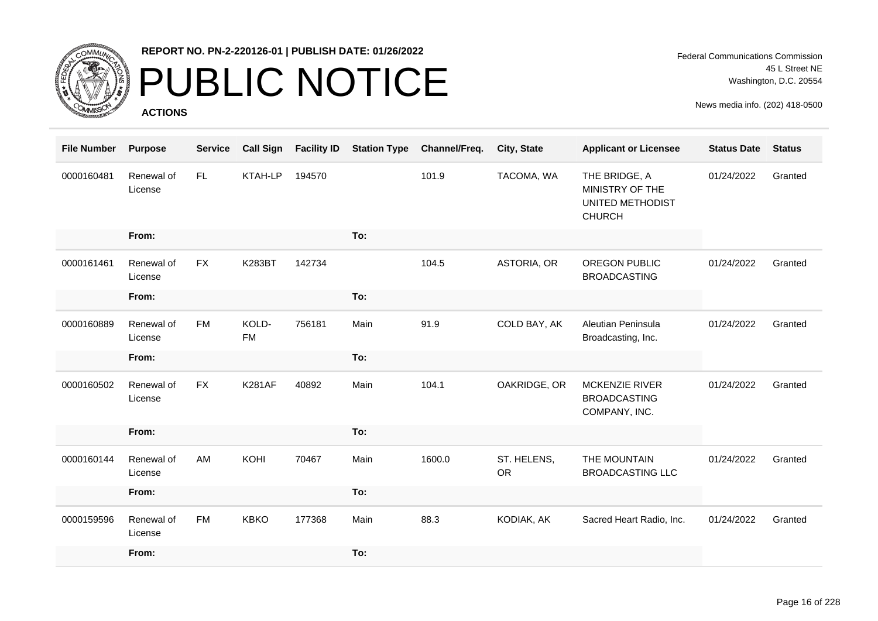

### PUBLIC NOTICE

**ACTIONS**

Federal Communications Commission 45 L Street NE Washington, D.C. 20554

| <b>File Number</b> | <b>Purpose</b>        | <b>Service</b> | <b>Call Sign</b>   | <b>Facility ID</b> | <b>Station Type</b> | Channel/Freq. | City, State       | <b>Applicant or Licensee</b>                                          | <b>Status Date</b> | <b>Status</b> |
|--------------------|-----------------------|----------------|--------------------|--------------------|---------------------|---------------|-------------------|-----------------------------------------------------------------------|--------------------|---------------|
| 0000160481         | Renewal of<br>License | FL.            | KTAH-LP            | 194570             |                     | 101.9         | TACOMA, WA        | THE BRIDGE, A<br>MINISTRY OF THE<br>UNITED METHODIST<br><b>CHURCH</b> | 01/24/2022         | Granted       |
|                    | From:                 |                |                    |                    | To:                 |               |                   |                                                                       |                    |               |
| 0000161461         | Renewal of<br>License | <b>FX</b>      | <b>K283BT</b>      | 142734             |                     | 104.5         | ASTORIA, OR       | OREGON PUBLIC<br><b>BROADCASTING</b>                                  | 01/24/2022         | Granted       |
|                    | From:                 |                |                    |                    | To:                 |               |                   |                                                                       |                    |               |
| 0000160889         | Renewal of<br>License | <b>FM</b>      | KOLD-<br><b>FM</b> | 756181             | Main                | 91.9          | COLD BAY, AK      | Aleutian Peninsula<br>Broadcasting, Inc.                              | 01/24/2022         | Granted       |
|                    | From:                 |                |                    |                    | To:                 |               |                   |                                                                       |                    |               |
| 0000160502         | Renewal of<br>License | <b>FX</b>      | <b>K281AF</b>      | 40892              | Main                | 104.1         | OAKRIDGE, OR      | MCKENZIE RIVER<br><b>BROADCASTING</b><br>COMPANY, INC.                | 01/24/2022         | Granted       |
|                    | From:                 |                |                    |                    | To:                 |               |                   |                                                                       |                    |               |
| 0000160144         | Renewal of<br>License | AM             | KOHI               | 70467              | Main                | 1600.0        | ST. HELENS,<br>OR | THE MOUNTAIN<br><b>BROADCASTING LLC</b>                               | 01/24/2022         | Granted       |
|                    | From:                 |                |                    |                    | To:                 |               |                   |                                                                       |                    |               |
| 0000159596         | Renewal of<br>License | <b>FM</b>      | <b>KBKO</b>        | 177368             | Main                | 88.3          | KODIAK, AK        | Sacred Heart Radio, Inc.                                              | 01/24/2022         | Granted       |
|                    | From:                 |                |                    |                    | To:                 |               |                   |                                                                       |                    |               |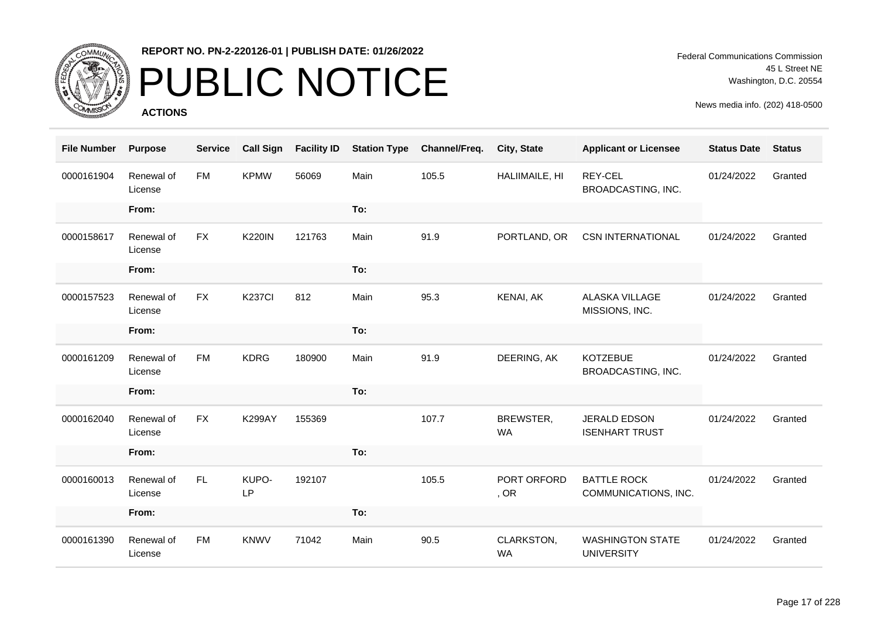

# PUBLIC NOTICE

**ACTIONS**

Federal Communications Commission 45 L Street NE Washington, D.C. 20554

| <b>File Number</b> | <b>Purpose</b>        | <b>Service</b> | <b>Call Sign</b> | <b>Facility ID</b> | <b>Station Type</b> | Channel/Freq. | City, State             | <b>Applicant or Licensee</b>                 | <b>Status Date</b> | <b>Status</b> |
|--------------------|-----------------------|----------------|------------------|--------------------|---------------------|---------------|-------------------------|----------------------------------------------|--------------------|---------------|
| 0000161904         | Renewal of<br>License | <b>FM</b>      | <b>KPMW</b>      | 56069              | Main                | 105.5         | HALIIMAILE, HI          | REY-CEL<br>BROADCASTING, INC.                | 01/24/2022         | Granted       |
|                    | From:                 |                |                  |                    | To:                 |               |                         |                                              |                    |               |
| 0000158617         | Renewal of<br>License | <b>FX</b>      | <b>K220IN</b>    | 121763             | Main                | 91.9          | PORTLAND, OR            | <b>CSN INTERNATIONAL</b>                     | 01/24/2022         | Granted       |
|                    | From:                 |                |                  |                    | To:                 |               |                         |                                              |                    |               |
| 0000157523         | Renewal of<br>License | <b>FX</b>      | <b>K237CI</b>    | 812                | Main                | 95.3          | KENAI, AK               | <b>ALASKA VILLAGE</b><br>MISSIONS, INC.      | 01/24/2022         | Granted       |
|                    | From:                 |                |                  |                    | To:                 |               |                         |                                              |                    |               |
| 0000161209         | Renewal of<br>License | <b>FM</b>      | <b>KDRG</b>      | 180900             | Main                | 91.9          | DEERING, AK             | <b>KOTZEBUE</b><br>BROADCASTING, INC.        | 01/24/2022         | Granted       |
|                    | From:                 |                |                  |                    | To:                 |               |                         |                                              |                    |               |
| 0000162040         | Renewal of<br>License | <b>FX</b>      | <b>K299AY</b>    | 155369             |                     | 107.7         | BREWSTER,<br><b>WA</b>  | <b>JERALD EDSON</b><br><b>ISENHART TRUST</b> | 01/24/2022         | Granted       |
|                    | From:                 |                |                  |                    | To:                 |               |                         |                                              |                    |               |
| 0000160013         | Renewal of<br>License | <b>FL</b>      | KUPO-<br>LP      | 192107             |                     | 105.5         | PORT ORFORD<br>, OR     | <b>BATTLE ROCK</b><br>COMMUNICATIONS, INC.   | 01/24/2022         | Granted       |
|                    | From:                 |                |                  |                    | To:                 |               |                         |                                              |                    |               |
| 0000161390         | Renewal of<br>License | <b>FM</b>      | <b>KNWV</b>      | 71042              | Main                | 90.5          | CLARKSTON,<br><b>WA</b> | <b>WASHINGTON STATE</b><br><b>UNIVERSITY</b> | 01/24/2022         | Granted       |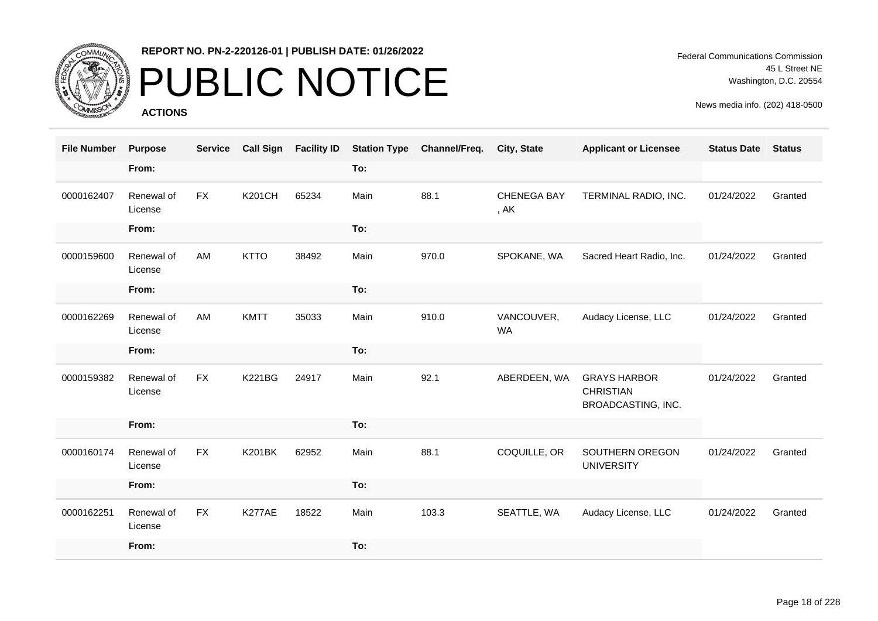

### PUBLIC NOTICE

**ACTIONS**

Federal Communications Commission 45 L Street NE Washington, D.C. 20554

| <b>File Number</b> | <b>Purpose</b>        | <b>Service</b> | <b>Call Sign</b> | <b>Facility ID</b> | <b>Station Type</b> | Channel/Freq. | <b>City, State</b>         | <b>Applicant or Licensee</b>                                  | <b>Status Date</b> | <b>Status</b> |
|--------------------|-----------------------|----------------|------------------|--------------------|---------------------|---------------|----------------------------|---------------------------------------------------------------|--------------------|---------------|
|                    | From:                 |                |                  |                    | To:                 |               |                            |                                                               |                    |               |
| 0000162407         | Renewal of<br>License | <b>FX</b>      | <b>K201CH</b>    | 65234              | Main                | 88.1          | <b>CHENEGA BAY</b><br>, AK | TERMINAL RADIO, INC.                                          | 01/24/2022         | Granted       |
|                    | From:                 |                |                  |                    | To:                 |               |                            |                                                               |                    |               |
| 0000159600         | Renewal of<br>License | AM             | <b>KTTO</b>      | 38492              | Main                | 970.0         | SPOKANE, WA                | Sacred Heart Radio, Inc.                                      | 01/24/2022         | Granted       |
|                    | From:                 |                |                  |                    | To:                 |               |                            |                                                               |                    |               |
| 0000162269         | Renewal of<br>License | AM             | <b>KMTT</b>      | 35033              | Main                | 910.0         | VANCOUVER,<br><b>WA</b>    | Audacy License, LLC                                           | 01/24/2022         | Granted       |
|                    | From:                 |                |                  |                    | To:                 |               |                            |                                                               |                    |               |
| 0000159382         | Renewal of<br>License | <b>FX</b>      | <b>K221BG</b>    | 24917              | Main                | 92.1          | ABERDEEN, WA               | <b>GRAYS HARBOR</b><br><b>CHRISTIAN</b><br>BROADCASTING, INC. | 01/24/2022         | Granted       |
|                    | From:                 |                |                  |                    | To:                 |               |                            |                                                               |                    |               |
| 0000160174         | Renewal of<br>License | <b>FX</b>      | <b>K201BK</b>    | 62952              | Main                | 88.1          | COQUILLE, OR               | SOUTHERN OREGON<br><b>UNIVERSITY</b>                          | 01/24/2022         | Granted       |
|                    | From:                 |                |                  |                    | To:                 |               |                            |                                                               |                    |               |
| 0000162251         | Renewal of<br>License | <b>FX</b>      | K277AE           | 18522              | Main                | 103.3         | SEATTLE, WA                | Audacy License, LLC                                           | 01/24/2022         | Granted       |
|                    | From:                 |                |                  |                    | To:                 |               |                            |                                                               |                    |               |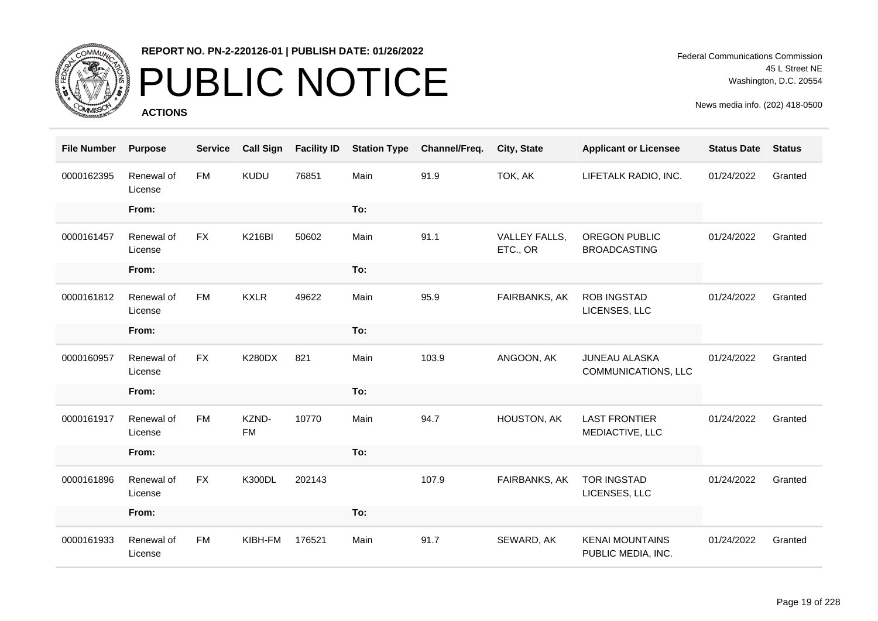

# PUBLIC NOTICE

**ACTIONS**

| <b>File Number</b> | <b>Purpose</b>        | <b>Service</b> | <b>Call Sign</b>   | <b>Facility ID</b> | <b>Station Type</b> | Channel/Freq. | City, State               | <b>Applicant or Licensee</b>                       | <b>Status Date</b> | <b>Status</b> |
|--------------------|-----------------------|----------------|--------------------|--------------------|---------------------|---------------|---------------------------|----------------------------------------------------|--------------------|---------------|
| 0000162395         | Renewal of<br>License | <b>FM</b>      | KUDU               | 76851              | Main                | 91.9          | TOK, AK                   | LIFETALK RADIO, INC.                               | 01/24/2022         | Granted       |
|                    | From:                 |                |                    |                    | To:                 |               |                           |                                                    |                    |               |
| 0000161457         | Renewal of<br>License | <b>FX</b>      | <b>K216BI</b>      | 50602              | Main                | 91.1          | VALLEY FALLS,<br>ETC., OR | <b>OREGON PUBLIC</b><br><b>BROADCASTING</b>        | 01/24/2022         | Granted       |
|                    | From:                 |                |                    |                    | To:                 |               |                           |                                                    |                    |               |
| 0000161812         | Renewal of<br>License | <b>FM</b>      | <b>KXLR</b>        | 49622              | Main                | 95.9          | FAIRBANKS, AK             | <b>ROB INGSTAD</b><br>LICENSES, LLC                | 01/24/2022         | Granted       |
|                    | From:                 |                |                    |                    | To:                 |               |                           |                                                    |                    |               |
| 0000160957         | Renewal of<br>License | <b>FX</b>      | <b>K280DX</b>      | 821                | Main                | 103.9         | ANGOON, AK                | <b>JUNEAU ALASKA</b><br><b>COMMUNICATIONS, LLC</b> | 01/24/2022         | Granted       |
|                    | From:                 |                |                    |                    | To:                 |               |                           |                                                    |                    |               |
| 0000161917         | Renewal of<br>License | <b>FM</b>      | KZND-<br><b>FM</b> | 10770              | Main                | 94.7          | HOUSTON, AK               | <b>LAST FRONTIER</b><br>MEDIACTIVE, LLC            | 01/24/2022         | Granted       |
|                    | From:                 |                |                    |                    | To:                 |               |                           |                                                    |                    |               |
| 0000161896         | Renewal of<br>License | <b>FX</b>      | <b>K300DL</b>      | 202143             |                     | 107.9         | FAIRBANKS, AK             | <b>TOR INGSTAD</b><br>LICENSES, LLC                | 01/24/2022         | Granted       |
|                    | From:                 |                |                    |                    | To:                 |               |                           |                                                    |                    |               |
| 0000161933         | Renewal of<br>License | <b>FM</b>      | KIBH-FM            | 176521             | Main                | 91.7          | SEWARD, AK                | <b>KENAI MOUNTAINS</b><br>PUBLIC MEDIA, INC.       | 01/24/2022         | Granted       |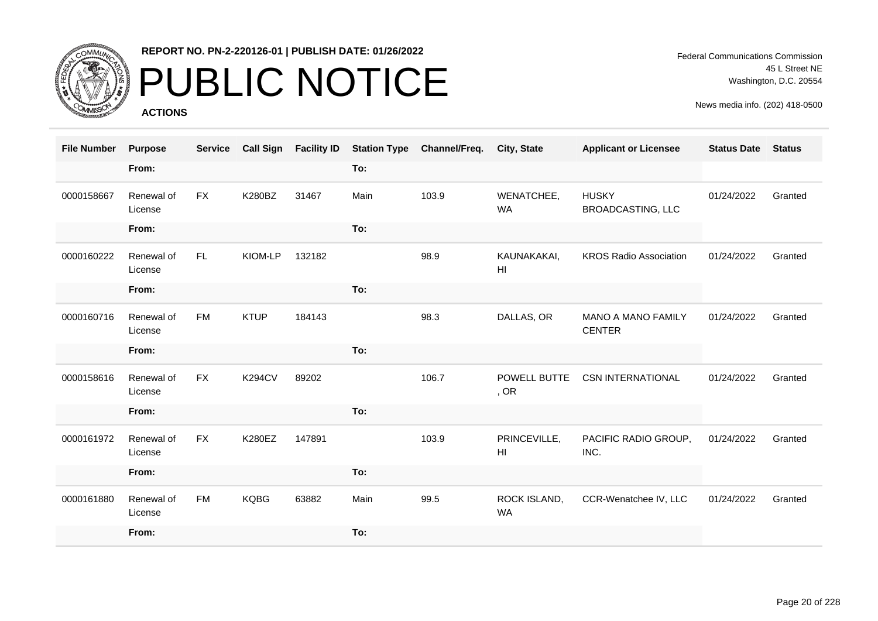

# PUBLIC NOTICE

**ACTIONS**

Federal Communications Commission 45 L Street NE Washington, D.C. 20554

| <b>File Number</b> | <b>Purpose</b>        | <b>Service</b> | <b>Call Sign</b> | <b>Facility ID</b> | <b>Station Type</b> | Channel/Freq. | City, State                    | <b>Applicant or Licensee</b>               | <b>Status Date</b> | <b>Status</b> |
|--------------------|-----------------------|----------------|------------------|--------------------|---------------------|---------------|--------------------------------|--------------------------------------------|--------------------|---------------|
|                    | From:                 |                |                  |                    | To:                 |               |                                |                                            |                    |               |
| 0000158667         | Renewal of<br>License | <b>FX</b>      | <b>K280BZ</b>    | 31467              | Main                | 103.9         | WENATCHEE,<br><b>WA</b>        | <b>HUSKY</b><br><b>BROADCASTING, LLC</b>   | 01/24/2022         | Granted       |
|                    | From:                 |                |                  |                    | To:                 |               |                                |                                            |                    |               |
| 0000160222         | Renewal of<br>License | FL.            | KIOM-LP          | 132182             |                     | 98.9          | KAUNAKAKAI,<br>H <sub>l</sub>  | <b>KROS Radio Association</b>              | 01/24/2022         | Granted       |
|                    | From:                 |                |                  |                    | To:                 |               |                                |                                            |                    |               |
| 0000160716         | Renewal of<br>License | <b>FM</b>      | <b>KTUP</b>      | 184143             |                     | 98.3          | DALLAS, OR                     | <b>MANO A MANO FAMILY</b><br><b>CENTER</b> | 01/24/2022         | Granted       |
|                    | From:                 |                |                  |                    | To:                 |               |                                |                                            |                    |               |
| 0000158616         | Renewal of<br>License | <b>FX</b>      | <b>K294CV</b>    | 89202              |                     | 106.7         | POWELL BUTTE<br>, OR           | <b>CSN INTERNATIONAL</b>                   | 01/24/2022         | Granted       |
|                    | From:                 |                |                  |                    | To:                 |               |                                |                                            |                    |               |
| 0000161972         | Renewal of<br>License | <b>FX</b>      | <b>K280EZ</b>    | 147891             |                     | 103.9         | PRINCEVILLE,<br>H <sub>l</sub> | PACIFIC RADIO GROUP,<br>INC.               | 01/24/2022         | Granted       |
|                    | From:                 |                |                  |                    | To:                 |               |                                |                                            |                    |               |
| 0000161880         | Renewal of<br>License | <b>FM</b>      | <b>KQBG</b>      | 63882              | Main                | 99.5          | ROCK ISLAND,<br><b>WA</b>      | CCR-Wenatchee IV, LLC                      | 01/24/2022         | Granted       |
|                    | From:                 |                |                  |                    | To:                 |               |                                |                                            |                    |               |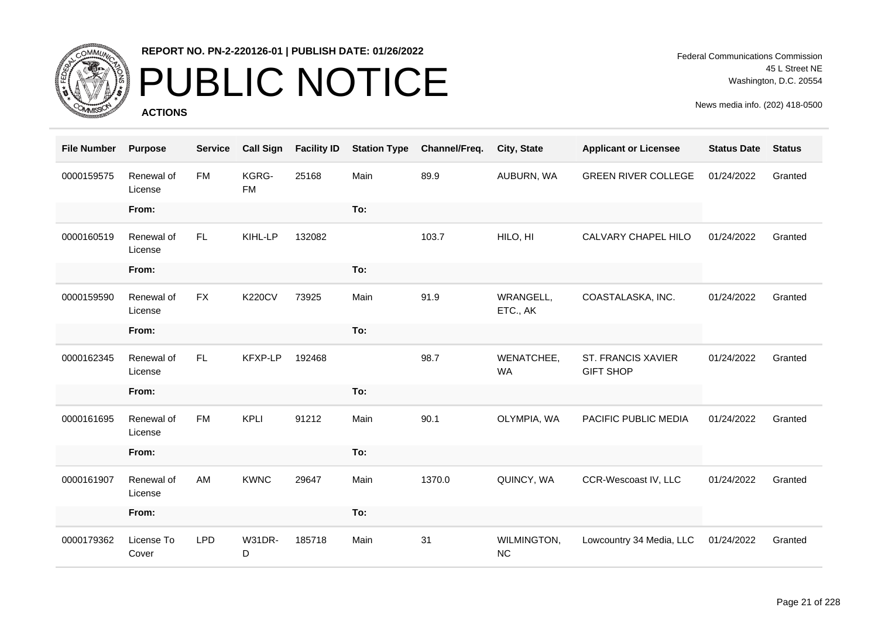

# PUBLIC NOTICE

**ACTIONS**

| <b>File Number</b> | <b>Purpose</b>        | <b>Service</b> | <b>Call Sign</b>   | <b>Facility ID</b> | <b>Station Type</b> | Channel/Freq. | City, State              | <b>Applicant or Licensee</b>                  | <b>Status Date</b> | <b>Status</b> |
|--------------------|-----------------------|----------------|--------------------|--------------------|---------------------|---------------|--------------------------|-----------------------------------------------|--------------------|---------------|
| 0000159575         | Renewal of<br>License | <b>FM</b>      | KGRG-<br><b>FM</b> | 25168              | Main                | 89.9          | AUBURN, WA               | <b>GREEN RIVER COLLEGE</b>                    | 01/24/2022         | Granted       |
|                    | From:                 |                |                    |                    | To:                 |               |                          |                                               |                    |               |
| 0000160519         | Renewal of<br>License | FL.            | KIHL-LP            | 132082             |                     | 103.7         | HILO, HI                 | CALVARY CHAPEL HILO                           | 01/24/2022         | Granted       |
|                    | From:                 |                |                    |                    | To:                 |               |                          |                                               |                    |               |
| 0000159590         | Renewal of<br>License | <b>FX</b>      | <b>K220CV</b>      | 73925              | Main                | 91.9          | WRANGELL,<br>ETC., AK    | COASTALASKA, INC.                             | 01/24/2022         | Granted       |
|                    | From:                 |                |                    |                    | To:                 |               |                          |                                               |                    |               |
| 0000162345         | Renewal of<br>License | FL.            | KFXP-LP            | 192468             |                     | 98.7          | WENATCHEE,<br><b>WA</b>  | <b>ST. FRANCIS XAVIER</b><br><b>GIFT SHOP</b> | 01/24/2022         | Granted       |
|                    | From:                 |                |                    |                    | To:                 |               |                          |                                               |                    |               |
| 0000161695         | Renewal of<br>License | <b>FM</b>      | <b>KPLI</b>        | 91212              | Main                | 90.1          | OLYMPIA, WA              | PACIFIC PUBLIC MEDIA                          | 01/24/2022         | Granted       |
|                    | From:                 |                |                    |                    | To:                 |               |                          |                                               |                    |               |
| 0000161907         | Renewal of<br>License | AM             | <b>KWNC</b>        | 29647              | Main                | 1370.0        | QUINCY, WA               | CCR-Wescoast IV, LLC                          | 01/24/2022         | Granted       |
|                    | From:                 |                |                    |                    | To:                 |               |                          |                                               |                    |               |
| 0000179362         | License To<br>Cover   | <b>LPD</b>     | <b>W31DR-</b><br>D | 185718             | Main                | 31            | WILMINGTON,<br><b>NC</b> | Lowcountry 34 Media, LLC                      | 01/24/2022         | Granted       |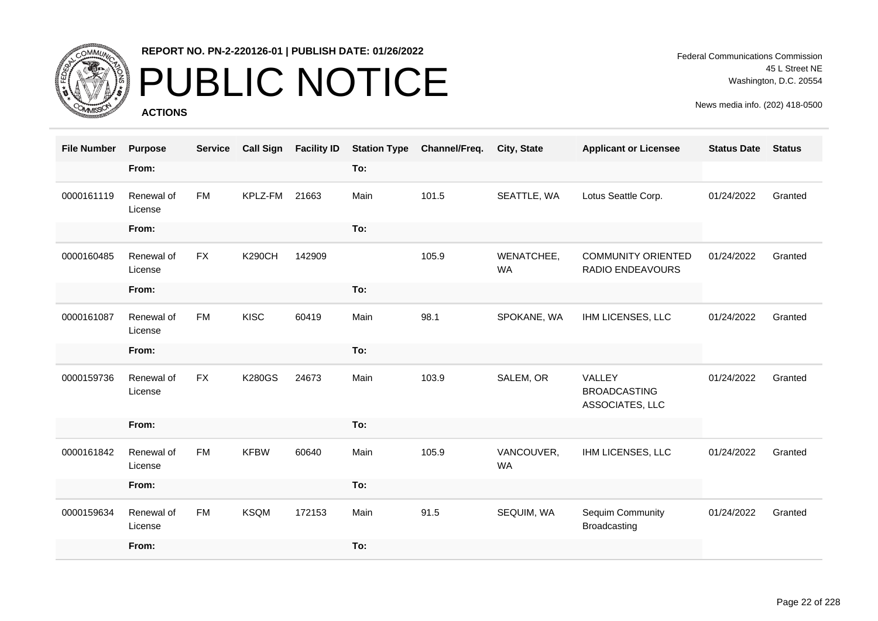

# PUBLIC NOTICE

**ACTIONS**

Federal Communications Commission 45 L Street NE Washington, D.C. 20554

| <b>File Number</b> | <b>Purpose</b>        | <b>Service</b> | <b>Call Sign</b> | <b>Facility ID</b> | <b>Station Type</b> | Channel/Freq. | City, State             | <b>Applicant or Licensee</b>                     | <b>Status Date</b> | <b>Status</b> |
|--------------------|-----------------------|----------------|------------------|--------------------|---------------------|---------------|-------------------------|--------------------------------------------------|--------------------|---------------|
|                    | From:                 |                |                  |                    | To:                 |               |                         |                                                  |                    |               |
| 0000161119         | Renewal of<br>License | <b>FM</b>      | KPLZ-FM          | 21663              | Main                | 101.5         | SEATTLE, WA             | Lotus Seattle Corp.                              | 01/24/2022         | Granted       |
|                    | From:                 |                |                  |                    | To:                 |               |                         |                                                  |                    |               |
| 0000160485         | Renewal of<br>License | <b>FX</b>      | <b>K290CH</b>    | 142909             |                     | 105.9         | WENATCHEE,<br><b>WA</b> | <b>COMMUNITY ORIENTED</b><br>RADIO ENDEAVOURS    | 01/24/2022         | Granted       |
|                    | From:                 |                |                  |                    | To:                 |               |                         |                                                  |                    |               |
| 0000161087         | Renewal of<br>License | <b>FM</b>      | <b>KISC</b>      | 60419              | Main                | 98.1          | SPOKANE, WA             | IHM LICENSES, LLC                                | 01/24/2022         | Granted       |
|                    | From:                 |                |                  |                    | To:                 |               |                         |                                                  |                    |               |
| 0000159736         | Renewal of<br>License | <b>FX</b>      | <b>K280GS</b>    | 24673              | Main                | 103.9         | SALEM, OR               | VALLEY<br><b>BROADCASTING</b><br>ASSOCIATES, LLC | 01/24/2022         | Granted       |
|                    | From:                 |                |                  |                    | To:                 |               |                         |                                                  |                    |               |
| 0000161842         | Renewal of<br>License | <b>FM</b>      | <b>KFBW</b>      | 60640              | Main                | 105.9         | VANCOUVER,<br><b>WA</b> | IHM LICENSES, LLC                                | 01/24/2022         | Granted       |
|                    | From:                 |                |                  |                    | To:                 |               |                         |                                                  |                    |               |
| 0000159634         | Renewal of<br>License | <b>FM</b>      | <b>KSQM</b>      | 172153             | Main                | 91.5          | SEQUIM, WA              | <b>Sequim Community</b><br><b>Broadcasting</b>   | 01/24/2022         | Granted       |
|                    | From:                 |                |                  |                    | To:                 |               |                         |                                                  |                    |               |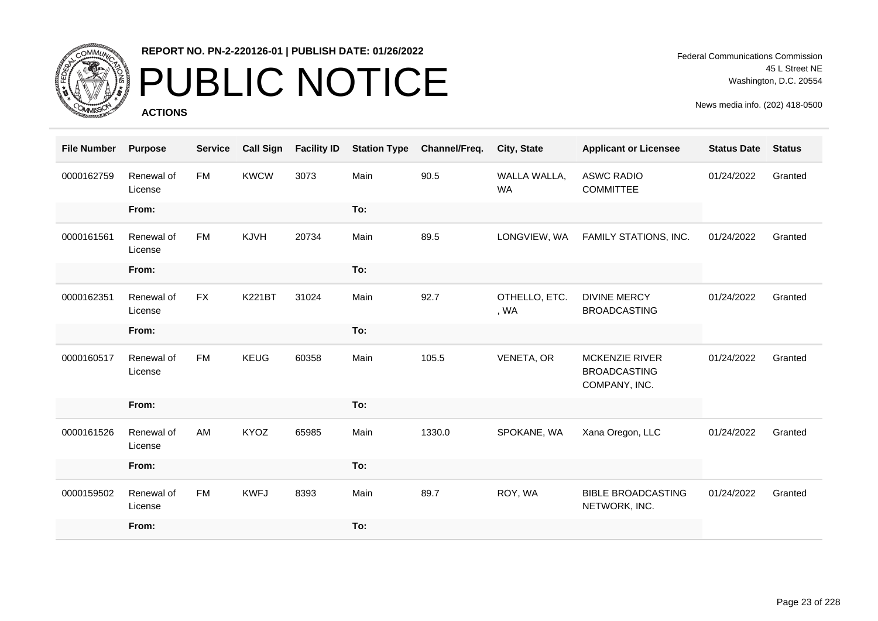

# PUBLIC NOTICE

**ACTIONS**

Federal Communications Commission 45 L Street NE Washington, D.C. 20554

| <b>File Number</b> | <b>Purpose</b>        | <b>Service</b> | <b>Call Sign</b> | <b>Facility ID</b> | <b>Station Type</b> | Channel/Freq. | City, State               | <b>Applicant or Licensee</b>                                  | <b>Status Date</b> | <b>Status</b> |
|--------------------|-----------------------|----------------|------------------|--------------------|---------------------|---------------|---------------------------|---------------------------------------------------------------|--------------------|---------------|
| 0000162759         | Renewal of<br>License | <b>FM</b>      | <b>KWCW</b>      | 3073               | Main                | 90.5          | WALLA WALLA,<br><b>WA</b> | <b>ASWC RADIO</b><br><b>COMMITTEE</b>                         | 01/24/2022         | Granted       |
|                    | From:                 |                |                  |                    | To:                 |               |                           |                                                               |                    |               |
| 0000161561         | Renewal of<br>License | FM             | KJVH             | 20734              | Main                | 89.5          | LONGVIEW, WA              | FAMILY STATIONS, INC.                                         | 01/24/2022         | Granted       |
|                    | From:                 |                |                  |                    | To:                 |               |                           |                                                               |                    |               |
| 0000162351         | Renewal of<br>License | <b>FX</b>      | <b>K221BT</b>    | 31024              | Main                | 92.7          | OTHELLO, ETC.<br>, WA     | <b>DIVINE MERCY</b><br><b>BROADCASTING</b>                    | 01/24/2022         | Granted       |
|                    | From:                 |                |                  |                    | To:                 |               |                           |                                                               |                    |               |
| 0000160517         | Renewal of<br>License | <b>FM</b>      | <b>KEUG</b>      | 60358              | Main                | 105.5         | VENETA, OR                | <b>MCKENZIE RIVER</b><br><b>BROADCASTING</b><br>COMPANY, INC. | 01/24/2022         | Granted       |
|                    | From:                 |                |                  |                    | To:                 |               |                           |                                                               |                    |               |
| 0000161526         | Renewal of<br>License | AM             | KYOZ             | 65985              | Main                | 1330.0        | SPOKANE, WA               | Xana Oregon, LLC                                              | 01/24/2022         | Granted       |
|                    | From:                 |                |                  |                    | To:                 |               |                           |                                                               |                    |               |
| 0000159502         | Renewal of<br>License | <b>FM</b>      | <b>KWFJ</b>      | 8393               | Main                | 89.7          | ROY, WA                   | <b>BIBLE BROADCASTING</b><br>NETWORK, INC.                    | 01/24/2022         | Granted       |
|                    | From:                 |                |                  |                    | To:                 |               |                           |                                                               |                    |               |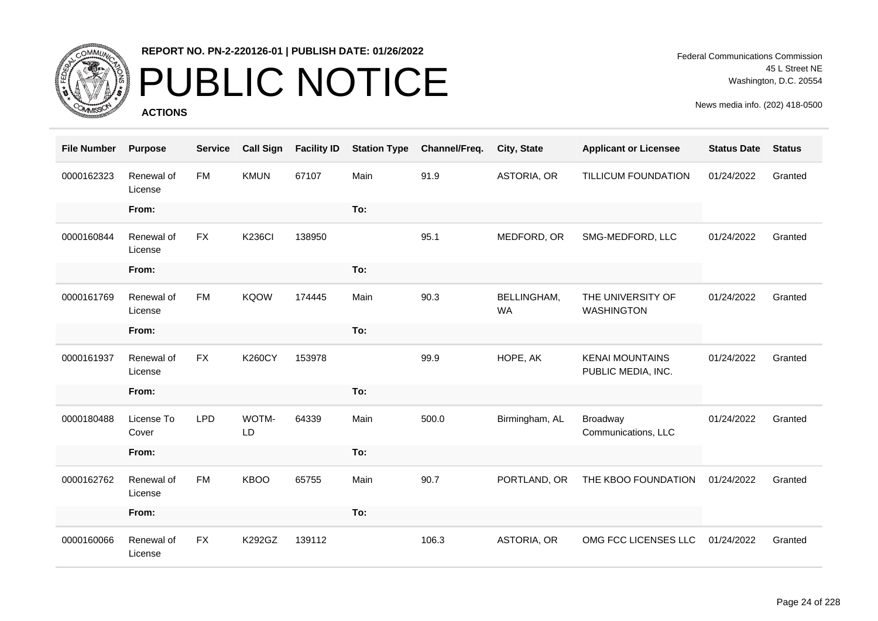

# PUBLIC NOTICE

**ACTIONS**

| <b>File Number</b> | <b>Purpose</b>        | <b>Service</b> | <b>Call Sign</b> | <b>Facility ID</b> | <b>Station Type</b> | Channel/Freq. | City, State                     | <b>Applicant or Licensee</b>                 | <b>Status Date</b> | <b>Status</b> |
|--------------------|-----------------------|----------------|------------------|--------------------|---------------------|---------------|---------------------------------|----------------------------------------------|--------------------|---------------|
| 0000162323         | Renewal of<br>License | <b>FM</b>      | <b>KMUN</b>      | 67107              | Main                | 91.9          | ASTORIA, OR                     | TILLICUM FOUNDATION                          | 01/24/2022         | Granted       |
|                    | From:                 |                |                  |                    | To:                 |               |                                 |                                              |                    |               |
| 0000160844         | Renewal of<br>License | <b>FX</b>      | <b>K236CI</b>    | 138950             |                     | 95.1          | MEDFORD, OR                     | SMG-MEDFORD, LLC                             | 01/24/2022         | Granted       |
|                    | From:                 |                |                  |                    | To:                 |               |                                 |                                              |                    |               |
| 0000161769         | Renewal of<br>License | <b>FM</b>      | <b>KQOW</b>      | 174445             | Main                | 90.3          | <b>BELLINGHAM,</b><br><b>WA</b> | THE UNIVERSITY OF<br><b>WASHINGTON</b>       | 01/24/2022         | Granted       |
|                    | From:                 |                |                  |                    | To:                 |               |                                 |                                              |                    |               |
| 0000161937         | Renewal of<br>License | <b>FX</b>      | <b>K260CY</b>    | 153978             |                     | 99.9          | HOPE, AK                        | <b>KENAI MOUNTAINS</b><br>PUBLIC MEDIA, INC. | 01/24/2022         | Granted       |
|                    | From:                 |                |                  |                    | To:                 |               |                                 |                                              |                    |               |
| 0000180488         | License To<br>Cover   | <b>LPD</b>     | WOTM-<br>LD      | 64339              | Main                | 500.0         | Birmingham, AL                  | Broadway<br>Communications, LLC              | 01/24/2022         | Granted       |
|                    | From:                 |                |                  |                    | To:                 |               |                                 |                                              |                    |               |
| 0000162762         | Renewal of<br>License | <b>FM</b>      | <b>KBOO</b>      | 65755              | Main                | 90.7          | PORTLAND, OR                    | THE KBOO FOUNDATION                          | 01/24/2022         | Granted       |
|                    | From:                 |                |                  |                    | To:                 |               |                                 |                                              |                    |               |
| 0000160066         | Renewal of<br>License | <b>FX</b>      | K292GZ           | 139112             |                     | 106.3         | ASTORIA, OR                     | OMG FCC LICENSES LLC                         | 01/24/2022         | Granted       |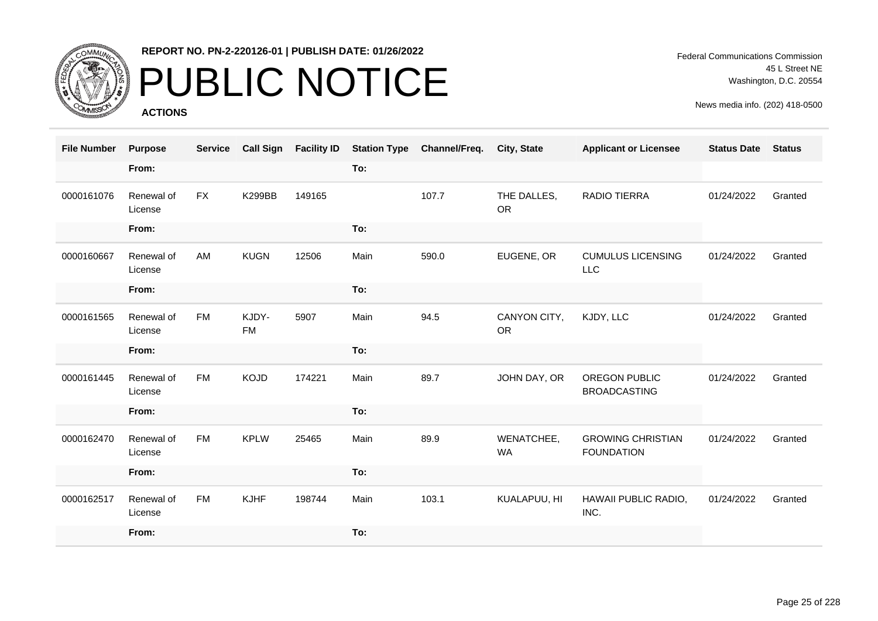

# PUBLIC NOTICE

**ACTIONS**

Federal Communications Commission 45 L Street NE Washington, D.C. 20554

| <b>File Number</b> | <b>Purpose</b>        | <b>Service</b> | <b>Call Sign</b>   | <b>Facility ID</b> | <b>Station Type</b> | Channel/Freq. | City, State               | <b>Applicant or Licensee</b>                  | <b>Status Date</b> | <b>Status</b> |
|--------------------|-----------------------|----------------|--------------------|--------------------|---------------------|---------------|---------------------------|-----------------------------------------------|--------------------|---------------|
|                    | From:                 |                |                    |                    | To:                 |               |                           |                                               |                    |               |
| 0000161076         | Renewal of<br>License | <b>FX</b>      | <b>K299BB</b>      | 149165             |                     | 107.7         | THE DALLES,<br><b>OR</b>  | RADIO TIERRA                                  | 01/24/2022         | Granted       |
|                    | From:                 |                |                    |                    | To:                 |               |                           |                                               |                    |               |
| 0000160667         | Renewal of<br>License | AM             | <b>KUGN</b>        | 12506              | Main                | 590.0         | EUGENE, OR                | <b>CUMULUS LICENSING</b><br>LLC               | 01/24/2022         | Granted       |
|                    | From:                 |                |                    |                    | To:                 |               |                           |                                               |                    |               |
| 0000161565         | Renewal of<br>License | <b>FM</b>      | KJDY-<br><b>FM</b> | 5907               | Main                | 94.5          | CANYON CITY,<br><b>OR</b> | KJDY, LLC                                     | 01/24/2022         | Granted       |
|                    | From:                 |                |                    |                    | To:                 |               |                           |                                               |                    |               |
| 0000161445         | Renewal of<br>License | <b>FM</b>      | <b>KOJD</b>        | 174221             | Main                | 89.7          | JOHN DAY, OR              | OREGON PUBLIC<br><b>BROADCASTING</b>          | 01/24/2022         | Granted       |
|                    | From:                 |                |                    |                    | To:                 |               |                           |                                               |                    |               |
| 0000162470         | Renewal of<br>License | <b>FM</b>      | <b>KPLW</b>        | 25465              | Main                | 89.9          | WENATCHEE,<br>WA          | <b>GROWING CHRISTIAN</b><br><b>FOUNDATION</b> | 01/24/2022         | Granted       |
|                    | From:                 |                |                    |                    | To:                 |               |                           |                                               |                    |               |
| 0000162517         | Renewal of<br>License | <b>FM</b>      | <b>KJHF</b>        | 198744             | Main                | 103.1         | KUALAPUU, HI              | HAWAII PUBLIC RADIO,<br>INC.                  | 01/24/2022         | Granted       |
|                    | From:                 |                |                    |                    | To:                 |               |                           |                                               |                    |               |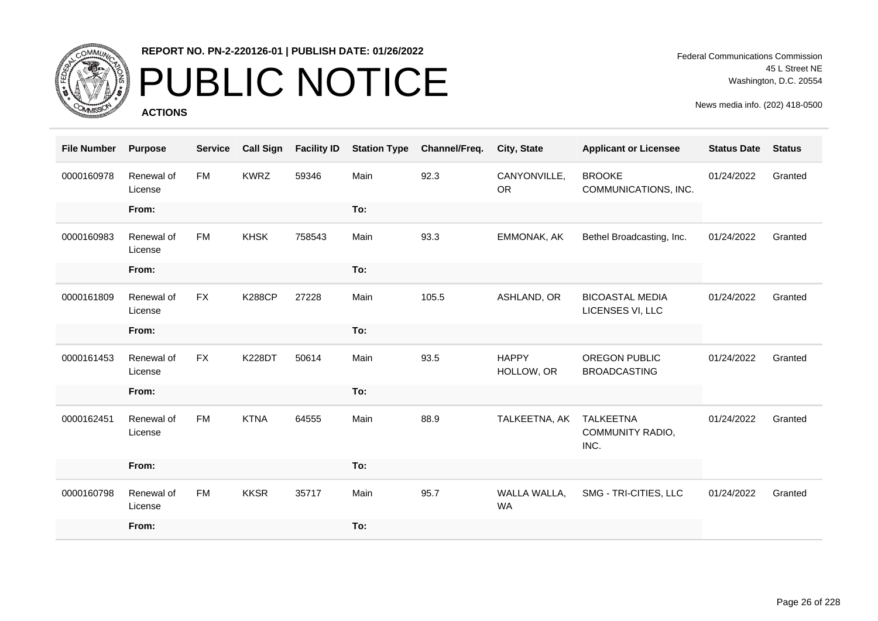

# PUBLIC NOTICE

**ACTIONS**

Federal Communications Commission 45 L Street NE Washington, D.C. 20554

| <b>File Number</b> | <b>Purpose</b>        | <b>Service</b> | <b>Call Sign</b> | <b>Facility ID</b> | <b>Station Type</b> | Channel/Freq. | City, State                | <b>Applicant or Licensee</b>                        | <b>Status Date</b> | <b>Status</b> |
|--------------------|-----------------------|----------------|------------------|--------------------|---------------------|---------------|----------------------------|-----------------------------------------------------|--------------------|---------------|
| 0000160978         | Renewal of<br>License | <b>FM</b>      | <b>KWRZ</b>      | 59346              | Main                | 92.3          | CANYONVILLE,<br><b>OR</b>  | <b>BROOKE</b><br>COMMUNICATIONS, INC.               | 01/24/2022         | Granted       |
|                    | From:                 |                |                  |                    | To:                 |               |                            |                                                     |                    |               |
| 0000160983         | Renewal of<br>License | <b>FM</b>      | <b>KHSK</b>      | 758543             | Main                | 93.3          | EMMONAK, AK                | Bethel Broadcasting, Inc.                           | 01/24/2022         | Granted       |
|                    | From:                 |                |                  |                    | To:                 |               |                            |                                                     |                    |               |
| 0000161809         | Renewal of<br>License | <b>FX</b>      | <b>K288CP</b>    | 27228              | Main                | 105.5         | ASHLAND, OR                | <b>BICOASTAL MEDIA</b><br>LICENSES VI, LLC          | 01/24/2022         | Granted       |
|                    | From:                 |                |                  |                    | To:                 |               |                            |                                                     |                    |               |
| 0000161453         | Renewal of<br>License | <b>FX</b>      | <b>K228DT</b>    | 50614              | Main                | 93.5          | <b>HAPPY</b><br>HOLLOW, OR | OREGON PUBLIC<br><b>BROADCASTING</b>                | 01/24/2022         | Granted       |
|                    | From:                 |                |                  |                    | To:                 |               |                            |                                                     |                    |               |
| 0000162451         | Renewal of<br>License | <b>FM</b>      | <b>KTNA</b>      | 64555              | Main                | 88.9          | TALKEETNA, AK              | <b>TALKEETNA</b><br><b>COMMUNITY RADIO,</b><br>INC. | 01/24/2022         | Granted       |
|                    | From:                 |                |                  |                    | To:                 |               |                            |                                                     |                    |               |
| 0000160798         | Renewal of<br>License | <b>FM</b>      | <b>KKSR</b>      | 35717              | Main                | 95.7          | WALLA WALLA,<br><b>WA</b>  | SMG - TRI-CITIES, LLC                               | 01/24/2022         | Granted       |
|                    | From:                 |                |                  |                    | To:                 |               |                            |                                                     |                    |               |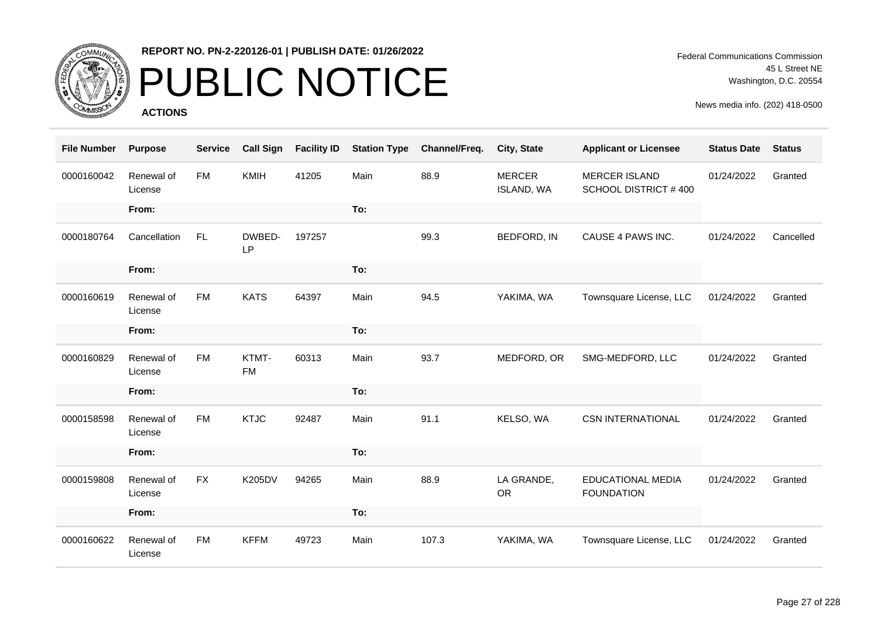

# PUBLIC NOTICE

**ACTIONS**

Federal Communications Commission 45 L Street NE Washington, D.C. 20554

| <b>File Number</b> | <b>Purpose</b>        | <b>Service</b> | <b>Call Sign</b>    | <b>Facility ID</b> | <b>Station Type</b> | Channel/Freq. | City, State                        | <b>Applicant or Licensee</b>                        | <b>Status Date</b> | <b>Status</b> |
|--------------------|-----------------------|----------------|---------------------|--------------------|---------------------|---------------|------------------------------------|-----------------------------------------------------|--------------------|---------------|
| 0000160042         | Renewal of<br>License | <b>FM</b>      | <b>KMIH</b>         | 41205              | Main                | 88.9          | <b>MERCER</b><br><b>ISLAND, WA</b> | <b>MERCER ISLAND</b><br><b>SCHOOL DISTRICT #400</b> | 01/24/2022         | Granted       |
|                    | From:                 |                |                     |                    | To:                 |               |                                    |                                                     |                    |               |
| 0000180764         | Cancellation          | FL.            | DWBED-<br><b>LP</b> | 197257             |                     | 99.3          | BEDFORD, IN                        | CAUSE 4 PAWS INC.                                   | 01/24/2022         | Cancelled     |
|                    | From:                 |                |                     |                    | To:                 |               |                                    |                                                     |                    |               |
| 0000160619         | Renewal of<br>License | <b>FM</b>      | <b>KATS</b>         | 64397              | Main                | 94.5          | YAKIMA, WA                         | Townsquare License, LLC                             | 01/24/2022         | Granted       |
|                    | From:                 |                |                     |                    | To:                 |               |                                    |                                                     |                    |               |
| 0000160829         | Renewal of<br>License | <b>FM</b>      | KTMT-<br><b>FM</b>  | 60313              | Main                | 93.7          | MEDFORD, OR                        | SMG-MEDFORD, LLC                                    | 01/24/2022         | Granted       |
|                    | From:                 |                |                     |                    | To:                 |               |                                    |                                                     |                    |               |
| 0000158598         | Renewal of<br>License | <b>FM</b>      | <b>KTJC</b>         | 92487              | Main                | 91.1          | KELSO, WA                          | <b>CSN INTERNATIONAL</b>                            | 01/24/2022         | Granted       |
|                    | From:                 |                |                     |                    | To:                 |               |                                    |                                                     |                    |               |
| 0000159808         | Renewal of<br>License | <b>FX</b>      | <b>K205DV</b>       | 94265              | Main                | 88.9          | LA GRANDE,<br><b>OR</b>            | EDUCATIONAL MEDIA<br><b>FOUNDATION</b>              | 01/24/2022         | Granted       |
|                    | From:                 |                |                     |                    | To:                 |               |                                    |                                                     |                    |               |
| 0000160622         | Renewal of<br>License | <b>FM</b>      | <b>KFFM</b>         | 49723              | Main                | 107.3         | YAKIMA, WA                         | Townsquare License, LLC                             | 01/24/2022         | Granted       |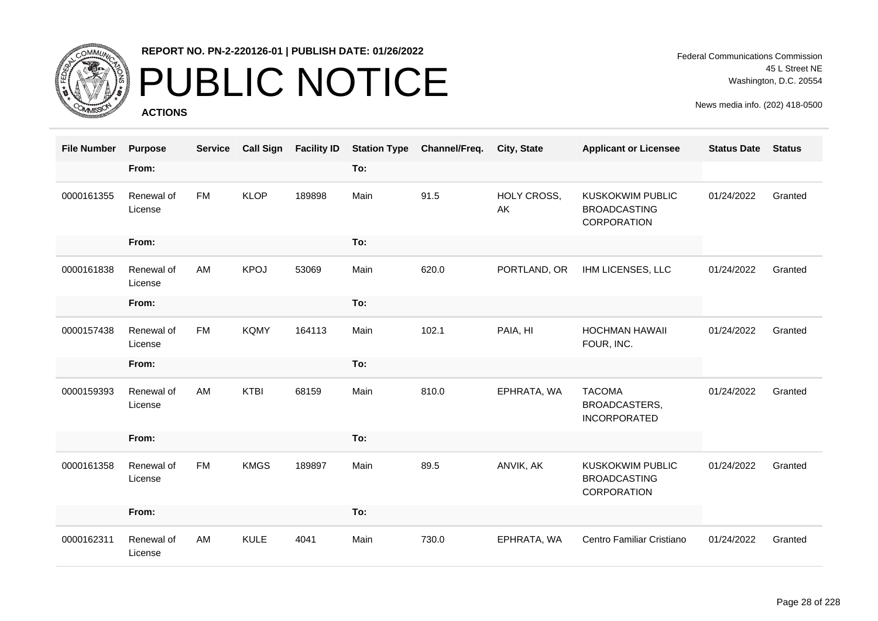

# PUBLIC NOTICE

**ACTIONS**

| <b>File Number</b> | <b>Purpose</b>        | <b>Service</b> | <b>Call Sign</b> | <b>Facility ID</b> |      | <b>Station Type Channel/Freq.</b> | <b>City, State</b> | <b>Applicant or Licensee</b>                                  | <b>Status Date</b> | <b>Status</b> |
|--------------------|-----------------------|----------------|------------------|--------------------|------|-----------------------------------|--------------------|---------------------------------------------------------------|--------------------|---------------|
|                    | From:                 |                |                  |                    | To:  |                                   |                    |                                                               |                    |               |
| 0000161355         | Renewal of<br>License | <b>FM</b>      | <b>KLOP</b>      | 189898             | Main | 91.5                              | HOLY CROSS,<br>AK  | <b>KUSKOKWIM PUBLIC</b><br><b>BROADCASTING</b><br>CORPORATION | 01/24/2022         | Granted       |
|                    | From:                 |                |                  |                    | To:  |                                   |                    |                                                               |                    |               |
| 0000161838         | Renewal of<br>License | AM             | <b>KPOJ</b>      | 53069              | Main | 620.0                             | PORTLAND, OR       | IHM LICENSES, LLC                                             | 01/24/2022         | Granted       |
|                    | From:                 |                |                  |                    | To:  |                                   |                    |                                                               |                    |               |
| 0000157438         | Renewal of<br>License | <b>FM</b>      | <b>KQMY</b>      | 164113             | Main | 102.1                             | PAIA, HI           | <b>HOCHMAN HAWAII</b><br>FOUR, INC.                           | 01/24/2022         | Granted       |
|                    | From:                 |                |                  |                    | To:  |                                   |                    |                                                               |                    |               |
| 0000159393         | Renewal of<br>License | AM             | <b>KTBI</b>      | 68159              | Main | 810.0                             | EPHRATA, WA        | <b>TACOMA</b><br>BROADCASTERS,<br><b>INCORPORATED</b>         | 01/24/2022         | Granted       |
|                    | From:                 |                |                  |                    | To:  |                                   |                    |                                                               |                    |               |
| 0000161358         | Renewal of<br>License | <b>FM</b>      | <b>KMGS</b>      | 189897             | Main | 89.5                              | ANVIK, AK          | <b>KUSKOKWIM PUBLIC</b><br><b>BROADCASTING</b><br>CORPORATION | 01/24/2022         | Granted       |
|                    | From:                 |                |                  |                    | To:  |                                   |                    |                                                               |                    |               |
| 0000162311         | Renewal of<br>License | AM             | <b>KULE</b>      | 4041               | Main | 730.0                             | EPHRATA, WA        | Centro Familiar Cristiano                                     | 01/24/2022         | Granted       |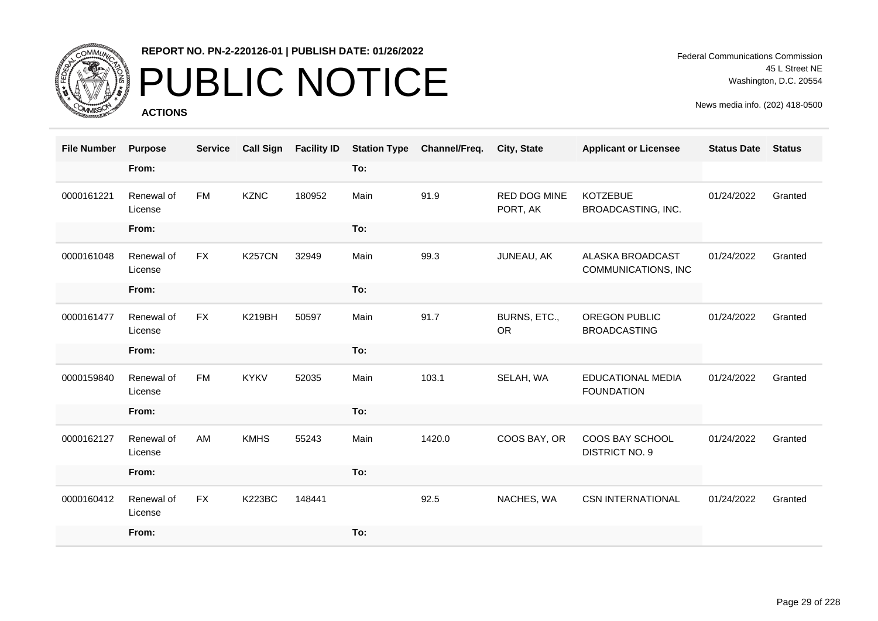

# PUBLIC NOTICE

**ACTIONS**

Federal Communications Commission 45 L Street NE Washington, D.C. 20554

| <b>File Number</b> | <b>Purpose</b>        | <b>Service</b> | <b>Call Sign</b> | <b>Facility ID</b> | <b>Station Type</b> | Channel/Freq. | City, State                     | <b>Applicant or Licensee</b>                  | <b>Status Date</b> | <b>Status</b> |
|--------------------|-----------------------|----------------|------------------|--------------------|---------------------|---------------|---------------------------------|-----------------------------------------------|--------------------|---------------|
|                    | From:                 |                |                  |                    | To:                 |               |                                 |                                               |                    |               |
| 0000161221         | Renewal of<br>License | <b>FM</b>      | <b>KZNC</b>      | 180952             | Main                | 91.9          | <b>RED DOG MINE</b><br>PORT, AK | <b>KOTZEBUE</b><br>BROADCASTING, INC.         | 01/24/2022         | Granted       |
|                    | From:                 |                |                  |                    | To:                 |               |                                 |                                               |                    |               |
| 0000161048         | Renewal of<br>License | <b>FX</b>      | <b>K257CN</b>    | 32949              | Main                | 99.3          | JUNEAU, AK                      | ALASKA BROADCAST<br>COMMUNICATIONS, INC       | 01/24/2022         | Granted       |
|                    | From:                 |                |                  |                    | To:                 |               |                                 |                                               |                    |               |
| 0000161477         | Renewal of<br>License | <b>FX</b>      | <b>K219BH</b>    | 50597              | Main                | 91.7          | BURNS, ETC.,<br><b>OR</b>       | OREGON PUBLIC<br><b>BROADCASTING</b>          | 01/24/2022         | Granted       |
|                    | From:                 |                |                  |                    | To:                 |               |                                 |                                               |                    |               |
| 0000159840         | Renewal of<br>License | <b>FM</b>      | <b>KYKV</b>      | 52035              | Main                | 103.1         | SELAH, WA                       | <b>EDUCATIONAL MEDIA</b><br><b>FOUNDATION</b> | 01/24/2022         | Granted       |
|                    | From:                 |                |                  |                    | To:                 |               |                                 |                                               |                    |               |
| 0000162127         | Renewal of<br>License | AM             | <b>KMHS</b>      | 55243              | Main                | 1420.0        | COOS BAY, OR                    | COOS BAY SCHOOL<br><b>DISTRICT NO. 9</b>      | 01/24/2022         | Granted       |
|                    | From:                 |                |                  |                    | To:                 |               |                                 |                                               |                    |               |
| 0000160412         | Renewal of<br>License | <b>FX</b>      | <b>K223BC</b>    | 148441             |                     | 92.5          | NACHES, WA                      | <b>CSN INTERNATIONAL</b>                      | 01/24/2022         | Granted       |
|                    | From:                 |                |                  |                    | To:                 |               |                                 |                                               |                    |               |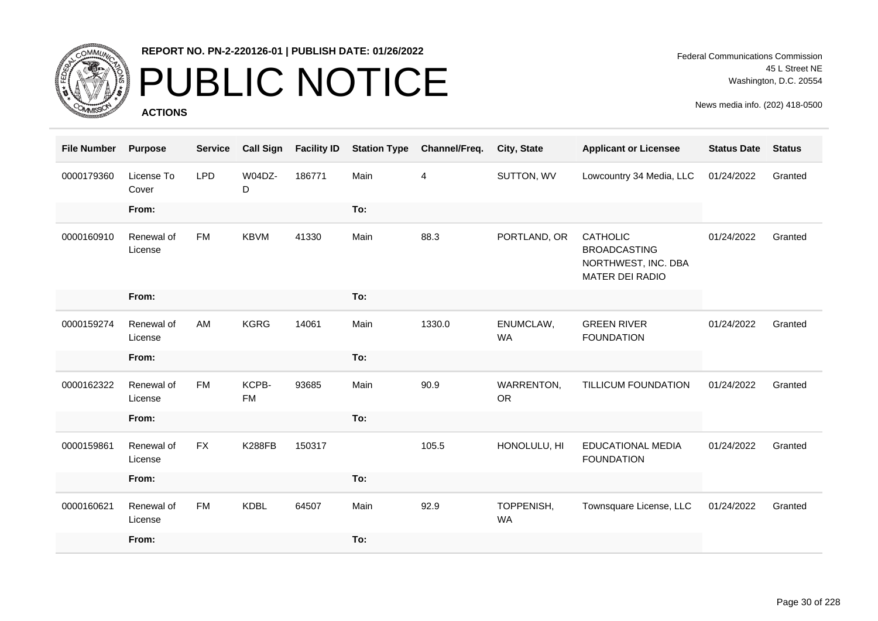

# PUBLIC NOTICE

**ACTIONS**

| <b>File Number</b> | <b>Purpose</b>        | <b>Service</b> | <b>Call Sign</b>   | <b>Facility ID</b> | <b>Station Type</b> | Channel/Freq. | City, State             | <b>Applicant or Licensee</b>                                                     | <b>Status Date</b> | <b>Status</b> |
|--------------------|-----------------------|----------------|--------------------|--------------------|---------------------|---------------|-------------------------|----------------------------------------------------------------------------------|--------------------|---------------|
| 0000179360         | License To<br>Cover   | <b>LPD</b>     | W04DZ-<br>D        | 186771             | Main                | 4             | SUTTON, WV              | Lowcountry 34 Media, LLC                                                         | 01/24/2022         | Granted       |
|                    | From:                 |                |                    |                    | To:                 |               |                         |                                                                                  |                    |               |
| 0000160910         | Renewal of<br>License | <b>FM</b>      | <b>KBVM</b>        | 41330              | Main                | 88.3          | PORTLAND, OR            | <b>CATHOLIC</b><br><b>BROADCASTING</b><br>NORTHWEST, INC. DBA<br>MATER DEI RADIO | 01/24/2022         | Granted       |
|                    | From:                 |                |                    |                    | To:                 |               |                         |                                                                                  |                    |               |
| 0000159274         | Renewal of<br>License | AM             | <b>KGRG</b>        | 14061              | Main                | 1330.0        | ENUMCLAW,<br><b>WA</b>  | <b>GREEN RIVER</b><br><b>FOUNDATION</b>                                          | 01/24/2022         | Granted       |
|                    | From:                 |                |                    |                    | To:                 |               |                         |                                                                                  |                    |               |
| 0000162322         | Renewal of<br>License | <b>FM</b>      | KCPB-<br><b>FM</b> | 93685              | Main                | 90.9          | WARRENTON,<br><b>OR</b> | <b>TILLICUM FOUNDATION</b>                                                       | 01/24/2022         | Granted       |
|                    | From:                 |                |                    |                    | To:                 |               |                         |                                                                                  |                    |               |
| 0000159861         | Renewal of<br>License | <b>FX</b>      | <b>K288FB</b>      | 150317             |                     | 105.5         | HONOLULU, HI            | <b>EDUCATIONAL MEDIA</b><br><b>FOUNDATION</b>                                    | 01/24/2022         | Granted       |
|                    | From:                 |                |                    |                    | To:                 |               |                         |                                                                                  |                    |               |
| 0000160621         | Renewal of<br>License | <b>FM</b>      | <b>KDBL</b>        | 64507              | Main                | 92.9          | TOPPENISH,<br><b>WA</b> | Townsquare License, LLC                                                          | 01/24/2022         | Granted       |
|                    | From:                 |                |                    |                    | To:                 |               |                         |                                                                                  |                    |               |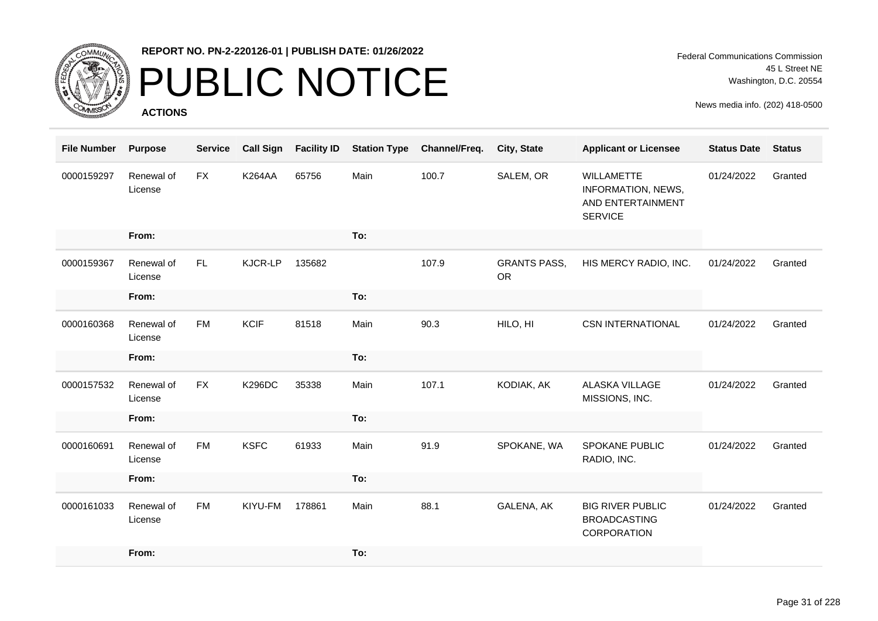

### PUBLIC NOTICE

**ACTIONS**

| <b>File Number</b> | <b>Purpose</b>        | <b>Service</b> | <b>Call Sign</b> | <b>Facility ID</b> | <b>Station Type</b> | Channel/Freq. | City, State                      | <b>Applicant or Licensee</b>                                                          | <b>Status Date</b> | <b>Status</b> |
|--------------------|-----------------------|----------------|------------------|--------------------|---------------------|---------------|----------------------------------|---------------------------------------------------------------------------------------|--------------------|---------------|
| 0000159297         | Renewal of<br>License | <b>FX</b>      | <b>K264AA</b>    | 65756              | Main                | 100.7         | SALEM, OR                        | <b>WILLAMETTE</b><br><b>INFORMATION, NEWS,</b><br>AND ENTERTAINMENT<br><b>SERVICE</b> | 01/24/2022         | Granted       |
|                    | From:                 |                |                  |                    | To:                 |               |                                  |                                                                                       |                    |               |
| 0000159367         | Renewal of<br>License | FL.            | KJCR-LP          | 135682             |                     | 107.9         | <b>GRANTS PASS,</b><br><b>OR</b> | HIS MERCY RADIO, INC.                                                                 | 01/24/2022         | Granted       |
|                    | From:                 |                |                  |                    | To:                 |               |                                  |                                                                                       |                    |               |
| 0000160368         | Renewal of<br>License | <b>FM</b>      | <b>KCIF</b>      | 81518              | Main                | 90.3          | HILO, HI                         | <b>CSN INTERNATIONAL</b>                                                              | 01/24/2022         | Granted       |
|                    | From:                 |                |                  |                    | To:                 |               |                                  |                                                                                       |                    |               |
| 0000157532         | Renewal of<br>License | <b>FX</b>      | <b>K296DC</b>    | 35338              | Main                | 107.1         | KODIAK, AK                       | ALASKA VILLAGE<br>MISSIONS, INC.                                                      | 01/24/2022         | Granted       |
|                    | From:                 |                |                  |                    | To:                 |               |                                  |                                                                                       |                    |               |
| 0000160691         | Renewal of<br>License | <b>FM</b>      | <b>KSFC</b>      | 61933              | Main                | 91.9          | SPOKANE, WA                      | <b>SPOKANE PUBLIC</b><br>RADIO, INC.                                                  | 01/24/2022         | Granted       |
|                    | From:                 |                |                  |                    | To:                 |               |                                  |                                                                                       |                    |               |
| 0000161033         | Renewal of<br>License | <b>FM</b>      | KIYU-FM          | 178861             | Main                | 88.1          | GALENA, AK                       | <b>BIG RIVER PUBLIC</b><br><b>BROADCASTING</b><br>CORPORATION                         | 01/24/2022         | Granted       |
|                    | From:                 |                |                  |                    | To:                 |               |                                  |                                                                                       |                    |               |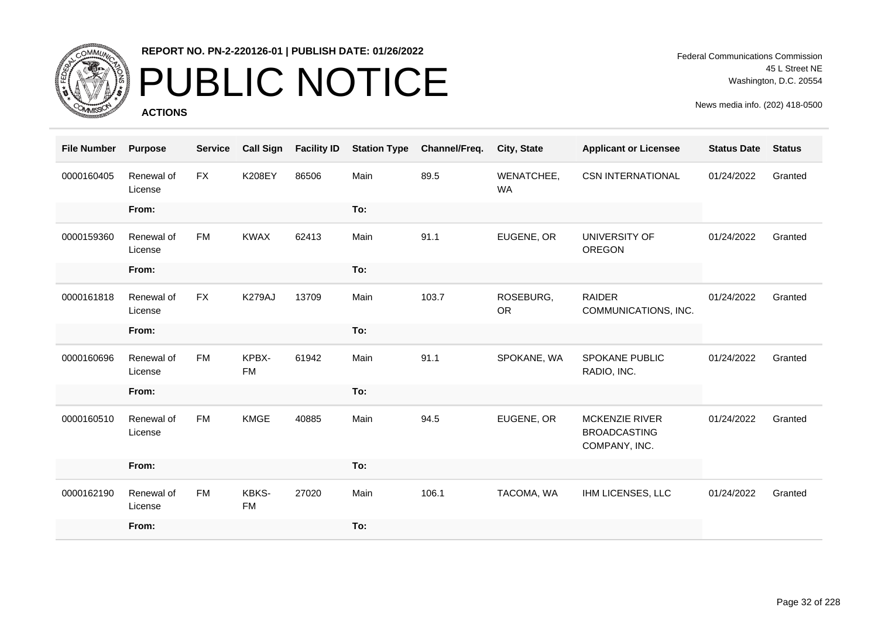

# PUBLIC NOTICE

**ACTIONS**

Federal Communications Commission 45 L Street NE Washington, D.C. 20554

| <b>File Number</b> | <b>Purpose</b>        | <b>Service</b> | <b>Call Sign</b>   | <b>Facility ID</b> | <b>Station Type</b> | Channel/Freq. | <b>City, State</b>      | <b>Applicant or Licensee</b>                                  | <b>Status Date</b> | <b>Status</b> |
|--------------------|-----------------------|----------------|--------------------|--------------------|---------------------|---------------|-------------------------|---------------------------------------------------------------|--------------------|---------------|
| 0000160405         | Renewal of<br>License | <b>FX</b>      | <b>K208EY</b>      | 86506              | Main                | 89.5          | WENATCHEE,<br><b>WA</b> | <b>CSN INTERNATIONAL</b>                                      | 01/24/2022         | Granted       |
|                    | From:                 |                |                    |                    | To:                 |               |                         |                                                               |                    |               |
| 0000159360         | Renewal of<br>License | <b>FM</b>      | <b>KWAX</b>        | 62413              | Main                | 91.1          | EUGENE, OR              | UNIVERSITY OF<br><b>OREGON</b>                                | 01/24/2022         | Granted       |
|                    | From:                 |                |                    |                    | To:                 |               |                         |                                                               |                    |               |
| 0000161818         | Renewal of<br>License | <b>FX</b>      | K279AJ             | 13709              | Main                | 103.7         | ROSEBURG,<br><b>OR</b>  | <b>RAIDER</b><br>COMMUNICATIONS, INC.                         | 01/24/2022         | Granted       |
|                    | From:                 |                |                    |                    | To:                 |               |                         |                                                               |                    |               |
| 0000160696         | Renewal of<br>License | <b>FM</b>      | KPBX-<br><b>FM</b> | 61942              | Main                | 91.1          | SPOKANE, WA             | SPOKANE PUBLIC<br>RADIO, INC.                                 | 01/24/2022         | Granted       |
|                    | From:                 |                |                    |                    | To:                 |               |                         |                                                               |                    |               |
| 0000160510         | Renewal of<br>License | <b>FM</b>      | <b>KMGE</b>        | 40885              | Main                | 94.5          | EUGENE, OR              | <b>MCKENZIE RIVER</b><br><b>BROADCASTING</b><br>COMPANY, INC. | 01/24/2022         | Granted       |
|                    | From:                 |                |                    |                    | To:                 |               |                         |                                                               |                    |               |
| 0000162190         | Renewal of<br>License | <b>FM</b>      | KBKS-<br><b>FM</b> | 27020              | Main                | 106.1         | TACOMA, WA              | IHM LICENSES, LLC                                             | 01/24/2022         | Granted       |
|                    | From:                 |                |                    |                    | To:                 |               |                         |                                                               |                    |               |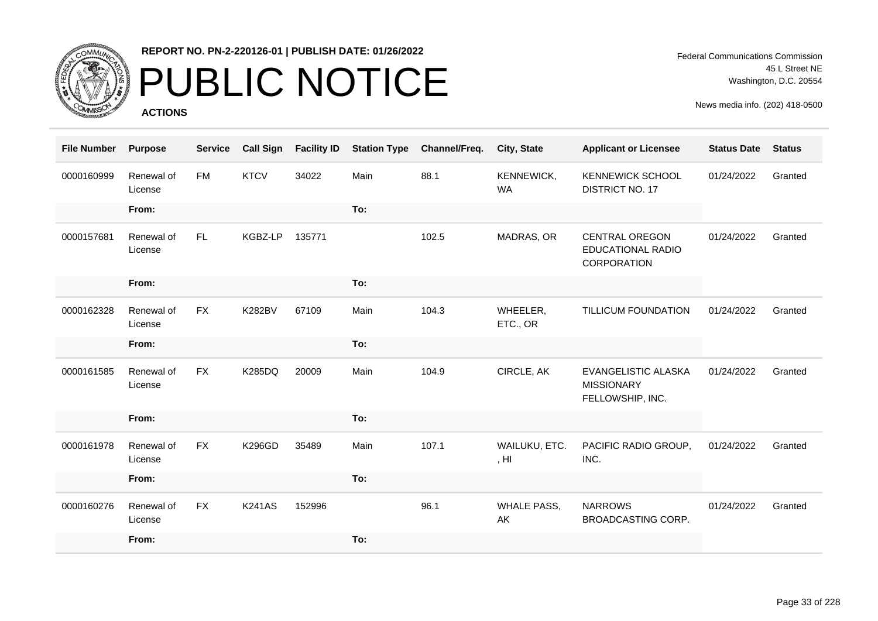

# PUBLIC NOTICE

**ACTIONS**

Federal Communications Commission 45 L Street NE Washington, D.C. 20554

| <b>File Number</b> | <b>Purpose</b>        | <b>Service</b> | <b>Call Sign</b> | <b>Facility ID</b> | <b>Station Type</b> | Channel/Freq. | City, State                       | <b>Applicant or Licensee</b>                                        | <b>Status Date</b> | <b>Status</b> |
|--------------------|-----------------------|----------------|------------------|--------------------|---------------------|---------------|-----------------------------------|---------------------------------------------------------------------|--------------------|---------------|
| 0000160999         | Renewal of<br>License | <b>FM</b>      | <b>KTCV</b>      | 34022              | Main                | 88.1          | KENNEWICK,<br><b>WA</b>           | <b>KENNEWICK SCHOOL</b><br><b>DISTRICT NO. 17</b>                   | 01/24/2022         | Granted       |
|                    | From:                 |                |                  |                    | To:                 |               |                                   |                                                                     |                    |               |
| 0000157681         | Renewal of<br>License | FL.            | KGBZ-LP          | 135771             |                     | 102.5         | MADRAS, OR                        | <b>CENTRAL OREGON</b><br><b>EDUCATIONAL RADIO</b><br>CORPORATION    | 01/24/2022         | Granted       |
|                    | From:                 |                |                  |                    | To:                 |               |                                   |                                                                     |                    |               |
| 0000162328         | Renewal of<br>License | <b>FX</b>      | <b>K282BV</b>    | 67109              | Main                | 104.3         | WHEELER,<br>ETC., OR              | TILLICUM FOUNDATION                                                 | 01/24/2022         | Granted       |
|                    | From:                 |                |                  |                    | To:                 |               |                                   |                                                                     |                    |               |
| 0000161585         | Renewal of<br>License | <b>FX</b>      | K285DQ           | 20009              | Main                | 104.9         | CIRCLE, AK                        | <b>EVANGELISTIC ALASKA</b><br><b>MISSIONARY</b><br>FELLOWSHIP, INC. | 01/24/2022         | Granted       |
|                    | From:                 |                |                  |                    | To:                 |               |                                   |                                                                     |                    |               |
| 0000161978         | Renewal of<br>License | <b>FX</b>      | <b>K296GD</b>    | 35489              | Main                | 107.1         | WAILUKU, ETC.<br>, H <sub>l</sub> | PACIFIC RADIO GROUP,<br>INC.                                        | 01/24/2022         | Granted       |
|                    | From:                 |                |                  |                    | To:                 |               |                                   |                                                                     |                    |               |
| 0000160276         | Renewal of<br>License | <b>FX</b>      | <b>K241AS</b>    | 152996             |                     | 96.1          | <b>WHALE PASS,</b><br>AK          | <b>NARROWS</b><br><b>BROADCASTING CORP.</b>                         | 01/24/2022         | Granted       |
|                    | From:                 |                |                  |                    | To:                 |               |                                   |                                                                     |                    |               |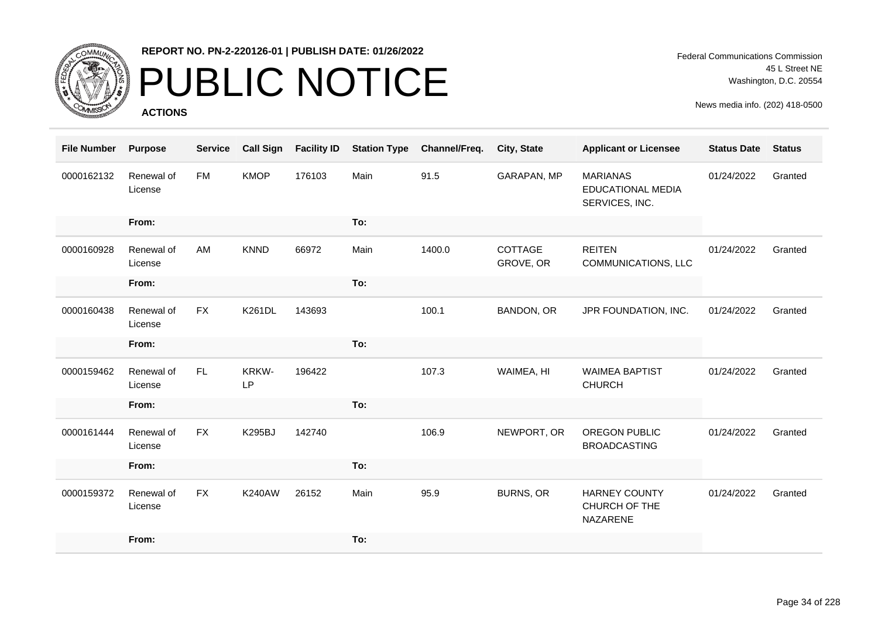

### PUBLIC NOTICE

**ACTIONS**

Federal Communications Commission 45 L Street NE Washington, D.C. 20554

| <b>File Number</b> | <b>Purpose</b>        | <b>Service</b> | <b>Call Sign</b> | <b>Facility ID</b> | <b>Station Type</b> | Channel/Freq. | City, State          | <b>Applicant or Licensee</b>                                  | <b>Status Date</b> | <b>Status</b> |
|--------------------|-----------------------|----------------|------------------|--------------------|---------------------|---------------|----------------------|---------------------------------------------------------------|--------------------|---------------|
| 0000162132         | Renewal of<br>License | <b>FM</b>      | <b>KMOP</b>      | 176103             | Main                | 91.5          | GARAPAN, MP          | <b>MARIANAS</b><br><b>EDUCATIONAL MEDIA</b><br>SERVICES, INC. | 01/24/2022         | Granted       |
|                    | From:                 |                |                  |                    | To:                 |               |                      |                                                               |                    |               |
| 0000160928         | Renewal of<br>License | AM             | <b>KNND</b>      | 66972              | Main                | 1400.0        | COTTAGE<br>GROVE, OR | <b>REITEN</b><br>COMMUNICATIONS, LLC                          | 01/24/2022         | Granted       |
|                    | From:                 |                |                  |                    | To:                 |               |                      |                                                               |                    |               |
| 0000160438         | Renewal of<br>License | <b>FX</b>      | <b>K261DL</b>    | 143693             |                     | 100.1         | BANDON, OR           | JPR FOUNDATION, INC.                                          | 01/24/2022         | Granted       |
|                    | From:                 |                |                  |                    | To:                 |               |                      |                                                               |                    |               |
| 0000159462         | Renewal of<br>License | FL.            | KRKW-<br>LP      | 196422             |                     | 107.3         | WAIMEA, HI           | <b>WAIMEA BAPTIST</b><br><b>CHURCH</b>                        | 01/24/2022         | Granted       |
|                    | From:                 |                |                  |                    | To:                 |               |                      |                                                               |                    |               |
| 0000161444         | Renewal of<br>License | <b>FX</b>      | <b>K295BJ</b>    | 142740             |                     | 106.9         | NEWPORT, OR          | OREGON PUBLIC<br><b>BROADCASTING</b>                          | 01/24/2022         | Granted       |
|                    | From:                 |                |                  |                    | To:                 |               |                      |                                                               |                    |               |
| 0000159372         | Renewal of<br>License | <b>FX</b>      | <b>K240AW</b>    | 26152              | Main                | 95.9          | <b>BURNS, OR</b>     | <b>HARNEY COUNTY</b><br>CHURCH OF THE<br>NAZARENE             | 01/24/2022         | Granted       |
|                    | From:                 |                |                  |                    | To:                 |               |                      |                                                               |                    |               |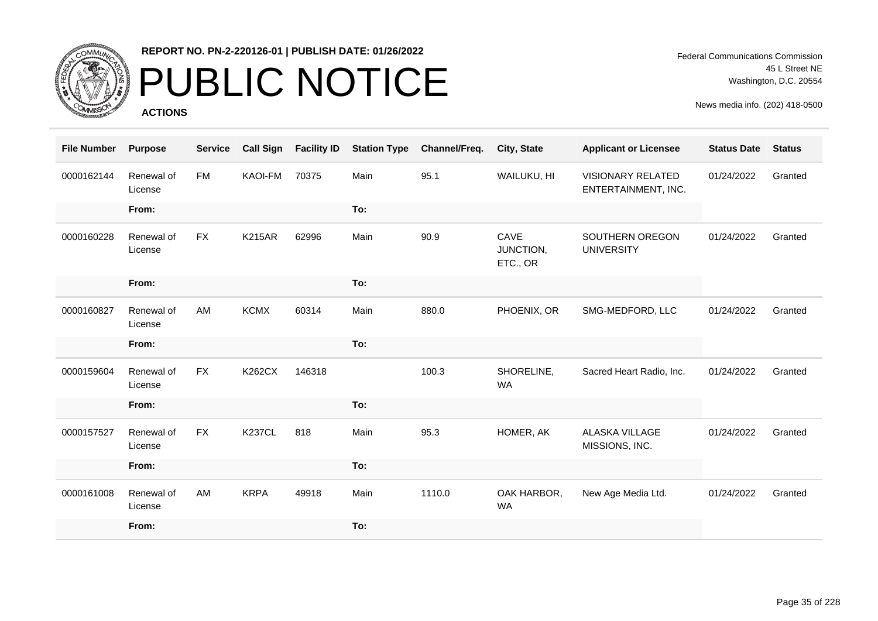

# PUBLIC NOTICE

**ACTIONS**

Federal Communications Commission 45 L Street NE Washington, D.C. 20554

| <b>File Number</b> | <b>Purpose</b>        | <b>Service</b> | <b>Call Sign</b> | <b>Facility ID</b> | <b>Station Type</b> | Channel/Freq. | City, State                   | <b>Applicant or Licensee</b>                    | <b>Status Date</b> | <b>Status</b> |
|--------------------|-----------------------|----------------|------------------|--------------------|---------------------|---------------|-------------------------------|-------------------------------------------------|--------------------|---------------|
| 0000162144         | Renewal of<br>License | <b>FM</b>      | KAOI-FM          | 70375              | Main                | 95.1          | WAILUKU, HI                   | <b>VISIONARY RELATED</b><br>ENTERTAINMENT, INC. | 01/24/2022         | Granted       |
|                    | From:                 |                |                  |                    | To:                 |               |                               |                                                 |                    |               |
| 0000160228         | Renewal of<br>License | <b>FX</b>      | <b>K215AR</b>    | 62996              | Main                | 90.9          | CAVE<br>JUNCTION,<br>ETC., OR | SOUTHERN OREGON<br><b>UNIVERSITY</b>            | 01/24/2022         | Granted       |
|                    | From:                 |                |                  |                    | To:                 |               |                               |                                                 |                    |               |
| 0000160827         | Renewal of<br>License | AM             | <b>KCMX</b>      | 60314              | Main                | 880.0         | PHOENIX, OR                   | SMG-MEDFORD, LLC                                | 01/24/2022         | Granted       |
|                    | From:                 |                |                  |                    | To:                 |               |                               |                                                 |                    |               |
| 0000159604         | Renewal of<br>License | <b>FX</b>      | <b>K262CX</b>    | 146318             |                     | 100.3         | SHORELINE,<br><b>WA</b>       | Sacred Heart Radio, Inc.                        | 01/24/2022         | Granted       |
|                    | From:                 |                |                  |                    | To:                 |               |                               |                                                 |                    |               |
| 0000157527         | Renewal of<br>License | <b>FX</b>      | <b>K237CL</b>    | 818                | Main                | 95.3          | HOMER, AK                     | <b>ALASKA VILLAGE</b><br>MISSIONS, INC.         | 01/24/2022         | Granted       |
|                    | From:                 |                |                  |                    | To:                 |               |                               |                                                 |                    |               |
| 0000161008         | Renewal of<br>License | AM             | <b>KRPA</b>      | 49918              | Main                | 1110.0        | OAK HARBOR,<br><b>WA</b>      | New Age Media Ltd.                              | 01/24/2022         | Granted       |
|                    | From:                 |                |                  |                    | To:                 |               |                               |                                                 |                    |               |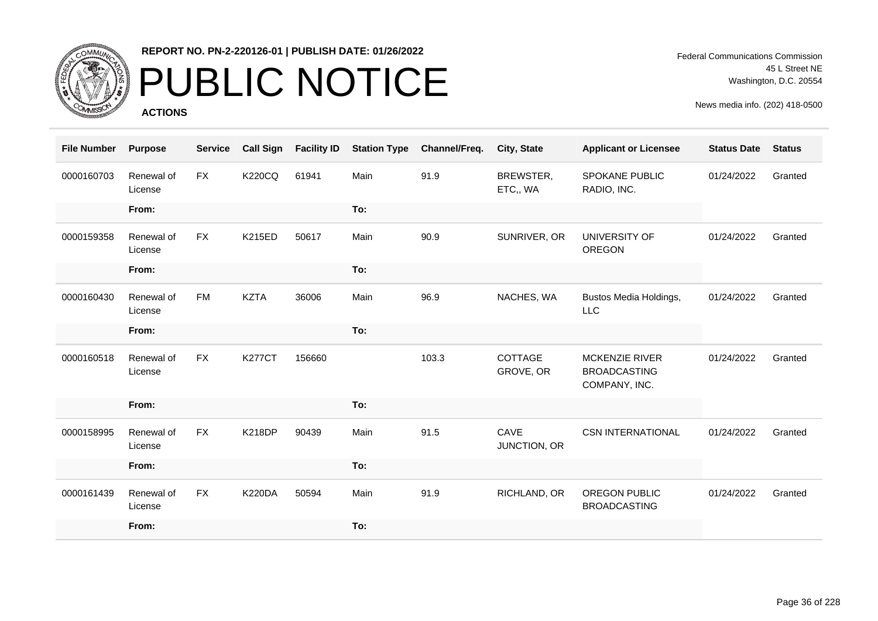

# PUBLIC NOTICE

**ACTIONS**

Federal Communications Commission 45 L Street NE Washington, D.C. 20554

| <b>File Number</b> | <b>Purpose</b>        | <b>Service</b> | <b>Call Sign</b> | <b>Facility ID</b> | <b>Station Type</b> | Channel/Freq. | City, State           | <b>Applicant or Licensee</b>                                  | <b>Status Date</b> | <b>Status</b> |
|--------------------|-----------------------|----------------|------------------|--------------------|---------------------|---------------|-----------------------|---------------------------------------------------------------|--------------------|---------------|
| 0000160703         | Renewal of<br>License | <b>FX</b>      | <b>K220CQ</b>    | 61941              | Main                | 91.9          | BREWSTER,<br>ETC,, WA | <b>SPOKANE PUBLIC</b><br>RADIO, INC.                          | 01/24/2022         | Granted       |
|                    | From:                 |                |                  |                    | To:                 |               |                       |                                                               |                    |               |
| 0000159358         | Renewal of<br>License | <b>FX</b>      | <b>K215ED</b>    | 50617              | Main                | 90.9          | SUNRIVER, OR          | <b>UNIVERSITY OF</b><br><b>OREGON</b>                         | 01/24/2022         | Granted       |
|                    | From:                 |                |                  |                    | To:                 |               |                       |                                                               |                    |               |
| 0000160430         | Renewal of<br>License | <b>FM</b>      | <b>KZTA</b>      | 36006              | Main                | 96.9          | NACHES, WA            | Bustos Media Holdings,<br>LLC                                 | 01/24/2022         | Granted       |
|                    | From:                 |                |                  |                    | To:                 |               |                       |                                                               |                    |               |
| 0000160518         | Renewal of<br>License | <b>FX</b>      | <b>K277CT</b>    | 156660             |                     | 103.3         | COTTAGE<br>GROVE, OR  | <b>MCKENZIE RIVER</b><br><b>BROADCASTING</b><br>COMPANY, INC. | 01/24/2022         | Granted       |
|                    | From:                 |                |                  |                    | To:                 |               |                       |                                                               |                    |               |
| 0000158995         | Renewal of<br>License | <b>FX</b>      | <b>K218DP</b>    | 90439              | Main                | 91.5          | CAVE<br>JUNCTION, OR  | <b>CSN INTERNATIONAL</b>                                      | 01/24/2022         | Granted       |
|                    | From:                 |                |                  |                    | To:                 |               |                       |                                                               |                    |               |
| 0000161439         | Renewal of<br>License | <b>FX</b>      | <b>K220DA</b>    | 50594              | Main                | 91.9          | RICHLAND, OR          | OREGON PUBLIC<br><b>BROADCASTING</b>                          | 01/24/2022         | Granted       |
|                    | From:                 |                |                  |                    | To:                 |               |                       |                                                               |                    |               |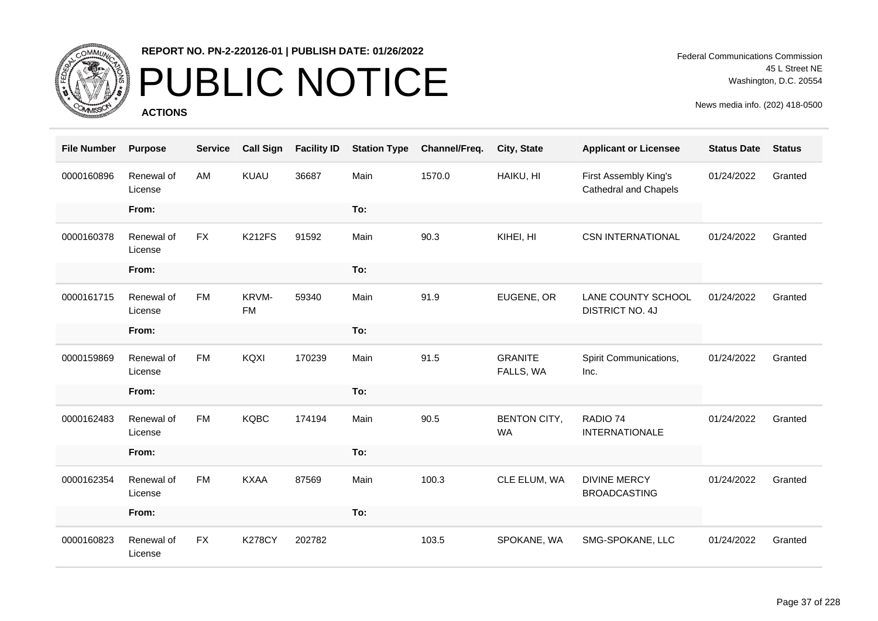

# PUBLIC NOTICE

**ACTIONS**

Federal Communications Commission 45 L Street NE Washington, D.C. 20554

| <b>File Number</b> | <b>Purpose</b>        | <b>Service</b> | <b>Call Sign</b>   | <b>Facility ID</b> | <b>Station Type</b> | Channel/Freq. | City, State                      | <b>Applicant or Licensee</b>                   | <b>Status Date</b> | <b>Status</b> |
|--------------------|-----------------------|----------------|--------------------|--------------------|---------------------|---------------|----------------------------------|------------------------------------------------|--------------------|---------------|
| 0000160896         | Renewal of<br>License | AM             | KUAU               | 36687              | Main                | 1570.0        | HAIKU, HI                        | First Assembly King's<br>Cathedral and Chapels | 01/24/2022         | Granted       |
|                    | From:                 |                |                    |                    | To:                 |               |                                  |                                                |                    |               |
| 0000160378         | Renewal of<br>License | <b>FX</b>      | <b>K212FS</b>      | 91592              | Main                | 90.3          | KIHEI, HI                        | <b>CSN INTERNATIONAL</b>                       | 01/24/2022         | Granted       |
|                    | From:                 |                |                    |                    | To:                 |               |                                  |                                                |                    |               |
| 0000161715         | Renewal of<br>License | <b>FM</b>      | KRVM-<br><b>FM</b> | 59340              | Main                | 91.9          | EUGENE, OR                       | LANE COUNTY SCHOOL<br><b>DISTRICT NO. 4J</b>   | 01/24/2022         | Granted       |
|                    | From:                 |                |                    |                    | To:                 |               |                                  |                                                |                    |               |
| 0000159869         | Renewal of<br>License | <b>FM</b>      | KQXI               | 170239             | Main                | 91.5          | <b>GRANITE</b><br>FALLS, WA      | Spirit Communications,<br>Inc.                 | 01/24/2022         | Granted       |
|                    | From:                 |                |                    |                    | To:                 |               |                                  |                                                |                    |               |
| 0000162483         | Renewal of<br>License | <b>FM</b>      | <b>KQBC</b>        | 174194             | Main                | 90.5          | <b>BENTON CITY,</b><br><b>WA</b> | RADIO 74<br><b>INTERNATIONALE</b>              | 01/24/2022         | Granted       |
|                    | From:                 |                |                    |                    | To:                 |               |                                  |                                                |                    |               |
| 0000162354         | Renewal of<br>License | <b>FM</b>      | <b>KXAA</b>        | 87569              | Main                | 100.3         | CLE ELUM, WA                     | <b>DIVINE MERCY</b><br><b>BROADCASTING</b>     | 01/24/2022         | Granted       |
|                    | From:                 |                |                    |                    | To:                 |               |                                  |                                                |                    |               |
| 0000160823         | Renewal of<br>License | <b>FX</b>      | <b>K278CY</b>      | 202782             |                     | 103.5         | SPOKANE, WA                      | SMG-SPOKANE, LLC                               | 01/24/2022         | Granted       |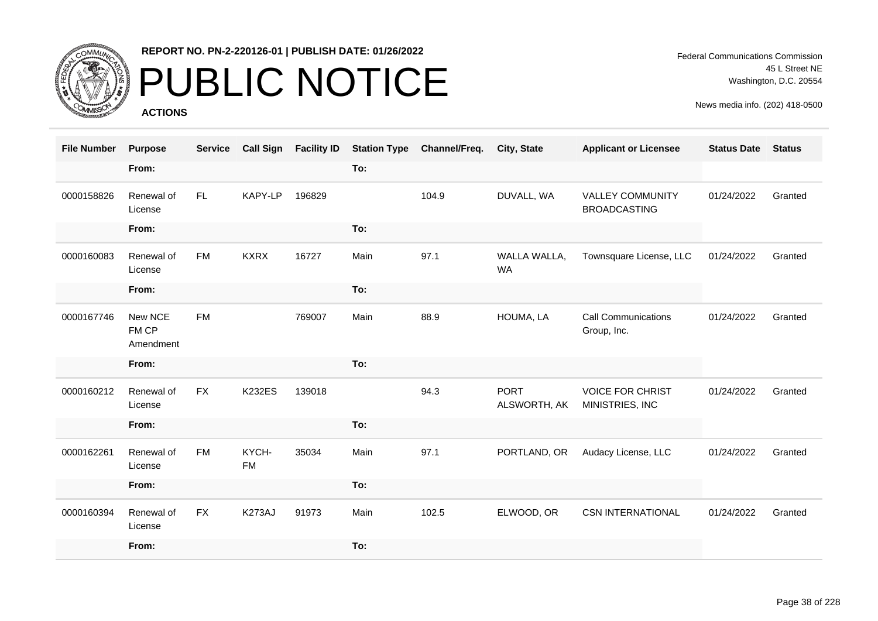

# PUBLIC NOTICE

**ACTIONS**

Federal Communications Commission 45 L Street NE Washington, D.C. 20554

| <b>File Number</b> | <b>Purpose</b>                | <b>Service</b> | <b>Call Sign</b>   | <b>Facility ID</b> | <b>Station Type</b> | Channel/Freq. | <b>City, State</b>          | <b>Applicant or Licensee</b>                   | <b>Status Date</b> | <b>Status</b> |
|--------------------|-------------------------------|----------------|--------------------|--------------------|---------------------|---------------|-----------------------------|------------------------------------------------|--------------------|---------------|
|                    | From:                         |                |                    |                    | To:                 |               |                             |                                                |                    |               |
| 0000158826         | Renewal of<br>License         | FL             | KAPY-LP            | 196829             |                     | 104.9         | DUVALL, WA                  | <b>VALLEY COMMUNITY</b><br><b>BROADCASTING</b> | 01/24/2022         | Granted       |
|                    | From:                         |                |                    |                    | To:                 |               |                             |                                                |                    |               |
| 0000160083         | Renewal of<br>License         | <b>FM</b>      | <b>KXRX</b>        | 16727              | Main                | 97.1          | WALLA WALLA,<br><b>WA</b>   | Townsquare License, LLC                        | 01/24/2022         | Granted       |
|                    | From:                         |                |                    |                    | To:                 |               |                             |                                                |                    |               |
| 0000167746         | New NCE<br>FM CP<br>Amendment | <b>FM</b>      |                    | 769007             | Main                | 88.9          | HOUMA, LA                   | <b>Call Communications</b><br>Group, Inc.      | 01/24/2022         | Granted       |
|                    | From:                         |                |                    |                    | To:                 |               |                             |                                                |                    |               |
| 0000160212         | Renewal of<br>License         | <b>FX</b>      | <b>K232ES</b>      | 139018             |                     | 94.3          | <b>PORT</b><br>ALSWORTH, AK | <b>VOICE FOR CHRIST</b><br>MINISTRIES, INC     | 01/24/2022         | Granted       |
|                    | From:                         |                |                    |                    | To:                 |               |                             |                                                |                    |               |
| 0000162261         | Renewal of<br>License         | <b>FM</b>      | KYCH-<br><b>FM</b> | 35034              | Main                | 97.1          | PORTLAND, OR                | Audacy License, LLC                            | 01/24/2022         | Granted       |
|                    | From:                         |                |                    |                    | To:                 |               |                             |                                                |                    |               |
| 0000160394         | Renewal of<br>License         | <b>FX</b>      | K273AJ             | 91973              | Main                | 102.5         | ELWOOD, OR                  | <b>CSN INTERNATIONAL</b>                       | 01/24/2022         | Granted       |
|                    | From:                         |                |                    |                    | To:                 |               |                             |                                                |                    |               |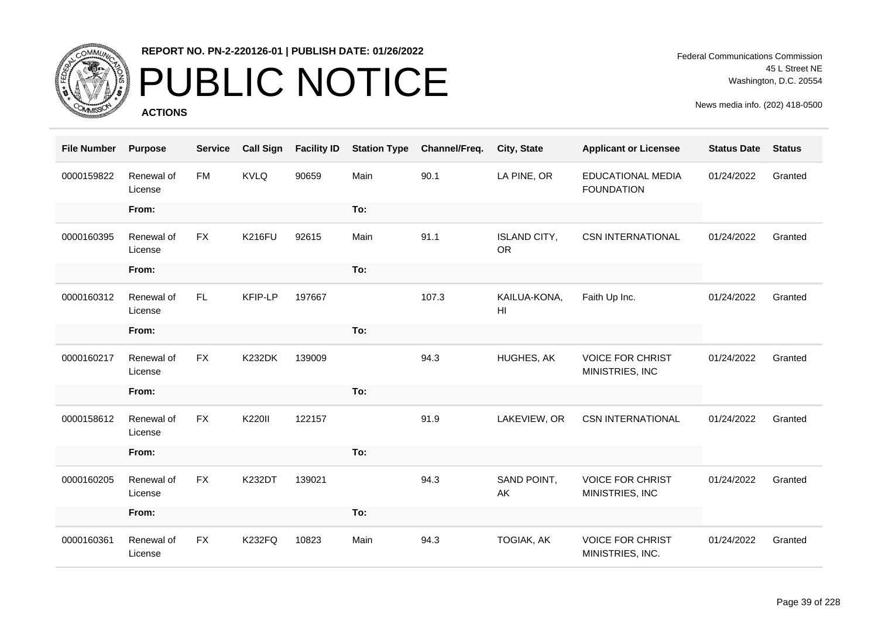

# PUBLIC NOTICE

**ACTIONS**

Federal Communications Commission 45 L Street NE Washington, D.C. 20554

| <b>File Number</b> | <b>Purpose</b>        | <b>Service</b> | <b>Call Sign</b> | <b>Facility ID</b> | <b>Station Type</b> | Channel/Freq. | City, State                      | <b>Applicant or Licensee</b>                | <b>Status Date</b> | <b>Status</b> |
|--------------------|-----------------------|----------------|------------------|--------------------|---------------------|---------------|----------------------------------|---------------------------------------------|--------------------|---------------|
| 0000159822         | Renewal of<br>License | <b>FM</b>      | <b>KVLQ</b>      | 90659              | Main                | 90.1          | LA PINE, OR                      | EDUCATIONAL MEDIA<br><b>FOUNDATION</b>      | 01/24/2022         | Granted       |
|                    | From:                 |                |                  |                    | To:                 |               |                                  |                                             |                    |               |
| 0000160395         | Renewal of<br>License | <b>FX</b>      | <b>K216FU</b>    | 92615              | Main                | 91.1          | <b>ISLAND CITY,</b><br><b>OR</b> | <b>CSN INTERNATIONAL</b>                    | 01/24/2022         | Granted       |
|                    | From:                 |                |                  |                    | To:                 |               |                                  |                                             |                    |               |
| 0000160312         | Renewal of<br>License | FL.            | KFIP-LP          | 197667             |                     | 107.3         | KAILUA-KONA,<br>HI               | Faith Up Inc.                               | 01/24/2022         | Granted       |
|                    | From:                 |                |                  |                    | To:                 |               |                                  |                                             |                    |               |
| 0000160217         | Renewal of<br>License | <b>FX</b>      | <b>K232DK</b>    | 139009             |                     | 94.3          | HUGHES, AK                       | <b>VOICE FOR CHRIST</b><br>MINISTRIES, INC  | 01/24/2022         | Granted       |
|                    | From:                 |                |                  |                    | To:                 |               |                                  |                                             |                    |               |
| 0000158612         | Renewal of<br>License | <b>FX</b>      | K220II           | 122157             |                     | 91.9          | LAKEVIEW, OR                     | <b>CSN INTERNATIONAL</b>                    | 01/24/2022         | Granted       |
|                    | From:                 |                |                  |                    | To:                 |               |                                  |                                             |                    |               |
| 0000160205         | Renewal of<br>License | <b>FX</b>      | <b>K232DT</b>    | 139021             |                     | 94.3          | SAND POINT,<br>AK                | <b>VOICE FOR CHRIST</b><br>MINISTRIES, INC  | 01/24/2022         | Granted       |
|                    | From:                 |                |                  |                    | To:                 |               |                                  |                                             |                    |               |
| 0000160361         | Renewal of<br>License | <b>FX</b>      | <b>K232FQ</b>    | 10823              | Main                | 94.3          | <b>TOGIAK, AK</b>                | <b>VOICE FOR CHRIST</b><br>MINISTRIES, INC. | 01/24/2022         | Granted       |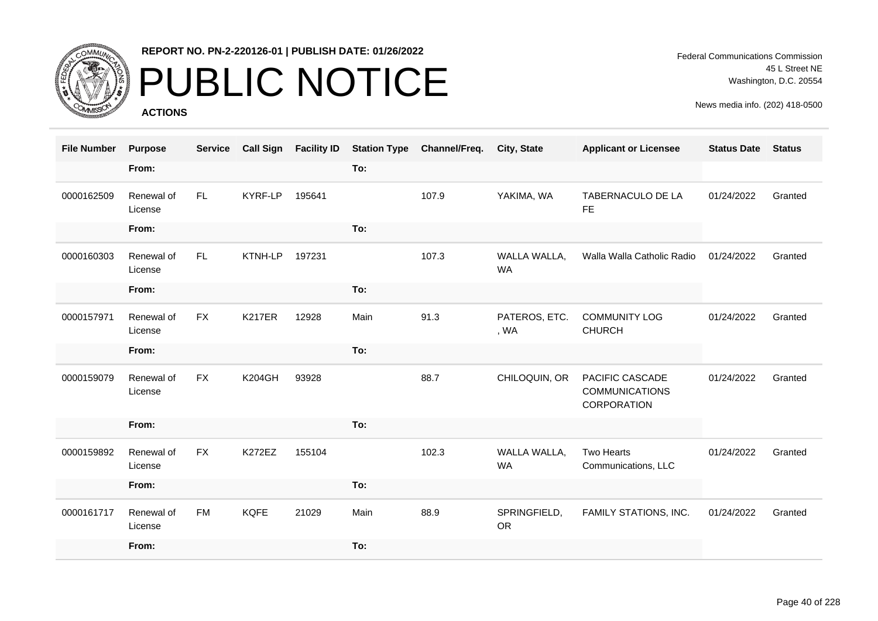

# PUBLIC NOTICE

**ACTIONS**

Federal Communications Commission 45 L Street NE Washington, D.C. 20554

| <b>File Number</b> | <b>Purpose</b>        | <b>Service</b> | <b>Call Sign</b> | <b>Facility ID</b> | <b>Station Type</b> | Channel/Freq. | <b>City, State</b>        | <b>Applicant or Licensee</b>                            | <b>Status Date</b> | <b>Status</b> |
|--------------------|-----------------------|----------------|------------------|--------------------|---------------------|---------------|---------------------------|---------------------------------------------------------|--------------------|---------------|
|                    | From:                 |                |                  |                    | To:                 |               |                           |                                                         |                    |               |
| 0000162509         | Renewal of<br>License | FL.            | KYRF-LP          | 195641             |                     | 107.9         | YAKIMA, WA                | TABERNACULO DE LA<br><b>FE</b>                          | 01/24/2022         | Granted       |
|                    | From:                 |                |                  |                    | To:                 |               |                           |                                                         |                    |               |
| 0000160303         | Renewal of<br>License | FL.            | KTNH-LP          | 197231             |                     | 107.3         | WALLA WALLA,<br><b>WA</b> | Walla Walla Catholic Radio                              | 01/24/2022         | Granted       |
|                    | From:                 |                |                  |                    | To:                 |               |                           |                                                         |                    |               |
| 0000157971         | Renewal of<br>License | <b>FX</b>      | <b>K217ER</b>    | 12928              | Main                | 91.3          | PATEROS, ETC.<br>, WA     | <b>COMMUNITY LOG</b><br><b>CHURCH</b>                   | 01/24/2022         | Granted       |
|                    | From:                 |                |                  |                    | To:                 |               |                           |                                                         |                    |               |
| 0000159079         | Renewal of<br>License | <b>FX</b>      | <b>K204GH</b>    | 93928              |                     | 88.7          | CHILOQUIN, OR             | PACIFIC CASCADE<br><b>COMMUNICATIONS</b><br>CORPORATION | 01/24/2022         | Granted       |
|                    | From:                 |                |                  |                    | To:                 |               |                           |                                                         |                    |               |
| 0000159892         | Renewal of<br>License | <b>FX</b>      | <b>K272EZ</b>    | 155104             |                     | 102.3         | WALLA WALLA,<br><b>WA</b> | <b>Two Hearts</b><br>Communications, LLC                | 01/24/2022         | Granted       |
|                    | From:                 |                |                  |                    | To:                 |               |                           |                                                         |                    |               |
| 0000161717         | Renewal of<br>License | <b>FM</b>      | <b>KQFE</b>      | 21029              | Main                | 88.9          | SPRINGFIELD,<br><b>OR</b> | FAMILY STATIONS, INC.                                   | 01/24/2022         | Granted       |
|                    | From:                 |                |                  |                    | To:                 |               |                           |                                                         |                    |               |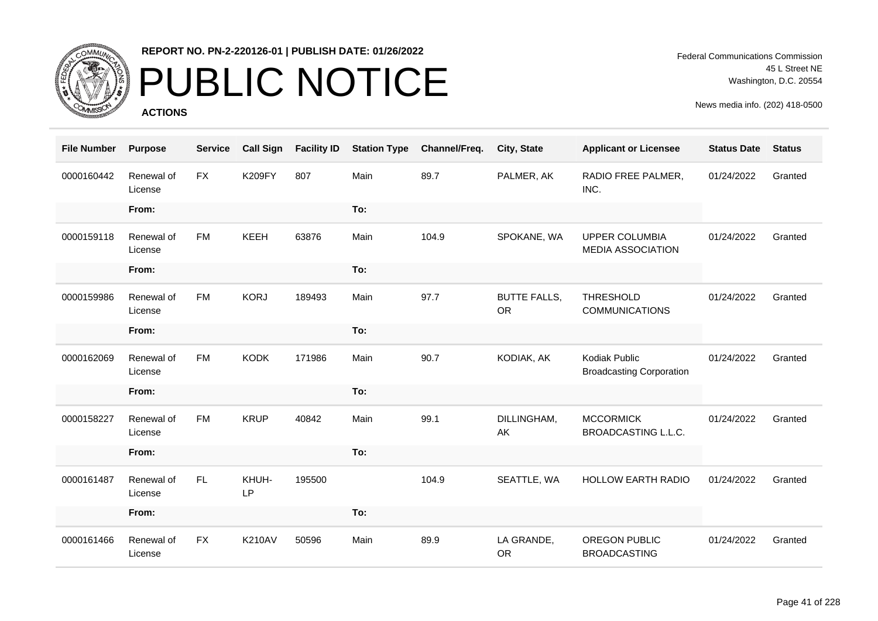

# PUBLIC NOTICE

**ACTIONS**

Federal Communications Commission 45 L Street NE Washington, D.C. 20554

| <b>File Number</b> | <b>Purpose</b>        | <b>Service</b> | <b>Call Sign</b> | <b>Facility ID</b> | <b>Station Type</b> | Channel/Freq. | City, State                      | <b>Applicant or Licensee</b>                      | <b>Status Date</b> | <b>Status</b> |
|--------------------|-----------------------|----------------|------------------|--------------------|---------------------|---------------|----------------------------------|---------------------------------------------------|--------------------|---------------|
| 0000160442         | Renewal of<br>License | <b>FX</b>      | <b>K209FY</b>    | 807                | Main                | 89.7          | PALMER, AK                       | RADIO FREE PALMER,<br>INC.                        | 01/24/2022         | Granted       |
|                    | From:                 |                |                  |                    | To:                 |               |                                  |                                                   |                    |               |
| 0000159118         | Renewal of<br>License | <b>FM</b>      | KEEH             | 63876              | Main                | 104.9         | SPOKANE, WA                      | <b>UPPER COLUMBIA</b><br><b>MEDIA ASSOCIATION</b> | 01/24/2022         | Granted       |
|                    | From:                 |                |                  |                    | To:                 |               |                                  |                                                   |                    |               |
| 0000159986         | Renewal of<br>License | <b>FM</b>      | <b>KORJ</b>      | 189493             | Main                | 97.7          | <b>BUTTE FALLS,</b><br><b>OR</b> | <b>THRESHOLD</b><br><b>COMMUNICATIONS</b>         | 01/24/2022         | Granted       |
|                    | From:                 |                |                  |                    | To:                 |               |                                  |                                                   |                    |               |
| 0000162069         | Renewal of<br>License | <b>FM</b>      | <b>KODK</b>      | 171986             | Main                | 90.7          | KODIAK, AK                       | Kodiak Public<br><b>Broadcasting Corporation</b>  | 01/24/2022         | Granted       |
|                    | From:                 |                |                  |                    | To:                 |               |                                  |                                                   |                    |               |
| 0000158227         | Renewal of<br>License | <b>FM</b>      | <b>KRUP</b>      | 40842              | Main                | 99.1          | DILLINGHAM,<br>AK                | <b>MCCORMICK</b><br>BROADCASTING L.L.C.           | 01/24/2022         | Granted       |
|                    | From:                 |                |                  |                    | To:                 |               |                                  |                                                   |                    |               |
| 0000161487         | Renewal of<br>License | FL.            | KHUH-<br>LP      | 195500             |                     | 104.9         | SEATTLE, WA                      | <b>HOLLOW EARTH RADIO</b>                         | 01/24/2022         | Granted       |
|                    | From:                 |                |                  |                    | To:                 |               |                                  |                                                   |                    |               |
| 0000161466         | Renewal of<br>License | <b>FX</b>      | <b>K210AV</b>    | 50596              | Main                | 89.9          | LA GRANDE,<br><b>OR</b>          | OREGON PUBLIC<br><b>BROADCASTING</b>              | 01/24/2022         | Granted       |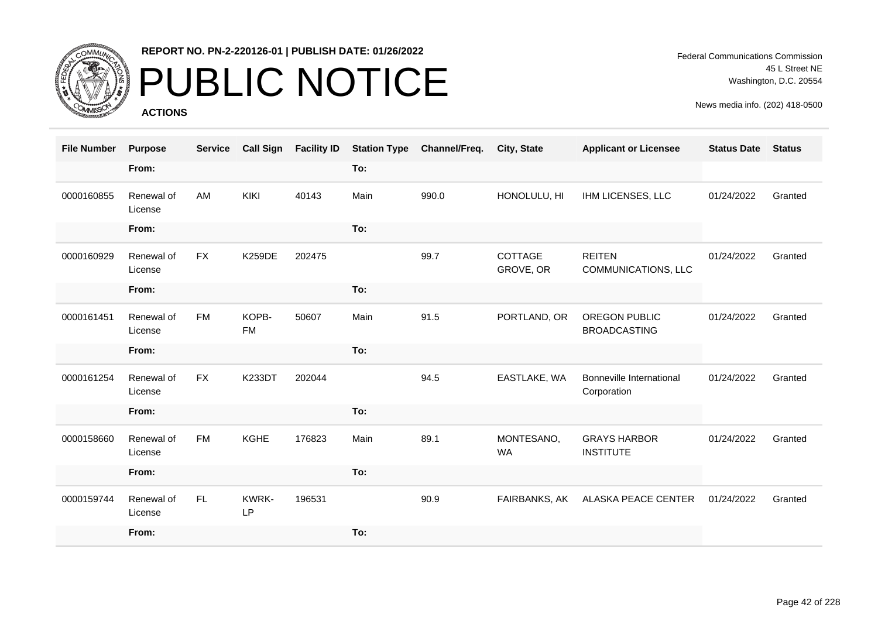

### PUBLIC NOTICE

**ACTIONS**

Federal Communications Commission 45 L Street NE Washington, D.C. 20554

| <b>File Number</b> | <b>Purpose</b>        | <b>Service</b> | <b>Call Sign</b>   | <b>Facility ID</b> | <b>Station Type</b> | Channel/Freq. | City, State             | <b>Applicant or Licensee</b>            | <b>Status Date</b> | <b>Status</b> |
|--------------------|-----------------------|----------------|--------------------|--------------------|---------------------|---------------|-------------------------|-----------------------------------------|--------------------|---------------|
|                    | From:                 |                |                    |                    | To:                 |               |                         |                                         |                    |               |
| 0000160855         | Renewal of<br>License | AM             | KIKI               | 40143              | Main                | 990.0         | HONOLULU, HI            | IHM LICENSES, LLC                       | 01/24/2022         | Granted       |
|                    | From:                 |                |                    |                    | To:                 |               |                         |                                         |                    |               |
| 0000160929         | Renewal of<br>License | <b>FX</b>      | <b>K259DE</b>      | 202475             |                     | 99.7          | COTTAGE<br>GROVE, OR    | <b>REITEN</b><br>COMMUNICATIONS, LLC    | 01/24/2022         | Granted       |
|                    | From:                 |                |                    |                    | To:                 |               |                         |                                         |                    |               |
| 0000161451         | Renewal of<br>License | <b>FM</b>      | KOPB-<br><b>FM</b> | 50607              | Main                | 91.5          | PORTLAND, OR            | OREGON PUBLIC<br><b>BROADCASTING</b>    | 01/24/2022         | Granted       |
|                    | From:                 |                |                    |                    | To:                 |               |                         |                                         |                    |               |
| 0000161254         | Renewal of<br>License | <b>FX</b>      | <b>K233DT</b>      | 202044             |                     | 94.5          | EASTLAKE, WA            | Bonneville International<br>Corporation | 01/24/2022         | Granted       |
|                    | From:                 |                |                    |                    | To:                 |               |                         |                                         |                    |               |
| 0000158660         | Renewal of<br>License | <b>FM</b>      | <b>KGHE</b>        | 176823             | Main                | 89.1          | MONTESANO,<br><b>WA</b> | <b>GRAYS HARBOR</b><br><b>INSTITUTE</b> | 01/24/2022         | Granted       |
|                    | From:                 |                |                    |                    | To:                 |               |                         |                                         |                    |               |
| 0000159744         | Renewal of<br>License | FL.            | KWRK-<br>LP        | 196531             |                     | 90.9          | FAIRBANKS, AK           | ALASKA PEACE CENTER                     | 01/24/2022         | Granted       |
|                    | From:                 |                |                    |                    | To:                 |               |                         |                                         |                    |               |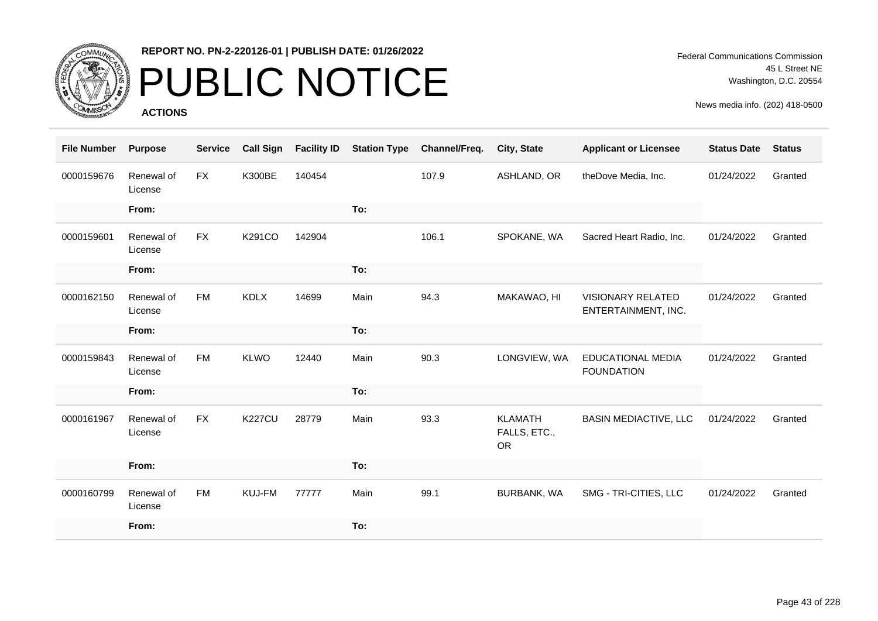

# PUBLIC NOTICE

**ACTIONS**

| <b>File Number</b> | <b>Purpose</b>        | <b>Service</b> | <b>Call Sign</b> | <b>Facility ID</b> | <b>Station Type</b> | Channel/Freq. | City, State                                 | <b>Applicant or Licensee</b>                  | <b>Status Date</b> | <b>Status</b> |
|--------------------|-----------------------|----------------|------------------|--------------------|---------------------|---------------|---------------------------------------------|-----------------------------------------------|--------------------|---------------|
| 0000159676         | Renewal of<br>License | FX             | <b>K300BE</b>    | 140454             |                     | 107.9         | ASHLAND, OR                                 | theDove Media, Inc.                           | 01/24/2022         | Granted       |
|                    | From:                 |                |                  |                    | To:                 |               |                                             |                                               |                    |               |
| 0000159601         | Renewal of<br>License | <b>FX</b>      | K291CO           | 142904             |                     | 106.1         | SPOKANE, WA                                 | Sacred Heart Radio, Inc.                      | 01/24/2022         | Granted       |
|                    | From:                 |                |                  |                    | To:                 |               |                                             |                                               |                    |               |
| 0000162150         | Renewal of<br>License | <b>FM</b>      | <b>KDLX</b>      | 14699              | Main                | 94.3          | MAKAWAO, HI                                 | VISIONARY RELATED<br>ENTERTAINMENT, INC.      | 01/24/2022         | Granted       |
|                    | From:                 |                |                  |                    | To:                 |               |                                             |                                               |                    |               |
| 0000159843         | Renewal of<br>License | <b>FM</b>      | <b>KLWO</b>      | 12440              | Main                | 90.3          | LONGVIEW, WA                                | <b>EDUCATIONAL MEDIA</b><br><b>FOUNDATION</b> | 01/24/2022         | Granted       |
|                    | From:                 |                |                  |                    | To:                 |               |                                             |                                               |                    |               |
| 0000161967         | Renewal of<br>License | <b>FX</b>      | <b>K227CU</b>    | 28779              | Main                | 93.3          | <b>KLAMATH</b><br>FALLS, ETC.,<br><b>OR</b> | <b>BASIN MEDIACTIVE, LLC</b>                  | 01/24/2022         | Granted       |
|                    | From:                 |                |                  |                    | To:                 |               |                                             |                                               |                    |               |
| 0000160799         | Renewal of<br>License | <b>FM</b>      | KUJ-FM           | 77777              | Main                | 99.1          | BURBANK, WA                                 | SMG - TRI-CITIES, LLC                         | 01/24/2022         | Granted       |
|                    | From:                 |                |                  |                    | To:                 |               |                                             |                                               |                    |               |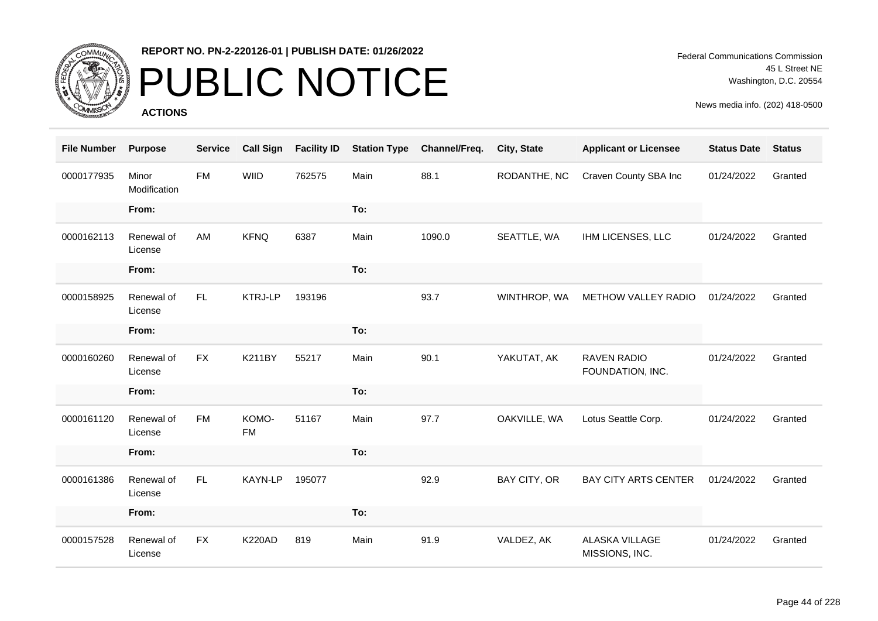

# PUBLIC NOTICE

**ACTIONS**

| <b>File Number</b> | <b>Purpose</b>        | <b>Service</b> | <b>Call Sign</b>   | <b>Facility ID</b> | <b>Station Type</b> | Channel/Freq. | City, State  | <b>Applicant or Licensee</b>           | <b>Status Date</b> | <b>Status</b> |
|--------------------|-----------------------|----------------|--------------------|--------------------|---------------------|---------------|--------------|----------------------------------------|--------------------|---------------|
| 0000177935         | Minor<br>Modification | <b>FM</b>      | <b>WIID</b>        | 762575             | Main                | 88.1          | RODANTHE, NC | Craven County SBA Inc                  | 01/24/2022         | Granted       |
|                    | From:                 |                |                    |                    | To:                 |               |              |                                        |                    |               |
| 0000162113         | Renewal of<br>License | AM             | <b>KFNQ</b>        | 6387               | Main                | 1090.0        | SEATTLE, WA  | IHM LICENSES, LLC                      | 01/24/2022         | Granted       |
|                    | From:                 |                |                    |                    | To:                 |               |              |                                        |                    |               |
| 0000158925         | Renewal of<br>License | FL.            | <b>KTRJ-LP</b>     | 193196             |                     | 93.7          | WINTHROP, WA | METHOW VALLEY RADIO                    | 01/24/2022         | Granted       |
|                    | From:                 |                |                    |                    | To:                 |               |              |                                        |                    |               |
| 0000160260         | Renewal of<br>License | <b>FX</b>      | <b>K211BY</b>      | 55217              | Main                | 90.1          | YAKUTAT, AK  | <b>RAVEN RADIO</b><br>FOUNDATION, INC. | 01/24/2022         | Granted       |
|                    | From:                 |                |                    |                    | To:                 |               |              |                                        |                    |               |
| 0000161120         | Renewal of<br>License | <b>FM</b>      | KOMO-<br><b>FM</b> | 51167              | Main                | 97.7          | OAKVILLE, WA | Lotus Seattle Corp.                    | 01/24/2022         | Granted       |
|                    | From:                 |                |                    |                    | To:                 |               |              |                                        |                    |               |
| 0000161386         | Renewal of<br>License | FL.            | KAYN-LP            | 195077             |                     | 92.9          | BAY CITY, OR | <b>BAY CITY ARTS CENTER</b>            | 01/24/2022         | Granted       |
|                    | From:                 |                |                    |                    | To:                 |               |              |                                        |                    |               |
| 0000157528         | Renewal of<br>License | <b>FX</b>      | <b>K220AD</b>      | 819                | Main                | 91.9          | VALDEZ, AK   | ALASKA VILLAGE<br>MISSIONS, INC.       | 01/24/2022         | Granted       |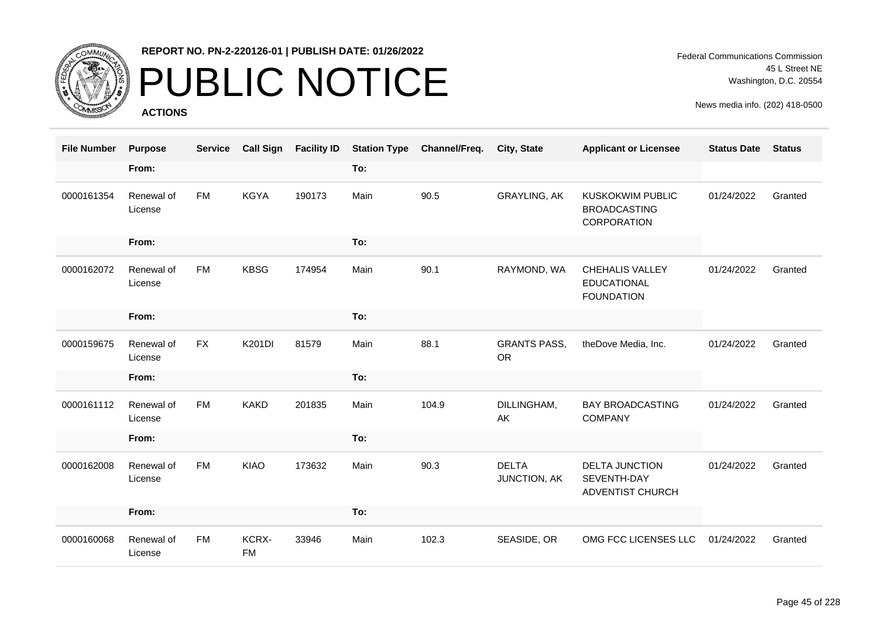

# PUBLIC NOTICE

**ACTIONS**

| <b>File Number</b> | <b>Purpose</b>        | <b>Service</b> | <b>Call Sign</b>   | <b>Facility ID</b> |      | <b>Station Type Channel/Freq.</b> | <b>City, State</b>               | <b>Applicant or Licensee</b>                                         | <b>Status Date</b> | <b>Status</b> |
|--------------------|-----------------------|----------------|--------------------|--------------------|------|-----------------------------------|----------------------------------|----------------------------------------------------------------------|--------------------|---------------|
|                    | From:                 |                |                    |                    | To:  |                                   |                                  |                                                                      |                    |               |
| 0000161354         | Renewal of<br>License | <b>FM</b>      | <b>KGYA</b>        | 190173             | Main | 90.5                              | <b>GRAYLING, AK</b>              | <b>KUSKOKWIM PUBLIC</b><br><b>BROADCASTING</b><br><b>CORPORATION</b> | 01/24/2022         | Granted       |
|                    | From:                 |                |                    |                    | To:  |                                   |                                  |                                                                      |                    |               |
| 0000162072         | Renewal of<br>License | <b>FM</b>      | <b>KBSG</b>        | 174954             | Main | 90.1                              | RAYMOND, WA                      | CHEHALIS VALLEY<br><b>EDUCATIONAL</b><br><b>FOUNDATION</b>           | 01/24/2022         | Granted       |
|                    | From:                 |                |                    |                    | To:  |                                   |                                  |                                                                      |                    |               |
| 0000159675         | Renewal of<br>License | <b>FX</b>      | K201DI             | 81579              | Main | 88.1                              | <b>GRANTS PASS,</b><br><b>OR</b> | theDove Media, Inc.                                                  | 01/24/2022         | Granted       |
|                    | From:                 |                |                    |                    | To:  |                                   |                                  |                                                                      |                    |               |
| 0000161112         | Renewal of<br>License | <b>FM</b>      | <b>KAKD</b>        | 201835             | Main | 104.9                             | DILLINGHAM,<br>AK                | <b>BAY BROADCASTING</b><br><b>COMPANY</b>                            | 01/24/2022         | Granted       |
|                    | From:                 |                |                    |                    | To:  |                                   |                                  |                                                                      |                    |               |
| 0000162008         | Renewal of<br>License | <b>FM</b>      | <b>KIAO</b>        | 173632             | Main | 90.3                              | <b>DELTA</b><br>JUNCTION, AK     | <b>DELTA JUNCTION</b><br>SEVENTH-DAY<br><b>ADVENTIST CHURCH</b>      | 01/24/2022         | Granted       |
|                    | From:                 |                |                    |                    | To:  |                                   |                                  |                                                                      |                    |               |
| 0000160068         | Renewal of<br>License | <b>FM</b>      | KCRX-<br><b>FM</b> | 33946              | Main | 102.3                             | SEASIDE, OR                      | OMG FCC LICENSES LLC                                                 | 01/24/2022         | Granted       |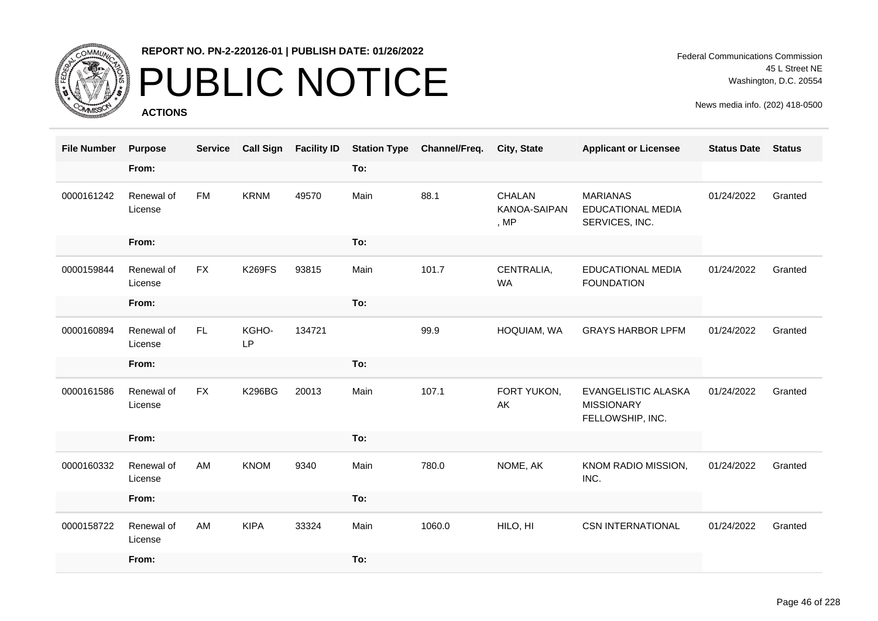

# PUBLIC NOTICE

**ACTIONS**

Federal Communications Commission 45 L Street NE Washington, D.C. 20554

| <b>File Number</b> | <b>Purpose</b>        | <b>Service</b> | <b>Call Sign</b>   | <b>Facility ID</b> |      | <b>Station Type Channel/Freq.</b> | <b>City, State</b>               | <b>Applicant or Licensee</b>                                  | <b>Status Date</b> | <b>Status</b> |
|--------------------|-----------------------|----------------|--------------------|--------------------|------|-----------------------------------|----------------------------------|---------------------------------------------------------------|--------------------|---------------|
|                    | From:                 |                |                    |                    | To:  |                                   |                                  |                                                               |                    |               |
| 0000161242         | Renewal of<br>License | <b>FM</b>      | <b>KRNM</b>        | 49570              | Main | 88.1                              | CHALAN<br>KANOA-SAIPAN<br>, $MP$ | <b>MARIANAS</b><br><b>EDUCATIONAL MEDIA</b><br>SERVICES, INC. | 01/24/2022         | Granted       |
|                    | From:                 |                |                    |                    | To:  |                                   |                                  |                                                               |                    |               |
| 0000159844         | Renewal of<br>License | <b>FX</b>      | <b>K269FS</b>      | 93815              | Main | 101.7                             | CENTRALIA,<br><b>WA</b>          | <b>EDUCATIONAL MEDIA</b><br><b>FOUNDATION</b>                 | 01/24/2022         | Granted       |
|                    | From:                 |                |                    |                    | To:  |                                   |                                  |                                                               |                    |               |
| 0000160894         | Renewal of<br>License | FL.            | KGHO-<br><b>LP</b> | 134721             |      | 99.9                              | HOQUIAM, WA                      | <b>GRAYS HARBOR LPFM</b>                                      | 01/24/2022         | Granted       |
|                    | From:                 |                |                    |                    | To:  |                                   |                                  |                                                               |                    |               |
| 0000161586         | Renewal of<br>License | <b>FX</b>      | <b>K296BG</b>      | 20013              | Main | 107.1                             | FORT YUKON,<br>AK                | EVANGELISTIC ALASKA<br><b>MISSIONARY</b><br>FELLOWSHIP, INC.  | 01/24/2022         | Granted       |
|                    | From:                 |                |                    |                    | To:  |                                   |                                  |                                                               |                    |               |
| 0000160332         | Renewal of<br>License | AM             | <b>KNOM</b>        | 9340               | Main | 780.0                             | NOME, AK                         | KNOM RADIO MISSION,<br>INC.                                   | 01/24/2022         | Granted       |
|                    | From:                 |                |                    |                    | To:  |                                   |                                  |                                                               |                    |               |
| 0000158722         | Renewal of<br>License | AM             | <b>KIPA</b>        | 33324              | Main | 1060.0                            | HILO, HI                         | <b>CSN INTERNATIONAL</b>                                      | 01/24/2022         | Granted       |
|                    | From:                 |                |                    |                    | To:  |                                   |                                  |                                                               |                    |               |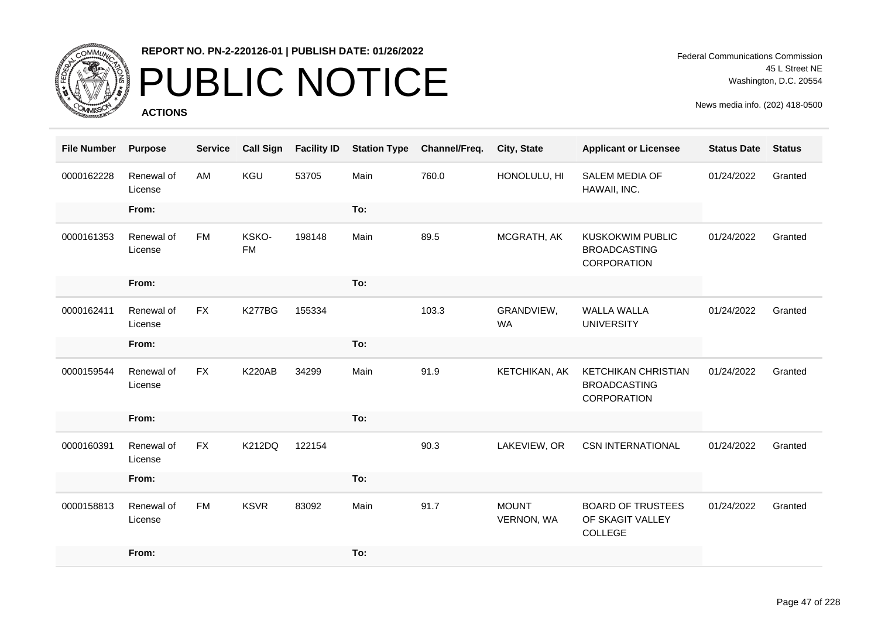

# PUBLIC NOTICE

**ACTIONS**

Federal Communications Commission 45 L Street NE Washington, D.C. 20554

| <b>File Number</b> | <b>Purpose</b>        | <b>Service</b> | <b>Call Sign</b>   | <b>Facility ID</b> | <b>Station Type</b> | Channel/Freq. | City, State                | <b>Applicant or Licensee</b>                                         | <b>Status Date</b> | <b>Status</b> |
|--------------------|-----------------------|----------------|--------------------|--------------------|---------------------|---------------|----------------------------|----------------------------------------------------------------------|--------------------|---------------|
| 0000162228         | Renewal of<br>License | AM             | KGU                | 53705              | Main                | 760.0         | HONOLULU, HI               | SALEM MEDIA OF<br>HAWAII, INC.                                       | 01/24/2022         | Granted       |
|                    | From:                 |                |                    |                    | To:                 |               |                            |                                                                      |                    |               |
| 0000161353         | Renewal of<br>License | FM             | KSKO-<br><b>FM</b> | 198148             | Main                | 89.5          | MCGRATH, AK                | <b>KUSKOKWIM PUBLIC</b><br><b>BROADCASTING</b><br><b>CORPORATION</b> | 01/24/2022         | Granted       |
|                    | From:                 |                |                    |                    | To:                 |               |                            |                                                                      |                    |               |
| 0000162411         | Renewal of<br>License | <b>FX</b>      | <b>K277BG</b>      | 155334             |                     | 103.3         | GRANDVIEW,<br><b>WA</b>    | <b>WALLA WALLA</b><br><b>UNIVERSITY</b>                              | 01/24/2022         | Granted       |
|                    | From:                 |                |                    |                    | To:                 |               |                            |                                                                      |                    |               |
| 0000159544         | Renewal of<br>License | <b>FX</b>      | <b>K220AB</b>      | 34299              | Main                | 91.9          | KETCHIKAN, AK              | <b>KETCHIKAN CHRISTIAN</b><br><b>BROADCASTING</b><br>CORPORATION     | 01/24/2022         | Granted       |
|                    | From:                 |                |                    |                    | To:                 |               |                            |                                                                      |                    |               |
| 0000160391         | Renewal of<br>License | <b>FX</b>      | <b>K212DQ</b>      | 122154             |                     | 90.3          | LAKEVIEW, OR               | <b>CSN INTERNATIONAL</b>                                             | 01/24/2022         | Granted       |
|                    | From:                 |                |                    |                    | To:                 |               |                            |                                                                      |                    |               |
| 0000158813         | Renewal of<br>License | <b>FM</b>      | <b>KSVR</b>        | 83092              | Main                | 91.7          | <b>MOUNT</b><br>VERNON, WA | <b>BOARD OF TRUSTEES</b><br>OF SKAGIT VALLEY<br>COLLEGE              | 01/24/2022         | Granted       |
|                    | From:                 |                |                    |                    | To:                 |               |                            |                                                                      |                    |               |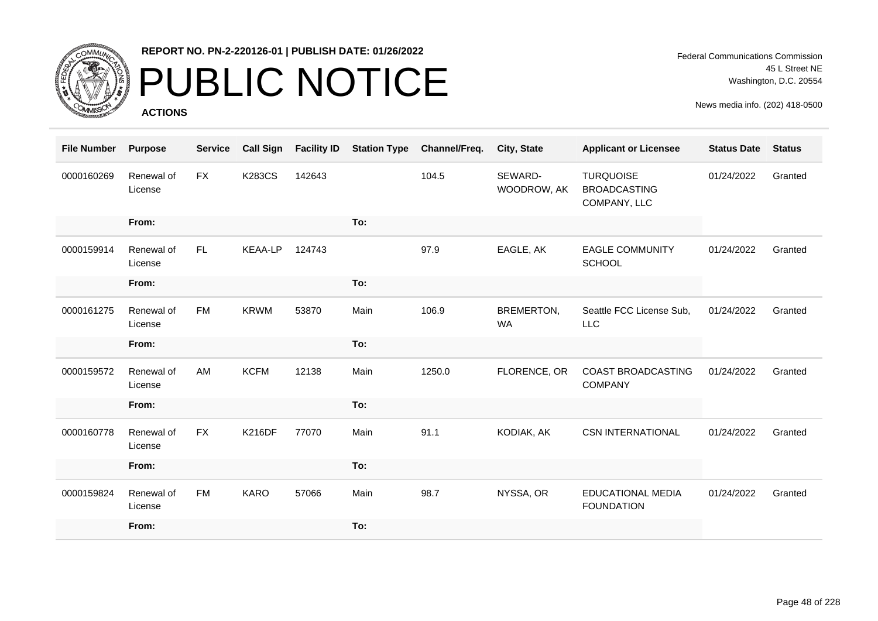

## PUBLIC NOTICE

**ACTIONS**

Federal Communications Commission 45 L Street NE Washington, D.C. 20554

| <b>File Number</b> | <b>Purpose</b>        | <b>Service</b> | <b>Call Sign</b> | <b>Facility ID</b> | <b>Station Type</b> | Channel/Freq. | City, State             | <b>Applicant or Licensee</b>                            | <b>Status Date</b> | <b>Status</b> |
|--------------------|-----------------------|----------------|------------------|--------------------|---------------------|---------------|-------------------------|---------------------------------------------------------|--------------------|---------------|
| 0000160269         | Renewal of<br>License | <b>FX</b>      | <b>K283CS</b>    | 142643             |                     | 104.5         | SEWARD-<br>WOODROW, AK  | <b>TURQUOISE</b><br><b>BROADCASTING</b><br>COMPANY, LLC | 01/24/2022         | Granted       |
|                    | From:                 |                |                  |                    | To:                 |               |                         |                                                         |                    |               |
| 0000159914         | Renewal of<br>License | FL.            | <b>KEAA-LP</b>   | 124743             |                     | 97.9          | EAGLE, AK               | <b>EAGLE COMMUNITY</b><br><b>SCHOOL</b>                 | 01/24/2022         | Granted       |
|                    | From:                 |                |                  |                    | To:                 |               |                         |                                                         |                    |               |
| 0000161275         | Renewal of<br>License | <b>FM</b>      | <b>KRWM</b>      | 53870              | Main                | 106.9         | BREMERTON,<br><b>WA</b> | Seattle FCC License Sub,<br><b>LLC</b>                  | 01/24/2022         | Granted       |
|                    | From:                 |                |                  |                    | To:                 |               |                         |                                                         |                    |               |
|                    |                       |                |                  |                    |                     |               |                         |                                                         |                    |               |
| 0000159572         | Renewal of<br>License | AM             | <b>KCFM</b>      | 12138              | Main                | 1250.0        | FLORENCE, OR            | COAST BROADCASTING<br><b>COMPANY</b>                    | 01/24/2022         | Granted       |
|                    | From:                 |                |                  |                    | To:                 |               |                         |                                                         |                    |               |
| 0000160778         | Renewal of<br>License | <b>FX</b>      | <b>K216DF</b>    | 77070              | Main                | 91.1          | KODIAK, AK              | <b>CSN INTERNATIONAL</b>                                | 01/24/2022         | Granted       |
|                    | From:                 |                |                  |                    | To:                 |               |                         |                                                         |                    |               |
| 0000159824         | Renewal of<br>License | <b>FM</b>      | <b>KARO</b>      | 57066              | Main                | 98.7          | NYSSA, OR               | <b>EDUCATIONAL MEDIA</b><br><b>FOUNDATION</b>           | 01/24/2022         | Granted       |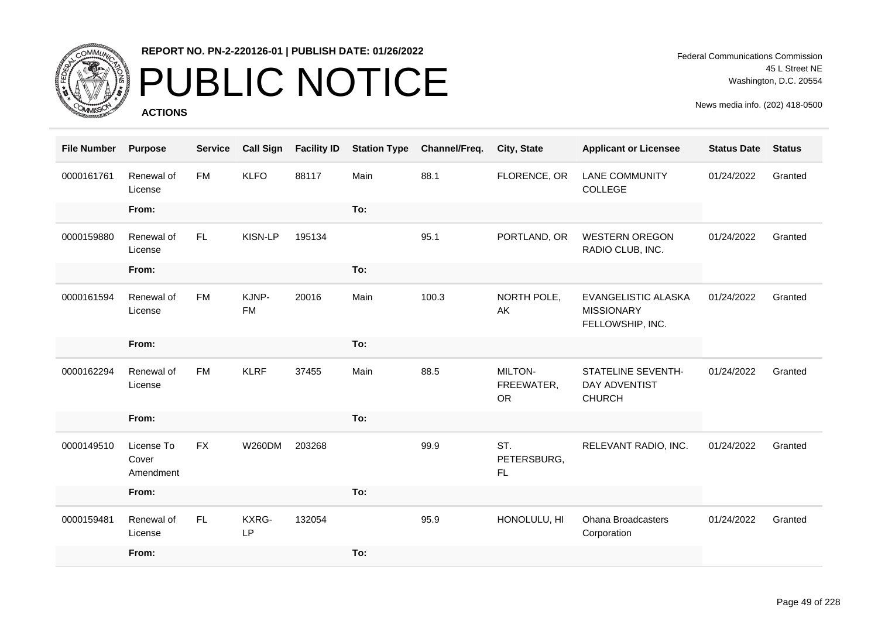

# PUBLIC NOTICE

**ACTIONS**

Federal Communications Commission 45 L Street NE Washington, D.C. 20554

| <b>File Number</b> | <b>Purpose</b>                   | <b>Service</b> | <b>Call Sign</b>   | <b>Facility ID</b> | <b>Station Type</b> | Channel/Freq. | City, State                               | <b>Applicant or Licensee</b>                                       | <b>Status Date</b> | <b>Status</b> |
|--------------------|----------------------------------|----------------|--------------------|--------------------|---------------------|---------------|-------------------------------------------|--------------------------------------------------------------------|--------------------|---------------|
| 0000161761         | Renewal of<br>License            | <b>FM</b>      | <b>KLFO</b>        | 88117              | Main                | 88.1          | FLORENCE, OR                              | <b>LANE COMMUNITY</b><br>COLLEGE                                   | 01/24/2022         | Granted       |
|                    | From:                            |                |                    |                    | To:                 |               |                                           |                                                                    |                    |               |
| 0000159880         | Renewal of<br>License            | FL.            | KISN-LP            | 195134             |                     | 95.1          | PORTLAND, OR                              | <b>WESTERN OREGON</b><br>RADIO CLUB, INC.                          | 01/24/2022         | Granted       |
|                    | From:                            |                |                    |                    | To:                 |               |                                           |                                                                    |                    |               |
| 0000161594         | Renewal of<br>License            | <b>FM</b>      | KJNP-<br><b>FM</b> | 20016              | Main                | 100.3         | NORTH POLE,<br>AK                         | EVANGELISTIC ALASKA<br><b>MISSIONARY</b><br>FELLOWSHIP, INC.       | 01/24/2022         | Granted       |
|                    | From:                            |                |                    |                    | To:                 |               |                                           |                                                                    |                    |               |
| 0000162294         | Renewal of<br>License            | <b>FM</b>      | <b>KLRF</b>        | 37455              | Main                | 88.5          | <b>MILTON-</b><br>FREEWATER,<br><b>OR</b> | <b>STATELINE SEVENTH-</b><br><b>DAY ADVENTIST</b><br><b>CHURCH</b> | 01/24/2022         | Granted       |
|                    | From:                            |                |                    |                    | To:                 |               |                                           |                                                                    |                    |               |
| 0000149510         | License To<br>Cover<br>Amendment | <b>FX</b>      | <b>W260DM</b>      | 203268             |                     | 99.9          | ST.<br>PETERSBURG,<br>FL.                 | RELEVANT RADIO, INC.                                               | 01/24/2022         | Granted       |
|                    | From:                            |                |                    |                    | To:                 |               |                                           |                                                                    |                    |               |
| 0000159481         | Renewal of<br>License            | FL.            | KXRG-<br><b>LP</b> | 132054             |                     | 95.9          | HONOLULU, HI                              | <b>Ohana Broadcasters</b><br>Corporation                           | 01/24/2022         | Granted       |
|                    | From:                            |                |                    |                    | To:                 |               |                                           |                                                                    |                    |               |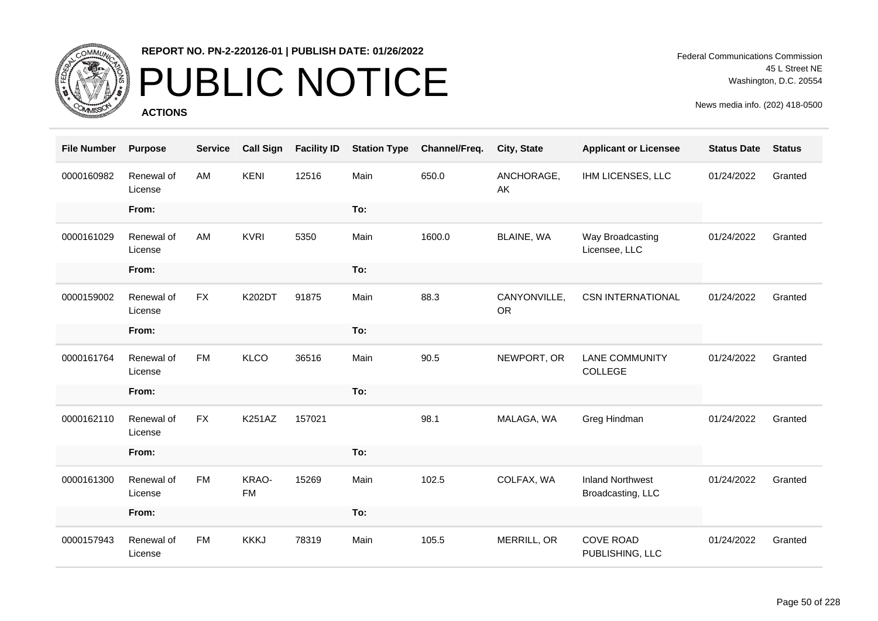

# PUBLIC NOTICE

**ACTIONS**

Federal Communications Commission 45 L Street NE Washington, D.C. 20554

| <b>File Number</b> | <b>Purpose</b>        | <b>Service</b> | <b>Call Sign</b>   | <b>Facility ID</b> | <b>Station Type</b> | Channel/Freq. | City, State               | <b>Applicant or Licensee</b>                 | <b>Status Date</b> | <b>Status</b> |
|--------------------|-----------------------|----------------|--------------------|--------------------|---------------------|---------------|---------------------------|----------------------------------------------|--------------------|---------------|
| 0000160982         | Renewal of<br>License | AM             | <b>KENI</b>        | 12516              | Main                | 650.0         | ANCHORAGE,<br>AK          | IHM LICENSES, LLC                            | 01/24/2022         | Granted       |
|                    | From:                 |                |                    |                    | To:                 |               |                           |                                              |                    |               |
| 0000161029         | Renewal of<br>License | AM             | <b>KVRI</b>        | 5350               | Main                | 1600.0        | BLAINE, WA                | Way Broadcasting<br>Licensee, LLC            | 01/24/2022         | Granted       |
|                    | From:                 |                |                    |                    | To:                 |               |                           |                                              |                    |               |
| 0000159002         | Renewal of<br>License | <b>FX</b>      | K202DT             | 91875              | Main                | 88.3          | CANYONVILLE,<br><b>OR</b> | <b>CSN INTERNATIONAL</b>                     | 01/24/2022         | Granted       |
|                    | From:                 |                |                    |                    | To:                 |               |                           |                                              |                    |               |
| 0000161764         | Renewal of<br>License | <b>FM</b>      | <b>KLCO</b>        | 36516              | Main                | 90.5          | NEWPORT, OR               | <b>LANE COMMUNITY</b><br>COLLEGE             | 01/24/2022         | Granted       |
|                    | From:                 |                |                    |                    | To:                 |               |                           |                                              |                    |               |
| 0000162110         | Renewal of<br>License | <b>FX</b>      | <b>K251AZ</b>      | 157021             |                     | 98.1          | MALAGA, WA                | Greg Hindman                                 | 01/24/2022         | Granted       |
|                    | From:                 |                |                    |                    | To:                 |               |                           |                                              |                    |               |
| 0000161300         | Renewal of<br>License | <b>FM</b>      | KRAO-<br><b>FM</b> | 15269              | Main                | 102.5         | COLFAX, WA                | <b>Inland Northwest</b><br>Broadcasting, LLC | 01/24/2022         | Granted       |
|                    | From:                 |                |                    |                    | To:                 |               |                           |                                              |                    |               |
| 0000157943         | Renewal of<br>License | <b>FM</b>      | <b>KKKJ</b>        | 78319              | Main                | 105.5         | MERRILL, OR               | <b>COVE ROAD</b><br>PUBLISHING, LLC          | 01/24/2022         | Granted       |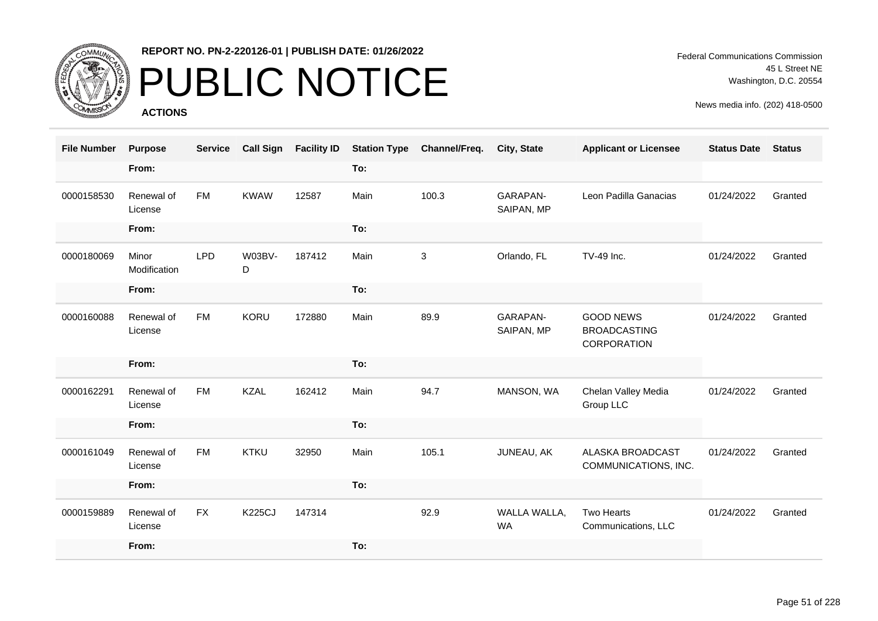

# PUBLIC NOTICE

**ACTIONS**

Federal Communications Commission 45 L Street NE Washington, D.C. 20554

| <b>File Number</b> | <b>Purpose</b>        | <b>Service</b> | <b>Call Sign</b> | <b>Facility ID</b> | <b>Station Type</b> | Channel/Freq. | City, State                   | <b>Applicant or Licensee</b>                           | <b>Status Date</b> | <b>Status</b> |
|--------------------|-----------------------|----------------|------------------|--------------------|---------------------|---------------|-------------------------------|--------------------------------------------------------|--------------------|---------------|
|                    | From:                 |                |                  |                    | To:                 |               |                               |                                                        |                    |               |
| 0000158530         | Renewal of<br>License | <b>FM</b>      | <b>KWAW</b>      | 12587              | Main                | 100.3         | <b>GARAPAN-</b><br>SAIPAN, MP | Leon Padilla Ganacias                                  | 01/24/2022         | Granted       |
|                    | From:                 |                |                  |                    | To:                 |               |                               |                                                        |                    |               |
| 0000180069         | Minor<br>Modification | <b>LPD</b>     | W03BV-<br>D      | 187412             | Main                | 3             | Orlando, FL                   | TV-49 Inc.                                             | 01/24/2022         | Granted       |
|                    | From:                 |                |                  |                    | To:                 |               |                               |                                                        |                    |               |
| 0000160088         | Renewal of<br>License | <b>FM</b>      | KORU             | 172880             | Main                | 89.9          | GARAPAN-<br>SAIPAN, MP        | <b>GOOD NEWS</b><br><b>BROADCASTING</b><br>CORPORATION | 01/24/2022         | Granted       |
|                    | From:                 |                |                  |                    | To:                 |               |                               |                                                        |                    |               |
| 0000162291         | Renewal of<br>License | <b>FM</b>      | <b>KZAL</b>      | 162412             | Main                | 94.7          | MANSON, WA                    | Chelan Valley Media<br>Group LLC                       | 01/24/2022         | Granted       |
|                    | From:                 |                |                  |                    | To:                 |               |                               |                                                        |                    |               |
| 0000161049         | Renewal of<br>License | <b>FM</b>      | KTKU             | 32950              | Main                | 105.1         | JUNEAU, AK                    | ALASKA BROADCAST<br>COMMUNICATIONS, INC.               | 01/24/2022         | Granted       |
|                    | From:                 |                |                  |                    | To:                 |               |                               |                                                        |                    |               |
| 0000159889         | Renewal of<br>License | <b>FX</b>      | <b>K225CJ</b>    | 147314             |                     | 92.9          | WALLA WALLA,<br><b>WA</b>     | <b>Two Hearts</b><br>Communications, LLC               | 01/24/2022         | Granted       |
|                    | From:                 |                |                  |                    | To:                 |               |                               |                                                        |                    |               |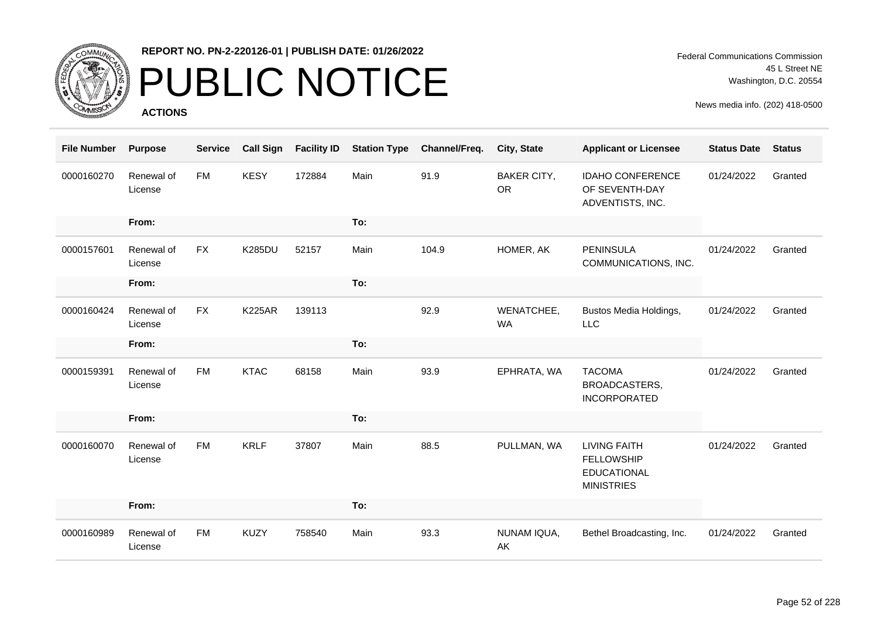

# PUBLIC NOTICE

**ACTIONS**

| <b>File Number</b> | <b>Purpose</b>        | <b>Service</b> | <b>Call Sign</b> | <b>Facility ID</b> | <b>Station Type</b> | Channel/Freq. | City, State                     | <b>Applicant or Licensee</b>                                                        | <b>Status Date</b> | <b>Status</b> |
|--------------------|-----------------------|----------------|------------------|--------------------|---------------------|---------------|---------------------------------|-------------------------------------------------------------------------------------|--------------------|---------------|
| 0000160270         | Renewal of<br>License | <b>FM</b>      | <b>KESY</b>      | 172884             | Main                | 91.9          | <b>BAKER CITY,</b><br><b>OR</b> | <b>IDAHO CONFERENCE</b><br>OF SEVENTH-DAY<br>ADVENTISTS, INC.                       | 01/24/2022         | Granted       |
|                    | From:                 |                |                  |                    | To:                 |               |                                 |                                                                                     |                    |               |
| 0000157601         | Renewal of<br>License | <b>FX</b>      | <b>K285DU</b>    | 52157              | Main                | 104.9         | HOMER, AK                       | <b>PENINSULA</b><br>COMMUNICATIONS, INC.                                            | 01/24/2022         | Granted       |
|                    | From:                 |                |                  |                    | To:                 |               |                                 |                                                                                     |                    |               |
| 0000160424         | Renewal of<br>License | <b>FX</b>      | <b>K225AR</b>    | 139113             |                     | 92.9          | WENATCHEE,<br><b>WA</b>         | Bustos Media Holdings,<br>LLC                                                       | 01/24/2022         | Granted       |
|                    | From:                 |                |                  |                    | To:                 |               |                                 |                                                                                     |                    |               |
| 0000159391         | Renewal of<br>License | <b>FM</b>      | <b>KTAC</b>      | 68158              | Main                | 93.9          | EPHRATA, WA                     | <b>TACOMA</b><br>BROADCASTERS,<br><b>INCORPORATED</b>                               | 01/24/2022         | Granted       |
|                    | From:                 |                |                  |                    | To:                 |               |                                 |                                                                                     |                    |               |
| 0000160070         | Renewal of<br>License | <b>FM</b>      | <b>KRLF</b>      | 37807              | Main                | 88.5          | PULLMAN, WA                     | <b>LIVING FAITH</b><br><b>FELLOWSHIP</b><br><b>EDUCATIONAL</b><br><b>MINISTRIES</b> | 01/24/2022         | Granted       |
|                    | From:                 |                |                  |                    | To:                 |               |                                 |                                                                                     |                    |               |
| 0000160989         | Renewal of<br>License | <b>FM</b>      | <b>KUZY</b>      | 758540             | Main                | 93.3          | NUNAM IQUA,<br>AK               | Bethel Broadcasting, Inc.                                                           | 01/24/2022         | Granted       |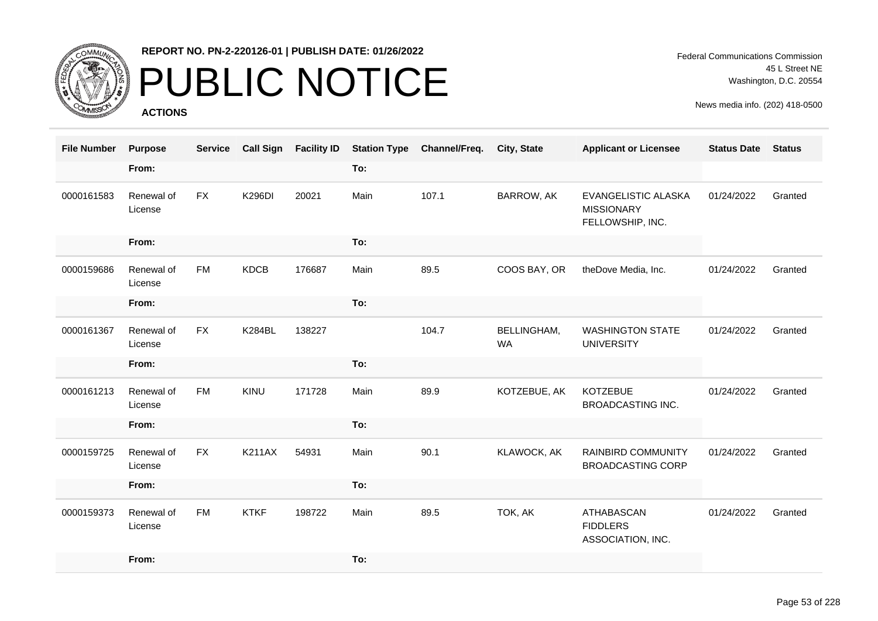

# PUBLIC NOTICE

**ACTIONS**

| <b>File Number</b> | <b>Purpose</b>        | <b>Service</b> | <b>Call Sign</b> | <b>Facility ID</b> |      | <b>Station Type Channel/Freq.</b> | City, State                     | <b>Applicant or Licensee</b>                                 | <b>Status Date</b> | <b>Status</b> |
|--------------------|-----------------------|----------------|------------------|--------------------|------|-----------------------------------|---------------------------------|--------------------------------------------------------------|--------------------|---------------|
|                    | From:                 |                |                  |                    | To:  |                                   |                                 |                                                              |                    |               |
| 0000161583         | Renewal of<br>License | <b>FX</b>      | <b>K296DI</b>    | 20021              | Main | 107.1                             | BARROW, AK                      | EVANGELISTIC ALASKA<br><b>MISSIONARY</b><br>FELLOWSHIP, INC. | 01/24/2022         | Granted       |
|                    | From:                 |                |                  |                    | To:  |                                   |                                 |                                                              |                    |               |
| 0000159686         | Renewal of<br>License | <b>FM</b>      | <b>KDCB</b>      | 176687             | Main | 89.5                              | COOS BAY, OR                    | theDove Media, Inc.                                          | 01/24/2022         | Granted       |
|                    | From:                 |                |                  |                    | To:  |                                   |                                 |                                                              |                    |               |
| 0000161367         | Renewal of<br>License | <b>FX</b>      | <b>K284BL</b>    | 138227             |      | 104.7                             | <b>BELLINGHAM,</b><br><b>WA</b> | <b>WASHINGTON STATE</b><br><b>UNIVERSITY</b>                 | 01/24/2022         | Granted       |
|                    | From:                 |                |                  |                    | To:  |                                   |                                 |                                                              |                    |               |
| 0000161213         | Renewal of<br>License | <b>FM</b>      | <b>KINU</b>      | 171728             | Main | 89.9                              | KOTZEBUE, AK                    | <b>KOTZEBUE</b><br><b>BROADCASTING INC.</b>                  | 01/24/2022         | Granted       |
|                    | From:                 |                |                  |                    | To:  |                                   |                                 |                                                              |                    |               |
| 0000159725         | Renewal of<br>License | <b>FX</b>      | <b>K211AX</b>    | 54931              | Main | 90.1                              | KLAWOCK, AK                     | RAINBIRD COMMUNITY<br><b>BROADCASTING CORP</b>               | 01/24/2022         | Granted       |
|                    | From:                 |                |                  |                    | To:  |                                   |                                 |                                                              |                    |               |
| 0000159373         | Renewal of<br>License | <b>FM</b>      | <b>KTKF</b>      | 198722             | Main | 89.5                              | TOK, AK                         | ATHABASCAN<br><b>FIDDLERS</b><br>ASSOCIATION, INC.           | 01/24/2022         | Granted       |
|                    | From:                 |                |                  |                    | To:  |                                   |                                 |                                                              |                    |               |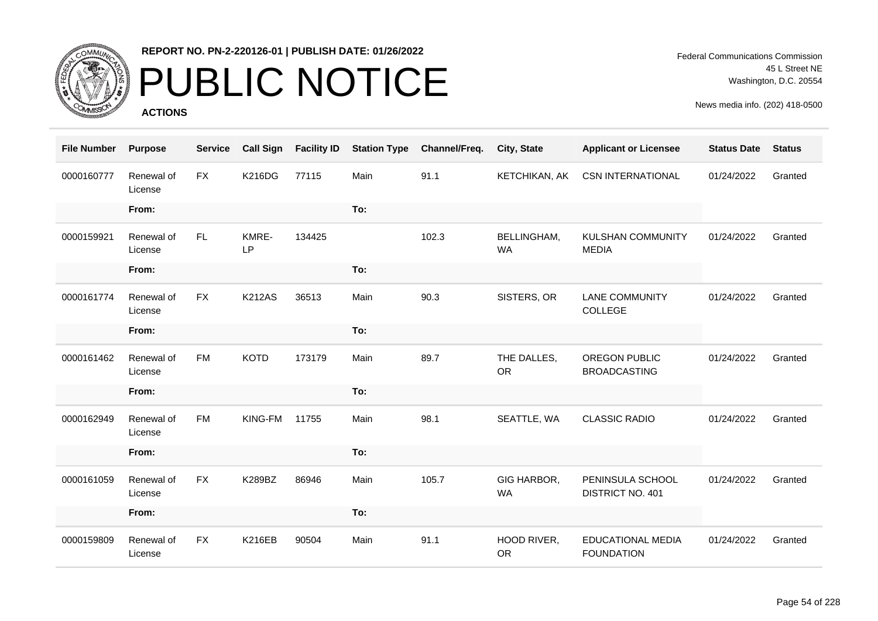

### PUBLIC NOTICE

**ACTIONS**

| <b>File Number</b> | <b>Purpose</b>        | <b>Service</b> | <b>Call Sign</b> | <b>Facility ID</b> | <b>Station Type</b> | Channel/Freq. | City, State              | <b>Applicant or Licensee</b>                  | <b>Status Date</b> | <b>Status</b> |
|--------------------|-----------------------|----------------|------------------|--------------------|---------------------|---------------|--------------------------|-----------------------------------------------|--------------------|---------------|
| 0000160777         | Renewal of<br>License | <b>FX</b>      | <b>K216DG</b>    | 77115              | Main                | 91.1          | KETCHIKAN, AK            | <b>CSN INTERNATIONAL</b>                      | 01/24/2022         | Granted       |
|                    | From:                 |                |                  |                    | To:                 |               |                          |                                               |                    |               |
| 0000159921         | Renewal of<br>License | <b>FL</b>      | KMRE-<br>LP      | 134425             |                     | 102.3         | BELLINGHAM,<br><b>WA</b> | <b>KULSHAN COMMUNITY</b><br><b>MEDIA</b>      | 01/24/2022         | Granted       |
|                    | From:                 |                |                  |                    | To:                 |               |                          |                                               |                    |               |
| 0000161774         | Renewal of<br>License | <b>FX</b>      | <b>K212AS</b>    | 36513              | Main                | 90.3          | SISTERS, OR              | <b>LANE COMMUNITY</b><br>COLLEGE              | 01/24/2022         | Granted       |
|                    | From:                 |                |                  |                    | To:                 |               |                          |                                               |                    |               |
| 0000161462         | Renewal of<br>License | <b>FM</b>      | <b>KOTD</b>      | 173179             | Main                | 89.7          | THE DALLES,<br><b>OR</b> | OREGON PUBLIC<br><b>BROADCASTING</b>          | 01/24/2022         | Granted       |
|                    | From:                 |                |                  |                    | To:                 |               |                          |                                               |                    |               |
| 0000162949         | Renewal of<br>License | <b>FM</b>      | KING-FM          | 11755              | Main                | 98.1          | SEATTLE, WA              | <b>CLASSIC RADIO</b>                          | 01/24/2022         | Granted       |
|                    | From:                 |                |                  |                    | To:                 |               |                          |                                               |                    |               |
| 0000161059         | Renewal of<br>License | <b>FX</b>      | K289BZ           | 86946              | Main                | 105.7         | GIG HARBOR,<br><b>WA</b> | PENINSULA SCHOOL<br>DISTRICT NO. 401          | 01/24/2022         | Granted       |
|                    | From:                 |                |                  |                    | To:                 |               |                          |                                               |                    |               |
| 0000159809         | Renewal of<br>License | <b>FX</b>      | <b>K216EB</b>    | 90504              | Main                | 91.1          | HOOD RIVER,<br><b>OR</b> | <b>EDUCATIONAL MEDIA</b><br><b>FOUNDATION</b> | 01/24/2022         | Granted       |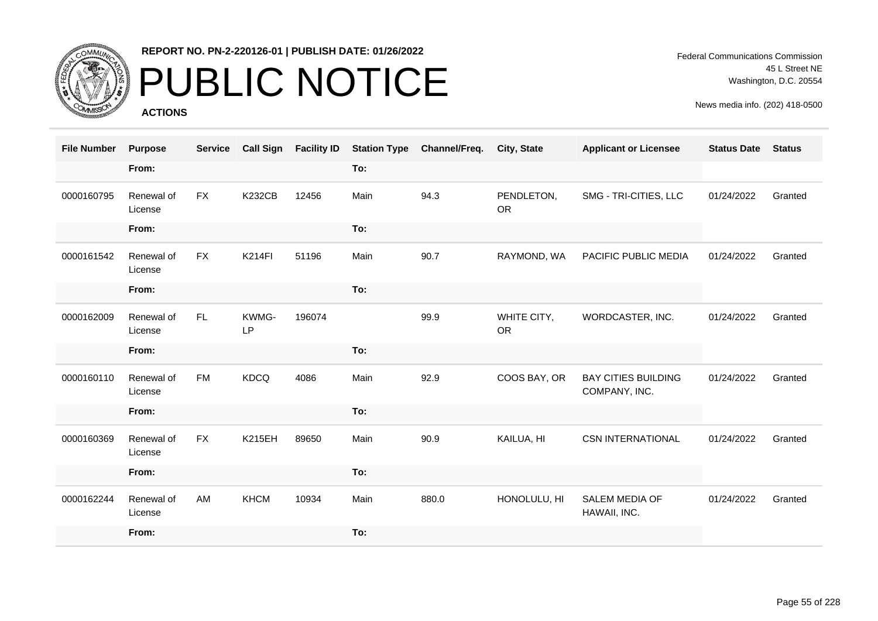

### PUBLIC NOTICE

**ACTIONS**

Federal Communications Commission 45 L Street NE Washington, D.C. 20554

| <b>File Number</b> | <b>Purpose</b>        | <b>Service</b> | <b>Call Sign</b> | <b>Facility ID</b> | <b>Station Type</b> | Channel/Freq. | City, State              | <b>Applicant or Licensee</b>                | <b>Status Date</b> | <b>Status</b> |
|--------------------|-----------------------|----------------|------------------|--------------------|---------------------|---------------|--------------------------|---------------------------------------------|--------------------|---------------|
|                    | From:                 |                |                  |                    | To:                 |               |                          |                                             |                    |               |
| 0000160795         | Renewal of<br>License | <b>FX</b>      | <b>K232CB</b>    | 12456              | Main                | 94.3          | PENDLETON,<br><b>OR</b>  | SMG - TRI-CITIES, LLC                       | 01/24/2022         | Granted       |
|                    | From:                 |                |                  |                    | To:                 |               |                          |                                             |                    |               |
| 0000161542         | Renewal of<br>License | <b>FX</b>      | <b>K214FI</b>    | 51196              | Main                | 90.7          | RAYMOND, WA              | PACIFIC PUBLIC MEDIA                        | 01/24/2022         | Granted       |
|                    | From:                 |                |                  |                    | To:                 |               |                          |                                             |                    |               |
| 0000162009         | Renewal of<br>License | FL.            | KWMG-<br>LP      | 196074             |                     | 99.9          | WHITE CITY,<br><b>OR</b> | WORDCASTER, INC.                            | 01/24/2022         | Granted       |
|                    | From:                 |                |                  |                    | To:                 |               |                          |                                             |                    |               |
| 0000160110         | Renewal of<br>License | <b>FM</b>      | <b>KDCQ</b>      | 4086               | Main                | 92.9          | COOS BAY, OR             | <b>BAY CITIES BUILDING</b><br>COMPANY, INC. | 01/24/2022         | Granted       |
|                    | From:                 |                |                  |                    | To:                 |               |                          |                                             |                    |               |
| 0000160369         | Renewal of<br>License | FX             | <b>K215EH</b>    | 89650              | Main                | 90.9          | KAILUA, HI               | <b>CSN INTERNATIONAL</b>                    | 01/24/2022         | Granted       |
|                    | From:                 |                |                  |                    | To:                 |               |                          |                                             |                    |               |
| 0000162244         | Renewal of<br>License | AM             | <b>KHCM</b>      | 10934              | Main                | 880.0         | HONOLULU, HI             | <b>SALEM MEDIA OF</b><br>HAWAII, INC.       | 01/24/2022         | Granted       |
|                    | From:                 |                |                  |                    | To:                 |               |                          |                                             |                    |               |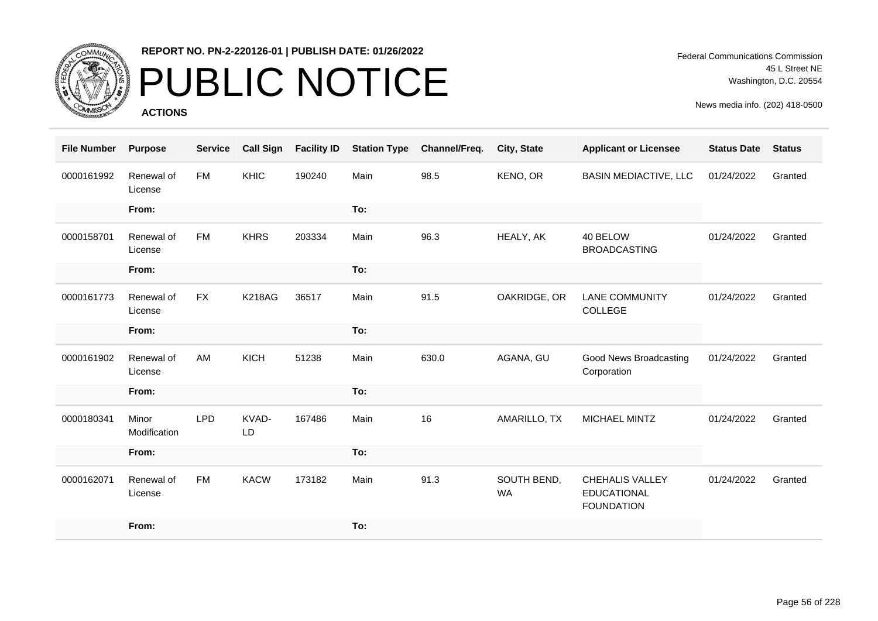

# PUBLIC NOTICE

**ACTIONS**

| <b>File Number</b> | <b>Purpose</b>        | <b>Service</b> | <b>Call Sign</b> | <b>Facility ID</b> | <b>Station Type</b> | Channel/Freq. | City, State              | <b>Applicant or Licensee</b>                                      | <b>Status Date</b> | <b>Status</b> |
|--------------------|-----------------------|----------------|------------------|--------------------|---------------------|---------------|--------------------------|-------------------------------------------------------------------|--------------------|---------------|
| 0000161992         | Renewal of<br>License | <b>FM</b>      | <b>KHIC</b>      | 190240             | Main                | 98.5          | KENO, OR                 | <b>BASIN MEDIACTIVE, LLC</b>                                      | 01/24/2022         | Granted       |
|                    | From:                 |                |                  |                    | To:                 |               |                          |                                                                   |                    |               |
| 0000158701         | Renewal of<br>License | <b>FM</b>      | <b>KHRS</b>      | 203334             | Main                | 96.3          | HEALY, AK                | 40 BELOW<br><b>BROADCASTING</b>                                   | 01/24/2022         | Granted       |
|                    | From:                 |                |                  |                    | To:                 |               |                          |                                                                   |                    |               |
| 0000161773         | Renewal of<br>License | <b>FX</b>      | <b>K218AG</b>    | 36517              | Main                | 91.5          | OAKRIDGE, OR             | <b>LANE COMMUNITY</b><br>COLLEGE                                  | 01/24/2022         | Granted       |
|                    | From:                 |                |                  |                    | To:                 |               |                          |                                                                   |                    |               |
| 0000161902         | Renewal of<br>License | AM             | KICH             | 51238              | Main                | 630.0         | AGANA, GU                | Good News Broadcasting<br>Corporation                             | 01/24/2022         | Granted       |
|                    | From:                 |                |                  |                    | To:                 |               |                          |                                                                   |                    |               |
| 0000180341         | Minor<br>Modification | <b>LPD</b>     | KVAD-<br>LD      | 167486             | Main                | 16            | AMARILLO, TX             | MICHAEL MINTZ                                                     | 01/24/2022         | Granted       |
|                    | From:                 |                |                  |                    | To:                 |               |                          |                                                                   |                    |               |
| 0000162071         | Renewal of<br>License | <b>FM</b>      | <b>KACW</b>      | 173182             | Main                | 91.3          | SOUTH BEND,<br><b>WA</b> | <b>CHEHALIS VALLEY</b><br><b>EDUCATIONAL</b><br><b>FOUNDATION</b> | 01/24/2022         | Granted       |
|                    | From:                 |                |                  |                    | To:                 |               |                          |                                                                   |                    |               |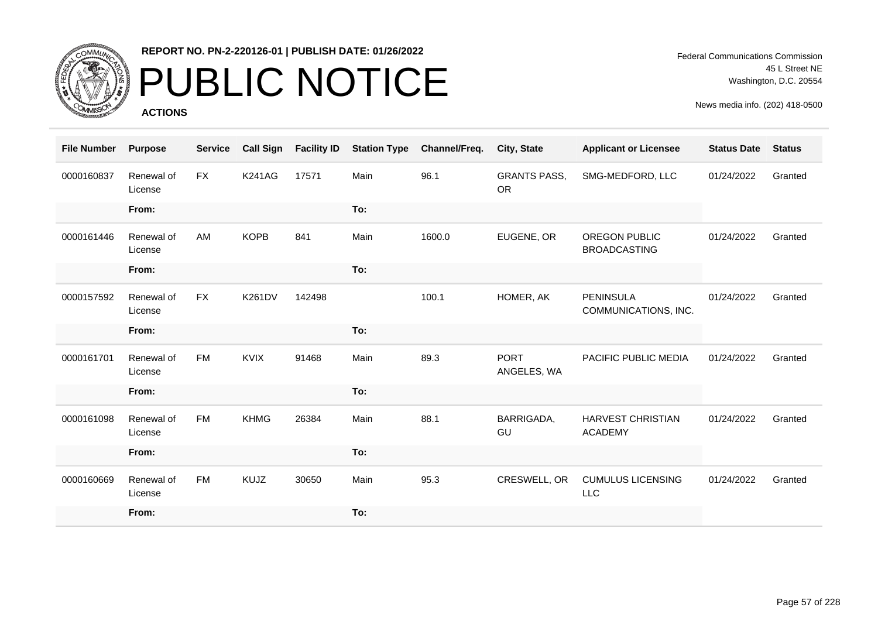

# PUBLIC NOTICE

**ACTIONS**

Federal Communications Commission 45 L Street NE Washington, D.C. 20554

| <b>File Number</b> | <b>Purpose</b>        | <b>Service</b> | <b>Call Sign</b> | <b>Facility ID</b> | <b>Station Type</b> | Channel/Freq. | <b>City, State</b>               | <b>Applicant or Licensee</b>                | <b>Status Date</b> | <b>Status</b> |
|--------------------|-----------------------|----------------|------------------|--------------------|---------------------|---------------|----------------------------------|---------------------------------------------|--------------------|---------------|
| 0000160837         | Renewal of<br>License | <b>FX</b>      | <b>K241AG</b>    | 17571              | Main                | 96.1          | <b>GRANTS PASS,</b><br><b>OR</b> | SMG-MEDFORD, LLC                            | 01/24/2022         | Granted       |
|                    | From:                 |                |                  |                    | To:                 |               |                                  |                                             |                    |               |
| 0000161446         | Renewal of<br>License | AM             | <b>KOPB</b>      | 841                | Main                | 1600.0        | EUGENE, OR                       | <b>OREGON PUBLIC</b><br><b>BROADCASTING</b> | 01/24/2022         | Granted       |
|                    | From:                 |                |                  |                    | To:                 |               |                                  |                                             |                    |               |
| 0000157592         | Renewal of<br>License | <b>FX</b>      | <b>K261DV</b>    | 142498             |                     | 100.1         | HOMER, AK                        | <b>PENINSULA</b><br>COMMUNICATIONS, INC.    | 01/24/2022         | Granted       |
|                    | From:                 |                |                  |                    | To:                 |               |                                  |                                             |                    |               |
| 0000161701         | Renewal of<br>License | FM             | <b>KVIX</b>      | 91468              | Main                | 89.3          | <b>PORT</b><br>ANGELES, WA       | PACIFIC PUBLIC MEDIA                        | 01/24/2022         | Granted       |
|                    | From:                 |                |                  |                    | To:                 |               |                                  |                                             |                    |               |
| 0000161098         | Renewal of<br>License | <b>FM</b>      | <b>KHMG</b>      | 26384              | Main                | 88.1          | BARRIGADA,<br>GU                 | <b>HARVEST CHRISTIAN</b><br><b>ACADEMY</b>  | 01/24/2022         | Granted       |
|                    | From:                 |                |                  |                    | To:                 |               |                                  |                                             |                    |               |
| 0000160669         | Renewal of<br>License | <b>FM</b>      | KUJZ             | 30650              | Main                | 95.3          | CRESWELL, OR                     | <b>CUMULUS LICENSING</b><br>LLC             | 01/24/2022         | Granted       |
|                    | From:                 |                |                  |                    | To:                 |               |                                  |                                             |                    |               |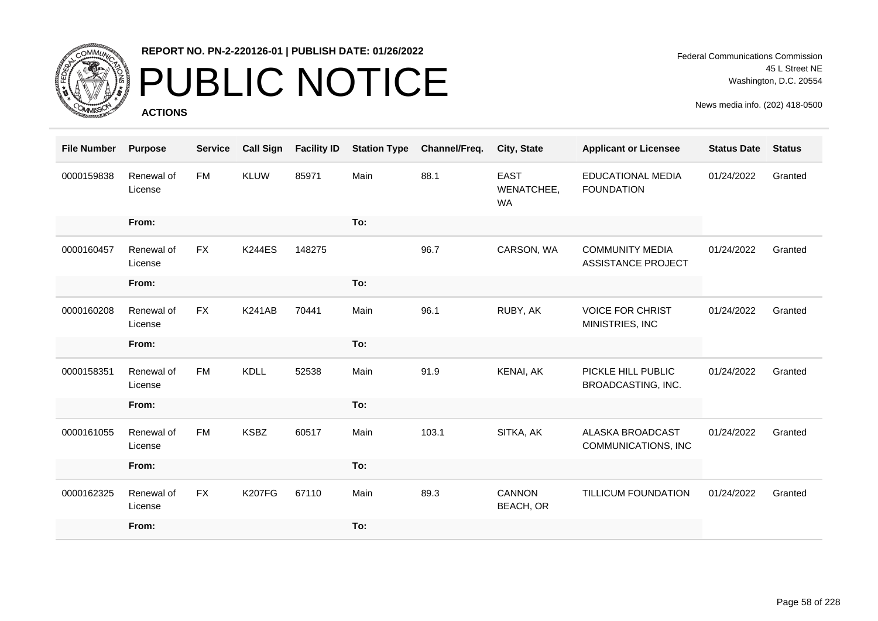

## PUBLIC NOTICE

**ACTIONS**

Federal Communications Commission 45 L Street NE Washington, D.C. 20554

| <b>File Number</b> | <b>Purpose</b>        | <b>Service</b> | <b>Call Sign</b> | <b>Facility ID</b> | <b>Station Type</b> | Channel/Freq. | City, State                       | <b>Applicant or Licensee</b>                        | <b>Status Date</b> | <b>Status</b> |
|--------------------|-----------------------|----------------|------------------|--------------------|---------------------|---------------|-----------------------------------|-----------------------------------------------------|--------------------|---------------|
| 0000159838         | Renewal of<br>License | <b>FM</b>      | <b>KLUW</b>      | 85971              | Main                | 88.1          | <b>EAST</b><br>WENATCHEE,<br>WA   | <b>EDUCATIONAL MEDIA</b><br><b>FOUNDATION</b>       | 01/24/2022         | Granted       |
|                    | From:                 |                |                  |                    | To:                 |               |                                   |                                                     |                    |               |
| 0000160457         | Renewal of<br>License | <b>FX</b>      | <b>K244ES</b>    | 148275             |                     | 96.7          | CARSON, WA                        | <b>COMMUNITY MEDIA</b><br><b>ASSISTANCE PROJECT</b> | 01/24/2022         | Granted       |
|                    | From:                 |                |                  |                    | To:                 |               |                                   |                                                     |                    |               |
| 0000160208         | Renewal of<br>License | <b>FX</b>      | <b>K241AB</b>    | 70441              | Main                | 96.1          | RUBY, AK                          | <b>VOICE FOR CHRIST</b><br>MINISTRIES, INC          | 01/24/2022         | Granted       |
|                    | From:                 |                |                  |                    | To:                 |               |                                   |                                                     |                    |               |
| 0000158351         | Renewal of<br>License | <b>FM</b>      | <b>KDLL</b>      | 52538              | Main                | 91.9          | KENAI, AK                         | PICKLE HILL PUBLIC<br>BROADCASTING, INC.            | 01/24/2022         | Granted       |
|                    | From:                 |                |                  |                    | To:                 |               |                                   |                                                     |                    |               |
| 0000161055         | Renewal of<br>License | <b>FM</b>      | <b>KSBZ</b>      | 60517              | Main                | 103.1         | SITKA, AK                         | ALASKA BROADCAST<br>COMMUNICATIONS, INC             | 01/24/2022         | Granted       |
|                    | From:                 |                |                  |                    | To:                 |               |                                   |                                                     |                    |               |
| 0000162325         | Renewal of<br>License | <b>FX</b>      | <b>K207FG</b>    | 67110              | Main                | 89.3          | <b>CANNON</b><br><b>BEACH, OR</b> | <b>TILLICUM FOUNDATION</b>                          | 01/24/2022         | Granted       |
|                    | From:                 |                |                  |                    | To:                 |               |                                   |                                                     |                    |               |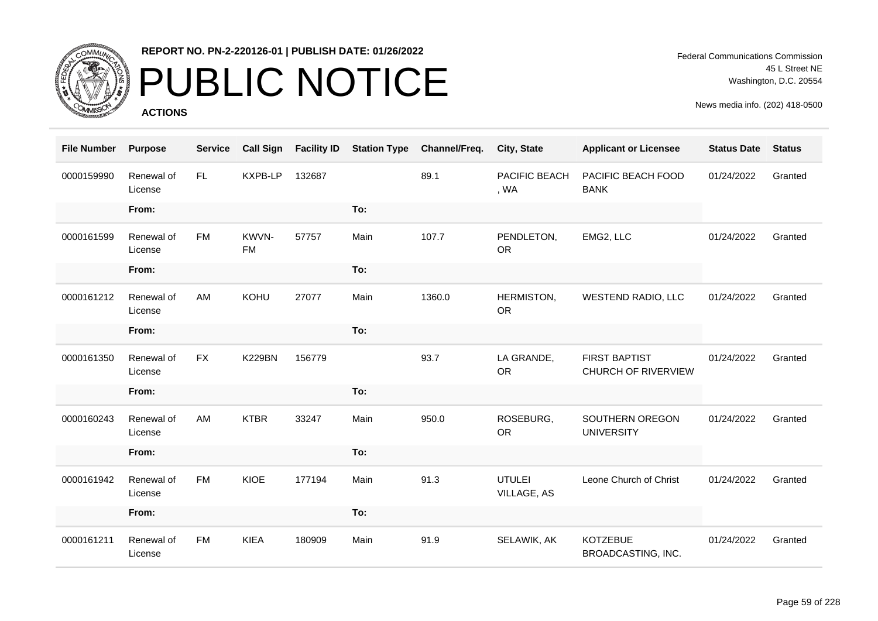

# PUBLIC NOTICE

**ACTIONS**

Federal Communications Commission 45 L Street NE Washington, D.C. 20554

| <b>File Number</b> | <b>Purpose</b>        | <b>Service</b> | <b>Call Sign</b>   | <b>Facility ID</b> | <b>Station Type</b> | Channel/Freq. | City, State                  | <b>Applicant or Licensee</b>                | <b>Status Date</b> | <b>Status</b> |
|--------------------|-----------------------|----------------|--------------------|--------------------|---------------------|---------------|------------------------------|---------------------------------------------|--------------------|---------------|
| 0000159990         | Renewal of<br>License | FL.            | <b>KXPB-LP</b>     | 132687             |                     | 89.1          | PACIFIC BEACH<br>, WA        | PACIFIC BEACH FOOD<br><b>BANK</b>           | 01/24/2022         | Granted       |
|                    | From:                 |                |                    |                    | To:                 |               |                              |                                             |                    |               |
| 0000161599         | Renewal of<br>License | <b>FM</b>      | KWVN-<br><b>FM</b> | 57757              | Main                | 107.7         | PENDLETON,<br><b>OR</b>      | EMG2, LLC                                   | 01/24/2022         | Granted       |
|                    | From:                 |                |                    |                    | To:                 |               |                              |                                             |                    |               |
| 0000161212         | Renewal of<br>License | AM             | KOHU               | 27077              | Main                | 1360.0        | HERMISTON,<br><b>OR</b>      | WESTEND RADIO, LLC                          | 01/24/2022         | Granted       |
|                    | From:                 |                |                    |                    | To:                 |               |                              |                                             |                    |               |
| 0000161350         | Renewal of<br>License | <b>FX</b>      | <b>K229BN</b>      | 156779             |                     | 93.7          | LA GRANDE,<br><b>OR</b>      | <b>FIRST BAPTIST</b><br>CHURCH OF RIVERVIEW | 01/24/2022         | Granted       |
|                    | From:                 |                |                    |                    | To:                 |               |                              |                                             |                    |               |
| 0000160243         | Renewal of<br>License | AM             | <b>KTBR</b>        | 33247              | Main                | 950.0         | ROSEBURG,<br><b>OR</b>       | SOUTHERN OREGON<br><b>UNIVERSITY</b>        | 01/24/2022         | Granted       |
|                    | From:                 |                |                    |                    | To:                 |               |                              |                                             |                    |               |
| 0000161942         | Renewal of<br>License | <b>FM</b>      | KIOE               | 177194             | Main                | 91.3          | <b>UTULEI</b><br>VILLAGE, AS | Leone Church of Christ                      | 01/24/2022         | Granted       |
|                    | From:                 |                |                    |                    | To:                 |               |                              |                                             |                    |               |
| 0000161211         | Renewal of<br>License | <b>FM</b>      | <b>KIEA</b>        | 180909             | Main                | 91.9          | SELAWIK, AK                  | <b>KOTZEBUE</b><br>BROADCASTING, INC.       | 01/24/2022         | Granted       |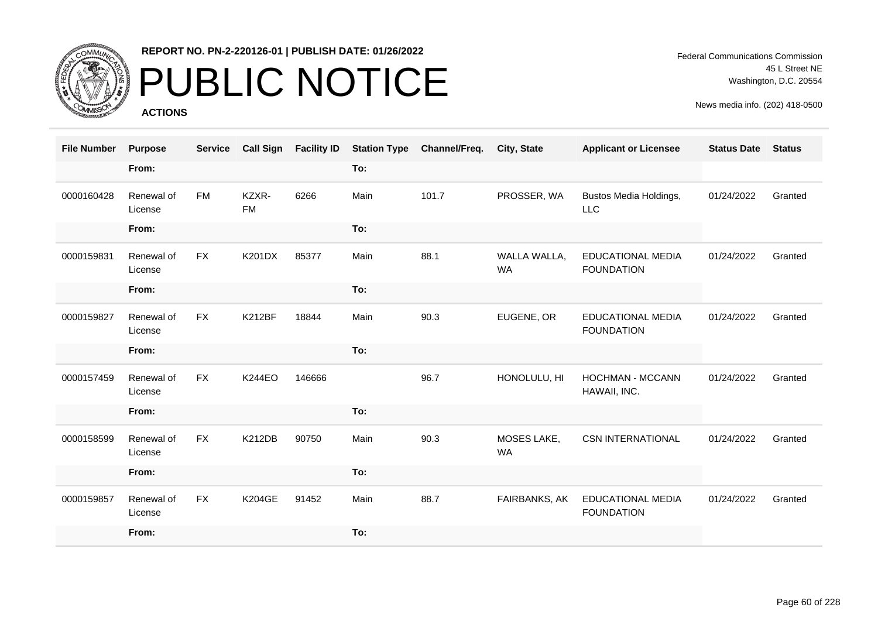

# PUBLIC NOTICE

**ACTIONS**

Federal Communications Commission 45 L Street NE Washington, D.C. 20554

| <b>File Number</b> | <b>Purpose</b>        | <b>Service</b> | <b>Call Sign</b>   | <b>Facility ID</b> | <b>Station Type</b> | Channel/Freq. | City, State               | <b>Applicant or Licensee</b>                  | <b>Status Date</b> | <b>Status</b> |
|--------------------|-----------------------|----------------|--------------------|--------------------|---------------------|---------------|---------------------------|-----------------------------------------------|--------------------|---------------|
|                    | From:                 |                |                    |                    | To:                 |               |                           |                                               |                    |               |
| 0000160428         | Renewal of<br>License | <b>FM</b>      | KZXR-<br><b>FM</b> | 6266               | Main                | 101.7         | PROSSER, WA               | Bustos Media Holdings,<br><b>LLC</b>          | 01/24/2022         | Granted       |
|                    | From:                 |                |                    |                    | To:                 |               |                           |                                               |                    |               |
| 0000159831         | Renewal of<br>License | <b>FX</b>      | <b>K201DX</b>      | 85377              | Main                | 88.1          | WALLA WALLA,<br><b>WA</b> | <b>EDUCATIONAL MEDIA</b><br><b>FOUNDATION</b> | 01/24/2022         | Granted       |
|                    | From:                 |                |                    |                    | To:                 |               |                           |                                               |                    |               |
| 0000159827         | Renewal of<br>License | FX             | K212BF             | 18844              | Main                | 90.3          | EUGENE, OR                | <b>EDUCATIONAL MEDIA</b><br><b>FOUNDATION</b> | 01/24/2022         | Granted       |
|                    | From:                 |                |                    |                    | To:                 |               |                           |                                               |                    |               |
| 0000157459         | Renewal of<br>License | <b>FX</b>      | <b>K244EO</b>      | 146666             |                     | 96.7          | HONOLULU, HI              | <b>HOCHMAN - MCCANN</b><br>HAWAII, INC.       | 01/24/2022         | Granted       |
|                    | From:                 |                |                    |                    | To:                 |               |                           |                                               |                    |               |
| 0000158599         | Renewal of<br>License | <b>FX</b>      | <b>K212DB</b>      | 90750              | Main                | 90.3          | MOSES LAKE,<br><b>WA</b>  | <b>CSN INTERNATIONAL</b>                      | 01/24/2022         | Granted       |
|                    | From:                 |                |                    |                    | To:                 |               |                           |                                               |                    |               |
| 0000159857         | Renewal of<br>License | <b>FX</b>      | <b>K204GE</b>      | 91452              | Main                | 88.7          | FAIRBANKS, AK             | EDUCATIONAL MEDIA<br><b>FOUNDATION</b>        | 01/24/2022         | Granted       |
|                    | From:                 |                |                    |                    | To:                 |               |                           |                                               |                    |               |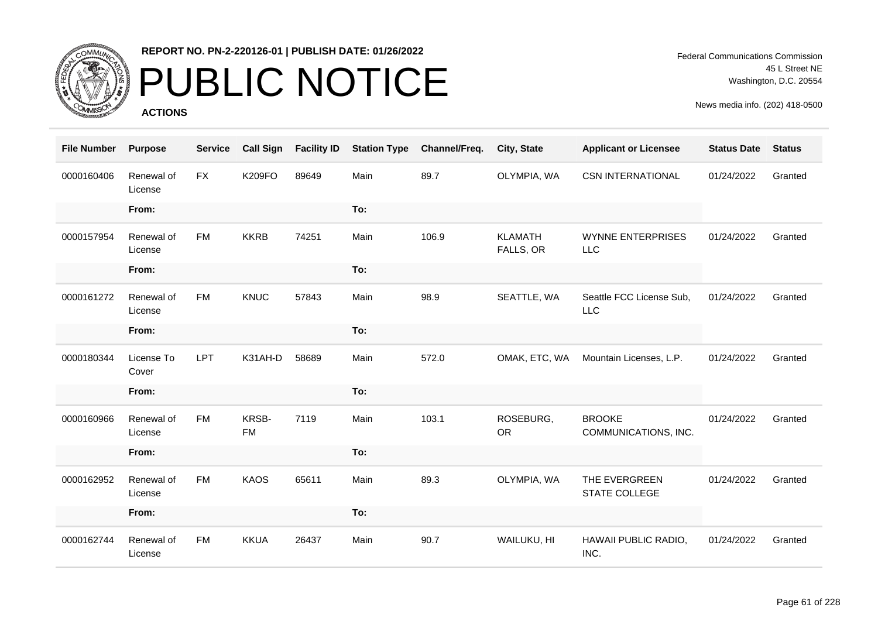

# PUBLIC NOTICE

**ACTIONS**

| <b>File Number</b> | <b>Purpose</b>        | <b>Service</b> | <b>Call Sign</b>   | <b>Facility ID</b> | <b>Station Type</b> | Channel/Freq. | City, State                 | <b>Applicant or Licensee</b>           | <b>Status Date</b> | <b>Status</b> |
|--------------------|-----------------------|----------------|--------------------|--------------------|---------------------|---------------|-----------------------------|----------------------------------------|--------------------|---------------|
| 0000160406         | Renewal of<br>License | <b>FX</b>      | <b>K209FO</b>      | 89649              | Main                | 89.7          | OLYMPIA, WA                 | <b>CSN INTERNATIONAL</b>               | 01/24/2022         | Granted       |
|                    | From:                 |                |                    |                    | To:                 |               |                             |                                        |                    |               |
| 0000157954         | Renewal of<br>License | <b>FM</b>      | <b>KKRB</b>        | 74251              | Main                | 106.9         | <b>KLAMATH</b><br>FALLS, OR | <b>WYNNE ENTERPRISES</b><br>LLC        | 01/24/2022         | Granted       |
|                    | From:                 |                |                    |                    | To:                 |               |                             |                                        |                    |               |
| 0000161272         | Renewal of<br>License | <b>FM</b>      | KNUC               | 57843              | Main                | 98.9          | SEATTLE, WA                 | Seattle FCC License Sub,<br><b>LLC</b> | 01/24/2022         | Granted       |
|                    | From:                 |                |                    |                    | To:                 |               |                             |                                        |                    |               |
| 0000180344         | License To<br>Cover   | LPT            | K31AH-D            | 58689              | Main                | 572.0         | OMAK, ETC, WA               | Mountain Licenses, L.P.                | 01/24/2022         | Granted       |
|                    | From:                 |                |                    |                    | To:                 |               |                             |                                        |                    |               |
| 0000160966         | Renewal of<br>License | <b>FM</b>      | KRSB-<br><b>FM</b> | 7119               | Main                | 103.1         | ROSEBURG,<br><b>OR</b>      | <b>BROOKE</b><br>COMMUNICATIONS, INC.  | 01/24/2022         | Granted       |
|                    | From:                 |                |                    |                    | To:                 |               |                             |                                        |                    |               |
| 0000162952         | Renewal of<br>License | <b>FM</b>      | <b>KAOS</b>        | 65611              | Main                | 89.3          | OLYMPIA, WA                 | THE EVERGREEN<br><b>STATE COLLEGE</b>  | 01/24/2022         | Granted       |
|                    | From:                 |                |                    |                    | To:                 |               |                             |                                        |                    |               |
| 0000162744         | Renewal of<br>License | <b>FM</b>      | <b>KKUA</b>        | 26437              | Main                | 90.7          | WAILUKU, HI                 | HAWAII PUBLIC RADIO,<br>INC.           | 01/24/2022         | Granted       |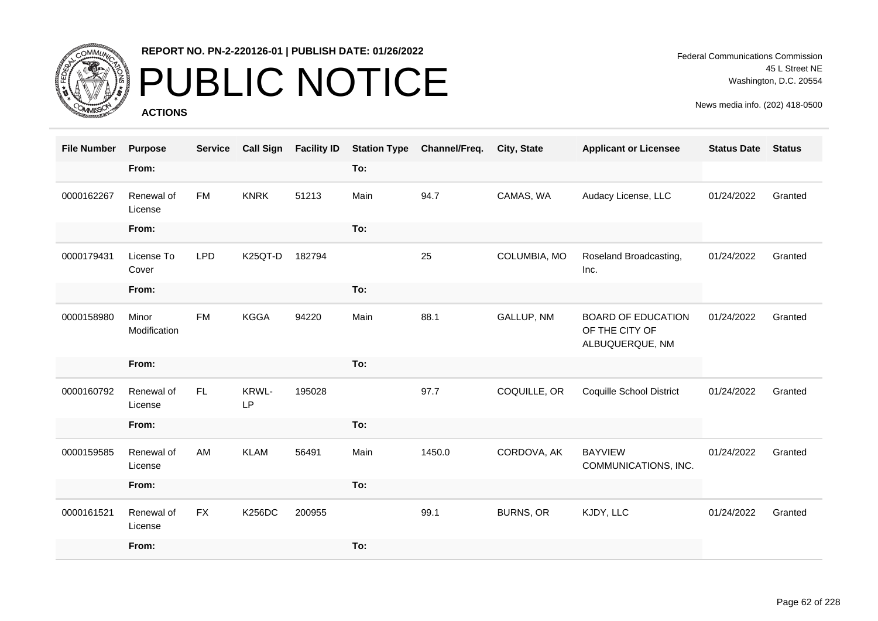

## PUBLIC NOTICE

**ACTIONS**

Federal Communications Commission 45 L Street NE Washington, D.C. 20554

| <b>File Number</b> | <b>Purpose</b>        | <b>Service</b> | <b>Call Sign</b> | <b>Facility ID</b> | <b>Station Type</b> | Channel/Freq. | City, State  | <b>Applicant or Licensee</b>                                   | <b>Status Date</b> | <b>Status</b> |
|--------------------|-----------------------|----------------|------------------|--------------------|---------------------|---------------|--------------|----------------------------------------------------------------|--------------------|---------------|
|                    | From:                 |                |                  |                    | To:                 |               |              |                                                                |                    |               |
| 0000162267         | Renewal of<br>License | <b>FM</b>      | <b>KNRK</b>      | 51213              | Main                | 94.7          | CAMAS, WA    | Audacy License, LLC                                            | 01/24/2022         | Granted       |
|                    | From:                 |                |                  |                    | To:                 |               |              |                                                                |                    |               |
| 0000179431         | License To<br>Cover   | <b>LPD</b>     | K25QT-D          | 182794             |                     | 25            | COLUMBIA, MO | Roseland Broadcasting,<br>Inc.                                 | 01/24/2022         | Granted       |
|                    | From:                 |                |                  |                    | To:                 |               |              |                                                                |                    |               |
| 0000158980         | Minor<br>Modification | <b>FM</b>      | <b>KGGA</b>      | 94220              | Main                | 88.1          | GALLUP, NM   | <b>BOARD OF EDUCATION</b><br>OF THE CITY OF<br>ALBUQUERQUE, NM | 01/24/2022         | Granted       |
|                    | From:                 |                |                  |                    | To:                 |               |              |                                                                |                    |               |
| 0000160792         | Renewal of<br>License | FL.            | KRWL-<br>LP      | 195028             |                     | 97.7          | COQUILLE, OR | <b>Coquille School District</b>                                | 01/24/2022         | Granted       |
|                    | From:                 |                |                  |                    | To:                 |               |              |                                                                |                    |               |
| 0000159585         | Renewal of<br>License | AM             | <b>KLAM</b>      | 56491              | Main                | 1450.0        | CORDOVA, AK  | <b>BAYVIEW</b><br>COMMUNICATIONS, INC.                         | 01/24/2022         | Granted       |
|                    | From:                 |                |                  |                    | To:                 |               |              |                                                                |                    |               |
| 0000161521         | Renewal of<br>License | <b>FX</b>      | <b>K256DC</b>    | 200955             |                     | 99.1          | BURNS, OR    | KJDY, LLC                                                      | 01/24/2022         | Granted       |
|                    | From:                 |                |                  |                    | To:                 |               |              |                                                                |                    |               |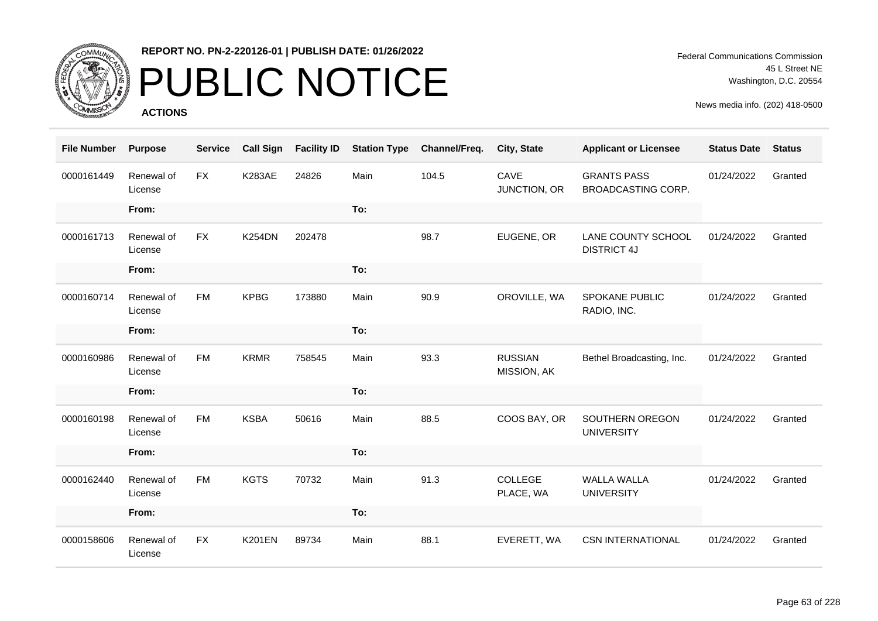

# PUBLIC NOTICE

**ACTIONS**

Federal Communications Commission 45 L Street NE Washington, D.C. 20554

| <b>File Number</b> | <b>Purpose</b>        | <b>Service</b> | <b>Call Sign</b> | <b>Facility ID</b> | <b>Station Type</b> | Channel/Freq. | City, State                   | <b>Applicant or Licensee</b>             | <b>Status Date</b> | <b>Status</b> |
|--------------------|-----------------------|----------------|------------------|--------------------|---------------------|---------------|-------------------------------|------------------------------------------|--------------------|---------------|
| 0000161449         | Renewal of<br>License | <b>FX</b>      | <b>K283AE</b>    | 24826              | Main                | 104.5         | CAVE<br>JUNCTION, OR          | <b>GRANTS PASS</b><br>BROADCASTING CORP. | 01/24/2022         | Granted       |
|                    | From:                 |                |                  |                    | To:                 |               |                               |                                          |                    |               |
| 0000161713         | Renewal of<br>License | <b>FX</b>      | <b>K254DN</b>    | 202478             |                     | 98.7          | EUGENE, OR                    | LANE COUNTY SCHOOL<br><b>DISTRICT 4J</b> | 01/24/2022         | Granted       |
|                    | From:                 |                |                  |                    | To:                 |               |                               |                                          |                    |               |
| 0000160714         | Renewal of<br>License | <b>FM</b>      | <b>KPBG</b>      | 173880             | Main                | 90.9          | OROVILLE, WA                  | SPOKANE PUBLIC<br>RADIO, INC.            | 01/24/2022         | Granted       |
|                    | From:                 |                |                  |                    | To:                 |               |                               |                                          |                    |               |
| 0000160986         | Renewal of<br>License | <b>FM</b>      | <b>KRMR</b>      | 758545             | Main                | 93.3          | <b>RUSSIAN</b><br>MISSION, AK | Bethel Broadcasting, Inc.                | 01/24/2022         | Granted       |
|                    | From:                 |                |                  |                    | To:                 |               |                               |                                          |                    |               |
| 0000160198         | Renewal of<br>License | <b>FM</b>      | <b>KSBA</b>      | 50616              | Main                | 88.5          | COOS BAY, OR                  | SOUTHERN OREGON<br><b>UNIVERSITY</b>     | 01/24/2022         | Granted       |
|                    | From:                 |                |                  |                    | To:                 |               |                               |                                          |                    |               |
| 0000162440         | Renewal of<br>License | <b>FM</b>      | <b>KGTS</b>      | 70732              | Main                | 91.3          | COLLEGE<br>PLACE, WA          | <b>WALLA WALLA</b><br><b>UNIVERSITY</b>  | 01/24/2022         | Granted       |
|                    | From:                 |                |                  |                    | To:                 |               |                               |                                          |                    |               |
| 0000158606         | Renewal of<br>License | <b>FX</b>      | <b>K201EN</b>    | 89734              | Main                | 88.1          | EVERETT, WA                   | <b>CSN INTERNATIONAL</b>                 | 01/24/2022         | Granted       |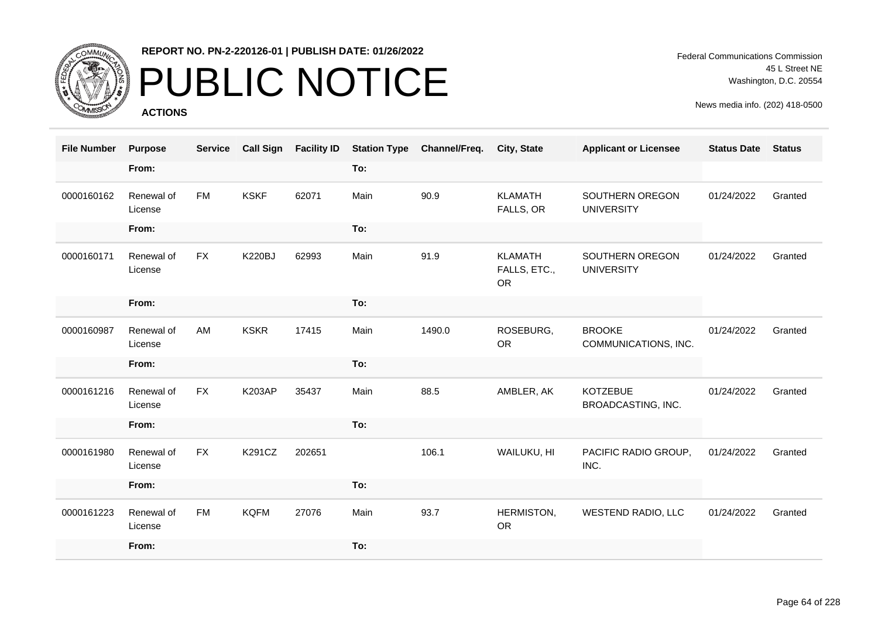

# PUBLIC NOTICE

**ACTIONS**

Federal Communications Commission 45 L Street NE Washington, D.C. 20554

| <b>File Number</b> | <b>Purpose</b>        | <b>Service</b> | <b>Call Sign</b> | <b>Facility ID</b> | <b>Station Type</b> | Channel/Freq. | City, State                                 | <b>Applicant or Licensee</b>          | <b>Status Date</b> | <b>Status</b> |
|--------------------|-----------------------|----------------|------------------|--------------------|---------------------|---------------|---------------------------------------------|---------------------------------------|--------------------|---------------|
|                    | From:                 |                |                  |                    | To:                 |               |                                             |                                       |                    |               |
| 0000160162         | Renewal of<br>License | <b>FM</b>      | <b>KSKF</b>      | 62071              | Main                | 90.9          | <b>KLAMATH</b><br>FALLS, OR                 | SOUTHERN OREGON<br><b>UNIVERSITY</b>  | 01/24/2022         | Granted       |
|                    | From:                 |                |                  |                    | To:                 |               |                                             |                                       |                    |               |
| 0000160171         | Renewal of<br>License | <b>FX</b>      | <b>K220BJ</b>    | 62993              | Main                | 91.9          | <b>KLAMATH</b><br>FALLS, ETC.,<br><b>OR</b> | SOUTHERN OREGON<br><b>UNIVERSITY</b>  | 01/24/2022         | Granted       |
|                    | From:                 |                |                  |                    | To:                 |               |                                             |                                       |                    |               |
| 0000160987         | Renewal of<br>License | AM             | <b>KSKR</b>      | 17415              | Main                | 1490.0        | ROSEBURG,<br><b>OR</b>                      | <b>BROOKE</b><br>COMMUNICATIONS, INC. | 01/24/2022         | Granted       |
|                    | From:                 |                |                  |                    | To:                 |               |                                             |                                       |                    |               |
| 0000161216         | Renewal of<br>License | <b>FX</b>      | <b>K203AP</b>    | 35437              | Main                | 88.5          | AMBLER, AK                                  | <b>KOTZEBUE</b><br>BROADCASTING, INC. | 01/24/2022         | Granted       |
|                    | From:                 |                |                  |                    | To:                 |               |                                             |                                       |                    |               |
| 0000161980         | Renewal of<br>License | <b>FX</b>      | K291CZ           | 202651             |                     | 106.1         | WAILUKU, HI                                 | PACIFIC RADIO GROUP,<br>INC.          | 01/24/2022         | Granted       |
|                    | From:                 |                |                  |                    | To:                 |               |                                             |                                       |                    |               |
| 0000161223         | Renewal of<br>License | <b>FM</b>      | <b>KQFM</b>      | 27076              | Main                | 93.7          | HERMISTON,<br><b>OR</b>                     | <b>WESTEND RADIO, LLC</b>             | 01/24/2022         | Granted       |
|                    | From:                 |                |                  |                    | To:                 |               |                                             |                                       |                    |               |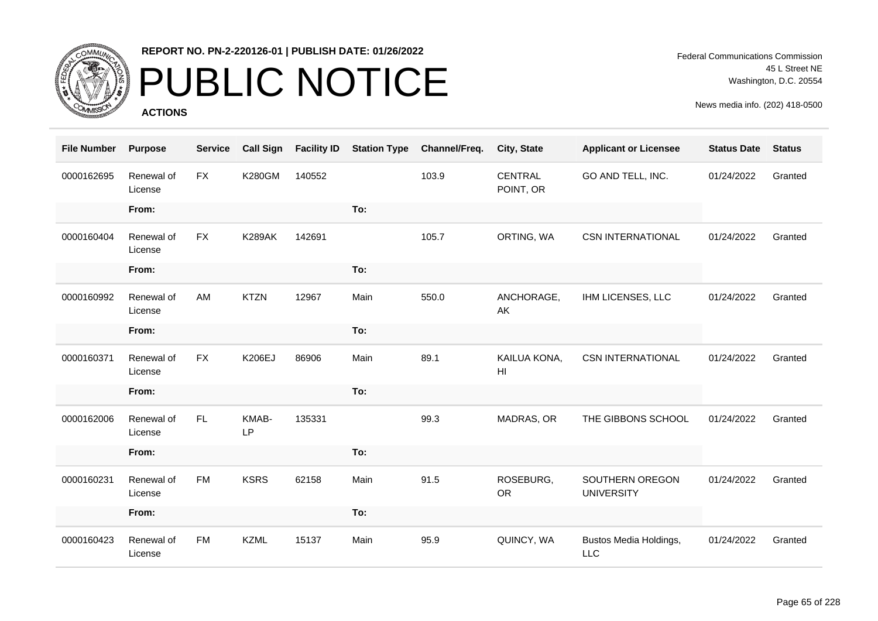

# PUBLIC NOTICE

**ACTIONS**

Federal Communications Commission 45 L Street NE Washington, D.C. 20554

| <b>File Number</b> | <b>Purpose</b>        | <b>Service</b> | <b>Call Sign</b> | <b>Facility ID</b> | <b>Station Type</b> | Channel/Freq. | City, State                    | <b>Applicant or Licensee</b>         | <b>Status Date</b> | <b>Status</b> |
|--------------------|-----------------------|----------------|------------------|--------------------|---------------------|---------------|--------------------------------|--------------------------------------|--------------------|---------------|
| 0000162695         | Renewal of<br>License | <b>FX</b>      | <b>K280GM</b>    | 140552             |                     | 103.9         | <b>CENTRAL</b><br>POINT, OR    | GO AND TELL, INC.                    | 01/24/2022         | Granted       |
|                    | From:                 |                |                  |                    | To:                 |               |                                |                                      |                    |               |
| 0000160404         | Renewal of<br>License | <b>FX</b>      | <b>K289AK</b>    | 142691             |                     | 105.7         | ORTING, WA                     | <b>CSN INTERNATIONAL</b>             | 01/24/2022         | Granted       |
|                    | From:                 |                |                  |                    | To:                 |               |                                |                                      |                    |               |
| 0000160992         | Renewal of<br>License | AM             | <b>KTZN</b>      | 12967              | Main                | 550.0         | ANCHORAGE,<br>AK               | IHM LICENSES, LLC                    | 01/24/2022         | Granted       |
|                    | From:                 |                |                  |                    | To:                 |               |                                |                                      |                    |               |
| 0000160371         | Renewal of<br>License | <b>FX</b>      | <b>K206EJ</b>    | 86906              | Main                | 89.1          | KAILUA KONA,<br>H <sub>l</sub> | <b>CSN INTERNATIONAL</b>             | 01/24/2022         | Granted       |
|                    | From:                 |                |                  |                    | To:                 |               |                                |                                      |                    |               |
| 0000162006         | Renewal of<br>License | FL.            | KMAB-<br>LP      | 135331             |                     | 99.3          | MADRAS, OR                     | THE GIBBONS SCHOOL                   | 01/24/2022         | Granted       |
|                    | From:                 |                |                  |                    | To:                 |               |                                |                                      |                    |               |
| 0000160231         | Renewal of<br>License | FM             | <b>KSRS</b>      | 62158              | Main                | 91.5          | ROSEBURG,<br><b>OR</b>         | SOUTHERN OREGON<br><b>UNIVERSITY</b> | 01/24/2022         | Granted       |
|                    | From:                 |                |                  |                    | To:                 |               |                                |                                      |                    |               |
| 0000160423         | Renewal of<br>License | <b>FM</b>      | <b>KZML</b>      | 15137              | Main                | 95.9          | QUINCY, WA                     | Bustos Media Holdings,<br><b>LLC</b> | 01/24/2022         | Granted       |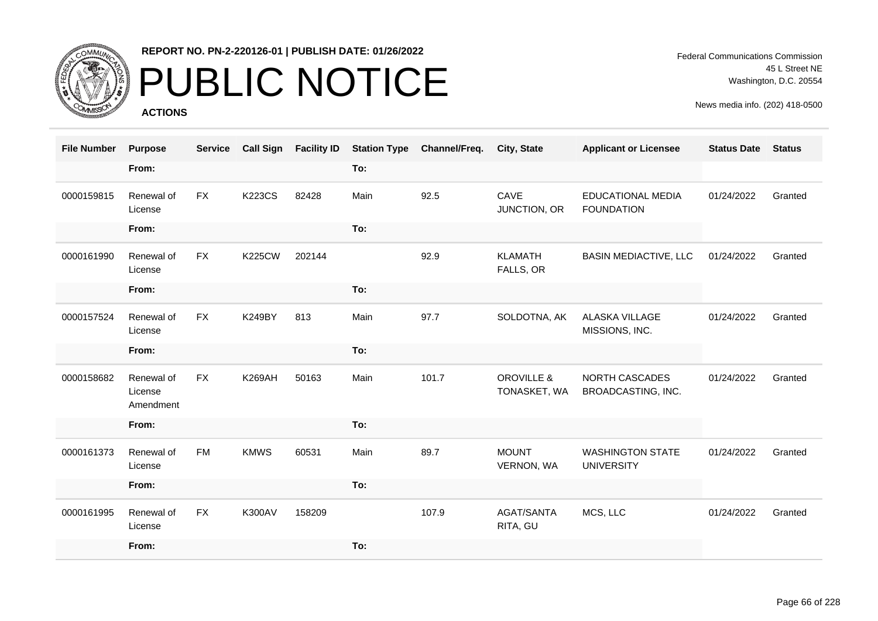

# PUBLIC NOTICE

**ACTIONS**

| <b>File Number</b> | <b>Purpose</b>                     | <b>Service</b> | <b>Call Sign</b> | <b>Facility ID</b> | <b>Station Type</b> | Channel/Freq. | <b>City, State</b>                    | <b>Applicant or Licensee</b>                  | <b>Status Date</b> | <b>Status</b> |
|--------------------|------------------------------------|----------------|------------------|--------------------|---------------------|---------------|---------------------------------------|-----------------------------------------------|--------------------|---------------|
|                    | From:                              |                |                  |                    | To:                 |               |                                       |                                               |                    |               |
| 0000159815         | Renewal of<br>License              | <b>FX</b>      | <b>K223CS</b>    | 82428              | Main                | 92.5          | CAVE<br>JUNCTION, OR                  | <b>EDUCATIONAL MEDIA</b><br><b>FOUNDATION</b> | 01/24/2022         | Granted       |
|                    | From:                              |                |                  |                    | To:                 |               |                                       |                                               |                    |               |
| 0000161990         | Renewal of<br>License              | <b>FX</b>      | <b>K225CW</b>    | 202144             |                     | 92.9          | <b>KLAMATH</b><br>FALLS, OR           | <b>BASIN MEDIACTIVE, LLC</b>                  | 01/24/2022         | Granted       |
|                    | From:                              |                |                  |                    | To:                 |               |                                       |                                               |                    |               |
| 0000157524         | Renewal of<br>License              | <b>FX</b>      | <b>K249BY</b>    | 813                | Main                | 97.7          | SOLDOTNA, AK                          | ALASKA VILLAGE<br>MISSIONS, INC.              | 01/24/2022         | Granted       |
|                    | From:                              |                |                  |                    | To:                 |               |                                       |                                               |                    |               |
| 0000158682         | Renewal of<br>License<br>Amendment | <b>FX</b>      | <b>K269AH</b>    | 50163              | Main                | 101.7         | <b>OROVILLE &amp;</b><br>TONASKET, WA | <b>NORTH CASCADES</b><br>BROADCASTING, INC.   | 01/24/2022         | Granted       |
|                    | From:                              |                |                  |                    | To:                 |               |                                       |                                               |                    |               |
| 0000161373         | Renewal of<br>License              | <b>FM</b>      | <b>KMWS</b>      | 60531              | Main                | 89.7          | <b>MOUNT</b><br>VERNON, WA            | <b>WASHINGTON STATE</b><br><b>UNIVERSITY</b>  | 01/24/2022         | Granted       |
|                    | From:                              |                |                  |                    | To:                 |               |                                       |                                               |                    |               |
| 0000161995         | Renewal of<br>License              | <b>FX</b>      | <b>K300AV</b>    | 158209             |                     | 107.9         | <b>AGAT/SANTA</b><br>RITA, GU         | MCS, LLC                                      | 01/24/2022         | Granted       |
|                    | From:                              |                |                  |                    | To:                 |               |                                       |                                               |                    |               |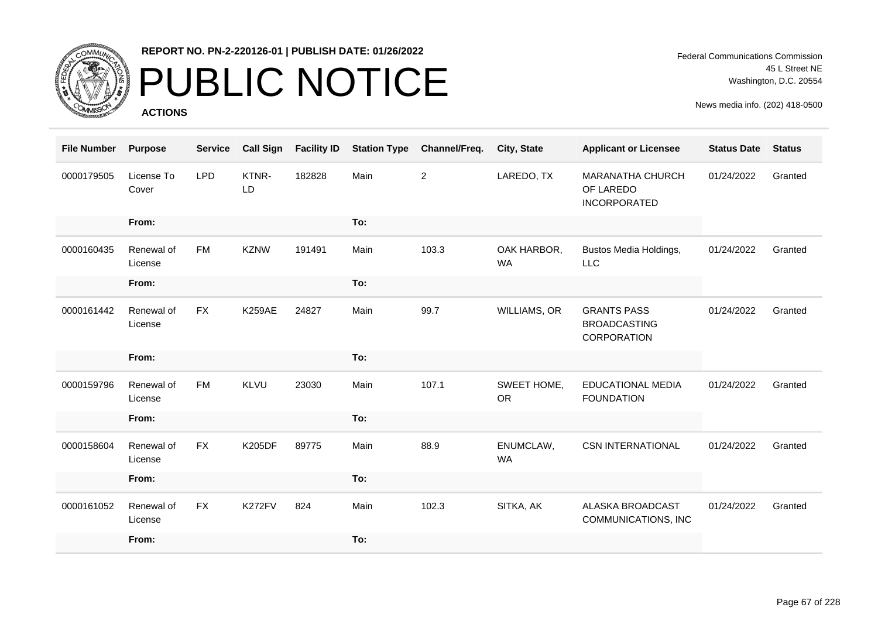

## PUBLIC NOTICE

**ACTIONS**

| <b>File Number</b> | <b>Purpose</b>        | <b>Service</b> | <b>Call Sign</b> | <b>Facility ID</b> | <b>Station Type</b> | Channel/Freq.  | City, State              | <b>Applicant or Licensee</b>                                | <b>Status Date</b> | <b>Status</b> |
|--------------------|-----------------------|----------------|------------------|--------------------|---------------------|----------------|--------------------------|-------------------------------------------------------------|--------------------|---------------|
| 0000179505         | License To<br>Cover   | <b>LPD</b>     | KTNR-<br>LD      | 182828             | Main                | $\overline{c}$ | LAREDO, TX               | <b>MARANATHA CHURCH</b><br>OF LAREDO<br><b>INCORPORATED</b> | 01/24/2022         | Granted       |
|                    | From:                 |                |                  |                    | To:                 |                |                          |                                                             |                    |               |
| 0000160435         | Renewal of<br>License | FM             | <b>KZNW</b>      | 191491             | Main                | 103.3          | OAK HARBOR,<br><b>WA</b> | Bustos Media Holdings,<br>LLC                               | 01/24/2022         | Granted       |
|                    | From:                 |                |                  |                    | To:                 |                |                          |                                                             |                    |               |
| 0000161442         | Renewal of<br>License | <b>FX</b>      | <b>K259AE</b>    | 24827              | Main                | 99.7           | WILLIAMS, OR             | <b>GRANTS PASS</b><br><b>BROADCASTING</b><br>CORPORATION    | 01/24/2022         | Granted       |
|                    | From:                 |                |                  |                    | To:                 |                |                          |                                                             |                    |               |
| 0000159796         | Renewal of<br>License | <b>FM</b>      | <b>KLVU</b>      | 23030              | Main                | 107.1          | SWEET HOME,<br><b>OR</b> | <b>EDUCATIONAL MEDIA</b><br><b>FOUNDATION</b>               | 01/24/2022         | Granted       |
|                    | From:                 |                |                  |                    | To:                 |                |                          |                                                             |                    |               |
| 0000158604         | Renewal of<br>License | <b>FX</b>      | <b>K205DF</b>    | 89775              | Main                | 88.9           | ENUMCLAW,<br><b>WA</b>   | <b>CSN INTERNATIONAL</b>                                    | 01/24/2022         | Granted       |
|                    | From:                 |                |                  |                    | To:                 |                |                          |                                                             |                    |               |
| 0000161052         | Renewal of<br>License | <b>FX</b>      | K272FV           | 824                | Main                | 102.3          | SITKA, AK                | <b>ALASKA BROADCAST</b><br>COMMUNICATIONS, INC              | 01/24/2022         | Granted       |
|                    | From:                 |                |                  |                    | To:                 |                |                          |                                                             |                    |               |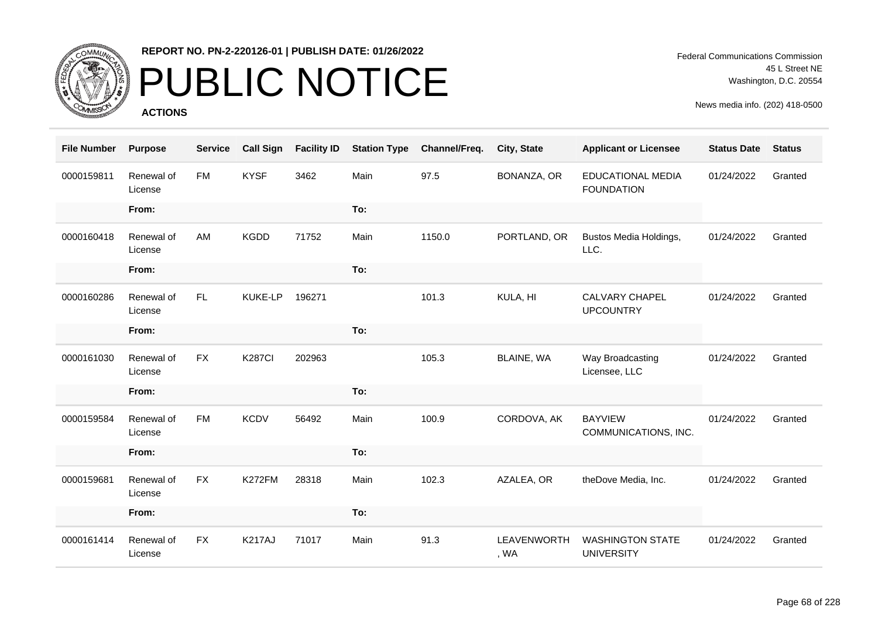

## PUBLIC NOTICE

**ACTIONS**

Federal Communications Commission 45 L Street NE Washington, D.C. 20554

| <b>File Number</b> | <b>Purpose</b>        | <b>Service</b> | <b>Call Sign</b> | <b>Facility ID</b> | <b>Station Type</b> | Channel/Freq. | City, State         | <b>Applicant or Licensee</b>                  | <b>Status Date</b> | <b>Status</b> |
|--------------------|-----------------------|----------------|------------------|--------------------|---------------------|---------------|---------------------|-----------------------------------------------|--------------------|---------------|
| 0000159811         | Renewal of<br>License | <b>FM</b>      | <b>KYSF</b>      | 3462               | Main                | 97.5          | BONANZA, OR         | <b>EDUCATIONAL MEDIA</b><br><b>FOUNDATION</b> | 01/24/2022         | Granted       |
|                    | From:                 |                |                  |                    | To:                 |               |                     |                                               |                    |               |
| 0000160418         | Renewal of<br>License | AM             | <b>KGDD</b>      | 71752              | Main                | 1150.0        | PORTLAND, OR        | Bustos Media Holdings,<br>LLC.                | 01/24/2022         | Granted       |
|                    | From:                 |                |                  |                    | To:                 |               |                     |                                               |                    |               |
| 0000160286         | Renewal of<br>License | FL.            | <b>KUKE-LP</b>   | 196271             |                     | 101.3         | KULA, HI            | <b>CALVARY CHAPEL</b><br><b>UPCOUNTRY</b>     | 01/24/2022         | Granted       |
|                    | From:                 |                |                  |                    | To:                 |               |                     |                                               |                    |               |
| 0000161030         | Renewal of<br>License | <b>FX</b>      | <b>K287CI</b>    | 202963             |                     | 105.3         | BLAINE, WA          | Way Broadcasting<br>Licensee, LLC             | 01/24/2022         | Granted       |
|                    | From:                 |                |                  |                    | To:                 |               |                     |                                               |                    |               |
| 0000159584         | Renewal of<br>License | <b>FM</b>      | <b>KCDV</b>      | 56492              | Main                | 100.9         | CORDOVA, AK         | <b>BAYVIEW</b><br>COMMUNICATIONS, INC.        | 01/24/2022         | Granted       |
|                    | From:                 |                |                  |                    | To:                 |               |                     |                                               |                    |               |
| 0000159681         | Renewal of<br>License | <b>FX</b>      | K272FM           | 28318              | Main                | 102.3         | AZALEA, OR          | theDove Media, Inc.                           | 01/24/2022         | Granted       |
|                    | From:                 |                |                  |                    | To:                 |               |                     |                                               |                    |               |
| 0000161414         | Renewal of<br>License | <b>FX</b>      | <b>K217AJ</b>    | 71017              | Main                | 91.3          | LEAVENWORTH<br>, WA | <b>WASHINGTON STATE</b><br><b>UNIVERSITY</b>  | 01/24/2022         | Granted       |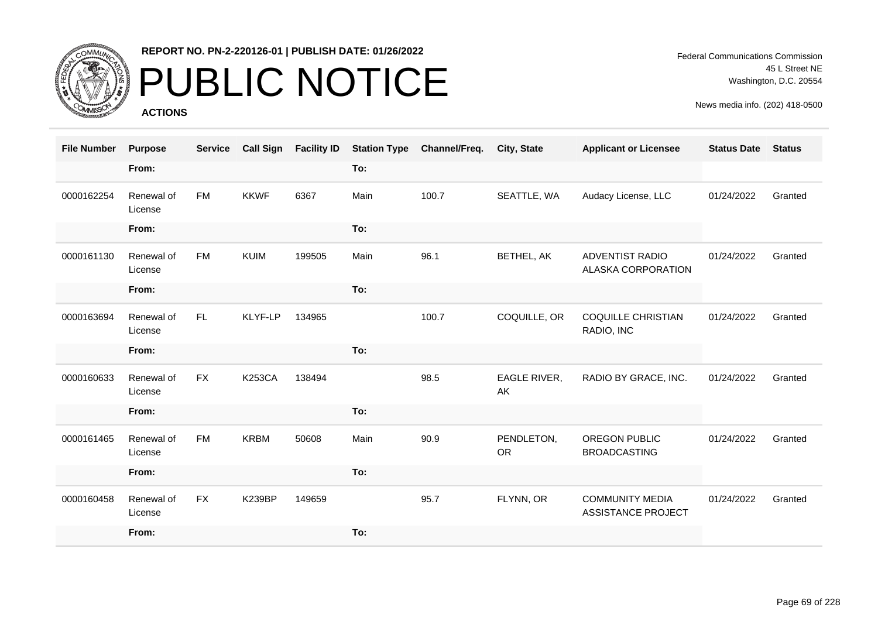

# PUBLIC NOTICE

**ACTIONS**

Federal Communications Commission 45 L Street NE Washington, D.C. 20554

| <b>File Number</b> | <b>Purpose</b>        | <b>Service</b> | <b>Call Sign</b> | <b>Facility ID</b> | <b>Station Type</b> | Channel/Freq. | City, State             | <b>Applicant or Licensee</b>                        | <b>Status Date</b> | <b>Status</b> |
|--------------------|-----------------------|----------------|------------------|--------------------|---------------------|---------------|-------------------------|-----------------------------------------------------|--------------------|---------------|
|                    | From:                 |                |                  |                    | To:                 |               |                         |                                                     |                    |               |
| 0000162254         | Renewal of<br>License | <b>FM</b>      | <b>KKWF</b>      | 6367               | Main                | 100.7         | SEATTLE, WA             | Audacy License, LLC                                 | 01/24/2022         | Granted       |
|                    | From:                 |                |                  |                    | To:                 |               |                         |                                                     |                    |               |
| 0000161130         | Renewal of<br>License | <b>FM</b>      | KUIM             | 199505             | Main                | 96.1          | BETHEL, AK              | <b>ADVENTIST RADIO</b><br>ALASKA CORPORATION        | 01/24/2022         | Granted       |
|                    | From:                 |                |                  |                    | To:                 |               |                         |                                                     |                    |               |
| 0000163694         | Renewal of<br>License | FL.            | KLYF-LP          | 134965             |                     | 100.7         | COQUILLE, OR            | <b>COQUILLE CHRISTIAN</b><br>RADIO, INC             | 01/24/2022         | Granted       |
|                    | From:                 |                |                  |                    | To:                 |               |                         |                                                     |                    |               |
| 0000160633         | Renewal of<br>License | <b>FX</b>      | <b>K253CA</b>    | 138494             |                     | 98.5          | EAGLE RIVER,<br>AK      | RADIO BY GRACE, INC.                                | 01/24/2022         | Granted       |
|                    | From:                 |                |                  |                    | To:                 |               |                         |                                                     |                    |               |
| 0000161465         | Renewal of<br>License | <b>FM</b>      | <b>KRBM</b>      | 50608              | Main                | 90.9          | PENDLETON,<br><b>OR</b> | <b>OREGON PUBLIC</b><br><b>BROADCASTING</b>         | 01/24/2022         | Granted       |
|                    | From:                 |                |                  |                    | To:                 |               |                         |                                                     |                    |               |
| 0000160458         | Renewal of<br>License | <b>FX</b>      | <b>K239BP</b>    | 149659             |                     | 95.7          | FLYNN, OR               | <b>COMMUNITY MEDIA</b><br><b>ASSISTANCE PROJECT</b> | 01/24/2022         | Granted       |
|                    | From:                 |                |                  |                    | To:                 |               |                         |                                                     |                    |               |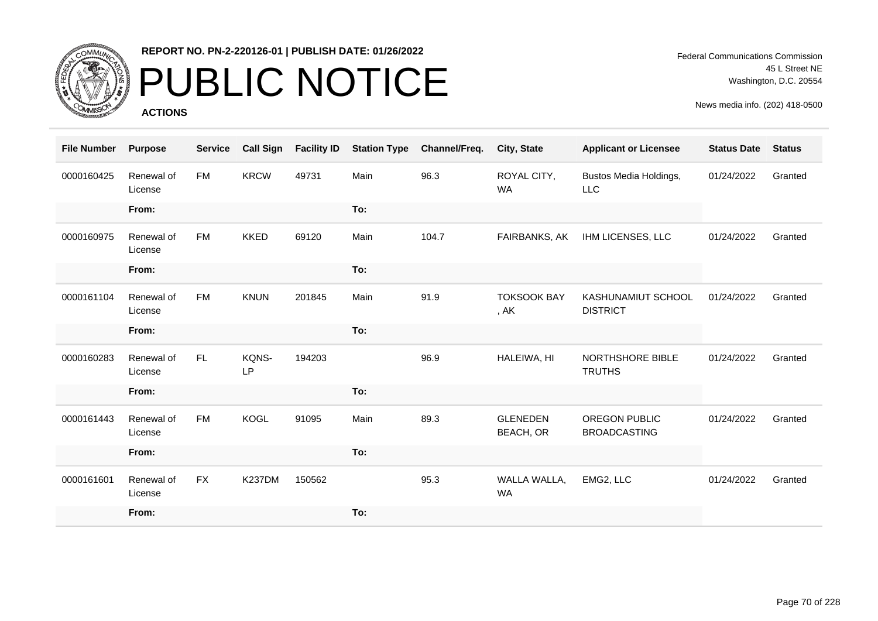

# PUBLIC NOTICE

**ACTIONS**

Federal Communications Commission 45 L Street NE Washington, D.C. 20554

| <b>File Number</b> | <b>Purpose</b>        | <b>Service</b> | <b>Call Sign</b> | <b>Facility ID</b> | <b>Station Type</b> | Channel/Freq. | <b>City, State</b>                  | <b>Applicant or Licensee</b>          | <b>Status Date</b> | <b>Status</b> |
|--------------------|-----------------------|----------------|------------------|--------------------|---------------------|---------------|-------------------------------------|---------------------------------------|--------------------|---------------|
| 0000160425         | Renewal of<br>License | <b>FM</b>      | <b>KRCW</b>      | 49731              | Main                | 96.3          | ROYAL CITY,<br><b>WA</b>            | Bustos Media Holdings,<br><b>LLC</b>  | 01/24/2022         | Granted       |
|                    | From:                 |                |                  |                    | To:                 |               |                                     |                                       |                    |               |
| 0000160975         | Renewal of<br>License | <b>FM</b>      | <b>KKED</b>      | 69120              | Main                | 104.7         | FAIRBANKS, AK                       | IHM LICENSES, LLC                     | 01/24/2022         | Granted       |
|                    | From:                 |                |                  |                    | To:                 |               |                                     |                                       |                    |               |
| 0000161104         | Renewal of<br>License | <b>FM</b>      | <b>KNUN</b>      | 201845             | Main                | 91.9          | <b>TOKSOOK BAY</b><br>, AK          | KASHUNAMIUT SCHOOL<br><b>DISTRICT</b> | 01/24/2022         | Granted       |
|                    | From:                 |                |                  |                    | To:                 |               |                                     |                                       |                    |               |
| 0000160283         | Renewal of<br>License | FL.            | KQNS-<br>LP      | 194203             |                     | 96.9          | HALEIWA, HI                         | NORTHSHORE BIBLE<br><b>TRUTHS</b>     | 01/24/2022         | Granted       |
|                    | From:                 |                |                  |                    | To:                 |               |                                     |                                       |                    |               |
| 0000161443         | Renewal of<br>License | <b>FM</b>      | <b>KOGL</b>      | 91095              | Main                | 89.3          | <b>GLENEDEN</b><br><b>BEACH, OR</b> | OREGON PUBLIC<br><b>BROADCASTING</b>  | 01/24/2022         | Granted       |
|                    | From:                 |                |                  |                    | To:                 |               |                                     |                                       |                    |               |
| 0000161601         | Renewal of<br>License | FX             | <b>K237DM</b>    | 150562             |                     | 95.3          | WALLA WALLA,<br><b>WA</b>           | EMG2, LLC                             | 01/24/2022         | Granted       |
|                    | From:                 |                |                  |                    | To:                 |               |                                     |                                       |                    |               |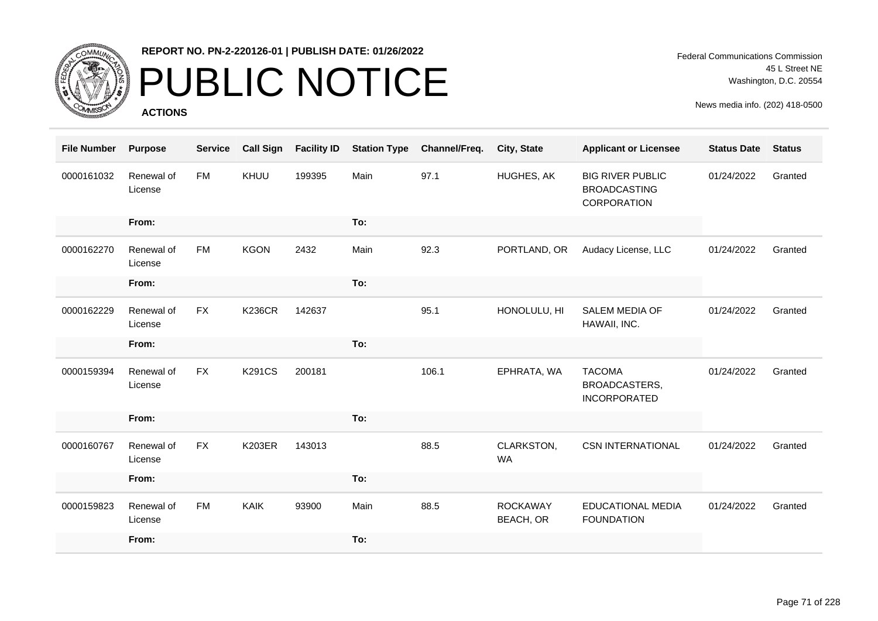

# PUBLIC NOTICE

**ACTIONS**

| <b>File Number</b> | <b>Purpose</b>        | <b>Service</b> | <b>Call Sign</b> | <b>Facility ID</b> | <b>Station Type</b> | Channel/Freq. | City, State                         | <b>Applicant or Licensee</b>                                  | <b>Status Date</b> | <b>Status</b> |
|--------------------|-----------------------|----------------|------------------|--------------------|---------------------|---------------|-------------------------------------|---------------------------------------------------------------|--------------------|---------------|
| 0000161032         | Renewal of<br>License | <b>FM</b>      | KHUU             | 199395             | Main                | 97.1          | HUGHES, AK                          | <b>BIG RIVER PUBLIC</b><br><b>BROADCASTING</b><br>CORPORATION | 01/24/2022         | Granted       |
|                    | From:                 |                |                  |                    | To:                 |               |                                     |                                                               |                    |               |
| 0000162270         | Renewal of<br>License | <b>FM</b>      | <b>KGON</b>      | 2432               | Main                | 92.3          | PORTLAND, OR                        | Audacy License, LLC                                           | 01/24/2022         | Granted       |
|                    | From:                 |                |                  |                    | To:                 |               |                                     |                                                               |                    |               |
| 0000162229         | Renewal of<br>License | FX             | <b>K236CR</b>    | 142637             |                     | 95.1          | HONOLULU, HI                        | <b>SALEM MEDIA OF</b><br>HAWAII, INC.                         | 01/24/2022         | Granted       |
|                    | From:                 |                |                  |                    | To:                 |               |                                     |                                                               |                    |               |
| 0000159394         | Renewal of<br>License | <b>FX</b>      | <b>K291CS</b>    | 200181             |                     | 106.1         | EPHRATA, WA                         | <b>TACOMA</b><br><b>BROADCASTERS,</b><br><b>INCORPORATED</b>  | 01/24/2022         | Granted       |
|                    | From:                 |                |                  |                    | To:                 |               |                                     |                                                               |                    |               |
| 0000160767         | Renewal of<br>License | <b>FX</b>      | <b>K203ER</b>    | 143013             |                     | 88.5          | CLARKSTON,<br><b>WA</b>             | <b>CSN INTERNATIONAL</b>                                      | 01/24/2022         | Granted       |
|                    | From:                 |                |                  |                    | To:                 |               |                                     |                                                               |                    |               |
| 0000159823         | Renewal of<br>License | <b>FM</b>      | <b>KAIK</b>      | 93900              | Main                | 88.5          | <b>ROCKAWAY</b><br><b>BEACH, OR</b> | <b>EDUCATIONAL MEDIA</b><br><b>FOUNDATION</b>                 | 01/24/2022         | Granted       |
|                    | From:                 |                |                  |                    | To:                 |               |                                     |                                                               |                    |               |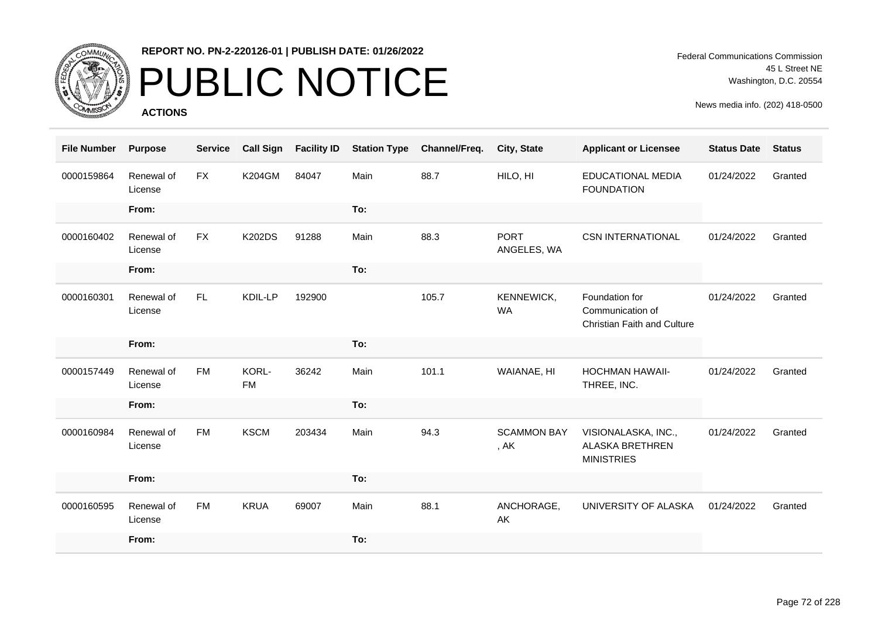

# PUBLIC NOTICE

**ACTIONS**

| <b>File Number</b> | <b>Purpose</b>        | <b>Service</b> | <b>Call Sign</b>   | <b>Facility ID</b> | <b>Station Type</b> | Channel/Freq. | City, State                | <b>Applicant or Licensee</b>                                             | <b>Status Date</b> | <b>Status</b> |
|--------------------|-----------------------|----------------|--------------------|--------------------|---------------------|---------------|----------------------------|--------------------------------------------------------------------------|--------------------|---------------|
| 0000159864         | Renewal of<br>License | <b>FX</b>      | <b>K204GM</b>      | 84047              | Main                | 88.7          | HILO, HI                   | <b>EDUCATIONAL MEDIA</b><br><b>FOUNDATION</b>                            | 01/24/2022         | Granted       |
|                    | From:                 |                |                    |                    | To:                 |               |                            |                                                                          |                    |               |
| 0000160402         | Renewal of<br>License | <b>FX</b>      | <b>K202DS</b>      | 91288              | Main                | 88.3          | <b>PORT</b><br>ANGELES, WA | <b>CSN INTERNATIONAL</b>                                                 | 01/24/2022         | Granted       |
|                    | From:                 |                |                    |                    | To:                 |               |                            |                                                                          |                    |               |
| 0000160301         | Renewal of<br>License | FL.            | KDIL-LP            | 192900             |                     | 105.7         | KENNEWICK,<br><b>WA</b>    | Foundation for<br>Communication of<br><b>Christian Faith and Culture</b> | 01/24/2022         | Granted       |
|                    | From:                 |                |                    |                    | To:                 |               |                            |                                                                          |                    |               |
| 0000157449         | Renewal of<br>License | <b>FM</b>      | KORL-<br><b>FM</b> | 36242              | Main                | 101.1         | WAIANAE, HI                | <b>HOCHMAN HAWAII-</b><br>THREE, INC.                                    | 01/24/2022         | Granted       |
|                    | From:                 |                |                    |                    | To:                 |               |                            |                                                                          |                    |               |
| 0000160984         | Renewal of<br>License | <b>FM</b>      | <b>KSCM</b>        | 203434             | Main                | 94.3          | <b>SCAMMON BAY</b><br>, AK | VISIONALASKA, INC.,<br><b>ALASKA BRETHREN</b><br><b>MINISTRIES</b>       | 01/24/2022         | Granted       |
|                    | From:                 |                |                    |                    | To:                 |               |                            |                                                                          |                    |               |
| 0000160595         | Renewal of<br>License | <b>FM</b>      | <b>KRUA</b>        | 69007              | Main                | 88.1          | ANCHORAGE,<br>AK           | UNIVERSITY OF ALASKA                                                     | 01/24/2022         | Granted       |
|                    | From:                 |                |                    |                    | To:                 |               |                            |                                                                          |                    |               |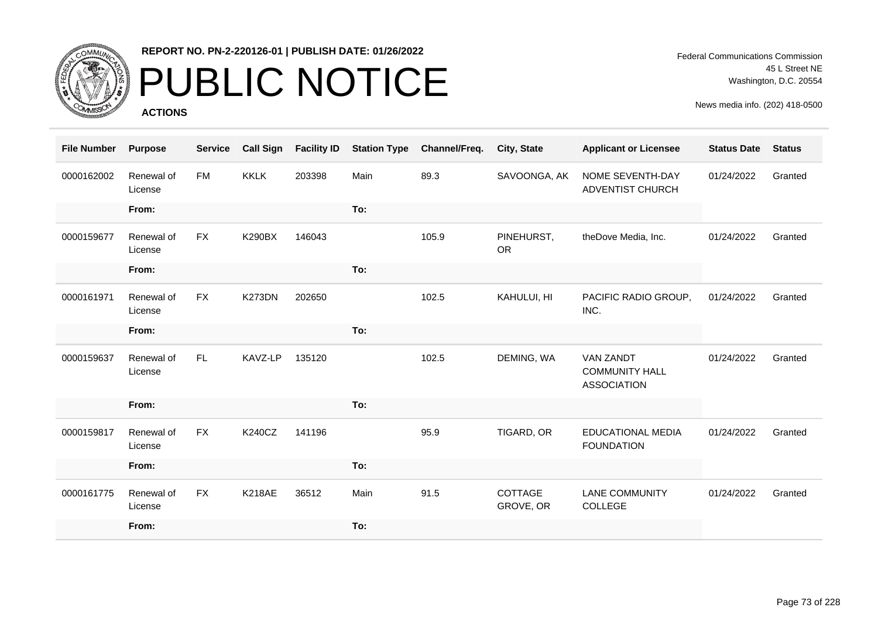

# PUBLIC NOTICE

**ACTIONS**

Federal Communications Commission 45 L Street NE Washington, D.C. 20554

| <b>File Number</b> | <b>Purpose</b>        | <b>Service</b> | <b>Call Sign</b> | <b>Facility ID</b> | <b>Station Type</b> | Channel/Freq. | City, State             | <b>Applicant or Licensee</b>                                    | <b>Status Date</b> | <b>Status</b> |
|--------------------|-----------------------|----------------|------------------|--------------------|---------------------|---------------|-------------------------|-----------------------------------------------------------------|--------------------|---------------|
| 0000162002         | Renewal of<br>License | <b>FM</b>      | <b>KKLK</b>      | 203398             | Main                | 89.3          | SAVOONGA, AK            | NOME SEVENTH-DAY<br>ADVENTIST CHURCH                            | 01/24/2022         | Granted       |
|                    | From:                 |                |                  |                    | To:                 |               |                         |                                                                 |                    |               |
| 0000159677         | Renewal of<br>License | <b>FX</b>      | <b>K290BX</b>    | 146043             |                     | 105.9         | PINEHURST,<br><b>OR</b> | theDove Media, Inc.                                             | 01/24/2022         | Granted       |
|                    | From:                 |                |                  |                    | To:                 |               |                         |                                                                 |                    |               |
| 0000161971         | Renewal of<br>License | <b>FX</b>      | K273DN           | 202650             |                     | 102.5         | KAHULUI, HI             | PACIFIC RADIO GROUP,<br>INC.                                    | 01/24/2022         | Granted       |
|                    | From:                 |                |                  |                    | To:                 |               |                         |                                                                 |                    |               |
| 0000159637         | Renewal of<br>License | <b>FL</b>      | KAVZ-LP          | 135120             |                     | 102.5         | DEMING, WA              | <b>VAN ZANDT</b><br><b>COMMUNITY HALL</b><br><b>ASSOCIATION</b> | 01/24/2022         | Granted       |
|                    | From:                 |                |                  |                    | To:                 |               |                         |                                                                 |                    |               |
| 0000159817         | Renewal of<br>License | <b>FX</b>      | <b>K240CZ</b>    | 141196             |                     | 95.9          | TIGARD, OR              | <b>EDUCATIONAL MEDIA</b><br><b>FOUNDATION</b>                   | 01/24/2022         | Granted       |
|                    | From:                 |                |                  |                    | To:                 |               |                         |                                                                 |                    |               |
| 0000161775         | Renewal of<br>License | <b>FX</b>      | <b>K218AE</b>    | 36512              | Main                | 91.5          | COTTAGE<br>GROVE, OR    | <b>LANE COMMUNITY</b><br>COLLEGE                                | 01/24/2022         | Granted       |
|                    | From:                 |                |                  |                    | To:                 |               |                         |                                                                 |                    |               |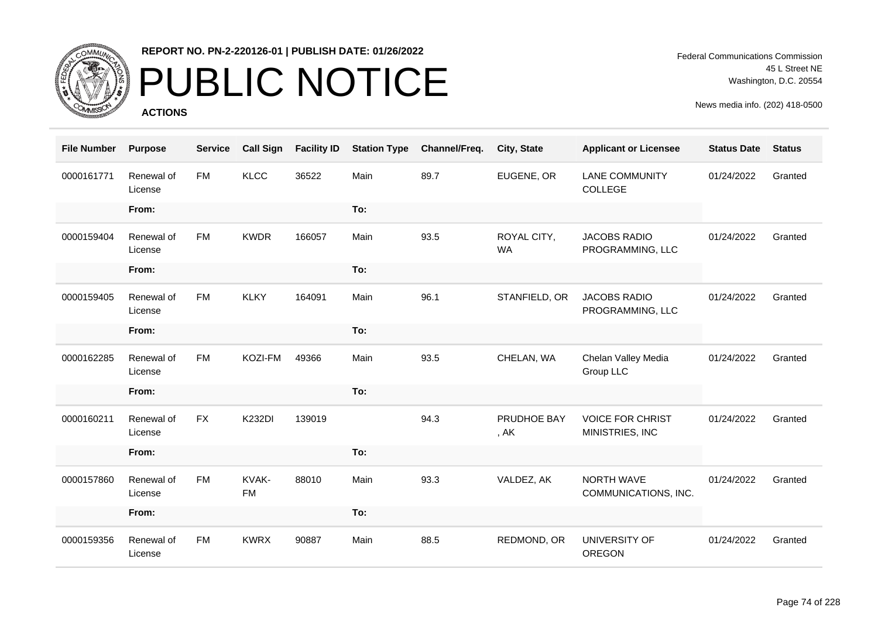

# PUBLIC NOTICE

**ACTIONS**

Federal Communications Commission 45 L Street NE Washington, D.C. 20554

| <b>File Number</b> | <b>Purpose</b>        | <b>Service</b> | <b>Call Sign</b>   | <b>Facility ID</b> | <b>Station Type</b> | Channel/Freq. | City, State              | <b>Applicant or Licensee</b>               | <b>Status Date</b> | <b>Status</b> |
|--------------------|-----------------------|----------------|--------------------|--------------------|---------------------|---------------|--------------------------|--------------------------------------------|--------------------|---------------|
| 0000161771         | Renewal of<br>License | <b>FM</b>      | <b>KLCC</b>        | 36522              | Main                | 89.7          | EUGENE, OR               | <b>LANE COMMUNITY</b><br>COLLEGE           | 01/24/2022         | Granted       |
|                    | From:                 |                |                    |                    | To:                 |               |                          |                                            |                    |               |
| 0000159404         | Renewal of<br>License | <b>FM</b>      | <b>KWDR</b>        | 166057             | Main                | 93.5          | ROYAL CITY,<br><b>WA</b> | <b>JACOBS RADIO</b><br>PROGRAMMING, LLC    | 01/24/2022         | Granted       |
|                    | From:                 |                |                    |                    | To:                 |               |                          |                                            |                    |               |
| 0000159405         | Renewal of<br>License | <b>FM</b>      | <b>KLKY</b>        | 164091             | Main                | 96.1          | STANFIELD, OR            | <b>JACOBS RADIO</b><br>PROGRAMMING, LLC    | 01/24/2022         | Granted       |
|                    | From:                 |                |                    |                    | To:                 |               |                          |                                            |                    |               |
| 0000162285         | Renewal of<br>License | <b>FM</b>      | KOZI-FM            | 49366              | Main                | 93.5          | CHELAN, WA               | Chelan Valley Media<br>Group LLC           | 01/24/2022         | Granted       |
|                    | From:                 |                |                    |                    | To:                 |               |                          |                                            |                    |               |
| 0000160211         | Renewal of<br>License | <b>FX</b>      | <b>K232DI</b>      | 139019             |                     | 94.3          | PRUDHOE BAY<br>, AK      | <b>VOICE FOR CHRIST</b><br>MINISTRIES, INC | 01/24/2022         | Granted       |
|                    | From:                 |                |                    |                    | To:                 |               |                          |                                            |                    |               |
| 0000157860         | Renewal of<br>License | <b>FM</b>      | KVAK-<br><b>FM</b> | 88010              | Main                | 93.3          | VALDEZ, AK               | NORTH WAVE<br>COMMUNICATIONS, INC.         | 01/24/2022         | Granted       |
|                    | From:                 |                |                    |                    | To:                 |               |                          |                                            |                    |               |
| 0000159356         | Renewal of<br>License | <b>FM</b>      | <b>KWRX</b>        | 90887              | Main                | 88.5          | REDMOND, OR              | UNIVERSITY OF<br><b>OREGON</b>             | 01/24/2022         | Granted       |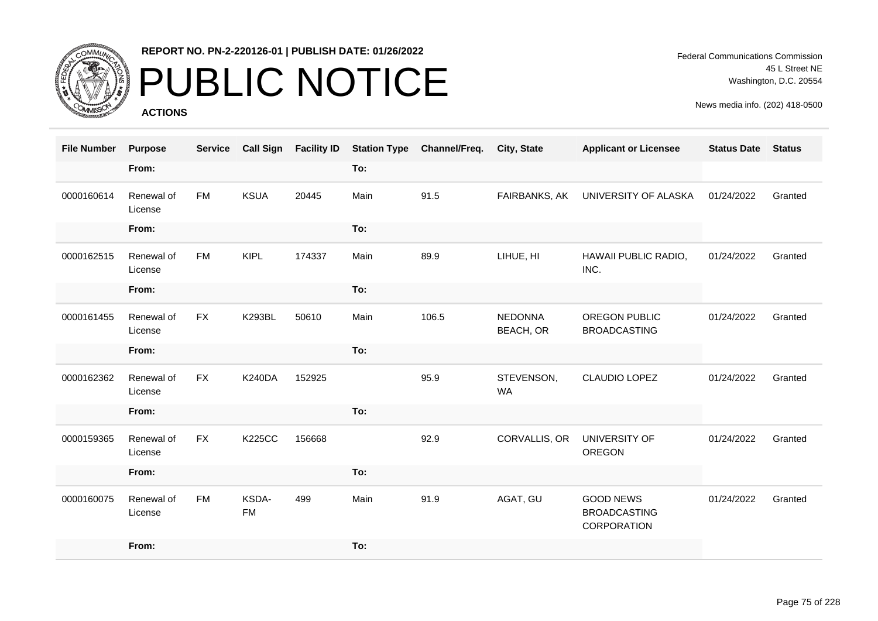

# PUBLIC NOTICE

**ACTIONS**

Federal Communications Commission 45 L Street NE Washington, D.C. 20554

| <b>File Number</b> | <b>Purpose</b>        | <b>Service</b> | <b>Call Sign</b>   | <b>Facility ID</b> | <b>Station Type</b> | Channel/Freq. | City, State                 | <b>Applicant or Licensee</b>                           | <b>Status Date</b> | <b>Status</b> |
|--------------------|-----------------------|----------------|--------------------|--------------------|---------------------|---------------|-----------------------------|--------------------------------------------------------|--------------------|---------------|
|                    | From:                 |                |                    |                    | To:                 |               |                             |                                                        |                    |               |
| 0000160614         | Renewal of<br>License | <b>FM</b>      | <b>KSUA</b>        | 20445              | Main                | 91.5          | FAIRBANKS, AK               | UNIVERSITY OF ALASKA                                   | 01/24/2022         | Granted       |
|                    | From:                 |                |                    |                    | To:                 |               |                             |                                                        |                    |               |
| 0000162515         | Renewal of<br>License | <b>FM</b>      | <b>KIPL</b>        | 174337             | Main                | 89.9          | LIHUE, HI                   | HAWAII PUBLIC RADIO,<br>INC.                           | 01/24/2022         | Granted       |
|                    | From:                 |                |                    |                    | To:                 |               |                             |                                                        |                    |               |
| 0000161455         | Renewal of<br>License | <b>FX</b>      | <b>K293BL</b>      | 50610              | Main                | 106.5         | <b>NEDONNA</b><br>BEACH, OR | OREGON PUBLIC<br><b>BROADCASTING</b>                   | 01/24/2022         | Granted       |
|                    | From:                 |                |                    |                    | To:                 |               |                             |                                                        |                    |               |
| 0000162362         | Renewal of<br>License | <b>FX</b>      | <b>K240DA</b>      | 152925             |                     | 95.9          | STEVENSON,<br><b>WA</b>     | <b>CLAUDIO LOPEZ</b>                                   | 01/24/2022         | Granted       |
|                    | From:                 |                |                    |                    | To:                 |               |                             |                                                        |                    |               |
| 0000159365         | Renewal of<br>License | <b>FX</b>      | <b>K225CC</b>      | 156668             |                     | 92.9          | CORVALLIS, OR               | UNIVERSITY OF<br>OREGON                                | 01/24/2022         | Granted       |
|                    | From:                 |                |                    |                    | To:                 |               |                             |                                                        |                    |               |
| 0000160075         | Renewal of<br>License | <b>FM</b>      | KSDA-<br><b>FM</b> | 499                | Main                | 91.9          | AGAT, GU                    | <b>GOOD NEWS</b><br><b>BROADCASTING</b><br>CORPORATION | 01/24/2022         | Granted       |
|                    | From:                 |                |                    |                    | To:                 |               |                             |                                                        |                    |               |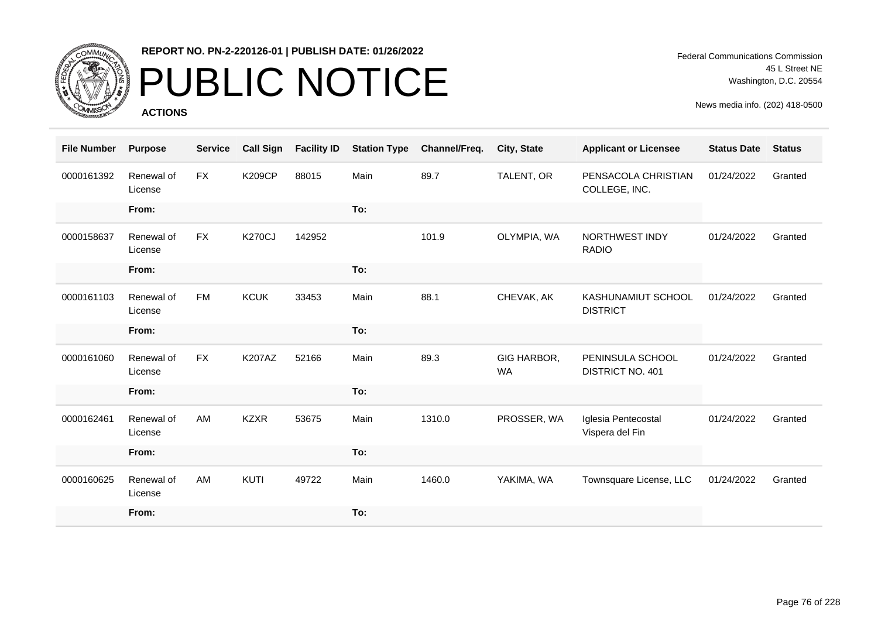

# PUBLIC NOTICE

**ACTIONS**

Federal Communications Commission 45 L Street NE Washington, D.C. 20554

| <b>File Number</b> | <b>Purpose</b>        | <b>Service</b> | <b>Call Sign</b> | <b>Facility ID</b> | <b>Station Type</b> | Channel/Freq. | <b>City, State</b>       | <b>Applicant or Licensee</b>           | <b>Status Date</b> | <b>Status</b> |
|--------------------|-----------------------|----------------|------------------|--------------------|---------------------|---------------|--------------------------|----------------------------------------|--------------------|---------------|
| 0000161392         | Renewal of<br>License | <b>FX</b>      | <b>K209CP</b>    | 88015              | Main                | 89.7          | TALENT, OR               | PENSACOLA CHRISTIAN<br>COLLEGE, INC.   | 01/24/2022         | Granted       |
|                    | From:                 |                |                  |                    | To:                 |               |                          |                                        |                    |               |
| 0000158637         | Renewal of<br>License | <b>FX</b>      | <b>K270CJ</b>    | 142952             |                     | 101.9         | OLYMPIA, WA              | NORTHWEST INDY<br><b>RADIO</b>         | 01/24/2022         | Granted       |
|                    | From:                 |                |                  |                    | To:                 |               |                          |                                        |                    |               |
| 0000161103         | Renewal of<br>License | <b>FM</b>      | <b>KCUK</b>      | 33453              | Main                | 88.1          | CHEVAK, AK               | KASHUNAMIUT SCHOOL<br><b>DISTRICT</b>  | 01/24/2022         | Granted       |
|                    | From:                 |                |                  |                    | To:                 |               |                          |                                        |                    |               |
| 0000161060         | Renewal of<br>License | FX             | <b>K207AZ</b>    | 52166              | Main                | 89.3          | GIG HARBOR,<br><b>WA</b> | PENINSULA SCHOOL<br>DISTRICT NO. 401   | 01/24/2022         | Granted       |
|                    | From:                 |                |                  |                    | To:                 |               |                          |                                        |                    |               |
| 0000162461         | Renewal of<br>License | AM             | <b>KZXR</b>      | 53675              | Main                | 1310.0        | PROSSER, WA              | Iglesia Pentecostal<br>Vispera del Fin | 01/24/2022         | Granted       |
|                    | From:                 |                |                  |                    | To:                 |               |                          |                                        |                    |               |
| 0000160625         | Renewal of<br>License | AM             | KUTI             | 49722              | Main                | 1460.0        | YAKIMA, WA               | Townsquare License, LLC                | 01/24/2022         | Granted       |
|                    | From:                 |                |                  |                    | To:                 |               |                          |                                        |                    |               |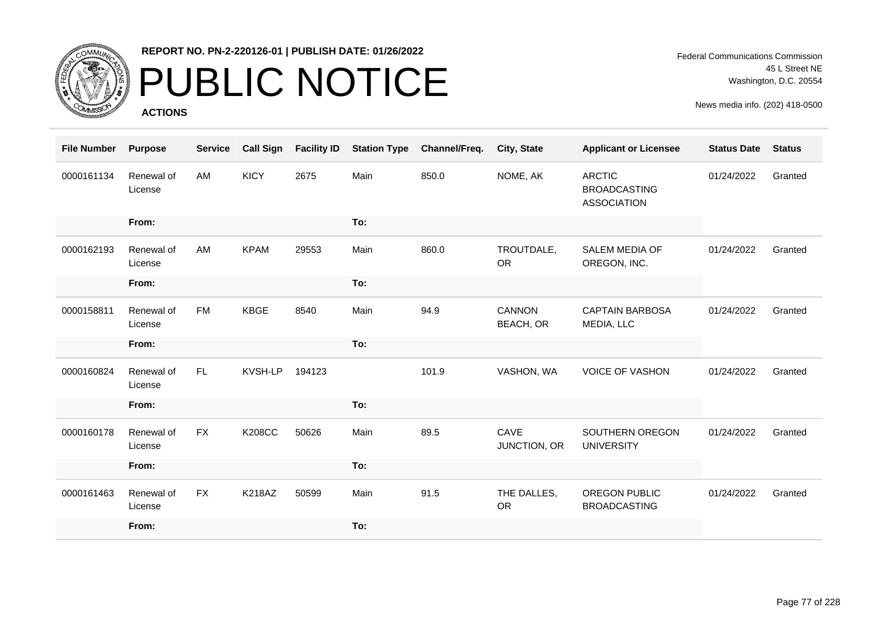

# PUBLIC NOTICE

**ACTIONS**

| <b>File Number</b> | <b>Purpose</b>        | <b>Service</b> | <b>Call Sign</b> | <b>Facility ID</b> | <b>Station Type</b> | Channel/Freq. | <b>City, State</b>       | <b>Applicant or Licensee</b>                               | <b>Status Date</b> | <b>Status</b> |
|--------------------|-----------------------|----------------|------------------|--------------------|---------------------|---------------|--------------------------|------------------------------------------------------------|--------------------|---------------|
| 0000161134         | Renewal of<br>License | AM             | <b>KICY</b>      | 2675               | Main                | 850.0         | NOME, AK                 | <b>ARCTIC</b><br><b>BROADCASTING</b><br><b>ASSOCIATION</b> | 01/24/2022         | Granted       |
|                    | From:                 |                |                  |                    | To:                 |               |                          |                                                            |                    |               |
| 0000162193         | Renewal of<br>License | AM             | <b>KPAM</b>      | 29553              | Main                | 860.0         | TROUTDALE,<br><b>OR</b>  | <b>SALEM MEDIA OF</b><br>OREGON, INC.                      | 01/24/2022         | Granted       |
|                    | From:                 |                |                  |                    | To:                 |               |                          |                                                            |                    |               |
| 0000158811         | Renewal of<br>License | <b>FM</b>      | KBGE             | 8540               | Main                | 94.9          | CANNON<br>BEACH, OR      | <b>CAPTAIN BARBOSA</b><br>MEDIA, LLC                       | 01/24/2022         | Granted       |
|                    | From:                 |                |                  |                    | To:                 |               |                          |                                                            |                    |               |
| 0000160824         | Renewal of<br>License | FL.            | KVSH-LP          | 194123             |                     | 101.9         | VASHON, WA               | <b>VOICE OF VASHON</b>                                     | 01/24/2022         | Granted       |
|                    | From:                 |                |                  |                    | To:                 |               |                          |                                                            |                    |               |
| 0000160178         | Renewal of<br>License | <b>FX</b>      | <b>K208CC</b>    | 50626              | Main                | 89.5          | CAVE<br>JUNCTION, OR     | SOUTHERN OREGON<br><b>UNIVERSITY</b>                       | 01/24/2022         | Granted       |
|                    | From:                 |                |                  |                    | To:                 |               |                          |                                                            |                    |               |
| 0000161463         | Renewal of<br>License | <b>FX</b>      | <b>K218AZ</b>    | 50599              | Main                | 91.5          | THE DALLES,<br><b>OR</b> | <b>OREGON PUBLIC</b><br><b>BROADCASTING</b>                | 01/24/2022         | Granted       |
|                    | From:                 |                |                  |                    | To:                 |               |                          |                                                            |                    |               |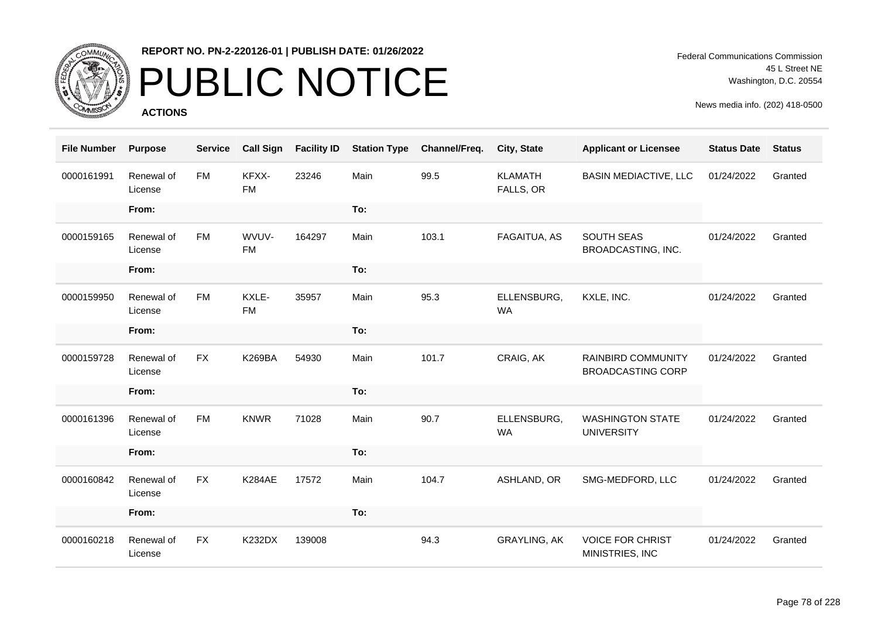

# PUBLIC NOTICE

**ACTIONS**

Federal Communications Commission 45 L Street NE Washington, D.C. 20554

| <b>File Number</b> | <b>Purpose</b>        | <b>Service</b> | <b>Call Sign</b>   | <b>Facility ID</b> | <b>Station Type</b> | Channel/Freq. | City, State                 | <b>Applicant or Licensee</b>                          | <b>Status Date</b> | <b>Status</b> |
|--------------------|-----------------------|----------------|--------------------|--------------------|---------------------|---------------|-----------------------------|-------------------------------------------------------|--------------------|---------------|
| 0000161991         | Renewal of<br>License | <b>FM</b>      | KFXX-<br><b>FM</b> | 23246              | Main                | 99.5          | <b>KLAMATH</b><br>FALLS, OR | <b>BASIN MEDIACTIVE, LLC</b>                          | 01/24/2022         | Granted       |
|                    | From:                 |                |                    |                    | To:                 |               |                             |                                                       |                    |               |
| 0000159165         | Renewal of<br>License | <b>FM</b>      | WVUV-<br><b>FM</b> | 164297             | Main                | 103.1         | FAGAITUA, AS                | SOUTH SEAS<br>BROADCASTING, INC.                      | 01/24/2022         | Granted       |
|                    | From:                 |                |                    |                    | To:                 |               |                             |                                                       |                    |               |
| 0000159950         | Renewal of<br>License | <b>FM</b>      | KXLE-<br><b>FM</b> | 35957              | Main                | 95.3          | ELLENSBURG,<br><b>WA</b>    | KXLE, INC.                                            | 01/24/2022         | Granted       |
|                    | From:                 |                |                    |                    | To:                 |               |                             |                                                       |                    |               |
| 0000159728         | Renewal of<br>License | <b>FX</b>      | <b>K269BA</b>      | 54930              | Main                | 101.7         | CRAIG, AK                   | <b>RAINBIRD COMMUNITY</b><br><b>BROADCASTING CORP</b> | 01/24/2022         | Granted       |
|                    | From:                 |                |                    |                    | To:                 |               |                             |                                                       |                    |               |
| 0000161396         | Renewal of<br>License | <b>FM</b>      | <b>KNWR</b>        | 71028              | Main                | 90.7          | ELLENSBURG,<br><b>WA</b>    | <b>WASHINGTON STATE</b><br><b>UNIVERSITY</b>          | 01/24/2022         | Granted       |
|                    | From:                 |                |                    |                    | To:                 |               |                             |                                                       |                    |               |
| 0000160842         | Renewal of<br>License | <b>FX</b>      | <b>K284AE</b>      | 17572              | Main                | 104.7         | ASHLAND, OR                 | SMG-MEDFORD, LLC                                      | 01/24/2022         | Granted       |
|                    | From:                 |                |                    |                    | To:                 |               |                             |                                                       |                    |               |
| 0000160218         | Renewal of<br>License | <b>FX</b>      | <b>K232DX</b>      | 139008             |                     | 94.3          | <b>GRAYLING, AK</b>         | <b>VOICE FOR CHRIST</b><br>MINISTRIES, INC            | 01/24/2022         | Granted       |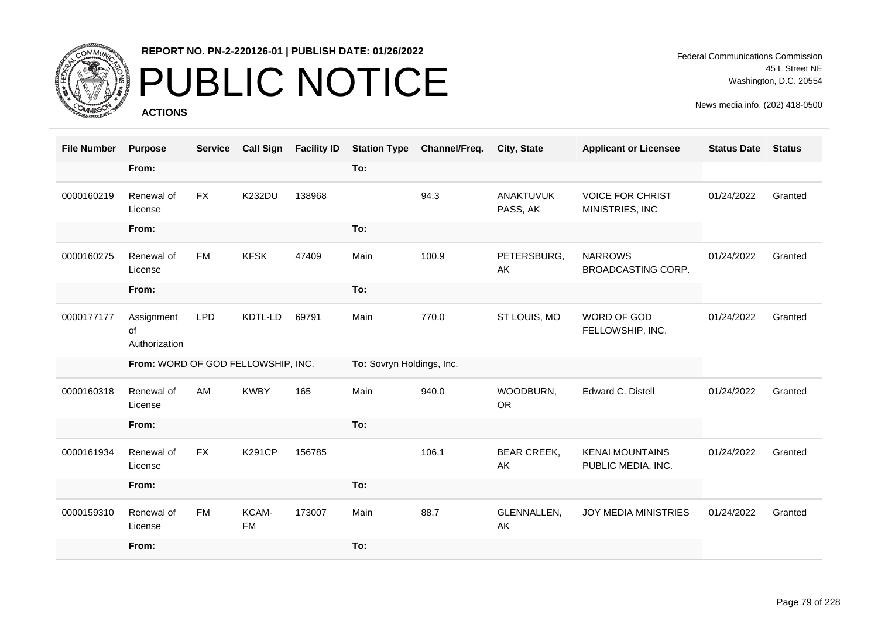

# PUBLIC NOTICE

**ACTIONS**

Federal Communications Commission 45 L Street NE Washington, D.C. 20554

| <b>File Number</b> | <b>Purpose</b>                     | <b>Service</b> | <b>Call Sign</b> | <b>Facility ID</b> | <b>Station Type</b>       | Channel/Freq. | <b>City, State</b>           | <b>Applicant or Licensee</b>                 | <b>Status Date</b> | <b>Status</b> |
|--------------------|------------------------------------|----------------|------------------|--------------------|---------------------------|---------------|------------------------------|----------------------------------------------|--------------------|---------------|
|                    | From:                              |                |                  |                    | To:                       |               |                              |                                              |                    |               |
| 0000160219         | Renewal of<br>License              | <b>FX</b>      | <b>K232DU</b>    | 138968             |                           | 94.3          | <b>ANAKTUVUK</b><br>PASS, AK | <b>VOICE FOR CHRIST</b><br>MINISTRIES, INC   | 01/24/2022         | Granted       |
|                    | From:                              |                |                  |                    | To:                       |               |                              |                                              |                    |               |
| 0000160275         | Renewal of<br>License              | <b>FM</b>      | <b>KFSK</b>      | 47409              | Main                      | 100.9         | PETERSBURG,<br>AK            | <b>NARROWS</b><br>BROADCASTING CORP.         | 01/24/2022         | Granted       |
|                    | From:                              |                |                  |                    | To:                       |               |                              |                                              |                    |               |
| 0000177177         | Assignment<br>of<br>Authorization  | <b>LPD</b>     | KDTL-LD          | 69791              | Main                      | 770.0         | ST LOUIS, MO                 | WORD OF GOD<br>FELLOWSHIP, INC.              | 01/24/2022         | Granted       |
|                    | From: WORD OF GOD FELLOWSHIP, INC. |                |                  |                    | To: Sovryn Holdings, Inc. |               |                              |                                              |                    |               |
| 0000160318         | Renewal of<br>License              | AM             | <b>KWBY</b>      | 165                | Main                      | 940.0         | WOODBURN,<br><b>OR</b>       | Edward C. Distell                            | 01/24/2022         | Granted       |
|                    | From:                              |                |                  |                    | To:                       |               |                              |                                              |                    |               |
| 0000161934         | Renewal of<br>License              | <b>FX</b>      | <b>K291CP</b>    | 156785             |                           | 106.1         | <b>BEAR CREEK,</b><br>AK     | <b>KENAI MOUNTAINS</b><br>PUBLIC MEDIA, INC. | 01/24/2022         | Granted       |
|                    | From:                              |                |                  |                    | To:                       |               |                              |                                              |                    |               |
| 0000159310         | Renewal of                         | <b>FM</b>      | KCAM-            | 173007             | Main                      | 88.7          | GLENNALLEN,                  | <b>JOY MEDIA MINISTRIES</b>                  | 01/24/2022         | Granted       |
|                    | License                            |                | <b>FM</b>        |                    |                           |               | AK                           |                                              |                    |               |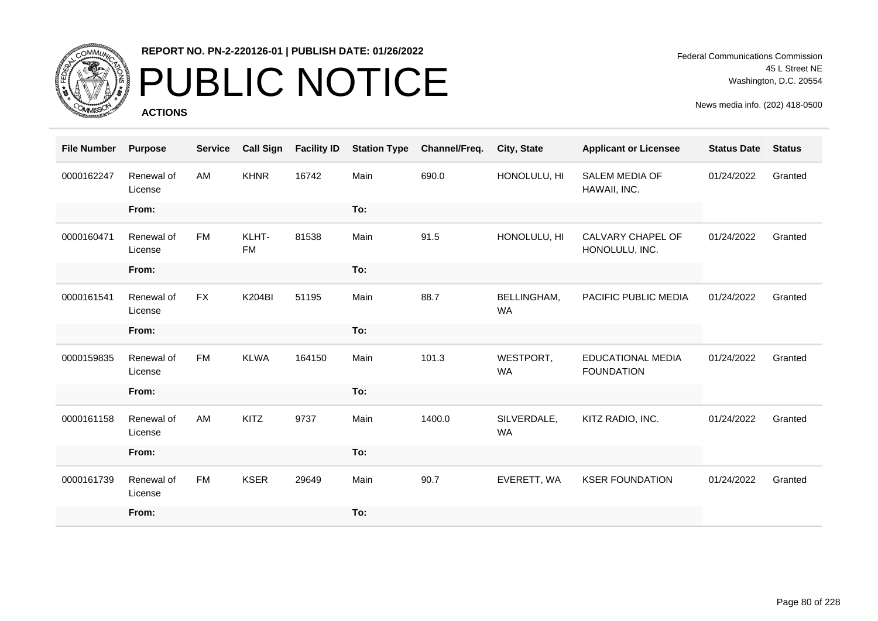

# PUBLIC NOTICE

**ACTIONS**

Federal Communications Commission 45 L Street NE Washington, D.C. 20554

| <b>File Number</b> | <b>Purpose</b>        | <b>Service</b> | <b>Call Sign</b>   | <b>Facility ID</b> | <b>Station Type</b> | Channel/Freq. | City, State              | <b>Applicant or Licensee</b>                  | <b>Status Date</b> | <b>Status</b> |
|--------------------|-----------------------|----------------|--------------------|--------------------|---------------------|---------------|--------------------------|-----------------------------------------------|--------------------|---------------|
| 0000162247         | Renewal of<br>License | <b>AM</b>      | <b>KHNR</b>        | 16742              | Main                | 690.0         | HONOLULU, HI             | <b>SALEM MEDIA OF</b><br>HAWAII, INC.         | 01/24/2022         | Granted       |
|                    | From:                 |                |                    |                    | To:                 |               |                          |                                               |                    |               |
| 0000160471         | Renewal of<br>License | <b>FM</b>      | KLHT-<br><b>FM</b> | 81538              | Main                | 91.5          | HONOLULU, HI             | CALVARY CHAPEL OF<br>HONOLULU, INC.           | 01/24/2022         | Granted       |
|                    | From:                 |                |                    |                    | To:                 |               |                          |                                               |                    |               |
| 0000161541         | Renewal of<br>License | <b>FX</b>      | <b>K204BI</b>      | 51195              | Main                | 88.7          | BELLINGHAM,<br><b>WA</b> | PACIFIC PUBLIC MEDIA                          | 01/24/2022         | Granted       |
|                    | From:                 |                |                    |                    | To:                 |               |                          |                                               |                    |               |
| 0000159835         | Renewal of<br>License | <b>FM</b>      | <b>KLWA</b>        | 164150             | Main                | 101.3         | WESTPORT,<br><b>WA</b>   | <b>EDUCATIONAL MEDIA</b><br><b>FOUNDATION</b> | 01/24/2022         | Granted       |
|                    | From:                 |                |                    |                    | To:                 |               |                          |                                               |                    |               |
| 0000161158         | Renewal of<br>License | AM             | <b>KITZ</b>        | 9737               | Main                | 1400.0        | SILVERDALE,<br><b>WA</b> | KITZ RADIO, INC.                              | 01/24/2022         | Granted       |
|                    | From:                 |                |                    |                    | To:                 |               |                          |                                               |                    |               |
| 0000161739         | Renewal of<br>License | <b>FM</b>      | <b>KSER</b>        | 29649              | Main                | 90.7          | EVERETT, WA              | <b>KSER FOUNDATION</b>                        | 01/24/2022         | Granted       |
|                    | From:                 |                |                    |                    | To:                 |               |                          |                                               |                    |               |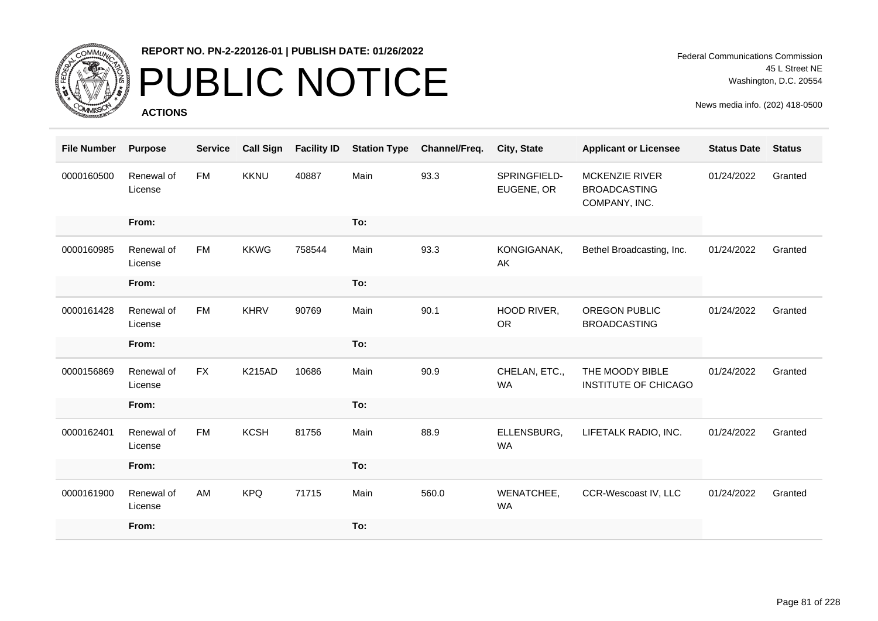

## PUBLIC NOTICE

**ACTIONS**

Federal Communications Commission 45 L Street NE Washington, D.C. 20554

| <b>File Number</b> | <b>Purpose</b>        | <b>Service</b> | <b>Call Sign</b> | <b>Facility ID</b> | <b>Station Type</b> | Channel/Freq. | City, State                | <b>Applicant or Licensee</b>                                  | <b>Status Date</b> | <b>Status</b> |
|--------------------|-----------------------|----------------|------------------|--------------------|---------------------|---------------|----------------------------|---------------------------------------------------------------|--------------------|---------------|
| 0000160500         | Renewal of<br>License | <b>FM</b>      | <b>KKNU</b>      | 40887              | Main                | 93.3          | SPRINGFIELD-<br>EUGENE, OR | <b>MCKENZIE RIVER</b><br><b>BROADCASTING</b><br>COMPANY, INC. | 01/24/2022         | Granted       |
|                    | From:                 |                |                  |                    | To:                 |               |                            |                                                               |                    |               |
| 0000160985         | Renewal of<br>License | <b>FM</b>      | <b>KKWG</b>      | 758544             | Main                | 93.3          | KONGIGANAK,<br>AK          | Bethel Broadcasting, Inc.                                     | 01/24/2022         | Granted       |
|                    | From:                 |                |                  |                    | To:                 |               |                            |                                                               |                    |               |
| 0000161428         | Renewal of<br>License | <b>FM</b>      | <b>KHRV</b>      | 90769              | Main                | 90.1          | HOOD RIVER,<br><b>OR</b>   | <b>OREGON PUBLIC</b><br><b>BROADCASTING</b>                   | 01/24/2022         | Granted       |
|                    | From:                 |                |                  |                    | To:                 |               |                            |                                                               |                    |               |
| 0000156869         | Renewal of<br>License | <b>FX</b>      | <b>K215AD</b>    | 10686              | Main                | 90.9          | CHELAN, ETC.,<br><b>WA</b> | THE MOODY BIBLE<br>INSTITUTE OF CHICAGO                       | 01/24/2022         | Granted       |
|                    | From:                 |                |                  |                    | To:                 |               |                            |                                                               |                    |               |
| 0000162401         | Renewal of<br>License | <b>FM</b>      | <b>KCSH</b>      | 81756              | Main                | 88.9          | ELLENSBURG,<br>WA          | LIFETALK RADIO, INC.                                          | 01/24/2022         | Granted       |
|                    | From:                 |                |                  |                    | To:                 |               |                            |                                                               |                    |               |
| 0000161900         | Renewal of<br>License | AM             | <b>KPQ</b>       | 71715              | Main                | 560.0         | WENATCHEE,<br><b>WA</b>    | CCR-Wescoast IV, LLC                                          | 01/24/2022         | Granted       |
|                    | From:                 |                |                  |                    | To:                 |               |                            |                                                               |                    |               |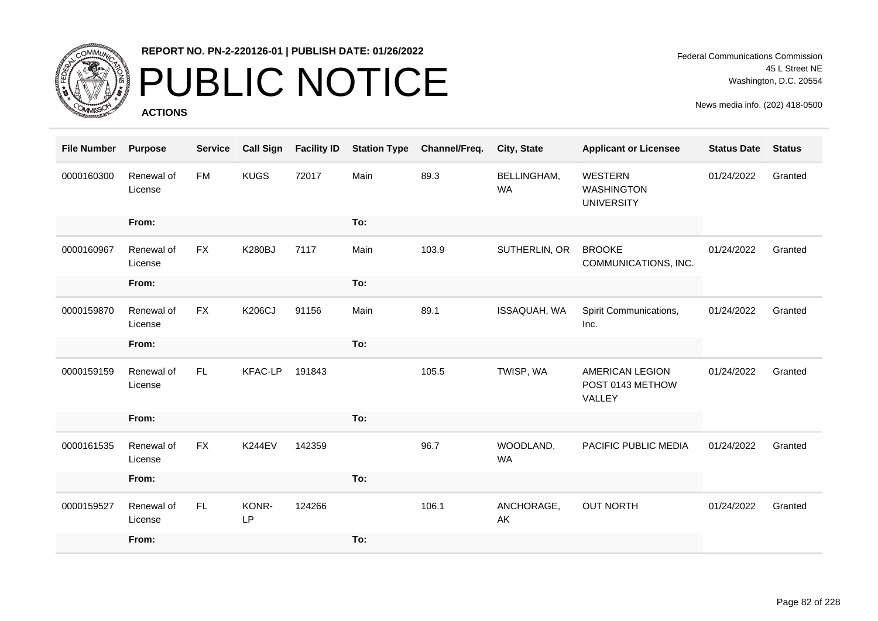

### PUBLIC NOTICE

**ACTIONS**

Federal Communications Commission 45 L Street NE Washington, D.C. 20554

| <b>File Number</b> | <b>Purpose</b>        | <b>Service</b> | <b>Call Sign</b> | <b>Facility ID</b> | <b>Station Type</b> | Channel/Freq. | <b>City, State</b>       | <b>Applicant or Licensee</b>                      | <b>Status Date</b> | <b>Status</b> |
|--------------------|-----------------------|----------------|------------------|--------------------|---------------------|---------------|--------------------------|---------------------------------------------------|--------------------|---------------|
| 0000160300         | Renewal of<br>License | <b>FM</b>      | <b>KUGS</b>      | 72017              | Main                | 89.3          | BELLINGHAM,<br><b>WA</b> | WESTERN<br><b>WASHINGTON</b><br><b>UNIVERSITY</b> | 01/24/2022         | Granted       |
|                    | From:                 |                |                  |                    | To:                 |               |                          |                                                   |                    |               |
| 0000160967         | Renewal of<br>License | <b>FX</b>      | <b>K280BJ</b>    | 7117               | Main                | 103.9         | SUTHERLIN, OR            | <b>BROOKE</b><br>COMMUNICATIONS, INC.             | 01/24/2022         | Granted       |
|                    | From:                 |                |                  |                    | To:                 |               |                          |                                                   |                    |               |
| 0000159870         | Renewal of<br>License | FX             | <b>K206CJ</b>    | 91156              | Main                | 89.1          | ISSAQUAH, WA             | Spirit Communications,<br>Inc.                    | 01/24/2022         | Granted       |
|                    | From:                 |                |                  |                    | To:                 |               |                          |                                                   |                    |               |
| 0000159159         | Renewal of<br>License | FL.            | <b>KFAC-LP</b>   | 191843             |                     | 105.5         | TWISP, WA                | AMERICAN LEGION<br>POST 0143 METHOW<br>VALLEY     | 01/24/2022         | Granted       |
|                    | From:                 |                |                  |                    | To:                 |               |                          |                                                   |                    |               |
| 0000161535         | Renewal of<br>License | <b>FX</b>      | <b>K244EV</b>    | 142359             |                     | 96.7          | WOODLAND,<br><b>WA</b>   | PACIFIC PUBLIC MEDIA                              | 01/24/2022         | Granted       |
|                    | From:                 |                |                  |                    | To:                 |               |                          |                                                   |                    |               |
| 0000159527         | Renewal of<br>License | FL             | KONR-<br>LP      | 124266             |                     | 106.1         | ANCHORAGE,<br>AK         | <b>OUT NORTH</b>                                  | 01/24/2022         | Granted       |
|                    | From:                 |                |                  |                    | To:                 |               |                          |                                                   |                    |               |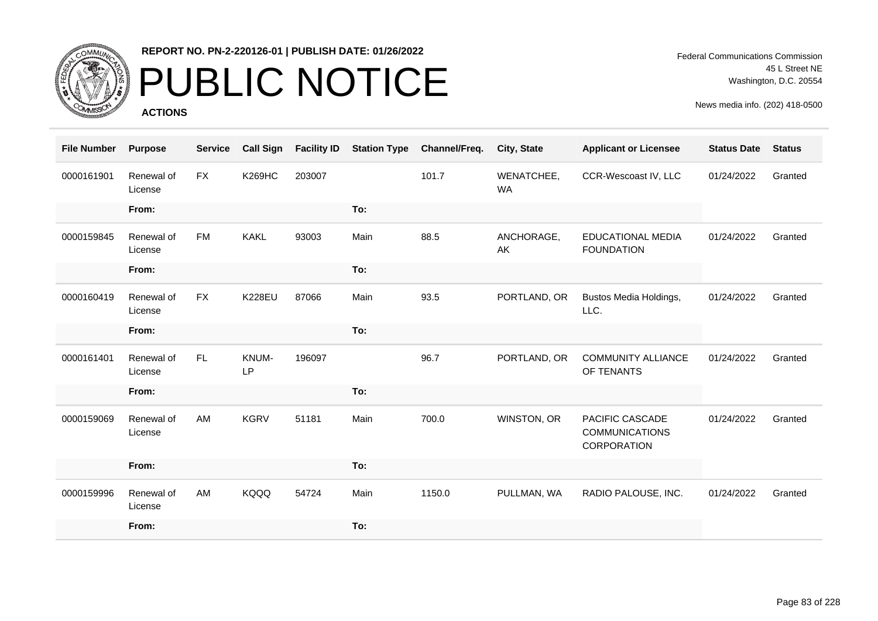

# PUBLIC NOTICE

**ACTIONS**

Federal Communications Commission 45 L Street NE Washington, D.C. 20554

| <b>File Number</b> | <b>Purpose</b>        | <b>Service</b> | <b>Call Sign</b> | <b>Facility ID</b> | <b>Station Type</b> | Channel/Freq. | City, State             | <b>Applicant or Licensee</b>                            | <b>Status Date</b> | <b>Status</b> |
|--------------------|-----------------------|----------------|------------------|--------------------|---------------------|---------------|-------------------------|---------------------------------------------------------|--------------------|---------------|
| 0000161901         | Renewal of<br>License | <b>FX</b>      | <b>K269HC</b>    | 203007             |                     | 101.7         | WENATCHEE,<br><b>WA</b> | CCR-Wescoast IV, LLC                                    | 01/24/2022         | Granted       |
|                    | From:                 |                |                  |                    | To:                 |               |                         |                                                         |                    |               |
| 0000159845         | Renewal of<br>License | FM             | <b>KAKL</b>      | 93003              | Main                | 88.5          | ANCHORAGE,<br>AK        | EDUCATIONAL MEDIA<br><b>FOUNDATION</b>                  | 01/24/2022         | Granted       |
|                    | From:                 |                |                  |                    | To:                 |               |                         |                                                         |                    |               |
| 0000160419         | Renewal of<br>License | <b>FX</b>      | <b>K228EU</b>    | 87066              | Main                | 93.5          | PORTLAND, OR            | Bustos Media Holdings,<br>LLC.                          | 01/24/2022         | Granted       |
|                    | From:                 |                |                  |                    | To:                 |               |                         |                                                         |                    |               |
| 0000161401         | Renewal of<br>License | FL             | KNUM-<br>LP      | 196097             |                     | 96.7          | PORTLAND, OR            | <b>COMMUNITY ALLIANCE</b><br>OF TENANTS                 | 01/24/2022         | Granted       |
|                    | From:                 |                |                  |                    | To:                 |               |                         |                                                         |                    |               |
| 0000159069         | Renewal of<br>License | AM             | <b>KGRV</b>      | 51181              | Main                | 700.0         | WINSTON, OR             | PACIFIC CASCADE<br><b>COMMUNICATIONS</b><br>CORPORATION | 01/24/2022         | Granted       |
|                    | From:                 |                |                  |                    | To:                 |               |                         |                                                         |                    |               |
| 0000159996         | Renewal of<br>License | AM             | KQQQ             | 54724              | Main                | 1150.0        | PULLMAN, WA             | RADIO PALOUSE, INC.                                     | 01/24/2022         | Granted       |
|                    | From:                 |                |                  |                    | To:                 |               |                         |                                                         |                    |               |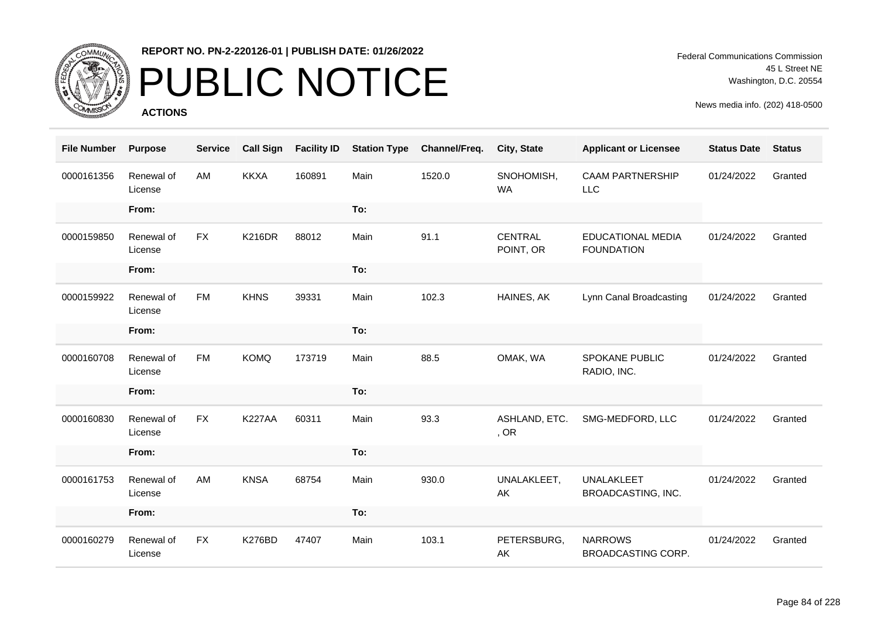

# PUBLIC NOTICE

**ACTIONS**

Federal Communications Commission 45 L Street NE Washington, D.C. 20554

| <b>File Number</b> | <b>Purpose</b>        | <b>Service</b> | <b>Call Sign</b> | <b>Facility ID</b> | <b>Station Type</b> | Channel/Freq. | City, State             | <b>Applicant or Licensee</b>           | <b>Status Date</b> | <b>Status</b> |
|--------------------|-----------------------|----------------|------------------|--------------------|---------------------|---------------|-------------------------|----------------------------------------|--------------------|---------------|
| 0000161356         | Renewal of<br>License | AM             | <b>KKXA</b>      | 160891             | Main                | 1520.0        | SNOHOMISH,<br><b>WA</b> | <b>CAAM PARTNERSHIP</b><br><b>LLC</b>  | 01/24/2022         | Granted       |
|                    | From:                 |                |                  |                    | To:                 |               |                         |                                        |                    |               |
| 0000159850         | Renewal of<br>License | <b>FX</b>      | <b>K216DR</b>    | 88012              | Main                | 91.1          | CENTRAL<br>POINT, OR    | EDUCATIONAL MEDIA<br><b>FOUNDATION</b> | 01/24/2022         | Granted       |
|                    | From:                 |                |                  |                    | To:                 |               |                         |                                        |                    |               |
| 0000159922         | Renewal of<br>License | <b>FM</b>      | <b>KHNS</b>      | 39331              | Main                | 102.3         | HAINES, AK              | Lynn Canal Broadcasting                | 01/24/2022         | Granted       |
|                    | From:                 |                |                  |                    | To:                 |               |                         |                                        |                    |               |
| 0000160708         | Renewal of<br>License | <b>FM</b>      | <b>KOMQ</b>      | 173719             | Main                | 88.5          | OMAK, WA                | <b>SPOKANE PUBLIC</b><br>RADIO, INC.   | 01/24/2022         | Granted       |
|                    | From:                 |                |                  |                    | To:                 |               |                         |                                        |                    |               |
| 0000160830         | Renewal of<br>License | <b>FX</b>      | <b>K227AA</b>    | 60311              | Main                | 93.3          | ASHLAND, ETC.<br>, OR   | SMG-MEDFORD, LLC                       | 01/24/2022         | Granted       |
|                    | From:                 |                |                  |                    | To:                 |               |                         |                                        |                    |               |
| 0000161753         | Renewal of<br>License | AM             | <b>KNSA</b>      | 68754              | Main                | 930.0         | UNALAKLEET,<br>AK       | UNALAKLEET<br>BROADCASTING, INC.       | 01/24/2022         | Granted       |
|                    | From:                 |                |                  |                    | To:                 |               |                         |                                        |                    |               |
| 0000160279         | Renewal of<br>License | <b>FX</b>      | <b>K276BD</b>    | 47407              | Main                | 103.1         | PETERSBURG,<br>AK       | <b>NARROWS</b><br>BROADCASTING CORP.   | 01/24/2022         | Granted       |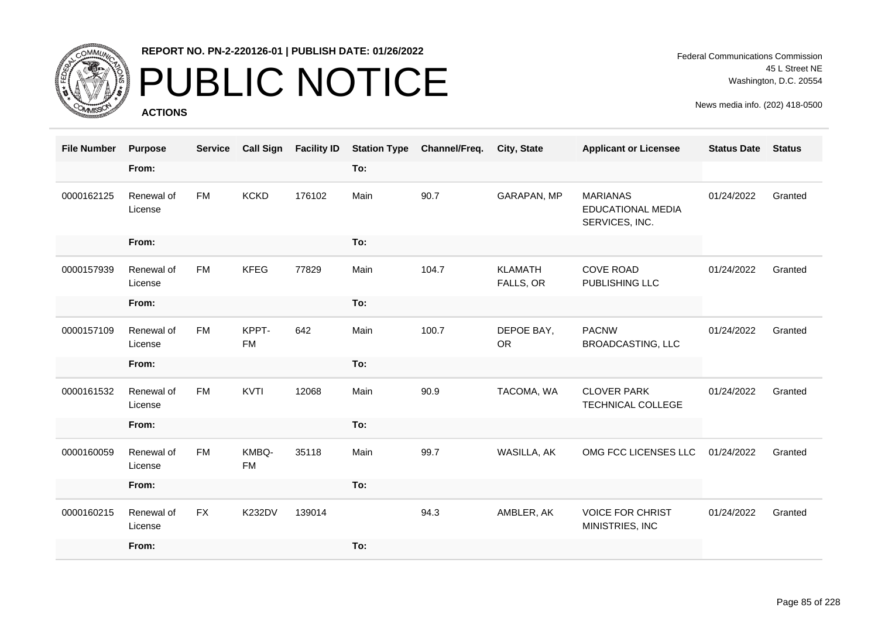

# PUBLIC NOTICE

**ACTIONS**

Federal Communications Commission 45 L Street NE Washington, D.C. 20554

| <b>File Number</b> | <b>Purpose</b>        | <b>Service</b> | <b>Call Sign</b>   | <b>Facility ID</b> |      | <b>Station Type Channel/Freq.</b> | <b>City, State</b>          | <b>Applicant or Licensee</b>                           | <b>Status Date</b> | <b>Status</b> |
|--------------------|-----------------------|----------------|--------------------|--------------------|------|-----------------------------------|-----------------------------|--------------------------------------------------------|--------------------|---------------|
|                    | From:                 |                |                    |                    | To:  |                                   |                             |                                                        |                    |               |
| 0000162125         | Renewal of<br>License | <b>FM</b>      | <b>KCKD</b>        | 176102             | Main | 90.7                              | GARAPAN, MP                 | <b>MARIANAS</b><br>EDUCATIONAL MEDIA<br>SERVICES, INC. | 01/24/2022         | Granted       |
|                    | From:                 |                |                    |                    | To:  |                                   |                             |                                                        |                    |               |
| 0000157939         | Renewal of<br>License | <b>FM</b>      | <b>KFEG</b>        | 77829              | Main | 104.7                             | <b>KLAMATH</b><br>FALLS, OR | <b>COVE ROAD</b><br>PUBLISHING LLC                     | 01/24/2022         | Granted       |
|                    | From:                 |                |                    |                    | To:  |                                   |                             |                                                        |                    |               |
| 0000157109         | Renewal of<br>License | <b>FM</b>      | KPPT-<br><b>FM</b> | 642                | Main | 100.7                             | DEPOE BAY,<br><b>OR</b>     | <b>PACNW</b><br><b>BROADCASTING, LLC</b>               | 01/24/2022         | Granted       |
|                    | From:                 |                |                    |                    | To:  |                                   |                             |                                                        |                    |               |
| 0000161532         | Renewal of<br>License | <b>FM</b>      | KVTI               | 12068              | Main | 90.9                              | TACOMA, WA                  | <b>CLOVER PARK</b><br>TECHNICAL COLLEGE                | 01/24/2022         | Granted       |
|                    | From:                 |                |                    |                    | To:  |                                   |                             |                                                        |                    |               |
| 0000160059         | Renewal of<br>License | <b>FM</b>      | KMBQ-<br><b>FM</b> | 35118              | Main | 99.7                              | WASILLA, AK                 | OMG FCC LICENSES LLC                                   | 01/24/2022         | Granted       |
|                    | From:                 |                |                    |                    | To:  |                                   |                             |                                                        |                    |               |
| 0000160215         | Renewal of<br>License | <b>FX</b>      | <b>K232DV</b>      | 139014             |      | 94.3                              | AMBLER, AK                  | <b>VOICE FOR CHRIST</b><br>MINISTRIES, INC             | 01/24/2022         | Granted       |
|                    | From:                 |                |                    |                    | To:  |                                   |                             |                                                        |                    |               |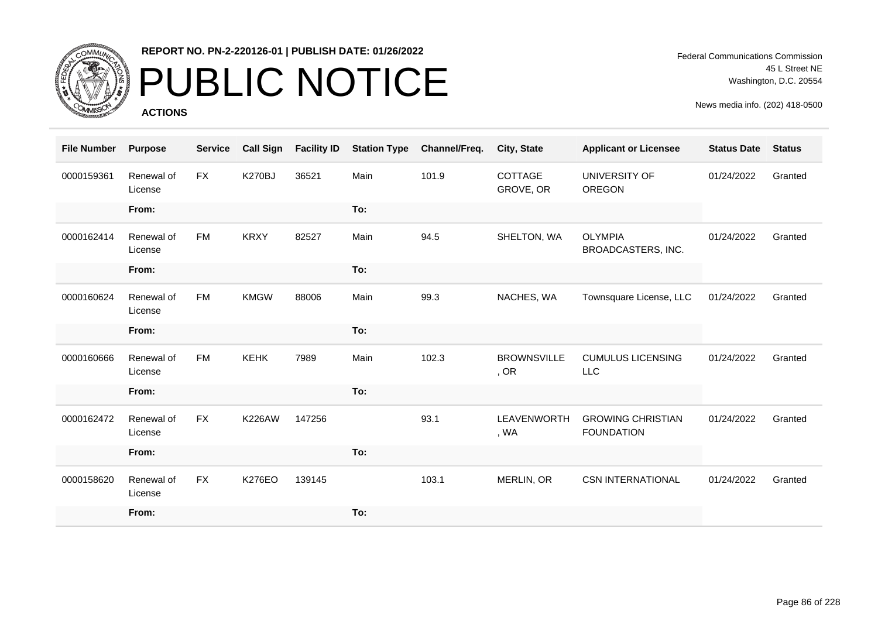

# PUBLIC NOTICE

**ACTIONS**

Federal Communications Commission 45 L Street NE Washington, D.C. 20554

| <b>File Number</b> | <b>Purpose</b>        | <b>Service</b> | <b>Call Sign</b> | <b>Facility ID</b> | <b>Station Type</b> | Channel/Freq. | City, State                | <b>Applicant or Licensee</b>                  | <b>Status Date</b> | <b>Status</b> |
|--------------------|-----------------------|----------------|------------------|--------------------|---------------------|---------------|----------------------------|-----------------------------------------------|--------------------|---------------|
| 0000159361         | Renewal of<br>License | <b>FX</b>      | <b>K270BJ</b>    | 36521              | Main                | 101.9         | COTTAGE<br>GROVE, OR       | UNIVERSITY OF<br><b>OREGON</b>                | 01/24/2022         | Granted       |
|                    | From:                 |                |                  |                    | To:                 |               |                            |                                               |                    |               |
| 0000162414         | Renewal of<br>License | <b>FM</b>      | <b>KRXY</b>      | 82527              | Main                | 94.5          | SHELTON, WA                | <b>OLYMPIA</b><br>BROADCASTERS, INC.          | 01/24/2022         | Granted       |
|                    | From:                 |                |                  |                    | To:                 |               |                            |                                               |                    |               |
| 0000160624         | Renewal of<br>License | <b>FM</b>      | <b>KMGW</b>      | 88006              | Main                | 99.3          | NACHES, WA                 | Townsquare License, LLC                       | 01/24/2022         | Granted       |
|                    | From:                 |                |                  |                    | To:                 |               |                            |                                               |                    |               |
| 0000160666         | Renewal of<br>License | <b>FM</b>      | <b>KEHK</b>      | 7989               | Main                | 102.3         | <b>BROWNSVILLE</b><br>, OR | <b>CUMULUS LICENSING</b><br><b>LLC</b>        | 01/24/2022         | Granted       |
|                    | From:                 |                |                  |                    | To:                 |               |                            |                                               |                    |               |
| 0000162472         | Renewal of<br>License | <b>FX</b>      | <b>K226AW</b>    | 147256             |                     | 93.1          | LEAVENWORTH<br>, WA        | <b>GROWING CHRISTIAN</b><br><b>FOUNDATION</b> | 01/24/2022         | Granted       |
|                    | From:                 |                |                  |                    | To:                 |               |                            |                                               |                    |               |
| 0000158620         | Renewal of<br>License | FX             | <b>K276EO</b>    | 139145             |                     | 103.1         | MERLIN, OR                 | <b>CSN INTERNATIONAL</b>                      | 01/24/2022         | Granted       |
|                    | From:                 |                |                  |                    | To:                 |               |                            |                                               |                    |               |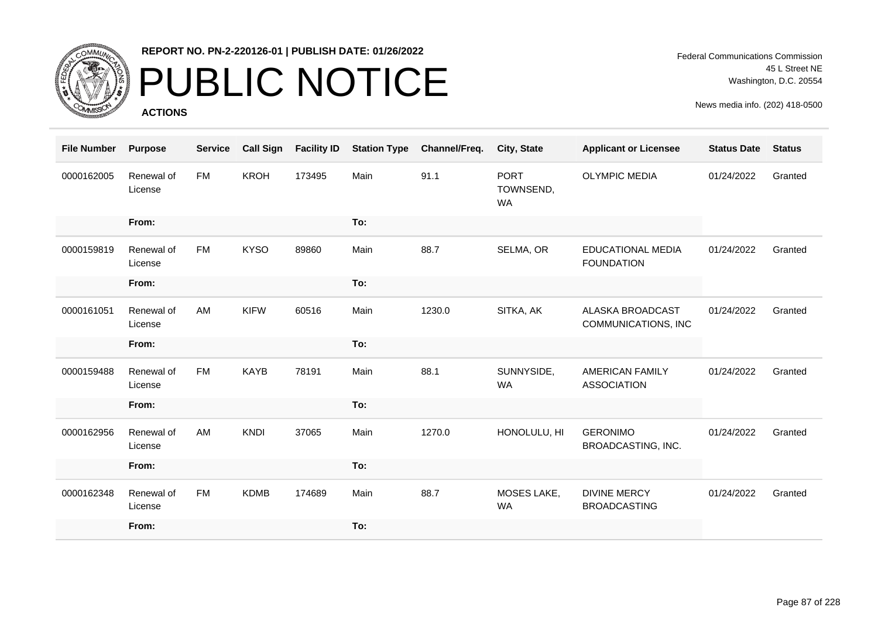

# PUBLIC NOTICE

**ACTIONS**

Federal Communications Commission 45 L Street NE Washington, D.C. 20554

| <b>File Number</b> | <b>Purpose</b>        | <b>Service</b> | <b>Call Sign</b> | <b>Facility ID</b> | <b>Station Type</b> | Channel/Freq. | <b>City, State</b>                    | <b>Applicant or Licensee</b>                   | <b>Status Date</b> | <b>Status</b> |
|--------------------|-----------------------|----------------|------------------|--------------------|---------------------|---------------|---------------------------------------|------------------------------------------------|--------------------|---------------|
| 0000162005         | Renewal of<br>License | <b>FM</b>      | <b>KROH</b>      | 173495             | Main                | 91.1          | <b>PORT</b><br>TOWNSEND,<br><b>WA</b> | <b>OLYMPIC MEDIA</b>                           | 01/24/2022         | Granted       |
|                    | From:                 |                |                  |                    | To:                 |               |                                       |                                                |                    |               |
| 0000159819         | Renewal of<br>License | <b>FM</b>      | <b>KYSO</b>      | 89860              | Main                | 88.7          | SELMA, OR                             | <b>EDUCATIONAL MEDIA</b><br><b>FOUNDATION</b>  | 01/24/2022         | Granted       |
|                    | From:                 |                |                  |                    | To:                 |               |                                       |                                                |                    |               |
| 0000161051         | Renewal of<br>License | AM             | <b>KIFW</b>      | 60516              | Main                | 1230.0        | SITKA, AK                             | <b>ALASKA BROADCAST</b><br>COMMUNICATIONS, INC | 01/24/2022         | Granted       |
|                    | From:                 |                |                  |                    | To:                 |               |                                       |                                                |                    |               |
| 0000159488         | Renewal of<br>License | <b>FM</b>      | <b>KAYB</b>      | 78191              | Main                | 88.1          | SUNNYSIDE,<br><b>WA</b>               | <b>AMERICAN FAMILY</b><br><b>ASSOCIATION</b>   | 01/24/2022         | Granted       |
|                    | From:                 |                |                  |                    | To:                 |               |                                       |                                                |                    |               |
| 0000162956         | Renewal of<br>License | AM             | <b>KNDI</b>      | 37065              | Main                | 1270.0        | HONOLULU, HI                          | <b>GERONIMO</b><br>BROADCASTING, INC.          | 01/24/2022         | Granted       |
|                    | From:                 |                |                  |                    | To:                 |               |                                       |                                                |                    |               |
| 0000162348         | Renewal of<br>License | <b>FM</b>      | <b>KDMB</b>      | 174689             | Main                | 88.7          | MOSES LAKE,<br><b>WA</b>              | <b>DIVINE MERCY</b><br><b>BROADCASTING</b>     | 01/24/2022         | Granted       |
|                    | From:                 |                |                  |                    | To:                 |               |                                       |                                                |                    |               |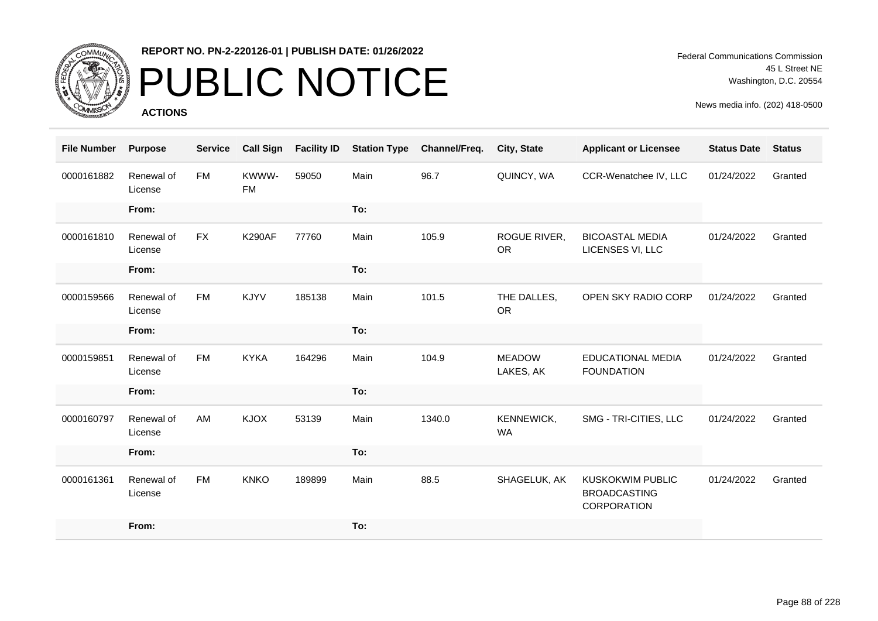

# PUBLIC NOTICE

**ACTIONS**

Federal Communications Commission 45 L Street NE Washington, D.C. 20554

| <b>File Number</b> | <b>Purpose</b>        | <b>Service</b> | <b>Call Sign</b>   | <b>Facility ID</b> | <b>Station Type</b> | Channel/Freq. | <b>City, State</b>         | <b>Applicant or Licensee</b>                                  | <b>Status Date</b> | <b>Status</b> |
|--------------------|-----------------------|----------------|--------------------|--------------------|---------------------|---------------|----------------------------|---------------------------------------------------------------|--------------------|---------------|
| 0000161882         | Renewal of<br>License | <b>FM</b>      | KWWW-<br><b>FM</b> | 59050              | Main                | 96.7          | QUINCY, WA                 | CCR-Wenatchee IV, LLC                                         | 01/24/2022         | Granted       |
|                    | From:                 |                |                    |                    | To:                 |               |                            |                                                               |                    |               |
| 0000161810         | Renewal of<br>License | <b>FX</b>      | <b>K290AF</b>      | 77760              | Main                | 105.9         | ROGUE RIVER,<br><b>OR</b>  | <b>BICOASTAL MEDIA</b><br>LICENSES VI, LLC                    | 01/24/2022         | Granted       |
|                    | From:                 |                |                    |                    | To:                 |               |                            |                                                               |                    |               |
| 0000159566         | Renewal of<br>License | FM             | KJYV               | 185138             | Main                | 101.5         | THE DALLES,<br><b>OR</b>   | OPEN SKY RADIO CORP                                           | 01/24/2022         | Granted       |
|                    | From:                 |                |                    |                    | To:                 |               |                            |                                                               |                    |               |
| 0000159851         | Renewal of<br>License | <b>FM</b>      | <b>KYKA</b>        | 164296             | Main                | 104.9         | <b>MEADOW</b><br>LAKES, AK | <b>EDUCATIONAL MEDIA</b><br><b>FOUNDATION</b>                 | 01/24/2022         | Granted       |
|                    | From:                 |                |                    |                    | To:                 |               |                            |                                                               |                    |               |
| 0000160797         | Renewal of<br>License | AM             | <b>KJOX</b>        | 53139              | Main                | 1340.0        | KENNEWICK,<br><b>WA</b>    | SMG - TRI-CITIES, LLC                                         | 01/24/2022         | Granted       |
|                    | From:                 |                |                    |                    | To:                 |               |                            |                                                               |                    |               |
| 0000161361         | Renewal of<br>License | FM             | <b>KNKO</b>        | 189899             | Main                | 88.5          | SHAGELUK, AK               | <b>KUSKOKWIM PUBLIC</b><br><b>BROADCASTING</b><br>CORPORATION | 01/24/2022         | Granted       |
|                    | From:                 |                |                    |                    | To:                 |               |                            |                                                               |                    |               |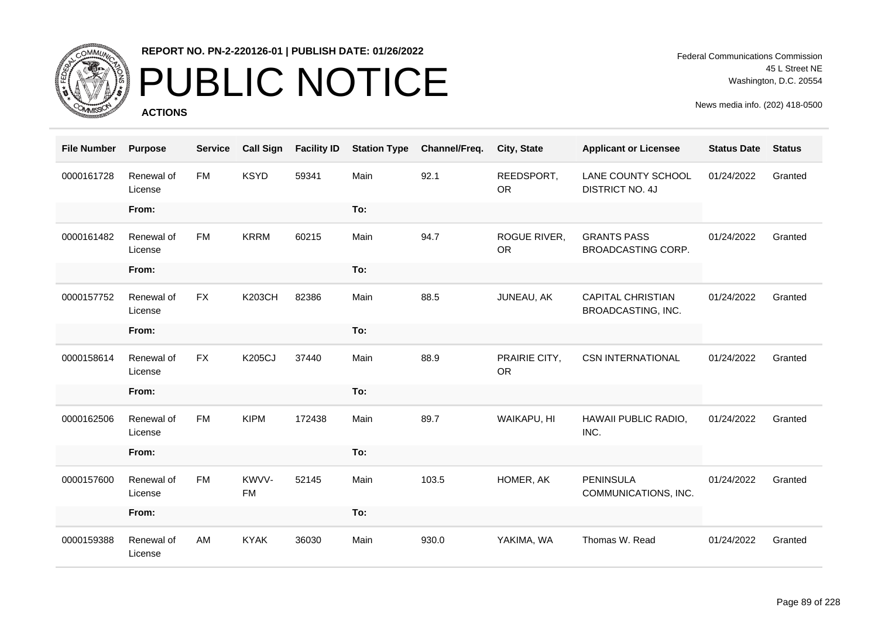

# PUBLIC NOTICE

**ACTIONS**

Federal Communications Commission 45 L Street NE Washington, D.C. 20554

| <b>File Number</b> | <b>Purpose</b>        | <b>Service</b> | <b>Call Sign</b>   | <b>Facility ID</b> | <b>Station Type</b> | Channel/Freq. | City, State                | <b>Applicant or Licensee</b>                   | <b>Status Date</b> | <b>Status</b> |
|--------------------|-----------------------|----------------|--------------------|--------------------|---------------------|---------------|----------------------------|------------------------------------------------|--------------------|---------------|
| 0000161728         | Renewal of<br>License | <b>FM</b>      | <b>KSYD</b>        | 59341              | Main                | 92.1          | REEDSPORT,<br><b>OR</b>    | LANE COUNTY SCHOOL<br><b>DISTRICT NO. 4J</b>   | 01/24/2022         | Granted       |
|                    | From:                 |                |                    |                    | To:                 |               |                            |                                                |                    |               |
| 0000161482         | Renewal of<br>License | <b>FM</b>      | <b>KRRM</b>        | 60215              | Main                | 94.7          | ROGUE RIVER,<br><b>OR</b>  | <b>GRANTS PASS</b><br>BROADCASTING CORP.       | 01/24/2022         | Granted       |
|                    | From:                 |                |                    |                    | To:                 |               |                            |                                                |                    |               |
| 0000157752         | Renewal of<br>License | <b>FX</b>      | <b>K203CH</b>      | 82386              | Main                | 88.5          | JUNEAU, AK                 | <b>CAPITAL CHRISTIAN</b><br>BROADCASTING, INC. | 01/24/2022         | Granted       |
|                    | From:                 |                |                    |                    | To:                 |               |                            |                                                |                    |               |
| 0000158614         | Renewal of<br>License | <b>FX</b>      | <b>K205CJ</b>      | 37440              | Main                | 88.9          | PRAIRIE CITY,<br><b>OR</b> | <b>CSN INTERNATIONAL</b>                       | 01/24/2022         | Granted       |
|                    | From:                 |                |                    |                    | To:                 |               |                            |                                                |                    |               |
| 0000162506         | Renewal of<br>License | <b>FM</b>      | <b>KIPM</b>        | 172438             | Main                | 89.7          | WAIKAPU, HI                | HAWAII PUBLIC RADIO,<br>INC.                   | 01/24/2022         | Granted       |
|                    | From:                 |                |                    |                    | To:                 |               |                            |                                                |                    |               |
| 0000157600         | Renewal of<br>License | <b>FM</b>      | KWVV-<br><b>FM</b> | 52145              | Main                | 103.5         | HOMER, AK                  | <b>PENINSULA</b><br>COMMUNICATIONS, INC.       | 01/24/2022         | Granted       |
|                    | From:                 |                |                    |                    | To:                 |               |                            |                                                |                    |               |
| 0000159388         | Renewal of<br>License | AM             | <b>KYAK</b>        | 36030              | Main                | 930.0         | YAKIMA, WA                 | Thomas W. Read                                 | 01/24/2022         | Granted       |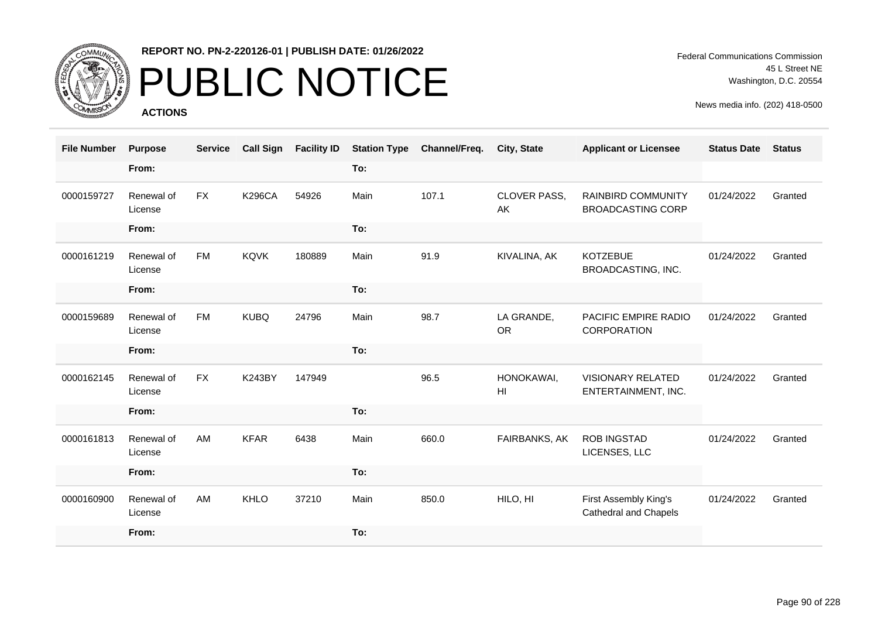

# PUBLIC NOTICE

**ACTIONS**

Federal Communications Commission 45 L Street NE Washington, D.C. 20554

| <b>File Number</b> | <b>Purpose</b>        | <b>Service</b> | <b>Call Sign</b> | <b>Facility ID</b> | <b>Station Type</b> | Channel/Freq. | City, State                   | <b>Applicant or Licensee</b>                    | <b>Status Date</b> | <b>Status</b> |
|--------------------|-----------------------|----------------|------------------|--------------------|---------------------|---------------|-------------------------------|-------------------------------------------------|--------------------|---------------|
|                    | From:                 |                |                  |                    | To:                 |               |                               |                                                 |                    |               |
| 0000159727         | Renewal of<br>License | FX             | <b>K296CA</b>    | 54926              | Main                | 107.1         | <b>CLOVER PASS,</b><br>AK     | RAINBIRD COMMUNITY<br><b>BROADCASTING CORP</b>  | 01/24/2022         | Granted       |
|                    | From:                 |                |                  |                    | To:                 |               |                               |                                                 |                    |               |
| 0000161219         | Renewal of<br>License | <b>FM</b>      | <b>KQVK</b>      | 180889             | Main                | 91.9          | KIVALINA, AK                  | <b>KOTZEBUE</b><br>BROADCASTING, INC.           | 01/24/2022         | Granted       |
|                    | From:                 |                |                  |                    | To:                 |               |                               |                                                 |                    |               |
| 0000159689         | Renewal of<br>License | <b>FM</b>      | <b>KUBQ</b>      | 24796              | Main                | 98.7          | LA GRANDE,<br><b>OR</b>       | <b>PACIFIC EMPIRE RADIO</b><br>CORPORATION      | 01/24/2022         | Granted       |
|                    | From:                 |                |                  |                    | To:                 |               |                               |                                                 |                    |               |
| 0000162145         | Renewal of<br>License | <b>FX</b>      | <b>K243BY</b>    | 147949             |                     | 96.5          | HONOKAWAI,<br>H <sub>II</sub> | <b>VISIONARY RELATED</b><br>ENTERTAINMENT, INC. | 01/24/2022         | Granted       |
|                    | From:                 |                |                  |                    | To:                 |               |                               |                                                 |                    |               |
| 0000161813         | Renewal of<br>License | AM             | <b>KFAR</b>      | 6438               | Main                | 660.0         | FAIRBANKS, AK                 | <b>ROB INGSTAD</b><br>LICENSES, LLC             | 01/24/2022         | Granted       |
|                    | From:                 |                |                  |                    | To:                 |               |                               |                                                 |                    |               |
| 0000160900         | Renewal of<br>License | AM             | <b>KHLO</b>      | 37210              | Main                | 850.0         | HILO, HI                      | First Assembly King's<br>Cathedral and Chapels  | 01/24/2022         | Granted       |
|                    | From:                 |                |                  |                    | To:                 |               |                               |                                                 |                    |               |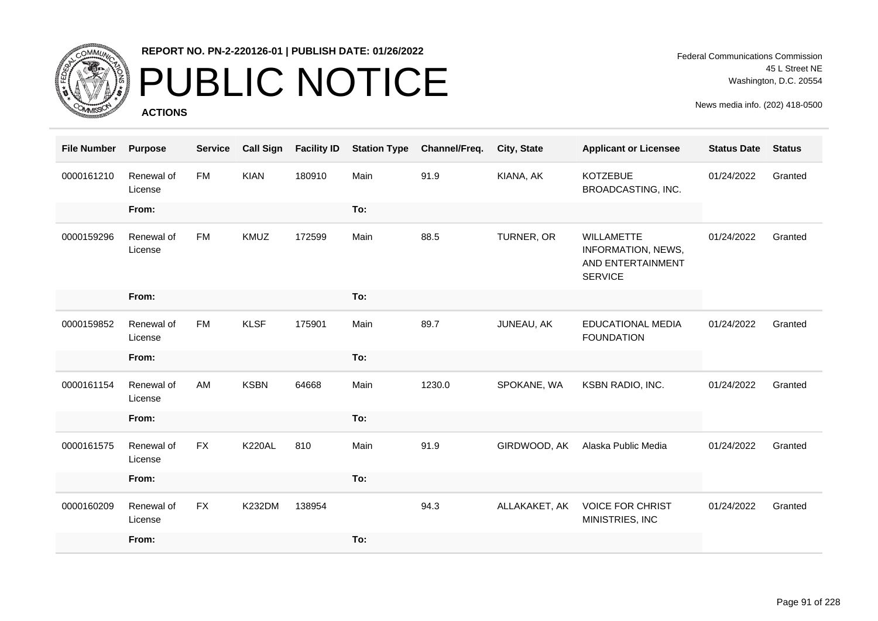

# PUBLIC NOTICE

**ACTIONS**

Federal Communications Commission 45 L Street NE Washington, D.C. 20554

| <b>File Number</b> | <b>Purpose</b>        | <b>Service</b> | <b>Call Sign</b> | <b>Facility ID</b> | <b>Station Type</b> | Channel/Freq. | City, State   | <b>Applicant or Licensee</b>                                                   | <b>Status Date</b> | <b>Status</b> |
|--------------------|-----------------------|----------------|------------------|--------------------|---------------------|---------------|---------------|--------------------------------------------------------------------------------|--------------------|---------------|
| 0000161210         | Renewal of<br>License | <b>FM</b>      | <b>KIAN</b>      | 180910             | Main                | 91.9          | KIANA, AK     | <b>KOTZEBUE</b><br>BROADCASTING, INC.                                          | 01/24/2022         | Granted       |
|                    | From:                 |                |                  |                    | To:                 |               |               |                                                                                |                    |               |
| 0000159296         | Renewal of<br>License | <b>FM</b>      | KMUZ             | 172599             | Main                | 88.5          | TURNER, OR    | <b>WILLAMETTE</b><br>INFORMATION, NEWS,<br>AND ENTERTAINMENT<br><b>SERVICE</b> | 01/24/2022         | Granted       |
|                    | From:                 |                |                  |                    | To:                 |               |               |                                                                                |                    |               |
| 0000159852         | Renewal of<br>License | <b>FM</b>      | <b>KLSF</b>      | 175901             | Main                | 89.7          | JUNEAU, AK    | <b>EDUCATIONAL MEDIA</b><br><b>FOUNDATION</b>                                  | 01/24/2022         | Granted       |
|                    | From:                 |                |                  |                    | To:                 |               |               |                                                                                |                    |               |
| 0000161154         | Renewal of<br>License | AM             | <b>KSBN</b>      | 64668              | Main                | 1230.0        | SPOKANE, WA   | KSBN RADIO, INC.                                                               | 01/24/2022         | Granted       |
|                    | From:                 |                |                  |                    | To:                 |               |               |                                                                                |                    |               |
| 0000161575         | Renewal of<br>License | <b>FX</b>      | <b>K220AL</b>    | 810                | Main                | 91.9          | GIRDWOOD, AK  | Alaska Public Media                                                            | 01/24/2022         | Granted       |
|                    | From:                 |                |                  |                    | To:                 |               |               |                                                                                |                    |               |
| 0000160209         | Renewal of<br>License | <b>FX</b>      | <b>K232DM</b>    | 138954             |                     | 94.3          | ALLAKAKET, AK | <b>VOICE FOR CHRIST</b><br>MINISTRIES, INC                                     | 01/24/2022         | Granted       |
|                    | From:                 |                |                  |                    | To:                 |               |               |                                                                                |                    |               |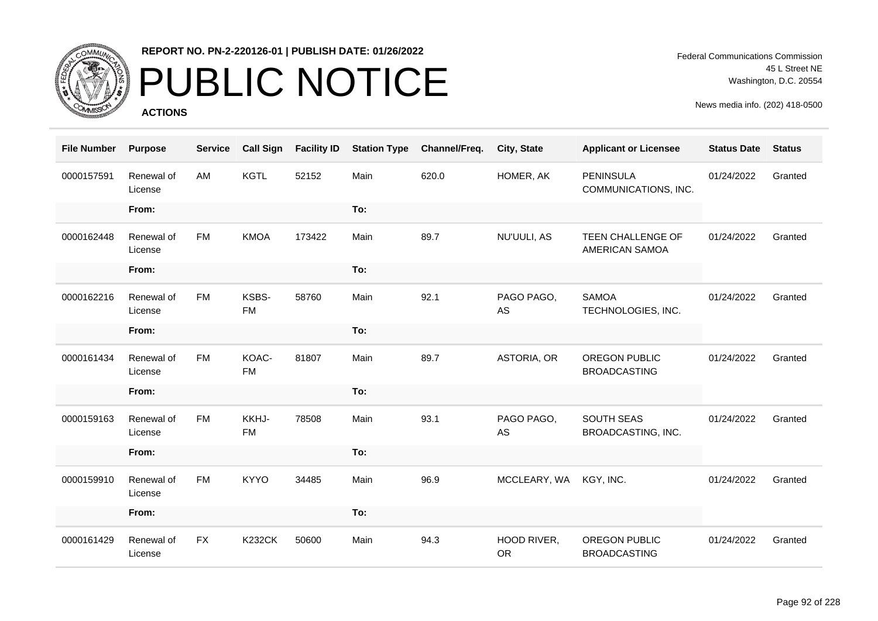

# PUBLIC NOTICE

**ACTIONS**

Federal Communications Commission 45 L Street NE Washington, D.C. 20554

| <b>File Number</b> | <b>Purpose</b>        | <b>Service</b> | <b>Call Sign</b>   | <b>Facility ID</b> | <b>Station Type</b> | Channel/Freq. | City, State              | <b>Applicant or Licensee</b>             | <b>Status Date</b> | <b>Status</b> |
|--------------------|-----------------------|----------------|--------------------|--------------------|---------------------|---------------|--------------------------|------------------------------------------|--------------------|---------------|
| 0000157591         | Renewal of<br>License | AM             | <b>KGTL</b>        | 52152              | Main                | 620.0         | HOMER, AK                | <b>PENINSULA</b><br>COMMUNICATIONS, INC. | 01/24/2022         | Granted       |
|                    | From:                 |                |                    |                    | To:                 |               |                          |                                          |                    |               |
| 0000162448         | Renewal of<br>License | <b>FM</b>      | <b>KMOA</b>        | 173422             | Main                | 89.7          | NU'UULI, AS              | TEEN CHALLENGE OF<br>AMERICAN SAMOA      | 01/24/2022         | Granted       |
|                    | From:                 |                |                    |                    | To:                 |               |                          |                                          |                    |               |
| 0000162216         | Renewal of<br>License | <b>FM</b>      | KSBS-<br><b>FM</b> | 58760              | Main                | 92.1          | PAGO PAGO,<br>AS         | <b>SAMOA</b><br>TECHNOLOGIES, INC.       | 01/24/2022         | Granted       |
|                    | From:                 |                |                    |                    | To:                 |               |                          |                                          |                    |               |
| 0000161434         | Renewal of<br>License | <b>FM</b>      | KOAC-<br><b>FM</b> | 81807              | Main                | 89.7          | ASTORIA, OR              | OREGON PUBLIC<br><b>BROADCASTING</b>     | 01/24/2022         | Granted       |
|                    | From:                 |                |                    |                    | To:                 |               |                          |                                          |                    |               |
| 0000159163         | Renewal of<br>License | <b>FM</b>      | KKHJ-<br><b>FM</b> | 78508              | Main                | 93.1          | PAGO PAGO,<br>AS         | SOUTH SEAS<br>BROADCASTING, INC.         | 01/24/2022         | Granted       |
|                    | From:                 |                |                    |                    | To:                 |               |                          |                                          |                    |               |
| 0000159910         | Renewal of<br>License | <b>FM</b>      | <b>KYYO</b>        | 34485              | Main                | 96.9          | MCCLEARY, WA             | KGY, INC.                                | 01/24/2022         | Granted       |
|                    | From:                 |                |                    |                    | To:                 |               |                          |                                          |                    |               |
| 0000161429         | Renewal of<br>License | <b>FX</b>      | <b>K232CK</b>      | 50600              | Main                | 94.3          | HOOD RIVER,<br><b>OR</b> | OREGON PUBLIC<br><b>BROADCASTING</b>     | 01/24/2022         | Granted       |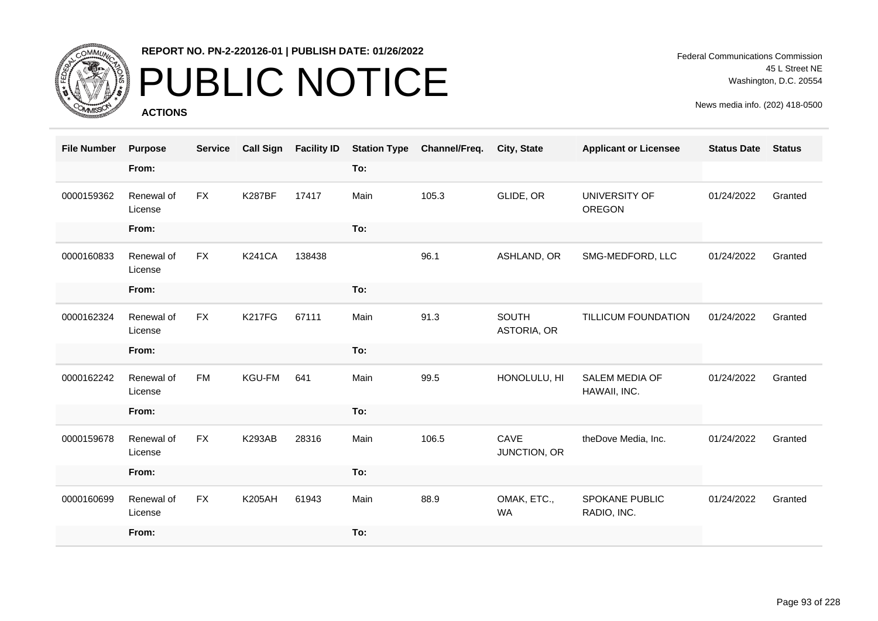

## PUBLIC NOTICE

**ACTIONS**

Federal Communications Commission 45 L Street NE Washington, D.C. 20554

| <b>File Number</b> | <b>Purpose</b>        | <b>Service</b> | <b>Call Sign</b> | <b>Facility ID</b> | <b>Station Type</b> | Channel/Freq. | City, State              | <b>Applicant or Licensee</b>          | <b>Status Date</b> | <b>Status</b> |
|--------------------|-----------------------|----------------|------------------|--------------------|---------------------|---------------|--------------------------|---------------------------------------|--------------------|---------------|
|                    | From:                 |                |                  |                    | To:                 |               |                          |                                       |                    |               |
| 0000159362         | Renewal of<br>License | FX             | <b>K287BF</b>    | 17417              | Main                | 105.3         | GLIDE, OR                | UNIVERSITY OF<br><b>OREGON</b>        | 01/24/2022         | Granted       |
|                    | From:                 |                |                  |                    | To:                 |               |                          |                                       |                    |               |
| 0000160833         | Renewal of<br>License | <b>FX</b>      | <b>K241CA</b>    | 138438             |                     | 96.1          | ASHLAND, OR              | SMG-MEDFORD, LLC                      | 01/24/2022         | Granted       |
|                    | From:                 |                |                  |                    | To:                 |               |                          |                                       |                    |               |
| 0000162324         | Renewal of<br>License | FX             | K217FG           | 67111              | Main                | 91.3          | SOUTH<br>ASTORIA, OR     | TILLICUM FOUNDATION                   | 01/24/2022         | Granted       |
|                    | From:                 |                |                  |                    | To:                 |               |                          |                                       |                    |               |
| 0000162242         | Renewal of<br>License | <b>FM</b>      | <b>KGU-FM</b>    | 641                | Main                | 99.5          | HONOLULU, HI             | <b>SALEM MEDIA OF</b><br>HAWAII, INC. | 01/24/2022         | Granted       |
|                    | From:                 |                |                  |                    | To:                 |               |                          |                                       |                    |               |
| 0000159678         | Renewal of<br>License | <b>FX</b>      | <b>K293AB</b>    | 28316              | Main                | 106.5         | CAVE<br>JUNCTION, OR     | theDove Media, Inc.                   | 01/24/2022         | Granted       |
|                    | From:                 |                |                  |                    | To:                 |               |                          |                                       |                    |               |
| 0000160699         | Renewal of<br>License | FX             | <b>K205AH</b>    | 61943              | Main                | 88.9          | OMAK, ETC.,<br><b>WA</b> | <b>SPOKANE PUBLIC</b><br>RADIO, INC.  | 01/24/2022         | Granted       |
|                    | From:                 |                |                  |                    | To:                 |               |                          |                                       |                    |               |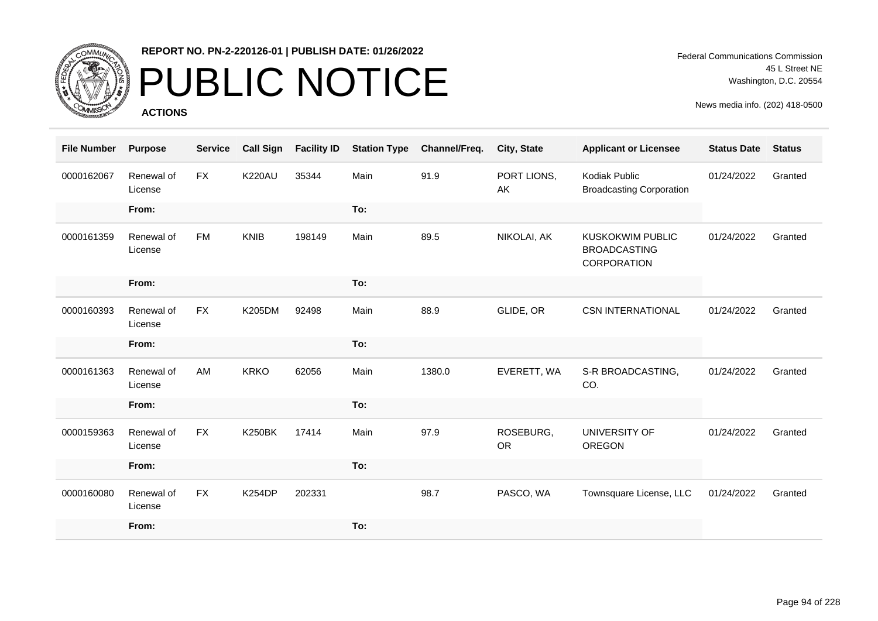

# PUBLIC NOTICE

**ACTIONS**

Federal Communications Commission 45 L Street NE Washington, D.C. 20554

| <b>File Number</b> | <b>Purpose</b>        | <b>Service</b> | <b>Call Sign</b> | <b>Facility ID</b> | <b>Station Type</b> | Channel/Freq. | <b>City, State</b>     | <b>Applicant or Licensee</b>                                  | <b>Status Date</b> | <b>Status</b> |
|--------------------|-----------------------|----------------|------------------|--------------------|---------------------|---------------|------------------------|---------------------------------------------------------------|--------------------|---------------|
| 0000162067         | Renewal of<br>License | <b>FX</b>      | <b>K220AU</b>    | 35344              | Main                | 91.9          | PORT LIONS,<br>AK      | Kodiak Public<br><b>Broadcasting Corporation</b>              | 01/24/2022         | Granted       |
|                    | From:                 |                |                  |                    | To:                 |               |                        |                                                               |                    |               |
| 0000161359         | Renewal of<br>License | <b>FM</b>      | <b>KNIB</b>      | 198149             | Main                | 89.5          | NIKOLAI, AK            | <b>KUSKOKWIM PUBLIC</b><br><b>BROADCASTING</b><br>CORPORATION | 01/24/2022         | Granted       |
|                    | From:                 |                |                  |                    | To:                 |               |                        |                                                               |                    |               |
| 0000160393         | Renewal of<br>License | <b>FX</b>      | K205DM           | 92498              | Main                | 88.9          | GLIDE, OR              | <b>CSN INTERNATIONAL</b>                                      | 01/24/2022         | Granted       |
|                    | From:                 |                |                  |                    | To:                 |               |                        |                                                               |                    |               |
| 0000161363         | Renewal of<br>License | AM             | <b>KRKO</b>      | 62056              | Main                | 1380.0        | EVERETT, WA            | S-R BROADCASTING,<br>CO.                                      | 01/24/2022         | Granted       |
|                    | From:                 |                |                  |                    | To:                 |               |                        |                                                               |                    |               |
| 0000159363         | Renewal of<br>License | <b>FX</b>      | <b>K250BK</b>    | 17414              | Main                | 97.9          | ROSEBURG,<br><b>OR</b> | UNIVERSITY OF<br>OREGON                                       | 01/24/2022         | Granted       |
|                    | From:                 |                |                  |                    | To:                 |               |                        |                                                               |                    |               |
| 0000160080         | Renewal of<br>License | <b>FX</b>      | <b>K254DP</b>    | 202331             |                     | 98.7          | PASCO, WA              | Townsquare License, LLC                                       | 01/24/2022         | Granted       |
|                    | From:                 |                |                  |                    | To:                 |               |                        |                                                               |                    |               |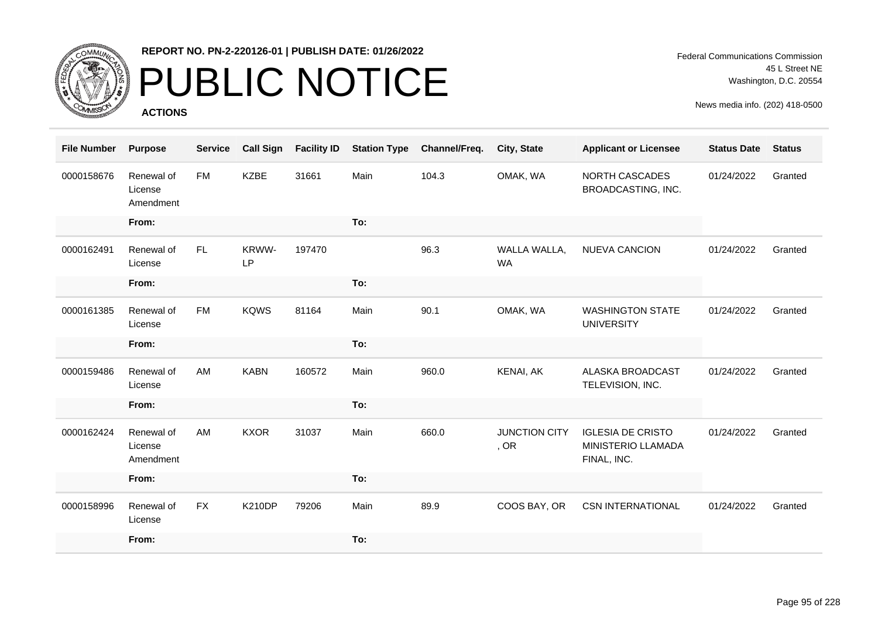

### PUBLIC NOTICE

**ACTIONS**

| <b>File Number</b> | <b>Purpose</b>                     | <b>Service</b> | <b>Call Sign</b> | <b>Facility ID</b> | <b>Station Type</b> | Channel/Freq. | City, State                  | <b>Applicant or Licensee</b>                                  | <b>Status Date</b> | <b>Status</b> |
|--------------------|------------------------------------|----------------|------------------|--------------------|---------------------|---------------|------------------------------|---------------------------------------------------------------|--------------------|---------------|
| 0000158676         | Renewal of<br>License<br>Amendment | <b>FM</b>      | <b>KZBE</b>      | 31661              | Main                | 104.3         | OMAK, WA                     | NORTH CASCADES<br>BROADCASTING, INC.                          | 01/24/2022         | Granted       |
|                    | From:                              |                |                  |                    | To:                 |               |                              |                                                               |                    |               |
| 0000162491         | Renewal of<br>License              | FL.            | KRWW-<br>LP      | 197470             |                     | 96.3          | WALLA WALLA,<br><b>WA</b>    | <b>NUEVA CANCION</b>                                          | 01/24/2022         | Granted       |
|                    | From:                              |                |                  |                    | To:                 |               |                              |                                                               |                    |               |
| 0000161385         | Renewal of<br>License              | <b>FM</b>      | <b>KQWS</b>      | 81164              | Main                | 90.1          | OMAK, WA                     | <b>WASHINGTON STATE</b><br><b>UNIVERSITY</b>                  | 01/24/2022         | Granted       |
|                    | From:                              |                |                  |                    | To:                 |               |                              |                                                               |                    |               |
| 0000159486         | Renewal of<br>License              | AM             | <b>KABN</b>      | 160572             | Main                | 960.0         | KENAI, AK                    | <b>ALASKA BROADCAST</b><br>TELEVISION, INC.                   | 01/24/2022         | Granted       |
|                    | From:                              |                |                  |                    | To:                 |               |                              |                                                               |                    |               |
| 0000162424         | Renewal of<br>License<br>Amendment | AM             | <b>KXOR</b>      | 31037              | Main                | 660.0         | <b>JUNCTION CITY</b><br>, OR | <b>IGLESIA DE CRISTO</b><br>MINISTERIO LLAMADA<br>FINAL, INC. | 01/24/2022         | Granted       |
|                    | From:                              |                |                  |                    | To:                 |               |                              |                                                               |                    |               |
| 0000158996         | Renewal of<br>License              | <b>FX</b>      | <b>K210DP</b>    | 79206              | Main                | 89.9          | COOS BAY, OR                 | <b>CSN INTERNATIONAL</b>                                      | 01/24/2022         | Granted       |
|                    | From:                              |                |                  |                    | To:                 |               |                              |                                                               |                    |               |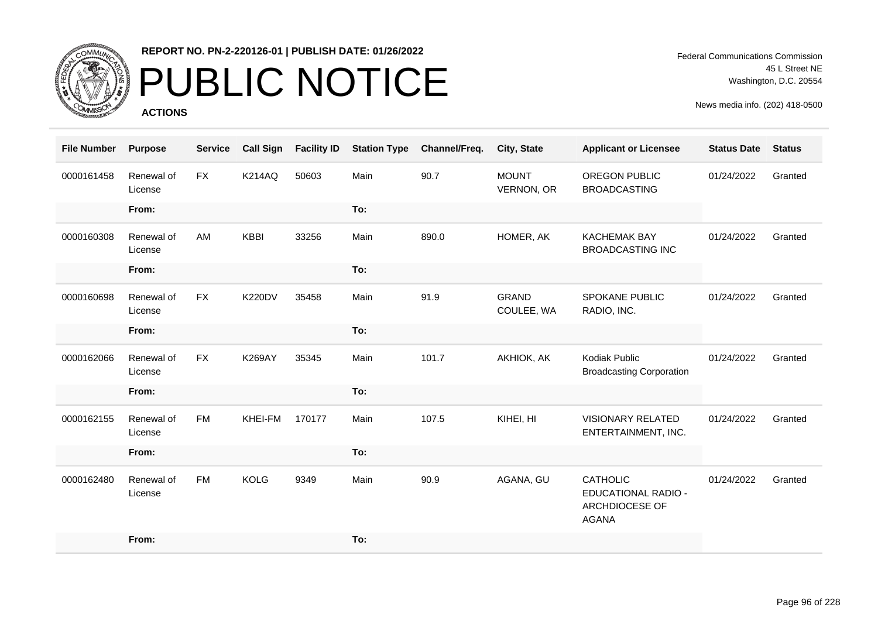

# PUBLIC NOTICE

**ACTIONS**

Federal Communications Commission 45 L Street NE Washington, D.C. 20554

| <b>File Number</b> | <b>Purpose</b>        | <b>Service</b> | <b>Call Sign</b> | <b>Facility ID</b> | <b>Station Type</b> | Channel/Freq. | City, State                | <b>Applicant or Licensee</b>                                             | <b>Status Date</b> | <b>Status</b> |
|--------------------|-----------------------|----------------|------------------|--------------------|---------------------|---------------|----------------------------|--------------------------------------------------------------------------|--------------------|---------------|
| 0000161458         | Renewal of<br>License | <b>FX</b>      | <b>K214AQ</b>    | 50603              | Main                | 90.7          | <b>MOUNT</b><br>VERNON, OR | <b>OREGON PUBLIC</b><br><b>BROADCASTING</b>                              | 01/24/2022         | Granted       |
|                    | From:                 |                |                  |                    | To:                 |               |                            |                                                                          |                    |               |
| 0000160308         | Renewal of<br>License | AM             | <b>KBBI</b>      | 33256              | Main                | 890.0         | HOMER, AK                  | <b>KACHEMAK BAY</b><br><b>BROADCASTING INC</b>                           | 01/24/2022         | Granted       |
|                    | From:                 |                |                  |                    | To:                 |               |                            |                                                                          |                    |               |
| 0000160698         | Renewal of<br>License | <b>FX</b>      | <b>K220DV</b>    | 35458              | Main                | 91.9          | <b>GRAND</b><br>COULEE, WA | <b>SPOKANE PUBLIC</b><br>RADIO, INC.                                     | 01/24/2022         | Granted       |
|                    | From:                 |                |                  |                    | To:                 |               |                            |                                                                          |                    |               |
| 0000162066         | Renewal of<br>License | <b>FX</b>      | <b>K269AY</b>    | 35345              | Main                | 101.7         | AKHIOK, AK                 | Kodiak Public<br><b>Broadcasting Corporation</b>                         | 01/24/2022         | Granted       |
|                    | From:                 |                |                  |                    | To:                 |               |                            |                                                                          |                    |               |
| 0000162155         | Renewal of<br>License | <b>FM</b>      | KHEI-FM          | 170177             | Main                | 107.5         | KIHEI, HI                  | <b>VISIONARY RELATED</b><br>ENTERTAINMENT, INC.                          | 01/24/2022         | Granted       |
|                    | From:                 |                |                  |                    | To:                 |               |                            |                                                                          |                    |               |
| 0000162480         | Renewal of<br>License | <b>FM</b>      | <b>KOLG</b>      | 9349               | Main                | 90.9          | AGANA, GU                  | <b>CATHOLIC</b><br>EDUCATIONAL RADIO -<br>ARCHDIOCESE OF<br><b>AGANA</b> | 01/24/2022         | Granted       |
|                    | From:                 |                |                  |                    | To:                 |               |                            |                                                                          |                    |               |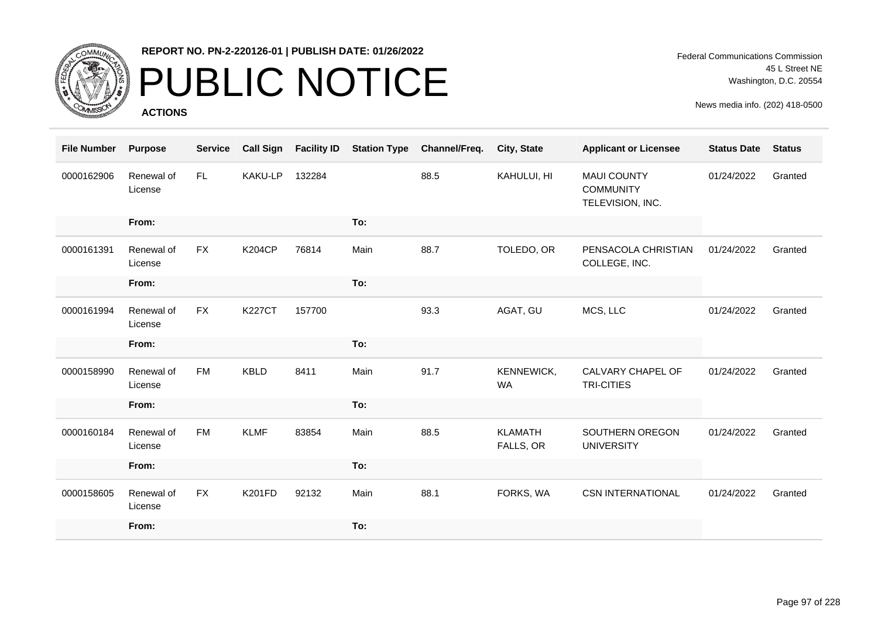

# PUBLIC NOTICE

**ACTIONS**

| <b>File Number</b> | <b>Purpose</b>        | <b>Service</b> | <b>Call Sign</b> | <b>Facility ID</b> | <b>Station Type</b> | Channel/Freq. | City, State                 | <b>Applicant or Licensee</b>                               | <b>Status Date</b> | <b>Status</b> |
|--------------------|-----------------------|----------------|------------------|--------------------|---------------------|---------------|-----------------------------|------------------------------------------------------------|--------------------|---------------|
| 0000162906         | Renewal of<br>License | FL.            | KAKU-LP          | 132284             |                     | 88.5          | KAHULUI, HI                 | <b>MAUI COUNTY</b><br><b>COMMUNITY</b><br>TELEVISION, INC. | 01/24/2022         | Granted       |
|                    | From:                 |                |                  |                    | To:                 |               |                             |                                                            |                    |               |
| 0000161391         | Renewal of<br>License | <b>FX</b>      | <b>K204CP</b>    | 76814              | Main                | 88.7          | TOLEDO, OR                  | PENSACOLA CHRISTIAN<br>COLLEGE, INC.                       | 01/24/2022         | Granted       |
|                    | From:                 |                |                  |                    | To:                 |               |                             |                                                            |                    |               |
| 0000161994         | Renewal of<br>License | <b>FX</b>      | <b>K227CT</b>    | 157700             |                     | 93.3          | AGAT, GU                    | MCS, LLC                                                   | 01/24/2022         | Granted       |
|                    | From:                 |                |                  |                    | To:                 |               |                             |                                                            |                    |               |
| 0000158990         | Renewal of<br>License | <b>FM</b>      | <b>KBLD</b>      | 8411               | Main                | 91.7          | KENNEWICK,<br><b>WA</b>     | CALVARY CHAPEL OF<br>TRI-CITIES                            | 01/24/2022         | Granted       |
|                    | From:                 |                |                  |                    | To:                 |               |                             |                                                            |                    |               |
| 0000160184         | Renewal of<br>License | <b>FM</b>      | <b>KLMF</b>      | 83854              | Main                | 88.5          | <b>KLAMATH</b><br>FALLS, OR | SOUTHERN OREGON<br><b>UNIVERSITY</b>                       | 01/24/2022         | Granted       |
|                    | From:                 |                |                  |                    | To:                 |               |                             |                                                            |                    |               |
| 0000158605         | Renewal of<br>License | <b>FX</b>      | <b>K201FD</b>    | 92132              | Main                | 88.1          | FORKS, WA                   | <b>CSN INTERNATIONAL</b>                                   | 01/24/2022         | Granted       |
|                    | From:                 |                |                  |                    | To:                 |               |                             |                                                            |                    |               |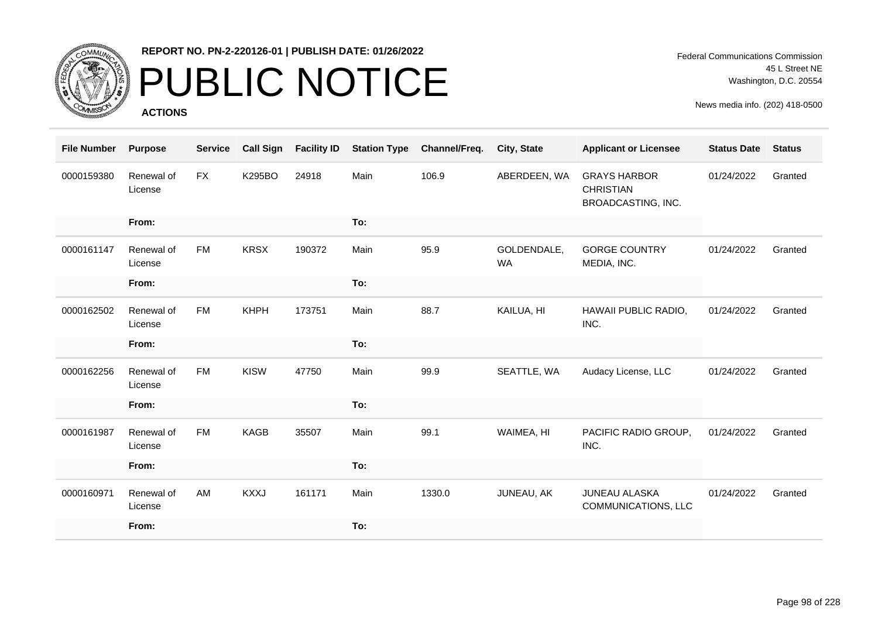

## PUBLIC NOTICE

**ACTIONS**

| <b>File Number</b> | <b>Purpose</b>        | <b>Service</b> | <b>Call Sign</b> | <b>Facility ID</b> | <b>Station Type</b> | Channel/Freq. | <b>City, State</b>       | <b>Applicant or Licensee</b>                                  | <b>Status Date</b> | <b>Status</b> |
|--------------------|-----------------------|----------------|------------------|--------------------|---------------------|---------------|--------------------------|---------------------------------------------------------------|--------------------|---------------|
| 0000159380         | Renewal of<br>License | <b>FX</b>      | <b>K295BO</b>    | 24918              | Main                | 106.9         | ABERDEEN, WA             | <b>GRAYS HARBOR</b><br><b>CHRISTIAN</b><br>BROADCASTING, INC. | 01/24/2022         | Granted       |
|                    | From:                 |                |                  |                    | To:                 |               |                          |                                                               |                    |               |
| 0000161147         | Renewal of<br>License | <b>FM</b>      | <b>KRSX</b>      | 190372             | Main                | 95.9          | GOLDENDALE,<br><b>WA</b> | <b>GORGE COUNTRY</b><br>MEDIA, INC.                           | 01/24/2022         | Granted       |
|                    | From:                 |                |                  |                    | To:                 |               |                          |                                                               |                    |               |
| 0000162502         | Renewal of<br>License | <b>FM</b>      | <b>KHPH</b>      | 173751             | Main                | 88.7          | KAILUA, HI               | HAWAII PUBLIC RADIO,<br>INC.                                  | 01/24/2022         | Granted       |
|                    | From:                 |                |                  |                    | To:                 |               |                          |                                                               |                    |               |
| 0000162256         | Renewal of<br>License | <b>FM</b>      | <b>KISW</b>      | 47750              | Main                | 99.9          | SEATTLE, WA              | Audacy License, LLC                                           | 01/24/2022         | Granted       |
|                    | From:                 |                |                  |                    | To:                 |               |                          |                                                               |                    |               |
| 0000161987         | Renewal of<br>License | <b>FM</b>      | <b>KAGB</b>      | 35507              | Main                | 99.1          | WAIMEA, HI               | PACIFIC RADIO GROUP,<br>INC.                                  | 01/24/2022         | Granted       |
|                    | From:                 |                |                  |                    | To:                 |               |                          |                                                               |                    |               |
| 0000160971         | Renewal of<br>License | AM             | <b>KXXJ</b>      | 161171             | Main                | 1330.0        | JUNEAU, AK               | JUNEAU ALASKA<br>COMMUNICATIONS, LLC                          | 01/24/2022         | Granted       |
|                    | From:                 |                |                  |                    | To:                 |               |                          |                                                               |                    |               |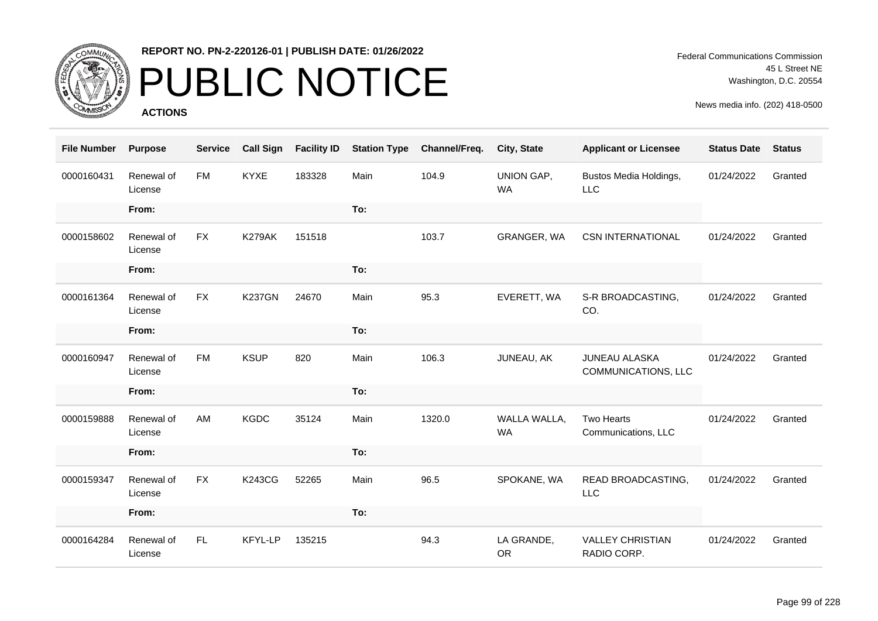

# PUBLIC NOTICE

**ACTIONS**

Federal Communications Commission 45 L Street NE Washington, D.C. 20554

| <b>File Number</b> | <b>Purpose</b>        | <b>Service</b> | <b>Call Sign</b> | <b>Facility ID</b> | <b>Station Type</b> | Channel/Freq. | City, State               | <b>Applicant or Licensee</b>           | <b>Status Date</b> | <b>Status</b> |
|--------------------|-----------------------|----------------|------------------|--------------------|---------------------|---------------|---------------------------|----------------------------------------|--------------------|---------------|
| 0000160431         | Renewal of<br>License | <b>FM</b>      | <b>KYXE</b>      | 183328             | Main                | 104.9         | UNION GAP,<br><b>WA</b>   | Bustos Media Holdings,<br><b>LLC</b>   | 01/24/2022         | Granted       |
|                    | From:                 |                |                  |                    | To:                 |               |                           |                                        |                    |               |
| 0000158602         | Renewal of<br>License | <b>FX</b>      | K279AK           | 151518             |                     | 103.7         | GRANGER, WA               | <b>CSN INTERNATIONAL</b>               | 01/24/2022         | Granted       |
|                    | From:                 |                |                  |                    | To:                 |               |                           |                                        |                    |               |
| 0000161364         | Renewal of<br>License | <b>FX</b>      | <b>K237GN</b>    | 24670              | Main                | 95.3          | EVERETT, WA               | S-R BROADCASTING,<br>CO.               | 01/24/2022         | Granted       |
|                    | From:                 |                |                  |                    | To:                 |               |                           |                                        |                    |               |
| 0000160947         | Renewal of<br>License | <b>FM</b>      | <b>KSUP</b>      | 820                | Main                | 106.3         | JUNEAU, AK                | JUNEAU ALASKA<br>COMMUNICATIONS, LLC   | 01/24/2022         | Granted       |
|                    | From:                 |                |                  |                    | To:                 |               |                           |                                        |                    |               |
| 0000159888         | Renewal of<br>License | AM             | <b>KGDC</b>      | 35124              | Main                | 1320.0        | WALLA WALLA,<br><b>WA</b> | Two Hearts<br>Communications, LLC      | 01/24/2022         | Granted       |
|                    | From:                 |                |                  |                    | To:                 |               |                           |                                        |                    |               |
| 0000159347         | Renewal of<br>License | <b>FX</b>      | <b>K243CG</b>    | 52265              | Main                | 96.5          | SPOKANE, WA               | READ BROADCASTING,<br><b>LLC</b>       | 01/24/2022         | Granted       |
|                    | From:                 |                |                  |                    | To:                 |               |                           |                                        |                    |               |
| 0000164284         | Renewal of<br>License | FL.            | <b>KFYL-LP</b>   | 135215             |                     | 94.3          | LA GRANDE,<br><b>OR</b>   | <b>VALLEY CHRISTIAN</b><br>RADIO CORP. | 01/24/2022         | Granted       |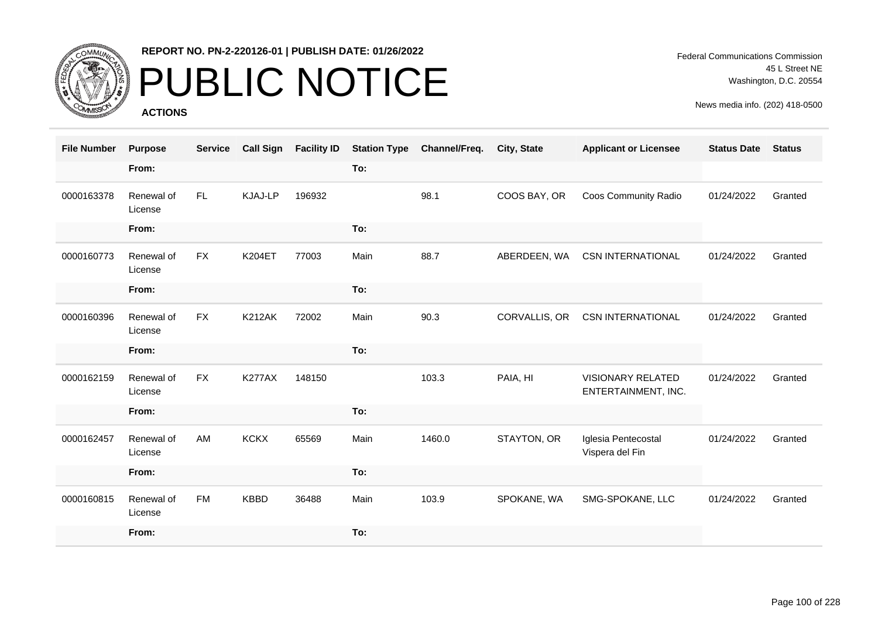

# PUBLIC NOTICE

**ACTIONS**

Federal Communications Commission 45 L Street NE Washington, D.C. 20554

| <b>File Number</b> | <b>Purpose</b>        | <b>Service</b> | <b>Call Sign</b> | <b>Facility ID</b> | <b>Station Type</b> | Channel/Freq. | <b>City, State</b> | <b>Applicant or Licensee</b>             | <b>Status Date</b> | <b>Status</b> |
|--------------------|-----------------------|----------------|------------------|--------------------|---------------------|---------------|--------------------|------------------------------------------|--------------------|---------------|
|                    | From:                 |                |                  |                    | To:                 |               |                    |                                          |                    |               |
| 0000163378         | Renewal of<br>License | FL.            | <b>KJAJ-LP</b>   | 196932             |                     | 98.1          | COOS BAY, OR       | Coos Community Radio                     | 01/24/2022         | Granted       |
|                    | From:                 |                |                  |                    | To:                 |               |                    |                                          |                    |               |
| 0000160773         | Renewal of<br>License | <b>FX</b>      | <b>K204ET</b>    | 77003              | Main                | 88.7          | ABERDEEN, WA       | <b>CSN INTERNATIONAL</b>                 | 01/24/2022         | Granted       |
|                    | From:                 |                |                  |                    | To:                 |               |                    |                                          |                    |               |
| 0000160396         | Renewal of<br>License | <b>FX</b>      | <b>K212AK</b>    | 72002              | Main                | 90.3          | CORVALLIS, OR      | <b>CSN INTERNATIONAL</b>                 | 01/24/2022         | Granted       |
|                    | From:                 |                |                  |                    | To:                 |               |                    |                                          |                    |               |
| 0000162159         | Renewal of<br>License | <b>FX</b>      | <b>K277AX</b>    | 148150             |                     | 103.3         | PAIA, HI           | VISIONARY RELATED<br>ENTERTAINMENT, INC. | 01/24/2022         | Granted       |
|                    | From:                 |                |                  |                    | To:                 |               |                    |                                          |                    |               |
| 0000162457         | Renewal of<br>License | AM             | <b>KCKX</b>      | 65569              | Main                | 1460.0        | STAYTON, OR        | Iglesia Pentecostal<br>Vispera del Fin   | 01/24/2022         | Granted       |
|                    | From:                 |                |                  |                    | To:                 |               |                    |                                          |                    |               |
| 0000160815         | Renewal of<br>License | <b>FM</b>      | <b>KBBD</b>      | 36488              | Main                | 103.9         | SPOKANE, WA        | SMG-SPOKANE, LLC                         | 01/24/2022         | Granted       |
|                    | From:                 |                |                  |                    | To:                 |               |                    |                                          |                    |               |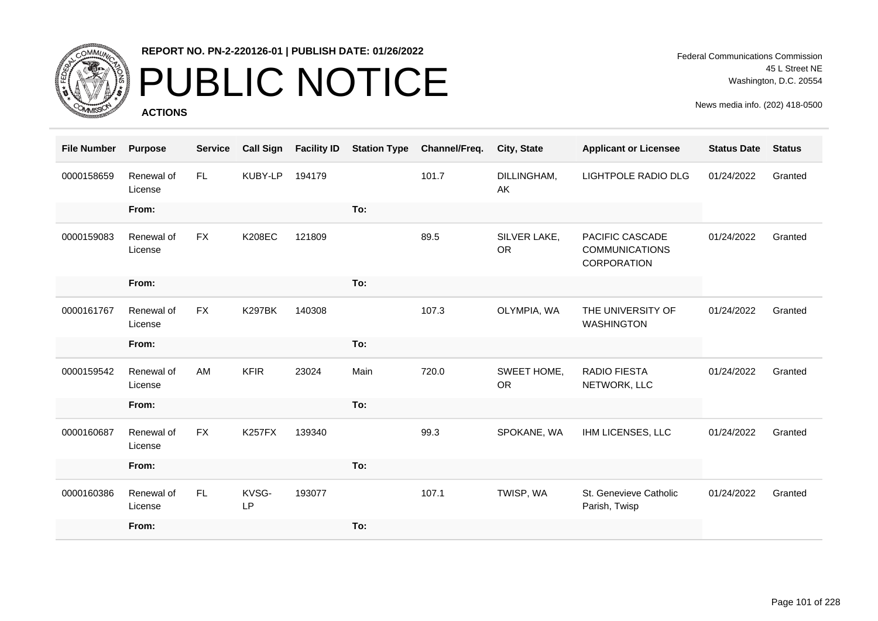

# PUBLIC NOTICE

**ACTIONS**

Federal Communications Commission 45 L Street NE Washington, D.C. 20554

| <b>File Number</b> | <b>Purpose</b>        | <b>Service</b> | <b>Call Sign</b>   | <b>Facility ID</b> | <b>Station Type</b> | Channel/Freq. | City, State               | <b>Applicant or Licensee</b>                            | <b>Status Date</b> | <b>Status</b> |
|--------------------|-----------------------|----------------|--------------------|--------------------|---------------------|---------------|---------------------------|---------------------------------------------------------|--------------------|---------------|
| 0000158659         | Renewal of<br>License | FL.            | KUBY-LP            | 194179             |                     | 101.7         | DILLINGHAM,<br>AK         | <b>LIGHTPOLE RADIO DLG</b>                              | 01/24/2022         | Granted       |
|                    | From:                 |                |                    |                    | To:                 |               |                           |                                                         |                    |               |
| 0000159083         | Renewal of<br>License | <b>FX</b>      | <b>K208EC</b>      | 121809             |                     | 89.5          | SILVER LAKE,<br><b>OR</b> | PACIFIC CASCADE<br><b>COMMUNICATIONS</b><br>CORPORATION | 01/24/2022         | Granted       |
|                    | From:                 |                |                    |                    | To:                 |               |                           |                                                         |                    |               |
| 0000161767         | Renewal of<br>License | <b>FX</b>      | <b>K297BK</b>      | 140308             |                     | 107.3         | OLYMPIA, WA               | THE UNIVERSITY OF<br><b>WASHINGTON</b>                  | 01/24/2022         | Granted       |
|                    | From:                 |                |                    |                    | To:                 |               |                           |                                                         |                    |               |
| 0000159542         | Renewal of<br>License | AM             | <b>KFIR</b>        | 23024              | Main                | 720.0         | SWEET HOME,<br><b>OR</b>  | <b>RADIO FIESTA</b><br>NETWORK, LLC                     | 01/24/2022         | Granted       |
|                    | From:                 |                |                    |                    | To:                 |               |                           |                                                         |                    |               |
| 0000160687         | Renewal of<br>License | <b>FX</b>      | <b>K257FX</b>      | 139340             |                     | 99.3          | SPOKANE, WA               | IHM LICENSES, LLC                                       | 01/24/2022         | Granted       |
|                    | From:                 |                |                    |                    | To:                 |               |                           |                                                         |                    |               |
| 0000160386         | Renewal of<br>License | FL             | KVSG-<br><b>LP</b> | 193077             |                     | 107.1         | TWISP, WA                 | St. Genevieve Catholic<br>Parish, Twisp                 | 01/24/2022         | Granted       |
|                    | From:                 |                |                    |                    | To:                 |               |                           |                                                         |                    |               |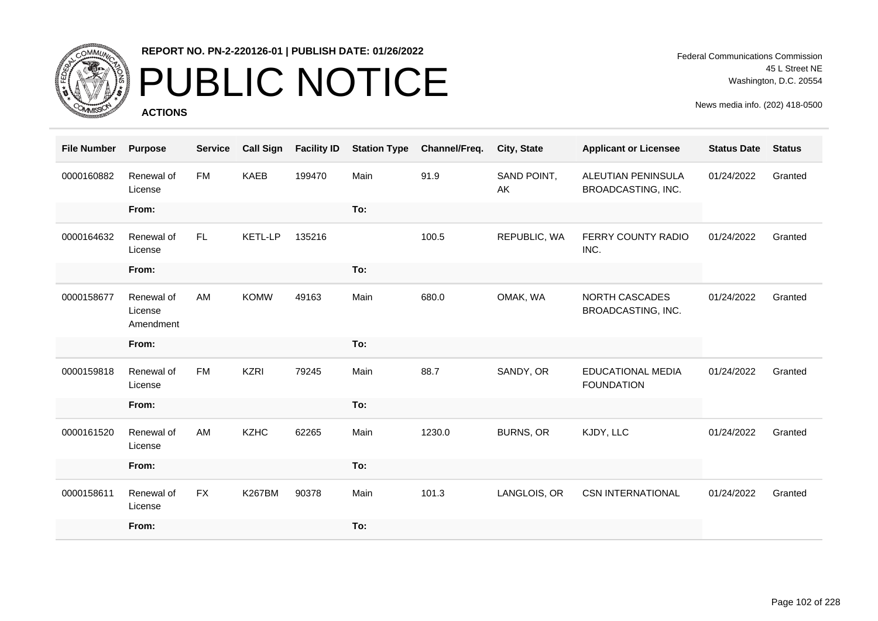

# PUBLIC NOTICE

**ACTIONS**

Federal Communications Commission 45 L Street NE Washington, D.C. 20554

| <b>File Number</b> | <b>Purpose</b>                     | <b>Service</b> | <b>Call Sign</b> | <b>Facility ID</b> | <b>Station Type</b> | Channel/Freq. | City, State       | <b>Applicant or Licensee</b>                  | <b>Status Date</b> | <b>Status</b> |
|--------------------|------------------------------------|----------------|------------------|--------------------|---------------------|---------------|-------------------|-----------------------------------------------|--------------------|---------------|
| 0000160882         | Renewal of<br>License              | <b>FM</b>      | <b>KAEB</b>      | 199470             | Main                | 91.9          | SAND POINT,<br>AK | ALEUTIAN PENINSULA<br>BROADCASTING, INC.      | 01/24/2022         | Granted       |
|                    | From:                              |                |                  |                    | To:                 |               |                   |                                               |                    |               |
| 0000164632         | Renewal of<br>License              | FL.            | <b>KETL-LP</b>   | 135216             |                     | 100.5         | REPUBLIC, WA      | FERRY COUNTY RADIO<br>INC.                    | 01/24/2022         | Granted       |
|                    | From:                              |                |                  |                    | To:                 |               |                   |                                               |                    |               |
| 0000158677         | Renewal of<br>License<br>Amendment | AM             | <b>KOMW</b>      | 49163              | Main                | 680.0         | OMAK, WA          | NORTH CASCADES<br>BROADCASTING, INC.          | 01/24/2022         | Granted       |
|                    | From:                              |                |                  |                    | To:                 |               |                   |                                               |                    |               |
| 0000159818         | Renewal of<br>License              | <b>FM</b>      | <b>KZRI</b>      | 79245              | Main                | 88.7          | SANDY, OR         | <b>EDUCATIONAL MEDIA</b><br><b>FOUNDATION</b> | 01/24/2022         | Granted       |
|                    | From:                              |                |                  |                    | To:                 |               |                   |                                               |                    |               |
| 0000161520         | Renewal of<br>License              | AM             | <b>KZHC</b>      | 62265              | Main                | 1230.0        | <b>BURNS, OR</b>  | KJDY, LLC                                     | 01/24/2022         | Granted       |
|                    | From:                              |                |                  |                    | To:                 |               |                   |                                               |                    |               |
| 0000158611         | Renewal of<br>License              | <b>FX</b>      | <b>K267BM</b>    | 90378              | Main                | 101.3         | LANGLOIS, OR      | <b>CSN INTERNATIONAL</b>                      | 01/24/2022         | Granted       |
|                    | From:                              |                |                  |                    | To:                 |               |                   |                                               |                    |               |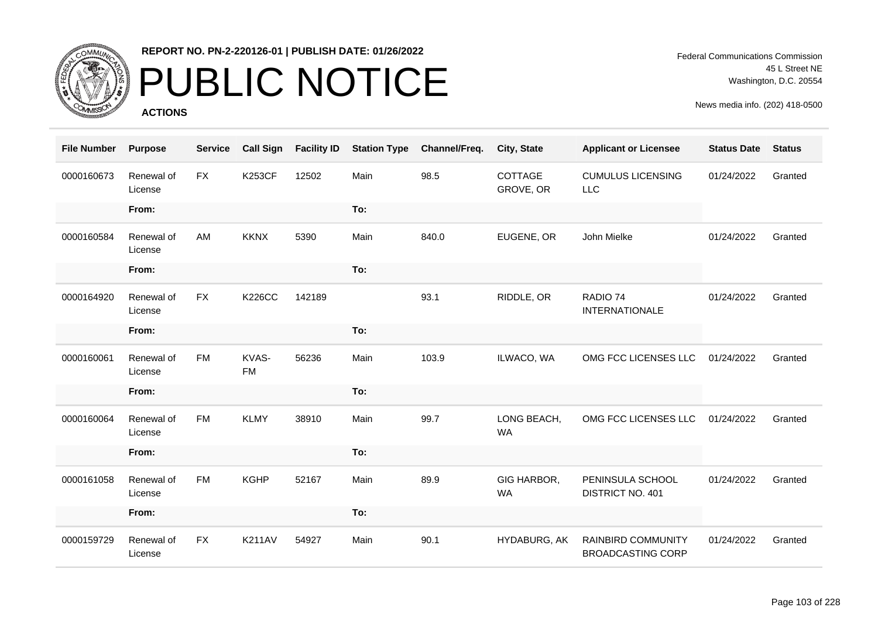

# PUBLIC NOTICE

**ACTIONS**

Federal Communications Commission 45 L Street NE Washington, D.C. 20554

| <b>File Number</b> | <b>Purpose</b>        | <b>Service</b> | <b>Call Sign</b>   | <b>Facility ID</b> | <b>Station Type</b> | Channel/Freq. | City, State              | <b>Applicant or Licensee</b>                   | <b>Status Date</b> | <b>Status</b> |
|--------------------|-----------------------|----------------|--------------------|--------------------|---------------------|---------------|--------------------------|------------------------------------------------|--------------------|---------------|
| 0000160673         | Renewal of<br>License | <b>FX</b>      | <b>K253CF</b>      | 12502              | Main                | 98.5          | COTTAGE<br>GROVE, OR     | <b>CUMULUS LICENSING</b><br><b>LLC</b>         | 01/24/2022         | Granted       |
|                    | From:                 |                |                    |                    | To:                 |               |                          |                                                |                    |               |
| 0000160584         | Renewal of<br>License | AM             | <b>KKNX</b>        | 5390               | Main                | 840.0         | EUGENE, OR               | John Mielke                                    | 01/24/2022         | Granted       |
|                    | From:                 |                |                    |                    | To:                 |               |                          |                                                |                    |               |
| 0000164920         | Renewal of<br>License | <b>FX</b>      | <b>K226CC</b>      | 142189             |                     | 93.1          | RIDDLE, OR               | RADIO 74<br><b>INTERNATIONALE</b>              | 01/24/2022         | Granted       |
|                    | From:                 |                |                    |                    | To:                 |               |                          |                                                |                    |               |
| 0000160061         | Renewal of<br>License | <b>FM</b>      | KVAS-<br><b>FM</b> | 56236              | Main                | 103.9         | ILWACO, WA               | OMG FCC LICENSES LLC                           | 01/24/2022         | Granted       |
|                    | From:                 |                |                    |                    | To:                 |               |                          |                                                |                    |               |
| 0000160064         | Renewal of<br>License | <b>FM</b>      | <b>KLMY</b>        | 38910              | Main                | 99.7          | LONG BEACH,<br><b>WA</b> | OMG FCC LICENSES LLC                           | 01/24/2022         | Granted       |
|                    | From:                 |                |                    |                    | To:                 |               |                          |                                                |                    |               |
| 0000161058         | Renewal of<br>License | <b>FM</b>      | <b>KGHP</b>        | 52167              | Main                | 89.9          | GIG HARBOR,<br><b>WA</b> | PENINSULA SCHOOL<br>DISTRICT NO. 401           | 01/24/2022         | Granted       |
|                    | From:                 |                |                    |                    | To:                 |               |                          |                                                |                    |               |
| 0000159729         | Renewal of<br>License | <b>FX</b>      | <b>K211AV</b>      | 54927              | Main                | 90.1          | HYDABURG, AK             | RAINBIRD COMMUNITY<br><b>BROADCASTING CORP</b> | 01/24/2022         | Granted       |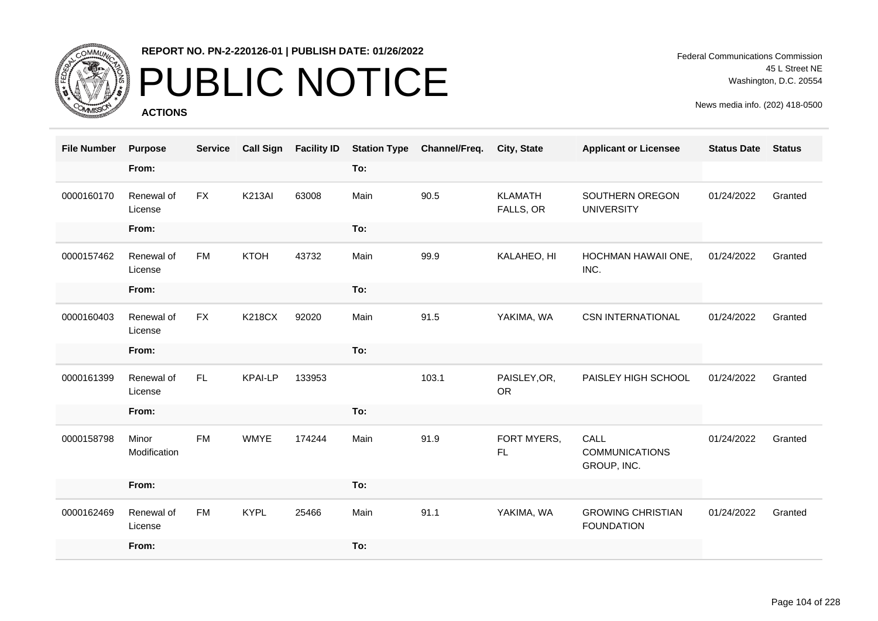

# PUBLIC NOTICE

**ACTIONS**

| <b>File Number</b> | <b>Purpose</b>        | <b>Service</b> | <b>Call Sign</b> | <b>Facility ID</b> | <b>Station Type</b> | Channel/Freq. | <b>City, State</b>          | <b>Applicant or Licensee</b>                  | <b>Status Date</b> | <b>Status</b> |
|--------------------|-----------------------|----------------|------------------|--------------------|---------------------|---------------|-----------------------------|-----------------------------------------------|--------------------|---------------|
|                    | From:                 |                |                  |                    | To:                 |               |                             |                                               |                    |               |
| 0000160170         | Renewal of<br>License | <b>FX</b>      | <b>K213AI</b>    | 63008              | Main                | 90.5          | <b>KLAMATH</b><br>FALLS, OR | SOUTHERN OREGON<br><b>UNIVERSITY</b>          | 01/24/2022         | Granted       |
|                    | From:                 |                |                  |                    | To:                 |               |                             |                                               |                    |               |
| 0000157462         | Renewal of<br>License | <b>FM</b>      | <b>KTOH</b>      | 43732              | Main                | 99.9          | KALAHEO, HI                 | HOCHMAN HAWAII ONE,<br>INC.                   | 01/24/2022         | Granted       |
|                    | From:                 |                |                  |                    | To:                 |               |                             |                                               |                    |               |
| 0000160403         | Renewal of<br>License | <b>FX</b>      | <b>K218CX</b>    | 92020              | Main                | 91.5          | YAKIMA, WA                  | <b>CSN INTERNATIONAL</b>                      | 01/24/2022         | Granted       |
|                    | From:                 |                |                  |                    | To:                 |               |                             |                                               |                    |               |
| 0000161399         | Renewal of<br>License | FL.            | <b>KPAI-LP</b>   | 133953             |                     | 103.1         | PAISLEY, OR,<br><b>OR</b>   | PAISLEY HIGH SCHOOL                           | 01/24/2022         | Granted       |
|                    | From:                 |                |                  |                    | To:                 |               |                             |                                               |                    |               |
| 0000158798         | Minor<br>Modification | <b>FM</b>      | <b>WMYE</b>      | 174244             | Main                | 91.9          | FORT MYERS,<br>FL           | CALL<br><b>COMMUNICATIONS</b><br>GROUP, INC.  | 01/24/2022         | Granted       |
|                    | From:                 |                |                  |                    | To:                 |               |                             |                                               |                    |               |
| 0000162469         | Renewal of<br>License | <b>FM</b>      | <b>KYPL</b>      | 25466              | Main                | 91.1          | YAKIMA, WA                  | <b>GROWING CHRISTIAN</b><br><b>FOUNDATION</b> | 01/24/2022         | Granted       |
|                    | From:                 |                |                  |                    | To:                 |               |                             |                                               |                    |               |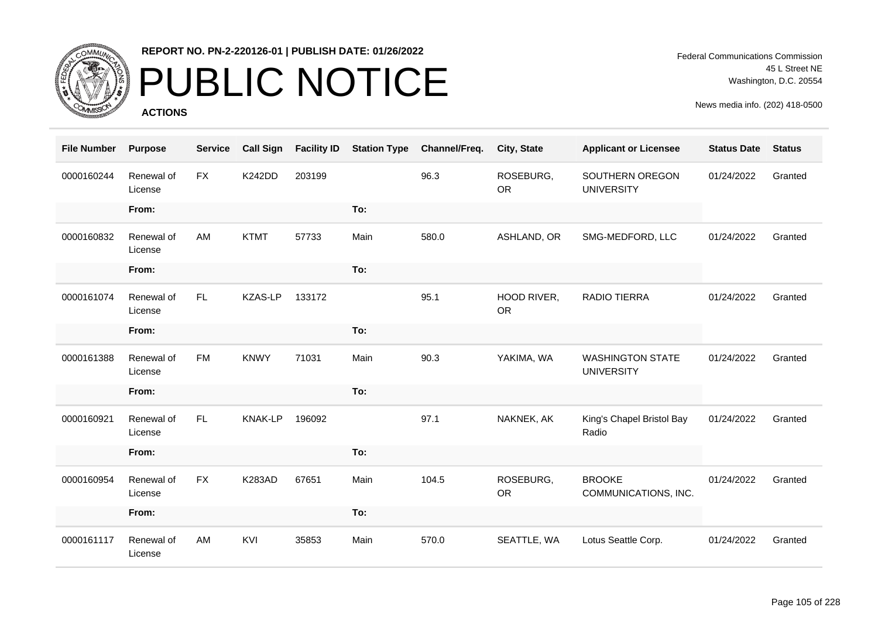

# PUBLIC NOTICE

**ACTIONS**

Federal Communications Commission 45 L Street NE Washington, D.C. 20554

| <b>File Number</b> | <b>Purpose</b>        | <b>Service</b> | <b>Call Sign</b> | <b>Facility ID</b> | <b>Station Type</b> | Channel/Freq. | City, State              | <b>Applicant or Licensee</b>                 | <b>Status Date</b> | <b>Status</b> |
|--------------------|-----------------------|----------------|------------------|--------------------|---------------------|---------------|--------------------------|----------------------------------------------|--------------------|---------------|
| 0000160244         | Renewal of<br>License | <b>FX</b>      | <b>K242DD</b>    | 203199             |                     | 96.3          | ROSEBURG,<br><b>OR</b>   | SOUTHERN OREGON<br><b>UNIVERSITY</b>         | 01/24/2022         | Granted       |
|                    | From:                 |                |                  |                    | To:                 |               |                          |                                              |                    |               |
| 0000160832         | Renewal of<br>License | AM             | <b>KTMT</b>      | 57733              | Main                | 580.0         | ASHLAND, OR              | SMG-MEDFORD, LLC                             | 01/24/2022         | Granted       |
|                    | From:                 |                |                  |                    | To:                 |               |                          |                                              |                    |               |
| 0000161074         | Renewal of<br>License | FL.            | <b>KZAS-LP</b>   | 133172             |                     | 95.1          | HOOD RIVER,<br><b>OR</b> | <b>RADIO TIERRA</b>                          | 01/24/2022         | Granted       |
|                    | From:                 |                |                  |                    | To:                 |               |                          |                                              |                    |               |
| 0000161388         | Renewal of<br>License | <b>FM</b>      | <b>KNWY</b>      | 71031              | Main                | 90.3          | YAKIMA, WA               | <b>WASHINGTON STATE</b><br><b>UNIVERSITY</b> | 01/24/2022         | Granted       |
|                    | From:                 |                |                  |                    | To:                 |               |                          |                                              |                    |               |
| 0000160921         | Renewal of<br>License | FL.            | <b>KNAK-LP</b>   | 196092             |                     | 97.1          | NAKNEK, AK               | King's Chapel Bristol Bay<br>Radio           | 01/24/2022         | Granted       |
|                    | From:                 |                |                  |                    | To:                 |               |                          |                                              |                    |               |
| 0000160954         | Renewal of<br>License | <b>FX</b>      | <b>K283AD</b>    | 67651              | Main                | 104.5         | ROSEBURG,<br><b>OR</b>   | <b>BROOKE</b><br>COMMUNICATIONS, INC.        | 01/24/2022         | Granted       |
|                    | From:                 |                |                  |                    | To:                 |               |                          |                                              |                    |               |
| 0000161117         | Renewal of<br>License | AM             | KVI              | 35853              | Main                | 570.0         | SEATTLE, WA              | Lotus Seattle Corp.                          | 01/24/2022         | Granted       |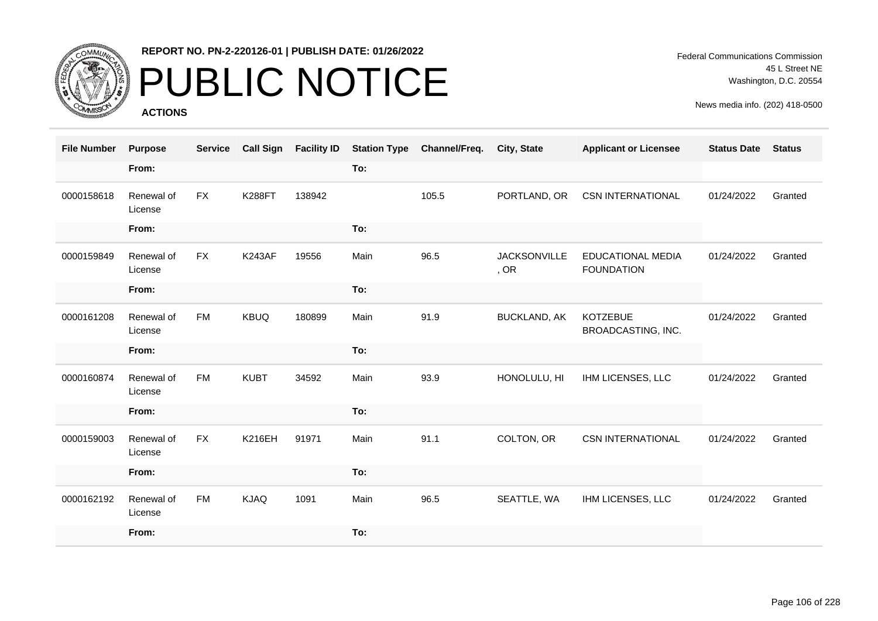

# PUBLIC NOTICE

**ACTIONS**

Federal Communications Commission 45 L Street NE Washington, D.C. 20554

| <b>File Number</b> | <b>Purpose</b>        | <b>Service</b> | <b>Call Sign</b> | <b>Facility ID</b> | <b>Station Type</b> | Channel/Freq. | City, State                 | <b>Applicant or Licensee</b>                  | <b>Status Date</b> | <b>Status</b> |
|--------------------|-----------------------|----------------|------------------|--------------------|---------------------|---------------|-----------------------------|-----------------------------------------------|--------------------|---------------|
|                    | From:                 |                |                  |                    | To:                 |               |                             |                                               |                    |               |
| 0000158618         | Renewal of<br>License | <b>FX</b>      | <b>K288FT</b>    | 138942             |                     | 105.5         | PORTLAND, OR                | <b>CSN INTERNATIONAL</b>                      | 01/24/2022         | Granted       |
|                    | From:                 |                |                  |                    | To:                 |               |                             |                                               |                    |               |
| 0000159849         | Renewal of<br>License | <b>FX</b>      | <b>K243AF</b>    | 19556              | Main                | 96.5          | <b>JACKSONVILLE</b><br>, OR | <b>EDUCATIONAL MEDIA</b><br><b>FOUNDATION</b> | 01/24/2022         | Granted       |
|                    | From:                 |                |                  |                    | To:                 |               |                             |                                               |                    |               |
| 0000161208         | Renewal of<br>License | <b>FM</b>      | <b>KBUQ</b>      | 180899             | Main                | 91.9          | <b>BUCKLAND, AK</b>         | <b>KOTZEBUE</b><br>BROADCASTING, INC.         | 01/24/2022         | Granted       |
|                    | From:                 |                |                  |                    | To:                 |               |                             |                                               |                    |               |
| 0000160874         | Renewal of<br>License | <b>FM</b>      | <b>KUBT</b>      | 34592              | Main                | 93.9          | HONOLULU, HI                | IHM LICENSES, LLC                             | 01/24/2022         | Granted       |
|                    | From:                 |                |                  |                    | To:                 |               |                             |                                               |                    |               |
| 0000159003         | Renewal of<br>License | <b>FX</b>      | <b>K216EH</b>    | 91971              | Main                | 91.1          | COLTON, OR                  | <b>CSN INTERNATIONAL</b>                      | 01/24/2022         | Granted       |
|                    | From:                 |                |                  |                    | To:                 |               |                             |                                               |                    |               |
| 0000162192         | Renewal of<br>License | <b>FM</b>      | <b>KJAQ</b>      | 1091               | Main                | 96.5          | SEATTLE, WA                 | IHM LICENSES, LLC                             | 01/24/2022         | Granted       |
|                    | From:                 |                |                  |                    | To:                 |               |                             |                                               |                    |               |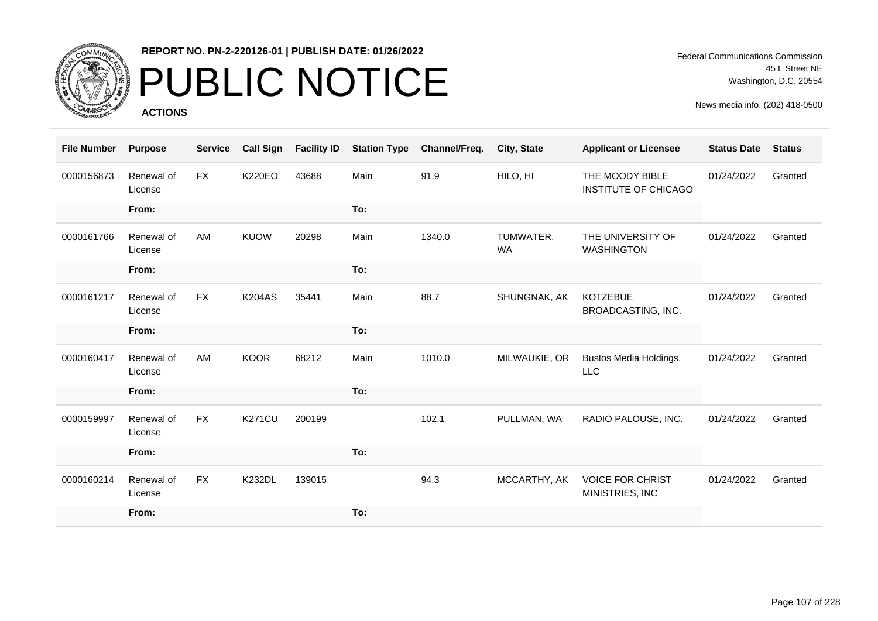

# PUBLIC NOTICE

**ACTIONS**

Federal Communications Commission 45 L Street NE Washington, D.C. 20554

| <b>File Number</b> | <b>Purpose</b>        | <b>Service</b> | <b>Call Sign</b> | <b>Facility ID</b> | <b>Station Type</b> | Channel/Freq. | <b>City, State</b>     | <b>Applicant or Licensee</b>                   | <b>Status Date</b> | <b>Status</b> |
|--------------------|-----------------------|----------------|------------------|--------------------|---------------------|---------------|------------------------|------------------------------------------------|--------------------|---------------|
| 0000156873         | Renewal of<br>License | <b>FX</b>      | <b>K220EO</b>    | 43688              | Main                | 91.9          | HILO, HI               | THE MOODY BIBLE<br><b>INSTITUTE OF CHICAGO</b> | 01/24/2022         | Granted       |
|                    | From:                 |                |                  |                    | To:                 |               |                        |                                                |                    |               |
| 0000161766         | Renewal of<br>License | AM             | <b>KUOW</b>      | 20298              | Main                | 1340.0        | TUMWATER,<br><b>WA</b> | THE UNIVERSITY OF<br><b>WASHINGTON</b>         | 01/24/2022         | Granted       |
|                    | From:                 |                |                  |                    | To:                 |               |                        |                                                |                    |               |
| 0000161217         | Renewal of<br>License | <b>FX</b>      | <b>K204AS</b>    | 35441              | Main                | 88.7          | SHUNGNAK, AK           | <b>KOTZEBUE</b><br>BROADCASTING, INC.          | 01/24/2022         | Granted       |
|                    | From:                 |                |                  |                    | To:                 |               |                        |                                                |                    |               |
| 0000160417         | Renewal of<br>License | AM             | <b>KOOR</b>      | 68212              | Main                | 1010.0        | MILWAUKIE, OR          | Bustos Media Holdings,<br><b>LLC</b>           | 01/24/2022         | Granted       |
|                    | From:                 |                |                  |                    | To:                 |               |                        |                                                |                    |               |
| 0000159997         | Renewal of<br>License | <b>FX</b>      | <b>K271CU</b>    | 200199             |                     | 102.1         | PULLMAN, WA            | RADIO PALOUSE, INC.                            | 01/24/2022         | Granted       |
|                    | From:                 |                |                  |                    | To:                 |               |                        |                                                |                    |               |
| 0000160214         | Renewal of<br>License | <b>FX</b>      | <b>K232DL</b>    | 139015             |                     | 94.3          | MCCARTHY, AK           | <b>VOICE FOR CHRIST</b><br>MINISTRIES, INC     | 01/24/2022         | Granted       |
|                    | From:                 |                |                  |                    | To:                 |               |                        |                                                |                    |               |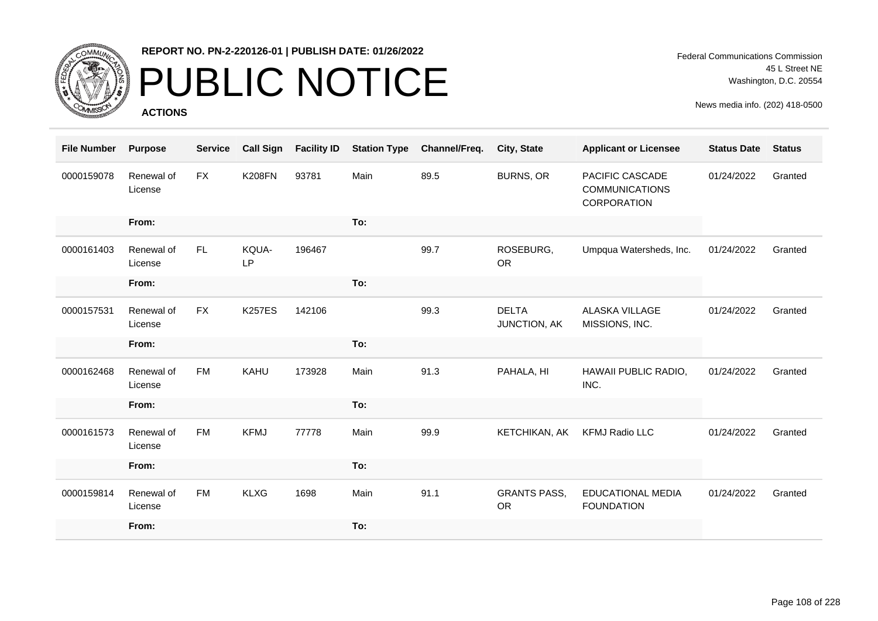

### PUBLIC NOTICE

**ACTIONS**

Federal Communications Commission 45 L Street NE Washington, D.C. 20554

| <b>File Number</b> | <b>Purpose</b>        | <b>Service</b> | <b>Call Sign</b> | <b>Facility ID</b> | <b>Station Type</b> | Channel/Freq. | City, State                      | <b>Applicant or Licensee</b>                            | <b>Status Date</b> | <b>Status</b> |
|--------------------|-----------------------|----------------|------------------|--------------------|---------------------|---------------|----------------------------------|---------------------------------------------------------|--------------------|---------------|
| 0000159078         | Renewal of<br>License | <b>FX</b>      | <b>K208FN</b>    | 93781              | Main                | 89.5          | <b>BURNS, OR</b>                 | PACIFIC CASCADE<br><b>COMMUNICATIONS</b><br>CORPORATION | 01/24/2022         | Granted       |
|                    | From:                 |                |                  |                    | To:                 |               |                                  |                                                         |                    |               |
| 0000161403         | Renewal of<br>License | FL             | KQUA-<br>LP      | 196467             |                     | 99.7          | ROSEBURG,<br><b>OR</b>           | Umpqua Watersheds, Inc.                                 | 01/24/2022         | Granted       |
|                    | From:                 |                |                  |                    | To:                 |               |                                  |                                                         |                    |               |
| 0000157531         | Renewal of<br>License | <b>FX</b>      | <b>K257ES</b>    | 142106             |                     | 99.3          | <b>DELTA</b><br>JUNCTION, AK     | <b>ALASKA VILLAGE</b><br>MISSIONS, INC.                 | 01/24/2022         | Granted       |
|                    | From:                 |                |                  |                    | To:                 |               |                                  |                                                         |                    |               |
| 0000162468         | Renewal of<br>License | <b>FM</b>      | <b>KAHU</b>      | 173928             | Main                | 91.3          | PAHALA, HI                       | HAWAII PUBLIC RADIO,<br>INC.                            | 01/24/2022         | Granted       |
|                    | From:                 |                |                  |                    | To:                 |               |                                  |                                                         |                    |               |
| 0000161573         | Renewal of<br>License | <b>FM</b>      | <b>KFMJ</b>      | 77778              | Main                | 99.9          | KETCHIKAN, AK                    | <b>KFMJ Radio LLC</b>                                   | 01/24/2022         | Granted       |
|                    | From:                 |                |                  |                    | To:                 |               |                                  |                                                         |                    |               |
| 0000159814         | Renewal of<br>License | <b>FM</b>      | <b>KLXG</b>      | 1698               | Main                | 91.1          | <b>GRANTS PASS,</b><br><b>OR</b> | EDUCATIONAL MEDIA<br><b>FOUNDATION</b>                  | 01/24/2022         | Granted       |
|                    | From:                 |                |                  |                    | To:                 |               |                                  |                                                         |                    |               |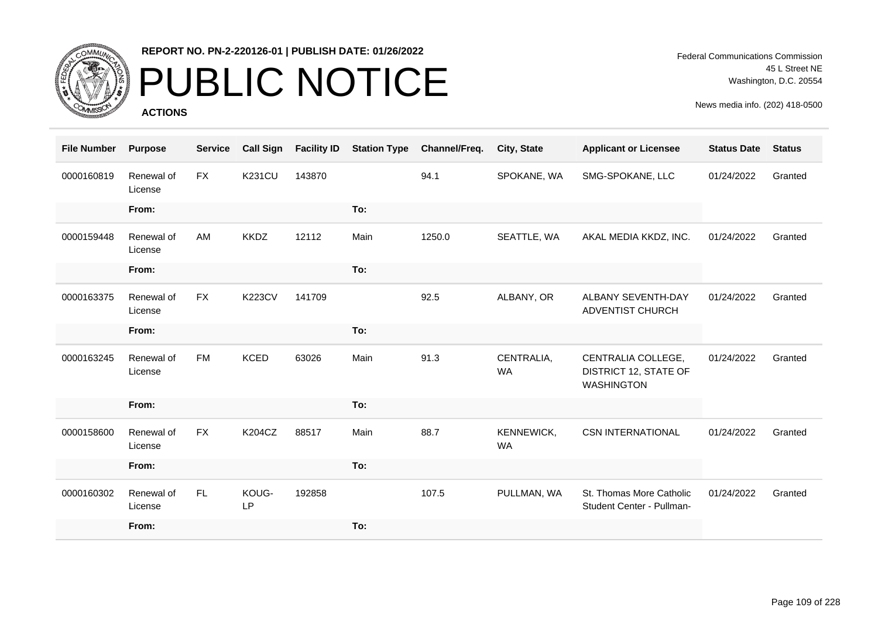

# PUBLIC NOTICE

**ACTIONS**

| <b>File Number</b> | <b>Purpose</b>        | <b>Service</b> | <b>Call Sign</b> | <b>Facility ID</b> | <b>Station Type</b> | Channel/Freq. | City, State             | <b>Applicant or Licensee</b>                                            | <b>Status Date</b> | <b>Status</b> |
|--------------------|-----------------------|----------------|------------------|--------------------|---------------------|---------------|-------------------------|-------------------------------------------------------------------------|--------------------|---------------|
| 0000160819         | Renewal of<br>License | <b>FX</b>      | <b>K231CU</b>    | 143870             |                     | 94.1          | SPOKANE, WA             | SMG-SPOKANE, LLC                                                        | 01/24/2022         | Granted       |
|                    | From:                 |                |                  |                    | To:                 |               |                         |                                                                         |                    |               |
| 0000159448         | Renewal of<br>License | AM             | <b>KKDZ</b>      | 12112              | Main                | 1250.0        | SEATTLE, WA             | AKAL MEDIA KKDZ, INC.                                                   | 01/24/2022         | Granted       |
|                    | From:                 |                |                  |                    | To:                 |               |                         |                                                                         |                    |               |
| 0000163375         | Renewal of<br>License | <b>FX</b>      | <b>K223CV</b>    | 141709             |                     | 92.5          | ALBANY, OR              | ALBANY SEVENTH-DAY<br>ADVENTIST CHURCH                                  | 01/24/2022         | Granted       |
|                    | From:                 |                |                  |                    | To:                 |               |                         |                                                                         |                    |               |
| 0000163245         | Renewal of<br>License | <b>FM</b>      | <b>KCED</b>      | 63026              | Main                | 91.3          | CENTRALIA,<br><b>WA</b> | CENTRALIA COLLEGE,<br><b>DISTRICT 12, STATE OF</b><br><b>WASHINGTON</b> | 01/24/2022         | Granted       |
|                    | From:                 |                |                  |                    | To:                 |               |                         |                                                                         |                    |               |
| 0000158600         | Renewal of<br>License | <b>FX</b>      | <b>K204CZ</b>    | 88517              | Main                | 88.7          | KENNEWICK,<br><b>WA</b> | <b>CSN INTERNATIONAL</b>                                                | 01/24/2022         | Granted       |
|                    | From:                 |                |                  |                    | To:                 |               |                         |                                                                         |                    |               |
| 0000160302         | Renewal of<br>License | FL.            | KOUG-<br>LP      | 192858             |                     | 107.5         | PULLMAN, WA             | St. Thomas More Catholic<br>Student Center - Pullman-                   | 01/24/2022         | Granted       |
|                    | From:                 |                |                  |                    | To:                 |               |                         |                                                                         |                    |               |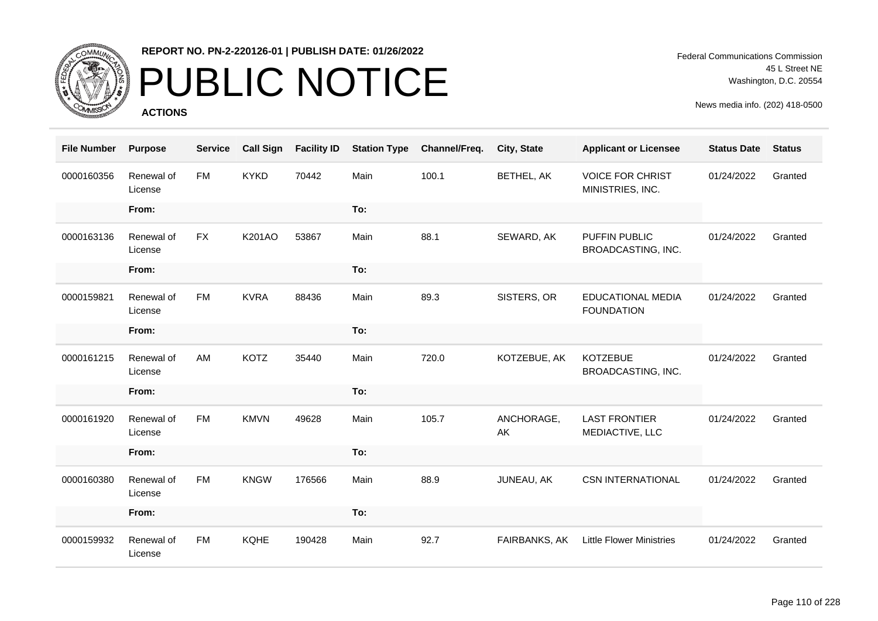

# PUBLIC NOTICE

**ACTIONS**

Federal Communications Commission 45 L Street NE Washington, D.C. 20554

| <b>File Number</b> | <b>Purpose</b>        | <b>Service</b> | <b>Call Sign</b> | <b>Facility ID</b> | <b>Station Type</b> | Channel/Freq. | City, State      | <b>Applicant or Licensee</b>                  | <b>Status Date</b> | <b>Status</b> |
|--------------------|-----------------------|----------------|------------------|--------------------|---------------------|---------------|------------------|-----------------------------------------------|--------------------|---------------|
| 0000160356         | Renewal of<br>License | <b>FM</b>      | <b>KYKD</b>      | 70442              | Main                | 100.1         | BETHEL, AK       | <b>VOICE FOR CHRIST</b><br>MINISTRIES, INC.   | 01/24/2022         | Granted       |
|                    | From:                 |                |                  |                    | To:                 |               |                  |                                               |                    |               |
| 0000163136         | Renewal of<br>License | FX             | K201AO           | 53867              | Main                | 88.1          | SEWARD, AK       | PUFFIN PUBLIC<br>BROADCASTING, INC.           | 01/24/2022         | Granted       |
|                    | From:                 |                |                  |                    | To:                 |               |                  |                                               |                    |               |
| 0000159821         | Renewal of<br>License | <b>FM</b>      | <b>KVRA</b>      | 88436              | Main                | 89.3          | SISTERS, OR      | <b>EDUCATIONAL MEDIA</b><br><b>FOUNDATION</b> | 01/24/2022         | Granted       |
|                    | From:                 |                |                  |                    | To:                 |               |                  |                                               |                    |               |
| 0000161215         | Renewal of<br>License | AM             | <b>KOTZ</b>      | 35440              | Main                | 720.0         | KOTZEBUE, AK     | <b>KOTZEBUE</b><br>BROADCASTING, INC.         | 01/24/2022         | Granted       |
|                    | From:                 |                |                  |                    | To:                 |               |                  |                                               |                    |               |
| 0000161920         | Renewal of<br>License | <b>FM</b>      | <b>KMVN</b>      | 49628              | Main                | 105.7         | ANCHORAGE,<br>AK | <b>LAST FRONTIER</b><br>MEDIACTIVE, LLC       | 01/24/2022         | Granted       |
|                    | From:                 |                |                  |                    | To:                 |               |                  |                                               |                    |               |
| 0000160380         | Renewal of<br>License | <b>FM</b>      | <b>KNGW</b>      | 176566             | Main                | 88.9          | JUNEAU, AK       | <b>CSN INTERNATIONAL</b>                      | 01/24/2022         | Granted       |
|                    | From:                 |                |                  |                    | To:                 |               |                  |                                               |                    |               |
| 0000159932         | Renewal of<br>License | <b>FM</b>      | <b>KQHE</b>      | 190428             | Main                | 92.7          | FAIRBANKS, AK    | <b>Little Flower Ministries</b>               | 01/24/2022         | Granted       |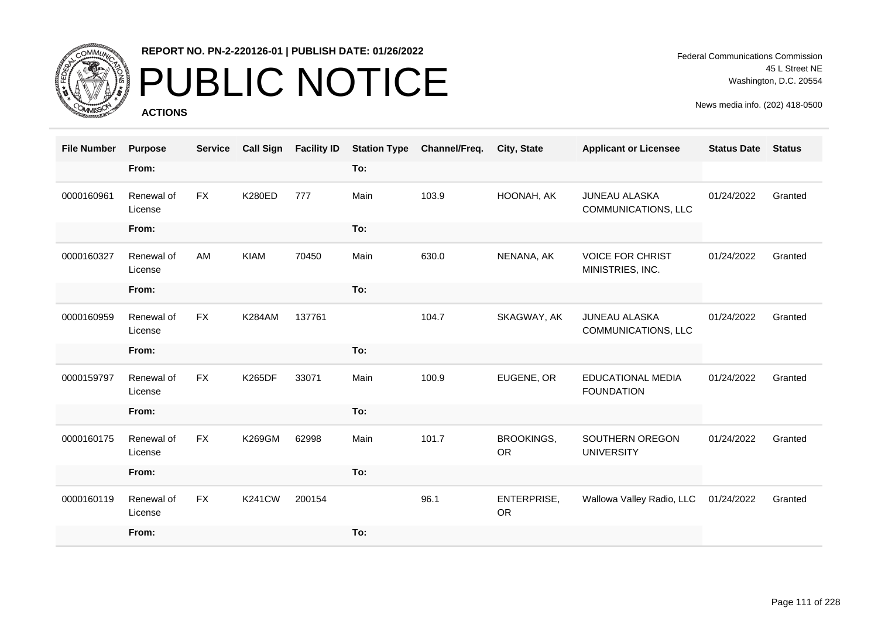

## PUBLIC NOTICE

**ACTIONS**

Federal Communications Commission 45 L Street NE Washington, D.C. 20554

| <b>File Number</b> | <b>Purpose</b>        | <b>Service</b> | <b>Call Sign</b> | <b>Facility ID</b> | <b>Station Type</b> | Channel/Freq. | City, State                    | <b>Applicant or Licensee</b>                | <b>Status Date</b> | <b>Status</b> |
|--------------------|-----------------------|----------------|------------------|--------------------|---------------------|---------------|--------------------------------|---------------------------------------------|--------------------|---------------|
|                    | From:                 |                |                  |                    | To:                 |               |                                |                                             |                    |               |
| 0000160961         | Renewal of<br>License | <b>FX</b>      | <b>K280ED</b>    | 777                | Main                | 103.9         | HOONAH, AK                     | <b>JUNEAU ALASKA</b><br>COMMUNICATIONS, LLC | 01/24/2022         | Granted       |
|                    | From:                 |                |                  |                    | To:                 |               |                                |                                             |                    |               |
| 0000160327         | Renewal of<br>License | AM             | KIAM             | 70450              | Main                | 630.0         | NENANA, AK                     | <b>VOICE FOR CHRIST</b><br>MINISTRIES, INC. | 01/24/2022         | Granted       |
|                    | From:                 |                |                  |                    | To:                 |               |                                |                                             |                    |               |
| 0000160959         | Renewal of<br>License | <b>FX</b>      | <b>K284AM</b>    | 137761             |                     | 104.7         | SKAGWAY, AK                    | <b>JUNEAU ALASKA</b><br>COMMUNICATIONS, LLC | 01/24/2022         | Granted       |
|                    | From:                 |                |                  |                    | To:                 |               |                                |                                             |                    |               |
| 0000159797         | Renewal of<br>License | <b>FX</b>      | <b>K265DF</b>    | 33071              | Main                | 100.9         | EUGENE, OR                     | EDUCATIONAL MEDIA<br><b>FOUNDATION</b>      | 01/24/2022         | Granted       |
|                    | From:                 |                |                  |                    | To:                 |               |                                |                                             |                    |               |
| 0000160175         | Renewal of<br>License | <b>FX</b>      | K269GM           | 62998              | Main                | 101.7         | <b>BROOKINGS,</b><br><b>OR</b> | SOUTHERN OREGON<br><b>UNIVERSITY</b>        | 01/24/2022         | Granted       |
|                    | From:                 |                |                  |                    | To:                 |               |                                |                                             |                    |               |
| 0000160119         | Renewal of<br>License | <b>FX</b>      | <b>K241CW</b>    | 200154             |                     | 96.1          | ENTERPRISE,<br><b>OR</b>       | Wallowa Valley Radio, LLC                   | 01/24/2022         | Granted       |
|                    | From:                 |                |                  |                    | To:                 |               |                                |                                             |                    |               |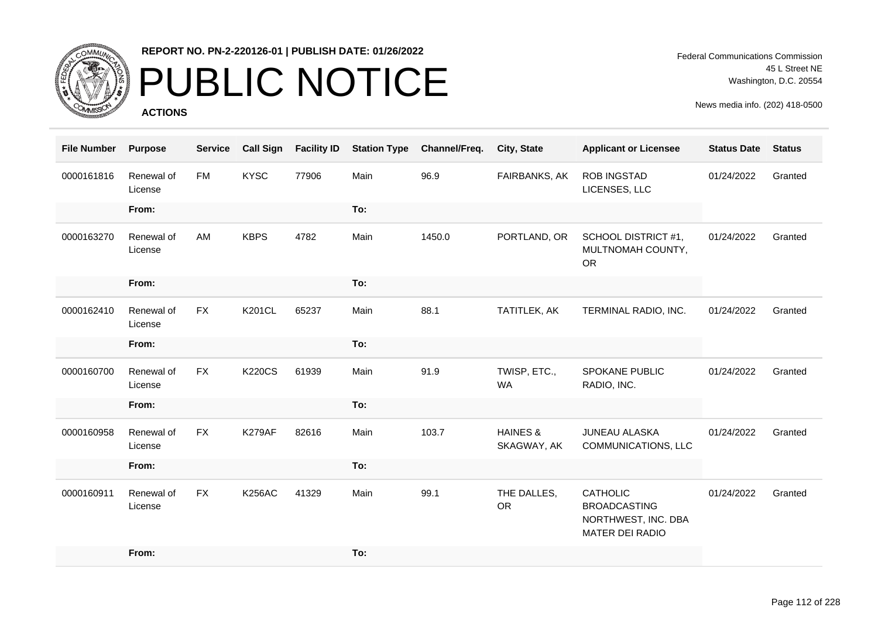

# PUBLIC NOTICE

**ACTIONS**

Federal Communications Commission 45 L Street NE Washington, D.C. 20554

| <b>File Number</b> | <b>Purpose</b>        | <b>Service</b> | <b>Call Sign</b> | <b>Facility ID</b> | <b>Station Type</b> | Channel/Freq. | City, State                        | <b>Applicant or Licensee</b>                                                            | <b>Status Date</b> | <b>Status</b> |
|--------------------|-----------------------|----------------|------------------|--------------------|---------------------|---------------|------------------------------------|-----------------------------------------------------------------------------------------|--------------------|---------------|
| 0000161816         | Renewal of<br>License | <b>FM</b>      | <b>KYSC</b>      | 77906              | Main                | 96.9          | FAIRBANKS, AK                      | ROB INGSTAD<br>LICENSES, LLC                                                            | 01/24/2022         | Granted       |
|                    | From:                 |                |                  |                    | To:                 |               |                                    |                                                                                         |                    |               |
| 0000163270         | Renewal of<br>License | AM             | <b>KBPS</b>      | 4782               | Main                | 1450.0        | PORTLAND, OR                       | SCHOOL DISTRICT #1,<br>MULTNOMAH COUNTY,<br><b>OR</b>                                   | 01/24/2022         | Granted       |
|                    | From:                 |                |                  |                    | To:                 |               |                                    |                                                                                         |                    |               |
| 0000162410         | Renewal of<br>License | <b>FX</b>      | <b>K201CL</b>    | 65237              | Main                | 88.1          | TATITLEK, AK                       | TERMINAL RADIO, INC.                                                                    | 01/24/2022         | Granted       |
|                    | From:                 |                |                  |                    | To:                 |               |                                    |                                                                                         |                    |               |
| 0000160700         | Renewal of<br>License | <b>FX</b>      | <b>K220CS</b>    | 61939              | Main                | 91.9          | TWISP, ETC.,<br><b>WA</b>          | <b>SPOKANE PUBLIC</b><br>RADIO, INC.                                                    | 01/24/2022         | Granted       |
|                    | From:                 |                |                  |                    | To:                 |               |                                    |                                                                                         |                    |               |
| 0000160958         | Renewal of<br>License | <b>FX</b>      | K279AF           | 82616              | Main                | 103.7         | <b>HAINES &amp;</b><br>SKAGWAY, AK | <b>JUNEAU ALASKA</b><br>COMMUNICATIONS, LLC                                             | 01/24/2022         | Granted       |
|                    | From:                 |                |                  |                    | To:                 |               |                                    |                                                                                         |                    |               |
| 0000160911         | Renewal of<br>License | <b>FX</b>      | <b>K256AC</b>    | 41329              | Main                | 99.1          | THE DALLES,<br><b>OR</b>           | <b>CATHOLIC</b><br><b>BROADCASTING</b><br>NORTHWEST, INC. DBA<br><b>MATER DEI RADIO</b> | 01/24/2022         | Granted       |
|                    | From:                 |                |                  |                    | To:                 |               |                                    |                                                                                         |                    |               |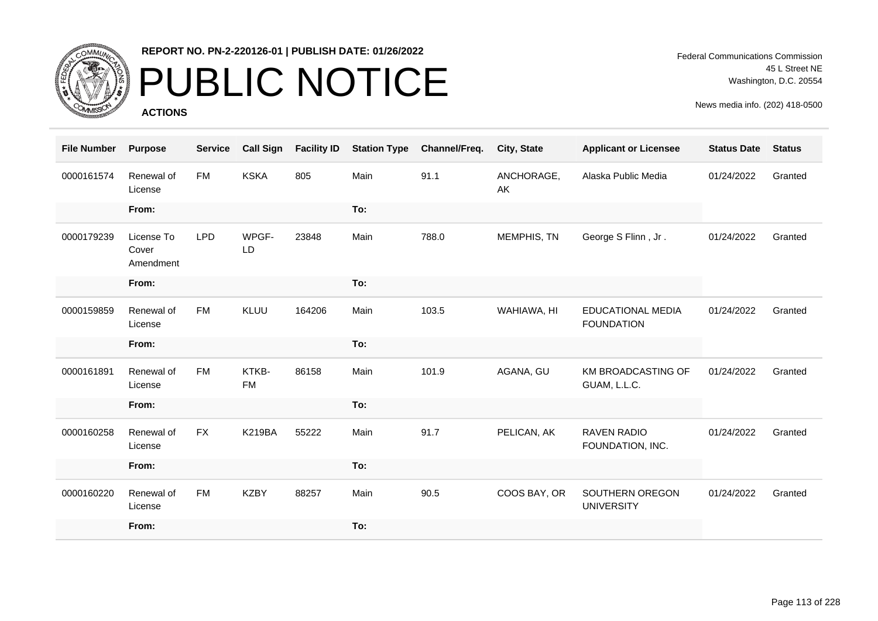

# PUBLIC NOTICE

**ACTIONS**

Federal Communications Commission 45 L Street NE Washington, D.C. 20554

| <b>File Number</b> | <b>Purpose</b>                   | <b>Service</b> | <b>Call Sign</b>   | <b>Facility ID</b> | <b>Station Type</b> | Channel/Freq. | City, State      | <b>Applicant or Licensee</b>                  | <b>Status Date</b> | <b>Status</b> |
|--------------------|----------------------------------|----------------|--------------------|--------------------|---------------------|---------------|------------------|-----------------------------------------------|--------------------|---------------|
| 0000161574         | Renewal of<br>License            | <b>FM</b>      | <b>KSKA</b>        | 805                | Main                | 91.1          | ANCHORAGE,<br>AK | Alaska Public Media                           | 01/24/2022         | Granted       |
|                    | From:                            |                |                    |                    | To:                 |               |                  |                                               |                    |               |
| 0000179239         | License To<br>Cover<br>Amendment | <b>LPD</b>     | WPGF-<br>LD        | 23848              | Main                | 788.0         | MEMPHIS, TN      | George S Flinn, Jr.                           | 01/24/2022         | Granted       |
|                    | From:                            |                |                    |                    | To:                 |               |                  |                                               |                    |               |
| 0000159859         | Renewal of<br>License            | <b>FM</b>      | <b>KLUU</b>        | 164206             | Main                | 103.5         | WAHIAWA, HI      | <b>EDUCATIONAL MEDIA</b><br><b>FOUNDATION</b> | 01/24/2022         | Granted       |
|                    | From:                            |                |                    |                    | To:                 |               |                  |                                               |                    |               |
| 0000161891         | Renewal of<br>License            | FM             | KTKB-<br><b>FM</b> | 86158              | Main                | 101.9         | AGANA, GU        | KM BROADCASTING OF<br>GUAM, L.L.C.            | 01/24/2022         | Granted       |
|                    | From:                            |                |                    |                    | To:                 |               |                  |                                               |                    |               |
| 0000160258         | Renewal of<br>License            | <b>FX</b>      | <b>K219BA</b>      | 55222              | Main                | 91.7          | PELICAN, AK      | <b>RAVEN RADIO</b><br>FOUNDATION, INC.        | 01/24/2022         | Granted       |
|                    | From:                            |                |                    |                    | To:                 |               |                  |                                               |                    |               |
| 0000160220         | Renewal of<br>License            | <b>FM</b>      | <b>KZBY</b>        | 88257              | Main                | 90.5          | COOS BAY, OR     | SOUTHERN OREGON<br><b>UNIVERSITY</b>          | 01/24/2022         | Granted       |
|                    | From:                            |                |                    |                    | To:                 |               |                  |                                               |                    |               |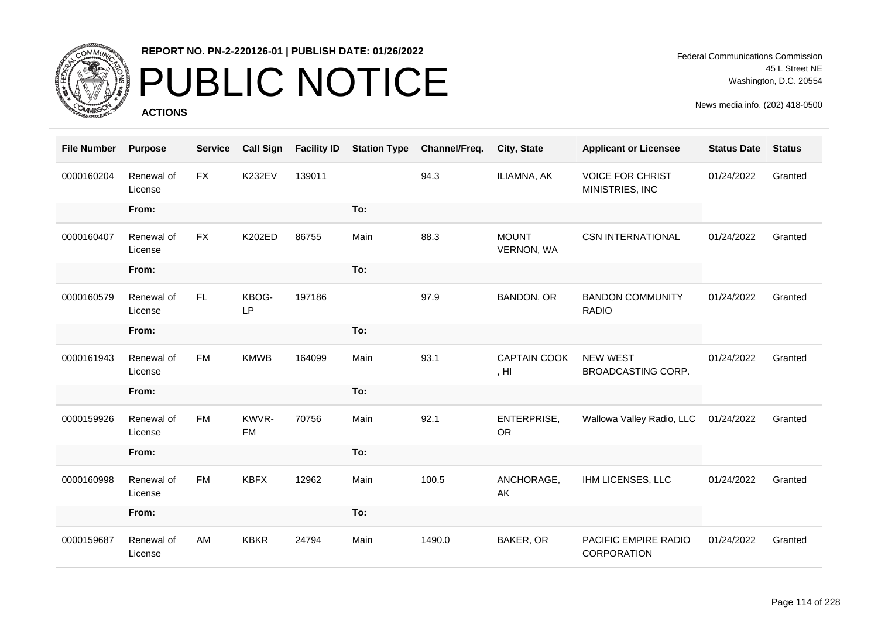

# PUBLIC NOTICE

**ACTIONS**

Federal Communications Commission 45 L Street NE Washington, D.C. 20554

| <b>File Number</b> | <b>Purpose</b>        | <b>Service</b> | <b>Call Sign</b>   | <b>Facility ID</b> | <b>Station Type</b> | Channel/Freq. | City, State                              | <b>Applicant or Licensee</b>               | <b>Status Date</b> | <b>Status</b> |
|--------------------|-----------------------|----------------|--------------------|--------------------|---------------------|---------------|------------------------------------------|--------------------------------------------|--------------------|---------------|
| 0000160204         | Renewal of<br>License | <b>FX</b>      | <b>K232EV</b>      | 139011             |                     | 94.3          | ILIAMNA, AK                              | <b>VOICE FOR CHRIST</b><br>MINISTRIES, INC | 01/24/2022         | Granted       |
|                    | From:                 |                |                    |                    | To:                 |               |                                          |                                            |                    |               |
| 0000160407         | Renewal of<br>License | <b>FX</b>      | K202ED             | 86755              | Main                | 88.3          | <b>MOUNT</b><br>VERNON, WA               | <b>CSN INTERNATIONAL</b>                   | 01/24/2022         | Granted       |
|                    | From:                 |                |                    |                    | To:                 |               |                                          |                                            |                    |               |
| 0000160579         | Renewal of<br>License | <b>FL</b>      | KBOG-<br>LP        | 197186             |                     | 97.9          | BANDON, OR                               | <b>BANDON COMMUNITY</b><br><b>RADIO</b>    | 01/24/2022         | Granted       |
|                    | From:                 |                |                    |                    | To:                 |               |                                          |                                            |                    |               |
| 0000161943         | Renewal of<br>License | <b>FM</b>      | <b>KMWB</b>        | 164099             | Main                | 93.1          | <b>CAPTAIN COOK</b><br>, H <sub>II</sub> | <b>NEW WEST</b><br>BROADCASTING CORP.      | 01/24/2022         | Granted       |
|                    | From:                 |                |                    |                    | To:                 |               |                                          |                                            |                    |               |
| 0000159926         | Renewal of<br>License | <b>FM</b>      | KWVR-<br><b>FM</b> | 70756              | Main                | 92.1          | ENTERPRISE,<br><b>OR</b>                 | Wallowa Valley Radio, LLC                  | 01/24/2022         | Granted       |
|                    | From:                 |                |                    |                    | To:                 |               |                                          |                                            |                    |               |
| 0000160998         | Renewal of<br>License | <b>FM</b>      | <b>KBFX</b>        | 12962              | Main                | 100.5         | ANCHORAGE,<br>AK                         | IHM LICENSES, LLC                          | 01/24/2022         | Granted       |
|                    | From:                 |                |                    |                    | To:                 |               |                                          |                                            |                    |               |
| 0000159687         | Renewal of<br>License | AM             | <b>KBKR</b>        | 24794              | Main                | 1490.0        | BAKER, OR                                | PACIFIC EMPIRE RADIO<br>CORPORATION        | 01/24/2022         | Granted       |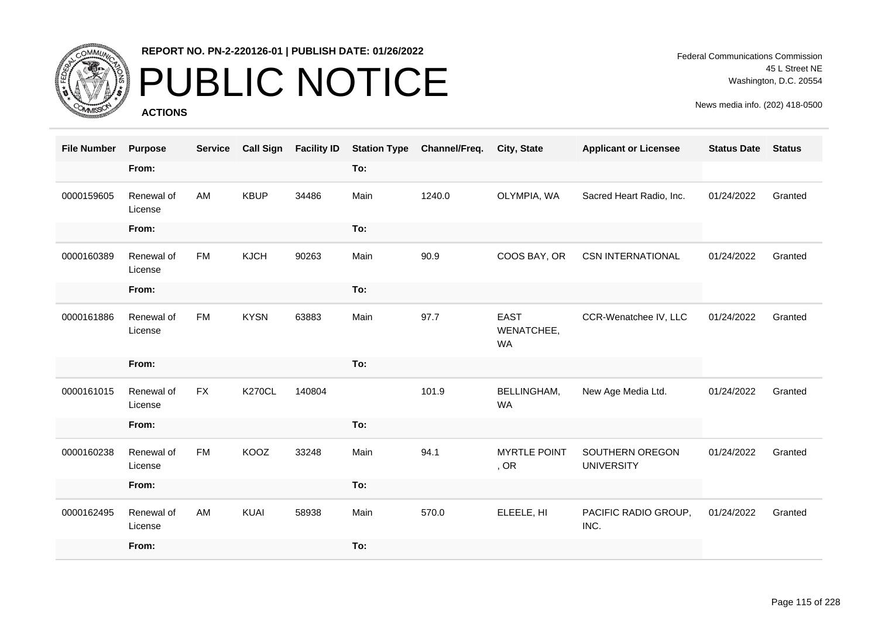

# PUBLIC NOTICE

**ACTIONS**

Federal Communications Commission 45 L Street NE Washington, D.C. 20554

| <b>File Number</b> | <b>Purpose</b>        | <b>Service</b> | <b>Call Sign</b> | <b>Facility ID</b> | <b>Station Type</b> | Channel/Freq. | City, State                            | <b>Applicant or Licensee</b>         | <b>Status Date</b> | <b>Status</b> |
|--------------------|-----------------------|----------------|------------------|--------------------|---------------------|---------------|----------------------------------------|--------------------------------------|--------------------|---------------|
|                    | From:                 |                |                  |                    | To:                 |               |                                        |                                      |                    |               |
| 0000159605         | Renewal of<br>License | AM             | <b>KBUP</b>      | 34486              | Main                | 1240.0        | OLYMPIA, WA                            | Sacred Heart Radio, Inc.             | 01/24/2022         | Granted       |
|                    | From:                 |                |                  |                    | To:                 |               |                                        |                                      |                    |               |
| 0000160389         | Renewal of<br>License | <b>FM</b>      | <b>KJCH</b>      | 90263              | Main                | 90.9          | COOS BAY, OR                           | <b>CSN INTERNATIONAL</b>             | 01/24/2022         | Granted       |
|                    | From:                 |                |                  |                    | To:                 |               |                                        |                                      |                    |               |
| 0000161886         | Renewal of<br>License | <b>FM</b>      | <b>KYSN</b>      | 63883              | Main                | 97.7          | <b>EAST</b><br>WENATCHEE,<br><b>WA</b> | CCR-Wenatchee IV, LLC                | 01/24/2022         | Granted       |
|                    | From:                 |                |                  |                    | To:                 |               |                                        |                                      |                    |               |
| 0000161015         | Renewal of<br>License | <b>FX</b>      | <b>K270CL</b>    | 140804             |                     | 101.9         | BELLINGHAM,<br><b>WA</b>               | New Age Media Ltd.                   | 01/24/2022         | Granted       |
|                    | From:                 |                |                  |                    | To:                 |               |                                        |                                      |                    |               |
| 0000160238         | Renewal of<br>License | <b>FM</b>      | KOOZ             | 33248              | Main                | 94.1          | <b>MYRTLE POINT</b><br>, OR            | SOUTHERN OREGON<br><b>UNIVERSITY</b> | 01/24/2022         | Granted       |
|                    | From:                 |                |                  |                    | To:                 |               |                                        |                                      |                    |               |
| 0000162495         | Renewal of<br>License | AM             | <b>KUAI</b>      | 58938              | Main                | 570.0         | ELEELE, HI                             | PACIFIC RADIO GROUP,<br>INC.         | 01/24/2022         | Granted       |
|                    | From:                 |                |                  |                    | To:                 |               |                                        |                                      |                    |               |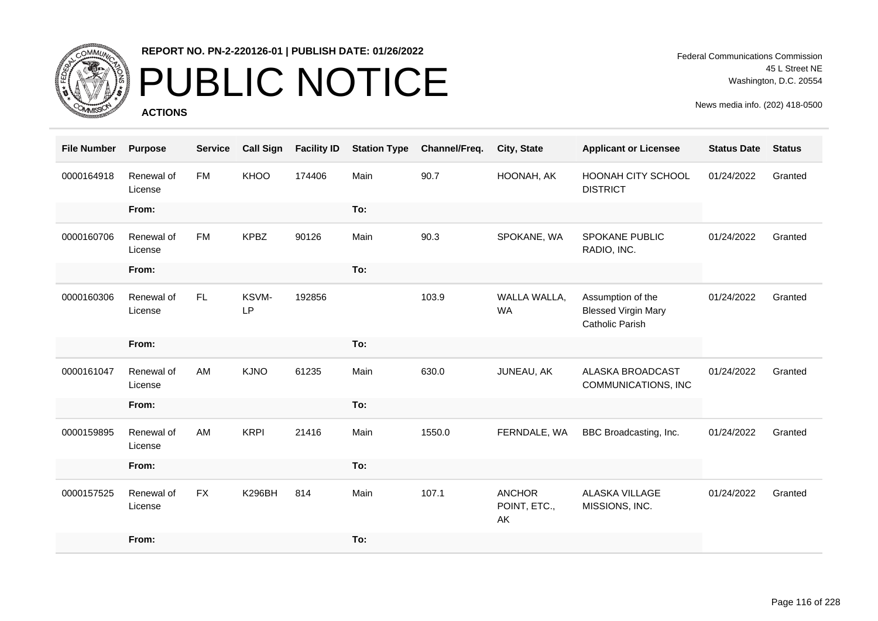

## PUBLIC NOTICE

**ACTIONS**

Federal Communications Commission 45 L Street NE Washington, D.C. 20554

| <b>File Number</b> | <b>Purpose</b>        | <b>Service</b> | <b>Call Sign</b> | <b>Facility ID</b> | <b>Station Type</b> | Channel/Freq. | City, State                         | <b>Applicant or Licensee</b>                                       | <b>Status Date</b> | <b>Status</b> |
|--------------------|-----------------------|----------------|------------------|--------------------|---------------------|---------------|-------------------------------------|--------------------------------------------------------------------|--------------------|---------------|
| 0000164918         | Renewal of<br>License | <b>FM</b>      | KHOO             | 174406             | Main                | 90.7          | HOONAH, AK                          | <b>HOONAH CITY SCHOOL</b><br><b>DISTRICT</b>                       | 01/24/2022         | Granted       |
|                    | From:                 |                |                  |                    | To:                 |               |                                     |                                                                    |                    |               |
| 0000160706         | Renewal of<br>License | <b>FM</b>      | <b>KPBZ</b>      | 90126              | Main                | 90.3          | SPOKANE, WA                         | <b>SPOKANE PUBLIC</b><br>RADIO, INC.                               | 01/24/2022         | Granted       |
|                    | From:                 |                |                  |                    | To:                 |               |                                     |                                                                    |                    |               |
| 0000160306         | Renewal of<br>License | FL.            | KSVM-<br>LP      | 192856             |                     | 103.9         | WALLA WALLA,<br><b>WA</b>           | Assumption of the<br><b>Blessed Virgin Mary</b><br>Catholic Parish | 01/24/2022         | Granted       |
|                    | From:                 |                |                  |                    | To:                 |               |                                     |                                                                    |                    |               |
| 0000161047         | Renewal of<br>License | AM             | <b>KJNO</b>      | 61235              | Main                | 630.0         | JUNEAU, AK                          | ALASKA BROADCAST<br>COMMUNICATIONS, INC                            | 01/24/2022         | Granted       |
|                    | From:                 |                |                  |                    | To:                 |               |                                     |                                                                    |                    |               |
| 0000159895         | Renewal of<br>License | AM             | <b>KRPI</b>      | 21416              | Main                | 1550.0        | FERNDALE, WA                        | BBC Broadcasting, Inc.                                             | 01/24/2022         | Granted       |
|                    | From:                 |                |                  |                    | To:                 |               |                                     |                                                                    |                    |               |
| 0000157525         | Renewal of<br>License | <b>FX</b>      | <b>K296BH</b>    | 814                | Main                | 107.1         | <b>ANCHOR</b><br>POINT, ETC.,<br>AK | ALASKA VILLAGE<br>MISSIONS, INC.                                   | 01/24/2022         | Granted       |
|                    | From:                 |                |                  |                    | To:                 |               |                                     |                                                                    |                    |               |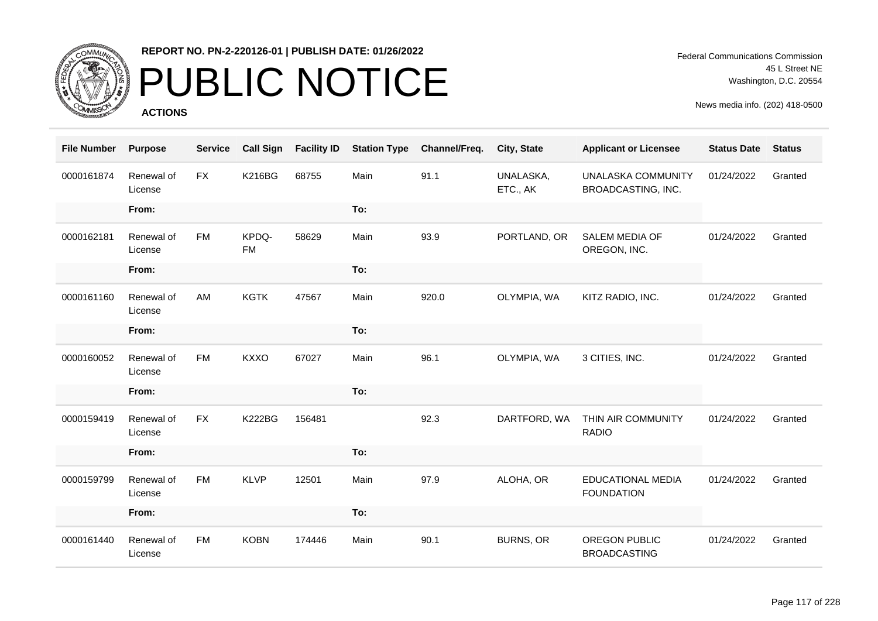

## PUBLIC NOTICE

**ACTIONS**

Federal Communications Commission 45 L Street NE Washington, D.C. 20554

| <b>File Number</b> | <b>Purpose</b>        | <b>Service</b> | <b>Call Sign</b>   | <b>Facility ID</b> | <b>Station Type</b> | Channel/Freq. | City, State           | <b>Applicant or Licensee</b>                  | <b>Status Date</b> | <b>Status</b> |
|--------------------|-----------------------|----------------|--------------------|--------------------|---------------------|---------------|-----------------------|-----------------------------------------------|--------------------|---------------|
| 0000161874         | Renewal of<br>License | <b>FX</b>      | <b>K216BG</b>      | 68755              | Main                | 91.1          | UNALASKA,<br>ETC., AK | UNALASKA COMMUNITY<br>BROADCASTING, INC.      | 01/24/2022         | Granted       |
|                    | From:                 |                |                    |                    | To:                 |               |                       |                                               |                    |               |
| 0000162181         | Renewal of<br>License | <b>FM</b>      | KPDQ-<br><b>FM</b> | 58629              | Main                | 93.9          | PORTLAND, OR          | SALEM MEDIA OF<br>OREGON, INC.                | 01/24/2022         | Granted       |
|                    | From:                 |                |                    |                    | To:                 |               |                       |                                               |                    |               |
| 0000161160         | Renewal of<br>License | AM             | <b>KGTK</b>        | 47567              | Main                | 920.0         | OLYMPIA, WA           | KITZ RADIO, INC.                              | 01/24/2022         | Granted       |
|                    | From:                 |                |                    |                    | To:                 |               |                       |                                               |                    |               |
| 0000160052         | Renewal of<br>License | <b>FM</b>      | <b>KXXO</b>        | 67027              | Main                | 96.1          | OLYMPIA, WA           | 3 CITIES, INC.                                | 01/24/2022         | Granted       |
|                    | From:                 |                |                    |                    | To:                 |               |                       |                                               |                    |               |
| 0000159419         | Renewal of<br>License | <b>FX</b>      | <b>K222BG</b>      | 156481             |                     | 92.3          | DARTFORD, WA          | THIN AIR COMMUNITY<br><b>RADIO</b>            | 01/24/2022         | Granted       |
|                    | From:                 |                |                    |                    | To:                 |               |                       |                                               |                    |               |
| 0000159799         | Renewal of<br>License | <b>FM</b>      | <b>KLVP</b>        | 12501              | Main                | 97.9          | ALOHA, OR             | <b>EDUCATIONAL MEDIA</b><br><b>FOUNDATION</b> | 01/24/2022         | Granted       |
|                    | From:                 |                |                    |                    | To:                 |               |                       |                                               |                    |               |
| 0000161440         | Renewal of<br>License | <b>FM</b>      | <b>KOBN</b>        | 174446             | Main                | 90.1          | <b>BURNS, OR</b>      | OREGON PUBLIC<br><b>BROADCASTING</b>          | 01/24/2022         | Granted       |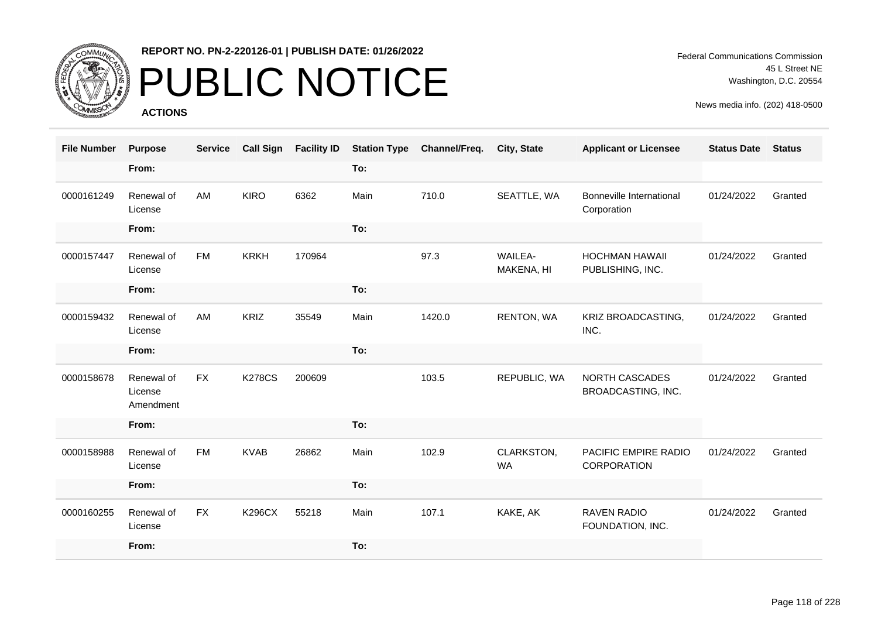

# PUBLIC NOTICE

**ACTIONS**

Federal Communications Commission 45 L Street NE Washington, D.C. 20554

| <b>File Number</b> | <b>Purpose</b>                     | <b>Service</b> | <b>Call Sign</b> | <b>Facility ID</b> | <b>Station Type</b> | Channel/Freq. | <b>City, State</b>           | <b>Applicant or Licensee</b>                   | <b>Status Date</b> | <b>Status</b> |
|--------------------|------------------------------------|----------------|------------------|--------------------|---------------------|---------------|------------------------------|------------------------------------------------|--------------------|---------------|
|                    | From:                              |                |                  |                    | To:                 |               |                              |                                                |                    |               |
| 0000161249         | Renewal of<br>License              | AM             | <b>KIRO</b>      | 6362               | Main                | 710.0         | SEATTLE, WA                  | <b>Bonneville International</b><br>Corporation | 01/24/2022         | Granted       |
|                    | From:                              |                |                  |                    | To:                 |               |                              |                                                |                    |               |
| 0000157447         | Renewal of<br>License              | <b>FM</b>      | <b>KRKH</b>      | 170964             |                     | 97.3          | <b>WAILEA-</b><br>MAKENA, HI | <b>HOCHMAN HAWAII</b><br>PUBLISHING, INC.      | 01/24/2022         | Granted       |
|                    | From:                              |                |                  |                    | To:                 |               |                              |                                                |                    |               |
| 0000159432         | Renewal of<br>License              | AM             | KRIZ             | 35549              | Main                | 1420.0        | RENTON, WA                   | KRIZ BROADCASTING,<br>INC.                     | 01/24/2022         | Granted       |
|                    | From:                              |                |                  |                    | To:                 |               |                              |                                                |                    |               |
| 0000158678         | Renewal of<br>License<br>Amendment | <b>FX</b>      | <b>K278CS</b>    | 200609             |                     | 103.5         | REPUBLIC, WA                 | NORTH CASCADES<br>BROADCASTING, INC.           | 01/24/2022         | Granted       |
|                    | From:                              |                |                  |                    | To:                 |               |                              |                                                |                    |               |
| 0000158988         | Renewal of<br>License              | <b>FM</b>      | <b>KVAB</b>      | 26862              | Main                | 102.9         | CLARKSTON,<br><b>WA</b>      | PACIFIC EMPIRE RADIO<br>CORPORATION            | 01/24/2022         | Granted       |
|                    | From:                              |                |                  |                    | To:                 |               |                              |                                                |                    |               |
| 0000160255         | Renewal of<br>License              | <b>FX</b>      | <b>K296CX</b>    | 55218              | Main                | 107.1         | KAKE, AK                     | <b>RAVEN RADIO</b><br>FOUNDATION, INC.         | 01/24/2022         | Granted       |
|                    | From:                              |                |                  |                    | To:                 |               |                              |                                                |                    |               |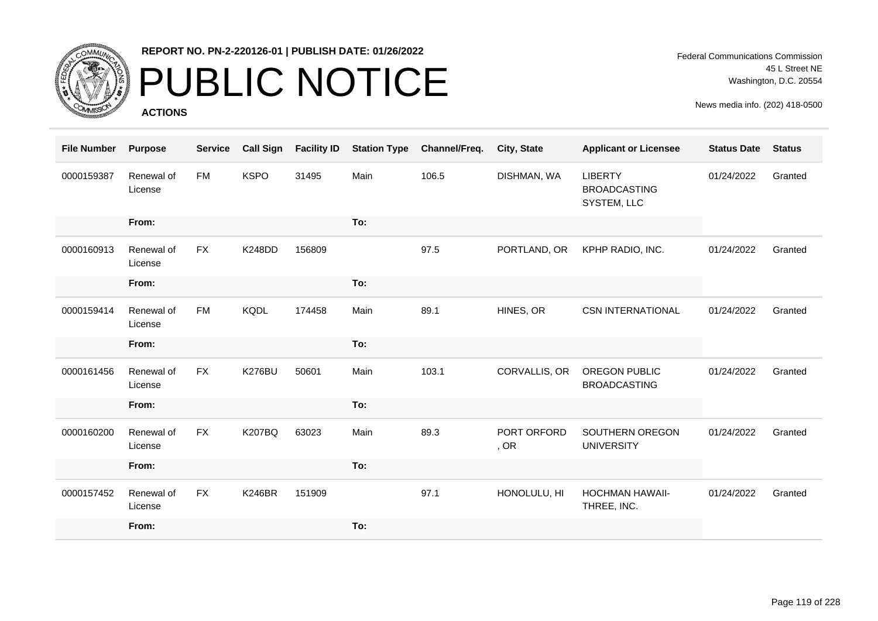

## PUBLIC NOTICE

**ACTIONS**

| <b>File Number</b> | <b>Purpose</b>        | <b>Service</b> | <b>Call Sign</b> | <b>Facility ID</b> | <b>Station Type</b> | Channel/Freq. | <b>City, State</b>  | <b>Applicant or Licensee</b>                         | <b>Status Date</b> | <b>Status</b> |
|--------------------|-----------------------|----------------|------------------|--------------------|---------------------|---------------|---------------------|------------------------------------------------------|--------------------|---------------|
| 0000159387         | Renewal of<br>License | <b>FM</b>      | <b>KSPO</b>      | 31495              | Main                | 106.5         | DISHMAN, WA         | <b>LIBERTY</b><br><b>BROADCASTING</b><br>SYSTEM, LLC | 01/24/2022         | Granted       |
|                    | From:                 |                |                  |                    | To:                 |               |                     |                                                      |                    |               |
| 0000160913         | Renewal of<br>License | <b>FX</b>      | K248DD           | 156809             |                     | 97.5          | PORTLAND, OR        | KPHP RADIO, INC.                                     | 01/24/2022         | Granted       |
|                    | From:                 |                |                  |                    | To:                 |               |                     |                                                      |                    |               |
| 0000159414         | Renewal of<br>License | <b>FM</b>      | <b>KQDL</b>      | 174458             | Main                | 89.1          | HINES, OR           | <b>CSN INTERNATIONAL</b>                             | 01/24/2022         | Granted       |
|                    | From:                 |                |                  |                    | To:                 |               |                     |                                                      |                    |               |
| 0000161456         | Renewal of<br>License | <b>FX</b>      | K276BU           | 50601              | Main                | 103.1         | CORVALLIS, OR       | <b>OREGON PUBLIC</b><br><b>BROADCASTING</b>          | 01/24/2022         | Granted       |
|                    | From:                 |                |                  |                    | To:                 |               |                     |                                                      |                    |               |
| 0000160200         | Renewal of<br>License | <b>FX</b>      | <b>K207BQ</b>    | 63023              | Main                | 89.3          | PORT ORFORD<br>, OR | SOUTHERN OREGON<br><b>UNIVERSITY</b>                 | 01/24/2022         | Granted       |
|                    | From:                 |                |                  |                    | To:                 |               |                     |                                                      |                    |               |
| 0000157452         | Renewal of<br>License | <b>FX</b>      | <b>K246BR</b>    | 151909             |                     | 97.1          | HONOLULU, HI        | <b>HOCHMAN HAWAII-</b><br>THREE, INC.                | 01/24/2022         | Granted       |
|                    | From:                 |                |                  |                    | To:                 |               |                     |                                                      |                    |               |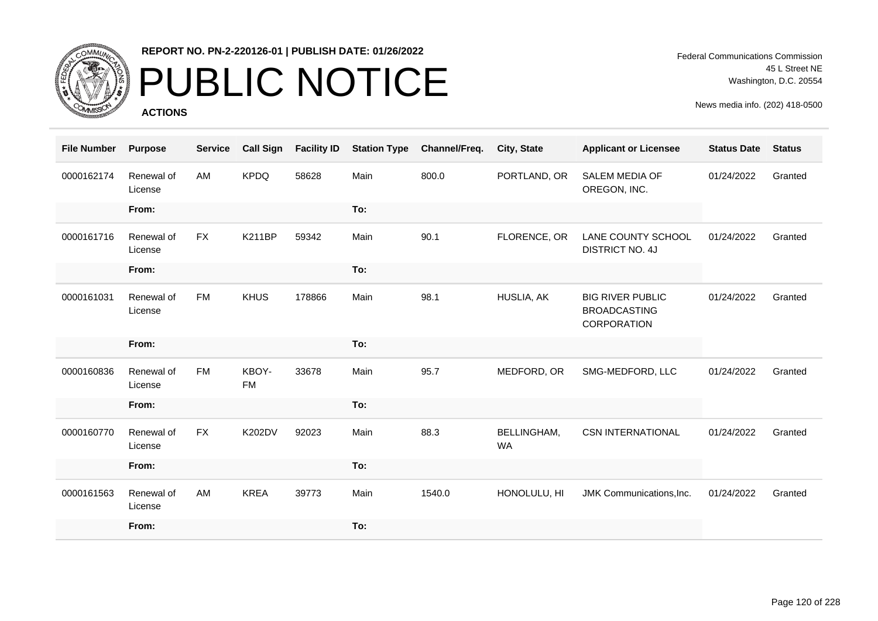

## PUBLIC NOTICE

**ACTIONS**

| <b>File Number</b> | <b>Purpose</b>        | <b>Service</b> | <b>Call Sign</b>   | <b>Facility ID</b> | <b>Station Type</b> | Channel/Freq. | <b>City, State</b>       | <b>Applicant or Licensee</b>                                  | <b>Status Date</b> | <b>Status</b> |
|--------------------|-----------------------|----------------|--------------------|--------------------|---------------------|---------------|--------------------------|---------------------------------------------------------------|--------------------|---------------|
| 0000162174         | Renewal of<br>License | AM             | <b>KPDQ</b>        | 58628              | Main                | 800.0         | PORTLAND, OR             | SALEM MEDIA OF<br>OREGON, INC.                                | 01/24/2022         | Granted       |
|                    | From:                 |                |                    |                    | To:                 |               |                          |                                                               |                    |               |
| 0000161716         | Renewal of<br>License | <b>FX</b>      | <b>K211BP</b>      | 59342              | Main                | 90.1          | FLORENCE, OR             | LANE COUNTY SCHOOL<br><b>DISTRICT NO. 4J</b>                  | 01/24/2022         | Granted       |
|                    | From:                 |                |                    |                    | To:                 |               |                          |                                                               |                    |               |
| 0000161031         | Renewal of<br>License | <b>FM</b>      | <b>KHUS</b>        | 178866             | Main                | 98.1          | HUSLIA, AK               | <b>BIG RIVER PUBLIC</b><br><b>BROADCASTING</b><br>CORPORATION | 01/24/2022         | Granted       |
|                    |                       |                |                    |                    |                     |               |                          |                                                               |                    |               |
|                    | From:                 |                |                    |                    | To:                 |               |                          |                                                               |                    |               |
| 0000160836         | Renewal of<br>License | <b>FM</b>      | KBOY-<br><b>FM</b> | 33678              | Main                | 95.7          | MEDFORD, OR              | SMG-MEDFORD, LLC                                              | 01/24/2022         | Granted       |
|                    | From:                 |                |                    |                    | To:                 |               |                          |                                                               |                    |               |
| 0000160770         | Renewal of<br>License | <b>FX</b>      | <b>K202DV</b>      | 92023              | Main                | 88.3          | BELLINGHAM,<br><b>WA</b> | <b>CSN INTERNATIONAL</b>                                      | 01/24/2022         | Granted       |
|                    | From:                 |                |                    |                    | To:                 |               |                          |                                                               |                    |               |
| 0000161563         | Renewal of<br>License | AM             | <b>KREA</b>        | 39773              | Main                | 1540.0        | HONOLULU, HI             | JMK Communications, Inc.                                      | 01/24/2022         | Granted       |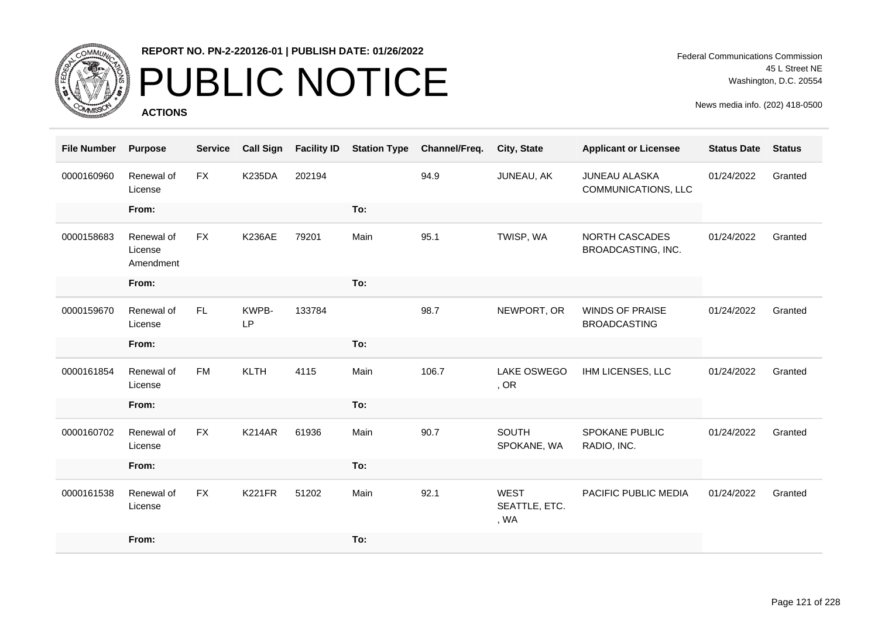

## PUBLIC NOTICE

**ACTIONS**

Federal Communications Commission 45 L Street NE Washington, D.C. 20554

| <b>File Number</b> | <b>Purpose</b>                     | <b>Service</b> | <b>Call Sign</b> | <b>Facility ID</b> | <b>Station Type</b> | Channel/Freq. | <b>City, State</b>                   | <b>Applicant or Licensee</b>                  | <b>Status Date</b> | <b>Status</b> |
|--------------------|------------------------------------|----------------|------------------|--------------------|---------------------|---------------|--------------------------------------|-----------------------------------------------|--------------------|---------------|
| 0000160960         | Renewal of<br>License              | <b>FX</b>      | <b>K235DA</b>    | 202194             |                     | 94.9          | JUNEAU, AK                           | <b>JUNEAU ALASKA</b><br>COMMUNICATIONS, LLC   | 01/24/2022         | Granted       |
|                    | From:                              |                |                  |                    | To:                 |               |                                      |                                               |                    |               |
| 0000158683         | Renewal of<br>License<br>Amendment | <b>FX</b>      | <b>K236AE</b>    | 79201              | Main                | 95.1          | TWISP, WA                            | NORTH CASCADES<br>BROADCASTING, INC.          | 01/24/2022         | Granted       |
|                    | From:                              |                |                  |                    | To:                 |               |                                      |                                               |                    |               |
| 0000159670         | Renewal of<br>License              | FL.            | KWPB-<br>LP      | 133784             |                     | 98.7          | NEWPORT, OR                          | <b>WINDS OF PRAISE</b><br><b>BROADCASTING</b> | 01/24/2022         | Granted       |
|                    | From:                              |                |                  |                    | To:                 |               |                                      |                                               |                    |               |
| 0000161854         | Renewal of<br>License              | <b>FM</b>      | <b>KLTH</b>      | 4115               | Main                | 106.7         | LAKE OSWEGO<br>, OR                  | IHM LICENSES, LLC                             | 01/24/2022         | Granted       |
|                    | From:                              |                |                  |                    | To:                 |               |                                      |                                               |                    |               |
| 0000160702         | Renewal of<br>License              | <b>FX</b>      | <b>K214AR</b>    | 61936              | Main                | 90.7          | <b>SOUTH</b><br>SPOKANE, WA          | SPOKANE PUBLIC<br>RADIO, INC.                 | 01/24/2022         | Granted       |
|                    | From:                              |                |                  |                    | To:                 |               |                                      |                                               |                    |               |
| 0000161538         | Renewal of<br>License              | <b>FX</b>      | <b>K221FR</b>    | 51202              | Main                | 92.1          | <b>WEST</b><br>SEATTLE, ETC.<br>, WA | PACIFIC PUBLIC MEDIA                          | 01/24/2022         | Granted       |
|                    | From:                              |                |                  |                    | To:                 |               |                                      |                                               |                    |               |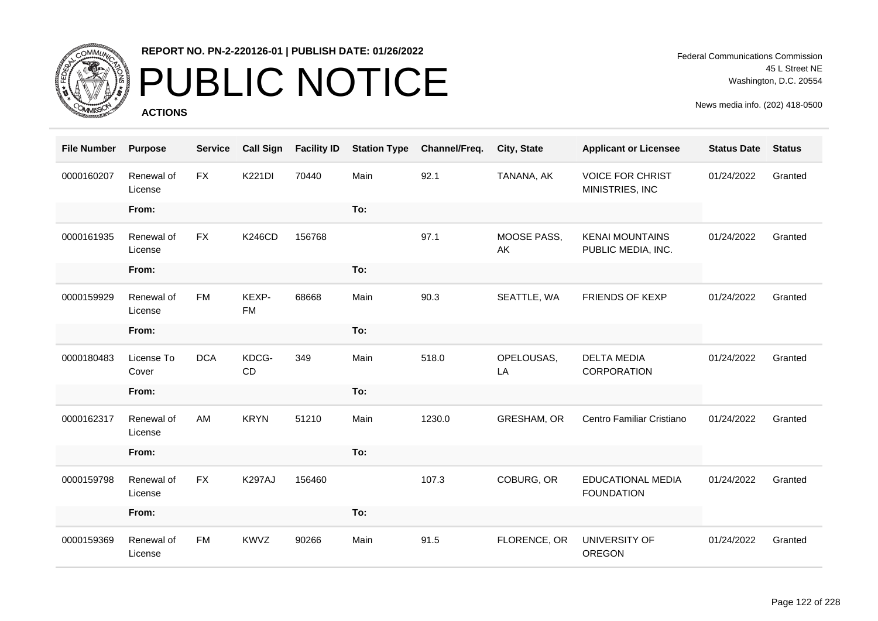

# PUBLIC NOTICE

**ACTIONS**

Federal Communications Commission 45 L Street NE Washington, D.C. 20554

| <b>File Number</b> | <b>Purpose</b>        | <b>Service</b> | <b>Call Sign</b>   | <b>Facility ID</b> | <b>Station Type</b> | Channel/Freq. | City, State       | <b>Applicant or Licensee</b>                 | <b>Status Date</b> | <b>Status</b> |
|--------------------|-----------------------|----------------|--------------------|--------------------|---------------------|---------------|-------------------|----------------------------------------------|--------------------|---------------|
| 0000160207         | Renewal of<br>License | <b>FX</b>      | <b>K221DI</b>      | 70440              | Main                | 92.1          | TANANA, AK        | <b>VOICE FOR CHRIST</b><br>MINISTRIES, INC   | 01/24/2022         | Granted       |
|                    | From:                 |                |                    |                    | To:                 |               |                   |                                              |                    |               |
| 0000161935         | Renewal of<br>License | <b>FX</b>      | <b>K246CD</b>      | 156768             |                     | 97.1          | MOOSE PASS,<br>AK | <b>KENAI MOUNTAINS</b><br>PUBLIC MEDIA, INC. | 01/24/2022         | Granted       |
|                    | From:                 |                |                    |                    | To:                 |               |                   |                                              |                    |               |
| 0000159929         | Renewal of<br>License | <b>FM</b>      | KEXP-<br><b>FM</b> | 68668              | Main                | 90.3          | SEATTLE, WA       | FRIENDS OF KEXP                              | 01/24/2022         | Granted       |
|                    | From:                 |                |                    |                    | To:                 |               |                   |                                              |                    |               |
| 0000180483         | License To<br>Cover   | <b>DCA</b>     | KDCG-<br>CD        | 349                | Main                | 518.0         | OPELOUSAS,<br>LA  | <b>DELTA MEDIA</b><br><b>CORPORATION</b>     | 01/24/2022         | Granted       |
|                    | From:                 |                |                    |                    | To:                 |               |                   |                                              |                    |               |
| 0000162317         | Renewal of<br>License | AM             | <b>KRYN</b>        | 51210              | Main                | 1230.0        | GRESHAM, OR       | Centro Familiar Cristiano                    | 01/24/2022         | Granted       |
|                    | From:                 |                |                    |                    | To:                 |               |                   |                                              |                    |               |
| 0000159798         | Renewal of<br>License | <b>FX</b>      | <b>K297AJ</b>      | 156460             |                     | 107.3         | COBURG, OR        | EDUCATIONAL MEDIA<br><b>FOUNDATION</b>       | 01/24/2022         | Granted       |
|                    | From:                 |                |                    |                    | To:                 |               |                   |                                              |                    |               |
| 0000159369         | Renewal of<br>License | <b>FM</b>      | <b>KWVZ</b>        | 90266              | Main                | 91.5          | FLORENCE, OR      | UNIVERSITY OF<br><b>OREGON</b>               | 01/24/2022         | Granted       |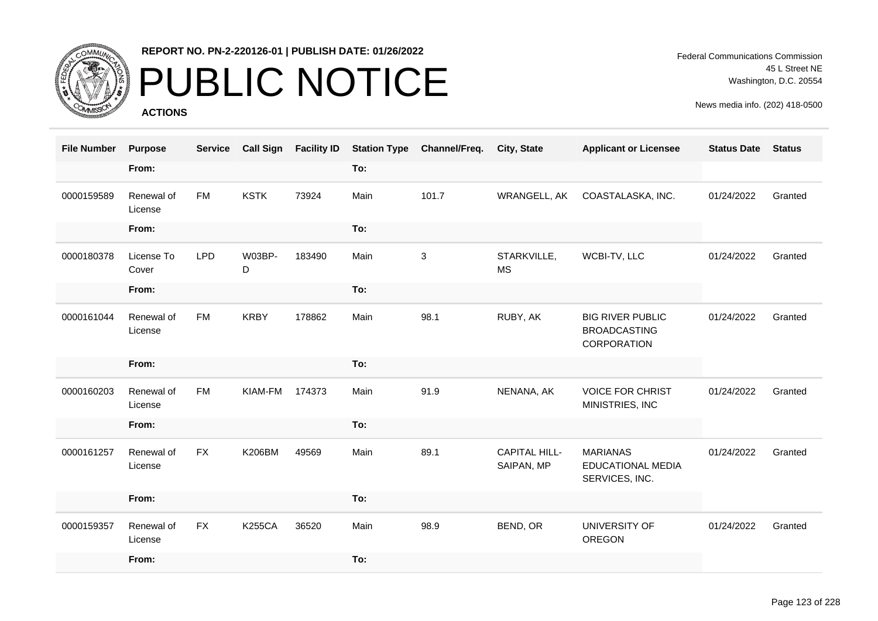

# PUBLIC NOTICE

**ACTIONS**

Federal Communications Commission 45 L Street NE Washington, D.C. 20554

| <b>File Number</b> | <b>Purpose</b>        | <b>Service</b> | <b>Call Sign</b> | <b>Facility ID</b> | <b>Station Type</b> | Channel/Freq. | City, State                        | <b>Applicant or Licensee</b>                                  | <b>Status Date</b> | <b>Status</b> |
|--------------------|-----------------------|----------------|------------------|--------------------|---------------------|---------------|------------------------------------|---------------------------------------------------------------|--------------------|---------------|
|                    | From:                 |                |                  |                    | To:                 |               |                                    |                                                               |                    |               |
| 0000159589         | Renewal of<br>License | <b>FM</b>      | <b>KSTK</b>      | 73924              | Main                | 101.7         | WRANGELL, AK                       | COASTALASKA, INC.                                             | 01/24/2022         | Granted       |
|                    | From:                 |                |                  |                    | To:                 |               |                                    |                                                               |                    |               |
| 0000180378         | License To<br>Cover   | <b>LPD</b>     | W03BP-<br>D      | 183490             | Main                | 3             | STARKVILLE,<br><b>MS</b>           | WCBI-TV, LLC                                                  | 01/24/2022         | Granted       |
|                    | From:                 |                |                  |                    | To:                 |               |                                    |                                                               |                    |               |
| 0000161044         | Renewal of<br>License | <b>FM</b>      | <b>KRBY</b>      | 178862             | Main                | 98.1          | RUBY, AK                           | <b>BIG RIVER PUBLIC</b><br><b>BROADCASTING</b><br>CORPORATION | 01/24/2022         | Granted       |
|                    | From:                 |                |                  |                    | To:                 |               |                                    |                                                               |                    |               |
| 0000160203         | Renewal of<br>License | <b>FM</b>      | KIAM-FM          | 174373             | Main                | 91.9          | NENANA, AK                         | <b>VOICE FOR CHRIST</b><br>MINISTRIES, INC                    | 01/24/2022         | Granted       |
|                    | From:                 |                |                  |                    | To:                 |               |                                    |                                                               |                    |               |
| 0000161257         | Renewal of<br>License | <b>FX</b>      | <b>K206BM</b>    | 49569              | Main                | 89.1          | <b>CAPITAL HILL-</b><br>SAIPAN, MP | <b>MARIANAS</b><br><b>EDUCATIONAL MEDIA</b><br>SERVICES, INC. | 01/24/2022         | Granted       |
|                    | From:                 |                |                  |                    | To:                 |               |                                    |                                                               |                    |               |
| 0000159357         | Renewal of<br>License | <b>FX</b>      | <b>K255CA</b>    | 36520              | Main                | 98.9          | BEND, OR                           | UNIVERSITY OF<br><b>OREGON</b>                                | 01/24/2022         | Granted       |
|                    | From:                 |                |                  |                    | To:                 |               |                                    |                                                               |                    |               |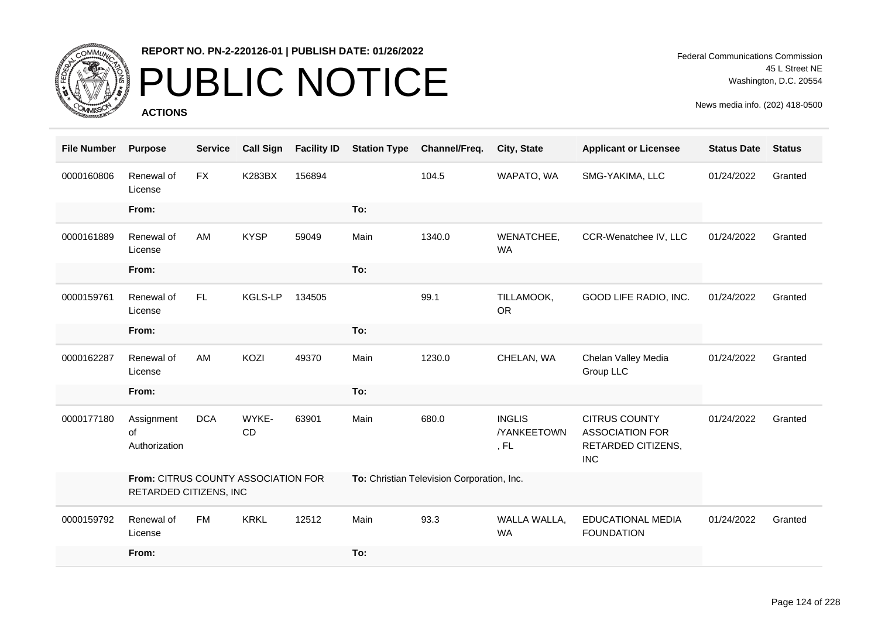

# PUBLIC NOTICE

**ACTIONS**

| <b>File Number</b> | <b>Purpose</b>                                                | <b>Service</b> | <b>Call Sign</b> | <b>Facility ID</b> | <b>Station Type</b> | Channel/Freq.                              | City, State                                 | <b>Applicant or Licensee</b>                                                       | <b>Status Date</b> | <b>Status</b> |
|--------------------|---------------------------------------------------------------|----------------|------------------|--------------------|---------------------|--------------------------------------------|---------------------------------------------|------------------------------------------------------------------------------------|--------------------|---------------|
| 0000160806         | Renewal of<br>License                                         | <b>FX</b>      | <b>K283BX</b>    | 156894             |                     | 104.5                                      | WAPATO, WA                                  | SMG-YAKIMA, LLC                                                                    | 01/24/2022         | Granted       |
|                    | From:                                                         |                |                  |                    | To:                 |                                            |                                             |                                                                                    |                    |               |
| 0000161889         | Renewal of<br>License                                         | AM             | <b>KYSP</b>      | 59049              | Main                | 1340.0                                     | WENATCHEE,<br><b>WA</b>                     | CCR-Wenatchee IV, LLC                                                              | 01/24/2022         | Granted       |
|                    | From:                                                         |                |                  |                    | To:                 |                                            |                                             |                                                                                    |                    |               |
| 0000159761         | Renewal of<br>License                                         | <b>FL</b>      | KGLS-LP          | 134505             |                     | 99.1                                       | TILLAMOOK,<br><b>OR</b>                     | GOOD LIFE RADIO, INC.                                                              | 01/24/2022         | Granted       |
|                    | From:                                                         |                |                  |                    | To:                 |                                            |                                             |                                                                                    |                    |               |
| 0000162287         | Renewal of<br>License                                         | AM             | KOZI             | 49370              | Main                | 1230.0                                     | CHELAN, WA                                  | Chelan Valley Media<br>Group LLC                                                   | 01/24/2022         | Granted       |
|                    | From:                                                         |                |                  |                    | To:                 |                                            |                                             |                                                                                    |                    |               |
| 0000177180         | Assignment<br>of<br>Authorization                             | <b>DCA</b>     | WYKE-<br>CD      | 63901              | Main                | 680.0                                      | <b>INGLIS</b><br><b>/YANKEETOWN</b><br>, FL | <b>CITRUS COUNTY</b><br><b>ASSOCIATION FOR</b><br>RETARDED CITIZENS,<br><b>INC</b> | 01/24/2022         | Granted       |
|                    | From: CITRUS COUNTY ASSOCIATION FOR<br>RETARDED CITIZENS, INC |                |                  |                    |                     | To: Christian Television Corporation, Inc. |                                             |                                                                                    |                    |               |
| 0000159792         | Renewal of<br>License                                         | <b>FM</b>      | <b>KRKL</b>      | 12512              | Main                | 93.3                                       | WALLA WALLA,<br><b>WA</b>                   | <b>EDUCATIONAL MEDIA</b><br><b>FOUNDATION</b>                                      | 01/24/2022         | Granted       |
|                    | From:                                                         |                |                  |                    | To:                 |                                            |                                             |                                                                                    |                    |               |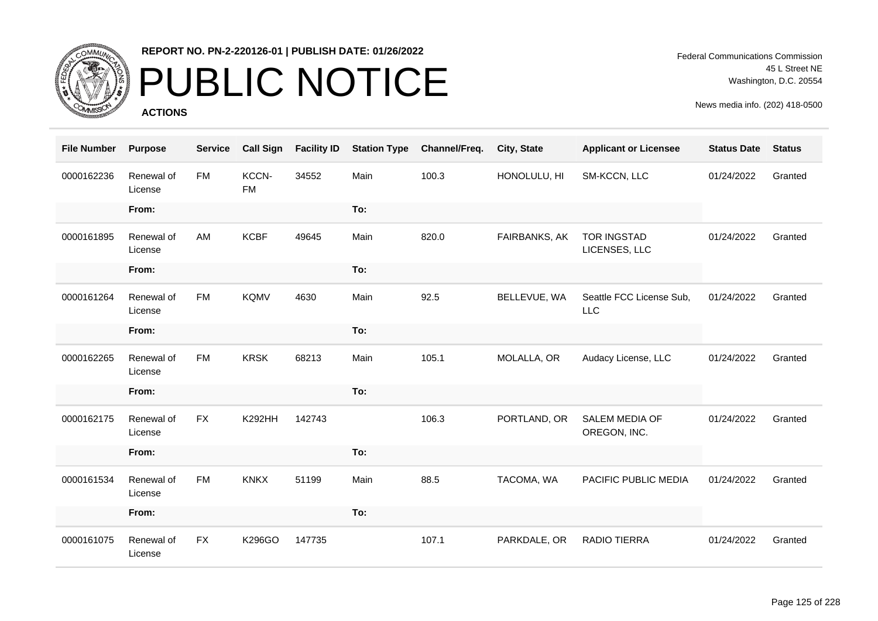

## PUBLIC NOTICE

**ACTIONS**

| <b>File Number</b> | <b>Purpose</b>        | <b>Service</b> | <b>Call Sign</b>   | <b>Facility ID</b> | <b>Station Type</b> | Channel/Freq. | City, State   | <b>Applicant or Licensee</b>           | <b>Status Date</b> | <b>Status</b> |
|--------------------|-----------------------|----------------|--------------------|--------------------|---------------------|---------------|---------------|----------------------------------------|--------------------|---------------|
| 0000162236         | Renewal of<br>License | <b>FM</b>      | KCCN-<br><b>FM</b> | 34552              | Main                | 100.3         | HONOLULU, HI  | SM-KCCN, LLC                           | 01/24/2022         | Granted       |
|                    | From:                 |                |                    |                    | To:                 |               |               |                                        |                    |               |
| 0000161895         | Renewal of<br>License | AM             | <b>KCBF</b>        | 49645              | Main                | 820.0         | FAIRBANKS, AK | <b>TOR INGSTAD</b><br>LICENSES, LLC    | 01/24/2022         | Granted       |
|                    | From:                 |                |                    |                    | To:                 |               |               |                                        |                    |               |
| 0000161264         | Renewal of<br>License | <b>FM</b>      | <b>KQMV</b>        | 4630               | Main                | 92.5          | BELLEVUE, WA  | Seattle FCC License Sub,<br><b>LLC</b> | 01/24/2022         | Granted       |
|                    | From:                 |                |                    |                    | To:                 |               |               |                                        |                    |               |
| 0000162265         | Renewal of<br>License | <b>FM</b>      | <b>KRSK</b>        | 68213              | Main                | 105.1         | MOLALLA, OR   | Audacy License, LLC                    | 01/24/2022         | Granted       |
|                    | From:                 |                |                    |                    | To:                 |               |               |                                        |                    |               |
| 0000162175         | Renewal of<br>License | <b>FX</b>      | <b>K292HH</b>      | 142743             |                     | 106.3         | PORTLAND, OR  | <b>SALEM MEDIA OF</b><br>OREGON, INC.  | 01/24/2022         | Granted       |
|                    | From:                 |                |                    |                    | To:                 |               |               |                                        |                    |               |
| 0000161534         | Renewal of<br>License | <b>FM</b>      | <b>KNKX</b>        | 51199              | Main                | 88.5          | TACOMA, WA    | PACIFIC PUBLIC MEDIA                   | 01/24/2022         | Granted       |
|                    | From:                 |                |                    |                    | To:                 |               |               |                                        |                    |               |
| 0000161075         | Renewal of<br>License | <b>FX</b>      | K296GO             | 147735             |                     | 107.1         | PARKDALE, OR  | <b>RADIO TIERRA</b>                    | 01/24/2022         | Granted       |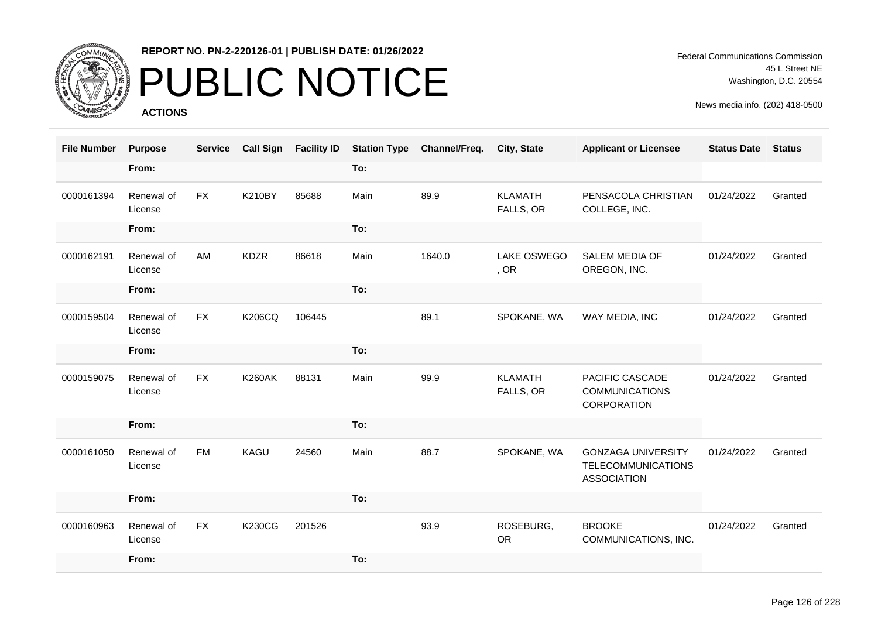

# PUBLIC NOTICE

**ACTIONS**

| <b>File Number</b> | <b>Purpose</b>        | <b>Service</b> | <b>Call Sign</b> | <b>Facility ID</b> | <b>Station Type</b> | Channel/Freq. | <b>City, State</b>          | <b>Applicant or Licensee</b>                                                 | <b>Status Date</b> | <b>Status</b> |
|--------------------|-----------------------|----------------|------------------|--------------------|---------------------|---------------|-----------------------------|------------------------------------------------------------------------------|--------------------|---------------|
|                    | From:                 |                |                  |                    | To:                 |               |                             |                                                                              |                    |               |
| 0000161394         | Renewal of<br>License | <b>FX</b>      | <b>K210BY</b>    | 85688              | Main                | 89.9          | <b>KLAMATH</b><br>FALLS, OR | PENSACOLA CHRISTIAN<br>COLLEGE, INC.                                         | 01/24/2022         | Granted       |
|                    | From:                 |                |                  |                    | To:                 |               |                             |                                                                              |                    |               |
| 0000162191         | Renewal of<br>License | AM             | <b>KDZR</b>      | 86618              | Main                | 1640.0        | LAKE OSWEGO<br>, OR         | <b>SALEM MEDIA OF</b><br>OREGON, INC.                                        | 01/24/2022         | Granted       |
|                    | From:                 |                |                  |                    | To:                 |               |                             |                                                                              |                    |               |
| 0000159504         | Renewal of<br>License | <b>FX</b>      | <b>K206CQ</b>    | 106445             |                     | 89.1          | SPOKANE, WA                 | WAY MEDIA, INC                                                               | 01/24/2022         | Granted       |
|                    | From:                 |                |                  |                    | To:                 |               |                             |                                                                              |                    |               |
| 0000159075         | Renewal of<br>License | <b>FX</b>      | <b>K260AK</b>    | 88131              | Main                | 99.9          | <b>KLAMATH</b><br>FALLS, OR | PACIFIC CASCADE<br><b>COMMUNICATIONS</b><br>CORPORATION                      | 01/24/2022         | Granted       |
|                    | From:                 |                |                  |                    | To:                 |               |                             |                                                                              |                    |               |
| 0000161050         | Renewal of<br>License | <b>FM</b>      | KAGU             | 24560              | Main                | 88.7          | SPOKANE, WA                 | <b>GONZAGA UNIVERSITY</b><br><b>TELECOMMUNICATIONS</b><br><b>ASSOCIATION</b> | 01/24/2022         | Granted       |
|                    | From:                 |                |                  |                    | To:                 |               |                             |                                                                              |                    |               |
| 0000160963         | Renewal of<br>License | <b>FX</b>      | <b>K230CG</b>    | 201526             |                     | 93.9          | ROSEBURG,<br><b>OR</b>      | <b>BROOKE</b><br>COMMUNICATIONS, INC.                                        | 01/24/2022         | Granted       |
|                    | From:                 |                |                  |                    | To:                 |               |                             |                                                                              |                    |               |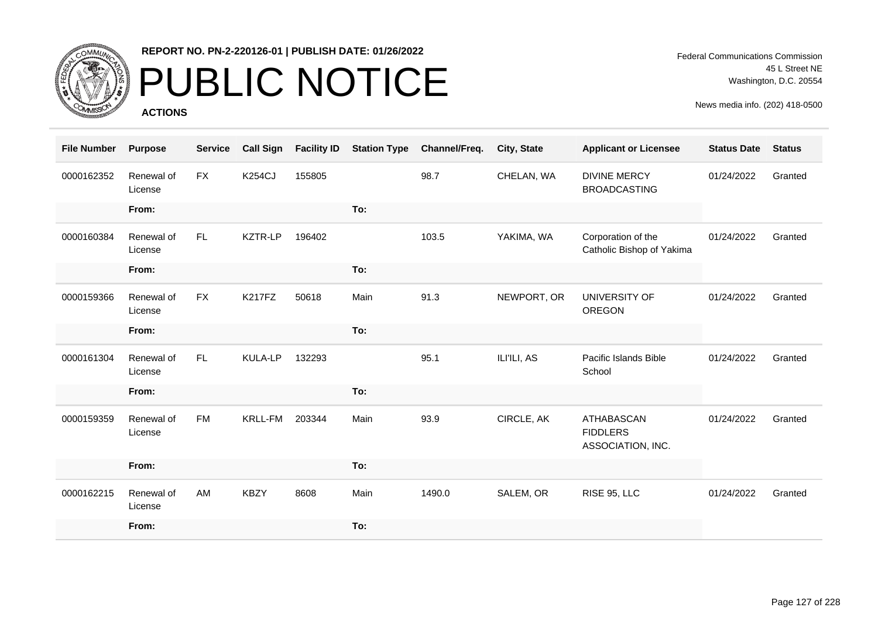

# PUBLIC NOTICE

**ACTIONS**

Federal Communications Commission 45 L Street NE Washington, D.C. 20554

| <b>File Number</b> | <b>Purpose</b>        | <b>Service</b> | <b>Call Sign</b> | <b>Facility ID</b> | <b>Station Type</b> | Channel/Freq. | City, State | <b>Applicant or Licensee</b>                              | <b>Status Date</b> | <b>Status</b> |
|--------------------|-----------------------|----------------|------------------|--------------------|---------------------|---------------|-------------|-----------------------------------------------------------|--------------------|---------------|
| 0000162352         | Renewal of<br>License | <b>FX</b>      | <b>K254CJ</b>    | 155805             |                     | 98.7          | CHELAN, WA  | <b>DIVINE MERCY</b><br><b>BROADCASTING</b>                | 01/24/2022         | Granted       |
|                    | From:                 |                |                  |                    | To:                 |               |             |                                                           |                    |               |
| 0000160384         | Renewal of<br>License | FL.            | KZTR-LP          | 196402             |                     | 103.5         | YAKIMA, WA  | Corporation of the<br>Catholic Bishop of Yakima           | 01/24/2022         | Granted       |
|                    | From:                 |                |                  |                    | To:                 |               |             |                                                           |                    |               |
| 0000159366         | Renewal of<br>License | <b>FX</b>      | <b>K217FZ</b>    | 50618              | Main                | 91.3          | NEWPORT, OR | UNIVERSITY OF<br><b>OREGON</b>                            | 01/24/2022         | Granted       |
|                    | From:                 |                |                  |                    | To:                 |               |             |                                                           |                    |               |
| 0000161304         | Renewal of<br>License | FL.            | <b>KULA-LP</b>   | 132293             |                     | 95.1          | ILI'ILI, AS | Pacific Islands Bible<br>School                           | 01/24/2022         | Granted       |
|                    | From:                 |                |                  |                    | To:                 |               |             |                                                           |                    |               |
| 0000159359         | Renewal of<br>License | <b>FM</b>      | <b>KRLL-FM</b>   | 203344             | Main                | 93.9          | CIRCLE, AK  | <b>ATHABASCAN</b><br><b>FIDDLERS</b><br>ASSOCIATION, INC. | 01/24/2022         | Granted       |
|                    | From:                 |                |                  |                    | To:                 |               |             |                                                           |                    |               |
| 0000162215         | Renewal of<br>License | AM             | <b>KBZY</b>      | 8608               | Main                | 1490.0        | SALEM, OR   | RISE 95, LLC                                              | 01/24/2022         | Granted       |
|                    | From:                 |                |                  |                    | To:                 |               |             |                                                           |                    |               |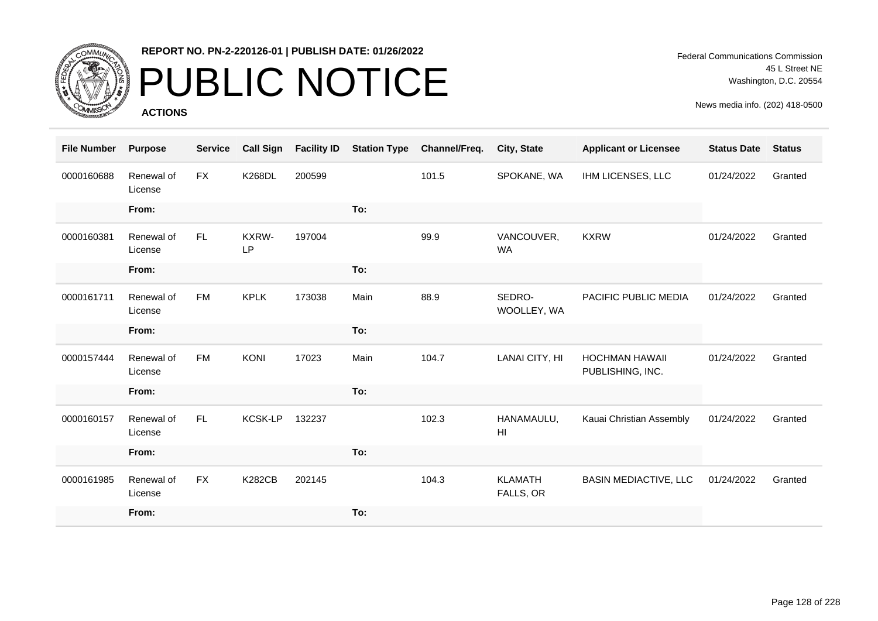

# PUBLIC NOTICE

**ACTIONS**

| <b>File Number</b> | <b>Purpose</b>        | <b>Service</b> | <b>Call Sign</b> | <b>Facility ID</b> | <b>Station Type</b> | Channel/Freq. | City, State                   | <b>Applicant or Licensee</b>              | <b>Status Date</b> | <b>Status</b> |
|--------------------|-----------------------|----------------|------------------|--------------------|---------------------|---------------|-------------------------------|-------------------------------------------|--------------------|---------------|
| 0000160688         | Renewal of<br>License | <b>FX</b>      | <b>K268DL</b>    | 200599             |                     | 101.5         | SPOKANE, WA                   | IHM LICENSES, LLC                         | 01/24/2022         | Granted       |
|                    | From:                 |                |                  |                    | To:                 |               |                               |                                           |                    |               |
| 0000160381         | Renewal of<br>License | FL.            | KXRW-<br>LP      | 197004             |                     | 99.9          | VANCOUVER,<br><b>WA</b>       | <b>KXRW</b>                               | 01/24/2022         | Granted       |
|                    | From:                 |                |                  |                    | To:                 |               |                               |                                           |                    |               |
| 0000161711         | Renewal of<br>License | <b>FM</b>      | <b>KPLK</b>      | 173038             | Main                | 88.9          | SEDRO-<br>WOOLLEY, WA         | PACIFIC PUBLIC MEDIA                      | 01/24/2022         | Granted       |
|                    | From:                 |                |                  |                    | To:                 |               |                               |                                           |                    |               |
| 0000157444         | Renewal of<br>License | <b>FM</b>      | <b>KONI</b>      | 17023              | Main                | 104.7         | LANAI CITY, HI                | <b>HOCHMAN HAWAII</b><br>PUBLISHING, INC. | 01/24/2022         | Granted       |
|                    | From:                 |                |                  |                    | To:                 |               |                               |                                           |                    |               |
| 0000160157         | Renewal of<br>License | FL.            | <b>KCSK-LP</b>   | 132237             |                     | 102.3         | HANAMAULU,<br>H <sub>II</sub> | Kauai Christian Assembly                  | 01/24/2022         | Granted       |
|                    | From:                 |                |                  |                    | To:                 |               |                               |                                           |                    |               |
| 0000161985         | Renewal of<br>License | <b>FX</b>      | <b>K282CB</b>    | 202145             |                     | 104.3         | <b>KLAMATH</b><br>FALLS, OR   | <b>BASIN MEDIACTIVE, LLC</b>              | 01/24/2022         | Granted       |
|                    | From:                 |                |                  |                    | To:                 |               |                               |                                           |                    |               |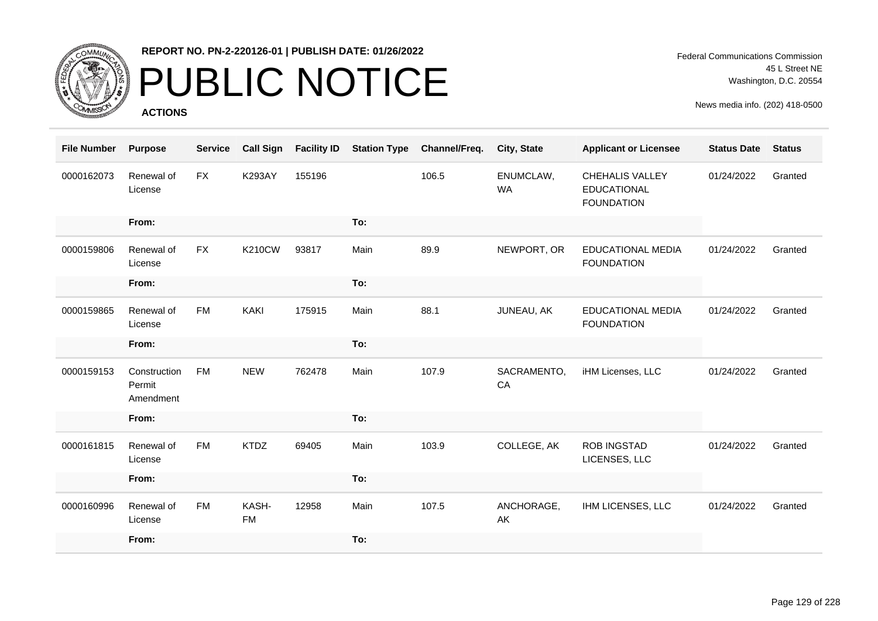

# PUBLIC NOTICE

**ACTIONS**

Federal Communications Commission 45 L Street NE Washington, D.C. 20554

| <b>File Number</b> | <b>Purpose</b>                      | <b>Service</b> | <b>Call Sign</b>   | <b>Facility ID</b> | <b>Station Type</b> | Channel/Freq. | City, State            | <b>Applicant or Licensee</b>                                      | <b>Status Date</b> | <b>Status</b> |
|--------------------|-------------------------------------|----------------|--------------------|--------------------|---------------------|---------------|------------------------|-------------------------------------------------------------------|--------------------|---------------|
| 0000162073         | Renewal of<br>License               | <b>FX</b>      | <b>K293AY</b>      | 155196             |                     | 106.5         | ENUMCLAW,<br><b>WA</b> | <b>CHEHALIS VALLEY</b><br><b>EDUCATIONAL</b><br><b>FOUNDATION</b> | 01/24/2022         | Granted       |
|                    | From:                               |                |                    |                    | To:                 |               |                        |                                                                   |                    |               |
| 0000159806         | Renewal of<br>License               | <b>FX</b>      | <b>K210CW</b>      | 93817              | Main                | 89.9          | NEWPORT, OR            | <b>EDUCATIONAL MEDIA</b><br><b>FOUNDATION</b>                     | 01/24/2022         | Granted       |
|                    | From:                               |                |                    |                    | To:                 |               |                        |                                                                   |                    |               |
| 0000159865         | Renewal of<br>License               | <b>FM</b>      | <b>KAKI</b>        | 175915             | Main                | 88.1          | JUNEAU, AK             | <b>EDUCATIONAL MEDIA</b><br><b>FOUNDATION</b>                     | 01/24/2022         | Granted       |
|                    | From:                               |                |                    |                    | To:                 |               |                        |                                                                   |                    |               |
| 0000159153         | Construction<br>Permit<br>Amendment | <b>FM</b>      | <b>NEW</b>         | 762478             | Main                | 107.9         | SACRAMENTO,<br>CA      | iHM Licenses, LLC                                                 | 01/24/2022         | Granted       |
|                    | From:                               |                |                    |                    | To:                 |               |                        |                                                                   |                    |               |
| 0000161815         | Renewal of<br>License               | <b>FM</b>      | <b>KTDZ</b>        | 69405              | Main                | 103.9         | COLLEGE, AK            | <b>ROB INGSTAD</b><br>LICENSES, LLC                               | 01/24/2022         | Granted       |
|                    | From:                               |                |                    |                    | To:                 |               |                        |                                                                   |                    |               |
| 0000160996         | Renewal of<br>License               | <b>FM</b>      | KASH-<br><b>FM</b> | 12958              | Main                | 107.5         | ANCHORAGE,<br>AK       | IHM LICENSES, LLC                                                 | 01/24/2022         | Granted       |
|                    | From:                               |                |                    |                    | To:                 |               |                        |                                                                   |                    |               |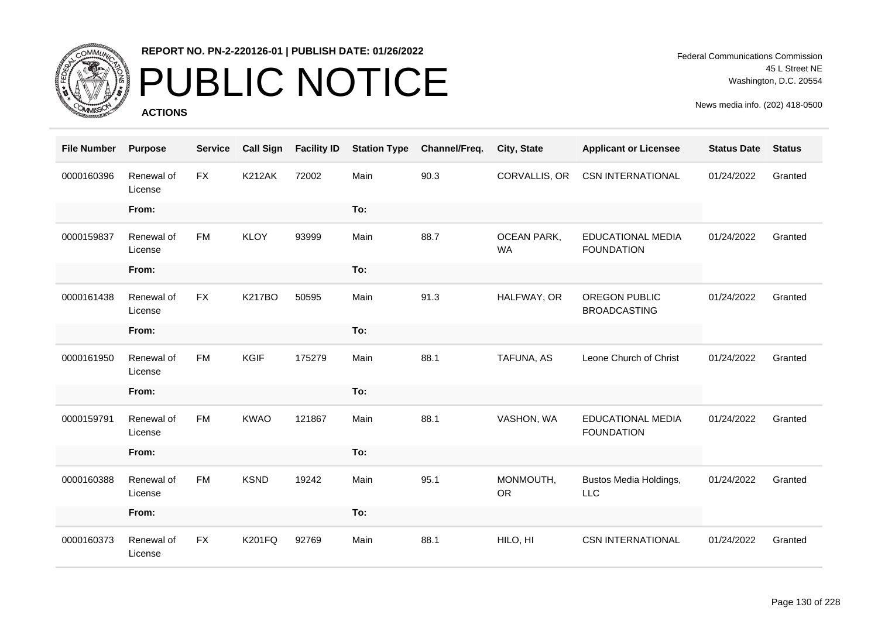

# PUBLIC NOTICE

**ACTIONS**

| <b>File Number</b> | <b>Purpose</b>        | <b>Service</b> | <b>Call Sign</b> | <b>Facility ID</b> | <b>Station Type</b> | Channel/Freq. | City, State                     | <b>Applicant or Licensee</b>                  | <b>Status Date</b> | <b>Status</b> |
|--------------------|-----------------------|----------------|------------------|--------------------|---------------------|---------------|---------------------------------|-----------------------------------------------|--------------------|---------------|
| 0000160396         | Renewal of<br>License | <b>FX</b>      | <b>K212AK</b>    | 72002              | Main                | 90.3          | CORVALLIS, OR                   | <b>CSN INTERNATIONAL</b>                      | 01/24/2022         | Granted       |
|                    | From:                 |                |                  |                    | To:                 |               |                                 |                                               |                    |               |
| 0000159837         | Renewal of<br>License | <b>FM</b>      | <b>KLOY</b>      | 93999              | Main                | 88.7          | <b>OCEAN PARK,</b><br><b>WA</b> | <b>EDUCATIONAL MEDIA</b><br><b>FOUNDATION</b> | 01/24/2022         | Granted       |
|                    | From:                 |                |                  |                    | To:                 |               |                                 |                                               |                    |               |
| 0000161438         | Renewal of<br>License | <b>FX</b>      | <b>K217BO</b>    | 50595              | Main                | 91.3          | HALFWAY, OR                     | <b>OREGON PUBLIC</b><br><b>BROADCASTING</b>   | 01/24/2022         | Granted       |
|                    | From:                 |                |                  |                    | To:                 |               |                                 |                                               |                    |               |
| 0000161950         | Renewal of<br>License | <b>FM</b>      | <b>KGIF</b>      | 175279             | Main                | 88.1          | TAFUNA, AS                      | Leone Church of Christ                        | 01/24/2022         | Granted       |
|                    | From:                 |                |                  |                    | To:                 |               |                                 |                                               |                    |               |
| 0000159791         | Renewal of<br>License | <b>FM</b>      | <b>KWAO</b>      | 121867             | Main                | 88.1          | VASHON, WA                      | <b>EDUCATIONAL MEDIA</b><br><b>FOUNDATION</b> | 01/24/2022         | Granted       |
|                    | From:                 |                |                  |                    | To:                 |               |                                 |                                               |                    |               |
| 0000160388         | Renewal of<br>License | <b>FM</b>      | <b>KSND</b>      | 19242              | Main                | 95.1          | MONMOUTH,<br><b>OR</b>          | Bustos Media Holdings,<br><b>LLC</b>          | 01/24/2022         | Granted       |
|                    | From:                 |                |                  |                    | To:                 |               |                                 |                                               |                    |               |
| 0000160373         | Renewal of<br>License | <b>FX</b>      | <b>K201FQ</b>    | 92769              | Main                | 88.1          | HILO, HI                        | <b>CSN INTERNATIONAL</b>                      | 01/24/2022         | Granted       |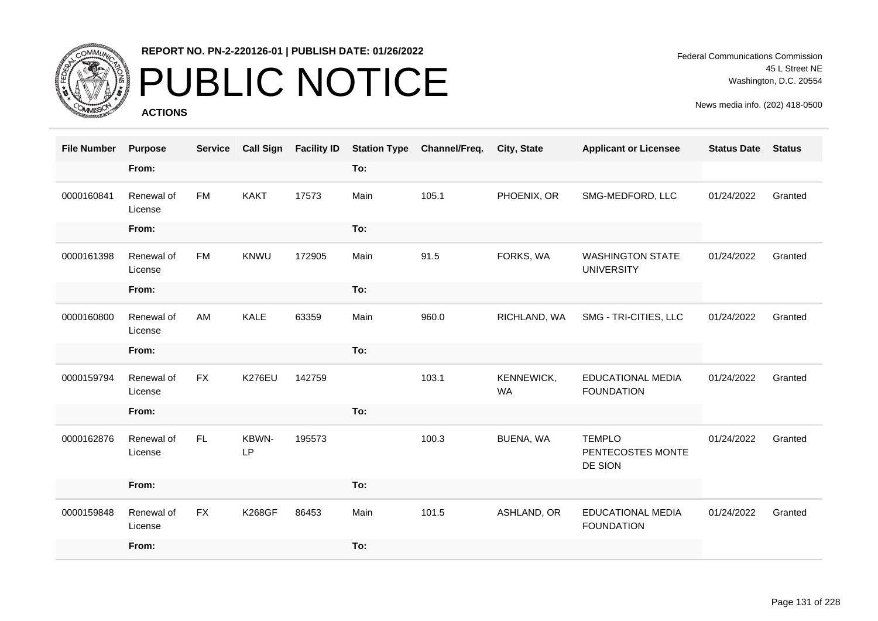

# PUBLIC NOTICE

**ACTIONS**

Federal Communications Commission 45 L Street NE Washington, D.C. 20554

| <b>File Number</b> | <b>Purpose</b>        | <b>Service</b> | <b>Call Sign</b> | <b>Facility ID</b> | <b>Station Type</b> | Channel/Freq. | <b>City, State</b>      | <b>Applicant or Licensee</b>                  | <b>Status Date</b> | <b>Status</b> |
|--------------------|-----------------------|----------------|------------------|--------------------|---------------------|---------------|-------------------------|-----------------------------------------------|--------------------|---------------|
|                    | From:                 |                |                  |                    | To:                 |               |                         |                                               |                    |               |
| 0000160841         | Renewal of<br>License | <b>FM</b>      | <b>KAKT</b>      | 17573              | Main                | 105.1         | PHOENIX, OR             | SMG-MEDFORD, LLC                              | 01/24/2022         | Granted       |
|                    | From:                 |                |                  |                    | To:                 |               |                         |                                               |                    |               |
| 0000161398         | Renewal of<br>License | <b>FM</b>      | KNWU             | 172905             | Main                | 91.5          | FORKS, WA               | <b>WASHINGTON STATE</b><br><b>UNIVERSITY</b>  | 01/24/2022         | Granted       |
|                    | From:                 |                |                  |                    | To:                 |               |                         |                                               |                    |               |
| 0000160800         | Renewal of<br>License | AM             | KALE             | 63359              | Main                | 960.0         | RICHLAND, WA            | SMG - TRI-CITIES, LLC                         | 01/24/2022         | Granted       |
|                    | From:                 |                |                  |                    | To:                 |               |                         |                                               |                    |               |
| 0000159794         | Renewal of<br>License | <b>FX</b>      | <b>K276EU</b>    | 142759             |                     | 103.1         | KENNEWICK,<br><b>WA</b> | <b>EDUCATIONAL MEDIA</b><br><b>FOUNDATION</b> | 01/24/2022         | Granted       |
|                    | From:                 |                |                  |                    | To:                 |               |                         |                                               |                    |               |
| 0000162876         | Renewal of<br>License | FL             | KBWN-<br>LP      | 195573             |                     | 100.3         | BUENA, WA               | <b>TEMPLO</b><br>PENTECOSTES MONTE<br>DE SION | 01/24/2022         | Granted       |
|                    | From:                 |                |                  |                    | To:                 |               |                         |                                               |                    |               |
| 0000159848         | Renewal of<br>License | <b>FX</b>      | <b>K268GF</b>    | 86453              | Main                | 101.5         | ASHLAND, OR             | <b>EDUCATIONAL MEDIA</b><br><b>FOUNDATION</b> | 01/24/2022         | Granted       |
|                    | From:                 |                |                  |                    | To:                 |               |                         |                                               |                    |               |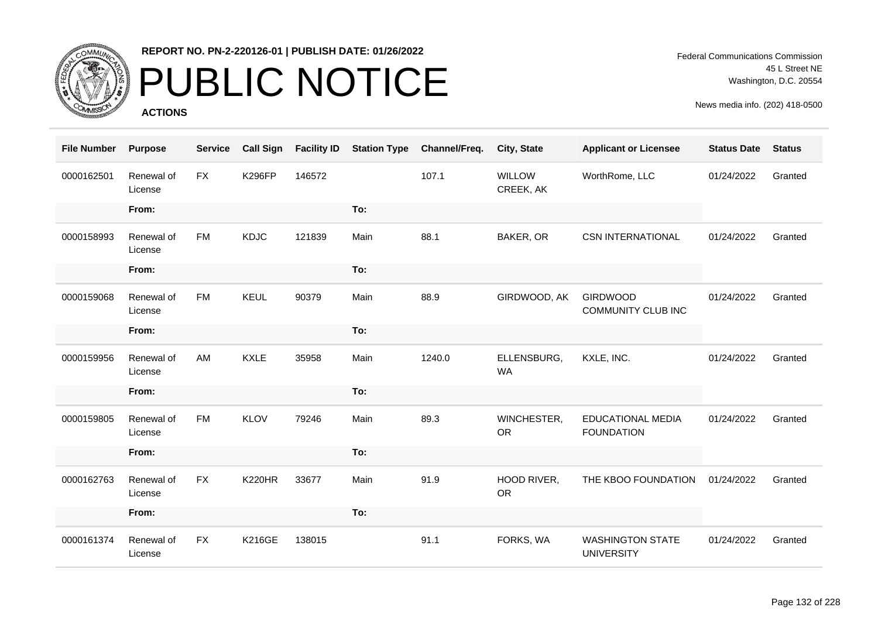

# PUBLIC NOTICE

**ACTIONS**

Federal Communications Commission 45 L Street NE Washington, D.C. 20554

| <b>File Number</b> | <b>Purpose</b>        | <b>Service</b> | <b>Call Sign</b> | <b>Facility ID</b> | <b>Station Type</b> | Channel/Freq. | City, State                | <b>Applicant or Licensee</b>                  | <b>Status Date</b> | <b>Status</b> |
|--------------------|-----------------------|----------------|------------------|--------------------|---------------------|---------------|----------------------------|-----------------------------------------------|--------------------|---------------|
| 0000162501         | Renewal of<br>License | <b>FX</b>      | <b>K296FP</b>    | 146572             |                     | 107.1         | <b>WILLOW</b><br>CREEK, AK | WorthRome, LLC                                | 01/24/2022         | Granted       |
|                    | From:                 |                |                  |                    | To:                 |               |                            |                                               |                    |               |
| 0000158993         | Renewal of<br>License | <b>FM</b>      | <b>KDJC</b>      | 121839             | Main                | 88.1          | BAKER, OR                  | <b>CSN INTERNATIONAL</b>                      | 01/24/2022         | Granted       |
|                    | From:                 |                |                  |                    | To:                 |               |                            |                                               |                    |               |
| 0000159068         | Renewal of<br>License | <b>FM</b>      | <b>KEUL</b>      | 90379              | Main                | 88.9          | GIRDWOOD, AK               | <b>GIRDWOOD</b><br><b>COMMUNITY CLUB INC</b>  | 01/24/2022         | Granted       |
|                    | From:                 |                |                  |                    | To:                 |               |                            |                                               |                    |               |
| 0000159956         | Renewal of<br>License | AM             | <b>KXLE</b>      | 35958              | Main                | 1240.0        | ELLENSBURG,<br><b>WA</b>   | KXLE, INC.                                    | 01/24/2022         | Granted       |
|                    | From:                 |                |                  |                    | To:                 |               |                            |                                               |                    |               |
| 0000159805         | Renewal of<br>License | <b>FM</b>      | <b>KLOV</b>      | 79246              | Main                | 89.3          | WINCHESTER,<br><b>OR</b>   | <b>EDUCATIONAL MEDIA</b><br><b>FOUNDATION</b> | 01/24/2022         | Granted       |
|                    | From:                 |                |                  |                    | To:                 |               |                            |                                               |                    |               |
| 0000162763         | Renewal of<br>License | <b>FX</b>      | <b>K220HR</b>    | 33677              | Main                | 91.9          | HOOD RIVER,<br><b>OR</b>   | THE KBOO FOUNDATION                           | 01/24/2022         | Granted       |
|                    | From:                 |                |                  |                    | To:                 |               |                            |                                               |                    |               |
| 0000161374         | Renewal of<br>License | <b>FX</b>      | <b>K216GE</b>    | 138015             |                     | 91.1          | FORKS, WA                  | <b>WASHINGTON STATE</b><br><b>UNIVERSITY</b>  | 01/24/2022         | Granted       |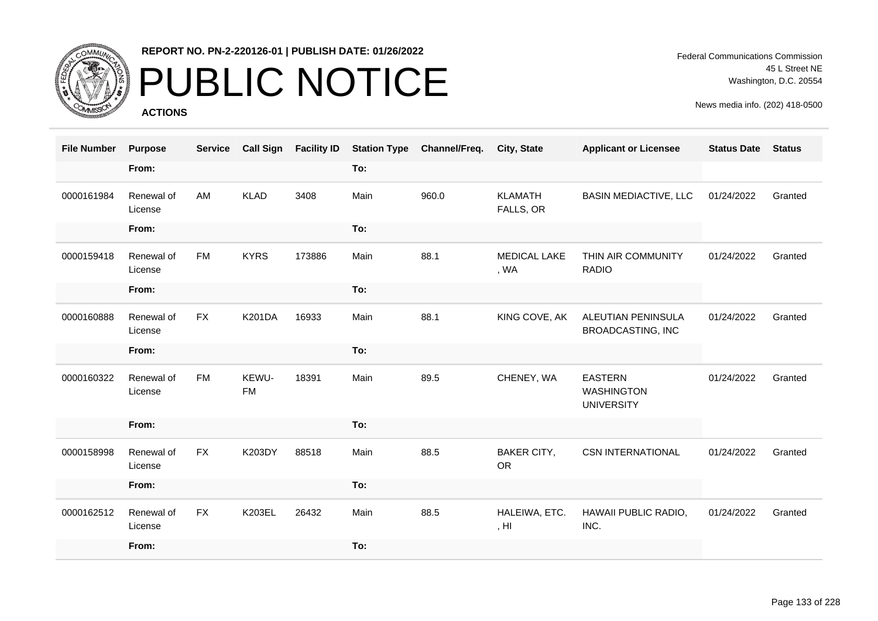

## PUBLIC NOTICE

**ACTIONS**

Federal Communications Commission 45 L Street NE Washington, D.C. 20554

| <b>File Number</b> | <b>Purpose</b>        | <b>Service</b> | <b>Call Sign</b>   | <b>Facility ID</b> | <b>Station Type</b> | Channel/Freq. | <b>City, State</b>                | <b>Applicant or Licensee</b>                             | <b>Status Date</b> | <b>Status</b> |
|--------------------|-----------------------|----------------|--------------------|--------------------|---------------------|---------------|-----------------------------------|----------------------------------------------------------|--------------------|---------------|
|                    | From:                 |                |                    |                    | To:                 |               |                                   |                                                          |                    |               |
| 0000161984         | Renewal of<br>License | <b>AM</b>      | <b>KLAD</b>        | 3408               | Main                | 960.0         | <b>KLAMATH</b><br>FALLS, OR       | <b>BASIN MEDIACTIVE, LLC</b>                             | 01/24/2022         | Granted       |
|                    | From:                 |                |                    |                    | To:                 |               |                                   |                                                          |                    |               |
| 0000159418         | Renewal of<br>License | <b>FM</b>      | <b>KYRS</b>        | 173886             | Main                | 88.1          | <b>MEDICAL LAKE</b><br>, WA       | THIN AIR COMMUNITY<br><b>RADIO</b>                       | 01/24/2022         | Granted       |
|                    | From:                 |                |                    |                    | To:                 |               |                                   |                                                          |                    |               |
| 0000160888         | Renewal of<br>License | <b>FX</b>      | <b>K201DA</b>      | 16933              | Main                | 88.1          | KING COVE, AK                     | ALEUTIAN PENINSULA<br><b>BROADCASTING, INC</b>           | 01/24/2022         | Granted       |
|                    | From:                 |                |                    |                    | To:                 |               |                                   |                                                          |                    |               |
| 0000160322         | Renewal of<br>License | <b>FM</b>      | KEWU-<br><b>FM</b> | 18391              | Main                | 89.5          | CHENEY, WA                        | <b>EASTERN</b><br><b>WASHINGTON</b><br><b>UNIVERSITY</b> | 01/24/2022         | Granted       |
|                    | From:                 |                |                    |                    | To:                 |               |                                   |                                                          |                    |               |
| 0000158998         | Renewal of<br>License | <b>FX</b>      | K203DY             | 88518              | Main                | 88.5          | <b>BAKER CITY,</b><br><b>OR</b>   | <b>CSN INTERNATIONAL</b>                                 | 01/24/2022         | Granted       |
|                    | From:                 |                |                    |                    | To:                 |               |                                   |                                                          |                    |               |
| 0000162512         | Renewal of<br>License | <b>FX</b>      | K203EL             | 26432              | Main                | 88.5          | HALEIWA, ETC.<br>, H <sub>l</sub> | HAWAII PUBLIC RADIO,<br>INC.                             | 01/24/2022         | Granted       |
|                    | From:                 |                |                    |                    | To:                 |               |                                   |                                                          |                    |               |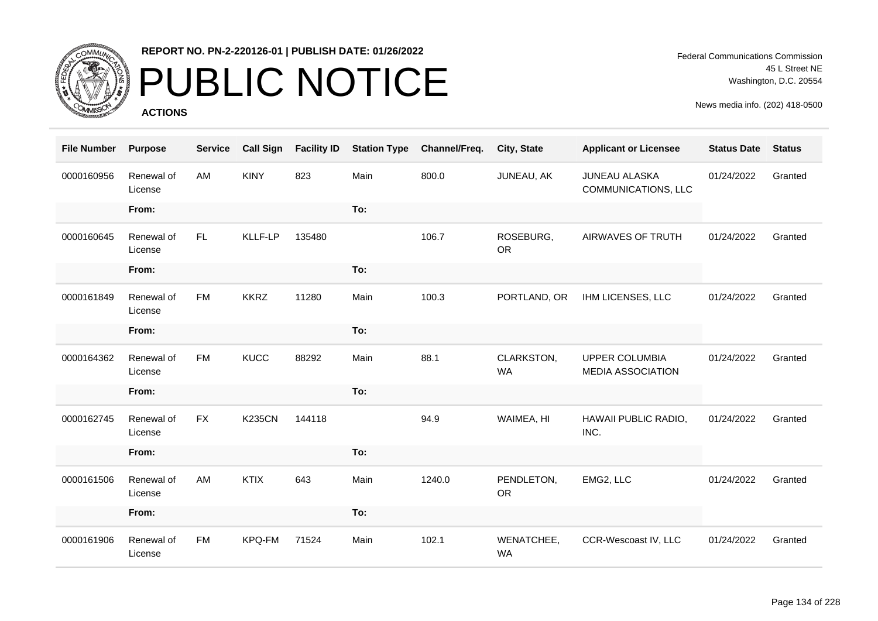

## PUBLIC NOTICE

**ACTIONS**

Federal Communications Commission 45 L Street NE Washington, D.C. 20554

| <b>File Number</b> | <b>Purpose</b>        | <b>Service</b> | <b>Call Sign</b> | <b>Facility ID</b> | <b>Station Type</b> | Channel/Freq. | City, State             | <b>Applicant or Licensee</b>                       | <b>Status Date</b> | <b>Status</b> |
|--------------------|-----------------------|----------------|------------------|--------------------|---------------------|---------------|-------------------------|----------------------------------------------------|--------------------|---------------|
| 0000160956         | Renewal of<br>License | AM             | <b>KINY</b>      | 823                | Main                | 800.0         | JUNEAU, AK              | <b>JUNEAU ALASKA</b><br><b>COMMUNICATIONS, LLC</b> | 01/24/2022         | Granted       |
|                    | From:                 |                |                  |                    | To:                 |               |                         |                                                    |                    |               |
| 0000160645         | Renewal of<br>License | FL.            | <b>KLLF-LP</b>   | 135480             |                     | 106.7         | ROSEBURG,<br><b>OR</b>  | AIRWAVES OF TRUTH                                  | 01/24/2022         | Granted       |
|                    | From:                 |                |                  |                    | To:                 |               |                         |                                                    |                    |               |
| 0000161849         | Renewal of<br>License | <b>FM</b>      | <b>KKRZ</b>      | 11280              | Main                | 100.3         | PORTLAND, OR            | IHM LICENSES, LLC                                  | 01/24/2022         | Granted       |
|                    | From:                 |                |                  |                    | To:                 |               |                         |                                                    |                    |               |
| 0000164362         | Renewal of<br>License | <b>FM</b>      | <b>KUCC</b>      | 88292              | Main                | 88.1          | CLARKSTON,<br><b>WA</b> | <b>UPPER COLUMBIA</b><br><b>MEDIA ASSOCIATION</b>  | 01/24/2022         | Granted       |
|                    | From:                 |                |                  |                    | To:                 |               |                         |                                                    |                    |               |
| 0000162745         | Renewal of<br>License | <b>FX</b>      | <b>K235CN</b>    | 144118             |                     | 94.9          | WAIMEA, HI              | HAWAII PUBLIC RADIO,<br>INC.                       | 01/24/2022         | Granted       |
|                    | From:                 |                |                  |                    | To:                 |               |                         |                                                    |                    |               |
| 0000161506         | Renewal of<br>License | AM             | <b>KTIX</b>      | 643                | Main                | 1240.0        | PENDLETON,<br><b>OR</b> | EMG2, LLC                                          | 01/24/2022         | Granted       |
|                    | From:                 |                |                  |                    | To:                 |               |                         |                                                    |                    |               |
| 0000161906         | Renewal of<br>License | <b>FM</b>      | KPQ-FM           | 71524              | Main                | 102.1         | WENATCHEE,<br><b>WA</b> | CCR-Wescoast IV, LLC                               | 01/24/2022         | Granted       |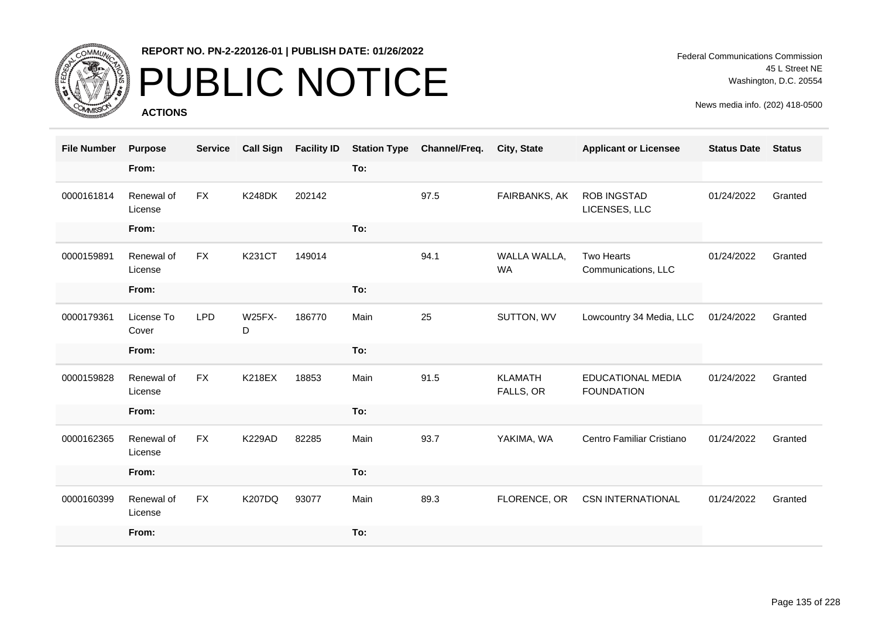

### PUBLIC NOTICE

**ACTIONS**

Federal Communications Commission 45 L Street NE Washington, D.C. 20554

| <b>File Number</b> | <b>Purpose</b>        | <b>Service</b> | <b>Call Sign</b>   | <b>Facility ID</b> | <b>Station Type</b> | Channel/Freq. | City, State                 | <b>Applicant or Licensee</b>                  | <b>Status Date</b> | <b>Status</b> |
|--------------------|-----------------------|----------------|--------------------|--------------------|---------------------|---------------|-----------------------------|-----------------------------------------------|--------------------|---------------|
|                    | From:                 |                |                    |                    | To:                 |               |                             |                                               |                    |               |
| 0000161814         | Renewal of<br>License | <b>FX</b>      | <b>K248DK</b>      | 202142             |                     | 97.5          | FAIRBANKS, AK               | <b>ROB INGSTAD</b><br>LICENSES, LLC           | 01/24/2022         | Granted       |
|                    | From:                 |                |                    |                    | To:                 |               |                             |                                               |                    |               |
| 0000159891         | Renewal of<br>License | <b>FX</b>      | <b>K231CT</b>      | 149014             |                     | 94.1          | WALLA WALLA,<br><b>WA</b>   | Two Hearts<br>Communications, LLC             | 01/24/2022         | Granted       |
|                    | From:                 |                |                    |                    | To:                 |               |                             |                                               |                    |               |
| 0000179361         | License To<br>Cover   | <b>LPD</b>     | <b>W25FX-</b><br>D | 186770             | Main                | 25            | SUTTON, WV                  | Lowcountry 34 Media, LLC                      | 01/24/2022         | Granted       |
|                    | From:                 |                |                    |                    | To:                 |               |                             |                                               |                    |               |
| 0000159828         | Renewal of<br>License | <b>FX</b>      | <b>K218EX</b>      | 18853              | Main                | 91.5          | <b>KLAMATH</b><br>FALLS, OR | <b>EDUCATIONAL MEDIA</b><br><b>FOUNDATION</b> | 01/24/2022         | Granted       |
|                    | From:                 |                |                    |                    | To:                 |               |                             |                                               |                    |               |
| 0000162365         | Renewal of<br>License | <b>FX</b>      | <b>K229AD</b>      | 82285              | Main                | 93.7          | YAKIMA, WA                  | Centro Familiar Cristiano                     | 01/24/2022         | Granted       |
|                    | From:                 |                |                    |                    | To:                 |               |                             |                                               |                    |               |
| 0000160399         | Renewal of<br>License | <b>FX</b>      | <b>K207DQ</b>      | 93077              | Main                | 89.3          | FLORENCE, OR                | <b>CSN INTERNATIONAL</b>                      | 01/24/2022         | Granted       |
|                    | From:                 |                |                    |                    | To:                 |               |                             |                                               |                    |               |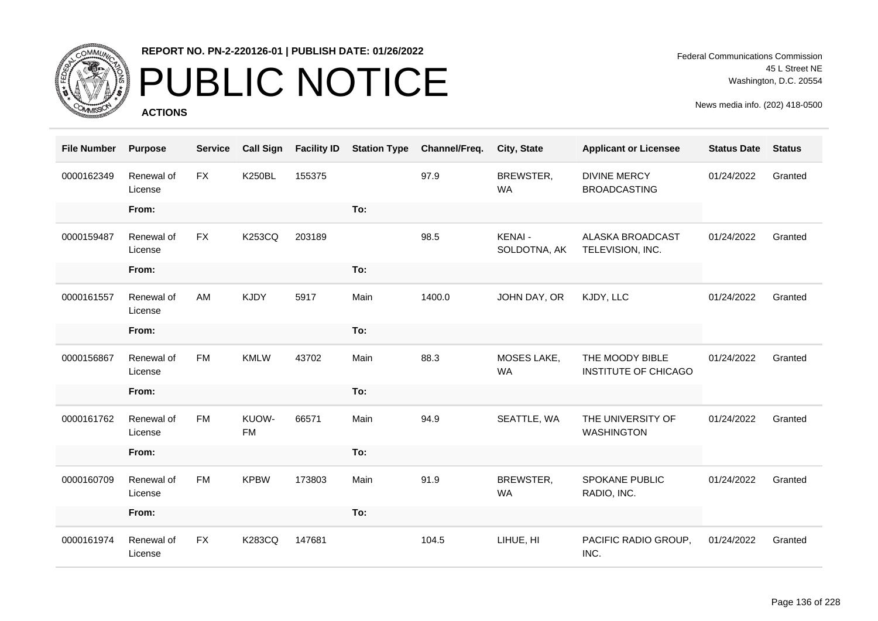

## PUBLIC NOTICE

**ACTIONS**

Federal Communications Commission 45 L Street NE Washington, D.C. 20554

| <b>File Number</b> | <b>Purpose</b>        | <b>Service</b> | <b>Call Sign</b>   | <b>Facility ID</b> | <b>Station Type</b> | Channel/Freq. | City, State                   | <b>Applicant or Licensee</b>                   | <b>Status Date</b> | <b>Status</b> |
|--------------------|-----------------------|----------------|--------------------|--------------------|---------------------|---------------|-------------------------------|------------------------------------------------|--------------------|---------------|
| 0000162349         | Renewal of<br>License | <b>FX</b>      | <b>K250BL</b>      | 155375             |                     | 97.9          | BREWSTER,<br><b>WA</b>        | <b>DIVINE MERCY</b><br><b>BROADCASTING</b>     | 01/24/2022         | Granted       |
|                    | From:                 |                |                    |                    | To:                 |               |                               |                                                |                    |               |
| 0000159487         | Renewal of<br>License | <b>FX</b>      | <b>K253CQ</b>      | 203189             |                     | 98.5          | <b>KENAI-</b><br>SOLDOTNA, AK | ALASKA BROADCAST<br>TELEVISION, INC.           | 01/24/2022         | Granted       |
|                    | From:                 |                |                    |                    | To:                 |               |                               |                                                |                    |               |
| 0000161557         | Renewal of<br>License | AM             | <b>KJDY</b>        | 5917               | Main                | 1400.0        | JOHN DAY, OR                  | KJDY, LLC                                      | 01/24/2022         | Granted       |
|                    | From:                 |                |                    |                    | To:                 |               |                               |                                                |                    |               |
| 0000156867         | Renewal of<br>License | <b>FM</b>      | <b>KMLW</b>        | 43702              | Main                | 88.3          | MOSES LAKE,<br><b>WA</b>      | THE MOODY BIBLE<br><b>INSTITUTE OF CHICAGO</b> | 01/24/2022         | Granted       |
|                    | From:                 |                |                    |                    | To:                 |               |                               |                                                |                    |               |
| 0000161762         | Renewal of<br>License | <b>FM</b>      | KUOW-<br><b>FM</b> | 66571              | Main                | 94.9          | SEATTLE, WA                   | THE UNIVERSITY OF<br><b>WASHINGTON</b>         | 01/24/2022         | Granted       |
|                    | From:                 |                |                    |                    | To:                 |               |                               |                                                |                    |               |
| 0000160709         | Renewal of<br>License | <b>FM</b>      | <b>KPBW</b>        | 173803             | Main                | 91.9          | BREWSTER,<br><b>WA</b>        | <b>SPOKANE PUBLIC</b><br>RADIO, INC.           | 01/24/2022         | Granted       |
|                    | From:                 |                |                    |                    | To:                 |               |                               |                                                |                    |               |
| 0000161974         | Renewal of<br>License | <b>FX</b>      | <b>K283CQ</b>      | 147681             |                     | 104.5         | LIHUE, HI                     | PACIFIC RADIO GROUP,<br>INC.                   | 01/24/2022         | Granted       |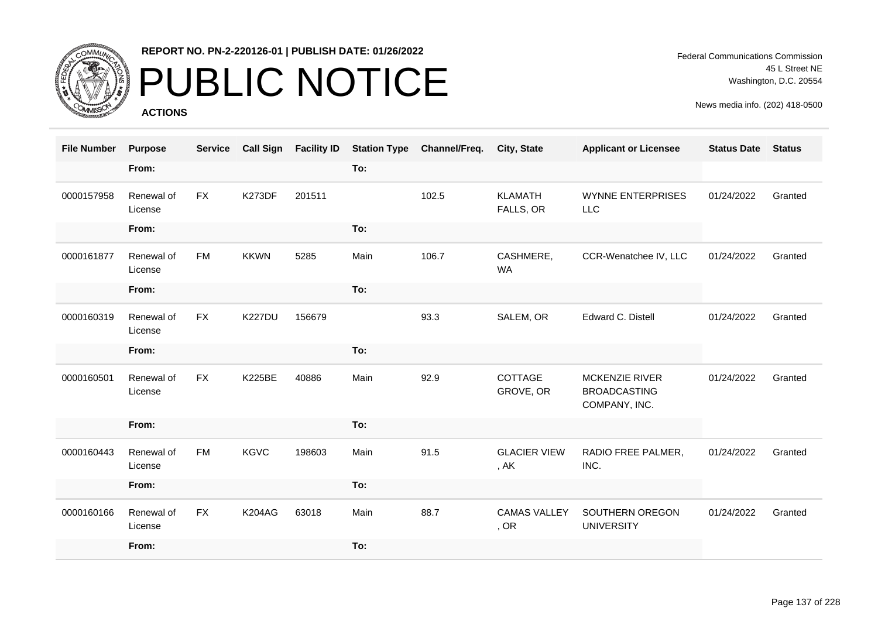

# PUBLIC NOTICE

**ACTIONS**

Federal Communications Commission 45 L Street NE Washington, D.C. 20554

| <b>File Number</b> | <b>Purpose</b>        | <b>Service</b> | <b>Call Sign</b> | <b>Facility ID</b> | <b>Station Type</b> | Channel/Freq. | <b>City, State</b>          | <b>Applicant or Licensee</b>                                  | <b>Status Date</b> | <b>Status</b> |
|--------------------|-----------------------|----------------|------------------|--------------------|---------------------|---------------|-----------------------------|---------------------------------------------------------------|--------------------|---------------|
|                    | From:                 |                |                  |                    | To:                 |               |                             |                                                               |                    |               |
| 0000157958         | Renewal of<br>License | <b>FX</b>      | <b>K273DF</b>    | 201511             |                     | 102.5         | <b>KLAMATH</b><br>FALLS, OR | <b>WYNNE ENTERPRISES</b><br><b>LLC</b>                        | 01/24/2022         | Granted       |
|                    | From:                 |                |                  |                    | To:                 |               |                             |                                                               |                    |               |
| 0000161877         | Renewal of<br>License | <b>FM</b>      | <b>KKWN</b>      | 5285               | Main                | 106.7         | CASHMERE,<br><b>WA</b>      | CCR-Wenatchee IV, LLC                                         | 01/24/2022         | Granted       |
|                    | From:                 |                |                  |                    | To:                 |               |                             |                                                               |                    |               |
| 0000160319         | Renewal of<br>License | <b>FX</b>      | <b>K227DU</b>    | 156679             |                     | 93.3          | SALEM, OR                   | Edward C. Distell                                             | 01/24/2022         | Granted       |
|                    | From:                 |                |                  |                    | To:                 |               |                             |                                                               |                    |               |
| 0000160501         | Renewal of<br>License | <b>FX</b>      | <b>K225BE</b>    | 40886              | Main                | 92.9          | COTTAGE<br>GROVE, OR        | <b>MCKENZIE RIVER</b><br><b>BROADCASTING</b><br>COMPANY, INC. | 01/24/2022         | Granted       |
|                    | From:                 |                |                  |                    | To:                 |               |                             |                                                               |                    |               |
| 0000160443         | Renewal of<br>License | <b>FM</b>      | <b>KGVC</b>      | 198603             | Main                | 91.5          | <b>GLACIER VIEW</b><br>, AK | RADIO FREE PALMER,<br>INC.                                    | 01/24/2022         | Granted       |
|                    | From:                 |                |                  |                    | To:                 |               |                             |                                                               |                    |               |
| 0000160166         | Renewal of<br>License | <b>FX</b>      | <b>K204AG</b>    | 63018              | Main                | 88.7          | <b>CAMAS VALLEY</b><br>, OR | SOUTHERN OREGON<br><b>UNIVERSITY</b>                          | 01/24/2022         | Granted       |
|                    | From:                 |                |                  |                    | To:                 |               |                             |                                                               |                    |               |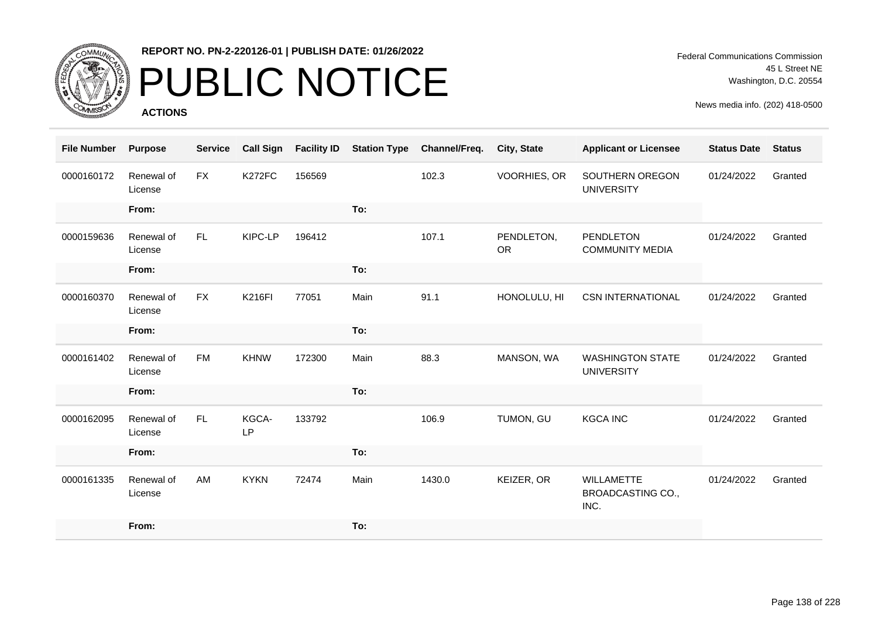

# PUBLIC NOTICE

**ACTIONS**

Federal Communications Commission 45 L Street NE Washington, D.C. 20554

| <b>File Number</b> | <b>Purpose</b>        | <b>Service</b> | <b>Call Sign</b> | <b>Facility ID</b> | <b>Station Type</b> | Channel/Freq. | <b>City, State</b>      | <b>Applicant or Licensee</b>                          | <b>Status Date</b> | <b>Status</b> |
|--------------------|-----------------------|----------------|------------------|--------------------|---------------------|---------------|-------------------------|-------------------------------------------------------|--------------------|---------------|
| 0000160172         | Renewal of<br>License | <b>FX</b>      | K272FC           | 156569             |                     | 102.3         | VOORHIES, OR            | SOUTHERN OREGON<br><b>UNIVERSITY</b>                  | 01/24/2022         | Granted       |
|                    | From:                 |                |                  |                    | To:                 |               |                         |                                                       |                    |               |
| 0000159636         | Renewal of<br>License | FL.            | KIPC-LP          | 196412             |                     | 107.1         | PENDLETON,<br><b>OR</b> | <b>PENDLETON</b><br><b>COMMUNITY MEDIA</b>            | 01/24/2022         | Granted       |
|                    | From:                 |                |                  |                    | To:                 |               |                         |                                                       |                    |               |
| 0000160370         | Renewal of<br>License | <b>FX</b>      | <b>K216FI</b>    | 77051              | Main                | 91.1          | HONOLULU, HI            | <b>CSN INTERNATIONAL</b>                              | 01/24/2022         | Granted       |
|                    | From:                 |                |                  |                    | To:                 |               |                         |                                                       |                    |               |
| 0000161402         | Renewal of<br>License | <b>FM</b>      | <b>KHNW</b>      | 172300             | Main                | 88.3          | MANSON, WA              | <b>WASHINGTON STATE</b><br><b>UNIVERSITY</b>          | 01/24/2022         | Granted       |
|                    | From:                 |                |                  |                    | To:                 |               |                         |                                                       |                    |               |
| 0000162095         | Renewal of<br>License | FL.            | KGCA-<br>LP      | 133792             |                     | 106.9         | TUMON, GU               | <b>KGCA INC</b>                                       | 01/24/2022         | Granted       |
|                    | From:                 |                |                  |                    | To:                 |               |                         |                                                       |                    |               |
| 0000161335         | Renewal of<br>License | AM             | <b>KYKN</b>      | 72474              | Main                | 1430.0        | KEIZER, OR              | <b>WILLAMETTE</b><br><b>BROADCASTING CO.,</b><br>INC. | 01/24/2022         | Granted       |
|                    | From:                 |                |                  |                    | To:                 |               |                         |                                                       |                    |               |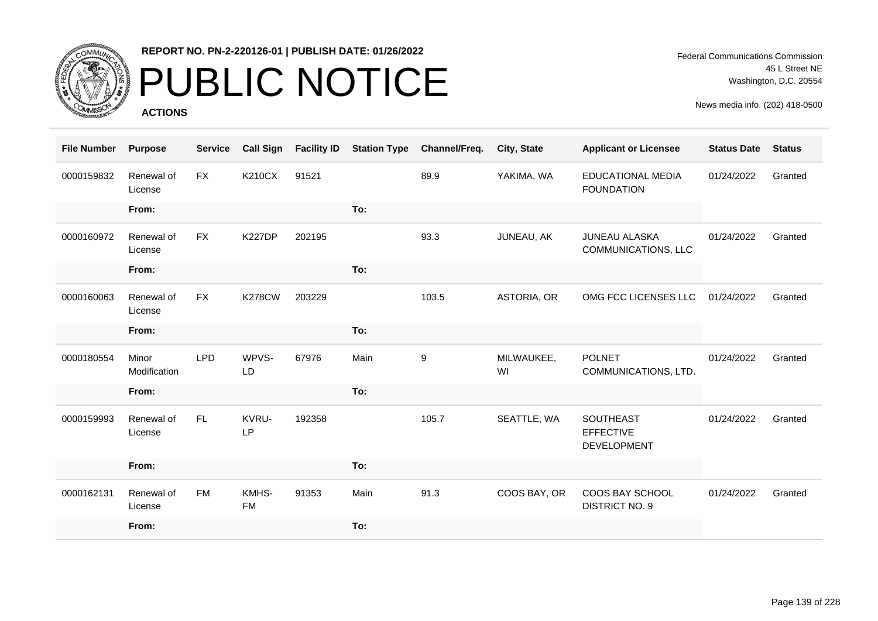

## PUBLIC NOTICE

**ACTIONS**

Federal Communications Commission 45 L Street NE Washington, D.C. 20554

| <b>File Number</b> | <b>Purpose</b>        | <b>Service</b> | <b>Call Sign</b>   | <b>Facility ID</b> | <b>Station Type</b> | Channel/Freq. | City, State      | <b>Applicant or Licensee</b>                        | <b>Status Date</b> | <b>Status</b> |
|--------------------|-----------------------|----------------|--------------------|--------------------|---------------------|---------------|------------------|-----------------------------------------------------|--------------------|---------------|
| 0000159832         | Renewal of<br>License | <b>FX</b>      | <b>K210CX</b>      | 91521              |                     | 89.9          | YAKIMA, WA       | <b>EDUCATIONAL MEDIA</b><br><b>FOUNDATION</b>       | 01/24/2022         | Granted       |
|                    | From:                 |                |                    |                    | To:                 |               |                  |                                                     |                    |               |
| 0000160972         | Renewal of<br>License | <b>FX</b>      | <b>K227DP</b>      | 202195             |                     | 93.3          | JUNEAU, AK       | <b>JUNEAU ALASKA</b><br>COMMUNICATIONS, LLC         | 01/24/2022         | Granted       |
|                    | From:                 |                |                    |                    | To:                 |               |                  |                                                     |                    |               |
| 0000160063         | Renewal of<br>License | <b>FX</b>      | <b>K278CW</b>      | 203229             |                     | 103.5         | ASTORIA, OR      | OMG FCC LICENSES LLC                                | 01/24/2022         | Granted       |
|                    | From:                 |                |                    |                    | To:                 |               |                  |                                                     |                    |               |
| 0000180554         | Minor<br>Modification | <b>LPD</b>     | WPVS-<br>LD        | 67976              | Main                | 9             | MILWAUKEE,<br>WI | <b>POLNET</b><br>COMMUNICATIONS, LTD.               | 01/24/2022         | Granted       |
|                    | From:                 |                |                    |                    | To:                 |               |                  |                                                     |                    |               |
| 0000159993         | Renewal of<br>License | FL.            | KVRU-<br>LP        | 192358             |                     | 105.7         | SEATTLE, WA      | <b>SOUTHEAST</b><br><b>EFFECTIVE</b><br>DEVELOPMENT | 01/24/2022         | Granted       |
|                    | From:                 |                |                    |                    | To:                 |               |                  |                                                     |                    |               |
| 0000162131         | Renewal of<br>License | <b>FM</b>      | KMHS-<br><b>FM</b> | 91353              | Main                | 91.3          | COOS BAY, OR     | COOS BAY SCHOOL<br><b>DISTRICT NO. 9</b>            | 01/24/2022         | Granted       |
|                    | From:                 |                |                    |                    | To:                 |               |                  |                                                     |                    |               |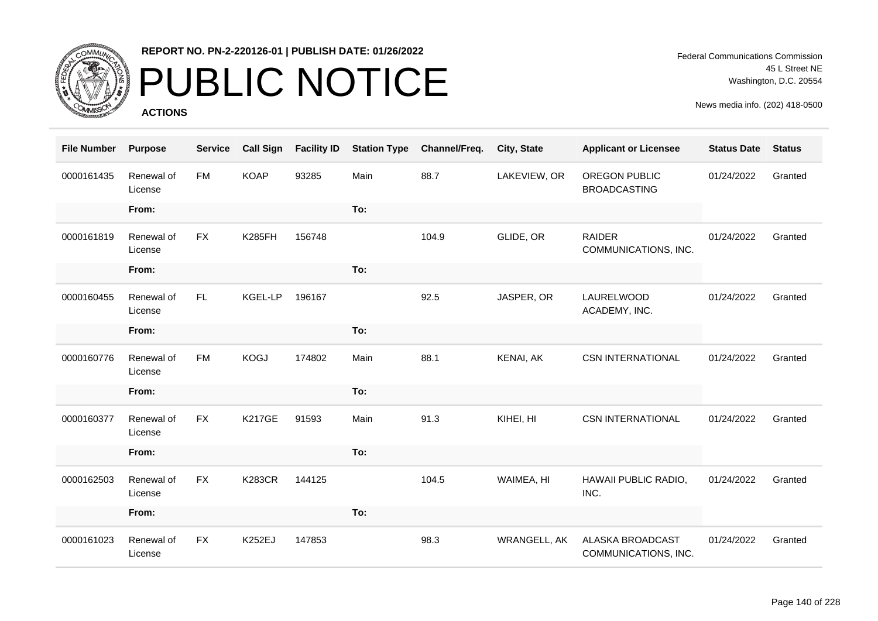

# PUBLIC NOTICE

**ACTIONS**

Federal Communications Commission 45 L Street NE Washington, D.C. 20554

| <b>File Number</b> | <b>Purpose</b>        | <b>Service</b> | <b>Call Sign</b> | <b>Facility ID</b> | <b>Station Type</b> | Channel/Freq. | City, State         | <b>Applicant or Licensee</b>             | <b>Status Date</b> | <b>Status</b> |
|--------------------|-----------------------|----------------|------------------|--------------------|---------------------|---------------|---------------------|------------------------------------------|--------------------|---------------|
| 0000161435         | Renewal of<br>License | <b>FM</b>      | <b>KOAP</b>      | 93285              | Main                | 88.7          | LAKEVIEW, OR        | OREGON PUBLIC<br><b>BROADCASTING</b>     | 01/24/2022         | Granted       |
|                    | From:                 |                |                  |                    | To:                 |               |                     |                                          |                    |               |
| 0000161819         | Renewal of<br>License | <b>FX</b>      | <b>K285FH</b>    | 156748             |                     | 104.9         | GLIDE, OR           | <b>RAIDER</b><br>COMMUNICATIONS, INC.    | 01/24/2022         | Granted       |
|                    | From:                 |                |                  |                    | To:                 |               |                     |                                          |                    |               |
| 0000160455         | Renewal of<br>License | FL.            | KGEL-LP          | 196167             |                     | 92.5          | JASPER, OR          | LAURELWOOD<br>ACADEMY, INC.              | 01/24/2022         | Granted       |
|                    | From:                 |                |                  |                    | To:                 |               |                     |                                          |                    |               |
| 0000160776         | Renewal of<br>License | <b>FM</b>      | <b>KOGJ</b>      | 174802             | Main                | 88.1          | KENAI, AK           | <b>CSN INTERNATIONAL</b>                 | 01/24/2022         | Granted       |
|                    | From:                 |                |                  |                    | To:                 |               |                     |                                          |                    |               |
| 0000160377         | Renewal of<br>License | <b>FX</b>      | <b>K217GE</b>    | 91593              | Main                | 91.3          | KIHEI, HI           | <b>CSN INTERNATIONAL</b>                 | 01/24/2022         | Granted       |
|                    | From:                 |                |                  |                    | To:                 |               |                     |                                          |                    |               |
| 0000162503         | Renewal of<br>License | <b>FX</b>      | <b>K283CR</b>    | 144125             |                     | 104.5         | WAIMEA, HI          | HAWAII PUBLIC RADIO,<br>INC.             | 01/24/2022         | Granted       |
|                    | From:                 |                |                  |                    | To:                 |               |                     |                                          |                    |               |
| 0000161023         | Renewal of<br>License | <b>FX</b>      | K252EJ           | 147853             |                     | 98.3          | <b>WRANGELL, AK</b> | ALASKA BROADCAST<br>COMMUNICATIONS, INC. | 01/24/2022         | Granted       |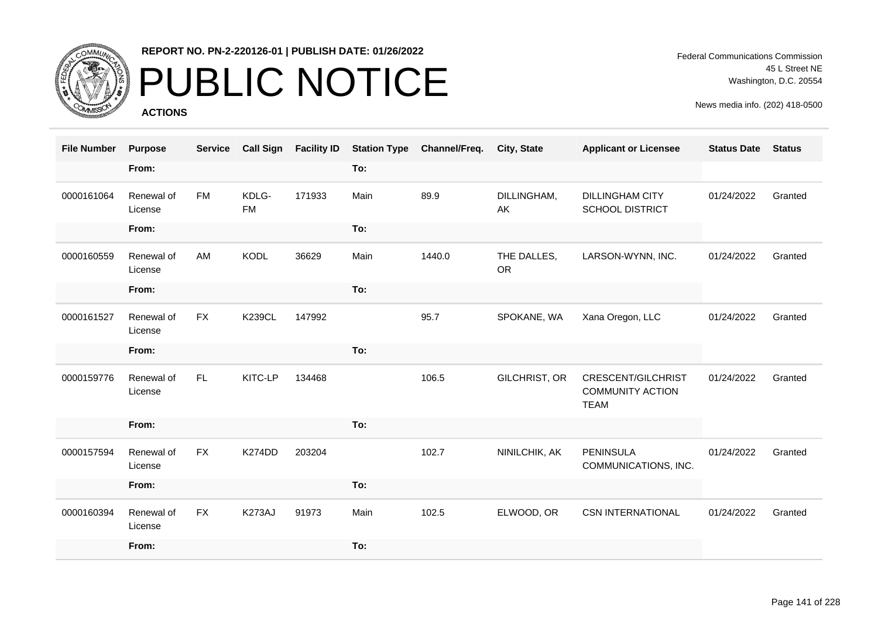

## PUBLIC NOTICE

**ACTIONS**

Federal Communications Commission 45 L Street NE Washington, D.C. 20554

| <b>File Number</b> | <b>Purpose</b>        | <b>Service</b> | <b>Call Sign</b>   | <b>Facility ID</b> | <b>Station Type</b> | Channel/Freq. | <b>City, State</b>       | <b>Applicant or Licensee</b>                                 | <b>Status Date</b> | <b>Status</b> |
|--------------------|-----------------------|----------------|--------------------|--------------------|---------------------|---------------|--------------------------|--------------------------------------------------------------|--------------------|---------------|
|                    | From:                 |                |                    |                    | To:                 |               |                          |                                                              |                    |               |
| 0000161064         | Renewal of<br>License | <b>FM</b>      | KDLG-<br><b>FM</b> | 171933             | Main                | 89.9          | DILLINGHAM,<br>AK        | <b>DILLINGHAM CITY</b><br><b>SCHOOL DISTRICT</b>             | 01/24/2022         | Granted       |
|                    | From:                 |                |                    |                    | To:                 |               |                          |                                                              |                    |               |
| 0000160559         | Renewal of<br>License | AM             | <b>KODL</b>        | 36629              | Main                | 1440.0        | THE DALLES,<br><b>OR</b> | LARSON-WYNN, INC.                                            | 01/24/2022         | Granted       |
|                    | From:                 |                |                    |                    | To:                 |               |                          |                                                              |                    |               |
| 0000161527         | Renewal of<br>License | <b>FX</b>      | <b>K239CL</b>      | 147992             |                     | 95.7          | SPOKANE, WA              | Xana Oregon, LLC                                             | 01/24/2022         | Granted       |
|                    | From:                 |                |                    |                    | To:                 |               |                          |                                                              |                    |               |
| 0000159776         | Renewal of<br>License | FL.            | KITC-LP            | 134468             |                     | 106.5         | GILCHRIST, OR            | CRESCENT/GILCHRIST<br><b>COMMUNITY ACTION</b><br><b>TEAM</b> | 01/24/2022         | Granted       |
|                    | From:                 |                |                    |                    | To:                 |               |                          |                                                              |                    |               |
| 0000157594         | Renewal of<br>License | <b>FX</b>      | K274DD             | 203204             |                     | 102.7         | NINILCHIK, AK            | <b>PENINSULA</b><br>COMMUNICATIONS, INC.                     | 01/24/2022         | Granted       |
|                    | From:                 |                |                    |                    | To:                 |               |                          |                                                              |                    |               |
| 0000160394         | Renewal of<br>License | <b>FX</b>      | K273AJ             | 91973              | Main                | 102.5         | ELWOOD, OR               | <b>CSN INTERNATIONAL</b>                                     | 01/24/2022         | Granted       |
|                    | From:                 |                |                    |                    | To:                 |               |                          |                                                              |                    |               |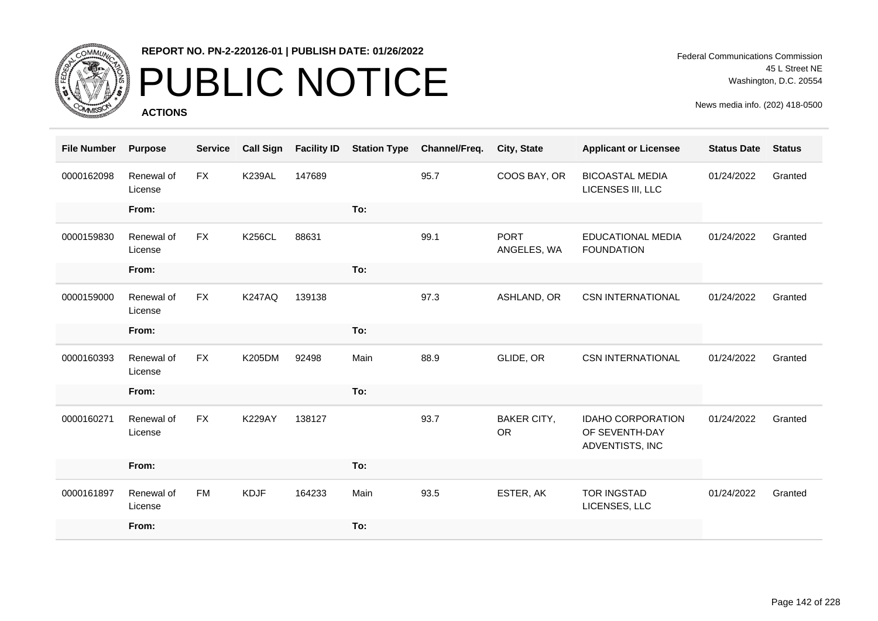

# PUBLIC NOTICE

**ACTIONS**

Federal Communications Commission 45 L Street NE Washington, D.C. 20554

| <b>File Number</b> | <b>Purpose</b>        | <b>Service</b> | <b>Call Sign</b> | <b>Facility ID</b> | <b>Station Type</b> | Channel/Freq. | City, State                     | <b>Applicant or Licensee</b>                                  | <b>Status Date</b> | <b>Status</b> |
|--------------------|-----------------------|----------------|------------------|--------------------|---------------------|---------------|---------------------------------|---------------------------------------------------------------|--------------------|---------------|
| 0000162098         | Renewal of<br>License | <b>FX</b>      | <b>K239AL</b>    | 147689             |                     | 95.7          | COOS BAY, OR                    | <b>BICOASTAL MEDIA</b><br>LICENSES III, LLC                   | 01/24/2022         | Granted       |
|                    | From:                 |                |                  |                    | To:                 |               |                                 |                                                               |                    |               |
| 0000159830         | Renewal of<br>License | <b>FX</b>      | <b>K256CL</b>    | 88631              |                     | 99.1          | <b>PORT</b><br>ANGELES, WA      | EDUCATIONAL MEDIA<br><b>FOUNDATION</b>                        | 01/24/2022         | Granted       |
|                    | From:                 |                |                  |                    | To:                 |               |                                 |                                                               |                    |               |
| 0000159000         | Renewal of<br>License | <b>FX</b>      | <b>K247AQ</b>    | 139138             |                     | 97.3          | ASHLAND, OR                     | <b>CSN INTERNATIONAL</b>                                      | 01/24/2022         | Granted       |
|                    | From:                 |                |                  |                    | To:                 |               |                                 |                                                               |                    |               |
| 0000160393         | Renewal of<br>License | <b>FX</b>      | <b>K205DM</b>    | 92498              | Main                | 88.9          | GLIDE, OR                       | <b>CSN INTERNATIONAL</b>                                      | 01/24/2022         | Granted       |
|                    | From:                 |                |                  |                    | To:                 |               |                                 |                                                               |                    |               |
| 0000160271         | Renewal of<br>License | <b>FX</b>      | <b>K229AY</b>    | 138127             |                     | 93.7          | <b>BAKER CITY,</b><br><b>OR</b> | <b>IDAHO CORPORATION</b><br>OF SEVENTH-DAY<br>ADVENTISTS, INC | 01/24/2022         | Granted       |
|                    | From:                 |                |                  |                    | To:                 |               |                                 |                                                               |                    |               |
| 0000161897         | Renewal of<br>License | <b>FM</b>      | <b>KDJF</b>      | 164233             | Main                | 93.5          | ESTER, AK                       | <b>TOR INGSTAD</b><br>LICENSES, LLC                           | 01/24/2022         | Granted       |
|                    | From:                 |                |                  |                    | To:                 |               |                                 |                                                               |                    |               |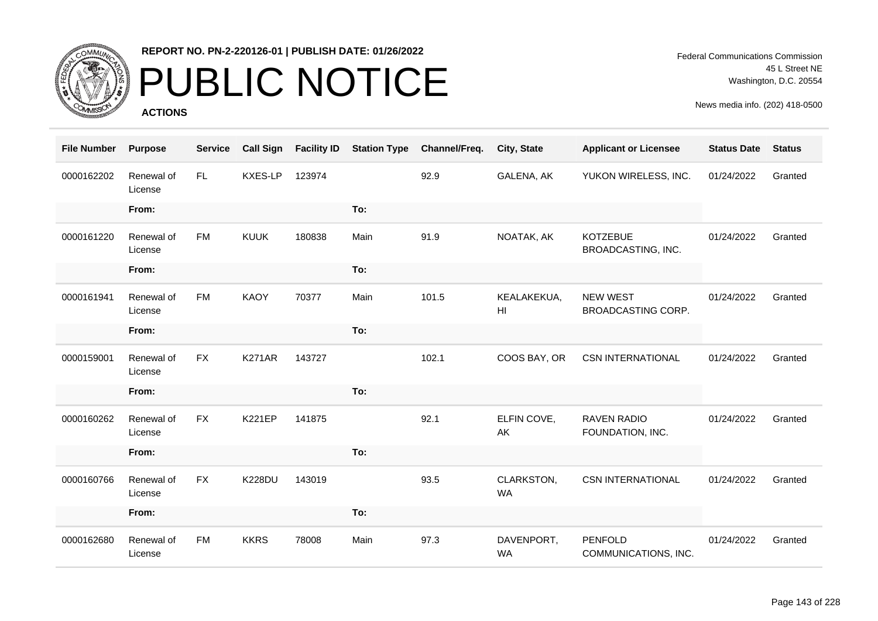

## PUBLIC NOTICE

**ACTIONS**

| <b>File Number</b> | <b>Purpose</b>        | <b>Service</b> | <b>Call Sign</b> | <b>Facility ID</b> | <b>Station Type</b> | Channel/Freq. | City, State             | <b>Applicant or Licensee</b>           | <b>Status Date</b> | <b>Status</b> |
|--------------------|-----------------------|----------------|------------------|--------------------|---------------------|---------------|-------------------------|----------------------------------------|--------------------|---------------|
| 0000162202         | Renewal of<br>License | FL.            | KXES-LP          | 123974             |                     | 92.9          | GALENA, AK              | YUKON WIRELESS, INC.                   | 01/24/2022         | Granted       |
|                    | From:                 |                |                  |                    | To:                 |               |                         |                                        |                    |               |
| 0000161220         | Renewal of<br>License | <b>FM</b>      | <b>KUUK</b>      | 180838             | Main                | 91.9          | NOATAK, AK              | <b>KOTZEBUE</b><br>BROADCASTING, INC.  | 01/24/2022         | Granted       |
|                    | From:                 |                |                  |                    | To:                 |               |                         |                                        |                    |               |
| 0000161941         | Renewal of<br>License | <b>FM</b>      | <b>KAOY</b>      | 70377              | Main                | 101.5         | KEALAKEKUA,<br>HI       | <b>NEW WEST</b><br>BROADCASTING CORP.  | 01/24/2022         | Granted       |
|                    | From:                 |                |                  |                    | To:                 |               |                         |                                        |                    |               |
| 0000159001         | Renewal of<br>License | <b>FX</b>      | <b>K271AR</b>    | 143727             |                     | 102.1         | COOS BAY, OR            | <b>CSN INTERNATIONAL</b>               | 01/24/2022         | Granted       |
|                    | From:                 |                |                  |                    | To:                 |               |                         |                                        |                    |               |
| 0000160262         | Renewal of<br>License | <b>FX</b>      | <b>K221EP</b>    | 141875             |                     | 92.1          | ELFIN COVE,<br>AK       | <b>RAVEN RADIO</b><br>FOUNDATION, INC. | 01/24/2022         | Granted       |
|                    | From:                 |                |                  |                    | To:                 |               |                         |                                        |                    |               |
| 0000160766         | Renewal of<br>License | <b>FX</b>      | <b>K228DU</b>    | 143019             |                     | 93.5          | CLARKSTON,<br>WA        | <b>CSN INTERNATIONAL</b>               | 01/24/2022         | Granted       |
|                    | From:                 |                |                  |                    | To:                 |               |                         |                                        |                    |               |
| 0000162680         | Renewal of<br>License | <b>FM</b>      | <b>KKRS</b>      | 78008              | Main                | 97.3          | DAVENPORT,<br><b>WA</b> | PENFOLD<br>COMMUNICATIONS, INC.        | 01/24/2022         | Granted       |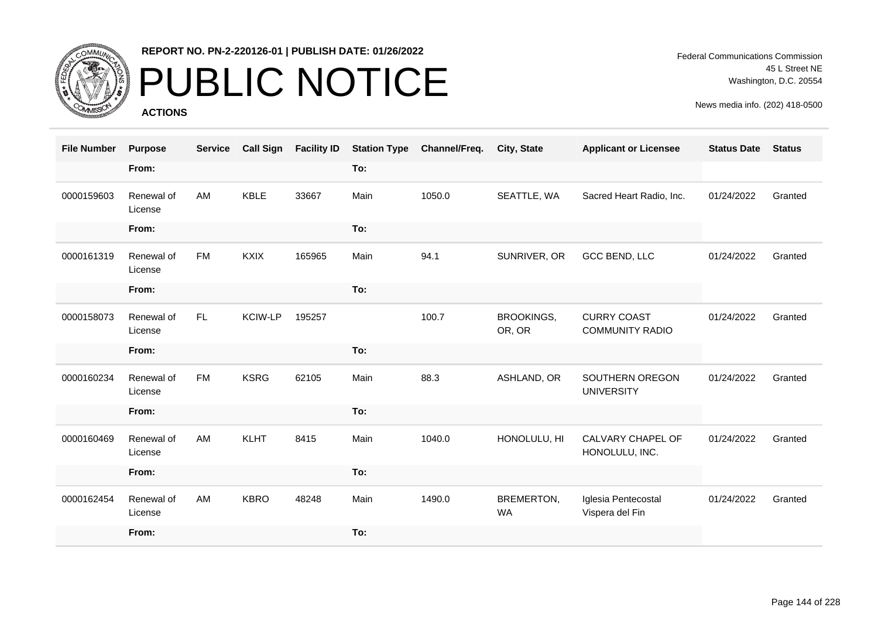

## PUBLIC NOTICE

**ACTIONS**

Federal Communications Commission 45 L Street NE Washington, D.C. 20554

| <b>File Number</b> | <b>Purpose</b>        | <b>Service</b> | <b>Call Sign</b> | <b>Facility ID</b> | <b>Station Type</b> | Channel/Freq. | City, State                 | <b>Applicant or Licensee</b>                 | <b>Status Date</b> | <b>Status</b> |
|--------------------|-----------------------|----------------|------------------|--------------------|---------------------|---------------|-----------------------------|----------------------------------------------|--------------------|---------------|
|                    | From:                 |                |                  |                    | To:                 |               |                             |                                              |                    |               |
| 0000159603         | Renewal of<br>License | AM             | <b>KBLE</b>      | 33667              | Main                | 1050.0        | SEATTLE, WA                 | Sacred Heart Radio, Inc.                     | 01/24/2022         | Granted       |
|                    | From:                 |                |                  |                    | To:                 |               |                             |                                              |                    |               |
| 0000161319         | Renewal of<br>License | <b>FM</b>      | <b>KXIX</b>      | 165965             | Main                | 94.1          | SUNRIVER, OR                | GCC BEND, LLC                                | 01/24/2022         | Granted       |
|                    | From:                 |                |                  |                    | To:                 |               |                             |                                              |                    |               |
| 0000158073         | Renewal of<br>License | FL.            | <b>KCIW-LP</b>   | 195257             |                     | 100.7         | <b>BROOKINGS,</b><br>OR, OR | <b>CURRY COAST</b><br><b>COMMUNITY RADIO</b> | 01/24/2022         | Granted       |
|                    | From:                 |                |                  |                    | To:                 |               |                             |                                              |                    |               |
| 0000160234         | Renewal of<br>License | <b>FM</b>      | <b>KSRG</b>      | 62105              | Main                | 88.3          | ASHLAND, OR                 | SOUTHERN OREGON<br><b>UNIVERSITY</b>         | 01/24/2022         | Granted       |
|                    | From:                 |                |                  |                    | To:                 |               |                             |                                              |                    |               |
| 0000160469         | Renewal of<br>License | AM             | <b>KLHT</b>      | 8415               | Main                | 1040.0        | HONOLULU, HI                | CALVARY CHAPEL OF<br>HONOLULU, INC.          | 01/24/2022         | Granted       |
|                    | From:                 |                |                  |                    | To:                 |               |                             |                                              |                    |               |
| 0000162454         | Renewal of<br>License | AM             | <b>KBRO</b>      | 48248              | Main                | 1490.0        | BREMERTON,<br><b>WA</b>     | Iglesia Pentecostal<br>Vispera del Fin       | 01/24/2022         | Granted       |
|                    | From:                 |                |                  |                    | To:                 |               |                             |                                              |                    |               |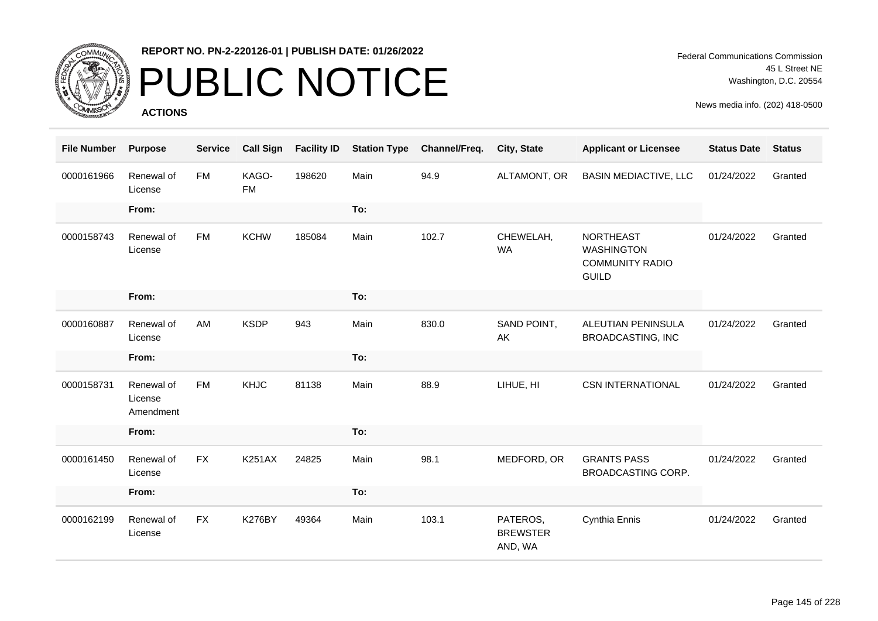

### PUBLIC NOTICE

**ACTIONS**

| <b>File Number</b> | <b>Purpose</b>                     | <b>Service</b> | <b>Call Sign</b>   | <b>Facility ID</b> | <b>Station Type</b> | Channel/Freq. | City, State                            | <b>Applicant or Licensee</b>                                                    | <b>Status Date</b> | <b>Status</b> |
|--------------------|------------------------------------|----------------|--------------------|--------------------|---------------------|---------------|----------------------------------------|---------------------------------------------------------------------------------|--------------------|---------------|
| 0000161966         | Renewal of<br>License              | <b>FM</b>      | KAGO-<br><b>FM</b> | 198620             | Main                | 94.9          | ALTAMONT, OR                           | <b>BASIN MEDIACTIVE, LLC</b>                                                    | 01/24/2022         | Granted       |
|                    | From:                              |                |                    |                    | To:                 |               |                                        |                                                                                 |                    |               |
| 0000158743         | Renewal of<br>License              | <b>FM</b>      | <b>KCHW</b>        | 185084             | Main                | 102.7         | CHEWELAH,<br><b>WA</b>                 | <b>NORTHEAST</b><br><b>WASHINGTON</b><br><b>COMMUNITY RADIO</b><br><b>GUILD</b> | 01/24/2022         | Granted       |
|                    | From:                              |                |                    |                    | To:                 |               |                                        |                                                                                 |                    |               |
| 0000160887         | Renewal of<br>License              | AM             | <b>KSDP</b>        | 943                | Main                | 830.0         | SAND POINT,<br>AK                      | ALEUTIAN PENINSULA<br><b>BROADCASTING, INC</b>                                  | 01/24/2022         | Granted       |
|                    | From:                              |                |                    |                    | To:                 |               |                                        |                                                                                 |                    |               |
| 0000158731         | Renewal of<br>License<br>Amendment | <b>FM</b>      | <b>KHJC</b>        | 81138              | Main                | 88.9          | LIHUE, HI                              | <b>CSN INTERNATIONAL</b>                                                        | 01/24/2022         | Granted       |
|                    | From:                              |                |                    |                    | To:                 |               |                                        |                                                                                 |                    |               |
| 0000161450         | Renewal of<br>License              | <b>FX</b>      | <b>K251AX</b>      | 24825              | Main                | 98.1          | MEDFORD, OR                            | <b>GRANTS PASS</b><br><b>BROADCASTING CORP.</b>                                 | 01/24/2022         | Granted       |
|                    | From:                              |                |                    |                    | To:                 |               |                                        |                                                                                 |                    |               |
| 0000162199         | Renewal of<br>License              | <b>FX</b>      | <b>K276BY</b>      | 49364              | Main                | 103.1         | PATEROS,<br><b>BREWSTER</b><br>AND, WA | Cynthia Ennis                                                                   | 01/24/2022         | Granted       |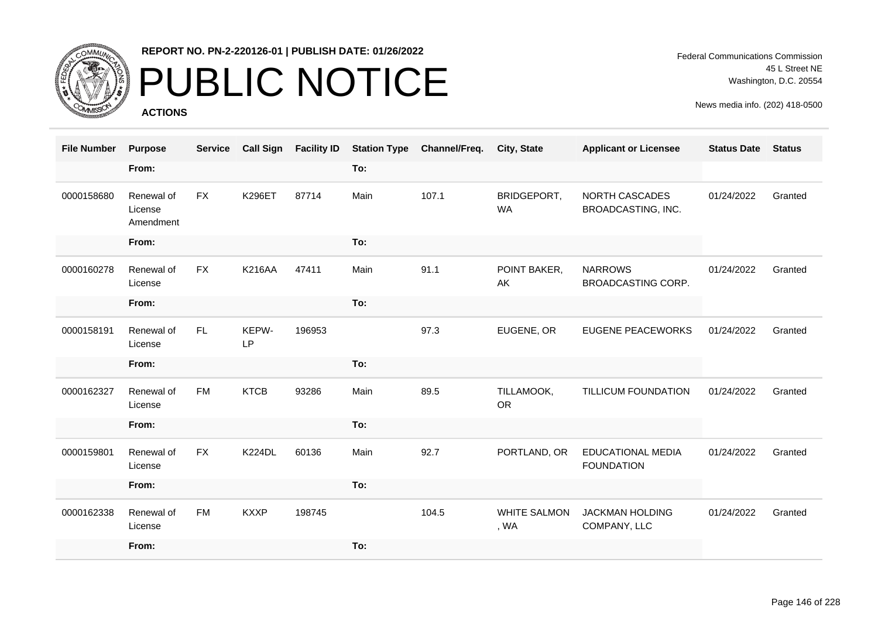

# PUBLIC NOTICE

**ACTIONS**

| <b>File Number</b> | <b>Purpose</b>                     | <b>Service</b> | <b>Call Sign</b>   | <b>Facility ID</b> | <b>Station Type</b> | Channel/Freq. | City, State                 | <b>Applicant or Licensee</b>                  | <b>Status Date</b> | <b>Status</b> |
|--------------------|------------------------------------|----------------|--------------------|--------------------|---------------------|---------------|-----------------------------|-----------------------------------------------|--------------------|---------------|
|                    | From:                              |                |                    |                    | To:                 |               |                             |                                               |                    |               |
| 0000158680         | Renewal of<br>License<br>Amendment | FX             | <b>K296ET</b>      | 87714              | Main                | 107.1         | BRIDGEPORT,<br><b>WA</b>    | NORTH CASCADES<br>BROADCASTING, INC.          | 01/24/2022         | Granted       |
|                    | From:                              |                |                    |                    | To:                 |               |                             |                                               |                    |               |
| 0000160278         | Renewal of<br>License              | <b>FX</b>      | <b>K216AA</b>      | 47411              | Main                | 91.1          | POINT BAKER,<br>AK          | <b>NARROWS</b><br>BROADCASTING CORP.          | 01/24/2022         | Granted       |
|                    | From:                              |                |                    |                    | To:                 |               |                             |                                               |                    |               |
| 0000158191         | Renewal of<br>License              | FL.            | KEPW-<br><b>LP</b> | 196953             |                     | 97.3          | EUGENE, OR                  | <b>EUGENE PEACEWORKS</b>                      | 01/24/2022         | Granted       |
|                    | From:                              |                |                    |                    | To:                 |               |                             |                                               |                    |               |
| 0000162327         | Renewal of<br>License              | <b>FM</b>      | <b>KTCB</b>        | 93286              | Main                | 89.5          | TILLAMOOK,<br><b>OR</b>     | TILLICUM FOUNDATION                           | 01/24/2022         | Granted       |
|                    | From:                              |                |                    |                    | To:                 |               |                             |                                               |                    |               |
| 0000159801         | Renewal of<br>License              | <b>FX</b>      | <b>K224DL</b>      | 60136              | Main                | 92.7          | PORTLAND, OR                | <b>EDUCATIONAL MEDIA</b><br><b>FOUNDATION</b> | 01/24/2022         | Granted       |
|                    | From:                              |                |                    |                    | To:                 |               |                             |                                               |                    |               |
| 0000162338         | Renewal of<br>License              | <b>FM</b>      | <b>KXXP</b>        | 198745             |                     | 104.5         | <b>WHITE SALMON</b><br>, WA | <b>JACKMAN HOLDING</b><br>COMPANY, LLC        | 01/24/2022         | Granted       |
|                    | From:                              |                |                    |                    | To:                 |               |                             |                                               |                    |               |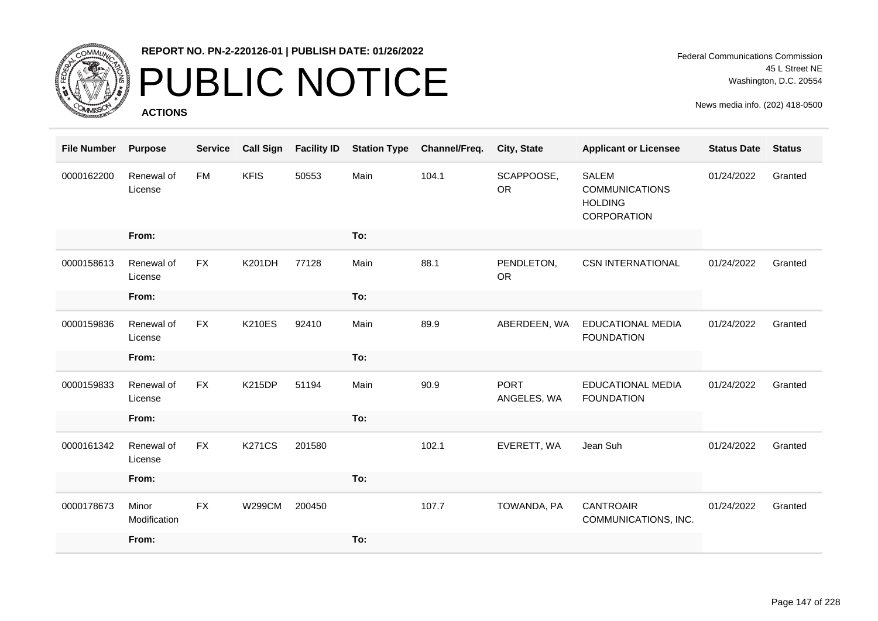

## PUBLIC NOTICE

**ACTIONS**

| <b>File Number</b> | <b>Purpose</b>        | <b>Service</b> | <b>Call Sign</b> | <b>Facility ID</b> | <b>Station Type</b> | Channel/Freq. | <b>City, State</b>         | <b>Applicant or Licensee</b>                                           | <b>Status Date</b> | <b>Status</b> |
|--------------------|-----------------------|----------------|------------------|--------------------|---------------------|---------------|----------------------------|------------------------------------------------------------------------|--------------------|---------------|
| 0000162200         | Renewal of<br>License | <b>FM</b>      | <b>KFIS</b>      | 50553              | Main                | 104.1         | SCAPPOOSE,<br><b>OR</b>    | <b>SALEM</b><br><b>COMMUNICATIONS</b><br><b>HOLDING</b><br>CORPORATION | 01/24/2022         | Granted       |
|                    | From:                 |                |                  |                    | To:                 |               |                            |                                                                        |                    |               |
| 0000158613         | Renewal of<br>License | <b>FX</b>      | <b>K201DH</b>    | 77128              | Main                | 88.1          | PENDLETON,<br><b>OR</b>    | <b>CSN INTERNATIONAL</b>                                               | 01/24/2022         | Granted       |
|                    | From:                 |                |                  |                    | To:                 |               |                            |                                                                        |                    |               |
| 0000159836         | Renewal of<br>License | <b>FX</b>      | <b>K210ES</b>    | 92410              | Main                | 89.9          | ABERDEEN, WA               | <b>EDUCATIONAL MEDIA</b><br><b>FOUNDATION</b>                          | 01/24/2022         | Granted       |
|                    | From:                 |                |                  |                    | To:                 |               |                            |                                                                        |                    |               |
| 0000159833         | Renewal of<br>License | <b>FX</b>      | <b>K215DP</b>    | 51194              | Main                | 90.9          | <b>PORT</b><br>ANGELES, WA | <b>EDUCATIONAL MEDIA</b><br><b>FOUNDATION</b>                          | 01/24/2022         | Granted       |
|                    | From:                 |                |                  |                    | To:                 |               |                            |                                                                        |                    |               |
| 0000161342         | Renewal of<br>License | <b>FX</b>      | <b>K271CS</b>    | 201580             |                     | 102.1         | EVERETT, WA                | Jean Suh                                                               | 01/24/2022         | Granted       |
|                    | From:                 |                |                  |                    | To:                 |               |                            |                                                                        |                    |               |
| 0000178673         | Minor<br>Modification | <b>FX</b>      | <b>W299CM</b>    | 200450             |                     | 107.7         | TOWANDA, PA                | <b>CANTROAIR</b><br>COMMUNICATIONS, INC.                               | 01/24/2022         | Granted       |
|                    | From:                 |                |                  |                    | To:                 |               |                            |                                                                        |                    |               |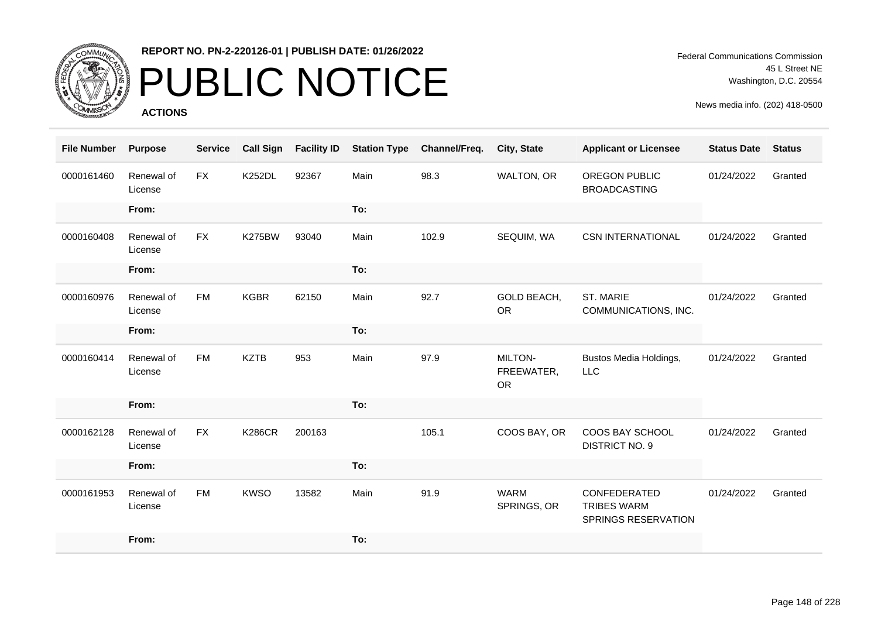

## PUBLIC NOTICE

**ACTIONS**

Federal Communications Commission 45 L Street NE Washington, D.C. 20554

| <b>File Number</b> | <b>Purpose</b>        | <b>Service</b> | <b>Call Sign</b> | <b>Facility ID</b> | <b>Station Type</b> | Channel/Freq. | City, State                        | <b>Applicant or Licensee</b>                              | <b>Status Date</b> | <b>Status</b> |
|--------------------|-----------------------|----------------|------------------|--------------------|---------------------|---------------|------------------------------------|-----------------------------------------------------------|--------------------|---------------|
| 0000161460         | Renewal of<br>License | <b>FX</b>      | <b>K252DL</b>    | 92367              | Main                | 98.3          | WALTON, OR                         | OREGON PUBLIC<br><b>BROADCASTING</b>                      | 01/24/2022         | Granted       |
|                    | From:                 |                |                  |                    | To:                 |               |                                    |                                                           |                    |               |
| 0000160408         | Renewal of<br>License | <b>FX</b>      | <b>K275BW</b>    | 93040              | Main                | 102.9         | SEQUIM, WA                         | <b>CSN INTERNATIONAL</b>                                  | 01/24/2022         | Granted       |
|                    | From:                 |                |                  |                    | To:                 |               |                                    |                                                           |                    |               |
| 0000160976         | Renewal of<br>License | <b>FM</b>      | <b>KGBR</b>      | 62150              | Main                | 92.7          | GOLD BEACH,<br><b>OR</b>           | ST. MARIE<br>COMMUNICATIONS, INC.                         | 01/24/2022         | Granted       |
|                    | From:                 |                |                  |                    | To:                 |               |                                    |                                                           |                    |               |
| 0000160414         | Renewal of<br>License | <b>FM</b>      | <b>KZTB</b>      | 953                | Main                | 97.9          | MILTON-<br>FREEWATER,<br><b>OR</b> | Bustos Media Holdings,<br><b>LLC</b>                      | 01/24/2022         | Granted       |
|                    | From:                 |                |                  |                    | To:                 |               |                                    |                                                           |                    |               |
| 0000162128         | Renewal of<br>License | <b>FX</b>      | <b>K286CR</b>    | 200163             |                     | 105.1         | COOS BAY, OR                       | COOS BAY SCHOOL<br><b>DISTRICT NO. 9</b>                  | 01/24/2022         | Granted       |
|                    | From:                 |                |                  |                    | To:                 |               |                                    |                                                           |                    |               |
| 0000161953         | Renewal of<br>License | <b>FM</b>      | <b>KWSO</b>      | 13582              | Main                | 91.9          | <b>WARM</b><br>SPRINGS, OR         | CONFEDERATED<br><b>TRIBES WARM</b><br>SPRINGS RESERVATION | 01/24/2022         | Granted       |
|                    | From:                 |                |                  |                    | To:                 |               |                                    |                                                           |                    |               |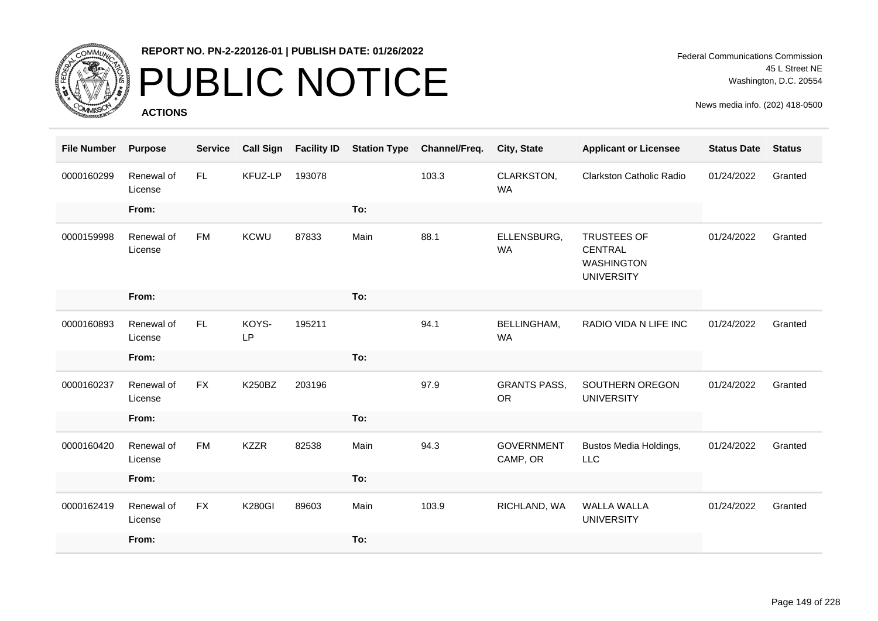

# PUBLIC NOTICE

**ACTIONS**

Federal Communications Commission 45 L Street NE Washington, D.C. 20554

| <b>File Number</b> | <b>Purpose</b>        | <b>Service</b> | <b>Call Sign</b>   | <b>Facility ID</b> | <b>Station Type</b> | Channel/Freq. | City, State                      | <b>Applicant or Licensee</b>                                            | <b>Status Date</b> | <b>Status</b> |
|--------------------|-----------------------|----------------|--------------------|--------------------|---------------------|---------------|----------------------------------|-------------------------------------------------------------------------|--------------------|---------------|
| 0000160299         | Renewal of<br>License | FL.            | KFUZ-LP            | 193078             |                     | 103.3         | CLARKSTON,<br><b>WA</b>          | <b>Clarkston Catholic Radio</b>                                         | 01/24/2022         | Granted       |
|                    | From:                 |                |                    |                    | To:                 |               |                                  |                                                                         |                    |               |
| 0000159998         | Renewal of<br>License | <b>FM</b>      | <b>KCWU</b>        | 87833              | Main                | 88.1          | ELLENSBURG,<br><b>WA</b>         | <b>TRUSTEES OF</b><br>CENTRAL<br><b>WASHINGTON</b><br><b>UNIVERSITY</b> | 01/24/2022         | Granted       |
|                    | From:                 |                |                    |                    | To:                 |               |                                  |                                                                         |                    |               |
| 0000160893         | Renewal of<br>License | FL.            | KOYS-<br><b>LP</b> | 195211             |                     | 94.1          | <b>BELLINGHAM,</b><br><b>WA</b>  | RADIO VIDA N LIFE INC                                                   | 01/24/2022         | Granted       |
|                    | From:                 |                |                    |                    | To:                 |               |                                  |                                                                         |                    |               |
| 0000160237         | Renewal of<br>License | <b>FX</b>      | K250BZ             | 203196             |                     | 97.9          | <b>GRANTS PASS,</b><br><b>OR</b> | SOUTHERN OREGON<br><b>UNIVERSITY</b>                                    | 01/24/2022         | Granted       |
|                    | From:                 |                |                    |                    | To:                 |               |                                  |                                                                         |                    |               |
| 0000160420         | Renewal of<br>License | <b>FM</b>      | <b>KZZR</b>        | 82538              | Main                | 94.3          | <b>GOVERNMENT</b><br>CAMP, OR    | Bustos Media Holdings,<br>LLC                                           | 01/24/2022         | Granted       |
|                    | From:                 |                |                    |                    | To:                 |               |                                  |                                                                         |                    |               |
| 0000162419         | Renewal of<br>License | <b>FX</b>      | <b>K280GI</b>      | 89603              | Main                | 103.9         | RICHLAND, WA                     | <b>WALLA WALLA</b><br><b>UNIVERSITY</b>                                 | 01/24/2022         | Granted       |
|                    | From:                 |                |                    |                    | To:                 |               |                                  |                                                                         |                    |               |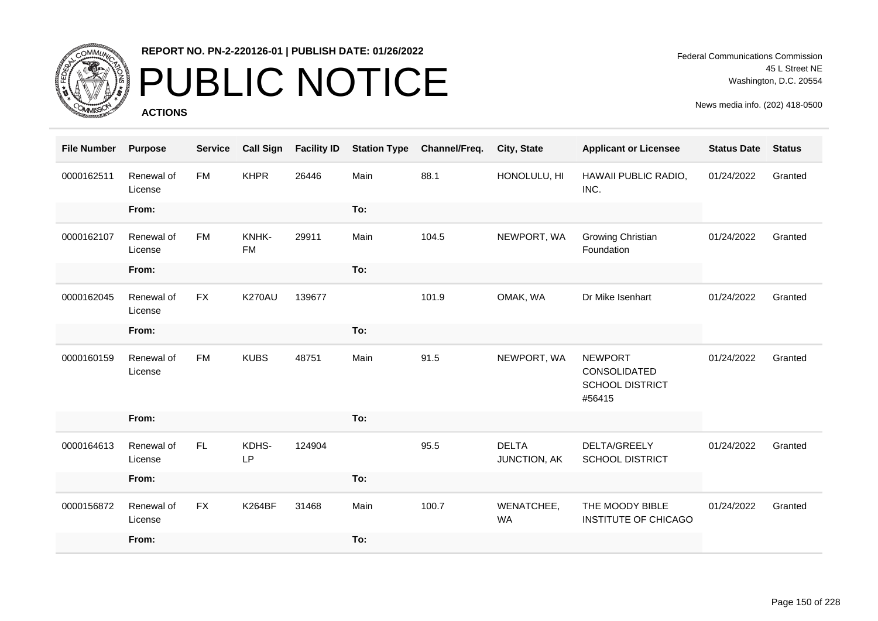

# PUBLIC NOTICE

**ACTIONS**

Federal Communications Commission 45 L Street NE Washington, D.C. 20554

| <b>File Number</b> | <b>Purpose</b>        | <b>Service</b> | <b>Call Sign</b>   | <b>Facility ID</b> | <b>Station Type</b> | Channel/Freq. | City, State                  | <b>Applicant or Licensee</b>                                       | <b>Status Date</b> | <b>Status</b> |
|--------------------|-----------------------|----------------|--------------------|--------------------|---------------------|---------------|------------------------------|--------------------------------------------------------------------|--------------------|---------------|
| 0000162511         | Renewal of<br>License | <b>FM</b>      | <b>KHPR</b>        | 26446              | Main                | 88.1          | HONOLULU, HI                 | HAWAII PUBLIC RADIO,<br>INC.                                       | 01/24/2022         | Granted       |
|                    | From:                 |                |                    |                    | To:                 |               |                              |                                                                    |                    |               |
| 0000162107         | Renewal of<br>License | <b>FM</b>      | KNHK-<br><b>FM</b> | 29911              | Main                | 104.5         | NEWPORT, WA                  | <b>Growing Christian</b><br>Foundation                             | 01/24/2022         | Granted       |
|                    | From:                 |                |                    |                    | To:                 |               |                              |                                                                    |                    |               |
| 0000162045         | Renewal of<br>License | <b>FX</b>      | <b>K270AU</b>      | 139677             |                     | 101.9         | OMAK, WA                     | Dr Mike Isenhart                                                   | 01/24/2022         | Granted       |
|                    | From:                 |                |                    |                    | To:                 |               |                              |                                                                    |                    |               |
| 0000160159         | Renewal of<br>License | <b>FM</b>      | <b>KUBS</b>        | 48751              | Main                | 91.5          | NEWPORT, WA                  | <b>NEWPORT</b><br>CONSOLIDATED<br><b>SCHOOL DISTRICT</b><br>#56415 | 01/24/2022         | Granted       |
|                    | From:                 |                |                    |                    | To:                 |               |                              |                                                                    |                    |               |
| 0000164613         | Renewal of<br>License | FL             | KDHS-<br>LP        | 124904             |                     | 95.5          | <b>DELTA</b><br>JUNCTION, AK | DELTA/GREELY<br><b>SCHOOL DISTRICT</b>                             | 01/24/2022         | Granted       |
|                    | From:                 |                |                    |                    | To:                 |               |                              |                                                                    |                    |               |
| 0000156872         | Renewal of<br>License | <b>FX</b>      | <b>K264BF</b>      | 31468              | Main                | 100.7         | WENATCHEE,<br><b>WA</b>      | THE MOODY BIBLE<br><b>INSTITUTE OF CHICAGO</b>                     | 01/24/2022         | Granted       |
|                    | From:                 |                |                    |                    | To:                 |               |                              |                                                                    |                    |               |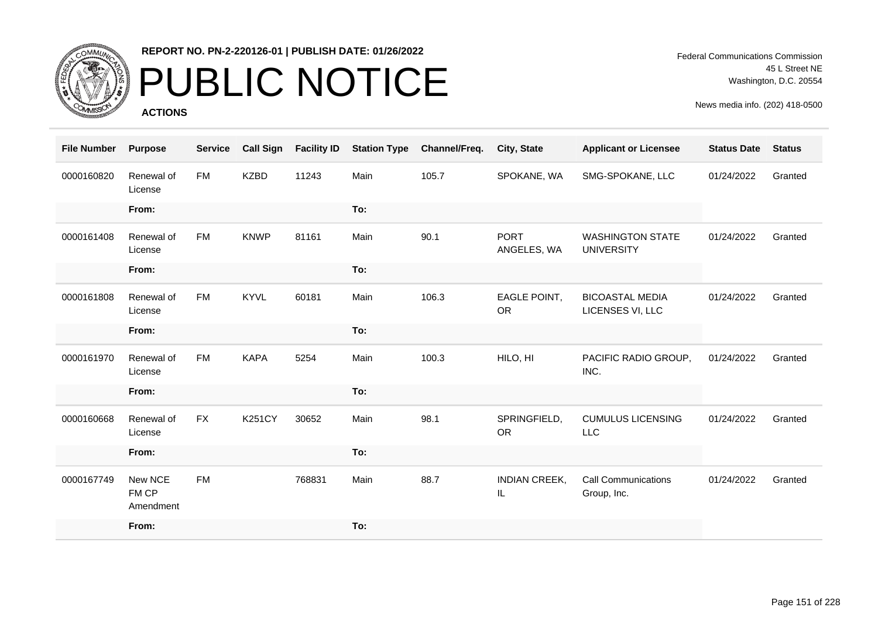

## PUBLIC NOTICE

**ACTIONS**

| <b>File Number</b> | <b>Purpose</b>                | <b>Service</b> | <b>Call Sign</b> | <b>Facility ID</b> | <b>Station Type</b> | Channel/Freq. | City, State                | <b>Applicant or Licensee</b>                 | <b>Status Date</b> | <b>Status</b> |
|--------------------|-------------------------------|----------------|------------------|--------------------|---------------------|---------------|----------------------------|----------------------------------------------|--------------------|---------------|
| 0000160820         | Renewal of<br>License         | FM             | <b>KZBD</b>      | 11243              | Main                | 105.7         | SPOKANE, WA                | SMG-SPOKANE, LLC                             | 01/24/2022         | Granted       |
|                    | From:                         |                |                  |                    | To:                 |               |                            |                                              |                    |               |
| 0000161408         | Renewal of<br>License         | <b>FM</b>      | <b>KNWP</b>      | 81161              | Main                | 90.1          | <b>PORT</b><br>ANGELES, WA | <b>WASHINGTON STATE</b><br><b>UNIVERSITY</b> | 01/24/2022         | Granted       |
|                    | From:                         |                |                  |                    | To:                 |               |                            |                                              |                    |               |
| 0000161808         | Renewal of<br>License         | <b>FM</b>      | <b>KYVL</b>      | 60181              | Main                | 106.3         | EAGLE POINT,<br><b>OR</b>  | <b>BICOASTAL MEDIA</b><br>LICENSES VI, LLC   | 01/24/2022         | Granted       |
|                    | From:                         |                |                  |                    | To:                 |               |                            |                                              |                    |               |
| 0000161970         | Renewal of<br>License         | <b>FM</b>      | <b>KAPA</b>      | 5254               | Main                | 100.3         | HILO, HI                   | PACIFIC RADIO GROUP,<br>INC.                 | 01/24/2022         | Granted       |
|                    | From:                         |                |                  |                    | To:                 |               |                            |                                              |                    |               |
| 0000160668         | Renewal of<br>License         | <b>FX</b>      | <b>K251CY</b>    | 30652              | Main                | 98.1          | SPRINGFIELD,<br><b>OR</b>  | <b>CUMULUS LICENSING</b><br>LLC              | 01/24/2022         | Granted       |
|                    | From:                         |                |                  |                    | To:                 |               |                            |                                              |                    |               |
| 0000167749         | New NCE<br>FM CP<br>Amendment | <b>FM</b>      |                  | 768831             | Main                | 88.7          | <b>INDIAN CREEK,</b><br>IL | <b>Call Communications</b><br>Group, Inc.    | 01/24/2022         | Granted       |
|                    | From:                         |                |                  |                    | To:                 |               |                            |                                              |                    |               |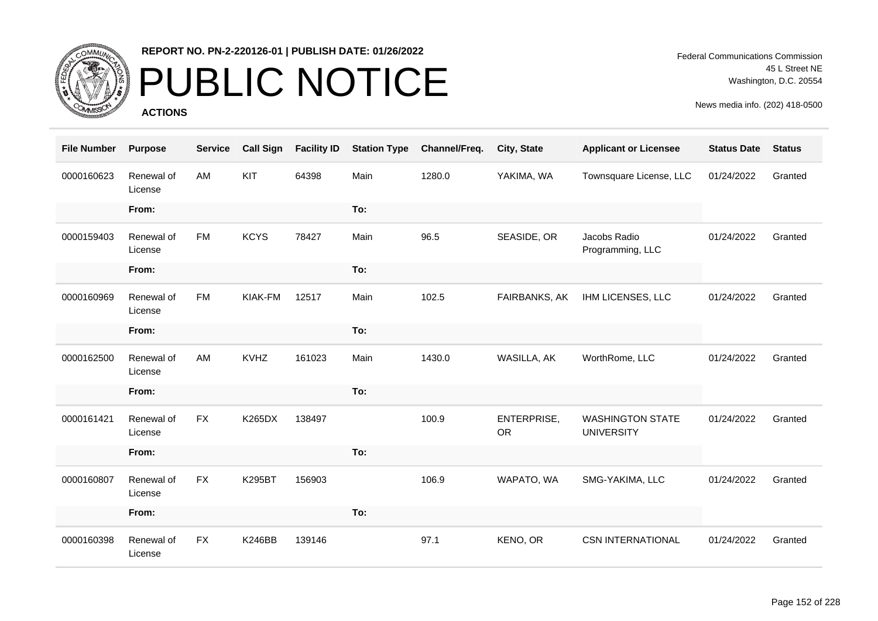

# PUBLIC NOTICE

**ACTIONS**

| <b>File Number</b> | <b>Purpose</b>        | <b>Service</b> | <b>Call Sign</b> | <b>Facility ID</b> | <b>Station Type</b> | Channel/Freq. | City, State              | <b>Applicant or Licensee</b>                 | <b>Status Date</b> | <b>Status</b> |
|--------------------|-----------------------|----------------|------------------|--------------------|---------------------|---------------|--------------------------|----------------------------------------------|--------------------|---------------|
| 0000160623         | Renewal of<br>License | AM             | <b>KIT</b>       | 64398              | Main                | 1280.0        | YAKIMA, WA               | Townsquare License, LLC                      | 01/24/2022         | Granted       |
|                    | From:                 |                |                  |                    | To:                 |               |                          |                                              |                    |               |
| 0000159403         | Renewal of<br>License | <b>FM</b>      | <b>KCYS</b>      | 78427              | Main                | 96.5          | SEASIDE, OR              | Jacobs Radio<br>Programming, LLC             | 01/24/2022         | Granted       |
|                    | From:                 |                |                  |                    | To:                 |               |                          |                                              |                    |               |
| 0000160969         | Renewal of<br>License | <b>FM</b>      | KIAK-FM          | 12517              | Main                | 102.5         | FAIRBANKS, AK            | IHM LICENSES, LLC                            | 01/24/2022         | Granted       |
|                    | From:                 |                |                  |                    | To:                 |               |                          |                                              |                    |               |
| 0000162500         | Renewal of<br>License | AM             | <b>KVHZ</b>      | 161023             | Main                | 1430.0        | WASILLA, AK              | WorthRome, LLC                               | 01/24/2022         | Granted       |
|                    | From:                 |                |                  |                    | To:                 |               |                          |                                              |                    |               |
| 0000161421         | Renewal of<br>License | <b>FX</b>      | <b>K265DX</b>    | 138497             |                     | 100.9         | ENTERPRISE,<br><b>OR</b> | <b>WASHINGTON STATE</b><br><b>UNIVERSITY</b> | 01/24/2022         | Granted       |
|                    | From:                 |                |                  |                    | To:                 |               |                          |                                              |                    |               |
| 0000160807         | Renewal of<br>License | <b>FX</b>      | <b>K295BT</b>    | 156903             |                     | 106.9         | WAPATO, WA               | SMG-YAKIMA, LLC                              | 01/24/2022         | Granted       |
|                    | From:                 |                |                  |                    | To:                 |               |                          |                                              |                    |               |
| 0000160398         | Renewal of<br>License | <b>FX</b>      | <b>K246BB</b>    | 139146             |                     | 97.1          | KENO, OR                 | <b>CSN INTERNATIONAL</b>                     | 01/24/2022         | Granted       |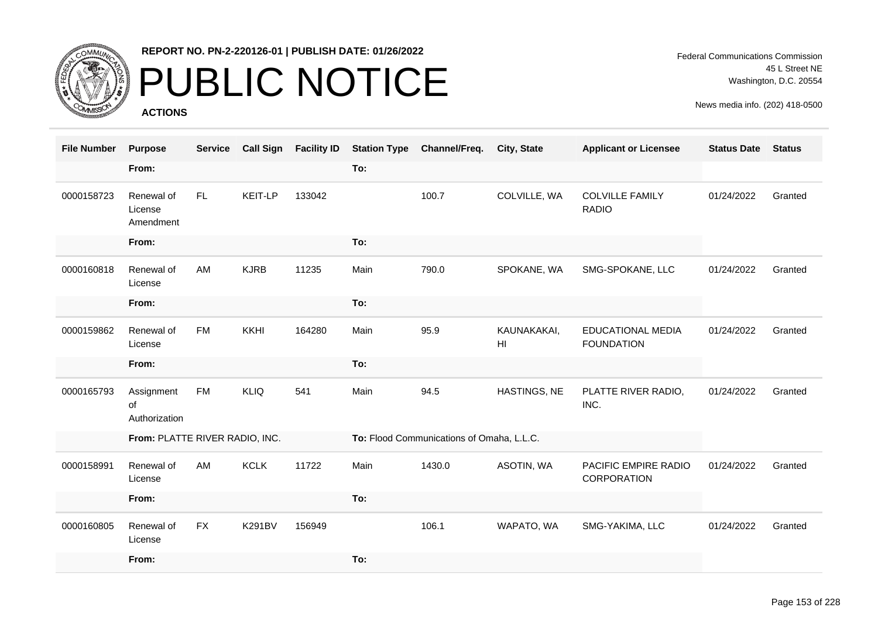

# PUBLIC NOTICE

**ACTIONS**

Federal Communications Commission 45 L Street NE Washington, D.C. 20554

| <b>File Number</b> | <b>Purpose</b>                     | <b>Service</b> | <b>Call Sign</b> | <b>Facility ID</b> | <b>Station Type</b> | Channel/Freq.                             | <b>City, State</b>             | <b>Applicant or Licensee</b>                  | <b>Status Date</b> | <b>Status</b> |
|--------------------|------------------------------------|----------------|------------------|--------------------|---------------------|-------------------------------------------|--------------------------------|-----------------------------------------------|--------------------|---------------|
|                    | From:                              |                |                  |                    | To:                 |                                           |                                |                                               |                    |               |
| 0000158723         | Renewal of<br>License<br>Amendment | FL.            | KEIT-LP          | 133042             |                     | 100.7                                     | COLVILLE, WA                   | <b>COLVILLE FAMILY</b><br><b>RADIO</b>        | 01/24/2022         | Granted       |
|                    | From:                              |                |                  |                    | To:                 |                                           |                                |                                               |                    |               |
| 0000160818         | Renewal of<br>License              | <b>AM</b>      | <b>KJRB</b>      | 11235              | Main                | 790.0                                     | SPOKANE, WA                    | SMG-SPOKANE, LLC                              | 01/24/2022         | Granted       |
|                    | From:                              |                |                  |                    | To:                 |                                           |                                |                                               |                    |               |
| 0000159862         | Renewal of<br>License              | <b>FM</b>      | KKHI             | 164280             | Main                | 95.9                                      | KAUNAKAKAI,<br>H <sub>II</sub> | <b>EDUCATIONAL MEDIA</b><br><b>FOUNDATION</b> | 01/24/2022         | Granted       |
|                    | From:                              |                |                  |                    | To:                 |                                           |                                |                                               |                    |               |
| 0000165793         | Assignment<br>of<br>Authorization  | <b>FM</b>      | <b>KLIQ</b>      | 541                | Main                | 94.5                                      | HASTINGS, NE                   | PLATTE RIVER RADIO,<br>INC.                   | 01/24/2022         | Granted       |
|                    | From: PLATTE RIVER RADIO, INC.     |                |                  |                    |                     | To: Flood Communications of Omaha, L.L.C. |                                |                                               |                    |               |
| 0000158991         | Renewal of<br>License              | AM             | <b>KCLK</b>      | 11722              | Main                | 1430.0                                    | ASOTIN, WA                     | PACIFIC EMPIRE RADIO<br>CORPORATION           | 01/24/2022         | Granted       |
|                    | From:                              |                |                  |                    | To:                 |                                           |                                |                                               |                    |               |
| 0000160805         | Renewal of<br>License              | <b>FX</b>      | <b>K291BV</b>    | 156949             |                     | 106.1                                     | WAPATO, WA                     | SMG-YAKIMA, LLC                               | 01/24/2022         | Granted       |
|                    | From:                              |                |                  |                    | To:                 |                                           |                                |                                               |                    |               |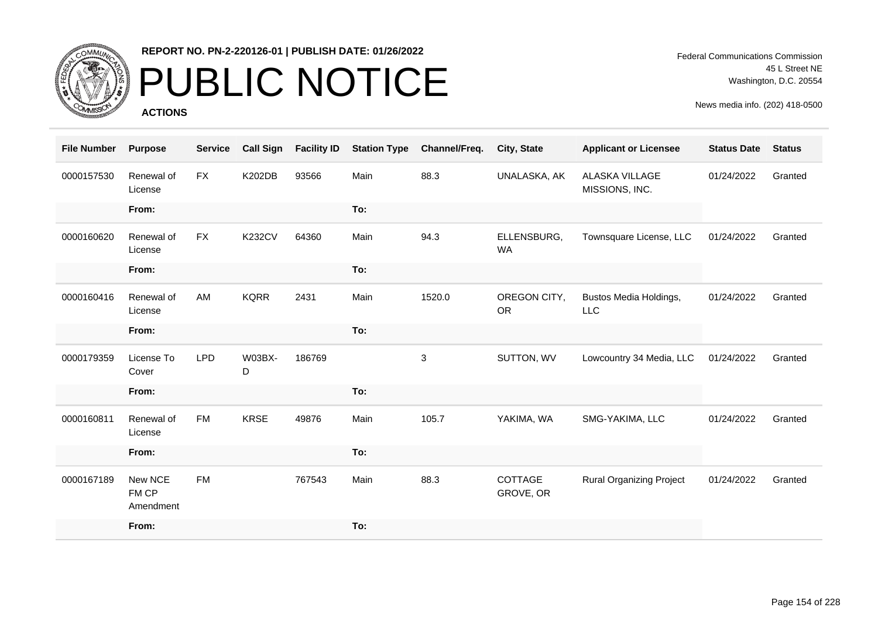

# PUBLIC NOTICE

**ACTIONS**

Federal Communications Commission 45 L Street NE Washington, D.C. 20554

| <b>File Number</b> | <b>Purpose</b>                | <b>Service</b> | <b>Call Sign</b> | <b>Facility ID</b> | <b>Station Type</b> | Channel/Freq. | City, State               | <b>Applicant or Licensee</b>            | <b>Status Date</b> | <b>Status</b> |
|--------------------|-------------------------------|----------------|------------------|--------------------|---------------------|---------------|---------------------------|-----------------------------------------|--------------------|---------------|
| 0000157530         | Renewal of<br>License         | <b>FX</b>      | <b>K202DB</b>    | 93566              | Main                | 88.3          | UNALASKA, AK              | <b>ALASKA VILLAGE</b><br>MISSIONS, INC. | 01/24/2022         | Granted       |
|                    | From:                         |                |                  |                    | To:                 |               |                           |                                         |                    |               |
| 0000160620         | Renewal of<br>License         | <b>FX</b>      | <b>K232CV</b>    | 64360              | Main                | 94.3          | ELLENSBURG,<br><b>WA</b>  | Townsquare License, LLC                 | 01/24/2022         | Granted       |
|                    | From:                         |                |                  |                    | To:                 |               |                           |                                         |                    |               |
| 0000160416         | Renewal of<br>License         | AM             | <b>KQRR</b>      | 2431               | Main                | 1520.0        | OREGON CITY,<br><b>OR</b> | Bustos Media Holdings,<br><b>LLC</b>    | 01/24/2022         | Granted       |
|                    | From:                         |                |                  |                    | To:                 |               |                           |                                         |                    |               |
| 0000179359         | License To<br>Cover           | <b>LPD</b>     | W03BX-<br>D      | 186769             |                     | 3             | SUTTON, WV                | Lowcountry 34 Media, LLC                | 01/24/2022         | Granted       |
|                    | From:                         |                |                  |                    | To:                 |               |                           |                                         |                    |               |
| 0000160811         | Renewal of<br>License         | <b>FM</b>      | <b>KRSE</b>      | 49876              | Main                | 105.7         | YAKIMA, WA                | SMG-YAKIMA, LLC                         | 01/24/2022         | Granted       |
|                    | From:                         |                |                  |                    | To:                 |               |                           |                                         |                    |               |
| 0000167189         | New NCE<br>FM CP<br>Amendment | <b>FM</b>      |                  | 767543             | Main                | 88.3          | COTTAGE<br>GROVE, OR      | <b>Rural Organizing Project</b>         | 01/24/2022         | Granted       |
|                    | From:                         |                |                  |                    | To:                 |               |                           |                                         |                    |               |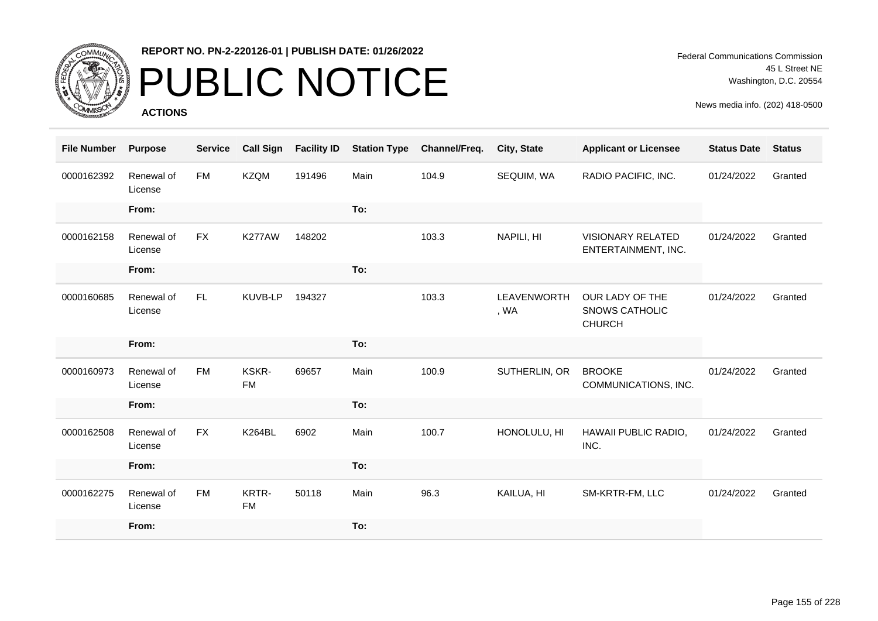

## PUBLIC NOTICE

**ACTIONS**

| <b>File Number</b> | <b>Purpose</b>        | <b>Service</b> | <b>Call Sign</b>   | <b>Facility ID</b> | <b>Station Type</b> | Channel/Freq. | City, State         | <b>Applicant or Licensee</b>                              | <b>Status Date</b> | <b>Status</b> |
|--------------------|-----------------------|----------------|--------------------|--------------------|---------------------|---------------|---------------------|-----------------------------------------------------------|--------------------|---------------|
| 0000162392         | Renewal of<br>License | FM             | <b>KZQM</b>        | 191496             | Main                | 104.9         | SEQUIM, WA          | RADIO PACIFIC, INC.                                       | 01/24/2022         | Granted       |
|                    | From:                 |                |                    |                    | To:                 |               |                     |                                                           |                    |               |
| 0000162158         | Renewal of<br>License | <b>FX</b>      | <b>K277AW</b>      | 148202             |                     | 103.3         | NAPILI, HI          | <b>VISIONARY RELATED</b><br>ENTERTAINMENT, INC.           | 01/24/2022         | Granted       |
|                    | From:                 |                |                    |                    | To:                 |               |                     |                                                           |                    |               |
| 0000160685         | Renewal of<br>License | FL.            | KUVB-LP            | 194327             |                     | 103.3         | LEAVENWORTH<br>, WA | OUR LADY OF THE<br><b>SNOWS CATHOLIC</b><br><b>CHURCH</b> | 01/24/2022         | Granted       |
|                    | From:                 |                |                    |                    | To:                 |               |                     |                                                           |                    |               |
| 0000160973         | Renewal of<br>License | <b>FM</b>      | KSKR-<br><b>FM</b> | 69657              | Main                | 100.9         | SUTHERLIN, OR       | <b>BROOKE</b><br>COMMUNICATIONS, INC.                     | 01/24/2022         | Granted       |
|                    | From:                 |                |                    |                    | To:                 |               |                     |                                                           |                    |               |
| 0000162508         | Renewal of<br>License | <b>FX</b>      | <b>K264BL</b>      | 6902               | Main                | 100.7         | HONOLULU, HI        | HAWAII PUBLIC RADIO,<br>INC.                              | 01/24/2022         | Granted       |
|                    | From:                 |                |                    |                    | To:                 |               |                     |                                                           |                    |               |
| 0000162275         | Renewal of<br>License | <b>FM</b>      | KRTR-<br><b>FM</b> | 50118              | Main                | 96.3          | KAILUA, HI          | SM-KRTR-FM, LLC                                           | 01/24/2022         | Granted       |
|                    | From:                 |                |                    |                    | To:                 |               |                     |                                                           |                    |               |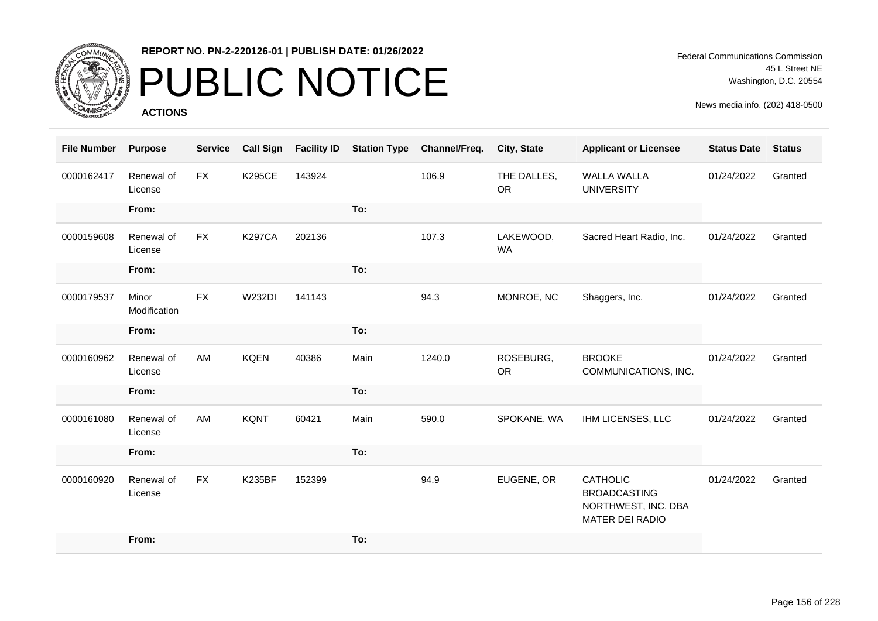

# PUBLIC NOTICE

**ACTIONS**

Federal Communications Commission 45 L Street NE Washington, D.C. 20554

| <b>File Number</b> | <b>Purpose</b>        | <b>Service</b> | <b>Call Sign</b> | <b>Facility ID</b> | <b>Station Type</b> | Channel/Freq. | City, State              | <b>Applicant or Licensee</b>                                                     | <b>Status Date</b> | <b>Status</b> |
|--------------------|-----------------------|----------------|------------------|--------------------|---------------------|---------------|--------------------------|----------------------------------------------------------------------------------|--------------------|---------------|
| 0000162417         | Renewal of<br>License | <b>FX</b>      | <b>K295CE</b>    | 143924             |                     | 106.9         | THE DALLES,<br><b>OR</b> | <b>WALLA WALLA</b><br><b>UNIVERSITY</b>                                          | 01/24/2022         | Granted       |
|                    | From:                 |                |                  |                    | To:                 |               |                          |                                                                                  |                    |               |
| 0000159608         | Renewal of<br>License | <b>FX</b>      | <b>K297CA</b>    | 202136             |                     | 107.3         | LAKEWOOD,<br><b>WA</b>   | Sacred Heart Radio, Inc.                                                         | 01/24/2022         | Granted       |
|                    | From:                 |                |                  |                    | To:                 |               |                          |                                                                                  |                    |               |
| 0000179537         | Minor<br>Modification | <b>FX</b>      | <b>W232DI</b>    | 141143             |                     | 94.3          | MONROE, NC               | Shaggers, Inc.                                                                   | 01/24/2022         | Granted       |
|                    | From:                 |                |                  |                    | To:                 |               |                          |                                                                                  |                    |               |
| 0000160962         | Renewal of<br>License | AM             | <b>KQEN</b>      | 40386              | Main                | 1240.0        | ROSEBURG,<br><b>OR</b>   | <b>BROOKE</b><br>COMMUNICATIONS, INC.                                            | 01/24/2022         | Granted       |
|                    | From:                 |                |                  |                    | To:                 |               |                          |                                                                                  |                    |               |
| 0000161080         | Renewal of<br>License | AM             | <b>KQNT</b>      | 60421              | Main                | 590.0         | SPOKANE, WA              | IHM LICENSES, LLC                                                                | 01/24/2022         | Granted       |
|                    | From:                 |                |                  |                    | To:                 |               |                          |                                                                                  |                    |               |
| 0000160920         | Renewal of<br>License | <b>FX</b>      | <b>K235BF</b>    | 152399             |                     | 94.9          | EUGENE, OR               | <b>CATHOLIC</b><br><b>BROADCASTING</b><br>NORTHWEST, INC. DBA<br>MATER DEI RADIO | 01/24/2022         | Granted       |
|                    | From:                 |                |                  |                    | To:                 |               |                          |                                                                                  |                    |               |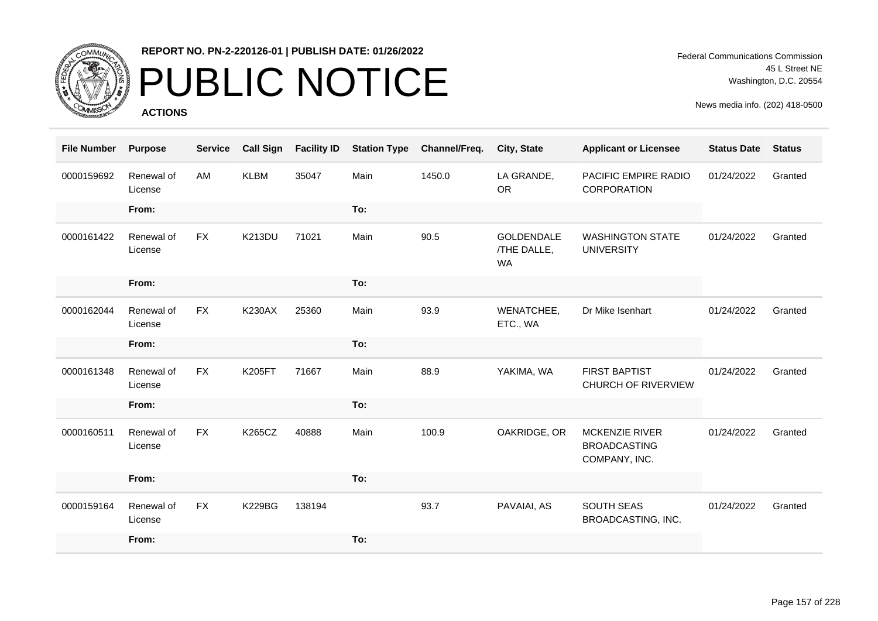

## PUBLIC NOTICE

**ACTIONS**

Federal Communications Commission 45 L Street NE Washington, D.C. 20554

| <b>File Number</b> | <b>Purpose</b>        | <b>Service</b> | <b>Call Sign</b> | <b>Facility ID</b> | <b>Station Type</b> | Channel/Freq. | City, State                                   | <b>Applicant or Licensee</b>                                  | <b>Status Date</b> | <b>Status</b> |
|--------------------|-----------------------|----------------|------------------|--------------------|---------------------|---------------|-----------------------------------------------|---------------------------------------------------------------|--------------------|---------------|
| 0000159692         | Renewal of<br>License | AM             | <b>KLBM</b>      | 35047              | Main                | 1450.0        | LA GRANDE,<br><b>OR</b>                       | <b>PACIFIC EMPIRE RADIO</b><br>CORPORATION                    | 01/24/2022         | Granted       |
|                    | From:                 |                |                  |                    | To:                 |               |                                               |                                                               |                    |               |
| 0000161422         | Renewal of<br>License | <b>FX</b>      | <b>K213DU</b>    | 71021              | Main                | 90.5          | <b>GOLDENDALE</b><br>/THE DALLE,<br><b>WA</b> | <b>WASHINGTON STATE</b><br><b>UNIVERSITY</b>                  | 01/24/2022         | Granted       |
|                    | From:                 |                |                  |                    | To:                 |               |                                               |                                                               |                    |               |
| 0000162044         | Renewal of<br>License | <b>FX</b>      | <b>K230AX</b>    | 25360              | Main                | 93.9          | WENATCHEE,<br>ETC., WA                        | Dr Mike Isenhart                                              | 01/24/2022         | Granted       |
|                    | From:                 |                |                  |                    | To:                 |               |                                               |                                                               |                    |               |
| 0000161348         | Renewal of<br>License | <b>FX</b>      | <b>K205FT</b>    | 71667              | Main                | 88.9          | YAKIMA, WA                                    | <b>FIRST BAPTIST</b><br><b>CHURCH OF RIVERVIEW</b>            | 01/24/2022         | Granted       |
|                    | From:                 |                |                  |                    | To:                 |               |                                               |                                                               |                    |               |
| 0000160511         | Renewal of<br>License | <b>FX</b>      | <b>K265CZ</b>    | 40888              | Main                | 100.9         | OAKRIDGE, OR                                  | <b>MCKENZIE RIVER</b><br><b>BROADCASTING</b><br>COMPANY, INC. | 01/24/2022         | Granted       |
|                    | From:                 |                |                  |                    | To:                 |               |                                               |                                                               |                    |               |
| 0000159164         | Renewal of<br>License | <b>FX</b>      | <b>K229BG</b>    | 138194             |                     | 93.7          | PAVAIAI, AS                                   | <b>SOUTH SEAS</b><br>BROADCASTING, INC.                       | 01/24/2022         | Granted       |
|                    | From:                 |                |                  |                    | To:                 |               |                                               |                                                               |                    |               |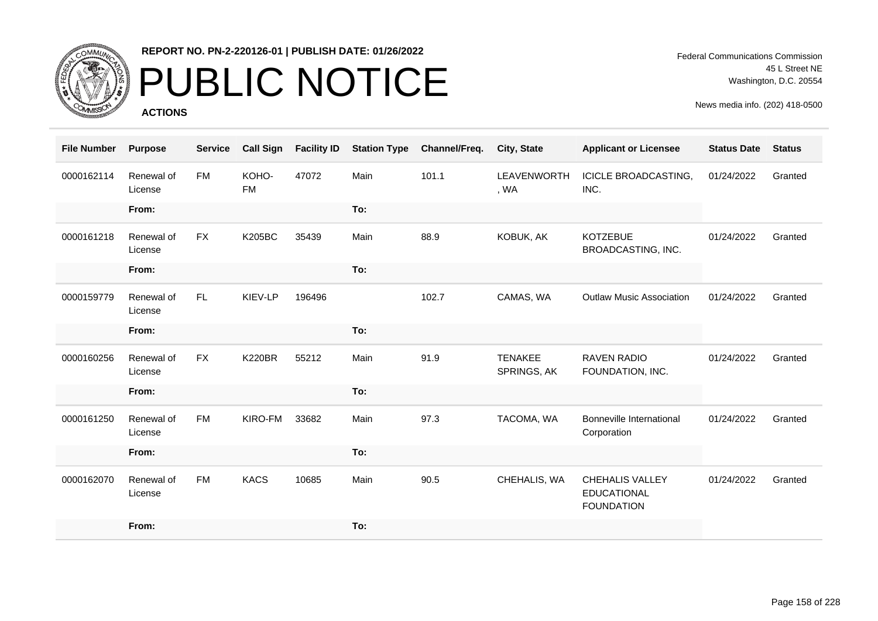

# PUBLIC NOTICE

**ACTIONS**

Federal Communications Commission 45 L Street NE Washington, D.C. 20554

| <b>File Number</b> | <b>Purpose</b>        | <b>Service</b> | <b>Call Sign</b>   | <b>Facility ID</b> | <b>Station Type</b> | Channel/Freq. | <b>City, State</b>            | <b>Applicant or Licensee</b>                                      | <b>Status Date</b> | <b>Status</b> |
|--------------------|-----------------------|----------------|--------------------|--------------------|---------------------|---------------|-------------------------------|-------------------------------------------------------------------|--------------------|---------------|
| 0000162114         | Renewal of<br>License | <b>FM</b>      | KOHO-<br><b>FM</b> | 47072              | Main                | 101.1         | <b>LEAVENWORTH</b><br>, WA    | <b>ICICLE BROADCASTING,</b><br>INC.                               | 01/24/2022         | Granted       |
|                    | From:                 |                |                    |                    | To:                 |               |                               |                                                                   |                    |               |
| 0000161218         | Renewal of<br>License | <b>FX</b>      | <b>K205BC</b>      | 35439              | Main                | 88.9          | KOBUK, AK                     | <b>KOTZEBUE</b><br><b>BROADCASTING, INC.</b>                      | 01/24/2022         | Granted       |
|                    | From:                 |                |                    |                    | To:                 |               |                               |                                                                   |                    |               |
| 0000159779         | Renewal of<br>License | <b>FL</b>      | KIEV-LP            | 196496             |                     | 102.7         | CAMAS, WA                     | <b>Outlaw Music Association</b>                                   | 01/24/2022         | Granted       |
|                    | From:                 |                |                    |                    | To:                 |               |                               |                                                                   |                    |               |
| 0000160256         | Renewal of<br>License | <b>FX</b>      | <b>K220BR</b>      | 55212              | Main                | 91.9          | <b>TENAKEE</b><br>SPRINGS, AK | <b>RAVEN RADIO</b><br>FOUNDATION, INC.                            | 01/24/2022         | Granted       |
|                    | From:                 |                |                    |                    | To:                 |               |                               |                                                                   |                    |               |
| 0000161250         | Renewal of<br>License | <b>FM</b>      | KIRO-FM            | 33682              | Main                | 97.3          | TACOMA, WA                    | Bonneville International<br>Corporation                           | 01/24/2022         | Granted       |
|                    | From:                 |                |                    |                    | To:                 |               |                               |                                                                   |                    |               |
| 0000162070         | Renewal of<br>License | <b>FM</b>      | <b>KACS</b>        | 10685              | Main                | 90.5          | CHEHALIS, WA                  | <b>CHEHALIS VALLEY</b><br><b>EDUCATIONAL</b><br><b>FOUNDATION</b> | 01/24/2022         | Granted       |
|                    | From:                 |                |                    |                    | To:                 |               |                               |                                                                   |                    |               |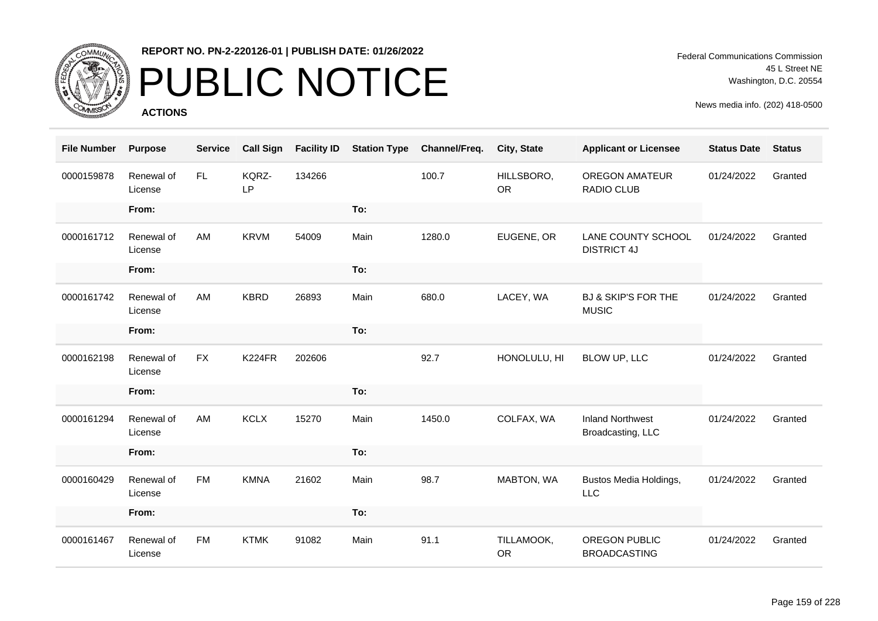

## PUBLIC NOTICE

**ACTIONS**

Federal Communications Commission 45 L Street NE Washington, D.C. 20554

| <b>File Number</b> | <b>Purpose</b>        | <b>Service</b> | <b>Call Sign</b>   | <b>Facility ID</b> | <b>Station Type</b> | Channel/Freq. | City, State             | <b>Applicant or Licensee</b>                   | <b>Status Date</b> | <b>Status</b> |
|--------------------|-----------------------|----------------|--------------------|--------------------|---------------------|---------------|-------------------------|------------------------------------------------|--------------------|---------------|
| 0000159878         | Renewal of<br>License | FL.            | KQRZ-<br><b>LP</b> | 134266             |                     | 100.7         | HILLSBORO,<br><b>OR</b> | <b>OREGON AMATEUR</b><br>RADIO CLUB            | 01/24/2022         | Granted       |
|                    | From:                 |                |                    |                    | To:                 |               |                         |                                                |                    |               |
| 0000161712         | Renewal of<br>License | AM             | <b>KRVM</b>        | 54009              | Main                | 1280.0        | EUGENE, OR              | LANE COUNTY SCHOOL<br><b>DISTRICT 4J</b>       | 01/24/2022         | Granted       |
|                    | From:                 |                |                    |                    | To:                 |               |                         |                                                |                    |               |
| 0000161742         | Renewal of<br>License | AM             | <b>KBRD</b>        | 26893              | Main                | 680.0         | LACEY, WA               | <b>BJ &amp; SKIP'S FOR THE</b><br><b>MUSIC</b> | 01/24/2022         | Granted       |
|                    | From:                 |                |                    |                    | To:                 |               |                         |                                                |                    |               |
| 0000162198         | Renewal of<br>License | <b>FX</b>      | K224FR             | 202606             |                     | 92.7          | HONOLULU, HI            | BLOW UP, LLC                                   | 01/24/2022         | Granted       |
|                    | From:                 |                |                    |                    | To:                 |               |                         |                                                |                    |               |
| 0000161294         | Renewal of<br>License | AM             | <b>KCLX</b>        | 15270              | Main                | 1450.0        | COLFAX, WA              | <b>Inland Northwest</b><br>Broadcasting, LLC   | 01/24/2022         | Granted       |
|                    | From:                 |                |                    |                    | To:                 |               |                         |                                                |                    |               |
| 0000160429         | Renewal of<br>License | <b>FM</b>      | <b>KMNA</b>        | 21602              | Main                | 98.7          | MABTON, WA              | Bustos Media Holdings,<br><b>LLC</b>           | 01/24/2022         | Granted       |
|                    | From:                 |                |                    |                    | To:                 |               |                         |                                                |                    |               |
| 0000161467         | Renewal of<br>License | <b>FM</b>      | <b>KTMK</b>        | 91082              | Main                | 91.1          | TILLAMOOK,<br><b>OR</b> | OREGON PUBLIC<br><b>BROADCASTING</b>           | 01/24/2022         | Granted       |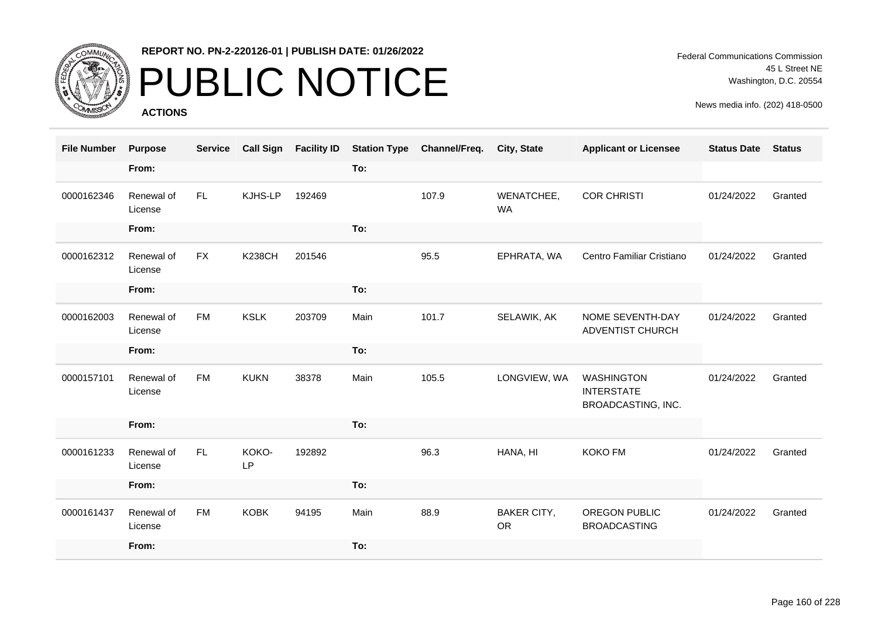

## PUBLIC NOTICE

**ACTIONS**

Federal Communications Commission 45 L Street NE Washington, D.C. 20554

| <b>File Number</b> | <b>Purpose</b>        | <b>Service</b> | <b>Call Sign</b> | <b>Facility ID</b> | <b>Station Type</b> | Channel/Freq. | <b>City, State</b>              | <b>Applicant or Licensee</b>                                 | <b>Status Date</b> | <b>Status</b> |
|--------------------|-----------------------|----------------|------------------|--------------------|---------------------|---------------|---------------------------------|--------------------------------------------------------------|--------------------|---------------|
|                    | From:                 |                |                  |                    | To:                 |               |                                 |                                                              |                    |               |
| 0000162346         | Renewal of<br>License | FL.            | KJHS-LP          | 192469             |                     | 107.9         | WENATCHEE,<br><b>WA</b>         | <b>COR CHRISTI</b>                                           | 01/24/2022         | Granted       |
|                    | From:                 |                |                  |                    | To:                 |               |                                 |                                                              |                    |               |
| 0000162312         | Renewal of<br>License | <b>FX</b>      | <b>K238CH</b>    | 201546             |                     | 95.5          | EPHRATA, WA                     | Centro Familiar Cristiano                                    | 01/24/2022         | Granted       |
|                    | From:                 |                |                  |                    | To:                 |               |                                 |                                                              |                    |               |
| 0000162003         | Renewal of<br>License | <b>FM</b>      | <b>KSLK</b>      | 203709             | Main                | 101.7         | SELAWIK, AK                     | NOME SEVENTH-DAY<br>ADVENTIST CHURCH                         | 01/24/2022         | Granted       |
|                    | From:                 |                |                  |                    | To:                 |               |                                 |                                                              |                    |               |
| 0000157101         | Renewal of<br>License | <b>FM</b>      | <b>KUKN</b>      | 38378              | Main                | 105.5         | LONGVIEW, WA                    | <b>WASHINGTON</b><br><b>INTERSTATE</b><br>BROADCASTING, INC. | 01/24/2022         | Granted       |
|                    | From:                 |                |                  |                    | To:                 |               |                                 |                                                              |                    |               |
| 0000161233         | Renewal of<br>License | FL.            | KOKO-<br>LP      | 192892             |                     | 96.3          | HANA, HI                        | <b>KOKO FM</b>                                               | 01/24/2022         | Granted       |
|                    | From:                 |                |                  |                    | To:                 |               |                                 |                                                              |                    |               |
| 0000161437         | Renewal of<br>License | <b>FM</b>      | <b>KOBK</b>      | 94195              | Main                | 88.9          | <b>BAKER CITY,</b><br><b>OR</b> | OREGON PUBLIC<br><b>BROADCASTING</b>                         | 01/24/2022         | Granted       |
|                    | From:                 |                |                  |                    | To:                 |               |                                 |                                                              |                    |               |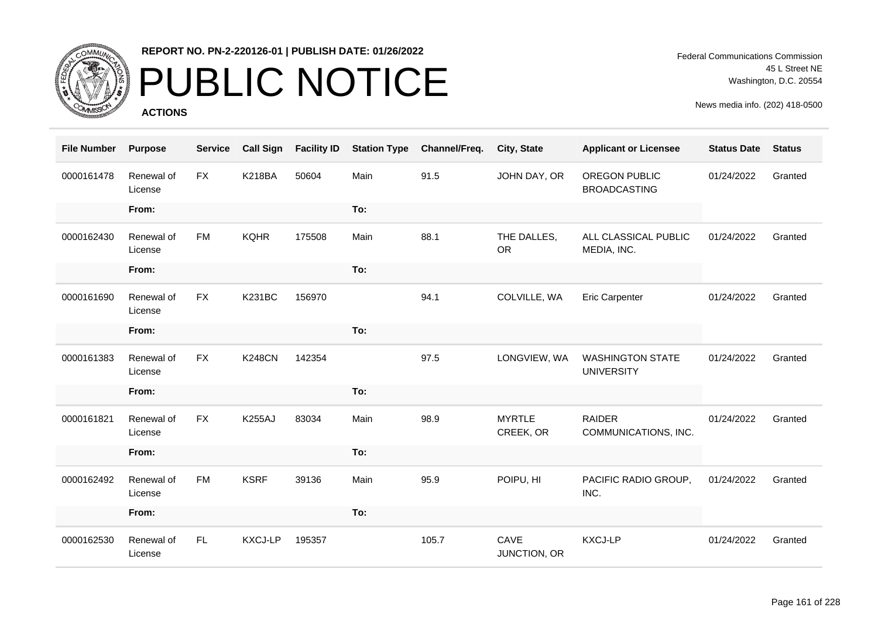

## PUBLIC NOTICE

**ACTIONS**

Federal Communications Commission 45 L Street NE Washington, D.C. 20554

| <b>File Number</b> | <b>Purpose</b>        | <b>Service</b> | <b>Call Sign</b> | <b>Facility ID</b> | <b>Station Type</b> | Channel/Freq. | City, State                | <b>Applicant or Licensee</b>                 | <b>Status Date</b> | <b>Status</b> |
|--------------------|-----------------------|----------------|------------------|--------------------|---------------------|---------------|----------------------------|----------------------------------------------|--------------------|---------------|
| 0000161478         | Renewal of<br>License | <b>FX</b>      | <b>K218BA</b>    | 50604              | Main                | 91.5          | JOHN DAY, OR               | OREGON PUBLIC<br><b>BROADCASTING</b>         | 01/24/2022         | Granted       |
|                    | From:                 |                |                  |                    | To:                 |               |                            |                                              |                    |               |
| 0000162430         | Renewal of<br>License | <b>FM</b>      | <b>KQHR</b>      | 175508             | Main                | 88.1          | THE DALLES,<br><b>OR</b>   | ALL CLASSICAL PUBLIC<br>MEDIA, INC.          | 01/24/2022         | Granted       |
|                    | From:                 |                |                  |                    | To:                 |               |                            |                                              |                    |               |
| 0000161690         | Renewal of<br>License | <b>FX</b>      | <b>K231BC</b>    | 156970             |                     | 94.1          | COLVILLE, WA               | <b>Eric Carpenter</b>                        | 01/24/2022         | Granted       |
|                    | From:                 |                |                  |                    | To:                 |               |                            |                                              |                    |               |
| 0000161383         | Renewal of<br>License | <b>FX</b>      | <b>K248CN</b>    | 142354             |                     | 97.5          | LONGVIEW, WA               | <b>WASHINGTON STATE</b><br><b>UNIVERSITY</b> | 01/24/2022         | Granted       |
|                    | From:                 |                |                  |                    | To:                 |               |                            |                                              |                    |               |
| 0000161821         | Renewal of<br>License | <b>FX</b>      | <b>K255AJ</b>    | 83034              | Main                | 98.9          | <b>MYRTLE</b><br>CREEK, OR | <b>RAIDER</b><br>COMMUNICATIONS, INC.        | 01/24/2022         | Granted       |
|                    | From:                 |                |                  |                    | To:                 |               |                            |                                              |                    |               |
| 0000162492         | Renewal of<br>License | <b>FM</b>      | <b>KSRF</b>      | 39136              | Main                | 95.9          | POIPU, HI                  | PACIFIC RADIO GROUP,<br>INC.                 | 01/24/2022         | Granted       |
|                    | From:                 |                |                  |                    | To:                 |               |                            |                                              |                    |               |
| 0000162530         | Renewal of<br>License | FL             | <b>KXCJ-LP</b>   | 195357             |                     | 105.7         | CAVE<br>JUNCTION, OR       | <b>KXCJ-LP</b>                               | 01/24/2022         | Granted       |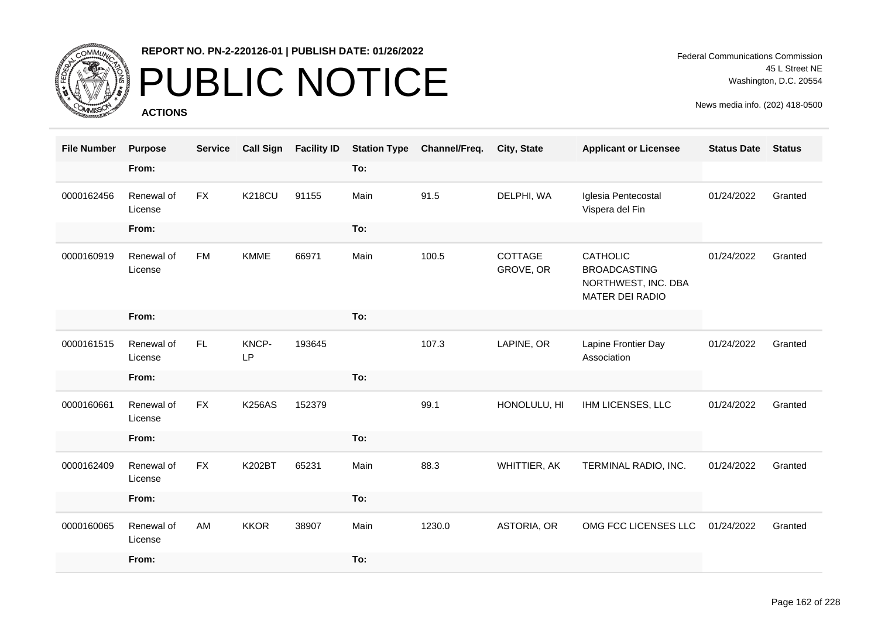

## PUBLIC NOTICE

**ACTIONS**

| <b>File Number</b> | <b>Purpose</b>        | <b>Service</b> | <b>Call Sign</b> | <b>Facility ID</b> | <b>Station Type</b> | Channel/Freq. | <b>City, State</b>   | <b>Applicant or Licensee</b>                                                     | <b>Status Date</b> | <b>Status</b> |
|--------------------|-----------------------|----------------|------------------|--------------------|---------------------|---------------|----------------------|----------------------------------------------------------------------------------|--------------------|---------------|
|                    | From:                 |                |                  |                    | To:                 |               |                      |                                                                                  |                    |               |
| 0000162456         | Renewal of<br>License | <b>FX</b>      | <b>K218CU</b>    | 91155              | Main                | 91.5          | DELPHI, WA           | Iglesia Pentecostal<br>Vispera del Fin                                           | 01/24/2022         | Granted       |
|                    | From:                 |                |                  |                    | To:                 |               |                      |                                                                                  |                    |               |
| 0000160919         | Renewal of<br>License | <b>FM</b>      | <b>KMME</b>      | 66971              | Main                | 100.5         | COTTAGE<br>GROVE, OR | <b>CATHOLIC</b><br><b>BROADCASTING</b><br>NORTHWEST, INC. DBA<br>MATER DEI RADIO | 01/24/2022         | Granted       |
|                    | From:                 |                |                  |                    | To:                 |               |                      |                                                                                  |                    |               |
| 0000161515         | Renewal of<br>License | FL.            | KNCP-<br>LP      | 193645             |                     | 107.3         | LAPINE, OR           | Lapine Frontier Day<br>Association                                               | 01/24/2022         | Granted       |
|                    | From:                 |                |                  |                    | To:                 |               |                      |                                                                                  |                    |               |
| 0000160661         | Renewal of<br>License | <b>FX</b>      | <b>K256AS</b>    | 152379             |                     | 99.1          | HONOLULU, HI         | IHM LICENSES, LLC                                                                | 01/24/2022         | Granted       |
|                    | From:                 |                |                  |                    | To:                 |               |                      |                                                                                  |                    |               |
| 0000162409         | Renewal of<br>License | <b>FX</b>      | K202BT           | 65231              | Main                | 88.3          | WHITTIER, AK         | TERMINAL RADIO, INC.                                                             | 01/24/2022         | Granted       |
|                    | From:                 |                |                  |                    | To:                 |               |                      |                                                                                  |                    |               |
| 0000160065         | Renewal of<br>License | AM             | <b>KKOR</b>      | 38907              | Main                | 1230.0        | ASTORIA, OR          | OMG FCC LICENSES LLC                                                             | 01/24/2022         | Granted       |
|                    | From:                 |                |                  |                    | To:                 |               |                      |                                                                                  |                    |               |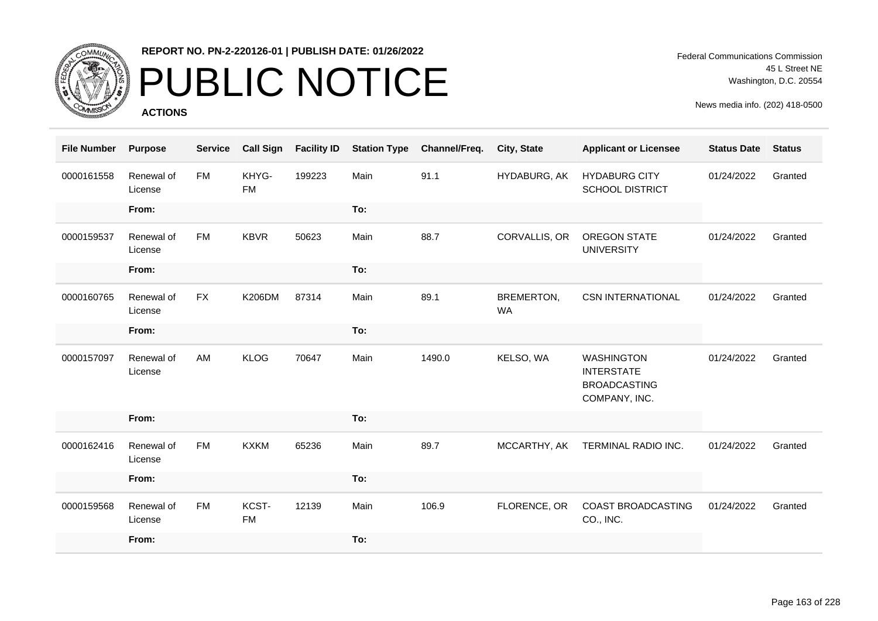

## PUBLIC NOTICE

**ACTIONS**

Federal Communications Commission 45 L Street NE Washington, D.C. 20554

| <b>File Number</b> | <b>Purpose</b>        | <b>Service</b> | <b>Call Sign</b>   | <b>Facility ID</b> | <b>Station Type</b> | Channel/Freq. | City, State             | <b>Applicant or Licensee</b>                                                   | <b>Status Date</b> | <b>Status</b> |
|--------------------|-----------------------|----------------|--------------------|--------------------|---------------------|---------------|-------------------------|--------------------------------------------------------------------------------|--------------------|---------------|
| 0000161558         | Renewal of<br>License | <b>FM</b>      | KHYG-<br><b>FM</b> | 199223             | Main                | 91.1          | HYDABURG, AK            | <b>HYDABURG CITY</b><br><b>SCHOOL DISTRICT</b>                                 | 01/24/2022         | Granted       |
|                    | From:                 |                |                    |                    | To:                 |               |                         |                                                                                |                    |               |
| 0000159537         | Renewal of<br>License | <b>FM</b>      | <b>KBVR</b>        | 50623              | Main                | 88.7          | CORVALLIS, OR           | <b>OREGON STATE</b><br><b>UNIVERSITY</b>                                       | 01/24/2022         | Granted       |
|                    | From:                 |                |                    |                    | To:                 |               |                         |                                                                                |                    |               |
| 0000160765         | Renewal of<br>License | <b>FX</b>      | <b>K206DM</b>      | 87314              | Main                | 89.1          | BREMERTON,<br><b>WA</b> | <b>CSN INTERNATIONAL</b>                                                       | 01/24/2022         | Granted       |
|                    | From:                 |                |                    |                    | To:                 |               |                         |                                                                                |                    |               |
| 0000157097         | Renewal of<br>License | AM             | <b>KLOG</b>        | 70647              | Main                | 1490.0        | KELSO, WA               | <b>WASHINGTON</b><br><b>INTERSTATE</b><br><b>BROADCASTING</b><br>COMPANY, INC. | 01/24/2022         | Granted       |
|                    | From:                 |                |                    |                    | To:                 |               |                         |                                                                                |                    |               |
| 0000162416         | Renewal of<br>License | <b>FM</b>      | <b>KXKM</b>        | 65236              | Main                | 89.7          | MCCARTHY, AK            | TERMINAL RADIO INC.                                                            | 01/24/2022         | Granted       |
|                    | From:                 |                |                    |                    | To:                 |               |                         |                                                                                |                    |               |
| 0000159568         | Renewal of<br>License | <b>FM</b>      | KCST-<br><b>FM</b> | 12139              | Main                | 106.9         | FLORENCE, OR            | COAST BROADCASTING<br>CO., INC.                                                | 01/24/2022         | Granted       |
|                    | From:                 |                |                    |                    | To:                 |               |                         |                                                                                |                    |               |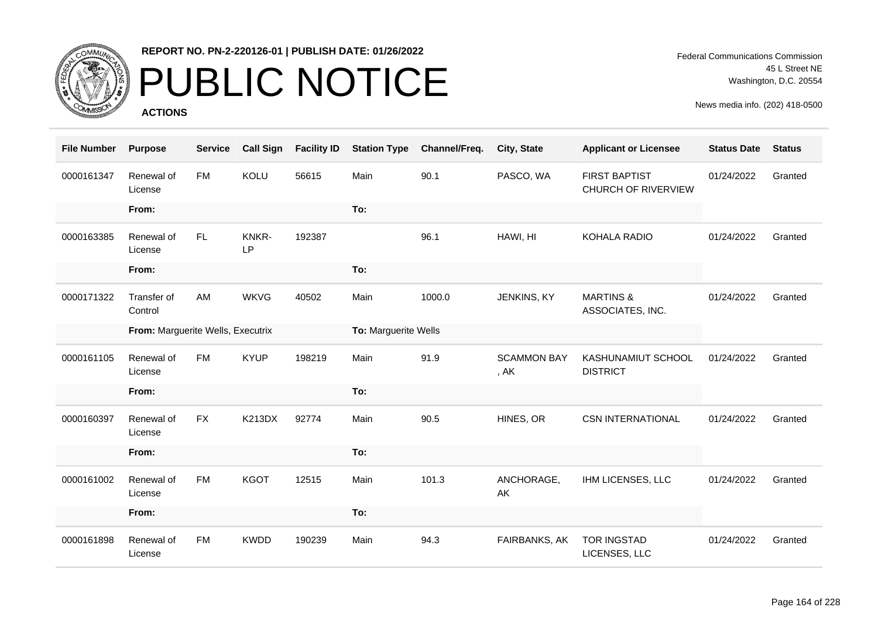

# PUBLIC NOTICE

**ACTIONS**

Federal Communications Commission 45 L Street NE Washington, D.C. 20554

| <b>File Number</b> | <b>Purpose</b>                    | <b>Service</b> | <b>Call Sign</b>   | <b>Facility ID</b> | <b>Station Type</b>  | Channel/Freq. | City, State                | <b>Applicant or Licensee</b>                       | <b>Status Date</b> | <b>Status</b> |
|--------------------|-----------------------------------|----------------|--------------------|--------------------|----------------------|---------------|----------------------------|----------------------------------------------------|--------------------|---------------|
| 0000161347         | Renewal of<br>License             | <b>FM</b>      | KOLU               | 56615              | Main                 | 90.1          | PASCO, WA                  | <b>FIRST BAPTIST</b><br><b>CHURCH OF RIVERVIEW</b> | 01/24/2022         | Granted       |
|                    | From:                             |                |                    |                    | To:                  |               |                            |                                                    |                    |               |
| 0000163385         | Renewal of<br>License             | FL.            | KNKR-<br><b>LP</b> | 192387             |                      | 96.1          | HAWI, HI                   | KOHALA RADIO                                       | 01/24/2022         | Granted       |
|                    | From:                             |                |                    |                    | To:                  |               |                            |                                                    |                    |               |
| 0000171322         | Transfer of<br>Control            | AM             | <b>WKVG</b>        | 40502              | Main                 | 1000.0        | JENKINS, KY                | <b>MARTINS &amp;</b><br>ASSOCIATES, INC.           | 01/24/2022         | Granted       |
|                    | From: Marguerite Wells, Executrix |                |                    |                    | To: Marguerite Wells |               |                            |                                                    |                    |               |
| 0000161105         | Renewal of<br>License             | <b>FM</b>      | <b>KYUP</b>        | 198219             | Main                 | 91.9          | <b>SCAMMON BAY</b><br>, AK | KASHUNAMIUT SCHOOL<br><b>DISTRICT</b>              | 01/24/2022         | Granted       |
|                    | From:                             |                |                    |                    | To:                  |               |                            |                                                    |                    |               |
| 0000160397         | Renewal of<br>License             | <b>FX</b>      | <b>K213DX</b>      | 92774              | Main                 | 90.5          | HINES, OR                  | <b>CSN INTERNATIONAL</b>                           | 01/24/2022         | Granted       |
|                    | From:                             |                |                    |                    | To:                  |               |                            |                                                    |                    |               |
| 0000161002         | Renewal of<br>License             | <b>FM</b>      | <b>KGOT</b>        | 12515              | Main                 | 101.3         | ANCHORAGE,<br>AK           | IHM LICENSES, LLC                                  | 01/24/2022         | Granted       |
|                    | From:                             |                |                    |                    | To:                  |               |                            |                                                    |                    |               |
| 0000161898         | Renewal of<br>License             | <b>FM</b>      | <b>KWDD</b>        | 190239             | Main                 | 94.3          | FAIRBANKS, AK              | <b>TOR INGSTAD</b><br>LICENSES, LLC                | 01/24/2022         | Granted       |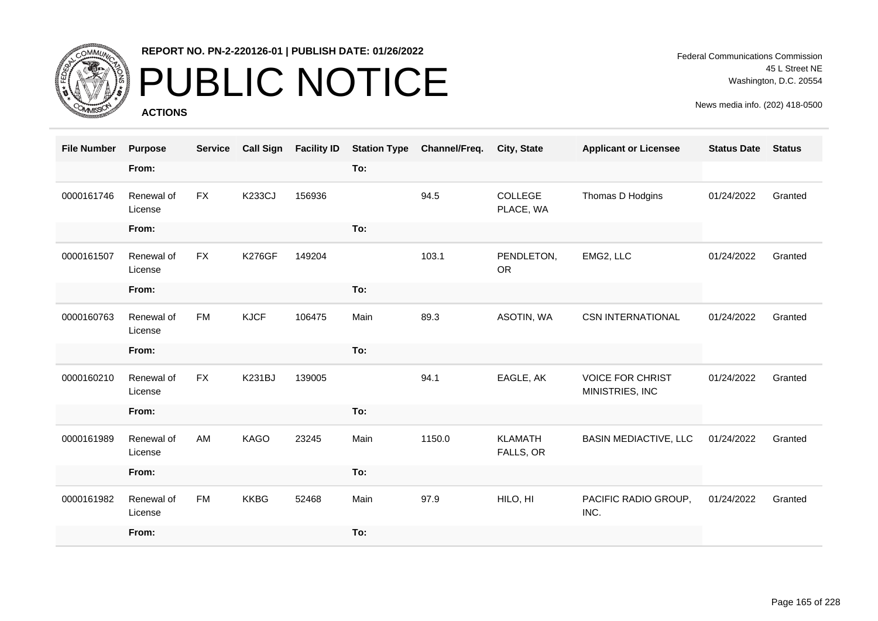

## PUBLIC NOTICE

**ACTIONS**

Federal Communications Commission 45 L Street NE Washington, D.C. 20554

| <b>File Number</b> | <b>Purpose</b>        | <b>Service</b> | <b>Call Sign</b> | <b>Facility ID</b> | <b>Station Type</b> | Channel/Freq. | City, State                 | <b>Applicant or Licensee</b>               | <b>Status Date</b> | <b>Status</b> |
|--------------------|-----------------------|----------------|------------------|--------------------|---------------------|---------------|-----------------------------|--------------------------------------------|--------------------|---------------|
|                    | From:                 |                |                  |                    | To:                 |               |                             |                                            |                    |               |
| 0000161746         | Renewal of<br>License | <b>FX</b>      | <b>K233CJ</b>    | 156936             |                     | 94.5          | COLLEGE<br>PLACE, WA        | Thomas D Hodgins                           | 01/24/2022         | Granted       |
|                    | From:                 |                |                  |                    | To:                 |               |                             |                                            |                    |               |
| 0000161507         | Renewal of<br>License | FX             | <b>K276GF</b>    | 149204             |                     | 103.1         | PENDLETON,<br><b>OR</b>     | EMG2, LLC                                  | 01/24/2022         | Granted       |
|                    | From:                 |                |                  |                    | To:                 |               |                             |                                            |                    |               |
| 0000160763         | Renewal of<br>License | <b>FM</b>      | <b>KJCF</b>      | 106475             | Main                | 89.3          | ASOTIN, WA                  | <b>CSN INTERNATIONAL</b>                   | 01/24/2022         | Granted       |
|                    | From:                 |                |                  |                    | To:                 |               |                             |                                            |                    |               |
| 0000160210         | Renewal of<br>License | <b>FX</b>      | <b>K231BJ</b>    | 139005             |                     | 94.1          | EAGLE, AK                   | <b>VOICE FOR CHRIST</b><br>MINISTRIES, INC | 01/24/2022         | Granted       |
|                    | From:                 |                |                  |                    | To:                 |               |                             |                                            |                    |               |
| 0000161989         | Renewal of<br>License | AM             | KAGO             | 23245              | Main                | 1150.0        | <b>KLAMATH</b><br>FALLS, OR | <b>BASIN MEDIACTIVE, LLC</b>               | 01/24/2022         | Granted       |
|                    | From:                 |                |                  |                    | To:                 |               |                             |                                            |                    |               |
| 0000161982         | Renewal of<br>License | <b>FM</b>      | <b>KKBG</b>      | 52468              | Main                | 97.9          | HILO, HI                    | PACIFIC RADIO GROUP,<br>INC.               | 01/24/2022         | Granted       |
|                    | From:                 |                |                  |                    | To:                 |               |                             |                                            |                    |               |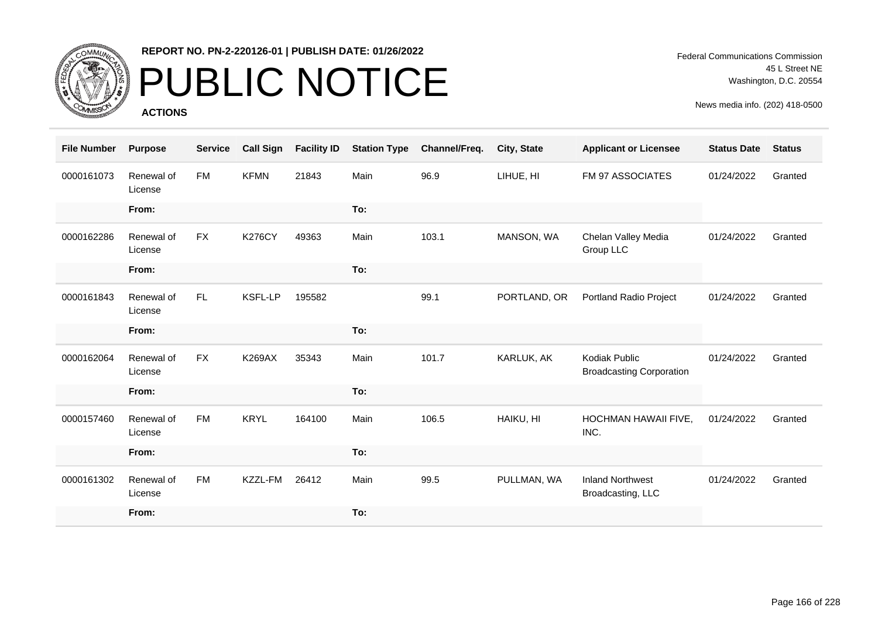

## PUBLIC NOTICE

**ACTIONS**

| <b>File Number</b> | <b>Purpose</b>        | <b>Service</b> | <b>Call Sign</b> | <b>Facility ID</b> | <b>Station Type</b> | Channel/Freq. | <b>City, State</b> | <b>Applicant or Licensee</b>                     | <b>Status Date</b> | <b>Status</b> |
|--------------------|-----------------------|----------------|------------------|--------------------|---------------------|---------------|--------------------|--------------------------------------------------|--------------------|---------------|
| 0000161073         | Renewal of<br>License | <b>FM</b>      | <b>KFMN</b>      | 21843              | Main                | 96.9          | LIHUE, HI          | FM 97 ASSOCIATES                                 | 01/24/2022         | Granted       |
|                    | From:                 |                |                  |                    | To:                 |               |                    |                                                  |                    |               |
| 0000162286         | Renewal of<br>License | <b>FX</b>      | <b>K276CY</b>    | 49363              | Main                | 103.1         | MANSON, WA         | Chelan Valley Media<br>Group LLC                 | 01/24/2022         | Granted       |
|                    | From:                 |                |                  |                    | To:                 |               |                    |                                                  |                    |               |
| 0000161843         | Renewal of<br>License | FL             | <b>KSFL-LP</b>   | 195582             |                     | 99.1          | PORTLAND, OR       | Portland Radio Project                           | 01/24/2022         | Granted       |
|                    | From:                 |                |                  |                    | To:                 |               |                    |                                                  |                    |               |
| 0000162064         | Renewal of<br>License | <b>FX</b>      | <b>K269AX</b>    | 35343              | Main                | 101.7         | KARLUK, AK         | Kodiak Public<br><b>Broadcasting Corporation</b> | 01/24/2022         | Granted       |
|                    | From:                 |                |                  |                    | To:                 |               |                    |                                                  |                    |               |
| 0000157460         | Renewal of<br>License | <b>FM</b>      | <b>KRYL</b>      | 164100             | Main                | 106.5         | HAIKU, HI          | <b>HOCHMAN HAWAII FIVE,</b><br>INC.              | 01/24/2022         | Granted       |
|                    | From:                 |                |                  |                    | To:                 |               |                    |                                                  |                    |               |
| 0000161302         | Renewal of<br>License | <b>FM</b>      | KZZL-FM          | 26412              | Main                | 99.5          | PULLMAN, WA        | <b>Inland Northwest</b><br>Broadcasting, LLC     | 01/24/2022         | Granted       |
|                    | From:                 |                |                  |                    | To:                 |               |                    |                                                  |                    |               |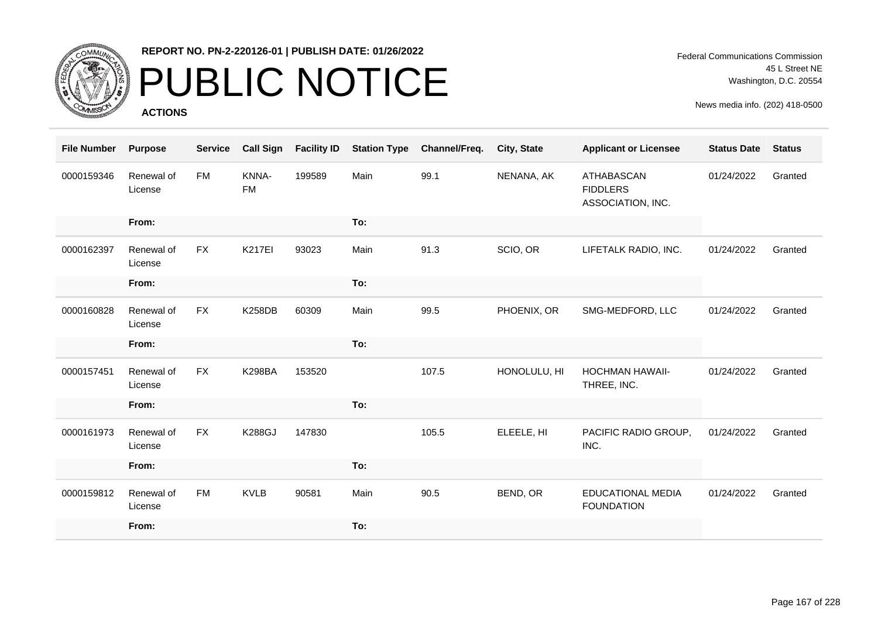

## PUBLIC NOTICE

**ACTIONS**

Federal Communications Commission 45 L Street NE Washington, D.C. 20554

| <b>File Number</b> | <b>Purpose</b>        | <b>Service</b> | <b>Call Sign</b>   | <b>Facility ID</b> | <b>Station Type</b> | Channel/Freq. | City, State  | <b>Applicant or Licensee</b>                              | <b>Status Date</b> | <b>Status</b> |
|--------------------|-----------------------|----------------|--------------------|--------------------|---------------------|---------------|--------------|-----------------------------------------------------------|--------------------|---------------|
| 0000159346         | Renewal of<br>License | <b>FM</b>      | KNNA-<br><b>FM</b> | 199589             | Main                | 99.1          | NENANA, AK   | <b>ATHABASCAN</b><br><b>FIDDLERS</b><br>ASSOCIATION, INC. | 01/24/2022         | Granted       |
|                    | From:                 |                |                    |                    | To:                 |               |              |                                                           |                    |               |
| 0000162397         | Renewal of<br>License | <b>FX</b>      | <b>K217EI</b>      | 93023              | Main                | 91.3          | SCIO, OR     | LIFETALK RADIO, INC.                                      | 01/24/2022         | Granted       |
|                    | From:                 |                |                    |                    | To:                 |               |              |                                                           |                    |               |
| 0000160828         | Renewal of<br>License | <b>FX</b>      | <b>K258DB</b>      | 60309              | Main                | 99.5          | PHOENIX, OR  | SMG-MEDFORD, LLC                                          | 01/24/2022         | Granted       |
|                    | From:                 |                |                    |                    | To:                 |               |              |                                                           |                    |               |
| 0000157451         | Renewal of<br>License | <b>FX</b>      | <b>K298BA</b>      | 153520             |                     | 107.5         | HONOLULU, HI | <b>HOCHMAN HAWAII-</b><br>THREE, INC.                     | 01/24/2022         | Granted       |
|                    | From:                 |                |                    |                    | To:                 |               |              |                                                           |                    |               |
| 0000161973         | Renewal of<br>License | <b>FX</b>      | <b>K288GJ</b>      | 147830             |                     | 105.5         | ELEELE, HI   | PACIFIC RADIO GROUP,<br>INC.                              | 01/24/2022         | Granted       |
|                    | From:                 |                |                    |                    | To:                 |               |              |                                                           |                    |               |
| 0000159812         | Renewal of<br>License | <b>FM</b>      | <b>KVLB</b>        | 90581              | Main                | 90.5          | BEND, OR     | <b>EDUCATIONAL MEDIA</b><br><b>FOUNDATION</b>             | 01/24/2022         | Granted       |
|                    | From:                 |                |                    |                    | To:                 |               |              |                                                           |                    |               |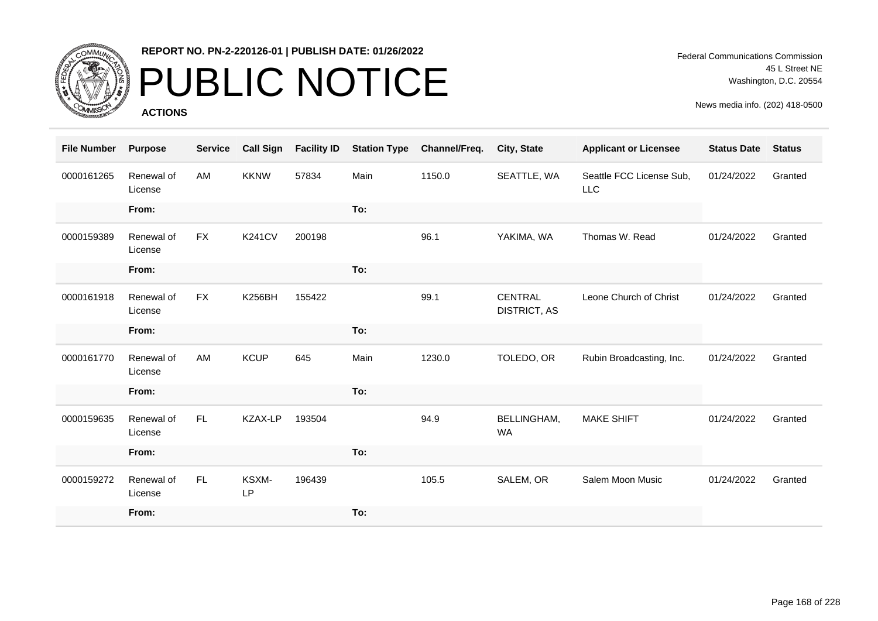

# PUBLIC NOTICE

**ACTIONS**

Federal Communications Commission 45 L Street NE Washington, D.C. 20554

| <b>File Number</b> | <b>Purpose</b>        | <b>Service</b> | <b>Call Sign</b> | <b>Facility ID</b> | <b>Station Type</b> | Channel/Freq. | <b>City, State</b>                    | <b>Applicant or Licensee</b>           | <b>Status Date</b> | <b>Status</b> |
|--------------------|-----------------------|----------------|------------------|--------------------|---------------------|---------------|---------------------------------------|----------------------------------------|--------------------|---------------|
| 0000161265         | Renewal of<br>License | AM             | <b>KKNW</b>      | 57834              | Main                | 1150.0        | SEATTLE, WA                           | Seattle FCC License Sub,<br><b>LLC</b> | 01/24/2022         | Granted       |
|                    | From:                 |                |                  |                    | To:                 |               |                                       |                                        |                    |               |
| 0000159389         | Renewal of<br>License | <b>FX</b>      | <b>K241CV</b>    | 200198             |                     | 96.1          | YAKIMA, WA                            | Thomas W. Read                         | 01/24/2022         | Granted       |
|                    | From:                 |                |                  |                    | To:                 |               |                                       |                                        |                    |               |
| 0000161918         | Renewal of<br>License | <b>FX</b>      | <b>K256BH</b>    | 155422             |                     | 99.1          | <b>CENTRAL</b><br><b>DISTRICT, AS</b> | Leone Church of Christ                 | 01/24/2022         | Granted       |
|                    | From:                 |                |                  |                    | To:                 |               |                                       |                                        |                    |               |
| 0000161770         | Renewal of<br>License | AM             | <b>KCUP</b>      | 645                | Main                | 1230.0        | TOLEDO, OR                            | Rubin Broadcasting, Inc.               | 01/24/2022         | Granted       |
|                    | From:                 |                |                  |                    | To:                 |               |                                       |                                        |                    |               |
| 0000159635         | Renewal of<br>License | FL.            | KZAX-LP          | 193504             |                     | 94.9          | <b>BELLINGHAM,</b><br><b>WA</b>       | <b>MAKE SHIFT</b>                      | 01/24/2022         | Granted       |
|                    | From:                 |                |                  |                    | To:                 |               |                                       |                                        |                    |               |
| 0000159272         | Renewal of<br>License | FL.            | KSXM-<br>LP      | 196439             |                     | 105.5         | SALEM, OR                             | Salem Moon Music                       | 01/24/2022         | Granted       |
|                    | From:                 |                |                  |                    | To:                 |               |                                       |                                        |                    |               |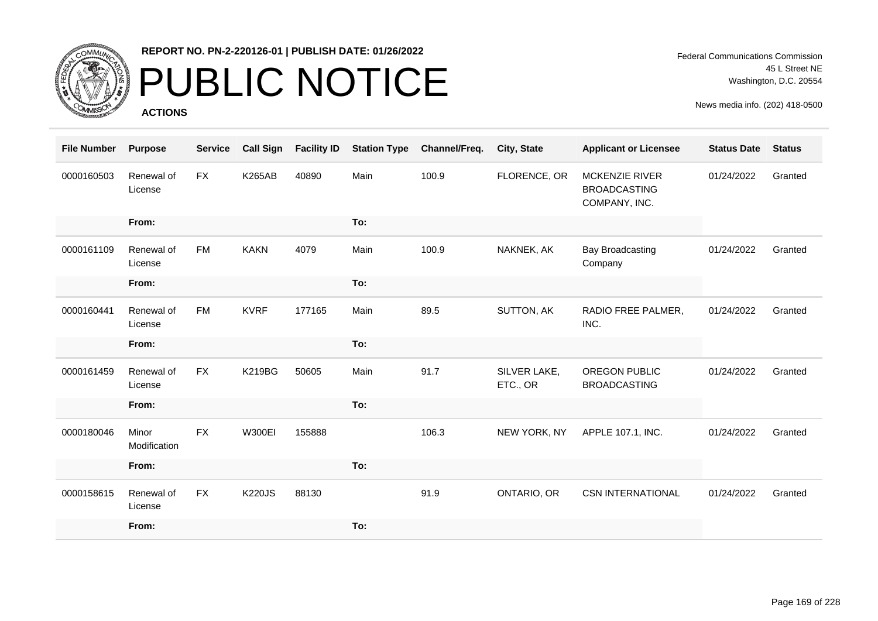

# PUBLIC NOTICE

**ACTIONS**

| <b>File Number</b> | <b>Purpose</b>        | <b>Service</b> | <b>Call Sign</b> | <b>Facility ID</b> | <b>Station Type</b> | Channel/Freq. | City, State              | <b>Applicant or Licensee</b>                           | <b>Status Date</b> | <b>Status</b> |
|--------------------|-----------------------|----------------|------------------|--------------------|---------------------|---------------|--------------------------|--------------------------------------------------------|--------------------|---------------|
| 0000160503         | Renewal of<br>License | FX             | <b>K265AB</b>    | 40890              | Main                | 100.9         | FLORENCE, OR             | MCKENZIE RIVER<br><b>BROADCASTING</b><br>COMPANY, INC. | 01/24/2022         | Granted       |
|                    | From:                 |                |                  |                    | To:                 |               |                          |                                                        |                    |               |
| 0000161109         | Renewal of<br>License | <b>FM</b>      | <b>KAKN</b>      | 4079               | Main                | 100.9         | NAKNEK, AK               | <b>Bay Broadcasting</b><br>Company                     | 01/24/2022         | Granted       |
|                    | From:                 |                |                  |                    | To:                 |               |                          |                                                        |                    |               |
| 0000160441         | Renewal of<br>License | <b>FM</b>      | <b>KVRF</b>      | 177165             | Main                | 89.5          | SUTTON, AK               | RADIO FREE PALMER,<br>INC.                             | 01/24/2022         | Granted       |
|                    | From:                 |                |                  |                    | To:                 |               |                          |                                                        |                    |               |
| 0000161459         | Renewal of<br>License | <b>FX</b>      | <b>K219BG</b>    | 50605              | Main                | 91.7          | SILVER LAKE,<br>ETC., OR | OREGON PUBLIC<br><b>BROADCASTING</b>                   | 01/24/2022         | Granted       |
|                    | From:                 |                |                  |                    | To:                 |               |                          |                                                        |                    |               |
| 0000180046         | Minor<br>Modification | <b>FX</b>      | <b>W300EI</b>    | 155888             |                     | 106.3         | NEW YORK, NY             | APPLE 107.1, INC.                                      | 01/24/2022         | Granted       |
|                    | From:                 |                |                  |                    | To:                 |               |                          |                                                        |                    |               |
| 0000158615         | Renewal of<br>License | <b>FX</b>      | <b>K220JS</b>    | 88130              |                     | 91.9          | ONTARIO, OR              | <b>CSN INTERNATIONAL</b>                               | 01/24/2022         | Granted       |
|                    | From:                 |                |                  |                    | To:                 |               |                          |                                                        |                    |               |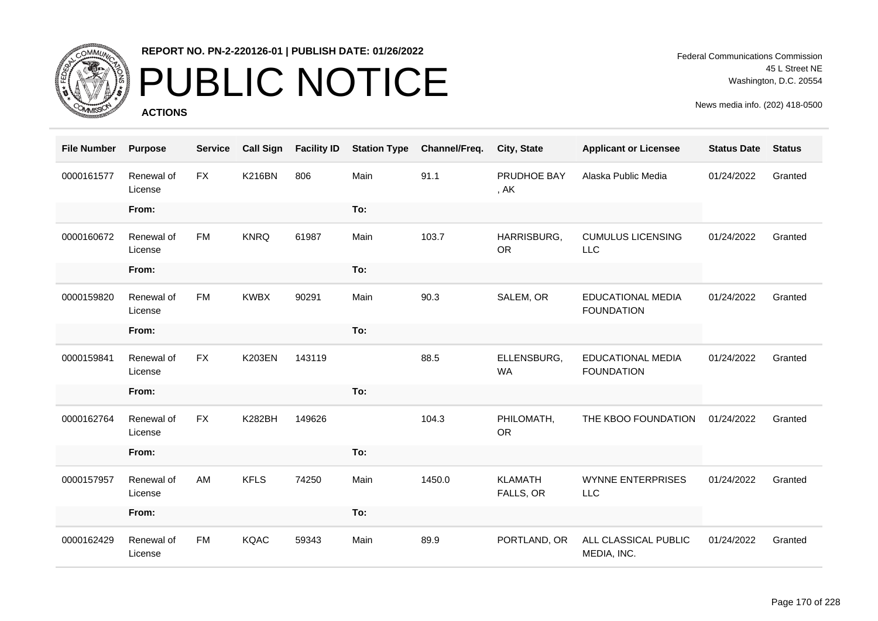

# PUBLIC NOTICE

**ACTIONS**

Federal Communications Commission 45 L Street NE Washington, D.C. 20554

| <b>File Number</b> | <b>Purpose</b>        | <b>Service</b> | <b>Call Sign</b> | <b>Facility ID</b> | <b>Station Type</b> | Channel/Freq. | City, State                 | <b>Applicant or Licensee</b>                  | <b>Status Date</b> | <b>Status</b> |
|--------------------|-----------------------|----------------|------------------|--------------------|---------------------|---------------|-----------------------------|-----------------------------------------------|--------------------|---------------|
| 0000161577         | Renewal of<br>License | <b>FX</b>      | <b>K216BN</b>    | 806                | Main                | 91.1          | PRUDHOE BAY<br>, AK         | Alaska Public Media                           | 01/24/2022         | Granted       |
|                    | From:                 |                |                  |                    | To:                 |               |                             |                                               |                    |               |
| 0000160672         | Renewal of<br>License | <b>FM</b>      | <b>KNRQ</b>      | 61987              | Main                | 103.7         | HARRISBURG,<br><b>OR</b>    | <b>CUMULUS LICENSING</b><br><b>LLC</b>        | 01/24/2022         | Granted       |
|                    | From:                 |                |                  |                    | To:                 |               |                             |                                               |                    |               |
| 0000159820         | Renewal of<br>License | <b>FM</b>      | <b>KWBX</b>      | 90291              | Main                | 90.3          | SALEM, OR                   | <b>EDUCATIONAL MEDIA</b><br><b>FOUNDATION</b> | 01/24/2022         | Granted       |
|                    | From:                 |                |                  |                    | To:                 |               |                             |                                               |                    |               |
| 0000159841         | Renewal of<br>License | <b>FX</b>      | <b>K203EN</b>    | 143119             |                     | 88.5          | ELLENSBURG,<br><b>WA</b>    | <b>EDUCATIONAL MEDIA</b><br><b>FOUNDATION</b> | 01/24/2022         | Granted       |
|                    | From:                 |                |                  |                    | To:                 |               |                             |                                               |                    |               |
| 0000162764         | Renewal of<br>License | <b>FX</b>      | <b>K282BH</b>    | 149626             |                     | 104.3         | PHILOMATH,<br><b>OR</b>     | THE KBOO FOUNDATION                           | 01/24/2022         | Granted       |
|                    | From:                 |                |                  |                    | To:                 |               |                             |                                               |                    |               |
| 0000157957         | Renewal of<br>License | AM             | <b>KFLS</b>      | 74250              | Main                | 1450.0        | <b>KLAMATH</b><br>FALLS, OR | <b>WYNNE ENTERPRISES</b><br>LLC               | 01/24/2022         | Granted       |
|                    | From:                 |                |                  |                    | To:                 |               |                             |                                               |                    |               |
| 0000162429         | Renewal of<br>License | <b>FM</b>      | <b>KQAC</b>      | 59343              | Main                | 89.9          | PORTLAND, OR                | ALL CLASSICAL PUBLIC<br>MEDIA, INC.           | 01/24/2022         | Granted       |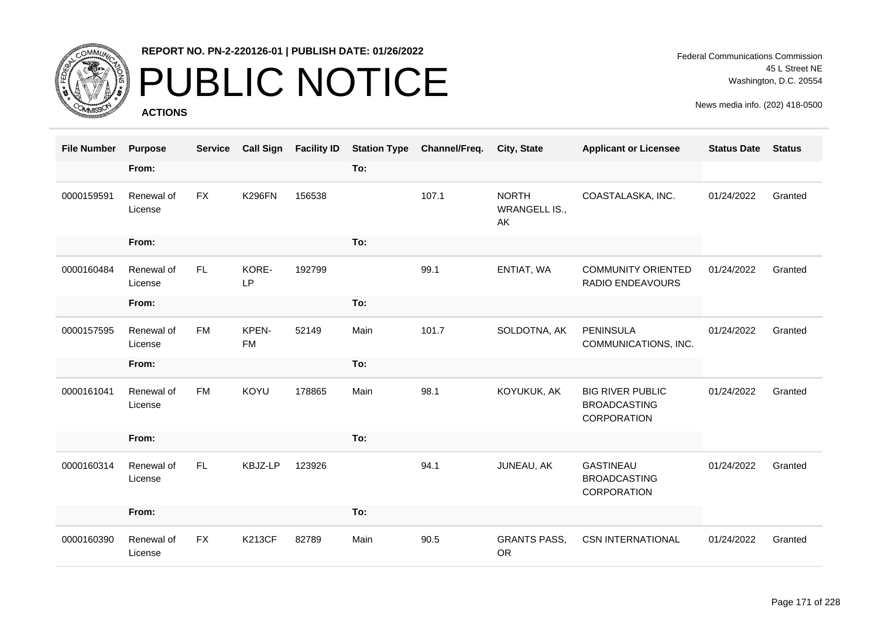

## PUBLIC NOTICE

**ACTIONS**

| <b>File Number</b> | <b>Purpose</b>        | <b>Service</b> | <b>Call Sign</b>   | <b>Facility ID</b> | <b>Station Type</b> | Channel/Freq. | <b>City, State</b>                         | <b>Applicant or Licensee</b>                                  | <b>Status Date</b> | <b>Status</b> |
|--------------------|-----------------------|----------------|--------------------|--------------------|---------------------|---------------|--------------------------------------------|---------------------------------------------------------------|--------------------|---------------|
|                    | From:                 |                |                    |                    | To:                 |               |                                            |                                                               |                    |               |
| 0000159591         | Renewal of<br>License | <b>FX</b>      | <b>K296FN</b>      | 156538             |                     | 107.1         | <b>NORTH</b><br><b>WRANGELL IS.,</b><br>AK | COASTALASKA, INC.                                             | 01/24/2022         | Granted       |
|                    | From:                 |                |                    |                    | To:                 |               |                                            |                                                               |                    |               |
| 0000160484         | Renewal of<br>License | <b>FL</b>      | KORE-<br>LP        | 192799             |                     | 99.1          | ENTIAT, WA                                 | <b>COMMUNITY ORIENTED</b><br>RADIO ENDEAVOURS                 | 01/24/2022         | Granted       |
|                    | From:                 |                |                    |                    | To:                 |               |                                            |                                                               |                    |               |
| 0000157595         | Renewal of<br>License | <b>FM</b>      | KPEN-<br><b>FM</b> | 52149              | Main                | 101.7         | SOLDOTNA, AK                               | <b>PENINSULA</b><br>COMMUNICATIONS, INC.                      | 01/24/2022         | Granted       |
|                    | From:                 |                |                    |                    | To:                 |               |                                            |                                                               |                    |               |
| 0000161041         | Renewal of<br>License | <b>FM</b>      | <b>KOYU</b>        | 178865             | Main                | 98.1          | KOYUKUK, AK                                | <b>BIG RIVER PUBLIC</b><br><b>BROADCASTING</b><br>CORPORATION | 01/24/2022         | Granted       |
|                    | From:                 |                |                    |                    | To:                 |               |                                            |                                                               |                    |               |
| 0000160314         | Renewal of<br>License | FL.            | KBJZ-LP            | 123926             |                     | 94.1          | JUNEAU, AK                                 | <b>GASTINEAU</b><br><b>BROADCASTING</b><br>CORPORATION        | 01/24/2022         | Granted       |
|                    | From:                 |                |                    |                    | To:                 |               |                                            |                                                               |                    |               |
| 0000160390         | Renewal of<br>License | <b>FX</b>      | <b>K213CF</b>      | 82789              | Main                | 90.5          | <b>GRANTS PASS,</b><br><b>OR</b>           | <b>CSN INTERNATIONAL</b>                                      | 01/24/2022         | Granted       |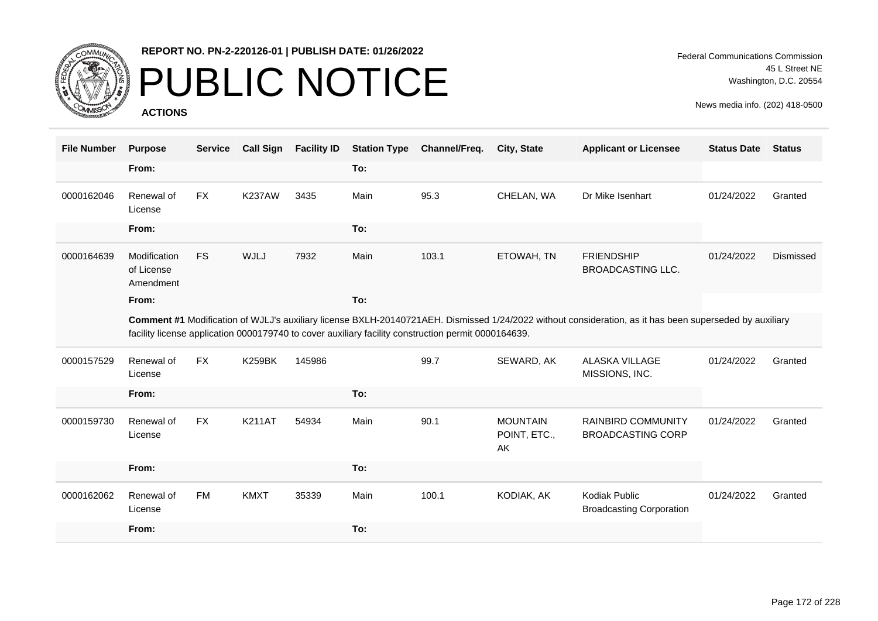

## PUBLIC NOTICE

**ACTIONS**

| <b>File Number</b> | <b>Purpose</b>                          | <b>Service</b> | <b>Call Sign</b> | <b>Facility ID</b> | <b>Station Type</b> | Channel/Freq.                                                                                       | <b>City, State</b>                    | <b>Applicant or Licensee</b>                                                                                                                            | <b>Status Date</b> | <b>Status</b> |
|--------------------|-----------------------------------------|----------------|------------------|--------------------|---------------------|-----------------------------------------------------------------------------------------------------|---------------------------------------|---------------------------------------------------------------------------------------------------------------------------------------------------------|--------------------|---------------|
|                    | From:                                   |                |                  |                    | To:                 |                                                                                                     |                                       |                                                                                                                                                         |                    |               |
| 0000162046         | Renewal of<br>License                   | <b>FX</b>      | <b>K237AW</b>    | 3435               | Main                | 95.3                                                                                                | CHELAN, WA                            | Dr Mike Isenhart                                                                                                                                        | 01/24/2022         | Granted       |
|                    | From:                                   |                |                  |                    | To:                 |                                                                                                     |                                       |                                                                                                                                                         |                    |               |
| 0000164639         | Modification<br>of License<br>Amendment | <b>FS</b>      | <b>WJLJ</b>      | 7932               | Main                | 103.1                                                                                               | ETOWAH, TN                            | <b>FRIENDSHIP</b><br><b>BROADCASTING LLC.</b>                                                                                                           | 01/24/2022         | Dismissed     |
|                    | From:                                   |                |                  |                    | To:                 |                                                                                                     |                                       |                                                                                                                                                         |                    |               |
|                    |                                         |                |                  |                    |                     | facility license application 0000179740 to cover auxiliary facility construction permit 0000164639. |                                       | Comment #1 Modification of WJLJ's auxiliary license BXLH-20140721AEH. Dismissed 1/24/2022 without consideration, as it has been superseded by auxiliary |                    |               |
| 0000157529         | Renewal of<br>License                   | <b>FX</b>      | <b>K259BK</b>    | 145986             |                     | 99.7                                                                                                | SEWARD, AK                            | <b>ALASKA VILLAGE</b><br>MISSIONS, INC.                                                                                                                 | 01/24/2022         | Granted       |
|                    | From:                                   |                |                  |                    | To:                 |                                                                                                     |                                       |                                                                                                                                                         |                    |               |
| 0000159730         | Renewal of<br>License                   | <b>FX</b>      | <b>K211AT</b>    | 54934              | Main                | 90.1                                                                                                | <b>MOUNTAIN</b><br>POINT, ETC.,<br>AK | <b>RAINBIRD COMMUNITY</b><br><b>BROADCASTING CORP</b>                                                                                                   | 01/24/2022         | Granted       |
|                    | From:                                   |                |                  |                    | To:                 |                                                                                                     |                                       |                                                                                                                                                         |                    |               |
| 0000162062         | Renewal of<br>License                   | <b>FM</b>      | <b>KMXT</b>      | 35339              | Main                | 100.1                                                                                               | KODIAK, AK                            | Kodiak Public<br><b>Broadcasting Corporation</b>                                                                                                        | 01/24/2022         | Granted       |
|                    | From:                                   |                |                  |                    | To:                 |                                                                                                     |                                       |                                                                                                                                                         |                    |               |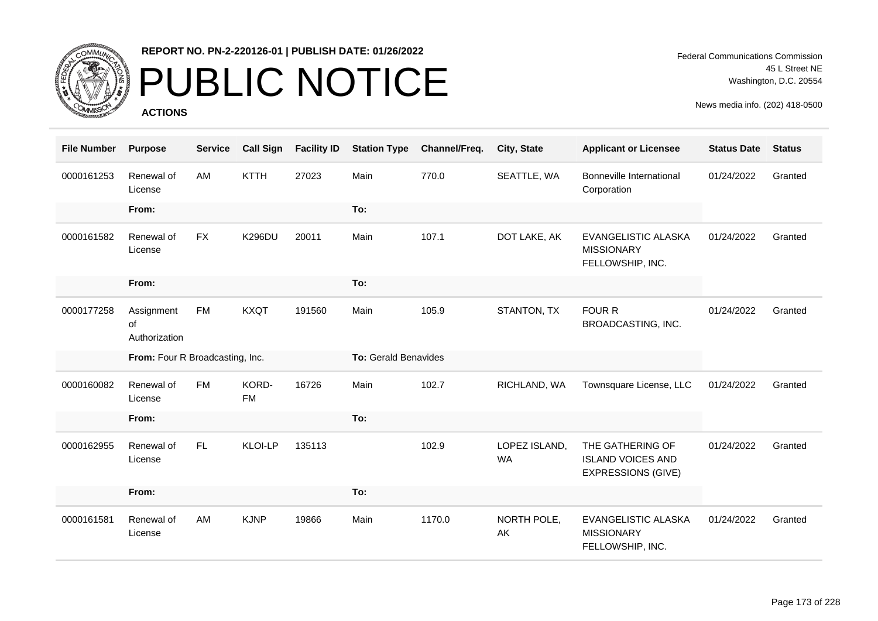

# PUBLIC NOTICE

**ACTIONS**

Federal Communications Commission 45 L Street NE Washington, D.C. 20554

| <b>File Number</b> | <b>Purpose</b>                    | <b>Service</b> | <b>Call Sign</b>   | <b>Facility ID</b> | <b>Station Type</b>  | Channel/Freq. | City, State                | <b>Applicant or Licensee</b>                                              | <b>Status Date</b> | <b>Status</b> |
|--------------------|-----------------------------------|----------------|--------------------|--------------------|----------------------|---------------|----------------------------|---------------------------------------------------------------------------|--------------------|---------------|
| 0000161253         | Renewal of<br>License             | AM             | <b>KTTH</b>        | 27023              | Main                 | 770.0         | SEATTLE, WA                | Bonneville International<br>Corporation                                   | 01/24/2022         | Granted       |
|                    | From:                             |                |                    |                    | To:                  |               |                            |                                                                           |                    |               |
| 0000161582         | Renewal of<br>License             | <b>FX</b>      | <b>K296DU</b>      | 20011              | Main                 | 107.1         | DOT LAKE, AK               | <b>EVANGELISTIC ALASKA</b><br><b>MISSIONARY</b><br>FELLOWSHIP, INC.       | 01/24/2022         | Granted       |
|                    | From:                             |                |                    |                    | To:                  |               |                            |                                                                           |                    |               |
| 0000177258         | Assignment<br>0f<br>Authorization | <b>FM</b>      | <b>KXQT</b>        | 191560             | Main                 | 105.9         | STANTON, TX                | <b>FOUR R</b><br>BROADCASTING, INC.                                       | 01/24/2022         | Granted       |
|                    |                                   |                |                    |                    |                      |               |                            |                                                                           |                    |               |
|                    | From: Four R Broadcasting, Inc.   |                |                    |                    | To: Gerald Benavides |               |                            |                                                                           |                    |               |
| 0000160082         | Renewal of<br>License             | <b>FM</b>      | KORD-<br><b>FM</b> | 16726              | Main                 | 102.7         | RICHLAND, WA               | Townsquare License, LLC                                                   | 01/24/2022         | Granted       |
|                    | From:                             |                |                    |                    | To:                  |               |                            |                                                                           |                    |               |
| 0000162955         | Renewal of<br>License             | FL.            | <b>KLOI-LP</b>     | 135113             |                      | 102.9         | LOPEZ ISLAND,<br><b>WA</b> | THE GATHERING OF<br><b>ISLAND VOICES AND</b><br><b>EXPRESSIONS (GIVE)</b> | 01/24/2022         | Granted       |
|                    | From:                             |                |                    |                    | To:                  |               |                            |                                                                           |                    |               |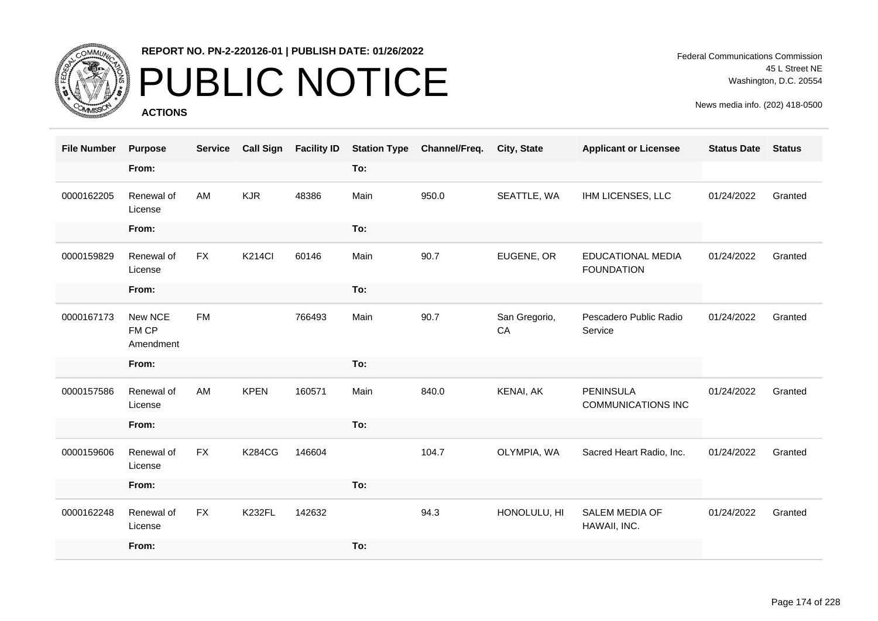

# PUBLIC NOTICE

**ACTIONS**

Federal Communications Commission 45 L Street NE Washington, D.C. 20554

| <b>File Number</b> | <b>Purpose</b>                | <b>Service</b> | <b>Call Sign</b> | <b>Facility ID</b> | <b>Station Type</b> | Channel/Freq. | <b>City, State</b>  | <b>Applicant or Licensee</b>                  | <b>Status Date</b> | <b>Status</b> |
|--------------------|-------------------------------|----------------|------------------|--------------------|---------------------|---------------|---------------------|-----------------------------------------------|--------------------|---------------|
|                    | From:                         |                |                  |                    | To:                 |               |                     |                                               |                    |               |
| 0000162205         | Renewal of<br>License         | AM             | <b>KJR</b>       | 48386              | Main                | 950.0         | SEATTLE, WA         | IHM LICENSES, LLC                             | 01/24/2022         | Granted       |
|                    | From:                         |                |                  |                    | To:                 |               |                     |                                               |                    |               |
| 0000159829         | Renewal of<br>License         | <b>FX</b>      | <b>K214CI</b>    | 60146              | Main                | 90.7          | EUGENE, OR          | <b>EDUCATIONAL MEDIA</b><br><b>FOUNDATION</b> | 01/24/2022         | Granted       |
|                    | From:                         |                |                  |                    | To:                 |               |                     |                                               |                    |               |
| 0000167173         | New NCE<br>FM CP<br>Amendment | <b>FM</b>      |                  | 766493             | Main                | 90.7          | San Gregorio,<br>CA | Pescadero Public Radio<br>Service             | 01/24/2022         | Granted       |
|                    | From:                         |                |                  |                    | To:                 |               |                     |                                               |                    |               |
| 0000157586         | Renewal of<br>License         | AM             | <b>KPEN</b>      | 160571             | Main                | 840.0         | KENAI, AK           | <b>PENINSULA</b><br><b>COMMUNICATIONS INC</b> | 01/24/2022         | Granted       |
|                    | From:                         |                |                  |                    | To:                 |               |                     |                                               |                    |               |
| 0000159606         | Renewal of<br>License         | <b>FX</b>      | <b>K284CG</b>    | 146604             |                     | 104.7         | OLYMPIA, WA         | Sacred Heart Radio, Inc.                      | 01/24/2022         | Granted       |
|                    | From:                         |                |                  |                    | To:                 |               |                     |                                               |                    |               |
| 0000162248         | Renewal of<br>License         | <b>FX</b>      | <b>K232FL</b>    | 142632             |                     | 94.3          | HONOLULU, HI        | <b>SALEM MEDIA OF</b><br>HAWAII, INC.         | 01/24/2022         | Granted       |
|                    | From:                         |                |                  |                    | To:                 |               |                     |                                               |                    |               |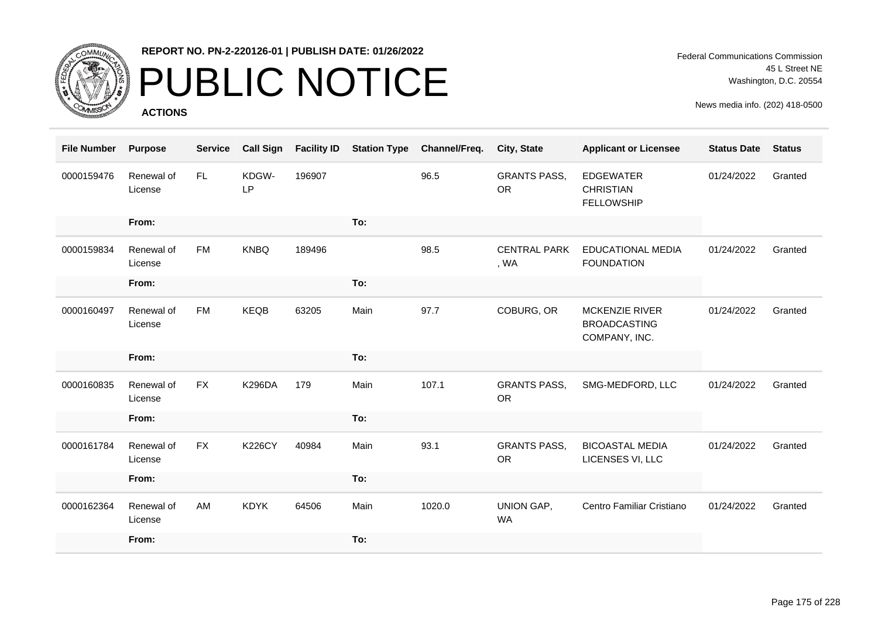

### PUBLIC NOTICE

**ACTIONS**

Federal Communications Commission 45 L Street NE Washington, D.C. 20554

| <b>File Number</b> | <b>Purpose</b>        | <b>Service</b> | <b>Call Sign</b> | <b>Facility ID</b> | <b>Station Type</b> | Channel/Freq. | City, State                      | <b>Applicant or Licensee</b>                                  | <b>Status Date</b> | <b>Status</b> |
|--------------------|-----------------------|----------------|------------------|--------------------|---------------------|---------------|----------------------------------|---------------------------------------------------------------|--------------------|---------------|
| 0000159476         | Renewal of<br>License | FL.            | KDGW-<br>LP      | 196907             |                     | 96.5          | <b>GRANTS PASS,</b><br><b>OR</b> | <b>EDGEWATER</b><br><b>CHRISTIAN</b><br><b>FELLOWSHIP</b>     | 01/24/2022         | Granted       |
|                    | From:                 |                |                  |                    | To:                 |               |                                  |                                                               |                    |               |
| 0000159834         | Renewal of<br>License | <b>FM</b>      | <b>KNBQ</b>      | 189496             |                     | 98.5          | <b>CENTRAL PARK</b><br>, WA      | <b>EDUCATIONAL MEDIA</b><br><b>FOUNDATION</b>                 | 01/24/2022         | Granted       |
|                    | From:                 |                |                  |                    | To:                 |               |                                  |                                                               |                    |               |
| 0000160497         | Renewal of<br>License | FM             | <b>KEQB</b>      | 63205              | Main                | 97.7          | COBURG, OR                       | <b>MCKENZIE RIVER</b><br><b>BROADCASTING</b><br>COMPANY, INC. | 01/24/2022         | Granted       |
|                    | From:                 |                |                  |                    | To:                 |               |                                  |                                                               |                    |               |
| 0000160835         | Renewal of<br>License | <b>FX</b>      | <b>K296DA</b>    | 179                | Main                | 107.1         | <b>GRANTS PASS,</b><br><b>OR</b> | SMG-MEDFORD, LLC                                              | 01/24/2022         | Granted       |
|                    | From:                 |                |                  |                    | To:                 |               |                                  |                                                               |                    |               |
| 0000161784         | Renewal of<br>License | <b>FX</b>      | <b>K226CY</b>    | 40984              | Main                | 93.1          | <b>GRANTS PASS,</b><br><b>OR</b> | <b>BICOASTAL MEDIA</b><br>LICENSES VI, LLC                    | 01/24/2022         | Granted       |
|                    | From:                 |                |                  |                    | To:                 |               |                                  |                                                               |                    |               |
| 0000162364         | Renewal of<br>License | AM             | <b>KDYK</b>      | 64506              | Main                | 1020.0        | UNION GAP,<br><b>WA</b>          | Centro Familiar Cristiano                                     | 01/24/2022         | Granted       |
|                    | From:                 |                |                  |                    | To:                 |               |                                  |                                                               |                    |               |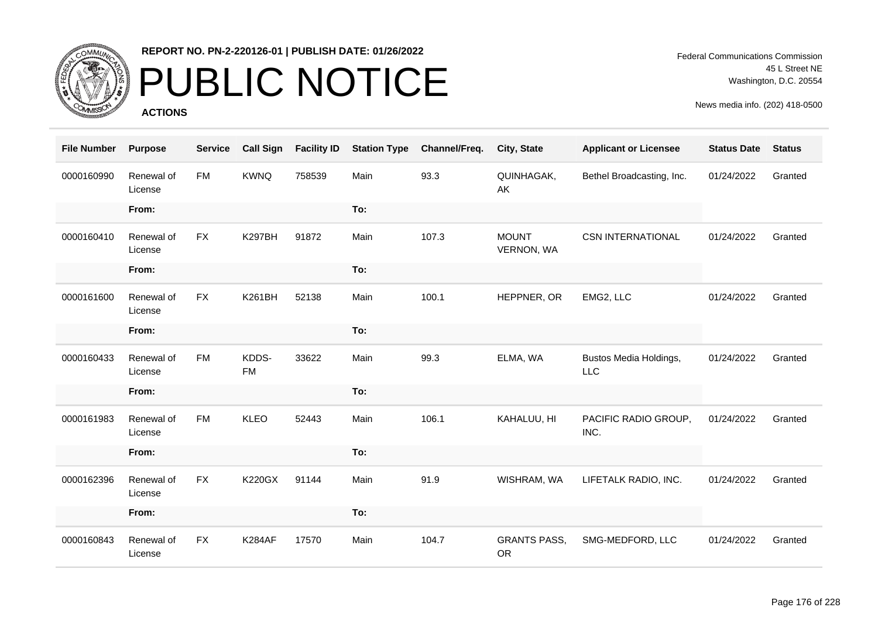

# PUBLIC NOTICE

**ACTIONS**

Federal Communications Commission 45 L Street NE Washington, D.C. 20554

| <b>File Number</b> | <b>Purpose</b>        | <b>Service</b> | <b>Call Sign</b>   | <b>Facility ID</b> | <b>Station Type</b> | Channel/Freq. | City, State                      | <b>Applicant or Licensee</b>         | <b>Status Date</b> | <b>Status</b> |
|--------------------|-----------------------|----------------|--------------------|--------------------|---------------------|---------------|----------------------------------|--------------------------------------|--------------------|---------------|
| 0000160990         | Renewal of<br>License | <b>FM</b>      | <b>KWNQ</b>        | 758539             | Main                | 93.3          | QUINHAGAK,<br>AK                 | Bethel Broadcasting, Inc.            | 01/24/2022         | Granted       |
|                    | From:                 |                |                    |                    | To:                 |               |                                  |                                      |                    |               |
| 0000160410         | Renewal of<br>License | <b>FX</b>      | <b>K297BH</b>      | 91872              | Main                | 107.3         | <b>MOUNT</b><br>VERNON, WA       | <b>CSN INTERNATIONAL</b>             | 01/24/2022         | Granted       |
|                    | From:                 |                |                    |                    | To:                 |               |                                  |                                      |                    |               |
| 0000161600         | Renewal of<br>License | <b>FX</b>      | <b>K261BH</b>      | 52138              | Main                | 100.1         | HEPPNER, OR                      | EMG2, LLC                            | 01/24/2022         | Granted       |
|                    | From:                 |                |                    |                    | To:                 |               |                                  |                                      |                    |               |
| 0000160433         | Renewal of<br>License | <b>FM</b>      | KDDS-<br><b>FM</b> | 33622              | Main                | 99.3          | ELMA, WA                         | Bustos Media Holdings,<br><b>LLC</b> | 01/24/2022         | Granted       |
|                    | From:                 |                |                    |                    | To:                 |               |                                  |                                      |                    |               |
| 0000161983         | Renewal of<br>License | <b>FM</b>      | <b>KLEO</b>        | 52443              | Main                | 106.1         | KAHALUU, HI                      | PACIFIC RADIO GROUP,<br>INC.         | 01/24/2022         | Granted       |
|                    | From:                 |                |                    |                    | To:                 |               |                                  |                                      |                    |               |
| 0000162396         | Renewal of<br>License | <b>FX</b>      | <b>K220GX</b>      | 91144              | Main                | 91.9          | WISHRAM, WA                      | LIFETALK RADIO, INC.                 | 01/24/2022         | Granted       |
|                    | From:                 |                |                    |                    | To:                 |               |                                  |                                      |                    |               |
| 0000160843         | Renewal of<br>License | <b>FX</b>      | <b>K284AF</b>      | 17570              | Main                | 104.7         | <b>GRANTS PASS,</b><br><b>OR</b> | SMG-MEDFORD, LLC                     | 01/24/2022         | Granted       |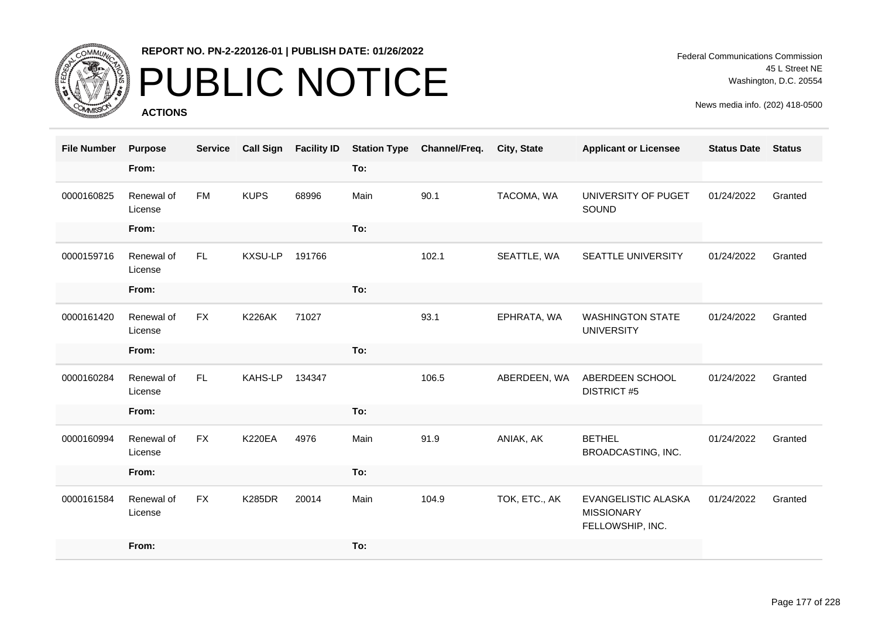

## PUBLIC NOTICE

**ACTIONS**

Federal Communications Commission 45 L Street NE Washington, D.C. 20554

| <b>File Number</b> | <b>Purpose</b>        | <b>Service</b> | <b>Call Sign</b> | <b>Facility ID</b> | <b>Station Type</b> | Channel/Freq. | <b>City, State</b> | <b>Applicant or Licensee</b>                                 | <b>Status Date</b> | <b>Status</b> |
|--------------------|-----------------------|----------------|------------------|--------------------|---------------------|---------------|--------------------|--------------------------------------------------------------|--------------------|---------------|
|                    | From:                 |                |                  |                    | To:                 |               |                    |                                                              |                    |               |
| 0000160825         | Renewal of<br>License | <b>FM</b>      | <b>KUPS</b>      | 68996              | Main                | 90.1          | TACOMA, WA         | UNIVERSITY OF PUGET<br>SOUND                                 | 01/24/2022         | Granted       |
|                    | From:                 |                |                  |                    | To:                 |               |                    |                                                              |                    |               |
| 0000159716         | Renewal of<br>License | FL.            | KXSU-LP          | 191766             |                     | 102.1         | SEATTLE, WA        | SEATTLE UNIVERSITY                                           | 01/24/2022         | Granted       |
|                    | From:                 |                |                  |                    | To:                 |               |                    |                                                              |                    |               |
| 0000161420         | Renewal of<br>License | <b>FX</b>      | <b>K226AK</b>    | 71027              |                     | 93.1          | EPHRATA, WA        | <b>WASHINGTON STATE</b><br><b>UNIVERSITY</b>                 | 01/24/2022         | Granted       |
|                    | From:                 |                |                  |                    | To:                 |               |                    |                                                              |                    |               |
| 0000160284         | Renewal of<br>License | FL.            | KAHS-LP          | 134347             |                     | 106.5         | ABERDEEN, WA       | ABERDEEN SCHOOL<br><b>DISTRICT #5</b>                        | 01/24/2022         | Granted       |
|                    | From:                 |                |                  |                    | To:                 |               |                    |                                                              |                    |               |
| 0000160994         | Renewal of<br>License | <b>FX</b>      | <b>K220EA</b>    | 4976               | Main                | 91.9          | ANIAK, AK          | <b>BETHEL</b><br>BROADCASTING, INC.                          | 01/24/2022         | Granted       |
|                    | From:                 |                |                  |                    | To:                 |               |                    |                                                              |                    |               |
| 0000161584         | Renewal of<br>License | <b>FX</b>      | <b>K285DR</b>    | 20014              | Main                | 104.9         | TOK, ETC., AK      | EVANGELISTIC ALASKA<br><b>MISSIONARY</b><br>FELLOWSHIP, INC. | 01/24/2022         | Granted       |
|                    | From:                 |                |                  |                    | To:                 |               |                    |                                                              |                    |               |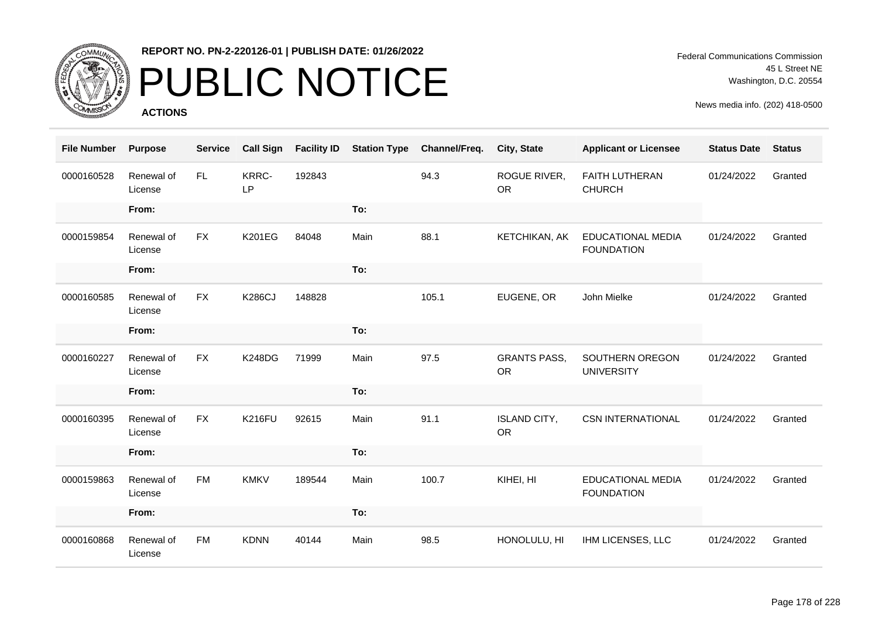

### PUBLIC NOTICE

**ACTIONS**

Federal Communications Commission 45 L Street NE Washington, D.C. 20554

| <b>File Number</b> | <b>Purpose</b>        | <b>Service</b> | <b>Call Sign</b>   | <b>Facility ID</b> | <b>Station Type</b> | Channel/Freq. | City, State                      | <b>Applicant or Licensee</b>                  | <b>Status Date</b> | <b>Status</b> |
|--------------------|-----------------------|----------------|--------------------|--------------------|---------------------|---------------|----------------------------------|-----------------------------------------------|--------------------|---------------|
| 0000160528         | Renewal of<br>License | FL.            | KRRC-<br><b>LP</b> | 192843             |                     | 94.3          | ROGUE RIVER,<br><b>OR</b>        | <b>FAITH LUTHERAN</b><br><b>CHURCH</b>        | 01/24/2022         | Granted       |
|                    | From:                 |                |                    |                    | To:                 |               |                                  |                                               |                    |               |
| 0000159854         | Renewal of<br>License | <b>FX</b>      | <b>K201EG</b>      | 84048              | Main                | 88.1          | KETCHIKAN, AK                    | <b>EDUCATIONAL MEDIA</b><br><b>FOUNDATION</b> | 01/24/2022         | Granted       |
|                    | From:                 |                |                    |                    | To:                 |               |                                  |                                               |                    |               |
| 0000160585         | Renewal of<br>License | <b>FX</b>      | <b>K286CJ</b>      | 148828             |                     | 105.1         | EUGENE, OR                       | John Mielke                                   | 01/24/2022         | Granted       |
|                    | From:                 |                |                    |                    | To:                 |               |                                  |                                               |                    |               |
| 0000160227         | Renewal of<br>License | <b>FX</b>      | <b>K248DG</b>      | 71999              | Main                | 97.5          | <b>GRANTS PASS,</b><br><b>OR</b> | SOUTHERN OREGON<br><b>UNIVERSITY</b>          | 01/24/2022         | Granted       |
|                    | From:                 |                |                    |                    | To:                 |               |                                  |                                               |                    |               |
| 0000160395         | Renewal of<br>License | <b>FX</b>      | <b>K216FU</b>      | 92615              | Main                | 91.1          | <b>ISLAND CITY,</b><br><b>OR</b> | <b>CSN INTERNATIONAL</b>                      | 01/24/2022         | Granted       |
|                    | From:                 |                |                    |                    | To:                 |               |                                  |                                               |                    |               |
| 0000159863         | Renewal of<br>License | <b>FM</b>      | <b>KMKV</b>        | 189544             | Main                | 100.7         | KIHEI, HI                        | <b>EDUCATIONAL MEDIA</b><br><b>FOUNDATION</b> | 01/24/2022         | Granted       |
|                    | From:                 |                |                    |                    | To:                 |               |                                  |                                               |                    |               |
| 0000160868         | Renewal of<br>License | <b>FM</b>      | <b>KDNN</b>        | 40144              | Main                | 98.5          | HONOLULU, HI                     | IHM LICENSES, LLC                             | 01/24/2022         | Granted       |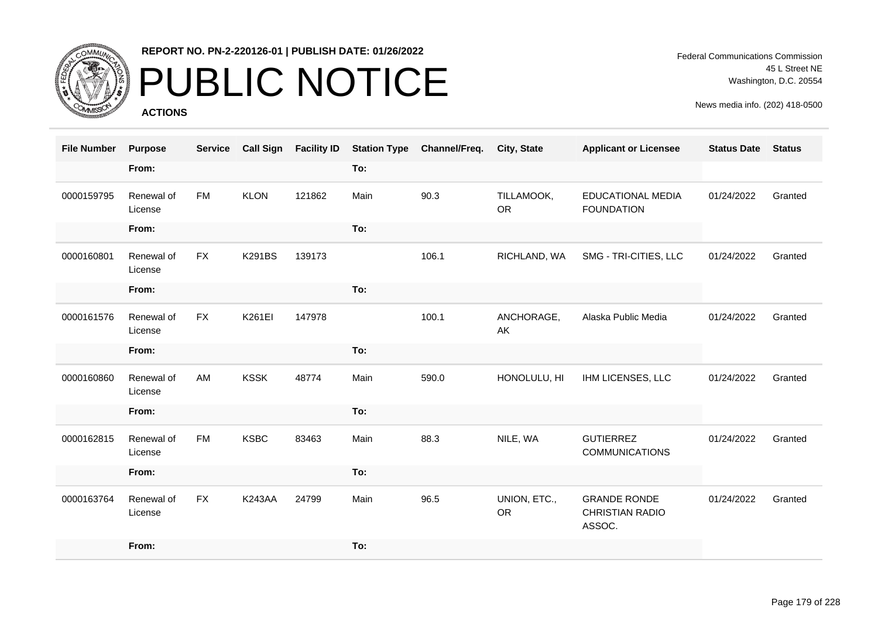

## PUBLIC NOTICE

**ACTIONS**

Federal Communications Commission 45 L Street NE Washington, D.C. 20554

| <b>File Number</b> | <b>Purpose</b>        | <b>Service</b> | <b>Call Sign</b> | <b>Facility ID</b> | <b>Station Type</b> | Channel/Freq. | City, State               | <b>Applicant or Licensee</b>                     | <b>Status Date</b> | <b>Status</b> |
|--------------------|-----------------------|----------------|------------------|--------------------|---------------------|---------------|---------------------------|--------------------------------------------------|--------------------|---------------|
|                    | From:                 |                |                  |                    | To:                 |               |                           |                                                  |                    |               |
| 0000159795         | Renewal of<br>License | <b>FM</b>      | <b>KLON</b>      | 121862             | Main                | 90.3          | TILLAMOOK,<br><b>OR</b>   | <b>EDUCATIONAL MEDIA</b><br><b>FOUNDATION</b>    | 01/24/2022         | Granted       |
|                    | From:                 |                |                  |                    | To:                 |               |                           |                                                  |                    |               |
| 0000160801         | Renewal of<br>License | <b>FX</b>      | <b>K291BS</b>    | 139173             |                     | 106.1         | RICHLAND, WA              | SMG - TRI-CITIES, LLC                            | 01/24/2022         | Granted       |
|                    | From:                 |                |                  |                    | To:                 |               |                           |                                                  |                    |               |
| 0000161576         | Renewal of<br>License | <b>FX</b>      | K261EI           | 147978             |                     | 100.1         | ANCHORAGE,<br>AK          | Alaska Public Media                              | 01/24/2022         | Granted       |
|                    | From:                 |                |                  |                    | To:                 |               |                           |                                                  |                    |               |
| 0000160860         | Renewal of<br>License | AM             | <b>KSSK</b>      | 48774              | Main                | 590.0         | HONOLULU, HI              | IHM LICENSES, LLC                                | 01/24/2022         | Granted       |
|                    | From:                 |                |                  |                    | To:                 |               |                           |                                                  |                    |               |
| 0000162815         | Renewal of<br>License | <b>FM</b>      | <b>KSBC</b>      | 83463              | Main                | 88.3          | NILE, WA                  | <b>GUTIERREZ</b><br><b>COMMUNICATIONS</b>        | 01/24/2022         | Granted       |
|                    | From:                 |                |                  |                    | To:                 |               |                           |                                                  |                    |               |
| 0000163764         | Renewal of<br>License | <b>FX</b>      | <b>K243AA</b>    | 24799              | Main                | 96.5          | UNION, ETC.,<br><b>OR</b> | <b>GRANDE RONDE</b><br>CHRISTIAN RADIO<br>ASSOC. | 01/24/2022         | Granted       |
|                    | From:                 |                |                  |                    | To:                 |               |                           |                                                  |                    |               |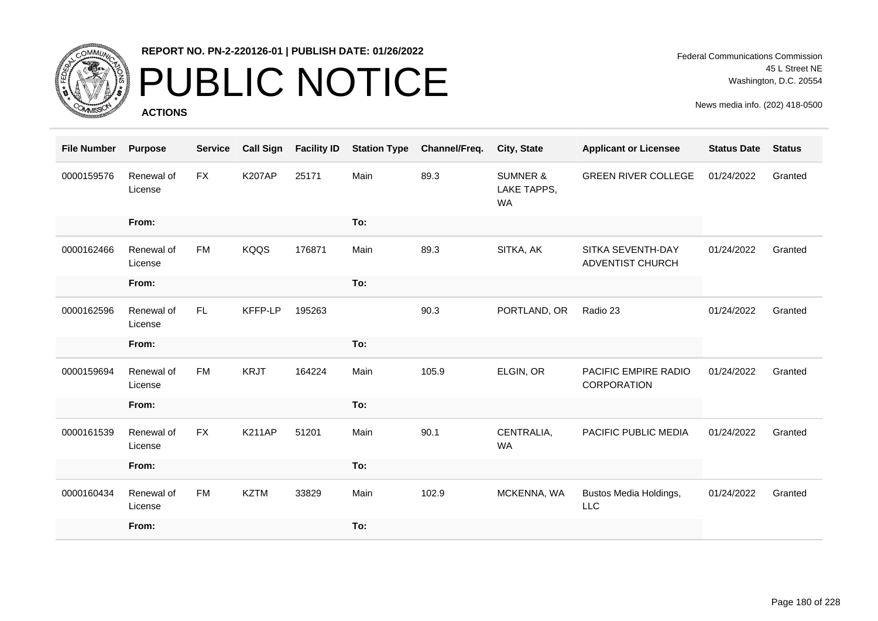

## PUBLIC NOTICE

**ACTIONS**

Federal Communications Commission 45 L Street NE Washington, D.C. 20554

| <b>File Number</b> | <b>Purpose</b>        | <b>Service</b> | <b>Call Sign</b> | <b>Facility ID</b> | <b>Station Type</b> | Channel/Freq. | City, State                                     | <b>Applicant or Licensee</b>                 | <b>Status Date</b> | <b>Status</b> |
|--------------------|-----------------------|----------------|------------------|--------------------|---------------------|---------------|-------------------------------------------------|----------------------------------------------|--------------------|---------------|
| 0000159576         | Renewal of<br>License | <b>FX</b>      | <b>K207AP</b>    | 25171              | Main                | 89.3          | <b>SUMNER &amp;</b><br>LAKE TAPPS,<br><b>WA</b> | <b>GREEN RIVER COLLEGE</b>                   | 01/24/2022         | Granted       |
|                    | From:                 |                |                  |                    | To:                 |               |                                                 |                                              |                    |               |
| 0000162466         | Renewal of<br>License | <b>FM</b>      | <b>KQQS</b>      | 176871             | Main                | 89.3          | SITKA, AK                                       | SITKA SEVENTH-DAY<br><b>ADVENTIST CHURCH</b> | 01/24/2022         | Granted       |
|                    | From:                 |                |                  |                    | To:                 |               |                                                 |                                              |                    |               |
| 0000162596         | Renewal of<br>License | FL.            | KFFP-LP          | 195263             |                     | 90.3          | PORTLAND, OR                                    | Radio 23                                     | 01/24/2022         | Granted       |
|                    | From:                 |                |                  |                    | To:                 |               |                                                 |                                              |                    |               |
| 0000159694         | Renewal of<br>License | <b>FM</b>      | <b>KRJT</b>      | 164224             | Main                | 105.9         | ELGIN, OR                                       | PACIFIC EMPIRE RADIO<br>CORPORATION          | 01/24/2022         | Granted       |
|                    | From:                 |                |                  |                    | To:                 |               |                                                 |                                              |                    |               |
| 0000161539         | Renewal of<br>License | <b>FX</b>      | <b>K211AP</b>    | 51201              | Main                | 90.1          | CENTRALIA,<br><b>WA</b>                         | PACIFIC PUBLIC MEDIA                         | 01/24/2022         | Granted       |
|                    | From:                 |                |                  |                    | To:                 |               |                                                 |                                              |                    |               |
| 0000160434         | Renewal of<br>License | <b>FM</b>      | <b>KZTM</b>      | 33829              | Main                | 102.9         | MCKENNA, WA                                     | Bustos Media Holdings,<br><b>LLC</b>         | 01/24/2022         | Granted       |
|                    | From:                 |                |                  |                    | To:                 |               |                                                 |                                              |                    |               |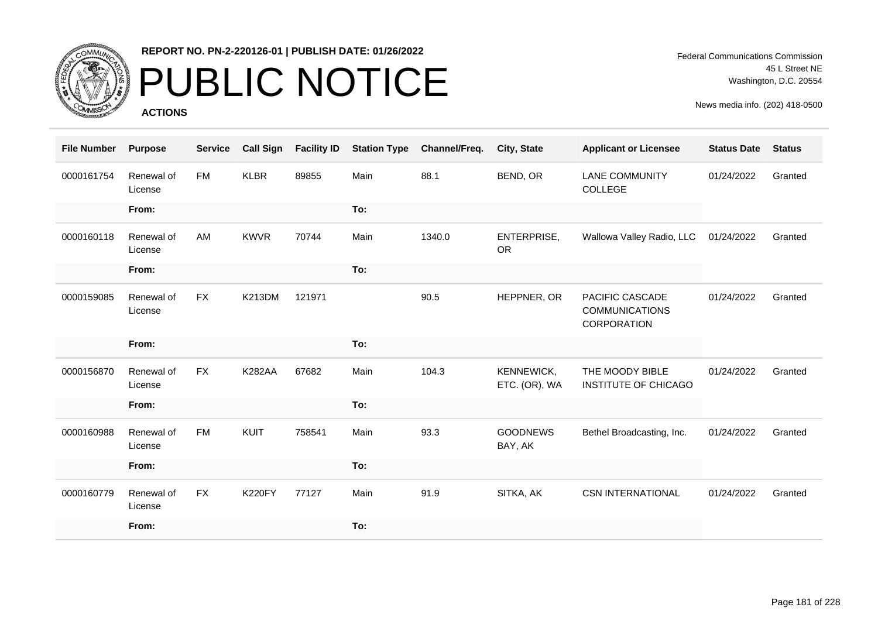

## PUBLIC NOTICE

**ACTIONS**

| <b>File Number</b> | <b>Purpose</b>        | <b>Service</b> | <b>Call Sign</b> | <b>Facility ID</b> | <b>Station Type</b> | Channel/Freq. | City, State                 | <b>Applicant or Licensee</b>                            | <b>Status Date</b> | <b>Status</b> |
|--------------------|-----------------------|----------------|------------------|--------------------|---------------------|---------------|-----------------------------|---------------------------------------------------------|--------------------|---------------|
| 0000161754         | Renewal of<br>License | <b>FM</b>      | <b>KLBR</b>      | 89855              | Main                | 88.1          | BEND, OR                    | <b>LANE COMMUNITY</b><br>COLLEGE                        | 01/24/2022         | Granted       |
|                    | From:                 |                |                  |                    | To:                 |               |                             |                                                         |                    |               |
| 0000160118         | Renewal of<br>License | AM             | <b>KWVR</b>      | 70744              | Main                | 1340.0        | ENTERPRISE,<br><b>OR</b>    | Wallowa Valley Radio, LLC                               | 01/24/2022         | Granted       |
|                    | From:                 |                |                  |                    | To:                 |               |                             |                                                         |                    |               |
| 0000159085         | Renewal of<br>License | <b>FX</b>      | <b>K213DM</b>    | 121971             |                     | 90.5          | HEPPNER, OR                 | PACIFIC CASCADE<br><b>COMMUNICATIONS</b><br>CORPORATION | 01/24/2022         | Granted       |
|                    | From:                 |                |                  |                    | To:                 |               |                             |                                                         |                    |               |
| 0000156870         | Renewal of<br>License | <b>FX</b>      | <b>K282AA</b>    | 67682              | Main                | 104.3         | KENNEWICK,<br>ETC. (OR), WA | THE MOODY BIBLE<br>INSTITUTE OF CHICAGO                 | 01/24/2022         | Granted       |
|                    | From:                 |                |                  |                    | To:                 |               |                             |                                                         |                    |               |
| 0000160988         | Renewal of<br>License | <b>FM</b>      | KUIT             | 758541             | Main                | 93.3          | <b>GOODNEWS</b><br>BAY, AK  | Bethel Broadcasting, Inc.                               | 01/24/2022         | Granted       |
|                    | From:                 |                |                  |                    | To:                 |               |                             |                                                         |                    |               |
| 0000160779         | Renewal of<br>License | <b>FX</b>      | <b>K220FY</b>    | 77127              | Main                | 91.9          | SITKA, AK                   | <b>CSN INTERNATIONAL</b>                                | 01/24/2022         | Granted       |
|                    | From:                 |                |                  |                    | To:                 |               |                             |                                                         |                    |               |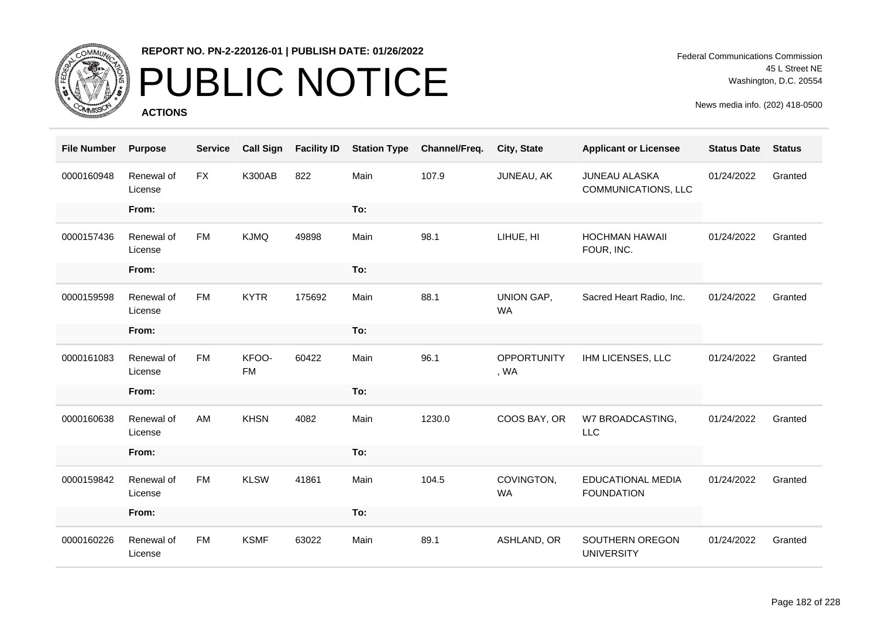

# PUBLIC NOTICE

**ACTIONS**

Federal Communications Commission 45 L Street NE Washington, D.C. 20554

| <b>File Number</b> | <b>Purpose</b>        | <b>Service</b> | <b>Call Sign</b>   | <b>Facility ID</b> | <b>Station Type</b> | Channel/Freq. | City, State                | <b>Applicant or Licensee</b>                  | <b>Status Date</b> | <b>Status</b> |
|--------------------|-----------------------|----------------|--------------------|--------------------|---------------------|---------------|----------------------------|-----------------------------------------------|--------------------|---------------|
| 0000160948         | Renewal of<br>License | <b>FX</b>      | <b>K300AB</b>      | 822                | Main                | 107.9         | JUNEAU, AK                 | <b>JUNEAU ALASKA</b><br>COMMUNICATIONS, LLC   | 01/24/2022         | Granted       |
|                    | From:                 |                |                    |                    | To:                 |               |                            |                                               |                    |               |
| 0000157436         | Renewal of<br>License | <b>FM</b>      | <b>KJMQ</b>        | 49898              | Main                | 98.1          | LIHUE, HI                  | <b>HOCHMAN HAWAII</b><br>FOUR, INC.           | 01/24/2022         | Granted       |
|                    | From:                 |                |                    |                    | To:                 |               |                            |                                               |                    |               |
| 0000159598         | Renewal of<br>License | <b>FM</b>      | <b>KYTR</b>        | 175692             | Main                | 88.1          | UNION GAP,<br><b>WA</b>    | Sacred Heart Radio, Inc.                      | 01/24/2022         | Granted       |
|                    | From:                 |                |                    |                    | To:                 |               |                            |                                               |                    |               |
| 0000161083         | Renewal of<br>License | <b>FM</b>      | KFOO-<br><b>FM</b> | 60422              | Main                | 96.1          | <b>OPPORTUNITY</b><br>, WA | IHM LICENSES, LLC                             | 01/24/2022         | Granted       |
|                    | From:                 |                |                    |                    | To:                 |               |                            |                                               |                    |               |
| 0000160638         | Renewal of<br>License | AM             | <b>KHSN</b>        | 4082               | Main                | 1230.0        | COOS BAY, OR               | W7 BROADCASTING,<br><b>LLC</b>                | 01/24/2022         | Granted       |
|                    | From:                 |                |                    |                    | To:                 |               |                            |                                               |                    |               |
| 0000159842         | Renewal of<br>License | <b>FM</b>      | <b>KLSW</b>        | 41861              | Main                | 104.5         | COVINGTON,<br>WA           | <b>EDUCATIONAL MEDIA</b><br><b>FOUNDATION</b> | 01/24/2022         | Granted       |
|                    | From:                 |                |                    |                    | To:                 |               |                            |                                               |                    |               |
| 0000160226         | Renewal of<br>License | <b>FM</b>      | <b>KSMF</b>        | 63022              | Main                | 89.1          | ASHLAND, OR                | SOUTHERN OREGON<br><b>UNIVERSITY</b>          | 01/24/2022         | Granted       |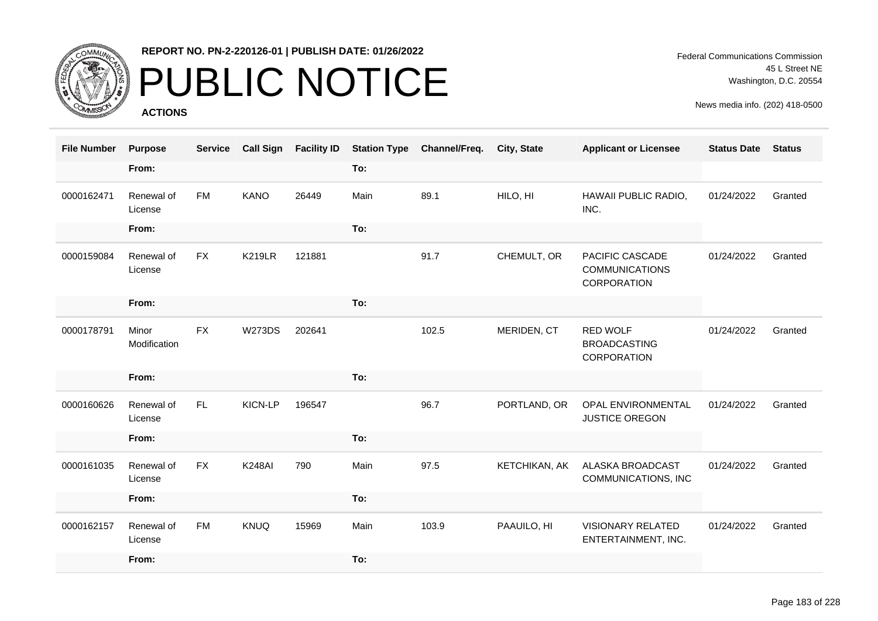

# PUBLIC NOTICE

**ACTIONS**

Federal Communications Commission 45 L Street NE Washington, D.C. 20554

| <b>File Number</b> | <b>Purpose</b>        | <b>Service</b> | <b>Call Sign</b> | <b>Facility ID</b> | <b>Station Type</b> | Channel/Freq. | <b>City, State</b> | <b>Applicant or Licensee</b>                                   | <b>Status Date</b> | <b>Status</b> |
|--------------------|-----------------------|----------------|------------------|--------------------|---------------------|---------------|--------------------|----------------------------------------------------------------|--------------------|---------------|
|                    | From:                 |                |                  |                    | To:                 |               |                    |                                                                |                    |               |
| 0000162471         | Renewal of<br>License | <b>FM</b>      | <b>KANO</b>      | 26449              | Main                | 89.1          | HILO, HI           | HAWAII PUBLIC RADIO,<br>INC.                                   | 01/24/2022         | Granted       |
|                    | From:                 |                |                  |                    | To:                 |               |                    |                                                                |                    |               |
| 0000159084         | Renewal of<br>License | <b>FX</b>      | <b>K219LR</b>    | 121881             |                     | 91.7          | CHEMULT, OR        | PACIFIC CASCADE<br><b>COMMUNICATIONS</b><br><b>CORPORATION</b> | 01/24/2022         | Granted       |
|                    | From:                 |                |                  |                    | To:                 |               |                    |                                                                |                    |               |
| 0000178791         | Minor<br>Modification | <b>FX</b>      | <b>W273DS</b>    | 202641             |                     | 102.5         | MERIDEN, CT        | <b>RED WOLF</b><br><b>BROADCASTING</b><br><b>CORPORATION</b>   | 01/24/2022         | Granted       |
|                    | From:                 |                |                  |                    | To:                 |               |                    |                                                                |                    |               |
| 0000160626         | Renewal of<br>License | FL.            | KICN-LP          | 196547             |                     | 96.7          | PORTLAND, OR       | <b>OPAL ENVIRONMENTAL</b><br>JUSTICE OREGON                    | 01/24/2022         | Granted       |
|                    | From:                 |                |                  |                    | To:                 |               |                    |                                                                |                    |               |
| 0000161035         | Renewal of<br>License | <b>FX</b>      | <b>K248AI</b>    | 790                | Main                | 97.5          | KETCHIKAN, AK      | ALASKA BROADCAST<br>COMMUNICATIONS, INC                        | 01/24/2022         | Granted       |
|                    | From:                 |                |                  |                    | To:                 |               |                    |                                                                |                    |               |
| 0000162157         | Renewal of<br>License | <b>FM</b>      | <b>KNUQ</b>      | 15969              | Main                | 103.9         | PAAUILO, HI        | <b>VISIONARY RELATED</b><br>ENTERTAINMENT, INC.                | 01/24/2022         | Granted       |
|                    | From:                 |                |                  |                    | To:                 |               |                    |                                                                |                    |               |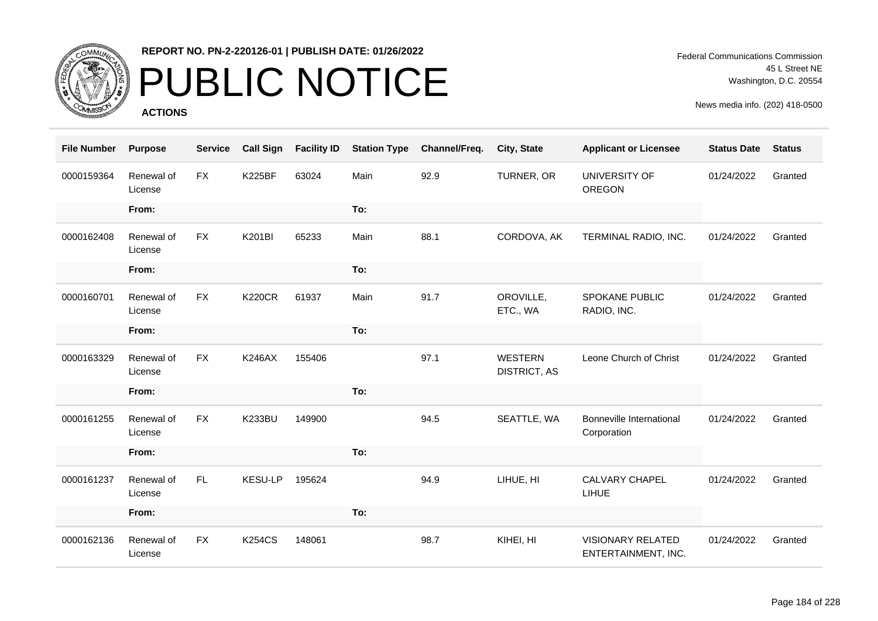

# PUBLIC NOTICE

**ACTIONS**

Federal Communications Commission 45 L Street NE Washington, D.C. 20554

| <b>File Number</b> | <b>Purpose</b>        | <b>Service</b> | <b>Call Sign</b> | <b>Facility ID</b> | <b>Station Type</b> | Channel/Freq. | City, State                           | <b>Applicant or Licensee</b>                    | <b>Status Date</b> | <b>Status</b> |
|--------------------|-----------------------|----------------|------------------|--------------------|---------------------|---------------|---------------------------------------|-------------------------------------------------|--------------------|---------------|
| 0000159364         | Renewal of<br>License | <b>FX</b>      | <b>K225BF</b>    | 63024              | Main                | 92.9          | TURNER, OR                            | UNIVERSITY OF<br>OREGON                         | 01/24/2022         | Granted       |
|                    | From:                 |                |                  |                    | To:                 |               |                                       |                                                 |                    |               |
| 0000162408         | Renewal of<br>License | <b>FX</b>      | <b>K201BI</b>    | 65233              | Main                | 88.1          | CORDOVA, AK                           | TERMINAL RADIO, INC.                            | 01/24/2022         | Granted       |
|                    | From:                 |                |                  |                    | To:                 |               |                                       |                                                 |                    |               |
| 0000160701         | Renewal of<br>License | <b>FX</b>      | <b>K220CR</b>    | 61937              | Main                | 91.7          | OROVILLE,<br>ETC., WA                 | <b>SPOKANE PUBLIC</b><br>RADIO, INC.            | 01/24/2022         | Granted       |
|                    | From:                 |                |                  |                    | To:                 |               |                                       |                                                 |                    |               |
| 0000163329         | Renewal of<br>License | <b>FX</b>      | <b>K246AX</b>    | 155406             |                     | 97.1          | <b>WESTERN</b><br><b>DISTRICT, AS</b> | Leone Church of Christ                          | 01/24/2022         | Granted       |
|                    | From:                 |                |                  |                    | To:                 |               |                                       |                                                 |                    |               |
| 0000161255         | Renewal of<br>License | <b>FX</b>      | <b>K233BU</b>    | 149900             |                     | 94.5          | SEATTLE, WA                           | <b>Bonneville International</b><br>Corporation  | 01/24/2022         | Granted       |
|                    | From:                 |                |                  |                    | To:                 |               |                                       |                                                 |                    |               |
| 0000161237         | Renewal of<br>License | FL.            | <b>KESU-LP</b>   | 195624             |                     | 94.9          | LIHUE, HI                             | <b>CALVARY CHAPEL</b><br>LIHUE                  | 01/24/2022         | Granted       |
|                    | From:                 |                |                  |                    | To:                 |               |                                       |                                                 |                    |               |
| 0000162136         | Renewal of<br>License | <b>FX</b>      | <b>K254CS</b>    | 148061             |                     | 98.7          | KIHEI, HI                             | <b>VISIONARY RELATED</b><br>ENTERTAINMENT, INC. | 01/24/2022         | Granted       |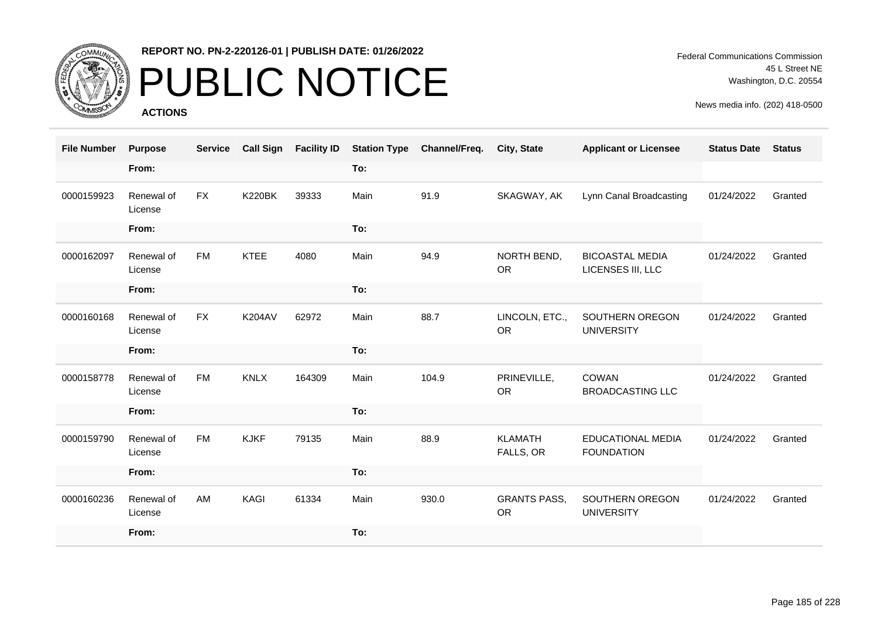

# PUBLIC NOTICE

**ACTIONS**

Federal Communications Commission 45 L Street NE Washington, D.C. 20554

| <b>File Number</b> | <b>Purpose</b>        | <b>Service</b> | <b>Call Sign</b> | <b>Facility ID</b> | <b>Station Type</b> | Channel/Freq. | City, State                      | <b>Applicant or Licensee</b>                  | <b>Status Date</b> | <b>Status</b> |
|--------------------|-----------------------|----------------|------------------|--------------------|---------------------|---------------|----------------------------------|-----------------------------------------------|--------------------|---------------|
|                    | From:                 |                |                  |                    | To:                 |               |                                  |                                               |                    |               |
| 0000159923         | Renewal of<br>License | <b>FX</b>      | <b>K220BK</b>    | 39333              | Main                | 91.9          | SKAGWAY, AK                      | Lynn Canal Broadcasting                       | 01/24/2022         | Granted       |
|                    | From:                 |                |                  |                    | To:                 |               |                                  |                                               |                    |               |
| 0000162097         | Renewal of<br>License | <b>FM</b>      | <b>KTEE</b>      | 4080               | Main                | 94.9          | NORTH BEND,<br><b>OR</b>         | <b>BICOASTAL MEDIA</b><br>LICENSES III, LLC   | 01/24/2022         | Granted       |
|                    | From:                 |                |                  |                    | To:                 |               |                                  |                                               |                    |               |
| 0000160168         | Renewal of<br>License | <b>FX</b>      | <b>K204AV</b>    | 62972              | Main                | 88.7          | LINCOLN, ETC.,<br><b>OR</b>      | SOUTHERN OREGON<br><b>UNIVERSITY</b>          | 01/24/2022         | Granted       |
|                    | From:                 |                |                  |                    | To:                 |               |                                  |                                               |                    |               |
| 0000158778         | Renewal of<br>License | <b>FM</b>      | <b>KNLX</b>      | 164309             | Main                | 104.9         | PRINEVILLE,<br><b>OR</b>         | <b>COWAN</b><br><b>BROADCASTING LLC</b>       | 01/24/2022         | Granted       |
|                    | From:                 |                |                  |                    | To:                 |               |                                  |                                               |                    |               |
| 0000159790         | Renewal of<br>License | <b>FM</b>      | <b>KJKF</b>      | 79135              | Main                | 88.9          | <b>KLAMATH</b><br>FALLS, OR      | <b>EDUCATIONAL MEDIA</b><br><b>FOUNDATION</b> | 01/24/2022         | Granted       |
|                    | From:                 |                |                  |                    | To:                 |               |                                  |                                               |                    |               |
| 0000160236         | Renewal of<br>License | AM             | KAGI             | 61334              | Main                | 930.0         | <b>GRANTS PASS,</b><br><b>OR</b> | SOUTHERN OREGON<br><b>UNIVERSITY</b>          | 01/24/2022         | Granted       |
|                    | From:                 |                |                  |                    | To:                 |               |                                  |                                               |                    |               |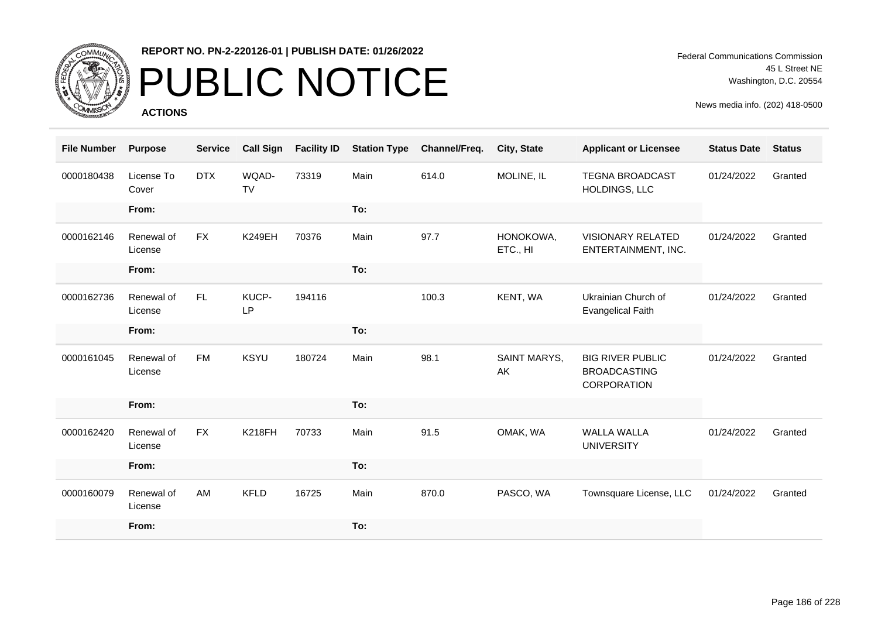

# PUBLIC NOTICE

**ACTIONS**

Federal Communications Commission 45 L Street NE Washington, D.C. 20554

| <b>File Number</b> | <b>Purpose</b>        | <b>Service</b> | <b>Call Sign</b>   | <b>Facility ID</b> | <b>Station Type</b> | Channel/Freq. | City, State           | <b>Applicant or Licensee</b>                                  | <b>Status Date</b> | <b>Status</b> |
|--------------------|-----------------------|----------------|--------------------|--------------------|---------------------|---------------|-----------------------|---------------------------------------------------------------|--------------------|---------------|
| 0000180438         | License To<br>Cover   | <b>DTX</b>     | WQAD-<br><b>TV</b> | 73319              | Main                | 614.0         | MOLINE, IL            | <b>TEGNA BROADCAST</b><br>HOLDINGS, LLC                       | 01/24/2022         | Granted       |
|                    | From:                 |                |                    |                    | To:                 |               |                       |                                                               |                    |               |
| 0000162146         | Renewal of<br>License | <b>FX</b>      | <b>K249EH</b>      | 70376              | Main                | 97.7          | HONOKOWA,<br>ETC., HI | <b>VISIONARY RELATED</b><br>ENTERTAINMENT, INC.               | 01/24/2022         | Granted       |
|                    | From:                 |                |                    |                    | To:                 |               |                       |                                                               |                    |               |
| 0000162736         | Renewal of<br>License | FL             | KUCP-<br><b>LP</b> | 194116             |                     | 100.3         | KENT, WA              | Ukrainian Church of<br><b>Evangelical Faith</b>               | 01/24/2022         | Granted       |
|                    | From:                 |                |                    |                    | To:                 |               |                       |                                                               |                    |               |
| 0000161045         | Renewal of<br>License | <b>FM</b>      | <b>KSYU</b>        | 180724             | Main                | 98.1          | SAINT MARYS,<br>AK    | <b>BIG RIVER PUBLIC</b><br><b>BROADCASTING</b><br>CORPORATION | 01/24/2022         | Granted       |
|                    | From:                 |                |                    |                    | To:                 |               |                       |                                                               |                    |               |
| 0000162420         | Renewal of<br>License | <b>FX</b>      | <b>K218FH</b>      | 70733              | Main                | 91.5          | OMAK, WA              | <b>WALLA WALLA</b><br><b>UNIVERSITY</b>                       | 01/24/2022         | Granted       |
|                    | From:                 |                |                    |                    | To:                 |               |                       |                                                               |                    |               |
| 0000160079         | Renewal of<br>License | AM             | <b>KFLD</b>        | 16725              | Main                | 870.0         | PASCO, WA             | Townsquare License, LLC                                       | 01/24/2022         | Granted       |
|                    | From:                 |                |                    |                    | To:                 |               |                       |                                                               |                    |               |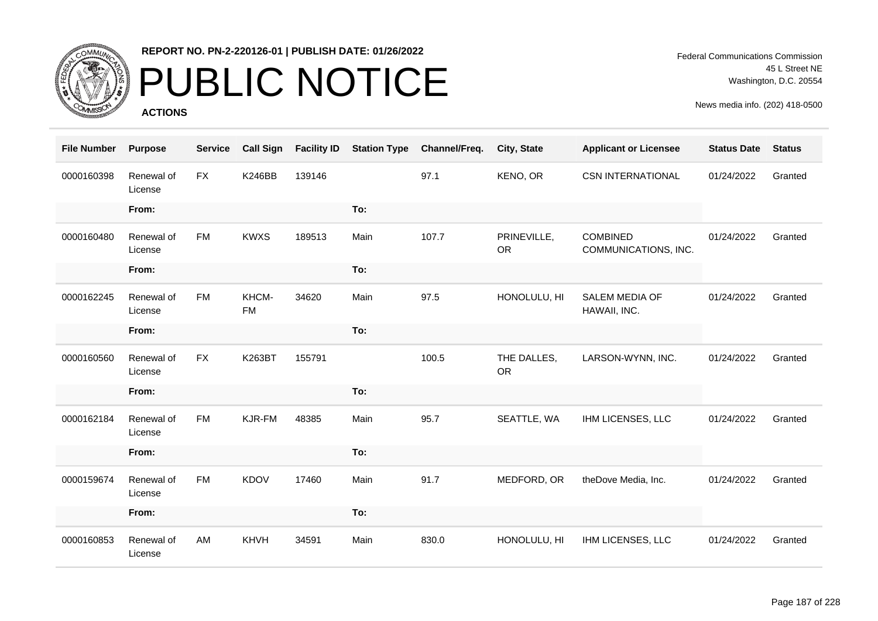

# PUBLIC NOTICE

**ACTIONS**

Federal Communications Commission 45 L Street NE Washington, D.C. 20554

| <b>File Number</b> | <b>Purpose</b>        | <b>Service</b> | <b>Call Sign</b>   | <b>Facility ID</b> | <b>Station Type</b> | Channel/Freq. | City, State              | <b>Applicant or Licensee</b>            | <b>Status Date</b> | <b>Status</b> |
|--------------------|-----------------------|----------------|--------------------|--------------------|---------------------|---------------|--------------------------|-----------------------------------------|--------------------|---------------|
| 0000160398         | Renewal of<br>License | <b>FX</b>      | <b>K246BB</b>      | 139146             |                     | 97.1          | KENO, OR                 | <b>CSN INTERNATIONAL</b>                | 01/24/2022         | Granted       |
|                    | From:                 |                |                    |                    | To:                 |               |                          |                                         |                    |               |
| 0000160480         | Renewal of<br>License | <b>FM</b>      | <b>KWXS</b>        | 189513             | Main                | 107.7         | PRINEVILLE,<br><b>OR</b> | <b>COMBINED</b><br>COMMUNICATIONS, INC. | 01/24/2022         | Granted       |
|                    | From:                 |                |                    |                    | To:                 |               |                          |                                         |                    |               |
| 0000162245         | Renewal of<br>License | <b>FM</b>      | KHCM-<br><b>FM</b> | 34620              | Main                | 97.5          | HONOLULU, HI             | <b>SALEM MEDIA OF</b><br>HAWAII, INC.   | 01/24/2022         | Granted       |
|                    | From:                 |                |                    |                    | To:                 |               |                          |                                         |                    |               |
| 0000160560         | Renewal of<br>License | <b>FX</b>      | K263BT             | 155791             |                     | 100.5         | THE DALLES,<br><b>OR</b> | LARSON-WYNN, INC.                       | 01/24/2022         | Granted       |
|                    | From:                 |                |                    |                    | To:                 |               |                          |                                         |                    |               |
| 0000162184         | Renewal of<br>License | <b>FM</b>      | KJR-FM             | 48385              | Main                | 95.7          | SEATTLE, WA              | IHM LICENSES, LLC                       | 01/24/2022         | Granted       |
|                    | From:                 |                |                    |                    | To:                 |               |                          |                                         |                    |               |
| 0000159674         | Renewal of<br>License | <b>FM</b>      | <b>KDOV</b>        | 17460              | Main                | 91.7          | MEDFORD, OR              | theDove Media, Inc.                     | 01/24/2022         | Granted       |
|                    | From:                 |                |                    |                    | To:                 |               |                          |                                         |                    |               |
| 0000160853         | Renewal of<br>License | AM             | KHVH               | 34591              | Main                | 830.0         | HONOLULU, HI             | IHM LICENSES, LLC                       | 01/24/2022         | Granted       |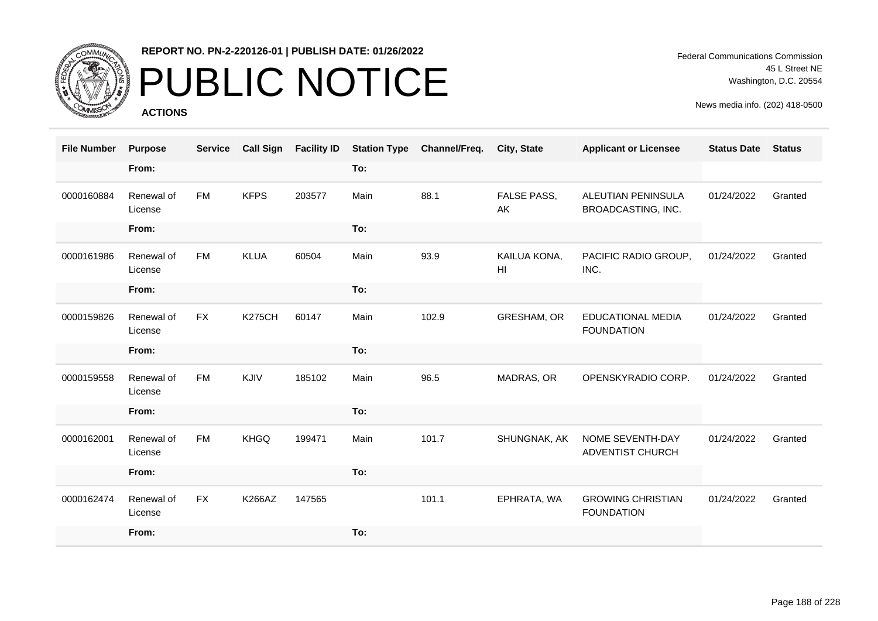

## PUBLIC NOTICE

**ACTIONS**

Federal Communications Commission 45 L Street NE Washington, D.C. 20554

| <b>File Number</b> | <b>Purpose</b>        | <b>Service</b> | <b>Call Sign</b> | <b>Facility ID</b> | <b>Station Type</b> | Channel/Freq. | City, State                     | <b>Applicant or Licensee</b>                  | <b>Status Date</b> | <b>Status</b> |
|--------------------|-----------------------|----------------|------------------|--------------------|---------------------|---------------|---------------------------------|-----------------------------------------------|--------------------|---------------|
|                    | From:                 |                |                  |                    | To:                 |               |                                 |                                               |                    |               |
| 0000160884         | Renewal of<br>License | <b>FM</b>      | <b>KFPS</b>      | 203577             | Main                | 88.1          | FALSE PASS,<br>AK               | ALEUTIAN PENINSULA<br>BROADCASTING, INC.      | 01/24/2022         | Granted       |
|                    | From:                 |                |                  |                    | To:                 |               |                                 |                                               |                    |               |
| 0000161986         | Renewal of<br>License | <b>FM</b>      | <b>KLUA</b>      | 60504              | Main                | 93.9          | KAILUA KONA,<br>H <sub>II</sub> | PACIFIC RADIO GROUP,<br>INC.                  | 01/24/2022         | Granted       |
|                    | From:                 |                |                  |                    | To:                 |               |                                 |                                               |                    |               |
| 0000159826         | Renewal of<br>License | <b>FX</b>      | <b>K275CH</b>    | 60147              | Main                | 102.9         | GRESHAM, OR                     | <b>EDUCATIONAL MEDIA</b><br><b>FOUNDATION</b> | 01/24/2022         | Granted       |
|                    | From:                 |                |                  |                    | To:                 |               |                                 |                                               |                    |               |
| 0000159558         | Renewal of<br>License | <b>FM</b>      | KJIV             | 185102             | Main                | 96.5          | MADRAS, OR                      | OPENSKYRADIO CORP.                            | 01/24/2022         | Granted       |
|                    | From:                 |                |                  |                    | To:                 |               |                                 |                                               |                    |               |
| 0000162001         | Renewal of<br>License | <b>FM</b>      | <b>KHGQ</b>      | 199471             | Main                | 101.7         | SHUNGNAK, AK                    | NOME SEVENTH-DAY<br>ADVENTIST CHURCH          | 01/24/2022         | Granted       |
|                    | From:                 |                |                  |                    | To:                 |               |                                 |                                               |                    |               |
| 0000162474         | Renewal of<br>License | <b>FX</b>      | <b>K266AZ</b>    | 147565             |                     | 101.1         | EPHRATA, WA                     | <b>GROWING CHRISTIAN</b><br><b>FOUNDATION</b> | 01/24/2022         | Granted       |
|                    | From:                 |                |                  |                    | To:                 |               |                                 |                                               |                    |               |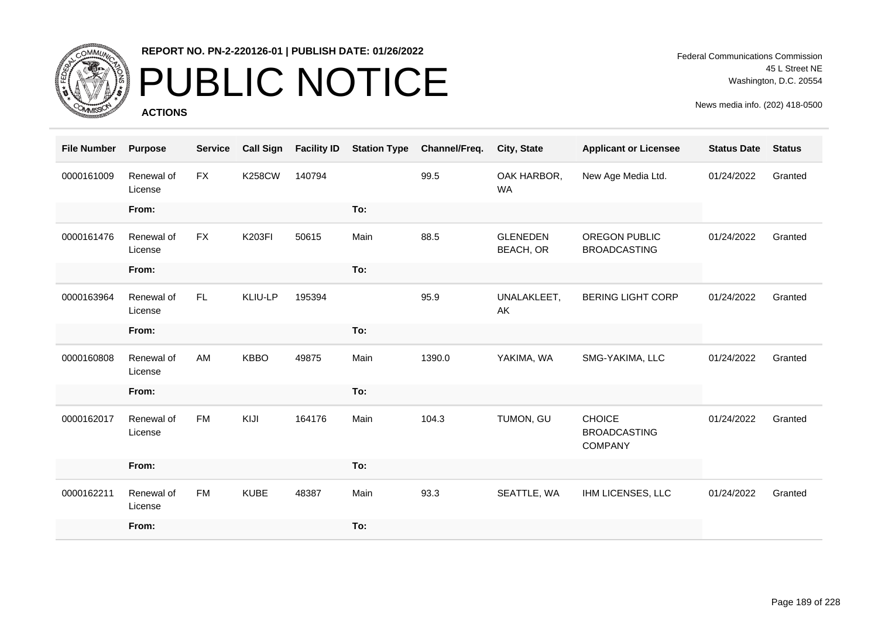

# PUBLIC NOTICE

**ACTIONS**

Federal Communications Commission 45 L Street NE Washington, D.C. 20554

| <b>File Number</b> | <b>Purpose</b>        | <b>Service</b> | <b>Call Sign</b> | <b>Facility ID</b> | <b>Station Type</b> | Channel/Freq. | <b>City, State</b>           | <b>Applicant or Licensee</b>                           | <b>Status Date</b> | <b>Status</b> |
|--------------------|-----------------------|----------------|------------------|--------------------|---------------------|---------------|------------------------------|--------------------------------------------------------|--------------------|---------------|
| 0000161009         | Renewal of<br>License | <b>FX</b>      | <b>K258CW</b>    | 140794             |                     | 99.5          | OAK HARBOR,<br><b>WA</b>     | New Age Media Ltd.                                     | 01/24/2022         | Granted       |
|                    | From:                 |                |                  |                    | To:                 |               |                              |                                                        |                    |               |
| 0000161476         | Renewal of<br>License | <b>FX</b>      | <b>K203FI</b>    | 50615              | Main                | 88.5          | <b>GLENEDEN</b><br>BEACH, OR | <b>OREGON PUBLIC</b><br><b>BROADCASTING</b>            | 01/24/2022         | Granted       |
|                    | From:                 |                |                  |                    | To:                 |               |                              |                                                        |                    |               |
| 0000163964         | Renewal of<br>License | FL.            | KLIU-LP          | 195394             |                     | 95.9          | UNALAKLEET,<br>AK            | <b>BERING LIGHT CORP</b>                               | 01/24/2022         | Granted       |
|                    | From:                 |                |                  |                    | To:                 |               |                              |                                                        |                    |               |
| 0000160808         | Renewal of<br>License | AM             | <b>KBBO</b>      | 49875              | Main                | 1390.0        | YAKIMA, WA                   | SMG-YAKIMA, LLC                                        | 01/24/2022         | Granted       |
|                    | From:                 |                |                  |                    | To:                 |               |                              |                                                        |                    |               |
| 0000162017         | Renewal of<br>License | <b>FM</b>      | KIJI             | 164176             | Main                | 104.3         | TUMON, GU                    | <b>CHOICE</b><br><b>BROADCASTING</b><br><b>COMPANY</b> | 01/24/2022         | Granted       |
|                    | From:                 |                |                  |                    | To:                 |               |                              |                                                        |                    |               |
| 0000162211         | Renewal of<br>License | <b>FM</b>      | <b>KUBE</b>      | 48387              | Main                | 93.3          | SEATTLE, WA                  | IHM LICENSES, LLC                                      | 01/24/2022         | Granted       |
|                    | From:                 |                |                  |                    | To:                 |               |                              |                                                        |                    |               |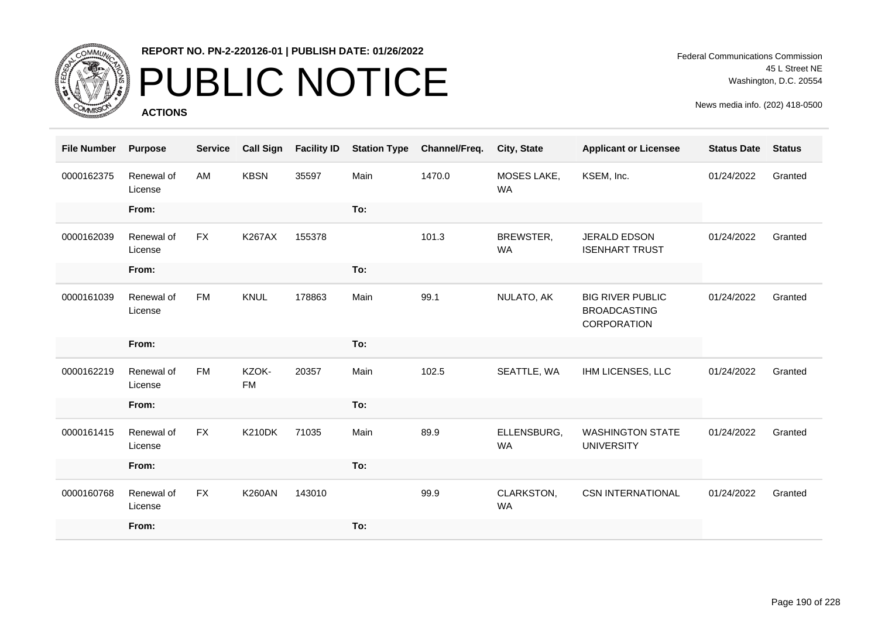

# PUBLIC NOTICE

**ACTIONS**

Federal Communications Commission 45 L Street NE Washington, D.C. 20554

| <b>File Number</b> | <b>Purpose</b>        | <b>Service</b> | <b>Call Sign</b>   | <b>Facility ID</b> | <b>Station Type</b> | Channel/Freq. | <b>City, State</b>       | <b>Applicant or Licensee</b>                                  | <b>Status Date</b> | <b>Status</b> |
|--------------------|-----------------------|----------------|--------------------|--------------------|---------------------|---------------|--------------------------|---------------------------------------------------------------|--------------------|---------------|
| 0000162375         | Renewal of<br>License | AM             | <b>KBSN</b>        | 35597              | Main                | 1470.0        | MOSES LAKE,<br><b>WA</b> | KSEM, Inc.                                                    | 01/24/2022         | Granted       |
|                    | From:                 |                |                    |                    | To:                 |               |                          |                                                               |                    |               |
| 0000162039         | Renewal of<br>License | FX             | <b>K267AX</b>      | 155378             |                     | 101.3         | BREWSTER,<br><b>WA</b>   | JERALD EDSON<br><b>ISENHART TRUST</b>                         | 01/24/2022         | Granted       |
|                    | From:                 |                |                    |                    | To:                 |               |                          |                                                               |                    |               |
| 0000161039         | Renewal of<br>License | <b>FM</b>      | <b>KNUL</b>        | 178863             | Main                | 99.1          | NULATO, AK               | <b>BIG RIVER PUBLIC</b><br><b>BROADCASTING</b><br>CORPORATION | 01/24/2022         | Granted       |
|                    |                       |                |                    |                    |                     |               |                          |                                                               |                    |               |
|                    | From:                 |                |                    |                    | To:                 |               |                          |                                                               |                    |               |
| 0000162219         | Renewal of<br>License | <b>FM</b>      | KZOK-<br><b>FM</b> | 20357              | Main                | 102.5         | SEATTLE, WA              | IHM LICENSES, LLC                                             | 01/24/2022         | Granted       |
|                    | From:                 |                |                    |                    | To:                 |               |                          |                                                               |                    |               |
| 0000161415         | Renewal of<br>License | <b>FX</b>      | <b>K210DK</b>      | 71035              | Main                | 89.9          | ELLENSBURG,<br><b>WA</b> | <b>WASHINGTON STATE</b><br><b>UNIVERSITY</b>                  | 01/24/2022         | Granted       |
|                    | From:                 |                |                    |                    | To:                 |               |                          |                                                               |                    |               |
| 0000160768         | Renewal of<br>License | <b>FX</b>      | <b>K260AN</b>      | 143010             |                     | 99.9          | CLARKSTON,<br><b>WA</b>  | <b>CSN INTERNATIONAL</b>                                      | 01/24/2022         | Granted       |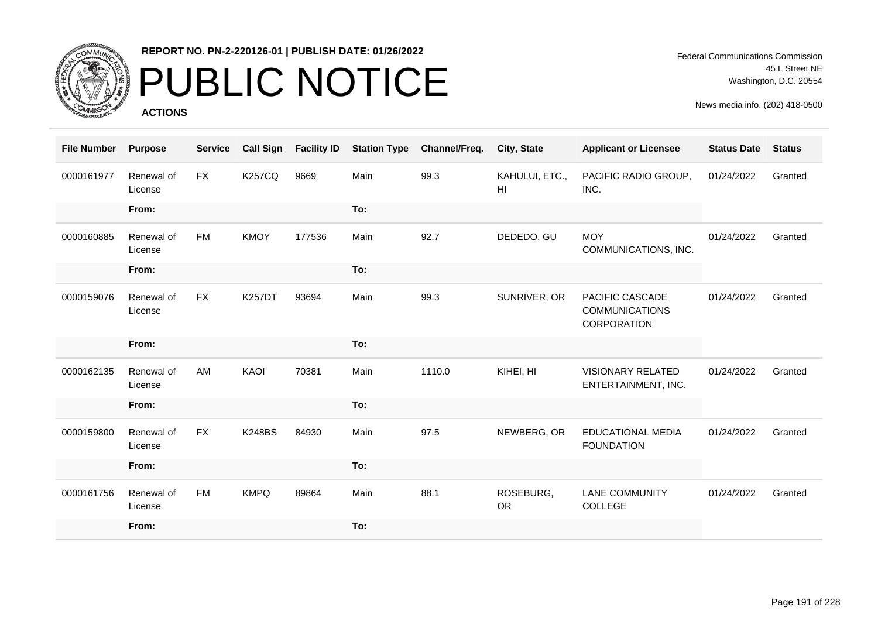

# PUBLIC NOTICE

**ACTIONS**

Federal Communications Commission 45 L Street NE Washington, D.C. 20554

| <b>File Number</b> | <b>Purpose</b>        | <b>Service</b> | <b>Call Sign</b> | <b>Facility ID</b> | <b>Station Type</b> | Channel/Freq. | City, State            | <b>Applicant or Licensee</b>                                   | <b>Status Date</b> | <b>Status</b> |
|--------------------|-----------------------|----------------|------------------|--------------------|---------------------|---------------|------------------------|----------------------------------------------------------------|--------------------|---------------|
| 0000161977         | Renewal of<br>License | <b>FX</b>      | <b>K257CQ</b>    | 9669               | Main                | 99.3          | KAHULUI, ETC.,<br>HI   | PACIFIC RADIO GROUP,<br>INC.                                   | 01/24/2022         | Granted       |
|                    | From:                 |                |                  |                    | To:                 |               |                        |                                                                |                    |               |
| 0000160885         | Renewal of<br>License | <b>FM</b>      | <b>KMOY</b>      | 177536             | Main                | 92.7          | DEDEDO, GU             | <b>MOY</b><br>COMMUNICATIONS, INC.                             | 01/24/2022         | Granted       |
|                    | From:                 |                |                  |                    | To:                 |               |                        |                                                                |                    |               |
| 0000159076         | Renewal of<br>License | <b>FX</b>      | <b>K257DT</b>    | 93694              | Main                | 99.3          | SUNRIVER, OR           | PACIFIC CASCADE<br><b>COMMUNICATIONS</b><br><b>CORPORATION</b> | 01/24/2022         | Granted       |
|                    | From:                 |                |                  |                    | To:                 |               |                        |                                                                |                    |               |
| 0000162135         | Renewal of<br>License | AM             | KAOI             | 70381              | Main                | 1110.0        | KIHEI, HI              | <b>VISIONARY RELATED</b><br>ENTERTAINMENT, INC.                | 01/24/2022         | Granted       |
|                    | From:                 |                |                  |                    | To:                 |               |                        |                                                                |                    |               |
| 0000159800         | Renewal of<br>License | <b>FX</b>      | <b>K248BS</b>    | 84930              | Main                | 97.5          | NEWBERG, OR            | <b>EDUCATIONAL MEDIA</b><br><b>FOUNDATION</b>                  | 01/24/2022         | Granted       |
|                    | From:                 |                |                  |                    | To:                 |               |                        |                                                                |                    |               |
| 0000161756         | Renewal of<br>License | <b>FM</b>      | <b>KMPQ</b>      | 89864              | Main                | 88.1          | ROSEBURG,<br><b>OR</b> | <b>LANE COMMUNITY</b><br>COLLEGE                               | 01/24/2022         | Granted       |
|                    | From:                 |                |                  |                    | To:                 |               |                        |                                                                |                    |               |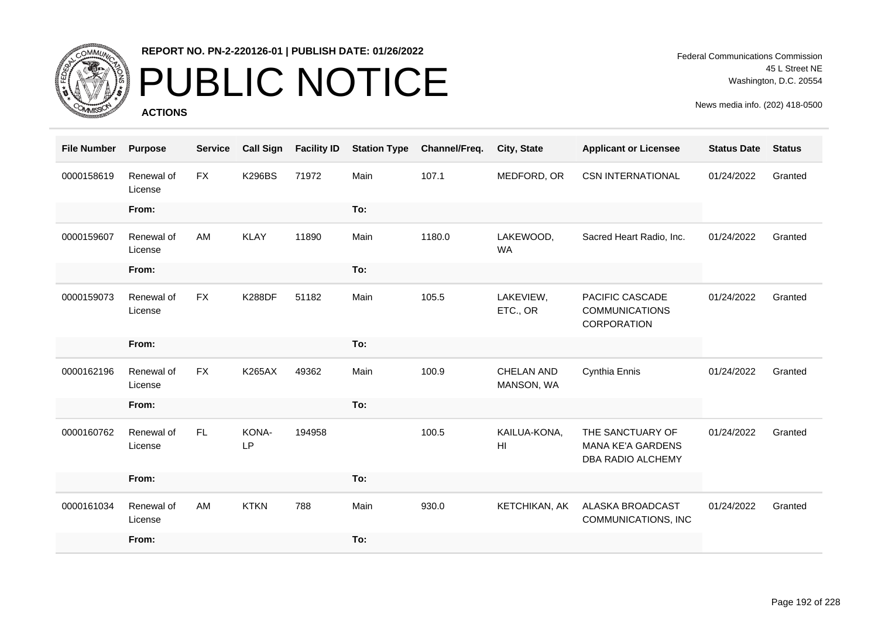

## PUBLIC NOTICE

**ACTIONS**

| <b>File Number</b> | <b>Purpose</b>        | <b>Service</b> | <b>Call Sign</b> | <b>Facility ID</b> | <b>Station Type</b> | Channel/Freq. | <b>City, State</b>             | <b>Applicant or Licensee</b>                                          | <b>Status Date</b> | <b>Status</b> |
|--------------------|-----------------------|----------------|------------------|--------------------|---------------------|---------------|--------------------------------|-----------------------------------------------------------------------|--------------------|---------------|
| 0000158619         | Renewal of<br>License | <b>FX</b>      | <b>K296BS</b>    | 71972              | Main                | 107.1         | MEDFORD, OR                    | <b>CSN INTERNATIONAL</b>                                              | 01/24/2022         | Granted       |
|                    | From:                 |                |                  |                    | To:                 |               |                                |                                                                       |                    |               |
| 0000159607         | Renewal of<br>License | AM             | <b>KLAY</b>      | 11890              | Main                | 1180.0        | LAKEWOOD,<br><b>WA</b>         | Sacred Heart Radio, Inc.                                              | 01/24/2022         | Granted       |
|                    | From:                 |                |                  |                    | To:                 |               |                                |                                                                       |                    |               |
| 0000159073         | Renewal of<br>License | <b>FX</b>      | <b>K288DF</b>    | 51182              | Main                | 105.5         | LAKEVIEW,<br>ETC., OR          | <b>PACIFIC CASCADE</b><br><b>COMMUNICATIONS</b><br><b>CORPORATION</b> | 01/24/2022         | Granted       |
|                    | From:                 |                |                  |                    | To:                 |               |                                |                                                                       |                    |               |
| 0000162196         | Renewal of<br>License | <b>FX</b>      | <b>K265AX</b>    | 49362              | Main                | 100.9         | CHELAN AND<br>MANSON, WA       | Cynthia Ennis                                                         | 01/24/2022         | Granted       |
|                    | From:                 |                |                  |                    | To:                 |               |                                |                                                                       |                    |               |
| 0000160762         | Renewal of<br>License | FL.            | KONA-<br>LP      | 194958             |                     | 100.5         | KAILUA-KONA,<br>H <sub>l</sub> | THE SANCTUARY OF<br><b>MANA KE'A GARDENS</b><br>DBA RADIO ALCHEMY     | 01/24/2022         | Granted       |
|                    | From:                 |                |                  |                    | To:                 |               |                                |                                                                       |                    |               |
| 0000161034         | Renewal of<br>License | AM             | <b>KTKN</b>      | 788                | Main                | 930.0         | KETCHIKAN, AK                  | ALASKA BROADCAST<br>COMMUNICATIONS, INC                               | 01/24/2022         | Granted       |
|                    | From:                 |                |                  |                    | To:                 |               |                                |                                                                       |                    |               |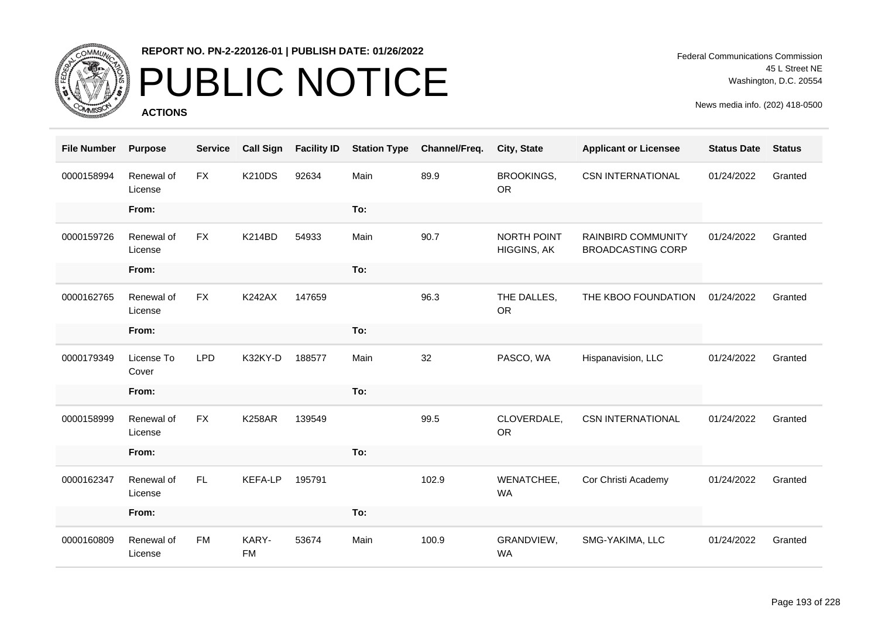

# PUBLIC NOTICE

**ACTIONS**

Federal Communications Commission 45 L Street NE Washington, D.C. 20554

| <b>File Number</b> | <b>Purpose</b>        | <b>Service</b> | <b>Call Sign</b>   | <b>Facility ID</b> | <b>Station Type</b> | Channel/Freq. | City, State                | <b>Applicant or Licensee</b>                   | <b>Status Date</b> | <b>Status</b> |
|--------------------|-----------------------|----------------|--------------------|--------------------|---------------------|---------------|----------------------------|------------------------------------------------|--------------------|---------------|
| 0000158994         | Renewal of<br>License | <b>FX</b>      | <b>K210DS</b>      | 92634              | Main                | 89.9          | BROOKINGS,<br><b>OR</b>    | <b>CSN INTERNATIONAL</b>                       | 01/24/2022         | Granted       |
|                    | From:                 |                |                    |                    | To:                 |               |                            |                                                |                    |               |
| 0000159726         | Renewal of<br>License | <b>FX</b>      | <b>K214BD</b>      | 54933              | Main                | 90.7          | NORTH POINT<br>HIGGINS, AK | RAINBIRD COMMUNITY<br><b>BROADCASTING CORP</b> | 01/24/2022         | Granted       |
|                    | From:                 |                |                    |                    | To:                 |               |                            |                                                |                    |               |
| 0000162765         | Renewal of<br>License | <b>FX</b>      | <b>K242AX</b>      | 147659             |                     | 96.3          | THE DALLES,<br><b>OR</b>   | THE KBOO FOUNDATION                            | 01/24/2022         | Granted       |
|                    | From:                 |                |                    |                    | To:                 |               |                            |                                                |                    |               |
| 0000179349         | License To<br>Cover   | <b>LPD</b>     | K32KY-D            | 188577             | Main                | 32            | PASCO, WA                  | Hispanavision, LLC                             | 01/24/2022         | Granted       |
|                    | From:                 |                |                    |                    | To:                 |               |                            |                                                |                    |               |
| 0000158999         | Renewal of<br>License | <b>FX</b>      | <b>K258AR</b>      | 139549             |                     | 99.5          | CLOVERDALE,<br><b>OR</b>   | <b>CSN INTERNATIONAL</b>                       | 01/24/2022         | Granted       |
|                    | From:                 |                |                    |                    | To:                 |               |                            |                                                |                    |               |
| 0000162347         | Renewal of<br>License | <b>FL</b>      | <b>KEFA-LP</b>     | 195791             |                     | 102.9         | WENATCHEE,<br><b>WA</b>    | Cor Christi Academy                            | 01/24/2022         | Granted       |
|                    | From:                 |                |                    |                    | To:                 |               |                            |                                                |                    |               |
| 0000160809         | Renewal of<br>License | <b>FM</b>      | KARY-<br><b>FM</b> | 53674              | Main                | 100.9         | GRANDVIEW,<br><b>WA</b>    | SMG-YAKIMA, LLC                                | 01/24/2022         | Granted       |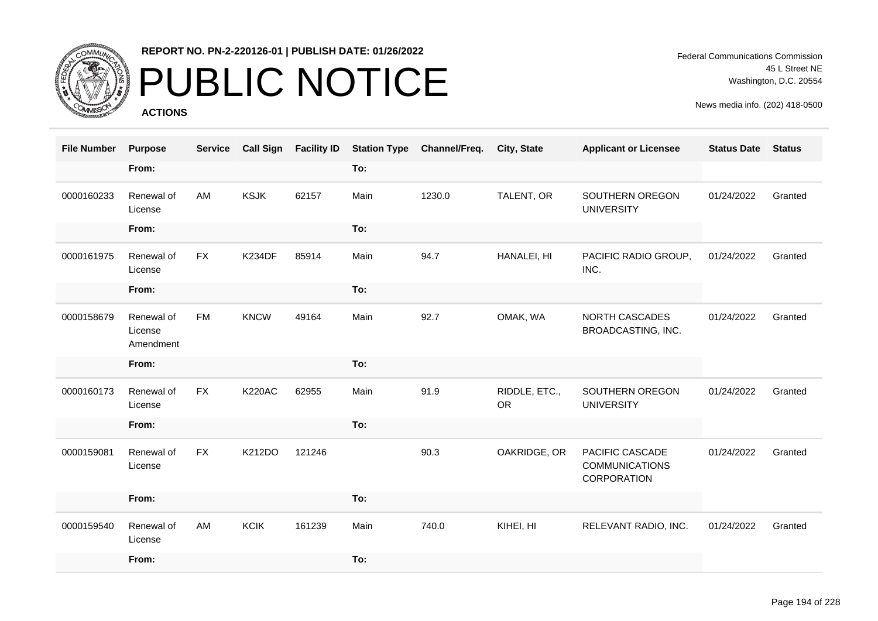

# PUBLIC NOTICE

**ACTIONS**

Federal Communications Commission 45 L Street NE Washington, D.C. 20554

| <b>File Number</b> | <b>Purpose</b>                     | <b>Service</b> | <b>Call Sign</b> | <b>Facility ID</b> | <b>Station Type</b> | Channel/Freq. | <b>City, State</b>         | <b>Applicant or Licensee</b>                            | <b>Status Date</b> | <b>Status</b> |
|--------------------|------------------------------------|----------------|------------------|--------------------|---------------------|---------------|----------------------------|---------------------------------------------------------|--------------------|---------------|
|                    | From:                              |                |                  |                    | To:                 |               |                            |                                                         |                    |               |
| 0000160233         | Renewal of<br>License              | AM             | <b>KSJK</b>      | 62157              | Main                | 1230.0        | TALENT, OR                 | SOUTHERN OREGON<br><b>UNIVERSITY</b>                    | 01/24/2022         | Granted       |
|                    | From:                              |                |                  |                    | To:                 |               |                            |                                                         |                    |               |
| 0000161975         | Renewal of<br>License              | <b>FX</b>      | <b>K234DF</b>    | 85914              | Main                | 94.7          | HANALEI, HI                | PACIFIC RADIO GROUP,<br>INC.                            | 01/24/2022         | Granted       |
|                    | From:                              |                |                  |                    | To:                 |               |                            |                                                         |                    |               |
| 0000158679         | Renewal of<br>License<br>Amendment | <b>FM</b>      | <b>KNCW</b>      | 49164              | Main                | 92.7          | OMAK, WA                   | <b>NORTH CASCADES</b><br>BROADCASTING, INC.             | 01/24/2022         | Granted       |
|                    | From:                              |                |                  |                    | To:                 |               |                            |                                                         |                    |               |
| 0000160173         | Renewal of<br>License              | <b>FX</b>      | <b>K220AC</b>    | 62955              | Main                | 91.9          | RIDDLE, ETC.,<br><b>OR</b> | SOUTHERN OREGON<br><b>UNIVERSITY</b>                    | 01/24/2022         | Granted       |
|                    | From:                              |                |                  |                    | To:                 |               |                            |                                                         |                    |               |
| 0000159081         | Renewal of<br>License              | <b>FX</b>      | K212DO           | 121246             |                     | 90.3          | OAKRIDGE, OR               | PACIFIC CASCADE<br><b>COMMUNICATIONS</b><br>CORPORATION | 01/24/2022         | Granted       |
|                    | From:                              |                |                  |                    | To:                 |               |                            |                                                         |                    |               |
| 0000159540         | Renewal of<br>License              | AM             | <b>KCIK</b>      | 161239             | Main                | 740.0         | KIHEI, HI                  | RELEVANT RADIO, INC.                                    | 01/24/2022         | Granted       |
|                    | From:                              |                |                  |                    | To:                 |               |                            |                                                         |                    |               |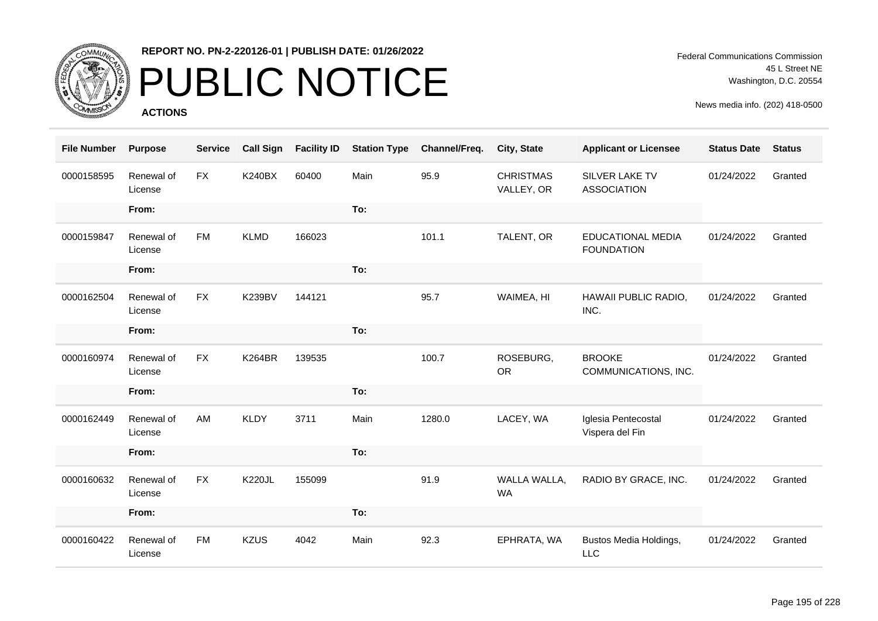

# PUBLIC NOTICE

**ACTIONS**

Federal Communications Commission 45 L Street NE Washington, D.C. 20554

| <b>File Number</b> | <b>Purpose</b>        | <b>Service</b> | <b>Call Sign</b> | <b>Facility ID</b> | <b>Station Type</b> | Channel/Freq. | City, State                    | <b>Applicant or Licensee</b>                  | <b>Status Date</b> | <b>Status</b> |
|--------------------|-----------------------|----------------|------------------|--------------------|---------------------|---------------|--------------------------------|-----------------------------------------------|--------------------|---------------|
| 0000158595         | Renewal of<br>License | <b>FX</b>      | <b>K240BX</b>    | 60400              | Main                | 95.9          | <b>CHRISTMAS</b><br>VALLEY, OR | SILVER LAKE TV<br><b>ASSOCIATION</b>          | 01/24/2022         | Granted       |
|                    | From:                 |                |                  |                    | To:                 |               |                                |                                               |                    |               |
| 0000159847         | Renewal of<br>License | <b>FM</b>      | <b>KLMD</b>      | 166023             |                     | 101.1         | TALENT, OR                     | <b>EDUCATIONAL MEDIA</b><br><b>FOUNDATION</b> | 01/24/2022         | Granted       |
|                    | From:                 |                |                  |                    | To:                 |               |                                |                                               |                    |               |
| 0000162504         | Renewal of<br>License | <b>FX</b>      | <b>K239BV</b>    | 144121             |                     | 95.7          | WAIMEA, HI                     | HAWAII PUBLIC RADIO,<br>INC.                  | 01/24/2022         | Granted       |
|                    | From:                 |                |                  |                    | To:                 |               |                                |                                               |                    |               |
| 0000160974         | Renewal of<br>License | <b>FX</b>      | <b>K264BR</b>    | 139535             |                     | 100.7         | ROSEBURG,<br><b>OR</b>         | <b>BROOKE</b><br>COMMUNICATIONS, INC.         | 01/24/2022         | Granted       |
|                    | From:                 |                |                  |                    | To:                 |               |                                |                                               |                    |               |
| 0000162449         | Renewal of<br>License | AM             | <b>KLDY</b>      | 3711               | Main                | 1280.0        | LACEY, WA                      | Iglesia Pentecostal<br>Vispera del Fin        | 01/24/2022         | Granted       |
|                    | From:                 |                |                  |                    | To:                 |               |                                |                                               |                    |               |
| 0000160632         | Renewal of<br>License | <b>FX</b>      | <b>K220JL</b>    | 155099             |                     | 91.9          | WALLA WALLA,<br>WA             | RADIO BY GRACE, INC.                          | 01/24/2022         | Granted       |
|                    | From:                 |                |                  |                    | To:                 |               |                                |                                               |                    |               |
| 0000160422         | Renewal of<br>License | <b>FM</b>      | <b>KZUS</b>      | 4042               | Main                | 92.3          | EPHRATA, WA                    | Bustos Media Holdings,<br><b>LLC</b>          | 01/24/2022         | Granted       |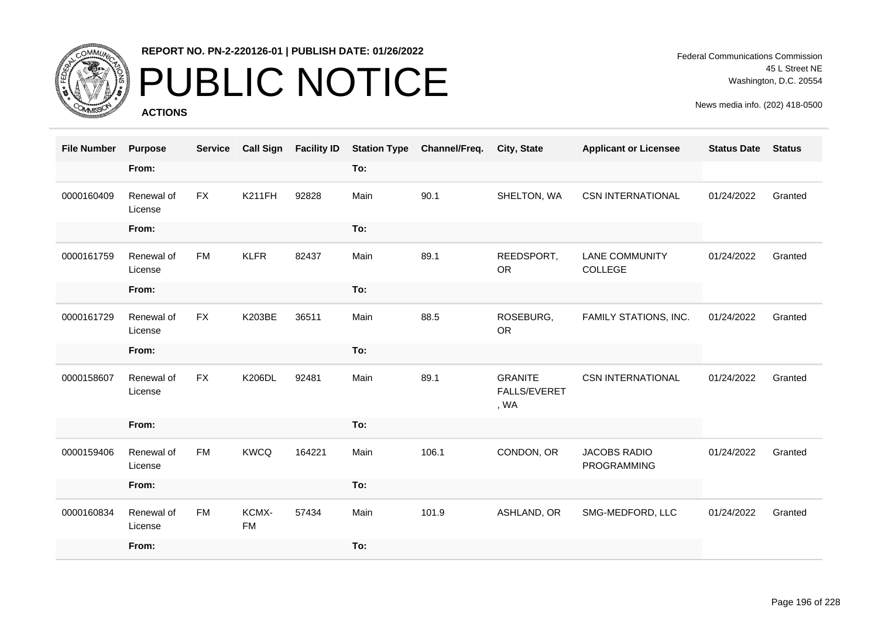

## PUBLIC NOTICE

**ACTIONS**

Federal Communications Commission 45 L Street NE Washington, D.C. 20554

| <b>File Number</b> | <b>Purpose</b>        | <b>Service</b> | <b>Call Sign</b>   | <b>Facility ID</b> | <b>Station Type</b> | Channel/Freq. | <b>City, State</b>                            | <b>Applicant or Licensee</b>              | <b>Status Date</b> | <b>Status</b> |
|--------------------|-----------------------|----------------|--------------------|--------------------|---------------------|---------------|-----------------------------------------------|-------------------------------------------|--------------------|---------------|
|                    | From:                 |                |                    |                    | To:                 |               |                                               |                                           |                    |               |
| 0000160409         | Renewal of<br>License | <b>FX</b>      | <b>K211FH</b>      | 92828              | Main                | 90.1          | SHELTON, WA                                   | <b>CSN INTERNATIONAL</b>                  | 01/24/2022         | Granted       |
|                    | From:                 |                |                    |                    | To:                 |               |                                               |                                           |                    |               |
| 0000161759         | Renewal of<br>License | <b>FM</b>      | <b>KLFR</b>        | 82437              | Main                | 89.1          | REEDSPORT,<br><b>OR</b>                       | <b>LANE COMMUNITY</b><br>COLLEGE          | 01/24/2022         | Granted       |
|                    | From:                 |                |                    |                    | To:                 |               |                                               |                                           |                    |               |
| 0000161729         | Renewal of<br>License | <b>FX</b>      | K203BE             | 36511              | Main                | 88.5          | ROSEBURG,<br><b>OR</b>                        | FAMILY STATIONS, INC.                     | 01/24/2022         | Granted       |
|                    | From:                 |                |                    |                    | To:                 |               |                                               |                                           |                    |               |
| 0000158607         | Renewal of<br>License | <b>FX</b>      | <b>K206DL</b>      | 92481              | Main                | 89.1          | <b>GRANITE</b><br><b>FALLS/EVERET</b><br>, WA | <b>CSN INTERNATIONAL</b>                  | 01/24/2022         | Granted       |
|                    | From:                 |                |                    |                    | To:                 |               |                                               |                                           |                    |               |
| 0000159406         | Renewal of<br>License | <b>FM</b>      | <b>KWCQ</b>        | 164221             | Main                | 106.1         | CONDON, OR                                    | <b>JACOBS RADIO</b><br><b>PROGRAMMING</b> | 01/24/2022         | Granted       |
|                    | From:                 |                |                    |                    | To:                 |               |                                               |                                           |                    |               |
| 0000160834         | Renewal of<br>License | <b>FM</b>      | KCMX-<br><b>FM</b> | 57434              | Main                | 101.9         | ASHLAND, OR                                   | SMG-MEDFORD, LLC                          | 01/24/2022         | Granted       |
|                    | From:                 |                |                    |                    | To:                 |               |                                               |                                           |                    |               |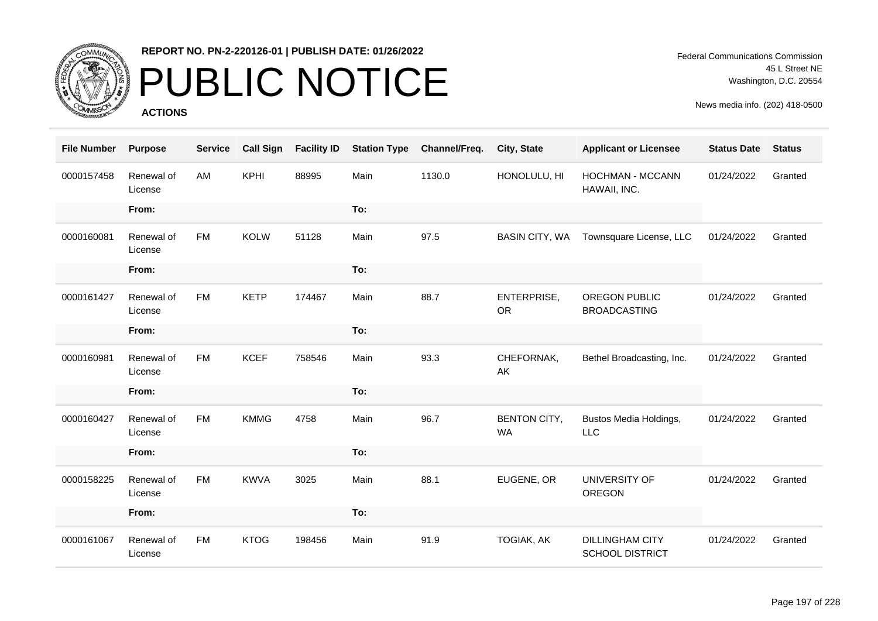

# PUBLIC NOTICE

**ACTIONS**

| <b>File Number</b> | <b>Purpose</b>        | <b>Service</b> | <b>Call Sign</b> | <b>Facility ID</b> | <b>Station Type</b> | Channel/Freq. | City, State                      | <b>Applicant or Licensee</b>                     | <b>Status Date</b> | <b>Status</b> |
|--------------------|-----------------------|----------------|------------------|--------------------|---------------------|---------------|----------------------------------|--------------------------------------------------|--------------------|---------------|
| 0000157458         | Renewal of<br>License | AM             | <b>KPHI</b>      | 88995              | Main                | 1130.0        | HONOLULU, HI                     | <b>HOCHMAN - MCCANN</b><br>HAWAII, INC.          | 01/24/2022         | Granted       |
|                    | From:                 |                |                  |                    | To:                 |               |                                  |                                                  |                    |               |
| 0000160081         | Renewal of<br>License | <b>FM</b>      | <b>KOLW</b>      | 51128              | Main                | 97.5          | <b>BASIN CITY, WA</b>            | Townsquare License, LLC                          | 01/24/2022         | Granted       |
|                    | From:                 |                |                  |                    | To:                 |               |                                  |                                                  |                    |               |
| 0000161427         | Renewal of<br>License | <b>FM</b>      | <b>KETP</b>      | 174467             | Main                | 88.7          | ENTERPRISE,<br><b>OR</b>         | OREGON PUBLIC<br><b>BROADCASTING</b>             | 01/24/2022         | Granted       |
|                    | From:                 |                |                  |                    | To:                 |               |                                  |                                                  |                    |               |
| 0000160981         | Renewal of<br>License | <b>FM</b>      | <b>KCEF</b>      | 758546             | Main                | 93.3          | CHEFORNAK,<br>AK                 | Bethel Broadcasting, Inc.                        | 01/24/2022         | Granted       |
|                    | From:                 |                |                  |                    | To:                 |               |                                  |                                                  |                    |               |
| 0000160427         | Renewal of<br>License | <b>FM</b>      | <b>KMMG</b>      | 4758               | Main                | 96.7          | <b>BENTON CITY,</b><br><b>WA</b> | Bustos Media Holdings,<br><b>LLC</b>             | 01/24/2022         | Granted       |
|                    | From:                 |                |                  |                    | To:                 |               |                                  |                                                  |                    |               |
| 0000158225         | Renewal of<br>License | <b>FM</b>      | <b>KWVA</b>      | 3025               | Main                | 88.1          | EUGENE, OR                       | UNIVERSITY OF<br>OREGON                          | 01/24/2022         | Granted       |
|                    | From:                 |                |                  |                    | To:                 |               |                                  |                                                  |                    |               |
| 0000161067         | Renewal of<br>License | <b>FM</b>      | <b>KTOG</b>      | 198456             | Main                | 91.9          | <b>TOGIAK, AK</b>                | <b>DILLINGHAM CITY</b><br><b>SCHOOL DISTRICT</b> | 01/24/2022         | Granted       |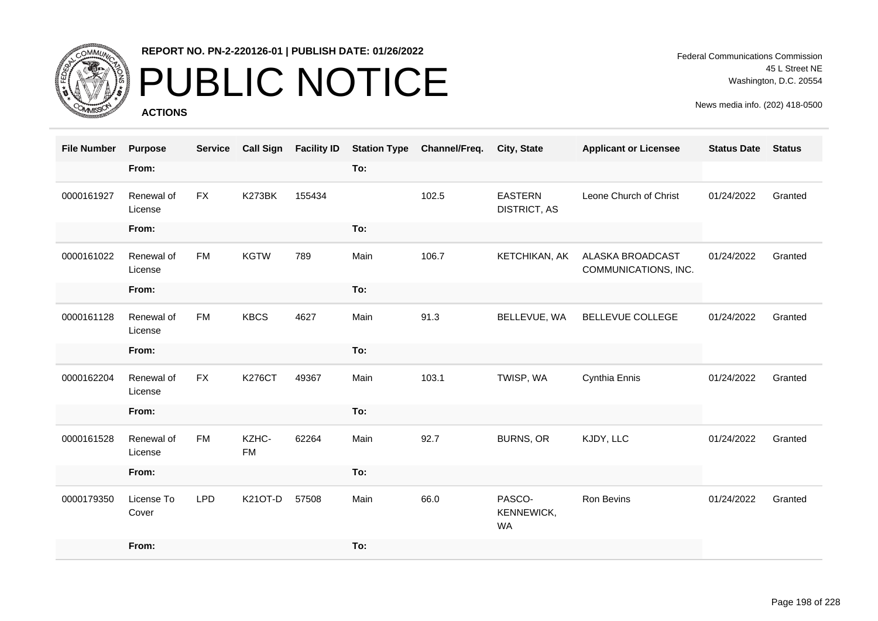

# PUBLIC NOTICE

**ACTIONS**

| <b>File Number</b> | <b>Purpose</b>        | <b>Service</b> | <b>Call Sign</b>   | <b>Facility ID</b> | <b>Station Type</b> | Channel/Freq. | City, State                           | <b>Applicant or Licensee</b>                    | <b>Status Date</b> | <b>Status</b> |
|--------------------|-----------------------|----------------|--------------------|--------------------|---------------------|---------------|---------------------------------------|-------------------------------------------------|--------------------|---------------|
|                    | From:                 |                |                    |                    | To:                 |               |                                       |                                                 |                    |               |
| 0000161927         | Renewal of<br>License | <b>FX</b>      | K273BK             | 155434             |                     | 102.5         | <b>EASTERN</b><br><b>DISTRICT, AS</b> | Leone Church of Christ                          | 01/24/2022         | Granted       |
|                    | From:                 |                |                    |                    | To:                 |               |                                       |                                                 |                    |               |
| 0000161022         | Renewal of<br>License | <b>FM</b>      | <b>KGTW</b>        | 789                | Main                | 106.7         | KETCHIKAN, AK                         | <b>ALASKA BROADCAST</b><br>COMMUNICATIONS, INC. | 01/24/2022         | Granted       |
|                    | From:                 |                |                    |                    | To:                 |               |                                       |                                                 |                    |               |
| 0000161128         | Renewal of<br>License | <b>FM</b>      | <b>KBCS</b>        | 4627               | Main                | 91.3          | BELLEVUE, WA                          | BELLEVUE COLLEGE                                | 01/24/2022         | Granted       |
|                    | From:                 |                |                    |                    | To:                 |               |                                       |                                                 |                    |               |
| 0000162204         | Renewal of<br>License | <b>FX</b>      | <b>K276CT</b>      | 49367              | Main                | 103.1         | TWISP, WA                             | Cynthia Ennis                                   | 01/24/2022         | Granted       |
|                    | From:                 |                |                    |                    | To:                 |               |                                       |                                                 |                    |               |
| 0000161528         | Renewal of<br>License | <b>FM</b>      | KZHC-<br><b>FM</b> | 62264              | Main                | 92.7          | <b>BURNS, OR</b>                      | KJDY, LLC                                       | 01/24/2022         | Granted       |
|                    | From:                 |                |                    |                    | To:                 |               |                                       |                                                 |                    |               |
| 0000179350         | License To<br>Cover   | <b>LPD</b>     | K21OT-D            | 57508              | Main                | 66.0          | PASCO-<br>KENNEWICK,<br><b>WA</b>     | Ron Bevins                                      | 01/24/2022         | Granted       |
|                    | From:                 |                |                    |                    | To:                 |               |                                       |                                                 |                    |               |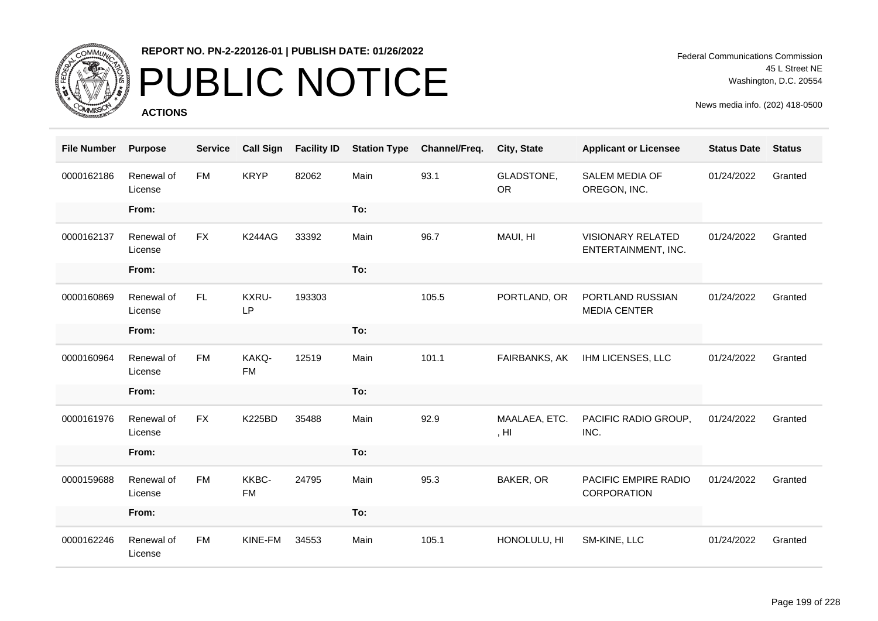

# PUBLIC NOTICE

**ACTIONS**

Federal Communications Commission 45 L Street NE Washington, D.C. 20554

| <b>File Number</b> | <b>Purpose</b>        | <b>Service</b> | <b>Call Sign</b>   | <b>Facility ID</b> | <b>Station Type</b> | Channel/Freq. | City, State                       | <b>Applicant or Licensee</b>                    | <b>Status Date</b> | <b>Status</b> |
|--------------------|-----------------------|----------------|--------------------|--------------------|---------------------|---------------|-----------------------------------|-------------------------------------------------|--------------------|---------------|
| 0000162186         | Renewal of<br>License | <b>FM</b>      | <b>KRYP</b>        | 82062              | Main                | 93.1          | GLADSTONE,<br><b>OR</b>           | <b>SALEM MEDIA OF</b><br>OREGON, INC.           | 01/24/2022         | Granted       |
|                    | From:                 |                |                    |                    | To:                 |               |                                   |                                                 |                    |               |
| 0000162137         | Renewal of<br>License | <b>FX</b>      | <b>K244AG</b>      | 33392              | Main                | 96.7          | MAUI, HI                          | <b>VISIONARY RELATED</b><br>ENTERTAINMENT, INC. | 01/24/2022         | Granted       |
|                    | From:                 |                |                    |                    | To:                 |               |                                   |                                                 |                    |               |
| 0000160869         | Renewal of<br>License | FL.            | KXRU-<br>LP        | 193303             |                     | 105.5         | PORTLAND, OR                      | PORTLAND RUSSIAN<br><b>MEDIA CENTER</b>         | 01/24/2022         | Granted       |
|                    | From:                 |                |                    |                    | To:                 |               |                                   |                                                 |                    |               |
| 0000160964         | Renewal of<br>License | <b>FM</b>      | KAKQ-<br><b>FM</b> | 12519              | Main                | 101.1         | FAIRBANKS, AK                     | IHM LICENSES, LLC                               | 01/24/2022         | Granted       |
|                    | From:                 |                |                    |                    | To:                 |               |                                   |                                                 |                    |               |
| 0000161976         | Renewal of<br>License | <b>FX</b>      | <b>K225BD</b>      | 35488              | Main                | 92.9          | MAALAEA, ETC.<br>, H <sub>l</sub> | PACIFIC RADIO GROUP,<br>INC.                    | 01/24/2022         | Granted       |
|                    | From:                 |                |                    |                    | To:                 |               |                                   |                                                 |                    |               |
| 0000159688         | Renewal of<br>License | <b>FM</b>      | KKBC-<br><b>FM</b> | 24795              | Main                | 95.3          | BAKER, OR                         | PACIFIC EMPIRE RADIO<br>CORPORATION             | 01/24/2022         | Granted       |
|                    | From:                 |                |                    |                    | To:                 |               |                                   |                                                 |                    |               |
| 0000162246         | Renewal of<br>License | <b>FM</b>      | KINE-FM            | 34553              | Main                | 105.1         | HONOLULU, HI                      | SM-KINE, LLC                                    | 01/24/2022         | Granted       |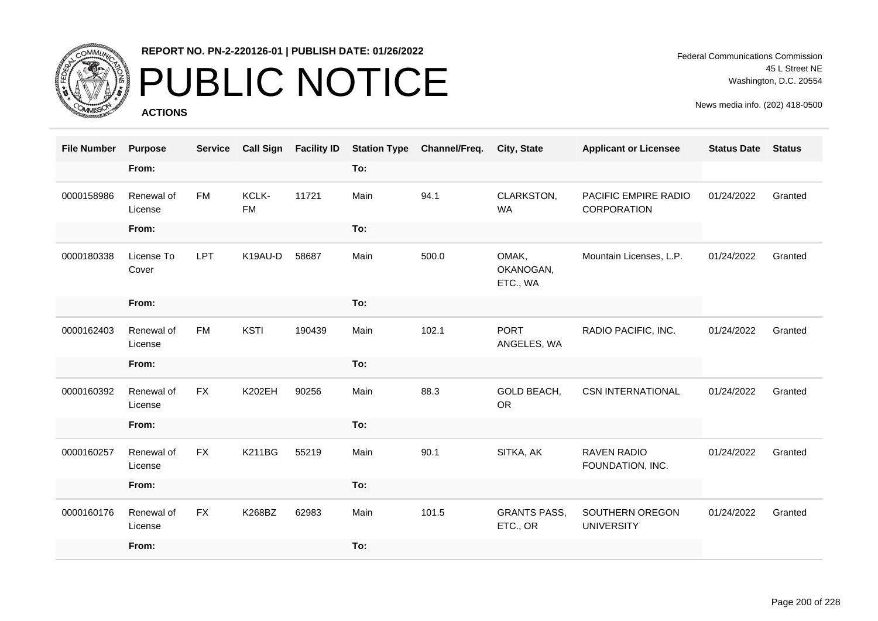

## PUBLIC NOTICE

**ACTIONS**

| <b>File Number</b> | <b>Purpose</b>        | <b>Service</b> | <b>Call Sign</b>   | <b>Facility ID</b> | <b>Station Type</b> | Channel/Freq. | City, State                     | <b>Applicant or Licensee</b>           | <b>Status Date</b> | <b>Status</b> |
|--------------------|-----------------------|----------------|--------------------|--------------------|---------------------|---------------|---------------------------------|----------------------------------------|--------------------|---------------|
|                    | From:                 |                |                    |                    | To:                 |               |                                 |                                        |                    |               |
| 0000158986         | Renewal of<br>License | <b>FM</b>      | KCLK-<br><b>FM</b> | 11721              | Main                | 94.1          | CLARKSTON,<br><b>WA</b>         | PACIFIC EMPIRE RADIO<br>CORPORATION    | 01/24/2022         | Granted       |
|                    | From:                 |                |                    |                    | To:                 |               |                                 |                                        |                    |               |
| 0000180338         | License To<br>Cover   | LPT            | K19AU-D            | 58687              | Main                | 500.0         | OMAK,<br>OKANOGAN,<br>ETC., WA  | Mountain Licenses, L.P.                | 01/24/2022         | Granted       |
|                    | From:                 |                |                    |                    | To:                 |               |                                 |                                        |                    |               |
| 0000162403         | Renewal of<br>License | <b>FM</b>      | <b>KSTI</b>        | 190439             | Main                | 102.1         | <b>PORT</b><br>ANGELES, WA      | RADIO PACIFIC, INC.                    | 01/24/2022         | Granted       |
|                    | From:                 |                |                    |                    | To:                 |               |                                 |                                        |                    |               |
| 0000160392         | Renewal of<br>License | <b>FX</b>      | <b>K202EH</b>      | 90256              | Main                | 88.3          | GOLD BEACH,<br><b>OR</b>        | <b>CSN INTERNATIONAL</b>               | 01/24/2022         | Granted       |
|                    | From:                 |                |                    |                    | To:                 |               |                                 |                                        |                    |               |
| 0000160257         | Renewal of<br>License | <b>FX</b>      | <b>K211BG</b>      | 55219              | Main                | 90.1          | SITKA, AK                       | <b>RAVEN RADIO</b><br>FOUNDATION, INC. | 01/24/2022         | Granted       |
|                    | From:                 |                |                    |                    | To:                 |               |                                 |                                        |                    |               |
| 0000160176         | Renewal of<br>License | <b>FX</b>      | K268BZ             | 62983              | Main                | 101.5         | <b>GRANTS PASS,</b><br>ETC., OR | SOUTHERN OREGON<br><b>UNIVERSITY</b>   | 01/24/2022         | Granted       |
|                    | From:                 |                |                    |                    | To:                 |               |                                 |                                        |                    |               |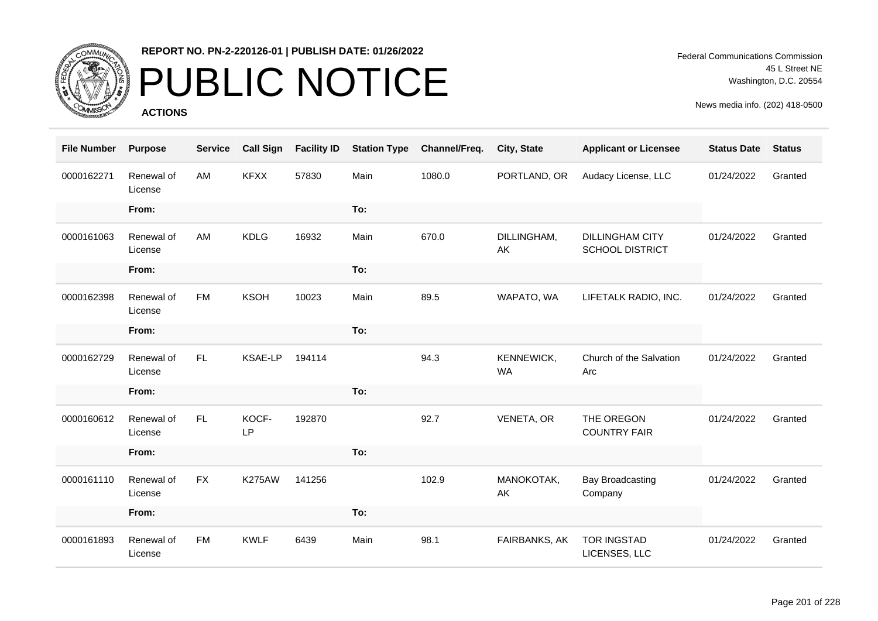

## PUBLIC NOTICE

**ACTIONS**

| <b>File Number</b> | <b>Purpose</b>        | <b>Service</b> | <b>Call Sign</b> | <b>Facility ID</b> | <b>Station Type</b> | Channel/Freq. | City, State             | <b>Applicant or Licensee</b>                     | <b>Status Date</b> | <b>Status</b> |
|--------------------|-----------------------|----------------|------------------|--------------------|---------------------|---------------|-------------------------|--------------------------------------------------|--------------------|---------------|
| 0000162271         | Renewal of<br>License | AM             | <b>KFXX</b>      | 57830              | Main                | 1080.0        | PORTLAND, OR            | Audacy License, LLC                              | 01/24/2022         | Granted       |
|                    | From:                 |                |                  |                    | To:                 |               |                         |                                                  |                    |               |
| 0000161063         | Renewal of<br>License | AM             | <b>KDLG</b>      | 16932              | Main                | 670.0         | DILLINGHAM,<br>AK       | <b>DILLINGHAM CITY</b><br><b>SCHOOL DISTRICT</b> | 01/24/2022         | Granted       |
|                    | From:                 |                |                  |                    | To:                 |               |                         |                                                  |                    |               |
| 0000162398         | Renewal of<br>License | <b>FM</b>      | <b>KSOH</b>      | 10023              | Main                | 89.5          | WAPATO, WA              | LIFETALK RADIO, INC.                             | 01/24/2022         | Granted       |
|                    | From:                 |                |                  |                    | To:                 |               |                         |                                                  |                    |               |
| 0000162729         | Renewal of<br>License | FL.            | KSAE-LP          | 194114             |                     | 94.3          | KENNEWICK,<br><b>WA</b> | Church of the Salvation<br>Arc                   | 01/24/2022         | Granted       |
|                    | From:                 |                |                  |                    | To:                 |               |                         |                                                  |                    |               |
| 0000160612         | Renewal of<br>License | FL.            | KOCF-<br>LP      | 192870             |                     | 92.7          | VENETA, OR              | THE OREGON<br><b>COUNTRY FAIR</b>                | 01/24/2022         | Granted       |
|                    | From:                 |                |                  |                    | To:                 |               |                         |                                                  |                    |               |
| 0000161110         | Renewal of<br>License | <b>FX</b>      | <b>K275AW</b>    | 141256             |                     | 102.9         | MANOKOTAK,<br>AK        | <b>Bay Broadcasting</b><br>Company               | 01/24/2022         | Granted       |
|                    | From:                 |                |                  |                    | To:                 |               |                         |                                                  |                    |               |
| 0000161893         | Renewal of<br>License | <b>FM</b>      | <b>KWLF</b>      | 6439               | Main                | 98.1          | FAIRBANKS, AK           | <b>TOR INGSTAD</b><br>LICENSES, LLC              | 01/24/2022         | Granted       |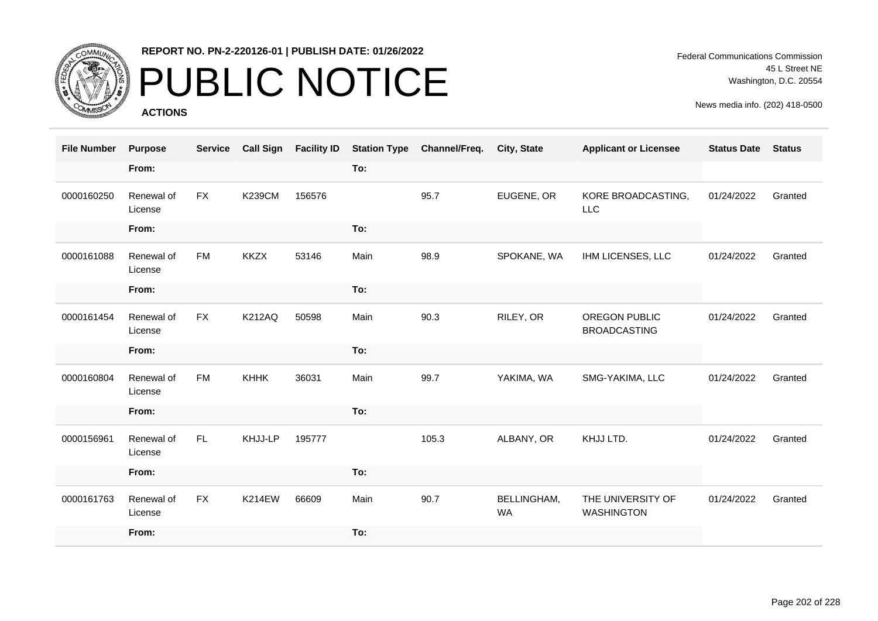

## PUBLIC NOTICE

**ACTIONS**

Federal Communications Commission 45 L Street NE Washington, D.C. 20554

| <b>File Number</b> | <b>Purpose</b>        | <b>Service</b> | <b>Call Sign</b> | <b>Facility ID</b> | <b>Station Type</b> | Channel/Freq. | City, State                     | <b>Applicant or Licensee</b>                | <b>Status Date</b> | <b>Status</b> |
|--------------------|-----------------------|----------------|------------------|--------------------|---------------------|---------------|---------------------------------|---------------------------------------------|--------------------|---------------|
|                    | From:                 |                |                  |                    | To:                 |               |                                 |                                             |                    |               |
| 0000160250         | Renewal of<br>License | FX             | <b>K239CM</b>    | 156576             |                     | 95.7          | EUGENE, OR                      | KORE BROADCASTING,<br><b>LLC</b>            | 01/24/2022         | Granted       |
|                    | From:                 |                |                  |                    | To:                 |               |                                 |                                             |                    |               |
| 0000161088         | Renewal of<br>License | <b>FM</b>      | <b>KKZX</b>      | 53146              | Main                | 98.9          | SPOKANE, WA                     | IHM LICENSES, LLC                           | 01/24/2022         | Granted       |
|                    | From:                 |                |                  |                    | To:                 |               |                                 |                                             |                    |               |
| 0000161454         | Renewal of<br>License | <b>FX</b>      | <b>K212AQ</b>    | 50598              | Main                | 90.3          | RILEY, OR                       | <b>OREGON PUBLIC</b><br><b>BROADCASTING</b> | 01/24/2022         | Granted       |
|                    | From:                 |                |                  |                    | To:                 |               |                                 |                                             |                    |               |
| 0000160804         | Renewal of<br>License | <b>FM</b>      | <b>KHHK</b>      | 36031              | Main                | 99.7          | YAKIMA, WA                      | SMG-YAKIMA, LLC                             | 01/24/2022         | Granted       |
|                    | From:                 |                |                  |                    | To:                 |               |                                 |                                             |                    |               |
| 0000156961         | Renewal of<br>License | FL.            | KHJJ-LP          | 195777             |                     | 105.3         | ALBANY, OR                      | KHJJ LTD.                                   | 01/24/2022         | Granted       |
|                    | From:                 |                |                  |                    | To:                 |               |                                 |                                             |                    |               |
| 0000161763         | Renewal of<br>License | <b>FX</b>      | <b>K214EW</b>    | 66609              | Main                | 90.7          | <b>BELLINGHAM,</b><br><b>WA</b> | THE UNIVERSITY OF<br><b>WASHINGTON</b>      | 01/24/2022         | Granted       |
|                    | From:                 |                |                  |                    | To:                 |               |                                 |                                             |                    |               |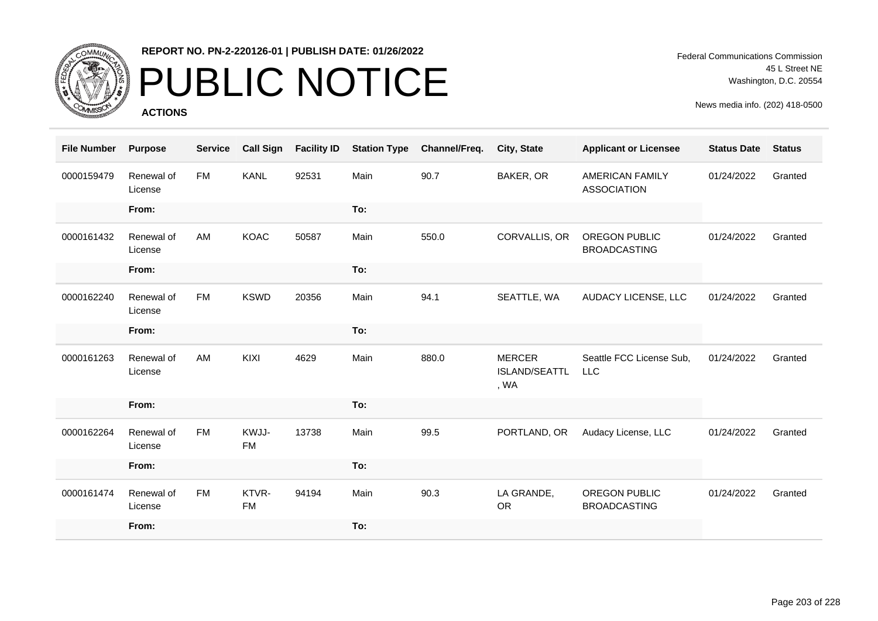

## PUBLIC NOTICE

**ACTIONS**

Federal Communications Commission 45 L Street NE Washington, D.C. 20554

| <b>File Number</b> | <b>Purpose</b>        | <b>Service</b> | <b>Call Sign</b>   | <b>Facility ID</b> | <b>Station Type</b> | Channel/Freq. | <b>City, State</b>                     | <b>Applicant or Licensee</b>                 | <b>Status Date</b> | <b>Status</b> |
|--------------------|-----------------------|----------------|--------------------|--------------------|---------------------|---------------|----------------------------------------|----------------------------------------------|--------------------|---------------|
| 0000159479         | Renewal of<br>License | <b>FM</b>      | <b>KANL</b>        | 92531              | Main                | 90.7          | BAKER, OR                              | <b>AMERICAN FAMILY</b><br><b>ASSOCIATION</b> | 01/24/2022         | Granted       |
|                    | From:                 |                |                    |                    | To:                 |               |                                        |                                              |                    |               |
| 0000161432         | Renewal of<br>License | AM             | <b>KOAC</b>        | 50587              | Main                | 550.0         | CORVALLIS, OR                          | OREGON PUBLIC<br><b>BROADCASTING</b>         | 01/24/2022         | Granted       |
|                    | From:                 |                |                    |                    | To:                 |               |                                        |                                              |                    |               |
| 0000162240         | Renewal of<br>License | <b>FM</b>      | <b>KSWD</b>        | 20356              | Main                | 94.1          | SEATTLE, WA                            | AUDACY LICENSE, LLC                          | 01/24/2022         | Granted       |
|                    | From:                 |                |                    |                    | To:                 |               |                                        |                                              |                    |               |
| 0000161263         | Renewal of<br>License | AM             | KIXI               | 4629               | Main                | 880.0         | <b>MERCER</b><br>ISLAND/SEATTL<br>, WA | Seattle FCC License Sub,<br><b>LLC</b>       | 01/24/2022         | Granted       |
|                    | From:                 |                |                    |                    | To:                 |               |                                        |                                              |                    |               |
| 0000162264         | Renewal of<br>License | <b>FM</b>      | KWJJ-<br>FM        | 13738              | Main                | 99.5          | PORTLAND, OR                           | Audacy License, LLC                          | 01/24/2022         | Granted       |
|                    | From:                 |                |                    |                    | To:                 |               |                                        |                                              |                    |               |
| 0000161474         | Renewal of<br>License | <b>FM</b>      | KTVR-<br><b>FM</b> | 94194              | Main                | 90.3          | LA GRANDE,<br><b>OR</b>                | <b>OREGON PUBLIC</b><br><b>BROADCASTING</b>  | 01/24/2022         | Granted       |
|                    | From:                 |                |                    |                    | To:                 |               |                                        |                                              |                    |               |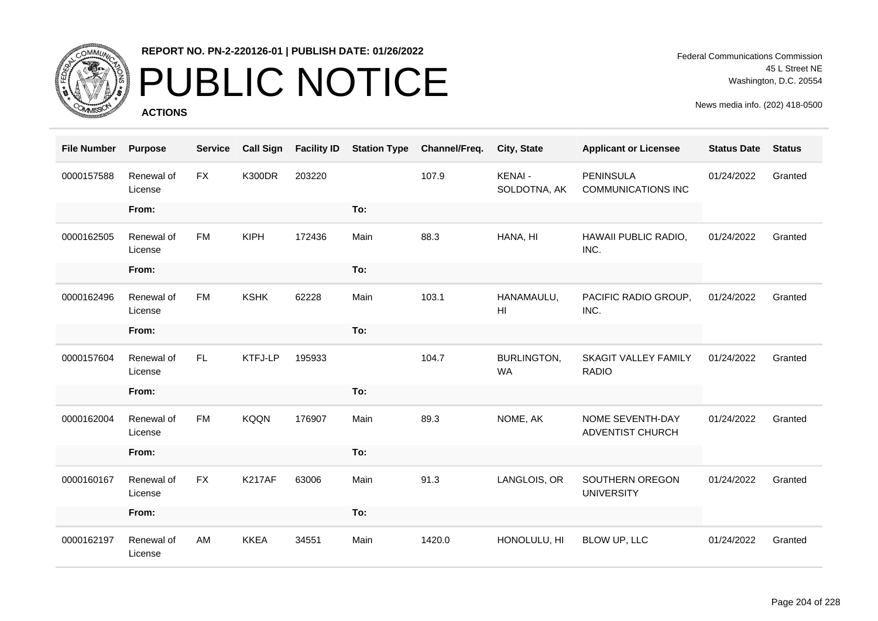

# PUBLIC NOTICE

**ACTIONS**

Federal Communications Commission 45 L Street NE Washington, D.C. 20554

| <b>File Number</b> | <b>Purpose</b>        | <b>Service</b> | <b>Call Sign</b> | <b>Facility ID</b> | <b>Station Type</b> | Channel/Freq. | City, State                     | <b>Applicant or Licensee</b>                  | <b>Status Date</b> | <b>Status</b> |
|--------------------|-----------------------|----------------|------------------|--------------------|---------------------|---------------|---------------------------------|-----------------------------------------------|--------------------|---------------|
| 0000157588         | Renewal of<br>License | <b>FX</b>      | <b>K300DR</b>    | 203220             |                     | 107.9         | <b>KENAI-</b><br>SOLDOTNA, AK   | <b>PENINSULA</b><br><b>COMMUNICATIONS INC</b> | 01/24/2022         | Granted       |
|                    | From:                 |                |                  |                    | To:                 |               |                                 |                                               |                    |               |
| 0000162505         | Renewal of<br>License | FM             | <b>KIPH</b>      | 172436             | Main                | 88.3          | HANA, HI                        | HAWAII PUBLIC RADIO,<br>INC.                  | 01/24/2022         | Granted       |
|                    | From:                 |                |                  |                    | To:                 |               |                                 |                                               |                    |               |
| 0000162496         | Renewal of<br>License | <b>FM</b>      | <b>KSHK</b>      | 62228              | Main                | 103.1         | HANAMAULU,<br>H <sub>l</sub>    | PACIFIC RADIO GROUP,<br>INC.                  | 01/24/2022         | Granted       |
|                    | From:                 |                |                  |                    | To:                 |               |                                 |                                               |                    |               |
| 0000157604         | Renewal of<br>License | FL.            | KTFJ-LP          | 195933             |                     | 104.7         | <b>BURLINGTON,</b><br><b>WA</b> | <b>SKAGIT VALLEY FAMILY</b><br><b>RADIO</b>   | 01/24/2022         | Granted       |
|                    | From:                 |                |                  |                    | To:                 |               |                                 |                                               |                    |               |
| 0000162004         | Renewal of<br>License | <b>FM</b>      | <b>KQQN</b>      | 176907             | Main                | 89.3          | NOME, AK                        | NOME SEVENTH-DAY<br>ADVENTIST CHURCH          | 01/24/2022         | Granted       |
|                    | From:                 |                |                  |                    | To:                 |               |                                 |                                               |                    |               |
| 0000160167         | Renewal of<br>License | <b>FX</b>      | <b>K217AF</b>    | 63006              | Main                | 91.3          | LANGLOIS, OR                    | SOUTHERN OREGON<br><b>UNIVERSITY</b>          | 01/24/2022         | Granted       |
|                    | From:                 |                |                  |                    | To:                 |               |                                 |                                               |                    |               |
| 0000162197         | Renewal of<br>License | AM             | <b>KKEA</b>      | 34551              | Main                | 1420.0        | HONOLULU, HI                    | BLOW UP, LLC                                  | 01/24/2022         | Granted       |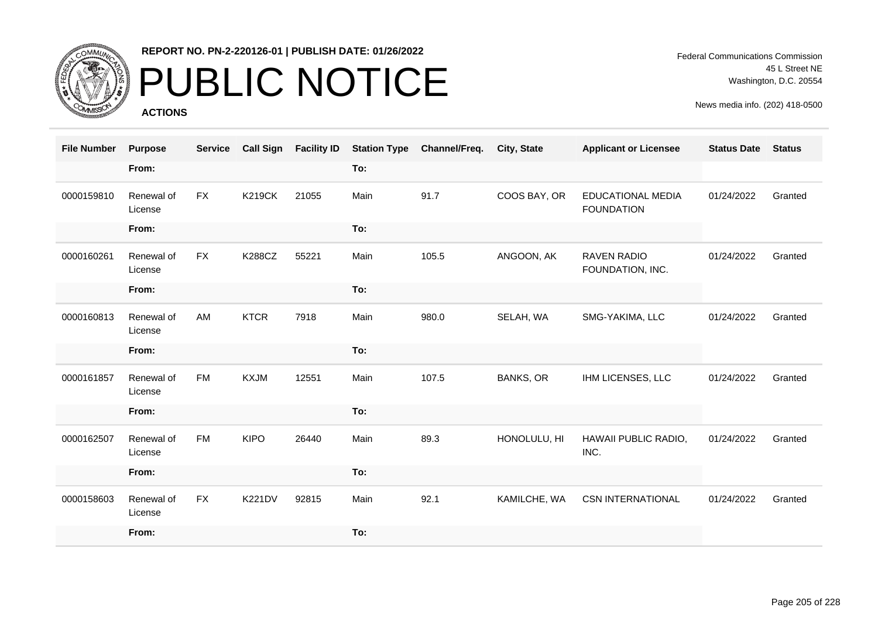

# PUBLIC NOTICE

**ACTIONS**

Federal Communications Commission 45 L Street NE Washington, D.C. 20554

| <b>File Number</b> | <b>Purpose</b>        | <b>Service</b> | <b>Call Sign</b> | <b>Facility ID</b> | <b>Station Type</b> | Channel/Freq. | <b>City, State</b> | <b>Applicant or Licensee</b>           | <b>Status Date</b> | <b>Status</b> |
|--------------------|-----------------------|----------------|------------------|--------------------|---------------------|---------------|--------------------|----------------------------------------|--------------------|---------------|
|                    | From:                 |                |                  |                    | To:                 |               |                    |                                        |                    |               |
| 0000159810         | Renewal of<br>License | FX             | <b>K219CK</b>    | 21055              | Main                | 91.7          | COOS BAY, OR       | EDUCATIONAL MEDIA<br><b>FOUNDATION</b> | 01/24/2022         | Granted       |
|                    | From:                 |                |                  |                    | To:                 |               |                    |                                        |                    |               |
| 0000160261         | Renewal of<br>License | <b>FX</b>      | <b>K288CZ</b>    | 55221              | Main                | 105.5         | ANGOON, AK         | <b>RAVEN RADIO</b><br>FOUNDATION, INC. | 01/24/2022         | Granted       |
|                    | From:                 |                |                  |                    | To:                 |               |                    |                                        |                    |               |
| 0000160813         | Renewal of<br>License | AM             | <b>KTCR</b>      | 7918               | Main                | 980.0         | SELAH, WA          | SMG-YAKIMA, LLC                        | 01/24/2022         | Granted       |
|                    | From:                 |                |                  |                    | To:                 |               |                    |                                        |                    |               |
| 0000161857         | Renewal of<br>License | <b>FM</b>      | <b>KXJM</b>      | 12551              | Main                | 107.5         | <b>BANKS, OR</b>   | IHM LICENSES, LLC                      | 01/24/2022         | Granted       |
|                    | From:                 |                |                  |                    | To:                 |               |                    |                                        |                    |               |
| 0000162507         | Renewal of<br>License | <b>FM</b>      | <b>KIPO</b>      | 26440              | Main                | 89.3          | HONOLULU, HI       | HAWAII PUBLIC RADIO,<br>INC.           | 01/24/2022         | Granted       |
|                    | From:                 |                |                  |                    | To:                 |               |                    |                                        |                    |               |
| 0000158603         | Renewal of<br>License | <b>FX</b>      | <b>K221DV</b>    | 92815              | Main                | 92.1          | KAMILCHE, WA       | <b>CSN INTERNATIONAL</b>               | 01/24/2022         | Granted       |
|                    | From:                 |                |                  |                    | To:                 |               |                    |                                        |                    |               |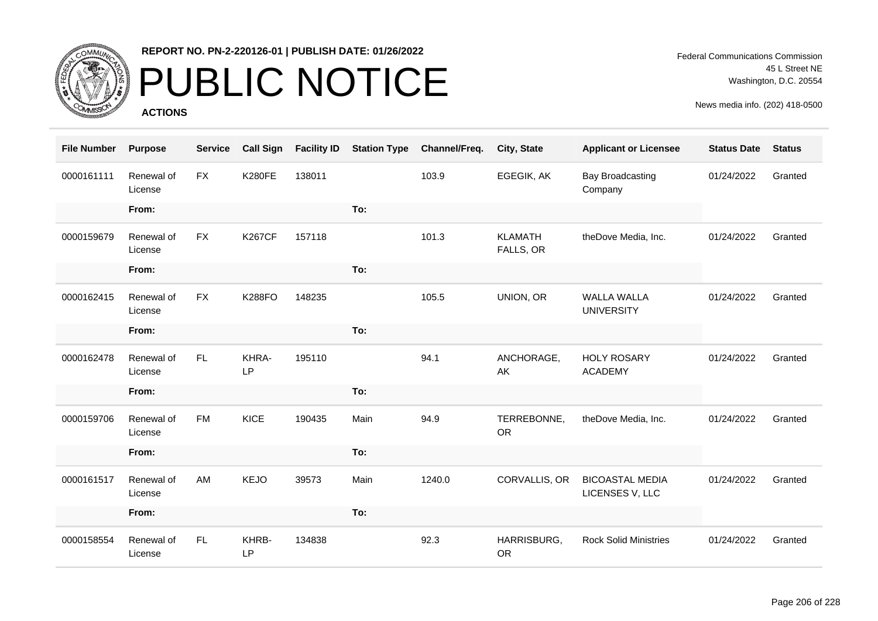

# PUBLIC NOTICE

**ACTIONS**

Federal Communications Commission 45 L Street NE Washington, D.C. 20554

| <b>File Number</b> | <b>Purpose</b>        | <b>Service</b> | <b>Call Sign</b> | <b>Facility ID</b> | <b>Station Type</b> | Channel/Freq. | City, State                 | <b>Applicant or Licensee</b>              | <b>Status Date</b> | <b>Status</b> |
|--------------------|-----------------------|----------------|------------------|--------------------|---------------------|---------------|-----------------------------|-------------------------------------------|--------------------|---------------|
| 0000161111         | Renewal of<br>License | <b>FX</b>      | <b>K280FE</b>    | 138011             |                     | 103.9         | EGEGIK, AK                  | <b>Bay Broadcasting</b><br>Company        | 01/24/2022         | Granted       |
|                    | From:                 |                |                  |                    | To:                 |               |                             |                                           |                    |               |
| 0000159679         | Renewal of<br>License | <b>FX</b>      | <b>K267CF</b>    | 157118             |                     | 101.3         | <b>KLAMATH</b><br>FALLS, OR | theDove Media, Inc.                       | 01/24/2022         | Granted       |
|                    | From:                 |                |                  |                    | To:                 |               |                             |                                           |                    |               |
| 0000162415         | Renewal of<br>License | <b>FX</b>      | <b>K288FO</b>    | 148235             |                     | 105.5         | UNION, OR                   | <b>WALLA WALLA</b><br><b>UNIVERSITY</b>   | 01/24/2022         | Granted       |
|                    | From:                 |                |                  |                    | To:                 |               |                             |                                           |                    |               |
| 0000162478         | Renewal of<br>License | FL.            | KHRA-<br>LP      | 195110             |                     | 94.1          | ANCHORAGE,<br>AK            | <b>HOLY ROSARY</b><br><b>ACADEMY</b>      | 01/24/2022         | Granted       |
|                    | From:                 |                |                  |                    | To:                 |               |                             |                                           |                    |               |
| 0000159706         | Renewal of<br>License | <b>FM</b>      | <b>KICE</b>      | 190435             | Main                | 94.9          | TERREBONNE,<br><b>OR</b>    | theDove Media, Inc.                       | 01/24/2022         | Granted       |
|                    | From:                 |                |                  |                    | To:                 |               |                             |                                           |                    |               |
| 0000161517         | Renewal of<br>License | AM             | <b>KEJO</b>      | 39573              | Main                | 1240.0        | CORVALLIS, OR               | <b>BICOASTAL MEDIA</b><br>LICENSES V, LLC | 01/24/2022         | Granted       |
|                    | From:                 |                |                  |                    | To:                 |               |                             |                                           |                    |               |
| 0000158554         | Renewal of<br>License | FL             | KHRB-<br>LP      | 134838             |                     | 92.3          | HARRISBURG,<br><b>OR</b>    | <b>Rock Solid Ministries</b>              | 01/24/2022         | Granted       |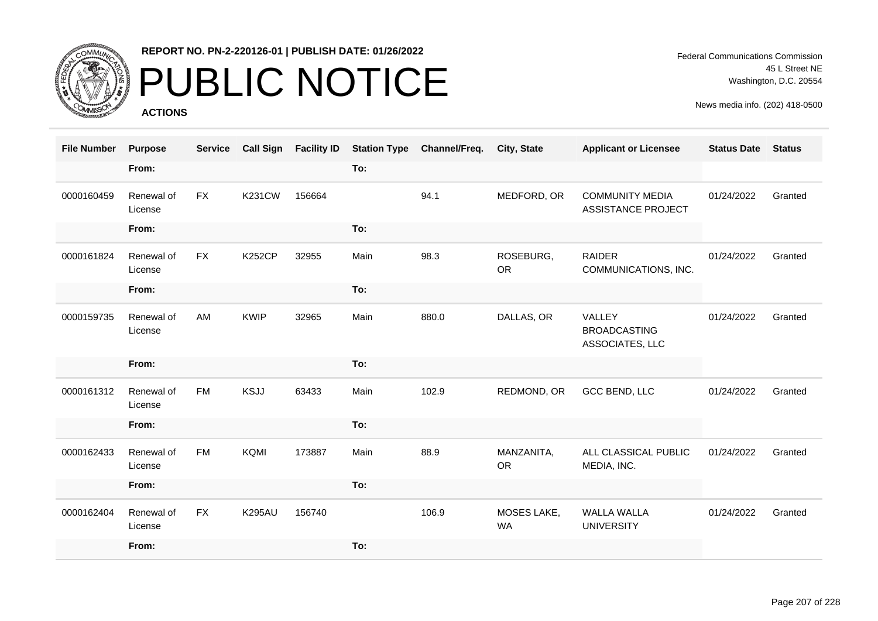

# PUBLIC NOTICE

**ACTIONS**

Federal Communications Commission 45 L Street NE Washington, D.C. 20554

| <b>File Number</b> | <b>Purpose</b>        | <b>Service</b> | <b>Call Sign</b> | <b>Facility ID</b> | <b>Station Type</b> | Channel/Freq. | City, State             | <b>Applicant or Licensee</b>                        | <b>Status Date</b> | <b>Status</b> |
|--------------------|-----------------------|----------------|------------------|--------------------|---------------------|---------------|-------------------------|-----------------------------------------------------|--------------------|---------------|
|                    | From:                 |                |                  |                    | To:                 |               |                         |                                                     |                    |               |
| 0000160459         | Renewal of<br>License | <b>FX</b>      | <b>K231CW</b>    | 156664             |                     | 94.1          | MEDFORD, OR             | <b>COMMUNITY MEDIA</b><br><b>ASSISTANCE PROJECT</b> | 01/24/2022         | Granted       |
|                    | From:                 |                |                  |                    | To:                 |               |                         |                                                     |                    |               |
| 0000161824         | Renewal of<br>License | <b>FX</b>      | <b>K252CP</b>    | 32955              | Main                | 98.3          | ROSEBURG,<br><b>OR</b>  | <b>RAIDER</b><br>COMMUNICATIONS, INC.               | 01/24/2022         | Granted       |
|                    | From:                 |                |                  |                    | To:                 |               |                         |                                                     |                    |               |
| 0000159735         | Renewal of<br>License | AM             | <b>KWIP</b>      | 32965              | Main                | 880.0         | DALLAS, OR              | VALLEY<br><b>BROADCASTING</b><br>ASSOCIATES, LLC    | 01/24/2022         | Granted       |
|                    | From:                 |                |                  |                    | To:                 |               |                         |                                                     |                    |               |
| 0000161312         | Renewal of<br>License | <b>FM</b>      | <b>KSJJ</b>      | 63433              | Main                | 102.9         | REDMOND, OR             | GCC BEND, LLC                                       | 01/24/2022         | Granted       |
|                    | From:                 |                |                  |                    | To:                 |               |                         |                                                     |                    |               |
| 0000162433         | Renewal of<br>License | <b>FM</b>      | KQMI             | 173887             | Main                | 88.9          | MANZANITA,<br><b>OR</b> | ALL CLASSICAL PUBLIC<br>MEDIA, INC.                 | 01/24/2022         | Granted       |
|                    | From:                 |                |                  |                    | To:                 |               |                         |                                                     |                    |               |
| 0000162404         | Renewal of<br>License | <b>FX</b>      | <b>K295AU</b>    | 156740             |                     | 106.9         | MOSES LAKE,<br>WA       | <b>WALLA WALLA</b><br><b>UNIVERSITY</b>             | 01/24/2022         | Granted       |
|                    | From:                 |                |                  |                    | To:                 |               |                         |                                                     |                    |               |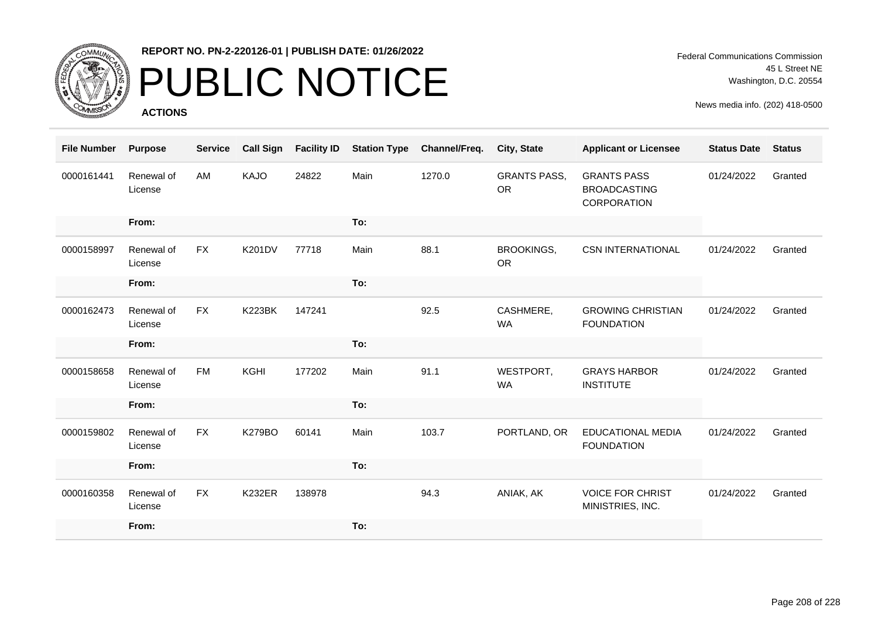

# PUBLIC NOTICE

**ACTIONS**

Federal Communications Commission 45 L Street NE Washington, D.C. 20554

| <b>File Number</b> | <b>Purpose</b>        | <b>Service</b> | <b>Call Sign</b> | <b>Facility ID</b> | <b>Station Type</b> | Channel/Freq. | <b>City, State</b>               | <b>Applicant or Licensee</b>                             | <b>Status Date</b> | <b>Status</b> |
|--------------------|-----------------------|----------------|------------------|--------------------|---------------------|---------------|----------------------------------|----------------------------------------------------------|--------------------|---------------|
| 0000161441         | Renewal of<br>License | AM             | KAJO             | 24822              | Main                | 1270.0        | <b>GRANTS PASS,</b><br><b>OR</b> | <b>GRANTS PASS</b><br><b>BROADCASTING</b><br>CORPORATION | 01/24/2022         | Granted       |
|                    | From:                 |                |                  |                    | To:                 |               |                                  |                                                          |                    |               |
| 0000158997         | Renewal of<br>License | <b>FX</b>      | <b>K201DV</b>    | 77718              | Main                | 88.1          | <b>BROOKINGS,</b><br><b>OR</b>   | <b>CSN INTERNATIONAL</b>                                 | 01/24/2022         | Granted       |
|                    | From:                 |                |                  |                    | To:                 |               |                                  |                                                          |                    |               |
| 0000162473         | Renewal of<br>License | <b>FX</b>      | <b>K223BK</b>    | 147241             |                     | 92.5          | CASHMERE,<br><b>WA</b>           | <b>GROWING CHRISTIAN</b><br><b>FOUNDATION</b>            | 01/24/2022         | Granted       |
|                    | From:                 |                |                  |                    | To:                 |               |                                  |                                                          |                    |               |
| 0000158658         | Renewal of<br>License | <b>FM</b>      | KGHI             | 177202             | Main                | 91.1          | WESTPORT,<br><b>WA</b>           | <b>GRAYS HARBOR</b><br><b>INSTITUTE</b>                  | 01/24/2022         | Granted       |
|                    | From:                 |                |                  |                    | To:                 |               |                                  |                                                          |                    |               |
| 0000159802         | Renewal of<br>License | <b>FX</b>      | <b>K279BO</b>    | 60141              | Main                | 103.7         | PORTLAND, OR                     | <b>EDUCATIONAL MEDIA</b><br><b>FOUNDATION</b>            | 01/24/2022         | Granted       |
|                    | From:                 |                |                  |                    | To:                 |               |                                  |                                                          |                    |               |
| 0000160358         | Renewal of<br>License | <b>FX</b>      | <b>K232ER</b>    | 138978             |                     | 94.3          | ANIAK, AK                        | <b>VOICE FOR CHRIST</b><br>MINISTRIES, INC.              | 01/24/2022         | Granted       |
|                    | From:                 |                |                  |                    | To:                 |               |                                  |                                                          |                    |               |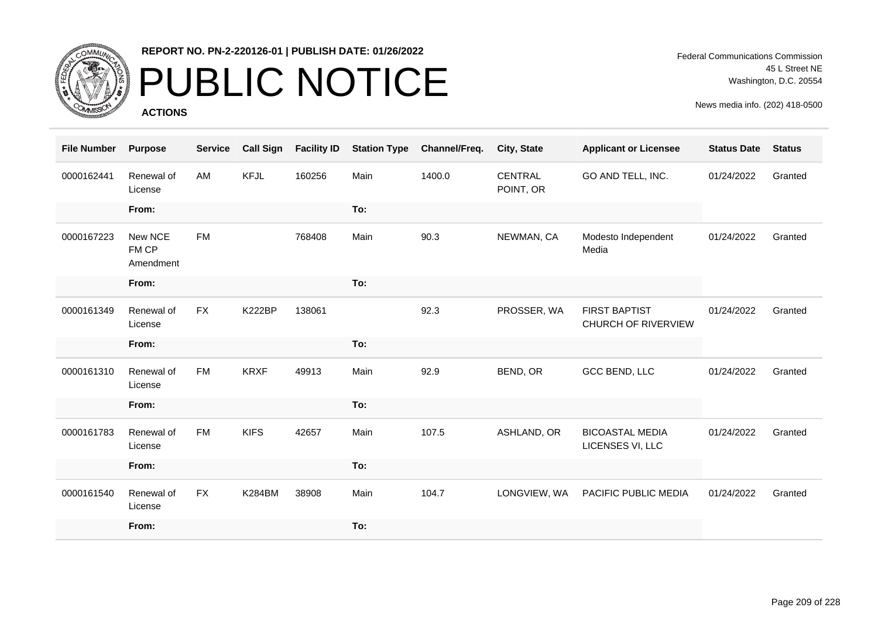

# PUBLIC NOTICE

**ACTIONS**

| <b>File Number</b> | <b>Purpose</b>                | <b>Service</b> | <b>Call Sign</b> | <b>Facility ID</b> | <b>Station Type</b> | Channel/Freq. | <b>City, State</b>          | <b>Applicant or Licensee</b>                       | <b>Status Date</b> | <b>Status</b> |
|--------------------|-------------------------------|----------------|------------------|--------------------|---------------------|---------------|-----------------------------|----------------------------------------------------|--------------------|---------------|
| 0000162441         | Renewal of<br>License         | AM             | <b>KFJL</b>      | 160256             | Main                | 1400.0        | <b>CENTRAL</b><br>POINT, OR | GO AND TELL, INC.                                  | 01/24/2022         | Granted       |
|                    | From:                         |                |                  |                    | To:                 |               |                             |                                                    |                    |               |
| 0000167223         | New NCE<br>FM CP<br>Amendment | <b>FM</b>      |                  | 768408             | Main                | 90.3          | NEWMAN, CA                  | Modesto Independent<br>Media                       | 01/24/2022         | Granted       |
|                    | From:                         |                |                  |                    | To:                 |               |                             |                                                    |                    |               |
| 0000161349         | Renewal of<br>License         | <b>FX</b>      | <b>K222BP</b>    | 138061             |                     | 92.3          | PROSSER, WA                 | <b>FIRST BAPTIST</b><br><b>CHURCH OF RIVERVIEW</b> | 01/24/2022         | Granted       |
|                    | From:                         |                |                  |                    | To:                 |               |                             |                                                    |                    |               |
| 0000161310         | Renewal of<br>License         | <b>FM</b>      | <b>KRXF</b>      | 49913              | Main                | 92.9          | BEND, OR                    | GCC BEND, LLC                                      | 01/24/2022         | Granted       |
|                    | From:                         |                |                  |                    | To:                 |               |                             |                                                    |                    |               |
|                    |                               |                |                  |                    |                     |               |                             |                                                    |                    |               |
| 0000161783         | Renewal of<br>License         | <b>FM</b>      | <b>KIFS</b>      | 42657              | Main                | 107.5         | ASHLAND, OR                 | <b>BICOASTAL MEDIA</b><br>LICENSES VI, LLC         | 01/24/2022         | Granted       |
|                    | From:                         |                |                  |                    | To:                 |               |                             |                                                    |                    |               |
| 0000161540         | Renewal of<br>License         | <b>FX</b>      | K284BM           | 38908              | Main                | 104.7         | LONGVIEW, WA                | PACIFIC PUBLIC MEDIA                               | 01/24/2022         | Granted       |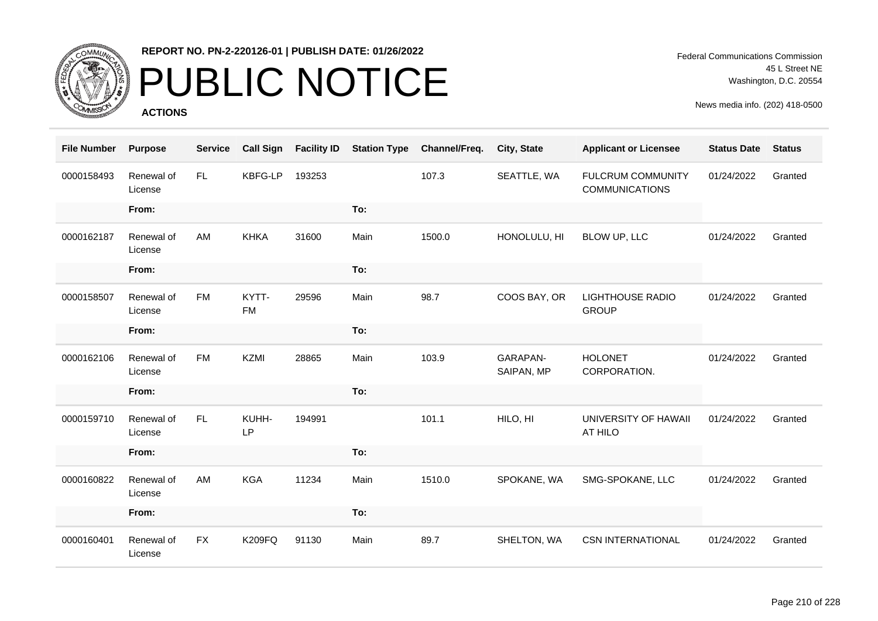

# PUBLIC NOTICE

**ACTIONS**

| <b>File Number</b> | <b>Purpose</b>        | <b>Service</b> | <b>Call Sign</b>   | <b>Facility ID</b> | <b>Station Type</b> | Channel/Freq. | City, State            | <b>Applicant or Licensee</b>                      | <b>Status Date</b> | <b>Status</b> |
|--------------------|-----------------------|----------------|--------------------|--------------------|---------------------|---------------|------------------------|---------------------------------------------------|--------------------|---------------|
| 0000158493         | Renewal of<br>License | FL.            | <b>KBFG-LP</b>     | 193253             |                     | 107.3         | SEATTLE, WA            | <b>FULCRUM COMMUNITY</b><br><b>COMMUNICATIONS</b> | 01/24/2022         | Granted       |
|                    | From:                 |                |                    |                    | To:                 |               |                        |                                                   |                    |               |
| 0000162187         | Renewal of<br>License | AM             | <b>KHKA</b>        | 31600              | Main                | 1500.0        | HONOLULU, HI           | BLOW UP, LLC                                      | 01/24/2022         | Granted       |
|                    | From:                 |                |                    |                    | To:                 |               |                        |                                                   |                    |               |
| 0000158507         | Renewal of<br>License | <b>FM</b>      | KYTT-<br><b>FM</b> | 29596              | Main                | 98.7          | COOS BAY, OR           | <b>LIGHTHOUSE RADIO</b><br><b>GROUP</b>           | 01/24/2022         | Granted       |
|                    | From:                 |                |                    |                    | To:                 |               |                        |                                                   |                    |               |
| 0000162106         | Renewal of<br>License | <b>FM</b>      | <b>KZMI</b>        | 28865              | Main                | 103.9         | GARAPAN-<br>SAIPAN, MP | <b>HOLONET</b><br>CORPORATION.                    | 01/24/2022         | Granted       |
|                    | From:                 |                |                    |                    | To:                 |               |                        |                                                   |                    |               |
| 0000159710         | Renewal of<br>License | FL.            | KUHH-<br>LP        | 194991             |                     | 101.1         | HILO, HI               | UNIVERSITY OF HAWAII<br>AT HILO                   | 01/24/2022         | Granted       |
|                    | From:                 |                |                    |                    | To:                 |               |                        |                                                   |                    |               |
| 0000160822         | Renewal of<br>License | AM             | <b>KGA</b>         | 11234              | Main                | 1510.0        | SPOKANE, WA            | SMG-SPOKANE, LLC                                  | 01/24/2022         | Granted       |
|                    | From:                 |                |                    |                    | To:                 |               |                        |                                                   |                    |               |
| 0000160401         | Renewal of<br>License | <b>FX</b>      | <b>K209FQ</b>      | 91130              | Main                | 89.7          | SHELTON, WA            | <b>CSN INTERNATIONAL</b>                          | 01/24/2022         | Granted       |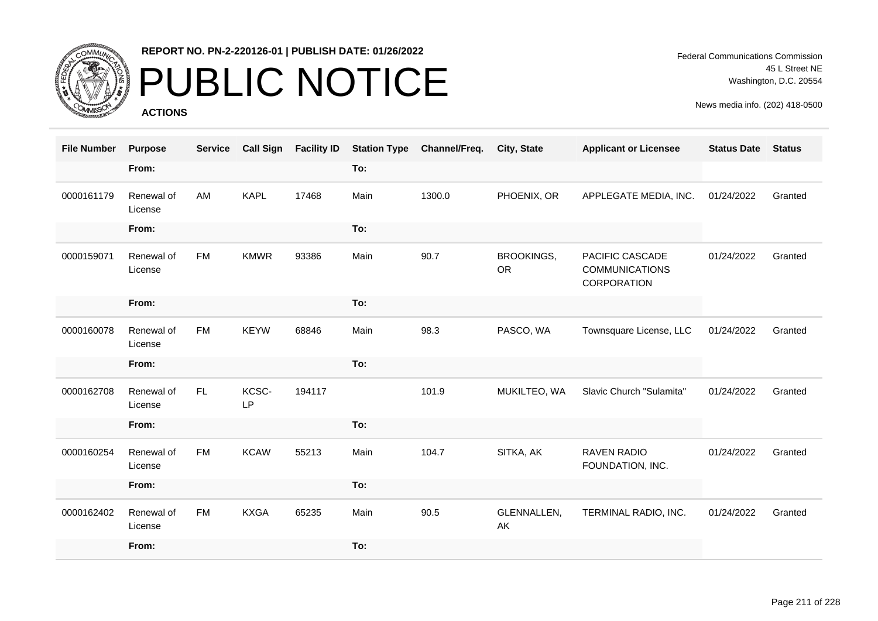

# PUBLIC NOTICE

**ACTIONS**

| <b>File Number</b> | <b>Purpose</b>        | <b>Service</b> | <b>Call Sign</b> | <b>Facility ID</b> | <b>Station Type</b> | Channel/Freq. | <b>City, State</b>      | <b>Applicant or Licensee</b>                            | <b>Status Date</b> | <b>Status</b> |
|--------------------|-----------------------|----------------|------------------|--------------------|---------------------|---------------|-------------------------|---------------------------------------------------------|--------------------|---------------|
|                    | From:                 |                |                  |                    | To:                 |               |                         |                                                         |                    |               |
| 0000161179         | Renewal of<br>License | AM             | <b>KAPL</b>      | 17468              | Main                | 1300.0        | PHOENIX, OR             | APPLEGATE MEDIA, INC.                                   | 01/24/2022         | Granted       |
|                    | From:                 |                |                  |                    | To:                 |               |                         |                                                         |                    |               |
| 0000159071         | Renewal of<br>License | <b>FM</b>      | <b>KMWR</b>      | 93386              | Main                | 90.7          | BROOKINGS,<br><b>OR</b> | PACIFIC CASCADE<br><b>COMMUNICATIONS</b><br>CORPORATION | 01/24/2022         | Granted       |
|                    | From:                 |                |                  |                    | To:                 |               |                         |                                                         |                    |               |
| 0000160078         | Renewal of<br>License | <b>FM</b>      | <b>KEYW</b>      | 68846              | Main                | 98.3          | PASCO, WA               | Townsquare License, LLC                                 | 01/24/2022         | Granted       |
|                    | From:                 |                |                  |                    | To:                 |               |                         |                                                         |                    |               |
| 0000162708         | Renewal of<br>License | FL.            | KCSC-<br>LP      | 194117             |                     | 101.9         | MUKILTEO, WA            | Slavic Church "Sulamita"                                | 01/24/2022         | Granted       |
|                    | From:                 |                |                  |                    | To:                 |               |                         |                                                         |                    |               |
| 0000160254         | Renewal of<br>License | <b>FM</b>      | <b>KCAW</b>      | 55213              | Main                | 104.7         | SITKA, AK               | <b>RAVEN RADIO</b><br>FOUNDATION, INC.                  | 01/24/2022         | Granted       |
|                    | From:                 |                |                  |                    | To:                 |               |                         |                                                         |                    |               |
| 0000162402         | Renewal of<br>License | <b>FM</b>      | <b>KXGA</b>      | 65235              | Main                | 90.5          | GLENNALLEN,<br>AK       | TERMINAL RADIO, INC.                                    | 01/24/2022         | Granted       |
|                    | From:                 |                |                  |                    | To:                 |               |                         |                                                         |                    |               |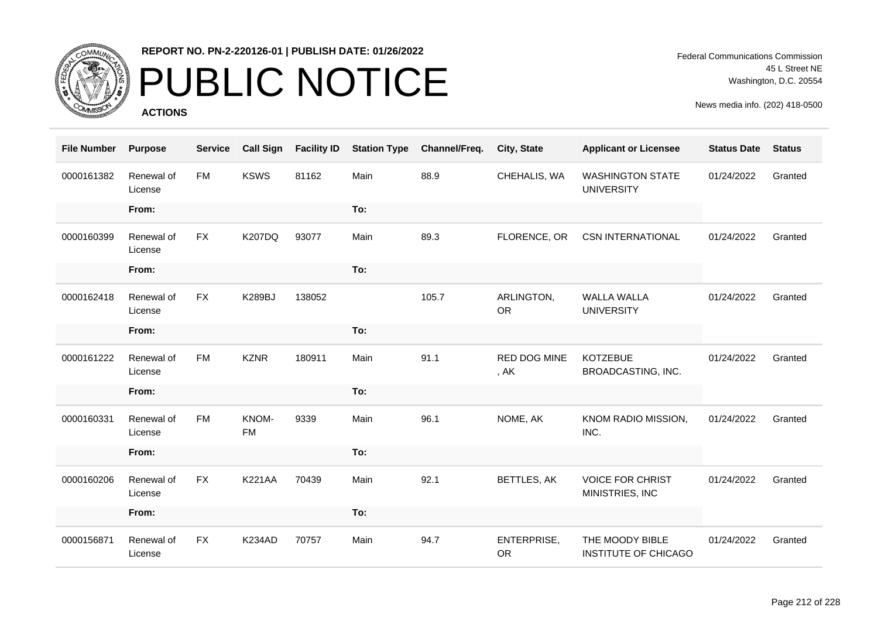

# PUBLIC NOTICE

**ACTIONS**

Federal Communications Commission 45 L Street NE Washington, D.C. 20554

| <b>File Number</b> | <b>Purpose</b>        | <b>Service</b> | <b>Call Sign</b>   | <b>Facility ID</b> | <b>Station Type</b> | Channel/Freq. | City, State                   | <b>Applicant or Licensee</b>                   | <b>Status Date</b> | <b>Status</b> |
|--------------------|-----------------------|----------------|--------------------|--------------------|---------------------|---------------|-------------------------------|------------------------------------------------|--------------------|---------------|
| 0000161382         | Renewal of<br>License | <b>FM</b>      | <b>KSWS</b>        | 81162              | Main                | 88.9          | CHEHALIS, WA                  | <b>WASHINGTON STATE</b><br><b>UNIVERSITY</b>   | 01/24/2022         | Granted       |
|                    | From:                 |                |                    |                    | To:                 |               |                               |                                                |                    |               |
| 0000160399         | Renewal of<br>License | <b>FX</b>      | <b>K207DQ</b>      | 93077              | Main                | 89.3          | FLORENCE, OR                  | <b>CSN INTERNATIONAL</b>                       | 01/24/2022         | Granted       |
|                    | From:                 |                |                    |                    | To:                 |               |                               |                                                |                    |               |
| 0000162418         | Renewal of<br>License | <b>FX</b>      | <b>K289BJ</b>      | 138052             |                     | 105.7         | ARLINGTON,<br><b>OR</b>       | <b>WALLA WALLA</b><br><b>UNIVERSITY</b>        | 01/24/2022         | Granted       |
|                    | From:                 |                |                    |                    | To:                 |               |                               |                                                |                    |               |
| 0000161222         | Renewal of<br>License | <b>FM</b>      | <b>KZNR</b>        | 180911             | Main                | 91.1          | <b>RED DOG MINE</b><br>, $AK$ | <b>KOTZEBUE</b><br>BROADCASTING, INC.          | 01/24/2022         | Granted       |
|                    | From:                 |                |                    |                    | To:                 |               |                               |                                                |                    |               |
| 0000160331         | Renewal of<br>License | <b>FM</b>      | KNOM-<br><b>FM</b> | 9339               | Main                | 96.1          | NOME, AK                      | KNOM RADIO MISSION,<br>INC.                    | 01/24/2022         | Granted       |
|                    | From:                 |                |                    |                    | To:                 |               |                               |                                                |                    |               |
| 0000160206         | Renewal of<br>License | <b>FX</b>      | <b>K221AA</b>      | 70439              | Main                | 92.1          | <b>BETTLES, AK</b>            | <b>VOICE FOR CHRIST</b><br>MINISTRIES, INC     | 01/24/2022         | Granted       |
|                    | From:                 |                |                    |                    | To:                 |               |                               |                                                |                    |               |
| 0000156871         | Renewal of<br>License | <b>FX</b>      | K234AD             | 70757              | Main                | 94.7          | ENTERPRISE,<br><b>OR</b>      | THE MOODY BIBLE<br><b>INSTITUTE OF CHICAGO</b> | 01/24/2022         | Granted       |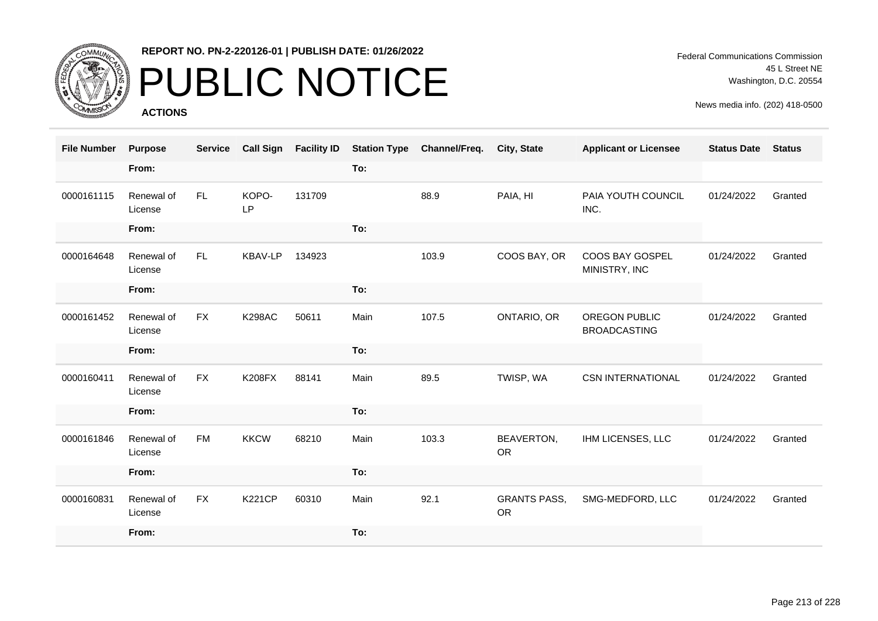

# PUBLIC NOTICE

**ACTIONS**

Federal Communications Commission 45 L Street NE Washington, D.C. 20554

| <b>File Number</b> | <b>Purpose</b>        | <b>Service</b> | <b>Call Sign</b> | <b>Facility ID</b> | <b>Station Type</b> | Channel/Freq. | City, State                      | <b>Applicant or Licensee</b>                | <b>Status Date</b> | <b>Status</b> |
|--------------------|-----------------------|----------------|------------------|--------------------|---------------------|---------------|----------------------------------|---------------------------------------------|--------------------|---------------|
|                    | From:                 |                |                  |                    | To:                 |               |                                  |                                             |                    |               |
| 0000161115         | Renewal of<br>License | FL.            | KOPO-<br>LP      | 131709             |                     | 88.9          | PAIA, HI                         | PAIA YOUTH COUNCIL<br>INC.                  | 01/24/2022         | Granted       |
|                    | From:                 |                |                  |                    | To:                 |               |                                  |                                             |                    |               |
| 0000164648         | Renewal of<br>License | FL.            | <b>KBAV-LP</b>   | 134923             |                     | 103.9         | COOS BAY, OR                     | COOS BAY GOSPEL<br>MINISTRY, INC            | 01/24/2022         | Granted       |
|                    | From:                 |                |                  |                    | To:                 |               |                                  |                                             |                    |               |
| 0000161452         | Renewal of<br>License | <b>FX</b>      | <b>K298AC</b>    | 50611              | Main                | 107.5         | ONTARIO, OR                      | <b>OREGON PUBLIC</b><br><b>BROADCASTING</b> | 01/24/2022         | Granted       |
|                    | From:                 |                |                  |                    | To:                 |               |                                  |                                             |                    |               |
| 0000160411         | Renewal of<br>License | <b>FX</b>      | <b>K208FX</b>    | 88141              | Main                | 89.5          | TWISP, WA                        | <b>CSN INTERNATIONAL</b>                    | 01/24/2022         | Granted       |
|                    | From:                 |                |                  |                    | To:                 |               |                                  |                                             |                    |               |
| 0000161846         | Renewal of<br>License | <b>FM</b>      | <b>KKCW</b>      | 68210              | Main                | 103.3         | BEAVERTON,<br><b>OR</b>          | IHM LICENSES, LLC                           | 01/24/2022         | Granted       |
|                    | From:                 |                |                  |                    | To:                 |               |                                  |                                             |                    |               |
| 0000160831         | Renewal of<br>License | <b>FX</b>      | <b>K221CP</b>    | 60310              | Main                | 92.1          | <b>GRANTS PASS,</b><br><b>OR</b> | SMG-MEDFORD, LLC                            | 01/24/2022         | Granted       |
|                    | From:                 |                |                  |                    | To:                 |               |                                  |                                             |                    |               |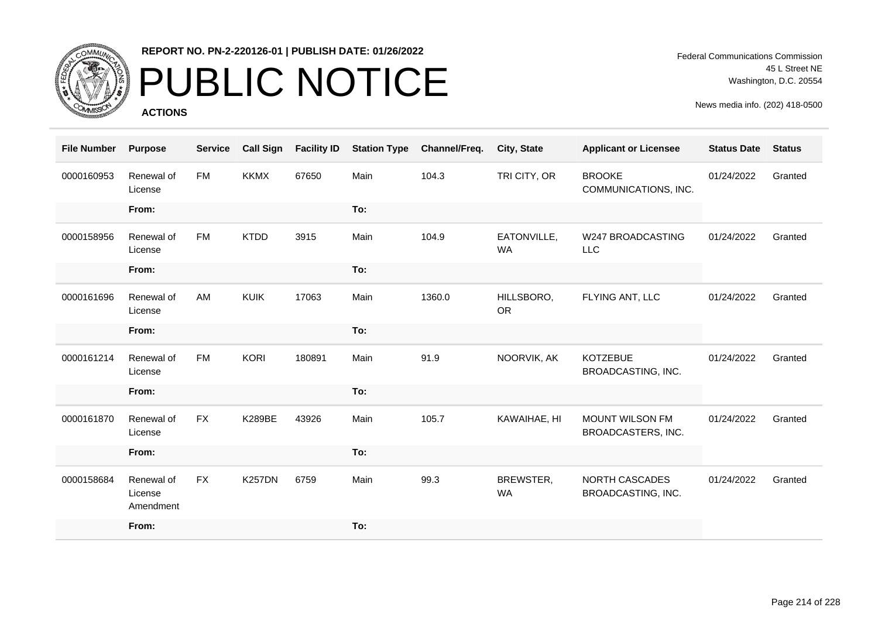

# PUBLIC NOTICE

**ACTIONS**

Federal Communications Commission 45 L Street NE Washington, D.C. 20554

| <b>File Number</b> | <b>Purpose</b>                     | <b>Service</b> | <b>Call Sign</b> | <b>Facility ID</b> | <b>Station Type</b> | Channel/Freq. | City, State              | <b>Applicant or Licensee</b>          | <b>Status Date</b> | <b>Status</b> |
|--------------------|------------------------------------|----------------|------------------|--------------------|---------------------|---------------|--------------------------|---------------------------------------|--------------------|---------------|
| 0000160953         | Renewal of<br>License              | <b>FM</b>      | <b>KKMX</b>      | 67650              | Main                | 104.3         | TRI CITY, OR             | <b>BROOKE</b><br>COMMUNICATIONS, INC. | 01/24/2022         | Granted       |
|                    | From:                              |                |                  |                    | To:                 |               |                          |                                       |                    |               |
| 0000158956         | Renewal of<br>License              | <b>FM</b>      | <b>KTDD</b>      | 3915               | Main                | 104.9         | EATONVILLE,<br><b>WA</b> | <b>W247 BROADCASTING</b><br>LLC       | 01/24/2022         | Granted       |
|                    | From:                              |                |                  |                    | To:                 |               |                          |                                       |                    |               |
| 0000161696         | Renewal of<br>License              | AM             | <b>KUIK</b>      | 17063              | Main                | 1360.0        | HILLSBORO,<br><b>OR</b>  | FLYING ANT, LLC                       | 01/24/2022         | Granted       |
|                    | From:                              |                |                  |                    | To:                 |               |                          |                                       |                    |               |
| 0000161214         | Renewal of<br>License              | <b>FM</b>      | <b>KORI</b>      | 180891             | Main                | 91.9          | NOORVIK, AK              | <b>KOTZEBUE</b><br>BROADCASTING, INC. | 01/24/2022         | Granted       |
|                    | From:                              |                |                  |                    | To:                 |               |                          |                                       |                    |               |
| 0000161870         | Renewal of<br>License              | <b>FX</b>      | <b>K289BE</b>    | 43926              | Main                | 105.7         | KAWAIHAE, HI             | MOUNT WILSON FM<br>BROADCASTERS, INC. | 01/24/2022         | Granted       |
|                    | From:                              |                |                  |                    | To:                 |               |                          |                                       |                    |               |
| 0000158684         | Renewal of<br>License<br>Amendment | <b>FX</b>      | <b>K257DN</b>    | 6759               | Main                | 99.3          | BREWSTER,<br><b>WA</b>   | NORTH CASCADES<br>BROADCASTING, INC.  | 01/24/2022         | Granted       |
|                    | From:                              |                |                  |                    | To:                 |               |                          |                                       |                    |               |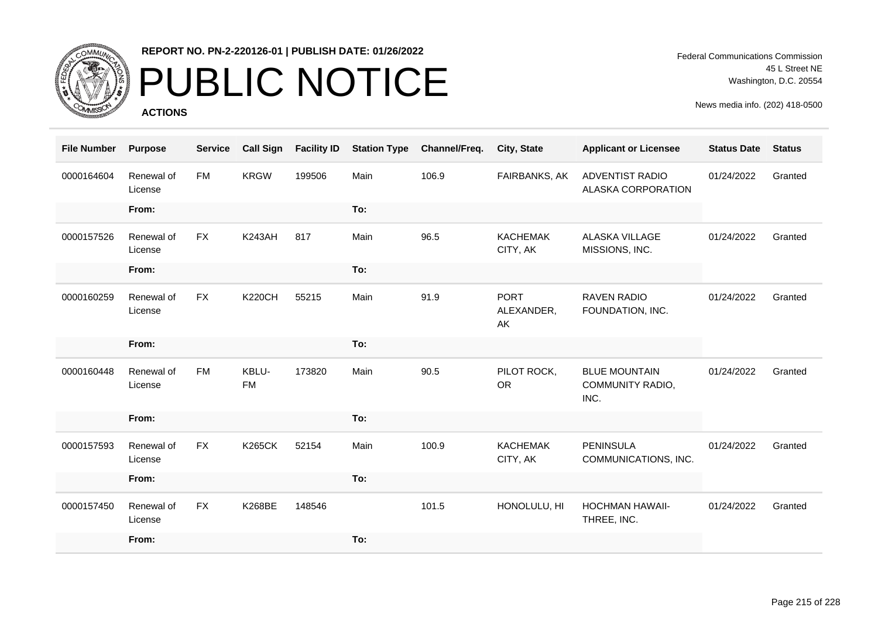

## PUBLIC NOTICE

**ACTIONS**

Federal Communications Commission 45 L Street NE Washington, D.C. 20554

| <b>File Number</b> | <b>Purpose</b>        | <b>Service</b> | <b>Call Sign</b>   | <b>Facility ID</b> | <b>Station Type</b> | Channel/Freq. | City, State                     | <b>Applicant or Licensee</b>                     | <b>Status Date</b> | <b>Status</b> |
|--------------------|-----------------------|----------------|--------------------|--------------------|---------------------|---------------|---------------------------------|--------------------------------------------------|--------------------|---------------|
| 0000164604         | Renewal of<br>License | <b>FM</b>      | <b>KRGW</b>        | 199506             | Main                | 106.9         | FAIRBANKS, AK                   | <b>ADVENTIST RADIO</b><br>ALASKA CORPORATION     | 01/24/2022         | Granted       |
|                    | From:                 |                |                    |                    | To:                 |               |                                 |                                                  |                    |               |
| 0000157526         | Renewal of<br>License | <b>FX</b>      | <b>K243AH</b>      | 817                | Main                | 96.5          | <b>KACHEMAK</b><br>CITY, AK     | <b>ALASKA VILLAGE</b><br>MISSIONS, INC.          | 01/24/2022         | Granted       |
|                    | From:                 |                |                    |                    | To:                 |               |                                 |                                                  |                    |               |
| 0000160259         | Renewal of<br>License | <b>FX</b>      | <b>K220CH</b>      | 55215              | Main                | 91.9          | <b>PORT</b><br>ALEXANDER,<br>AK | <b>RAVEN RADIO</b><br>FOUNDATION, INC.           | 01/24/2022         | Granted       |
|                    | From:                 |                |                    |                    | To:                 |               |                                 |                                                  |                    |               |
| 0000160448         | Renewal of<br>License | <b>FM</b>      | KBLU-<br><b>FM</b> | 173820             | Main                | 90.5          | PILOT ROCK,<br><b>OR</b>        | <b>BLUE MOUNTAIN</b><br>COMMUNITY RADIO,<br>INC. | 01/24/2022         | Granted       |
|                    | From:                 |                |                    |                    | To:                 |               |                                 |                                                  |                    |               |
| 0000157593         | Renewal of<br>License | <b>FX</b>      | <b>K265CK</b>      | 52154              | Main                | 100.9         | <b>KACHEMAK</b><br>CITY, AK     | <b>PENINSULA</b><br>COMMUNICATIONS, INC.         | 01/24/2022         | Granted       |
|                    | From:                 |                |                    |                    | To:                 |               |                                 |                                                  |                    |               |
| 0000157450         | Renewal of<br>License | <b>FX</b>      | <b>K268BE</b>      | 148546             |                     | 101.5         | HONOLULU, HI                    | <b>HOCHMAN HAWAII-</b><br>THREE, INC.            | 01/24/2022         | Granted       |
|                    | From:                 |                |                    |                    | To:                 |               |                                 |                                                  |                    |               |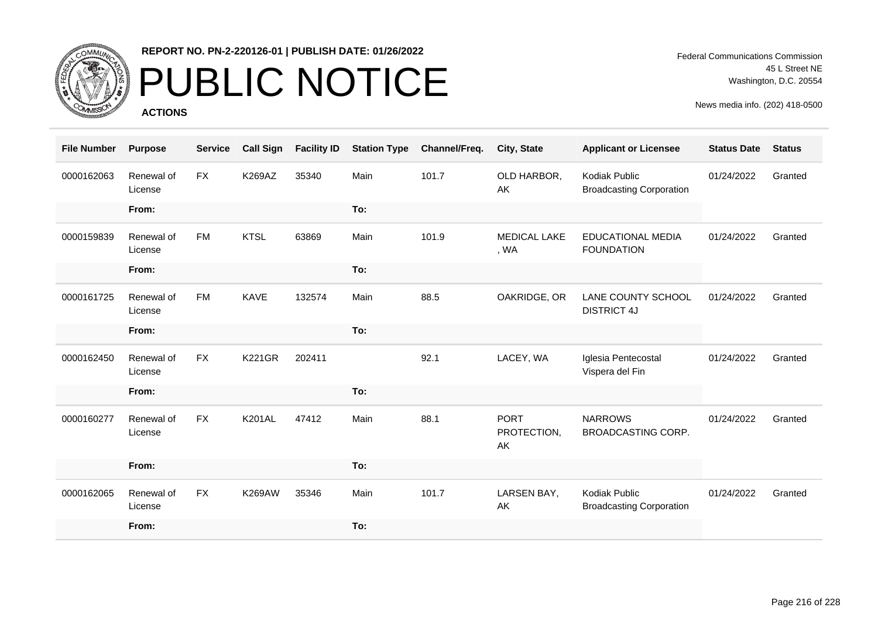

# PUBLIC NOTICE

**ACTIONS**

Federal Communications Commission 45 L Street NE Washington, D.C. 20554

| <b>File Number</b> | <b>Purpose</b>        | <b>Service</b> | <b>Call Sign</b> | <b>Facility ID</b> | <b>Station Type</b> | Channel/Freq. | City, State                      | <b>Applicant or Licensee</b>                     | <b>Status Date</b> | <b>Status</b> |
|--------------------|-----------------------|----------------|------------------|--------------------|---------------------|---------------|----------------------------------|--------------------------------------------------|--------------------|---------------|
| 0000162063         | Renewal of<br>License | FX             | K269AZ           | 35340              | Main                | 101.7         | OLD HARBOR,<br>AK                | Kodiak Public<br><b>Broadcasting Corporation</b> | 01/24/2022         | Granted       |
|                    | From:                 |                |                  |                    | To:                 |               |                                  |                                                  |                    |               |
| 0000159839         | Renewal of<br>License | <b>FM</b>      | <b>KTSL</b>      | 63869              | Main                | 101.9         | <b>MEDICAL LAKE</b><br>, WA      | <b>EDUCATIONAL MEDIA</b><br><b>FOUNDATION</b>    | 01/24/2022         | Granted       |
|                    | From:                 |                |                  |                    | To:                 |               |                                  |                                                  |                    |               |
| 0000161725         | Renewal of<br>License | <b>FM</b>      | <b>KAVE</b>      | 132574             | Main                | 88.5          | OAKRIDGE, OR                     | LANE COUNTY SCHOOL<br><b>DISTRICT 4J</b>         | 01/24/2022         | Granted       |
|                    | From:                 |                |                  |                    | To:                 |               |                                  |                                                  |                    |               |
| 0000162450         | Renewal of<br>License | <b>FX</b>      | <b>K221GR</b>    | 202411             |                     | 92.1          | LACEY, WA                        | Iglesia Pentecostal<br>Vispera del Fin           | 01/24/2022         | Granted       |
|                    | From:                 |                |                  |                    | To:                 |               |                                  |                                                  |                    |               |
| 0000160277         | Renewal of<br>License | <b>FX</b>      | <b>K201AL</b>    | 47412              | Main                | 88.1          | <b>PORT</b><br>PROTECTION,<br>AK | <b>NARROWS</b><br><b>BROADCASTING CORP.</b>      | 01/24/2022         | Granted       |
|                    | From:                 |                |                  |                    | To:                 |               |                                  |                                                  |                    |               |
| 0000162065         | Renewal of<br>License | <b>FX</b>      | <b>K269AW</b>    | 35346              | Main                | 101.7         | LARSEN BAY,<br>AK                | Kodiak Public<br><b>Broadcasting Corporation</b> | 01/24/2022         | Granted       |
|                    | From:                 |                |                  |                    | To:                 |               |                                  |                                                  |                    |               |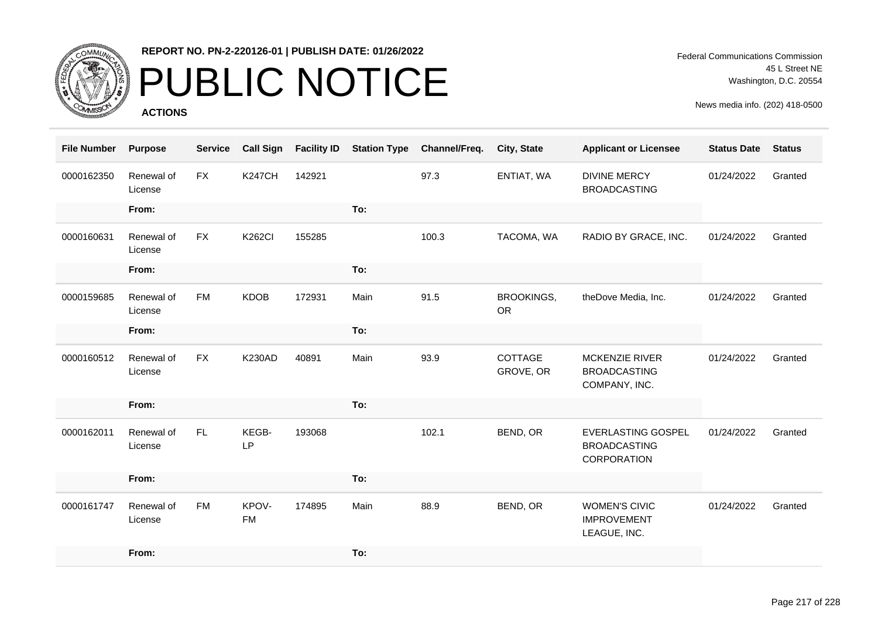

# PUBLIC NOTICE

**ACTIONS**

Federal Communications Commission 45 L Street NE Washington, D.C. 20554

| <b>File Number</b> | <b>Purpose</b>        | <b>Service</b> | <b>Call Sign</b>   | <b>Facility ID</b> | <b>Station Type</b> | Channel/Freq. | City, State                    | <b>Applicant or Licensee</b>                                    | <b>Status Date</b> | <b>Status</b> |
|--------------------|-----------------------|----------------|--------------------|--------------------|---------------------|---------------|--------------------------------|-----------------------------------------------------------------|--------------------|---------------|
| 0000162350         | Renewal of<br>License | <b>FX</b>      | <b>K247CH</b>      | 142921             |                     | 97.3          | ENTIAT, WA                     | <b>DIVINE MERCY</b><br><b>BROADCASTING</b>                      | 01/24/2022         | Granted       |
|                    | From:                 |                |                    |                    | To:                 |               |                                |                                                                 |                    |               |
| 0000160631         | Renewal of<br>License | <b>FX</b>      | <b>K262CI</b>      | 155285             |                     | 100.3         | TACOMA, WA                     | RADIO BY GRACE, INC.                                            | 01/24/2022         | Granted       |
|                    | From:                 |                |                    |                    | To:                 |               |                                |                                                                 |                    |               |
| 0000159685         | Renewal of<br>License | <b>FM</b>      | <b>KDOB</b>        | 172931             | Main                | 91.5          | <b>BROOKINGS,</b><br><b>OR</b> | theDove Media, Inc.                                             | 01/24/2022         | Granted       |
|                    | From:                 |                |                    |                    | To:                 |               |                                |                                                                 |                    |               |
| 0000160512         | Renewal of<br>License | <b>FX</b>      | <b>K230AD</b>      | 40891              | Main                | 93.9          | COTTAGE<br>GROVE, OR           | <b>MCKENZIE RIVER</b><br><b>BROADCASTING</b><br>COMPANY, INC.   | 01/24/2022         | Granted       |
|                    | From:                 |                |                    |                    | To:                 |               |                                |                                                                 |                    |               |
| 0000162011         | Renewal of<br>License | FL.            | KEGB-<br>LP        | 193068             |                     | 102.1         | BEND, OR                       | <b>EVERLASTING GOSPEL</b><br><b>BROADCASTING</b><br>CORPORATION | 01/24/2022         | Granted       |
|                    | From:                 |                |                    |                    | To:                 |               |                                |                                                                 |                    |               |
| 0000161747         | Renewal of<br>License | <b>FM</b>      | KPOV-<br><b>FM</b> | 174895             | Main                | 88.9          | BEND, OR                       | <b>WOMEN'S CIVIC</b><br><b>IMPROVEMENT</b><br>LEAGUE, INC.      | 01/24/2022         | Granted       |
|                    | From:                 |                |                    |                    | To:                 |               |                                |                                                                 |                    |               |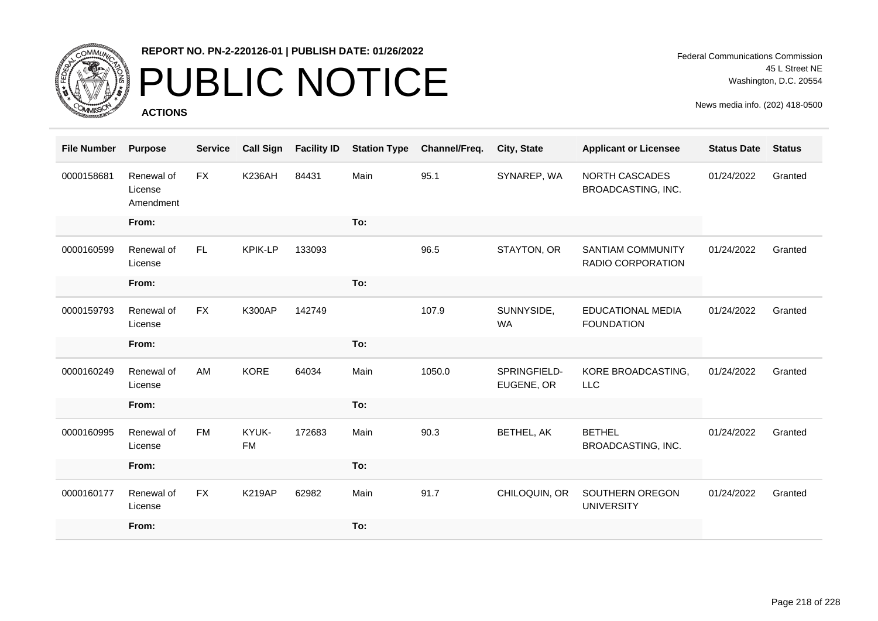

# PUBLIC NOTICE

**ACTIONS**

Federal Communications Commission 45 L Street NE Washington, D.C. 20554

| <b>File Number</b> | <b>Purpose</b>                     | <b>Service</b> | <b>Call Sign</b>   | <b>Facility ID</b> | <b>Station Type</b> | Channel/Freq. | <b>City, State</b>         | <b>Applicant or Licensee</b>                  | <b>Status Date</b> | <b>Status</b> |
|--------------------|------------------------------------|----------------|--------------------|--------------------|---------------------|---------------|----------------------------|-----------------------------------------------|--------------------|---------------|
| 0000158681         | Renewal of<br>License<br>Amendment | <b>FX</b>      | <b>K236AH</b>      | 84431              | Main                | 95.1          | SYNAREP, WA                | <b>NORTH CASCADES</b><br>BROADCASTING, INC.   | 01/24/2022         | Granted       |
|                    | From:                              |                |                    |                    | To:                 |               |                            |                                               |                    |               |
| 0000160599         | Renewal of<br>License              | <b>FL</b>      | <b>KPIK-LP</b>     | 133093             |                     | 96.5          | STAYTON, OR                | <b>SANTIAM COMMUNITY</b><br>RADIO CORPORATION | 01/24/2022         | Granted       |
|                    | From:                              |                |                    |                    | To:                 |               |                            |                                               |                    |               |
| 0000159793         | Renewal of<br>License              | <b>FX</b>      | <b>K300AP</b>      | 142749             |                     | 107.9         | SUNNYSIDE,<br><b>WA</b>    | <b>EDUCATIONAL MEDIA</b><br><b>FOUNDATION</b> | 01/24/2022         | Granted       |
|                    | From:                              |                |                    |                    | To:                 |               |                            |                                               |                    |               |
| 0000160249         | Renewal of<br>License              | AM             | <b>KORE</b>        | 64034              | Main                | 1050.0        | SPRINGFIELD-<br>EUGENE, OR | KORE BROADCASTING,<br><b>LLC</b>              | 01/24/2022         | Granted       |
|                    | From:                              |                |                    |                    | To:                 |               |                            |                                               |                    |               |
| 0000160995         | Renewal of<br>License              | <b>FM</b>      | KYUK-<br><b>FM</b> | 172683             | Main                | 90.3          | BETHEL, AK                 | <b>BETHEL</b><br>BROADCASTING, INC.           | 01/24/2022         | Granted       |
|                    | From:                              |                |                    |                    | To:                 |               |                            |                                               |                    |               |
| 0000160177         | Renewal of<br>License              | <b>FX</b>      | <b>K219AP</b>      | 62982              | Main                | 91.7          | CHILOQUIN, OR              | SOUTHERN OREGON<br><b>UNIVERSITY</b>          | 01/24/2022         | Granted       |
|                    | From:                              |                |                    |                    | To:                 |               |                            |                                               |                    |               |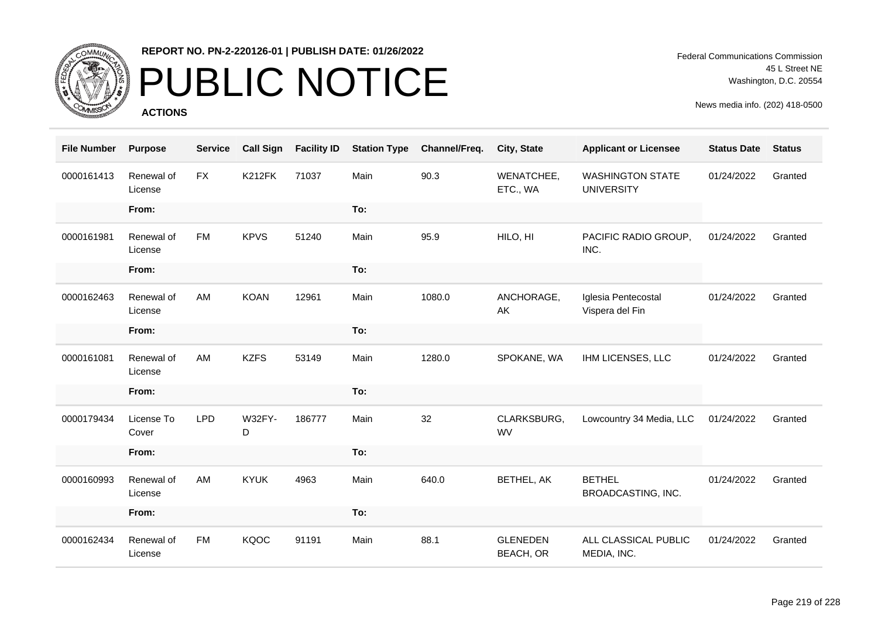

# PUBLIC NOTICE

**ACTIONS**

Federal Communications Commission 45 L Street NE Washington, D.C. 20554

| <b>File Number</b> | <b>Purpose</b>        | <b>Service</b> | <b>Call Sign</b>   | <b>Facility ID</b> | <b>Station Type</b> | Channel/Freq. | City, State                         | <b>Applicant or Licensee</b>                 | <b>Status Date</b> | <b>Status</b> |
|--------------------|-----------------------|----------------|--------------------|--------------------|---------------------|---------------|-------------------------------------|----------------------------------------------|--------------------|---------------|
| 0000161413         | Renewal of<br>License | <b>FX</b>      | <b>K212FK</b>      | 71037              | Main                | 90.3          | WENATCHEE,<br>ETC., WA              | <b>WASHINGTON STATE</b><br><b>UNIVERSITY</b> | 01/24/2022         | Granted       |
|                    | From:                 |                |                    |                    | To:                 |               |                                     |                                              |                    |               |
| 0000161981         | Renewal of<br>License | <b>FM</b>      | <b>KPVS</b>        | 51240              | Main                | 95.9          | HILO, HI                            | PACIFIC RADIO GROUP,<br>INC.                 | 01/24/2022         | Granted       |
|                    | From:                 |                |                    |                    | To:                 |               |                                     |                                              |                    |               |
| 0000162463         | Renewal of<br>License | AM             | <b>KOAN</b>        | 12961              | Main                | 1080.0        | ANCHORAGE,<br>AK                    | Iglesia Pentecostal<br>Vispera del Fin       | 01/24/2022         | Granted       |
|                    | From:                 |                |                    |                    | To:                 |               |                                     |                                              |                    |               |
| 0000161081         | Renewal of<br>License | AM             | <b>KZFS</b>        | 53149              | Main                | 1280.0        | SPOKANE, WA                         | IHM LICENSES, LLC                            | 01/24/2022         | Granted       |
|                    | From:                 |                |                    |                    | To:                 |               |                                     |                                              |                    |               |
| 0000179434         | License To<br>Cover   | <b>LPD</b>     | <b>W32FY-</b><br>D | 186777             | Main                | 32            | CLARKSBURG,<br><b>WV</b>            | Lowcountry 34 Media, LLC                     | 01/24/2022         | Granted       |
|                    | From:                 |                |                    |                    | To:                 |               |                                     |                                              |                    |               |
| 0000160993         | Renewal of<br>License | AM             | <b>KYUK</b>        | 4963               | Main                | 640.0         | BETHEL, AK                          | <b>BETHEL</b><br>BROADCASTING, INC.          | 01/24/2022         | Granted       |
|                    | From:                 |                |                    |                    | To:                 |               |                                     |                                              |                    |               |
| 0000162434         | Renewal of<br>License | <b>FM</b>      | <b>KQOC</b>        | 91191              | Main                | 88.1          | <b>GLENEDEN</b><br><b>BEACH, OR</b> | ALL CLASSICAL PUBLIC<br>MEDIA, INC.          | 01/24/2022         | Granted       |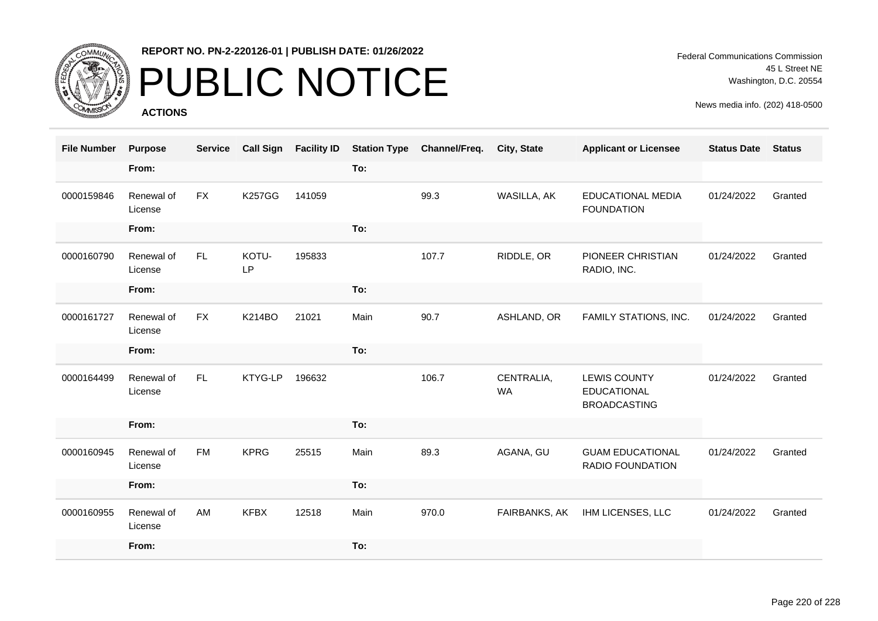

# PUBLIC NOTICE

**ACTIONS**

Federal Communications Commission 45 L Street NE Washington, D.C. 20554

| <b>File Number</b> | <b>Purpose</b>        | <b>Service</b> | <b>Call Sign</b> | <b>Facility ID</b> | <b>Station Type</b> | Channel/Freq. | City, State             | <b>Applicant or Licensee</b>                                     | <b>Status Date</b> | <b>Status</b> |
|--------------------|-----------------------|----------------|------------------|--------------------|---------------------|---------------|-------------------------|------------------------------------------------------------------|--------------------|---------------|
|                    | From:                 |                |                  |                    | To:                 |               |                         |                                                                  |                    |               |
| 0000159846         | Renewal of<br>License | <b>FX</b>      | <b>K257GG</b>    | 141059             |                     | 99.3          | WASILLA, AK             | <b>EDUCATIONAL MEDIA</b><br><b>FOUNDATION</b>                    | 01/24/2022         | Granted       |
|                    | From:                 |                |                  |                    | To:                 |               |                         |                                                                  |                    |               |
| 0000160790         | Renewal of<br>License | FL.            | KOTU-<br>LP      | 195833             |                     | 107.7         | RIDDLE, OR              | PIONEER CHRISTIAN<br>RADIO, INC.                                 | 01/24/2022         | Granted       |
|                    | From:                 |                |                  |                    | To:                 |               |                         |                                                                  |                    |               |
| 0000161727         | Renewal of<br>License | <b>FX</b>      | <b>K214BO</b>    | 21021              | Main                | 90.7          | ASHLAND, OR             | FAMILY STATIONS, INC.                                            | 01/24/2022         | Granted       |
|                    | From:                 |                |                  |                    | To:                 |               |                         |                                                                  |                    |               |
| 0000164499         | Renewal of<br>License | FL.            | KTYG-LP          | 196632             |                     | 106.7         | CENTRALIA,<br><b>WA</b> | <b>LEWIS COUNTY</b><br><b>EDUCATIONAL</b><br><b>BROADCASTING</b> | 01/24/2022         | Granted       |
|                    | From:                 |                |                  |                    | To:                 |               |                         |                                                                  |                    |               |
| 0000160945         | Renewal of<br>License | <b>FM</b>      | <b>KPRG</b>      | 25515              | Main                | 89.3          | AGANA, GU               | <b>GUAM EDUCATIONAL</b><br>RADIO FOUNDATION                      | 01/24/2022         | Granted       |
|                    | From:                 |                |                  |                    | To:                 |               |                         |                                                                  |                    |               |
| 0000160955         | Renewal of<br>License | AM             | <b>KFBX</b>      | 12518              | Main                | 970.0         | FAIRBANKS, AK           | IHM LICENSES, LLC                                                | 01/24/2022         | Granted       |
|                    | From:                 |                |                  |                    | To:                 |               |                         |                                                                  |                    |               |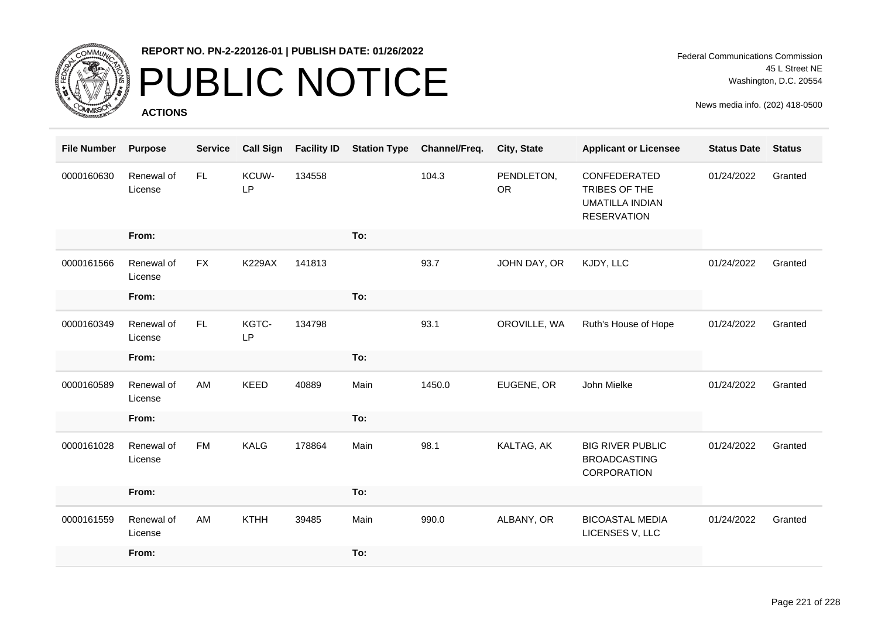

### PUBLIC NOTICE

**ACTIONS**

Federal Communications Commission 45 L Street NE Washington, D.C. 20554

| <b>File Number</b> | <b>Purpose</b>        | <b>Service</b> | <b>Call Sign</b> | <b>Facility ID</b> | <b>Station Type</b> | Channel/Freq. | City, State             | <b>Applicant or Licensee</b>                                                  | <b>Status Date</b> | <b>Status</b> |
|--------------------|-----------------------|----------------|------------------|--------------------|---------------------|---------------|-------------------------|-------------------------------------------------------------------------------|--------------------|---------------|
| 0000160630         | Renewal of<br>License | FL.            | KCUW-<br>LP      | 134558             |                     | 104.3         | PENDLETON,<br><b>OR</b> | CONFEDERATED<br>TRIBES OF THE<br><b>UMATILLA INDIAN</b><br><b>RESERVATION</b> | 01/24/2022         | Granted       |
|                    | From:                 |                |                  |                    | To:                 |               |                         |                                                                               |                    |               |
| 0000161566         | Renewal of<br>License | <b>FX</b>      | <b>K229AX</b>    | 141813             |                     | 93.7          | JOHN DAY, OR            | KJDY, LLC                                                                     | 01/24/2022         | Granted       |
|                    | From:                 |                |                  |                    | To:                 |               |                         |                                                                               |                    |               |
| 0000160349         | Renewal of<br>License | FL.            | KGTC-<br>LP      | 134798             |                     | 93.1          | OROVILLE, WA            | Ruth's House of Hope                                                          | 01/24/2022         | Granted       |
|                    | From:                 |                |                  |                    | To:                 |               |                         |                                                                               |                    |               |
| 0000160589         | Renewal of<br>License | AM             | <b>KEED</b>      | 40889              | Main                | 1450.0        | EUGENE, OR              | John Mielke                                                                   | 01/24/2022         | Granted       |
|                    | From:                 |                |                  |                    | To:                 |               |                         |                                                                               |                    |               |
| 0000161028         | Renewal of<br>License | <b>FM</b>      | KALG             | 178864             | Main                | 98.1          | KALTAG, AK              | <b>BIG RIVER PUBLIC</b><br><b>BROADCASTING</b><br>CORPORATION                 | 01/24/2022         | Granted       |
|                    | From:                 |                |                  |                    | To:                 |               |                         |                                                                               |                    |               |
| 0000161559         | Renewal of<br>License | AM             | <b>KTHH</b>      | 39485              | Main                | 990.0         | ALBANY, OR              | <b>BICOASTAL MEDIA</b><br>LICENSES V, LLC                                     | 01/24/2022         | Granted       |
|                    | From:                 |                |                  |                    | To:                 |               |                         |                                                                               |                    |               |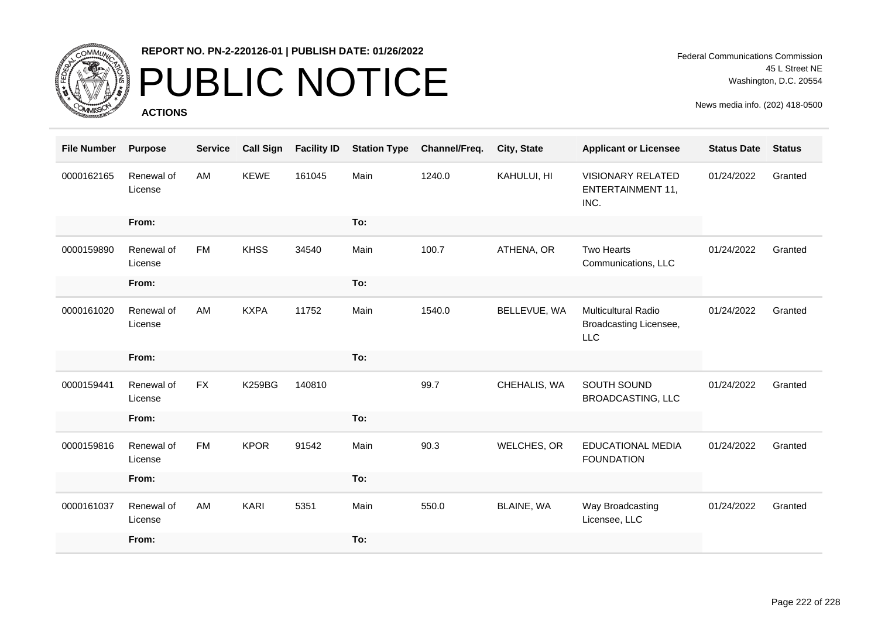

# PUBLIC NOTICE

**ACTIONS**

| <b>File Number</b> | <b>Purpose</b>        | <b>Service</b> | <b>Call Sign</b> | <b>Facility ID</b> | <b>Station Type</b> | Channel/Freq. | City, State  | <b>Applicant or Licensee</b>                                 | <b>Status Date</b> | <b>Status</b> |
|--------------------|-----------------------|----------------|------------------|--------------------|---------------------|---------------|--------------|--------------------------------------------------------------|--------------------|---------------|
| 0000162165         | Renewal of<br>License | AM             | <b>KEWE</b>      | 161045             | Main                | 1240.0        | KAHULUI, HI  | <b>VISIONARY RELATED</b><br><b>ENTERTAINMENT 11,</b><br>INC. | 01/24/2022         | Granted       |
|                    | From:                 |                |                  |                    | To:                 |               |              |                                                              |                    |               |
| 0000159890         | Renewal of<br>License | <b>FM</b>      | <b>KHSS</b>      | 34540              | Main                | 100.7         | ATHENA, OR   | <b>Two Hearts</b><br>Communications, LLC                     | 01/24/2022         | Granted       |
|                    | From:                 |                |                  |                    | To:                 |               |              |                                                              |                    |               |
| 0000161020         | Renewal of<br>License | AM             | <b>KXPA</b>      | 11752              | Main                | 1540.0        | BELLEVUE, WA | <b>Multicultural Radio</b><br>Broadcasting Licensee,<br>LLC  | 01/24/2022         | Granted       |
|                    | From:                 |                |                  |                    | To:                 |               |              |                                                              |                    |               |
| 0000159441         | Renewal of<br>License | <b>FX</b>      | <b>K259BG</b>    | 140810             |                     | 99.7          | CHEHALIS, WA | SOUTH SOUND<br><b>BROADCASTING, LLC</b>                      | 01/24/2022         | Granted       |
|                    | From:                 |                |                  |                    | To:                 |               |              |                                                              |                    |               |
| 0000159816         | Renewal of<br>License | <b>FM</b>      | <b>KPOR</b>      | 91542              | Main                | 90.3          | WELCHES, OR  | <b>EDUCATIONAL MEDIA</b><br><b>FOUNDATION</b>                | 01/24/2022         | Granted       |
|                    | From:                 |                |                  |                    | To:                 |               |              |                                                              |                    |               |
| 0000161037         | Renewal of<br>License | AM             | <b>KARI</b>      | 5351               | Main                | 550.0         | BLAINE, WA   | Way Broadcasting<br>Licensee, LLC                            | 01/24/2022         | Granted       |
|                    | From:                 |                |                  |                    | To:                 |               |              |                                                              |                    |               |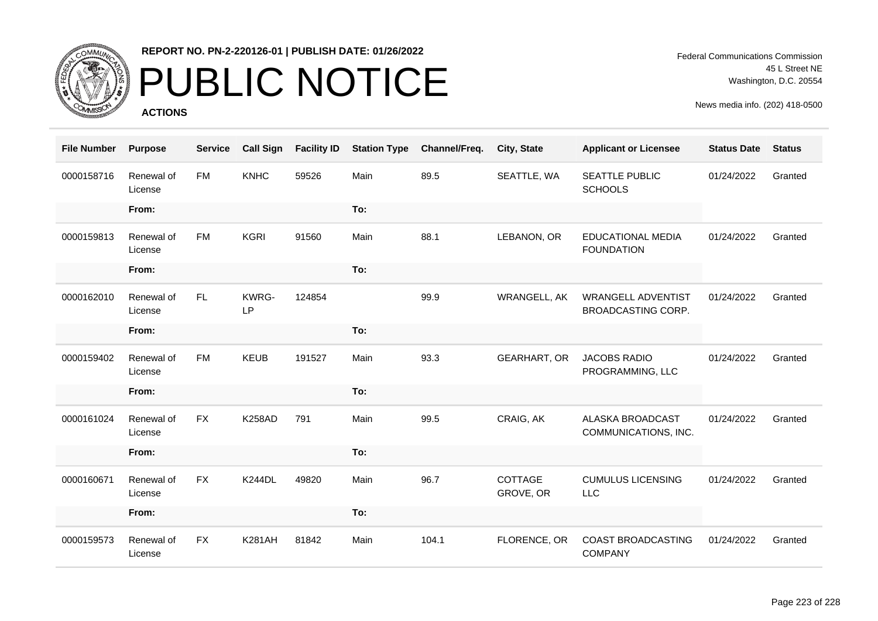

# PUBLIC NOTICE

**ACTIONS**

Federal Communications Commission 45 L Street NE Washington, D.C. 20554

| <b>File Number</b> | <b>Purpose</b>        | <b>Service</b> | <b>Call Sign</b> | <b>Facility ID</b> | <b>Station Type</b> | Channel/Freq. | City, State          | <b>Applicant or Licensee</b>                    | <b>Status Date</b> | <b>Status</b> |
|--------------------|-----------------------|----------------|------------------|--------------------|---------------------|---------------|----------------------|-------------------------------------------------|--------------------|---------------|
| 0000158716         | Renewal of<br>License | <b>FM</b>      | <b>KNHC</b>      | 59526              | Main                | 89.5          | SEATTLE, WA          | SEATTLE PUBLIC<br><b>SCHOOLS</b>                | 01/24/2022         | Granted       |
|                    | From:                 |                |                  |                    | To:                 |               |                      |                                                 |                    |               |
| 0000159813         | Renewal of<br>License | FM             | <b>KGRI</b>      | 91560              | Main                | 88.1          | LEBANON, OR          | <b>EDUCATIONAL MEDIA</b><br><b>FOUNDATION</b>   | 01/24/2022         | Granted       |
|                    | From:                 |                |                  |                    | To:                 |               |                      |                                                 |                    |               |
| 0000162010         | Renewal of<br>License | <b>FL</b>      | KWRG-<br>LP      | 124854             |                     | 99.9          | WRANGELL, AK         | <b>WRANGELL ADVENTIST</b><br>BROADCASTING CORP. | 01/24/2022         | Granted       |
|                    | From:                 |                |                  |                    | To:                 |               |                      |                                                 |                    |               |
| 0000159402         | Renewal of<br>License | <b>FM</b>      | <b>KEUB</b>      | 191527             | Main                | 93.3          | <b>GEARHART, OR</b>  | <b>JACOBS RADIO</b><br>PROGRAMMING, LLC         | 01/24/2022         | Granted       |
|                    | From:                 |                |                  |                    | To:                 |               |                      |                                                 |                    |               |
| 0000161024         | Renewal of<br>License | <b>FX</b>      | <b>K258AD</b>    | 791                | Main                | 99.5          | CRAIG, AK            | ALASKA BROADCAST<br>COMMUNICATIONS, INC.        | 01/24/2022         | Granted       |
|                    | From:                 |                |                  |                    | To:                 |               |                      |                                                 |                    |               |
| 0000160671         | Renewal of<br>License | <b>FX</b>      | <b>K244DL</b>    | 49820              | Main                | 96.7          | COTTAGE<br>GROVE, OR | <b>CUMULUS LICENSING</b><br><b>LLC</b>          | 01/24/2022         | Granted       |
|                    | From:                 |                |                  |                    | To:                 |               |                      |                                                 |                    |               |
| 0000159573         | Renewal of<br>License | <b>FX</b>      | <b>K281AH</b>    | 81842              | Main                | 104.1         | FLORENCE, OR         | COAST BROADCASTING<br><b>COMPANY</b>            | 01/24/2022         | Granted       |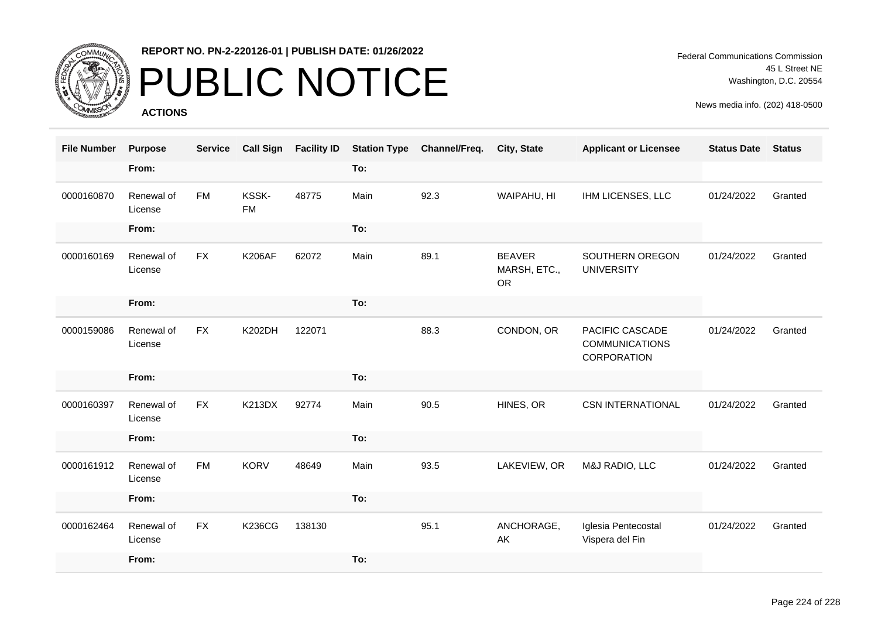

### PUBLIC NOTICE

**ACTIONS**

Federal Communications Commission 45 L Street NE Washington, D.C. 20554

| <b>File Number</b> | <b>Purpose</b>        | <b>Service</b> | <b>Call Sign</b>   | <b>Facility ID</b> | <b>Station Type</b> | Channel/Freq. | <b>City, State</b>                         | <b>Applicant or Licensee</b>                            | <b>Status Date</b> | <b>Status</b> |
|--------------------|-----------------------|----------------|--------------------|--------------------|---------------------|---------------|--------------------------------------------|---------------------------------------------------------|--------------------|---------------|
|                    | From:                 |                |                    |                    | To:                 |               |                                            |                                                         |                    |               |
| 0000160870         | Renewal of<br>License | <b>FM</b>      | KSSK-<br><b>FM</b> | 48775              | Main                | 92.3          | WAIPAHU, HI                                | IHM LICENSES, LLC                                       | 01/24/2022         | Granted       |
|                    | From:                 |                |                    |                    | To:                 |               |                                            |                                                         |                    |               |
| 0000160169         | Renewal of<br>License | <b>FX</b>      | <b>K206AF</b>      | 62072              | Main                | 89.1          | <b>BEAVER</b><br>MARSH, ETC.,<br><b>OR</b> | SOUTHERN OREGON<br><b>UNIVERSITY</b>                    | 01/24/2022         | Granted       |
|                    | From:                 |                |                    |                    | To:                 |               |                                            |                                                         |                    |               |
| 0000159086         | Renewal of<br>License | <b>FX</b>      | <b>K202DH</b>      | 122071             |                     | 88.3          | CONDON, OR                                 | PACIFIC CASCADE<br><b>COMMUNICATIONS</b><br>CORPORATION | 01/24/2022         | Granted       |
|                    | From:                 |                |                    |                    | To:                 |               |                                            |                                                         |                    |               |
| 0000160397         | Renewal of<br>License | <b>FX</b>      | <b>K213DX</b>      | 92774              | Main                | 90.5          | HINES, OR                                  | <b>CSN INTERNATIONAL</b>                                | 01/24/2022         | Granted       |
|                    | From:                 |                |                    |                    | To:                 |               |                                            |                                                         |                    |               |
| 0000161912         | Renewal of<br>License | <b>FM</b>      | <b>KORV</b>        | 48649              | Main                | 93.5          | LAKEVIEW, OR                               | M&J RADIO, LLC                                          | 01/24/2022         | Granted       |
|                    | From:                 |                |                    |                    | To:                 |               |                                            |                                                         |                    |               |
| 0000162464         | Renewal of<br>License | <b>FX</b>      | <b>K236CG</b>      | 138130             |                     | 95.1          | ANCHORAGE,<br>AK                           | Iglesia Pentecostal<br>Vispera del Fin                  | 01/24/2022         | Granted       |
|                    | From:                 |                |                    |                    | To:                 |               |                                            |                                                         |                    |               |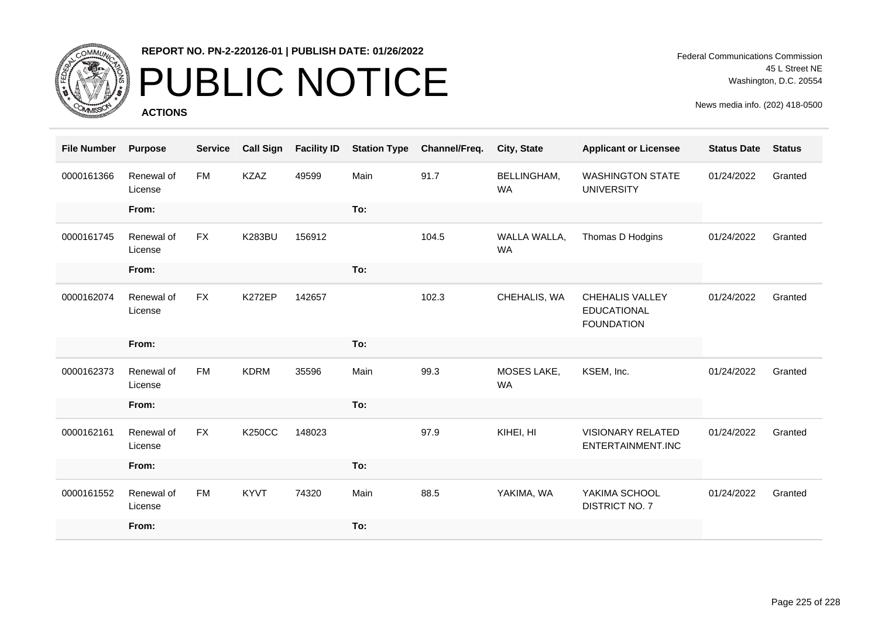

# PUBLIC NOTICE

**ACTIONS**

Federal Communications Commission 45 L Street NE Washington, D.C. 20554

| <b>File Number</b> | <b>Purpose</b>        | <b>Service</b> | <b>Call Sign</b> | <b>Facility ID</b> | <b>Station Type</b> | Channel/Freq. | City, State               | <b>Applicant or Licensee</b>                                      | <b>Status Date</b> | <b>Status</b> |
|--------------------|-----------------------|----------------|------------------|--------------------|---------------------|---------------|---------------------------|-------------------------------------------------------------------|--------------------|---------------|
| 0000161366         | Renewal of<br>License | <b>FM</b>      | <b>KZAZ</b>      | 49599              | Main                | 91.7          | BELLINGHAM,<br><b>WA</b>  | <b>WASHINGTON STATE</b><br><b>UNIVERSITY</b>                      | 01/24/2022         | Granted       |
|                    | From:                 |                |                  |                    | To:                 |               |                           |                                                                   |                    |               |
| 0000161745         | Renewal of<br>License | <b>FX</b>      | <b>K283BU</b>    | 156912             |                     | 104.5         | WALLA WALLA,<br><b>WA</b> | Thomas D Hodgins                                                  | 01/24/2022         | Granted       |
|                    | From:                 |                |                  |                    | To:                 |               |                           |                                                                   |                    |               |
| 0000162074         | Renewal of<br>License | <b>FX</b>      | K272EP           | 142657             |                     | 102.3         | CHEHALIS, WA              | <b>CHEHALIS VALLEY</b><br><b>EDUCATIONAL</b><br><b>FOUNDATION</b> | 01/24/2022         | Granted       |
|                    | From:                 |                |                  |                    | To:                 |               |                           |                                                                   |                    |               |
| 0000162373         | Renewal of<br>License | <b>FM</b>      | <b>KDRM</b>      | 35596              | Main                | 99.3          | MOSES LAKE,<br><b>WA</b>  | KSEM, Inc.                                                        | 01/24/2022         | Granted       |
|                    | From:                 |                |                  |                    | To:                 |               |                           |                                                                   |                    |               |
| 0000162161         | Renewal of<br>License | <b>FX</b>      | <b>K250CC</b>    | 148023             |                     | 97.9          | KIHEI, HI                 | <b>VISIONARY RELATED</b><br>ENTERTAINMENT.INC                     | 01/24/2022         | Granted       |
|                    | From:                 |                |                  |                    | To:                 |               |                           |                                                                   |                    |               |
| 0000161552         | Renewal of<br>License | <b>FM</b>      | <b>KYVT</b>      | 74320              | Main                | 88.5          | YAKIMA, WA                | YAKIMA SCHOOL<br><b>DISTRICT NO. 7</b>                            | 01/24/2022         | Granted       |
|                    | From:                 |                |                  |                    | To:                 |               |                           |                                                                   |                    |               |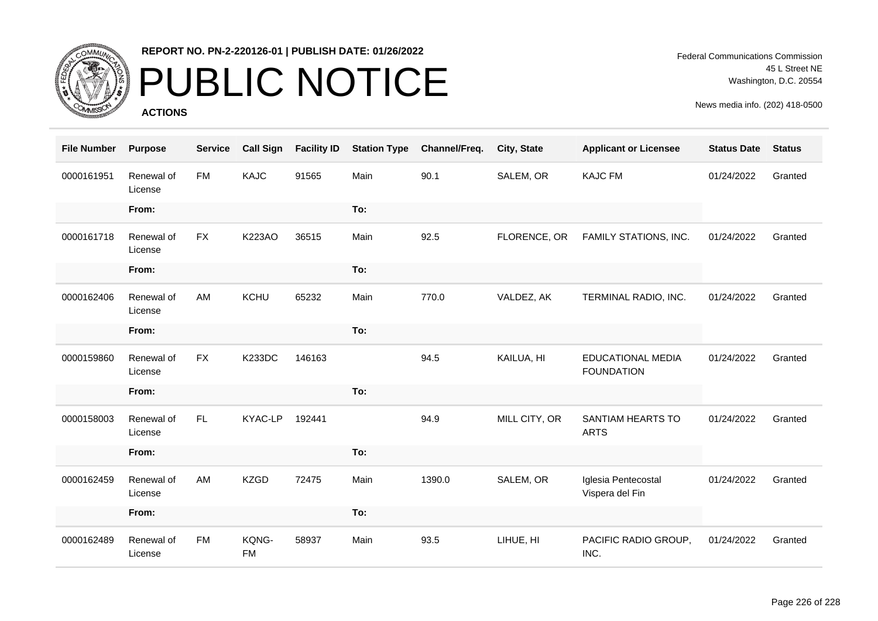

# PUBLIC NOTICE

**ACTIONS**

| <b>File Number</b> | <b>Purpose</b>        | <b>Service</b> | <b>Call Sign</b>   | <b>Facility ID</b> | <b>Station Type</b> | Channel/Freq. | City, State   | <b>Applicant or Licensee</b>                  | <b>Status Date</b> | <b>Status</b> |
|--------------------|-----------------------|----------------|--------------------|--------------------|---------------------|---------------|---------------|-----------------------------------------------|--------------------|---------------|
| 0000161951         | Renewal of<br>License | <b>FM</b>      | KAJC               | 91565              | Main                | 90.1          | SALEM, OR     | <b>KAJC FM</b>                                | 01/24/2022         | Granted       |
|                    | From:                 |                |                    |                    | To:                 |               |               |                                               |                    |               |
| 0000161718         | Renewal of<br>License | <b>FX</b>      | <b>K223AO</b>      | 36515              | Main                | 92.5          | FLORENCE, OR  | FAMILY STATIONS, INC.                         | 01/24/2022         | Granted       |
|                    | From:                 |                |                    |                    | To:                 |               |               |                                               |                    |               |
| 0000162406         | Renewal of<br>License | AM             | KCHU               | 65232              | Main                | 770.0         | VALDEZ, AK    | TERMINAL RADIO, INC.                          | 01/24/2022         | Granted       |
|                    | From:                 |                |                    |                    | To:                 |               |               |                                               |                    |               |
| 0000159860         | Renewal of<br>License | <b>FX</b>      | <b>K233DC</b>      | 146163             |                     | 94.5          | KAILUA, HI    | <b>EDUCATIONAL MEDIA</b><br><b>FOUNDATION</b> | 01/24/2022         | Granted       |
|                    | From:                 |                |                    |                    | To:                 |               |               |                                               |                    |               |
| 0000158003         | Renewal of<br>License | FL.            | KYAC-LP            | 192441             |                     | 94.9          | MILL CITY, OR | SANTIAM HEARTS TO<br><b>ARTS</b>              | 01/24/2022         | Granted       |
|                    | From:                 |                |                    |                    | To:                 |               |               |                                               |                    |               |
| 0000162459         | Renewal of<br>License | AM             | <b>KZGD</b>        | 72475              | Main                | 1390.0        | SALEM, OR     | Iglesia Pentecostal<br>Vispera del Fin        | 01/24/2022         | Granted       |
|                    | From:                 |                |                    |                    | To:                 |               |               |                                               |                    |               |
| 0000162489         | Renewal of<br>License | <b>FM</b>      | KQNG-<br><b>FM</b> | 58937              | Main                | 93.5          | LIHUE, HI     | PACIFIC RADIO GROUP,<br>INC.                  | 01/24/2022         | Granted       |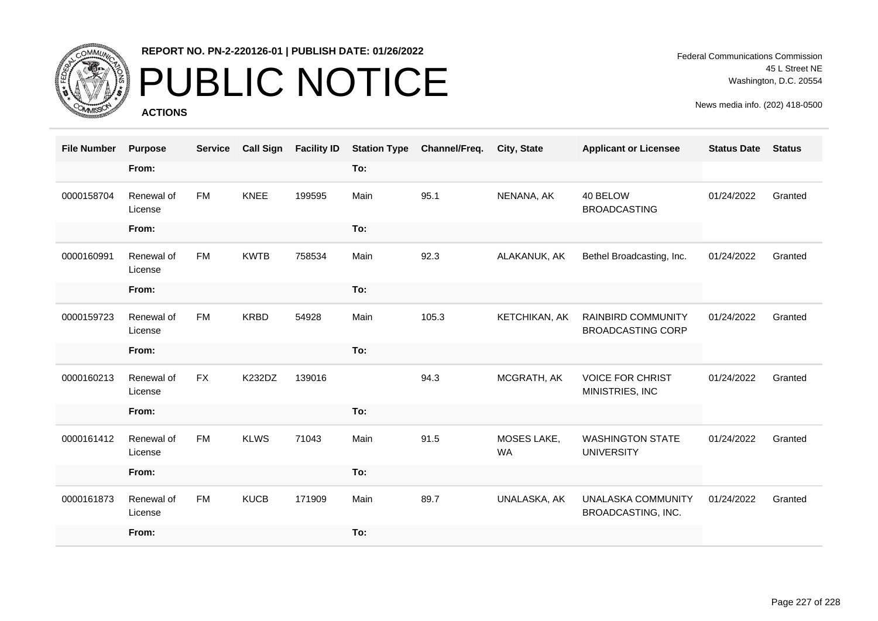

# PUBLIC NOTICE

**ACTIONS**

Federal Communications Commission 45 L Street NE Washington, D.C. 20554

| <b>File Number</b> | <b>Purpose</b>        | <b>Service</b> | <b>Call Sign</b> | <b>Facility ID</b> | <b>Station Type</b> | Channel/Freq. | City, State              | <b>Applicant or Licensee</b>                          | <b>Status Date</b> | <b>Status</b> |
|--------------------|-----------------------|----------------|------------------|--------------------|---------------------|---------------|--------------------------|-------------------------------------------------------|--------------------|---------------|
|                    | From:                 |                |                  |                    | To:                 |               |                          |                                                       |                    |               |
| 0000158704         | Renewal of<br>License | FM             | <b>KNEE</b>      | 199595             | Main                | 95.1          | NENANA, AK               | 40 BELOW<br><b>BROADCASTING</b>                       | 01/24/2022         | Granted       |
|                    | From:                 |                |                  |                    | To:                 |               |                          |                                                       |                    |               |
| 0000160991         | Renewal of<br>License | <b>FM</b>      | <b>KWTB</b>      | 758534             | Main                | 92.3          | ALAKANUK, AK             | Bethel Broadcasting, Inc.                             | 01/24/2022         | Granted       |
|                    | From:                 |                |                  |                    | To:                 |               |                          |                                                       |                    |               |
| 0000159723         | Renewal of<br>License | <b>FM</b>      | <b>KRBD</b>      | 54928              | Main                | 105.3         | KETCHIKAN, AK            | <b>RAINBIRD COMMUNITY</b><br><b>BROADCASTING CORP</b> | 01/24/2022         | Granted       |
|                    | From:                 |                |                  |                    | To:                 |               |                          |                                                       |                    |               |
| 0000160213         | Renewal of<br>License | <b>FX</b>      | K232DZ           | 139016             |                     | 94.3          | MCGRATH, AK              | <b>VOICE FOR CHRIST</b><br>MINISTRIES, INC            | 01/24/2022         | Granted       |
|                    | From:                 |                |                  |                    | To:                 |               |                          |                                                       |                    |               |
| 0000161412         | Renewal of<br>License | <b>FM</b>      | <b>KLWS</b>      | 71043              | Main                | 91.5          | MOSES LAKE,<br><b>WA</b> | <b>WASHINGTON STATE</b><br><b>UNIVERSITY</b>          | 01/24/2022         | Granted       |
|                    | From:                 |                |                  |                    | To:                 |               |                          |                                                       |                    |               |
| 0000161873         | Renewal of<br>License | <b>FM</b>      | <b>KUCB</b>      | 171909             | Main                | 89.7          | UNALASKA, AK             | <b>UNALASKA COMMUNITY</b><br>BROADCASTING, INC.       | 01/24/2022         | Granted       |
|                    | From:                 |                |                  |                    | To:                 |               |                          |                                                       |                    |               |